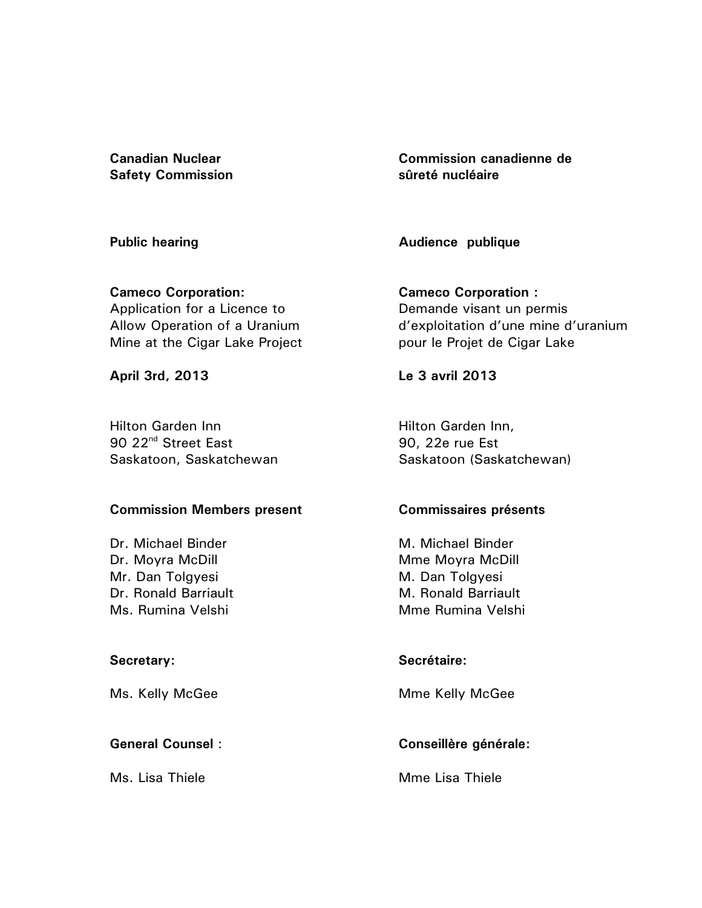**Canadian Nuclear Safety Commission** 

**Public hearing** 

**Cameco Corporation:**  Application for a Licence to Allow Operation of a Uranium Mine at the Cigar Lake Project

**April 3rd, 2013** 

Hilton Garden Inn 90 22<sup>nd</sup> Street East Saskatoon, Saskatchewan

### **Commission Members present**

Dr. Michael Binder Dr. Moyra McDill Mr. Dan Tolgyesi Dr. Ronald Barriault Ms. Rumina Velshi

### **Secretary:**

Ms. Kelly McGee

## **General Counsel** :

Ms. Lisa Thiele

**Commission canadienne de sûreté nucléaire** 

**Audience publique** 

**Cameco Corporation :**  Demande visant un permis d'exploitation d'une mine d'uranium pour le Projet de Cigar Lake

**Le 3 avril 2013** 

Hilton Garden Inn, 90, 22e rue Est Saskatoon (Saskatchewan)

### **Commissaires présents**

M. Michael Binder Mme Moyra McDill M. Dan Tolgyesi M. Ronald Barriault Mme Rumina Velshi

### **Secrétaire:**

Mme Kelly McGee

# **Conseillère générale:**

Mme Lisa Thiele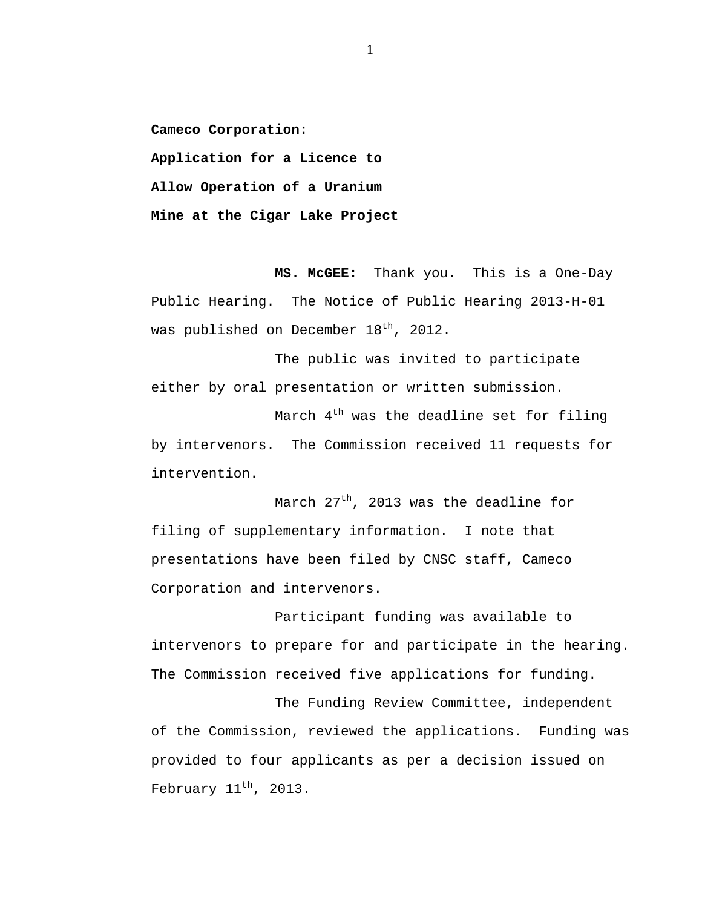**Cameco Corporation:** 

**Application for a Licence to** 

**Allow Operation of a Uranium** 

**Mine at the Cigar Lake Project** 

**MS. McGEE:** Thank you. This is a One-Day Public Hearing. The Notice of Public Hearing 2013-H-01 was published on December  $18<sup>th</sup>$ , 2012.

The public was invited to participate either by oral presentation or written submission.

March  $4<sup>th</sup>$  was the deadline set for filing by intervenors. The Commission received 11 requests for intervention.

March  $27<sup>th</sup>$ , 2013 was the deadline for filing of supplementary information. I note that presentations have been filed by CNSC staff, Cameco Corporation and intervenors.

Participant funding was available to intervenors to prepare for and participate in the hearing. The Commission received five applications for funding.

The Funding Review Committee, independent of the Commission, reviewed the applications. Funding was provided to four applicants as per a decision issued on February  $11<sup>th</sup>$ , 2013.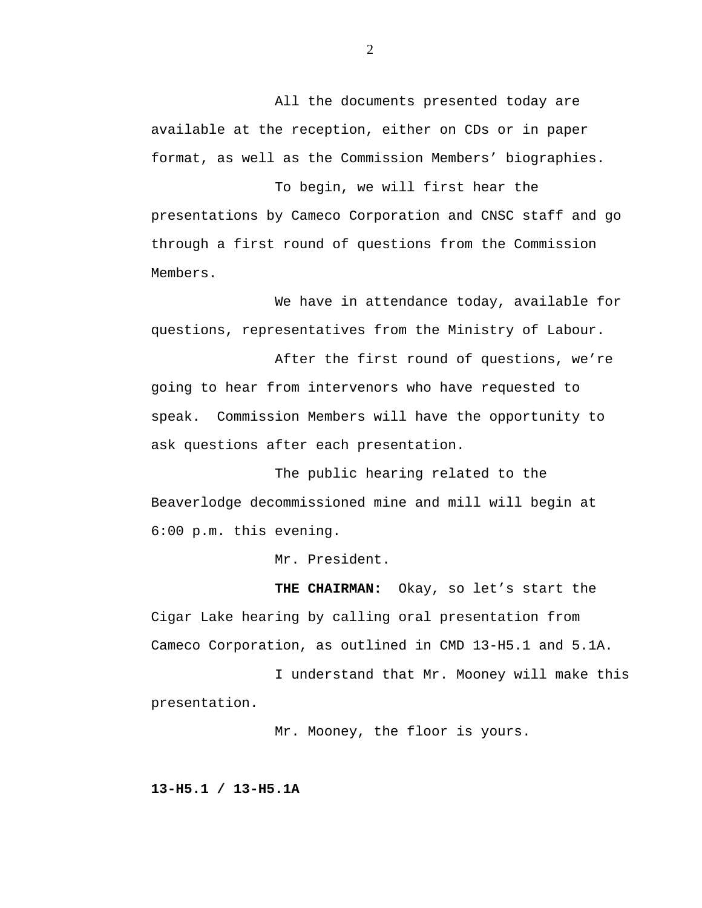All the documents presented today are available at the reception, either on CDs or in paper format, as well as the Commission Members' biographies.

To begin, we will first hear the presentations by Cameco Corporation and CNSC staff and go through a first round of questions from the Commission Members.

We have in attendance today, available for questions, representatives from the Ministry of Labour.

After the first round of questions, we're going to hear from intervenors who have requested to speak. Commission Members will have the opportunity to ask questions after each presentation.

The public hearing related to the Beaverlodge decommissioned mine and mill will begin at 6:00 p.m. this evening.

Mr. President.

**THE CHAIRMAN:** Okay, so let's start the Cigar Lake hearing by calling oral presentation from Cameco Corporation, as outlined in CMD 13-H5.1 and 5.1A.

I understand that Mr. Mooney will make this presentation.

Mr. Mooney, the floor is yours.

**13-H5.1 / 13-H5.1A**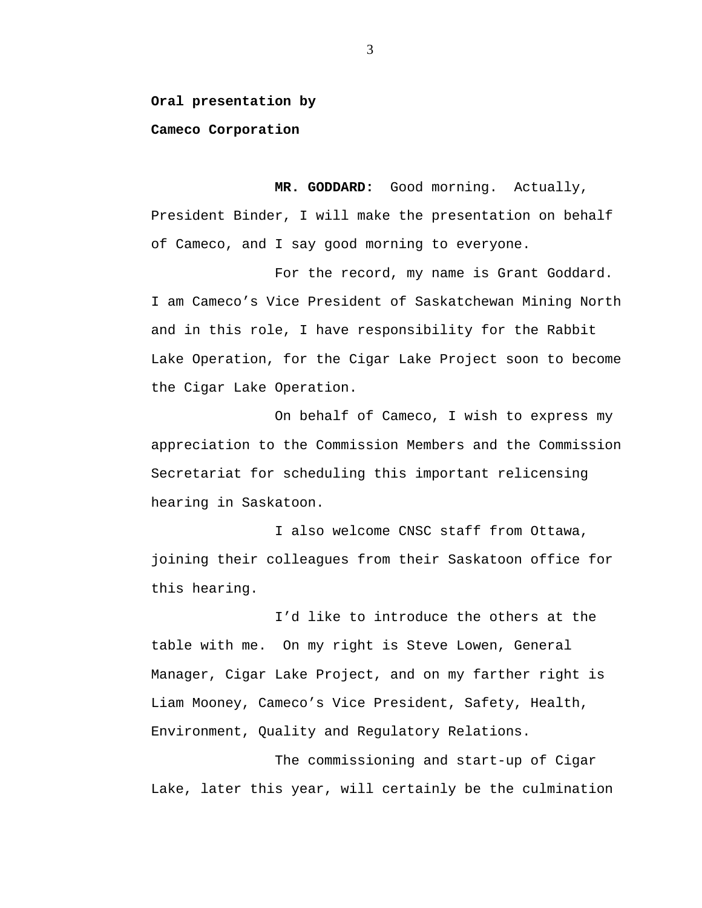#### **Oral presentation by**

#### **Cameco Corporation**

**MR. GODDARD:** Good morning. Actually, President Binder, I will make the presentation on behalf of Cameco, and I say good morning to everyone.

For the record, my name is Grant Goddard. I am Cameco's Vice President of Saskatchewan Mining North and in this role, I have responsibility for the Rabbit Lake Operation, for the Cigar Lake Project soon to become the Cigar Lake Operation.

On behalf of Cameco, I wish to express my appreciation to the Commission Members and the Commission Secretariat for scheduling this important relicensing hearing in Saskatoon.

I also welcome CNSC staff from Ottawa, joining their colleagues from their Saskatoon office for this hearing.

I'd like to introduce the others at the table with me. On my right is Steve Lowen, General Manager, Cigar Lake Project, and on my farther right is Liam Mooney, Cameco's Vice President, Safety, Health, Environment, Quality and Regulatory Relations.

The commissioning and start-up of Cigar Lake, later this year, will certainly be the culmination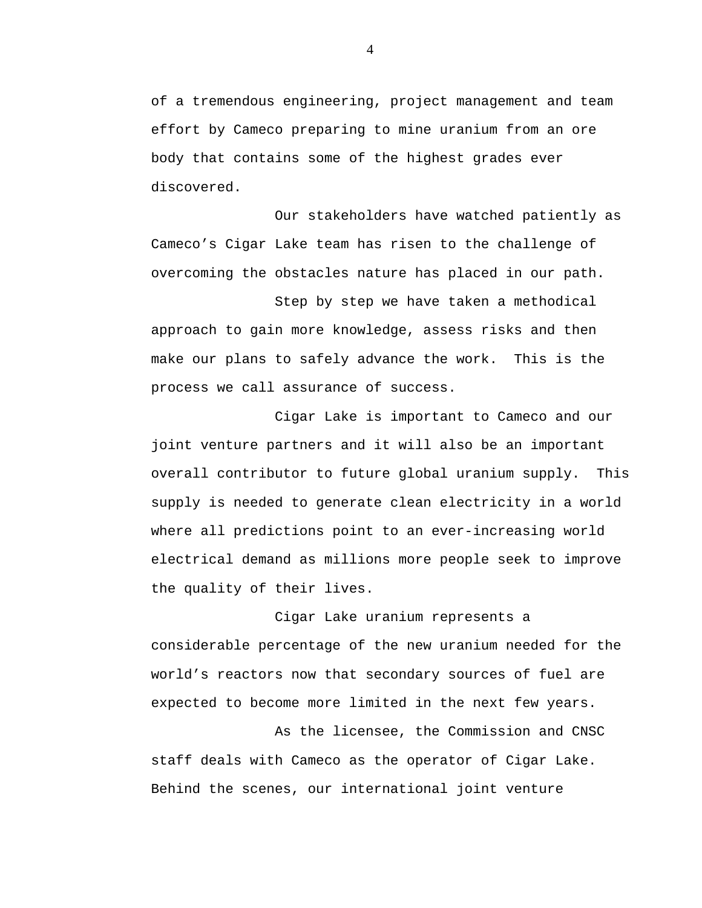of a tremendous engineering, project management and team effort by Cameco preparing to mine uranium from an ore body that contains some of the highest grades ever discovered.

Our stakeholders have watched patiently as Cameco's Cigar Lake team has risen to the challenge of overcoming the obstacles nature has placed in our path.

Step by step we have taken a methodical approach to gain more knowledge, assess risks and then make our plans to safely advance the work. This is the process we call assurance of success.

Cigar Lake is important to Cameco and our joint venture partners and it will also be an important overall contributor to future global uranium supply. This supply is needed to generate clean electricity in a world where all predictions point to an ever-increasing world electrical demand as millions more people seek to improve the quality of their lives.

Cigar Lake uranium represents a considerable percentage of the new uranium needed for the world's reactors now that secondary sources of fuel are expected to become more limited in the next few years.

As the licensee, the Commission and CNSC staff deals with Cameco as the operator of Cigar Lake. Behind the scenes, our international joint venture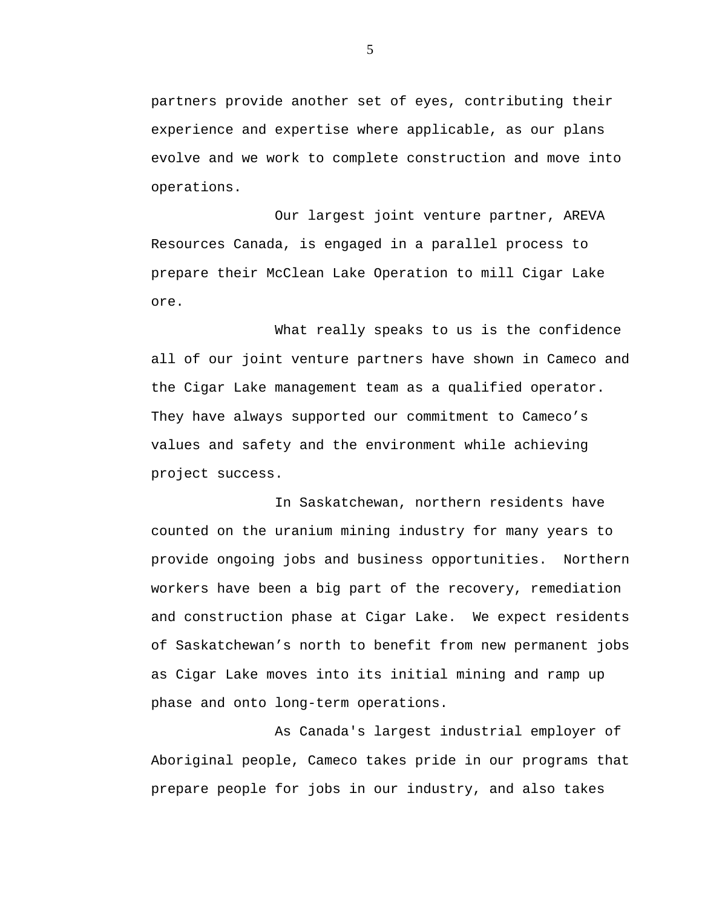partners provide another set of eyes, contributing their experience and expertise where applicable, as our plans evolve and we work to complete construction and move into operations.

Our largest joint venture partner, AREVA Resources Canada, is engaged in a parallel process to prepare their McClean Lake Operation to mill Cigar Lake ore.

What really speaks to us is the confidence all of our joint venture partners have shown in Cameco and the Cigar Lake management team as a qualified operator. They have always supported our commitment to Cameco's values and safety and the environment while achieving project success.

In Saskatchewan, northern residents have counted on the uranium mining industry for many years to provide ongoing jobs and business opportunities. Northern workers have been a big part of the recovery, remediation and construction phase at Cigar Lake. We expect residents of Saskatchewan's north to benefit from new permanent jobs as Cigar Lake moves into its initial mining and ramp up phase and onto long-term operations.

As Canada's largest industrial employer of Aboriginal people, Cameco takes pride in our programs that prepare people for jobs in our industry, and also takes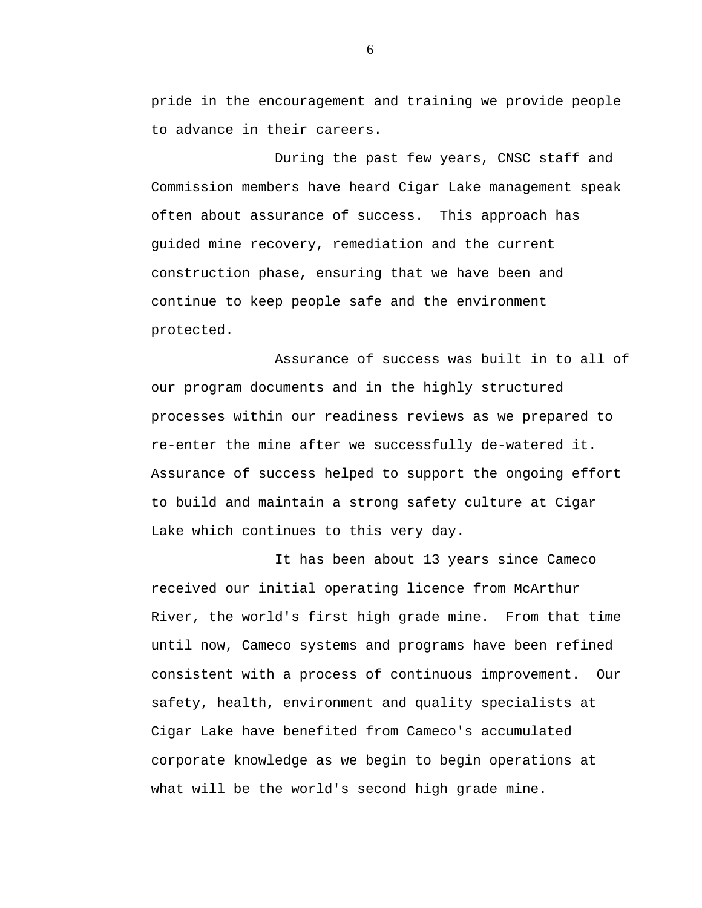pride in the encouragement and training we provide people to advance in their careers.

During the past few years, CNSC staff and Commission members have heard Cigar Lake management speak often about assurance of success. This approach has guided mine recovery, remediation and the current construction phase, ensuring that we have been and continue to keep people safe and the environment protected.

Assurance of success was built in to all of our program documents and in the highly structured processes within our readiness reviews as we prepared to re-enter the mine after we successfully de-watered it. Assurance of success helped to support the ongoing effort to build and maintain a strong safety culture at Cigar Lake which continues to this very day.

It has been about 13 years since Cameco received our initial operating licence from McArthur River, the world's first high grade mine. From that time until now, Cameco systems and programs have been refined consistent with a process of continuous improvement. Our safety, health, environment and quality specialists at Cigar Lake have benefited from Cameco's accumulated corporate knowledge as we begin to begin operations at what will be the world's second high grade mine.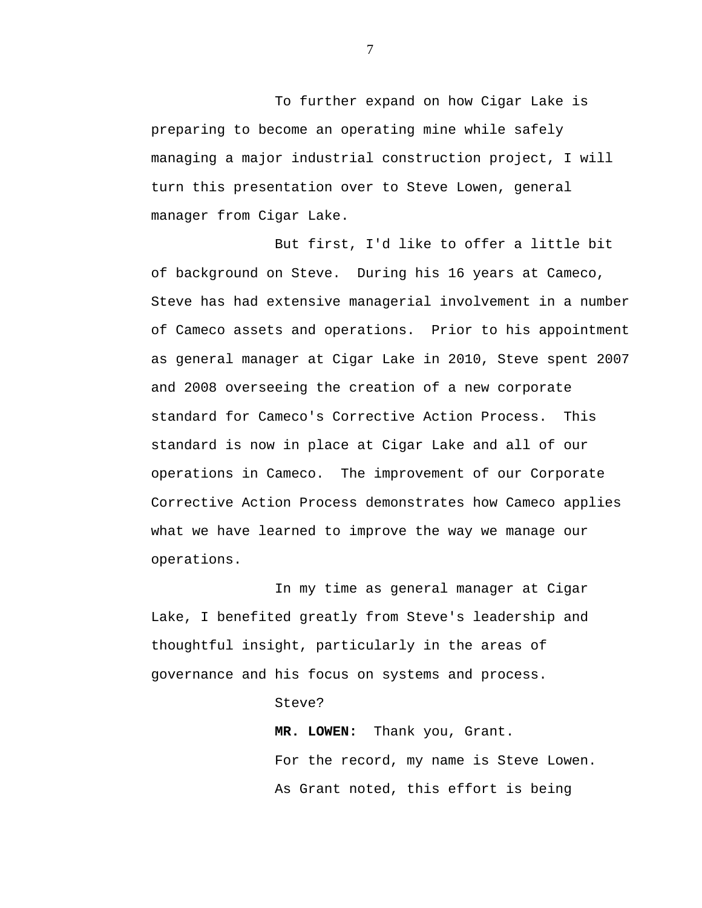To further expand on how Cigar Lake is preparing to become an operating mine while safely managing a major industrial construction project, I will turn this presentation over to Steve Lowen, general manager from Cigar Lake.

But first, I'd like to offer a little bit of background on Steve. During his 16 years at Cameco, Steve has had extensive managerial involvement in a number of Cameco assets and operations. Prior to his appointment as general manager at Cigar Lake in 2010, Steve spent 2007 and 2008 overseeing the creation of a new corporate standard for Cameco's Corrective Action Process. This standard is now in place at Cigar Lake and all of our operations in Cameco. The improvement of our Corporate Corrective Action Process demonstrates how Cameco applies what we have learned to improve the way we manage our operations.

In my time as general manager at Cigar Lake, I benefited greatly from Steve's leadership and thoughtful insight, particularly in the areas of governance and his focus on systems and process.

#### Steve?

**MR. LOWEN:** Thank you, Grant. For the record, my name is Steve Lowen. As Grant noted, this effort is being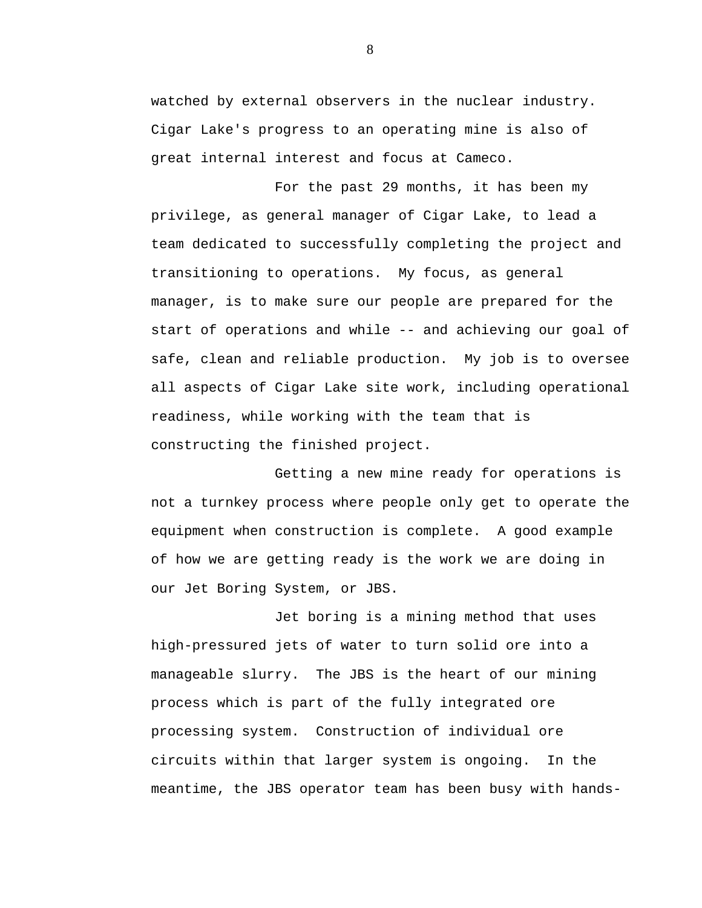watched by external observers in the nuclear industry. Cigar Lake's progress to an operating mine is also of great internal interest and focus at Cameco.

For the past 29 months, it has been my privilege, as general manager of Cigar Lake, to lead a team dedicated to successfully completing the project and transitioning to operations. My focus, as general manager, is to make sure our people are prepared for the start of operations and while -- and achieving our goal of safe, clean and reliable production. My job is to oversee all aspects of Cigar Lake site work, including operational readiness, while working with the team that is constructing the finished project.

Getting a new mine ready for operations is not a turnkey process where people only get to operate the equipment when construction is complete. A good example of how we are getting ready is the work we are doing in our Jet Boring System, or JBS.

Jet boring is a mining method that uses high-pressured jets of water to turn solid ore into a manageable slurry. The JBS is the heart of our mining process which is part of the fully integrated ore processing system. Construction of individual ore circuits within that larger system is ongoing. In the meantime, the JBS operator team has been busy with hands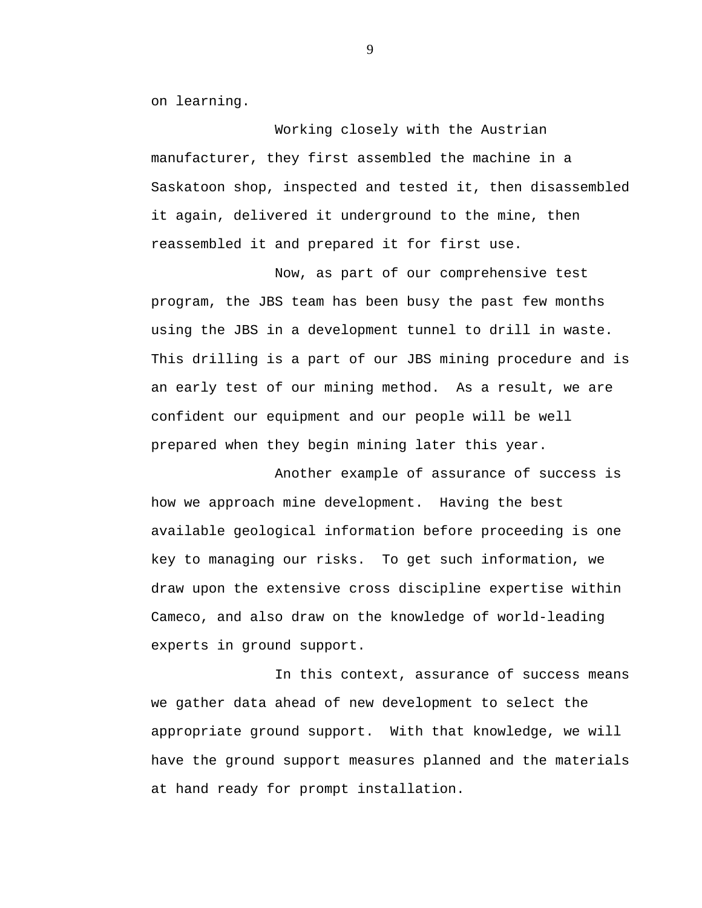on learning.

Working closely with the Austrian manufacturer, they first assembled the machine in a Saskatoon shop, inspected and tested it, then disassembled it again, delivered it underground to the mine, then reassembled it and prepared it for first use.

Now, as part of our comprehensive test program, the JBS team has been busy the past few months using the JBS in a development tunnel to drill in waste. This drilling is a part of our JBS mining procedure and is an early test of our mining method. As a result, we are confident our equipment and our people will be well prepared when they begin mining later this year.

Another example of assurance of success is how we approach mine development. Having the best available geological information before proceeding is one key to managing our risks. To get such information, we draw upon the extensive cross discipline expertise within Cameco, and also draw on the knowledge of world-leading experts in ground support.

In this context, assurance of success means we gather data ahead of new development to select the appropriate ground support. With that knowledge, we will have the ground support measures planned and the materials at hand ready for prompt installation.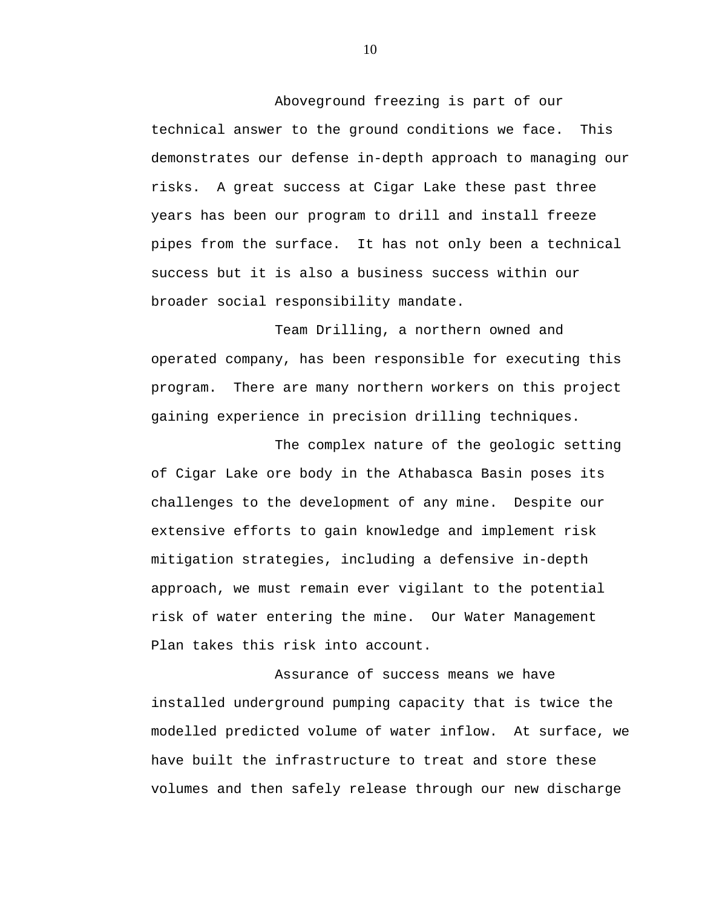Aboveground freezing is part of our technical answer to the ground conditions we face. This demonstrates our defense in-depth approach to managing our risks. A great success at Cigar Lake these past three years has been our program to drill and install freeze pipes from the surface. It has not only been a technical success but it is also a business success within our broader social responsibility mandate.

Team Drilling, a northern owned and operated company, has been responsible for executing this program. There are many northern workers on this project gaining experience in precision drilling techniques.

The complex nature of the geologic setting of Cigar Lake ore body in the Athabasca Basin poses its challenges to the development of any mine. Despite our extensive efforts to gain knowledge and implement risk mitigation strategies, including a defensive in-depth approach, we must remain ever vigilant to the potential risk of water entering the mine. Our Water Management Plan takes this risk into account.

Assurance of success means we have installed underground pumping capacity that is twice the modelled predicted volume of water inflow. At surface, we have built the infrastructure to treat and store these volumes and then safely release through our new discharge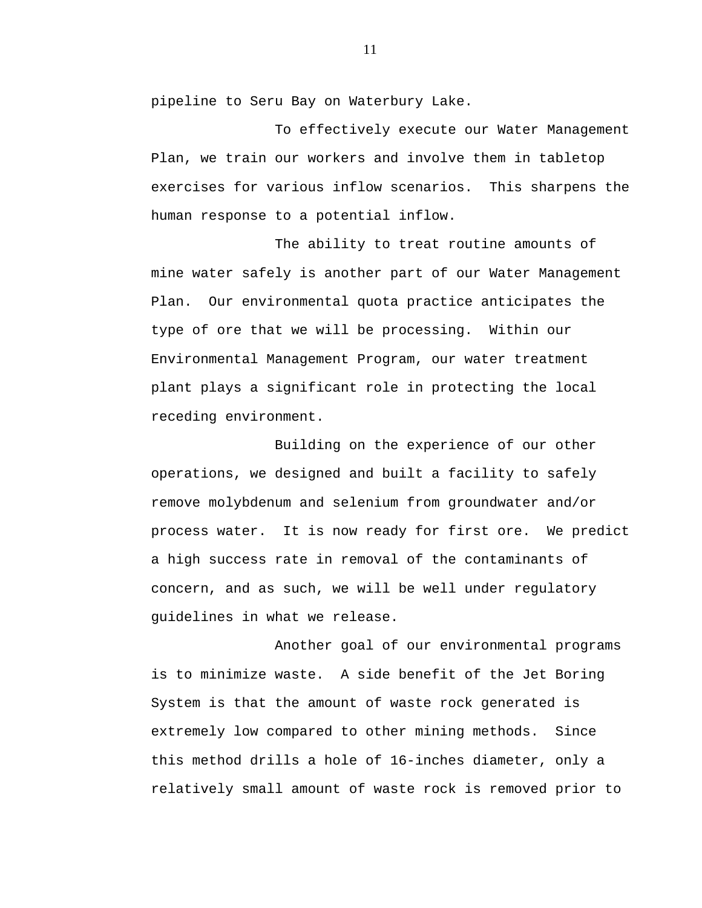pipeline to Seru Bay on Waterbury Lake.

To effectively execute our Water Management Plan, we train our workers and involve them in tabletop exercises for various inflow scenarios. This sharpens the human response to a potential inflow.

The ability to treat routine amounts of mine water safely is another part of our Water Management Plan. Our environmental quota practice anticipates the type of ore that we will be processing. Within our Environmental Management Program, our water treatment plant plays a significant role in protecting the local receding environment.

Building on the experience of our other operations, we designed and built a facility to safely remove molybdenum and selenium from groundwater and/or process water. It is now ready for first ore. We predict a high success rate in removal of the contaminants of concern, and as such, we will be well under regulatory guidelines in what we release.

Another goal of our environmental programs is to minimize waste. A side benefit of the Jet Boring System is that the amount of waste rock generated is extremely low compared to other mining methods. Since this method drills a hole of 16-inches diameter, only a relatively small amount of waste rock is removed prior to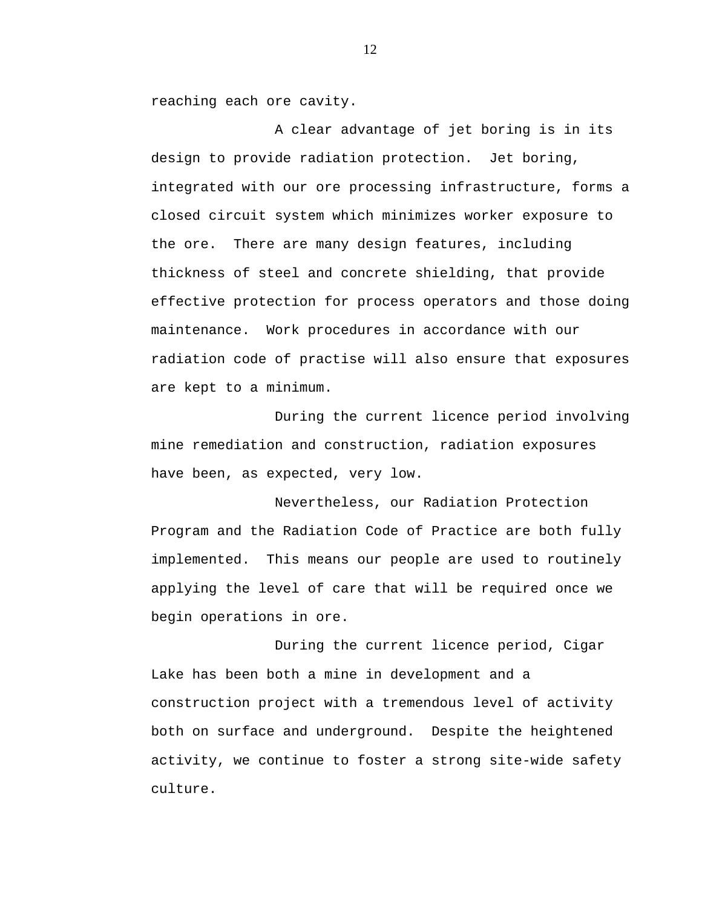reaching each ore cavity.

A clear advantage of jet boring is in its design to provide radiation protection. Jet boring, integrated with our ore processing infrastructure, forms a closed circuit system which minimizes worker exposure to the ore. There are many design features, including thickness of steel and concrete shielding, that provide effective protection for process operators and those doing maintenance. Work procedures in accordance with our radiation code of practise will also ensure that exposures are kept to a minimum.

During the current licence period involving mine remediation and construction, radiation exposures have been, as expected, very low.

Nevertheless, our Radiation Protection Program and the Radiation Code of Practice are both fully implemented. This means our people are used to routinely applying the level of care that will be required once we begin operations in ore.

During the current licence period, Cigar Lake has been both a mine in development and a construction project with a tremendous level of activity both on surface and underground. Despite the heightened activity, we continue to foster a strong site-wide safety culture.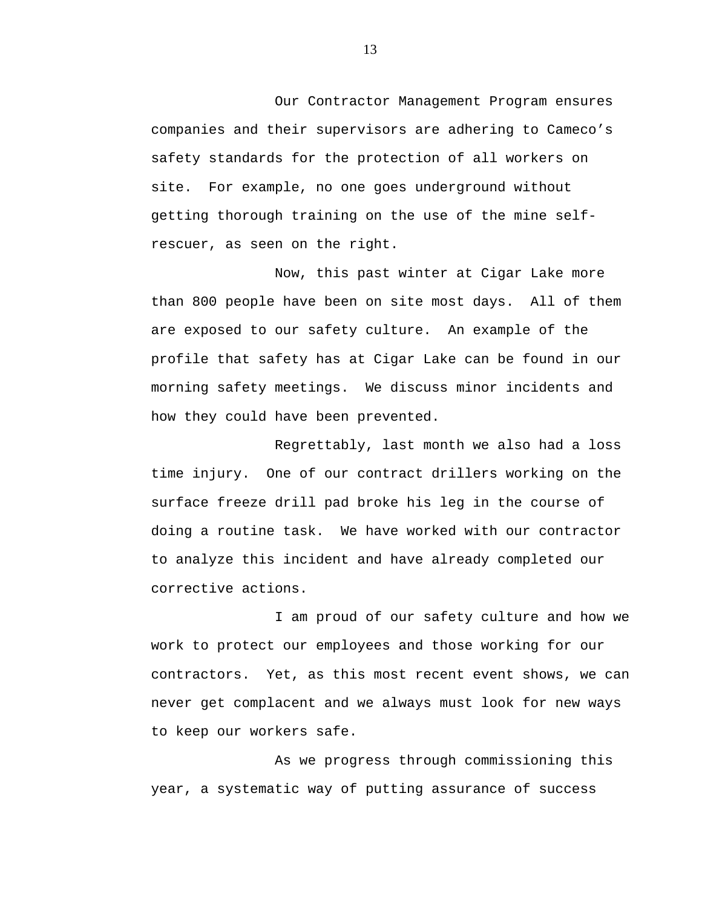Our Contractor Management Program ensures companies and their supervisors are adhering to Cameco's safety standards for the protection of all workers on site. For example, no one goes underground without getting thorough training on the use of the mine selfrescuer, as seen on the right.

Now, this past winter at Cigar Lake more than 800 people have been on site most days. All of them are exposed to our safety culture. An example of the profile that safety has at Cigar Lake can be found in our morning safety meetings. We discuss minor incidents and how they could have been prevented.

Regrettably, last month we also had a loss time injury. One of our contract drillers working on the surface freeze drill pad broke his leg in the course of doing a routine task. We have worked with our contractor to analyze this incident and have already completed our corrective actions.

I am proud of our safety culture and how we work to protect our employees and those working for our contractors. Yet, as this most recent event shows, we can never get complacent and we always must look for new ways to keep our workers safe.

As we progress through commissioning this year, a systematic way of putting assurance of success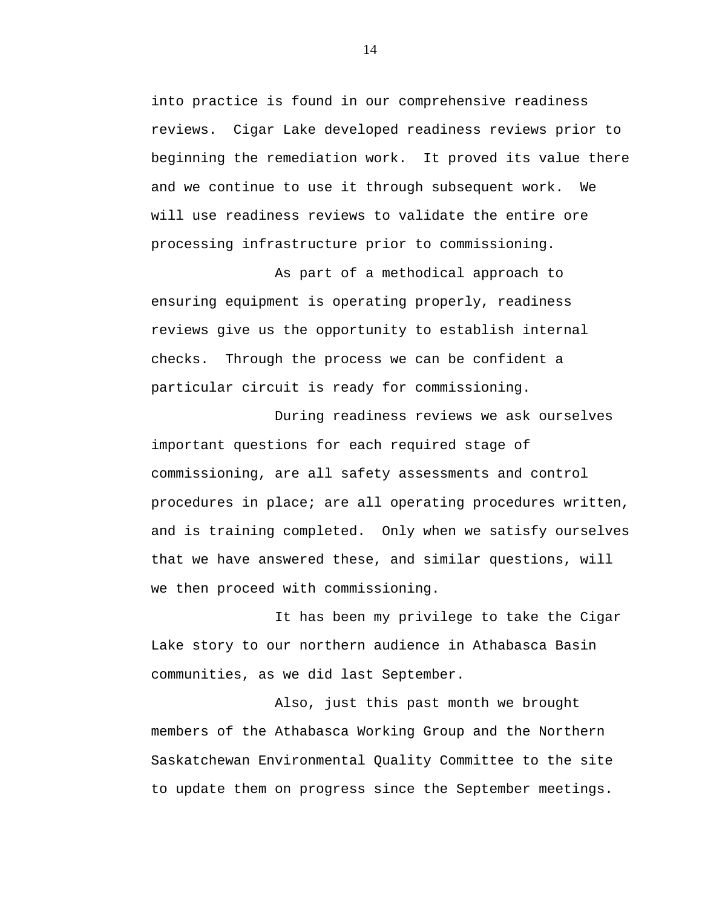into practice is found in our comprehensive readiness reviews. Cigar Lake developed readiness reviews prior to beginning the remediation work. It proved its value there and we continue to use it through subsequent work. We will use readiness reviews to validate the entire ore processing infrastructure prior to commissioning.

As part of a methodical approach to ensuring equipment is operating properly, readiness reviews give us the opportunity to establish internal checks. Through the process we can be confident a particular circuit is ready for commissioning.

During readiness reviews we ask ourselves important questions for each required stage of commissioning, are all safety assessments and control procedures in place; are all operating procedures written, and is training completed. Only when we satisfy ourselves that we have answered these, and similar questions, will we then proceed with commissioning.

It has been my privilege to take the Cigar Lake story to our northern audience in Athabasca Basin communities, as we did last September.

Also, just this past month we brought members of the Athabasca Working Group and the Northern Saskatchewan Environmental Quality Committee to the site to update them on progress since the September meetings.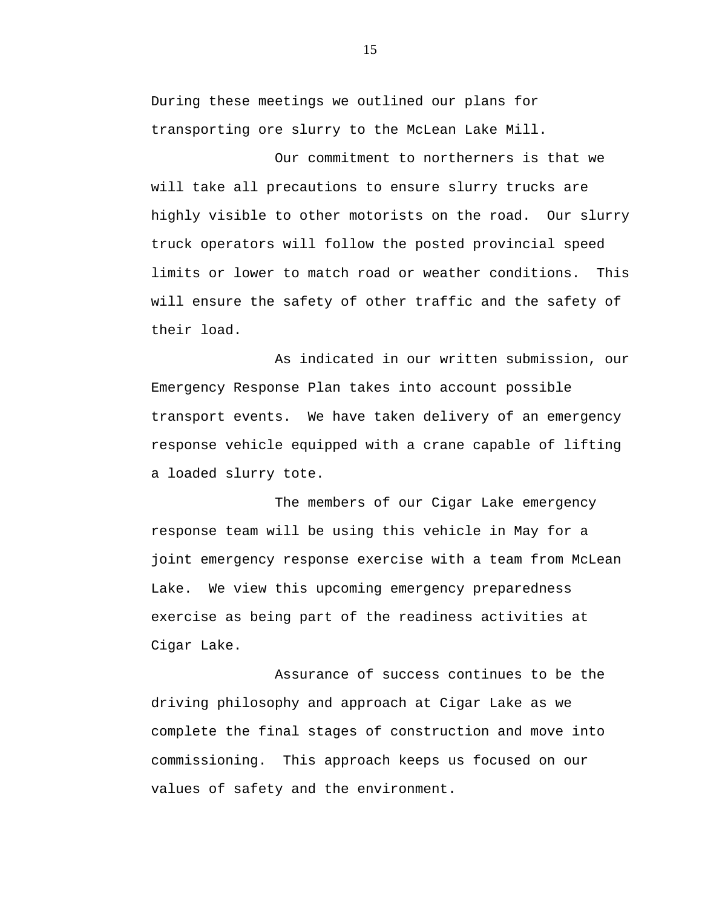During these meetings we outlined our plans for transporting ore slurry to the McLean Lake Mill.

Our commitment to northerners is that we will take all precautions to ensure slurry trucks are highly visible to other motorists on the road. Our slurry truck operators will follow the posted provincial speed limits or lower to match road or weather conditions. This will ensure the safety of other traffic and the safety of their load.

As indicated in our written submission, our Emergency Response Plan takes into account possible transport events. We have taken delivery of an emergency response vehicle equipped with a crane capable of lifting a loaded slurry tote.

The members of our Cigar Lake emergency response team will be using this vehicle in May for a joint emergency response exercise with a team from McLean Lake. We view this upcoming emergency preparedness exercise as being part of the readiness activities at Cigar Lake.

Assurance of success continues to be the driving philosophy and approach at Cigar Lake as we complete the final stages of construction and move into commissioning. This approach keeps us focused on our values of safety and the environment.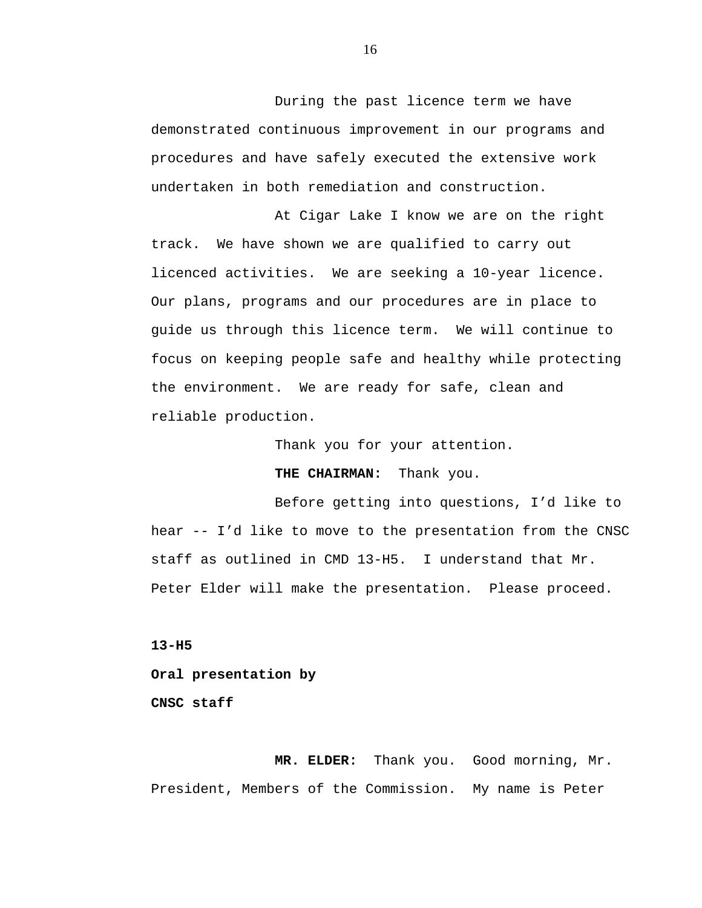During the past licence term we have demonstrated continuous improvement in our programs and procedures and have safely executed the extensive work undertaken in both remediation and construction.

At Cigar Lake I know we are on the right track. We have shown we are qualified to carry out licenced activities. We are seeking a 10-year licence. Our plans, programs and our procedures are in place to guide us through this licence term. We will continue to focus on keeping people safe and healthy while protecting the environment. We are ready for safe, clean and reliable production.

Thank you for your attention.

**THE CHAIRMAN:** Thank you.

Before getting into questions, I'd like to hear -- I'd like to move to the presentation from the CNSC staff as outlined in CMD 13-H5. I understand that Mr. Peter Elder will make the presentation. Please proceed.

**13-H5 Oral presentation by CNSC staff** 

**MR. ELDER:** Thank you. Good morning, Mr. President, Members of the Commission. My name is Peter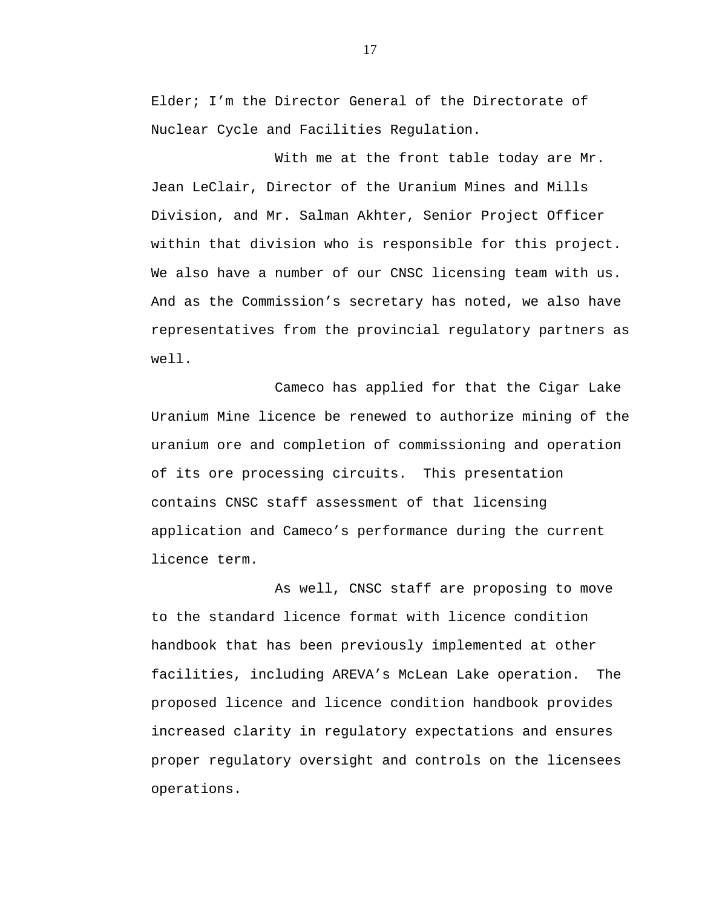Elder; I'm the Director General of the Directorate of Nuclear Cycle and Facilities Regulation.

With me at the front table today are Mr. Jean LeClair, Director of the Uranium Mines and Mills Division, and Mr. Salman Akhter, Senior Project Officer within that division who is responsible for this project. We also have a number of our CNSC licensing team with us. And as the Commission's secretary has noted, we also have representatives from the provincial regulatory partners as well.

Cameco has applied for that the Cigar Lake Uranium Mine licence be renewed to authorize mining of the uranium ore and completion of commissioning and operation of its ore processing circuits. This presentation contains CNSC staff assessment of that licensing application and Cameco's performance during the current licence term.

As well, CNSC staff are proposing to move to the standard licence format with licence condition handbook that has been previously implemented at other facilities, including AREVA's McLean Lake operation. The proposed licence and licence condition handbook provides increased clarity in regulatory expectations and ensures proper regulatory oversight and controls on the licensees operations.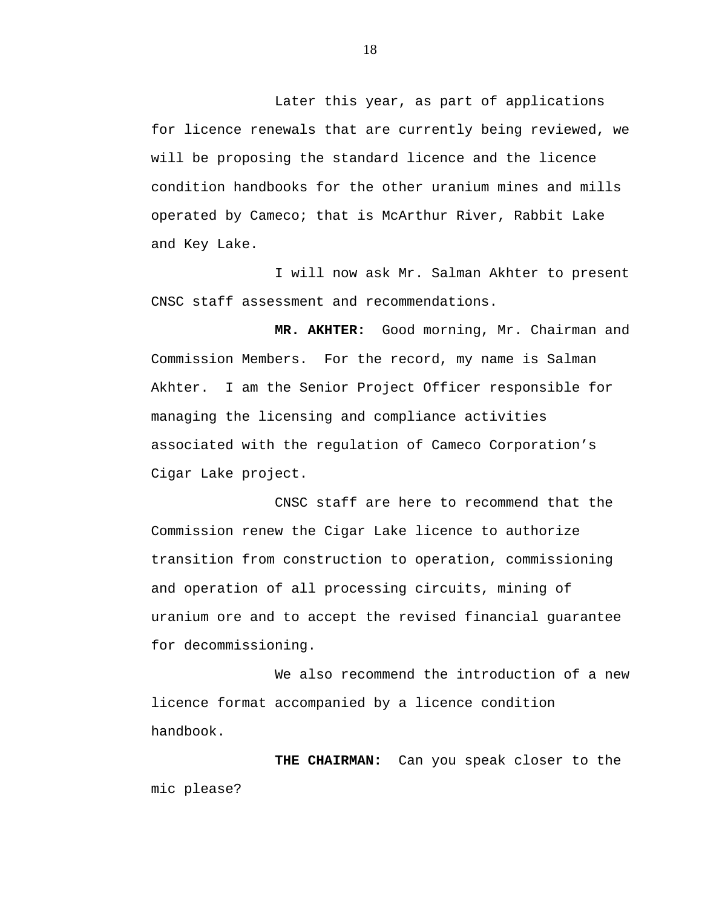Later this year, as part of applications for licence renewals that are currently being reviewed, we will be proposing the standard licence and the licence condition handbooks for the other uranium mines and mills operated by Cameco; that is McArthur River, Rabbit Lake and Key Lake.

I will now ask Mr. Salman Akhter to present CNSC staff assessment and recommendations.

**MR. AKHTER:** Good morning, Mr. Chairman and Commission Members. For the record, my name is Salman Akhter. I am the Senior Project Officer responsible for managing the licensing and compliance activities associated with the regulation of Cameco Corporation's Cigar Lake project.

CNSC staff are here to recommend that the Commission renew the Cigar Lake licence to authorize transition from construction to operation, commissioning and operation of all processing circuits, mining of uranium ore and to accept the revised financial guarantee for decommissioning.

We also recommend the introduction of a new licence format accompanied by a licence condition handbook.

**THE CHAIRMAN:** Can you speak closer to the mic please?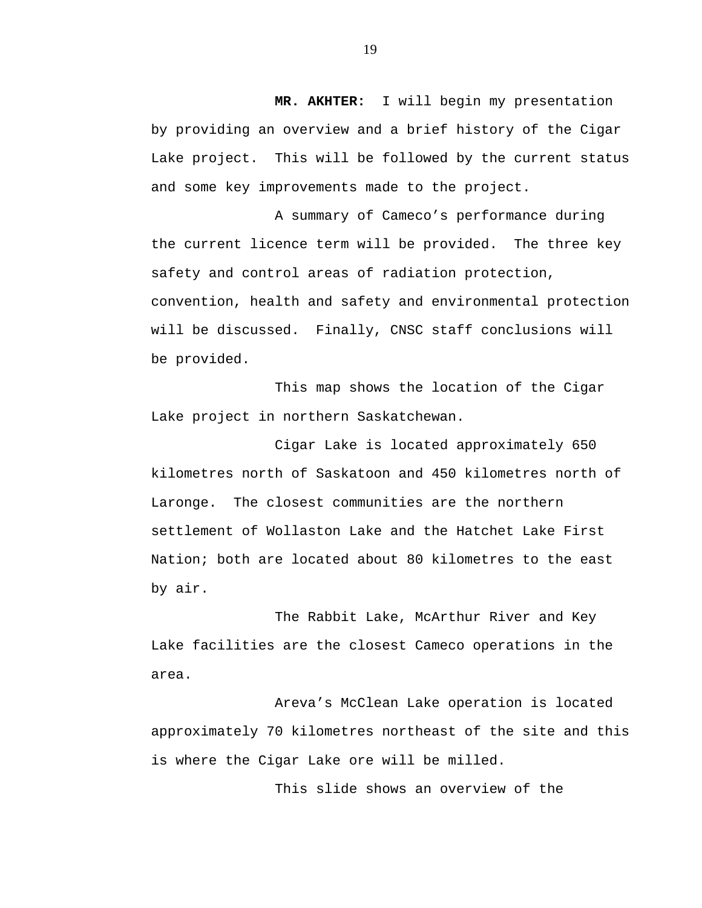**MR. AKHTER:** I will begin my presentation by providing an overview and a brief history of the Cigar Lake project. This will be followed by the current status and some key improvements made to the project.

A summary of Cameco's performance during the current licence term will be provided. The three key safety and control areas of radiation protection, convention, health and safety and environmental protection will be discussed. Finally, CNSC staff conclusions will be provided.

This map shows the location of the Cigar Lake project in northern Saskatchewan.

Cigar Lake is located approximately 650 kilometres north of Saskatoon and 450 kilometres north of Laronge. The closest communities are the northern settlement of Wollaston Lake and the Hatchet Lake First Nation; both are located about 80 kilometres to the east by air.

The Rabbit Lake, McArthur River and Key Lake facilities are the closest Cameco operations in the area.

Areva's McClean Lake operation is located approximately 70 kilometres northeast of the site and this is where the Cigar Lake ore will be milled.

This slide shows an overview of the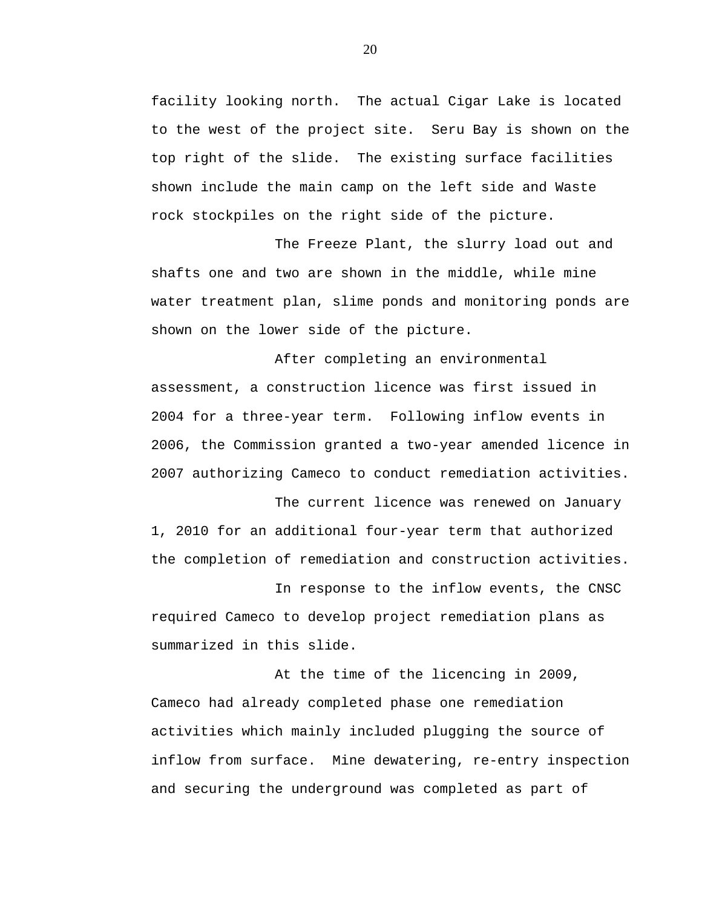facility looking north. The actual Cigar Lake is located to the west of the project site. Seru Bay is shown on the top right of the slide. The existing surface facilities shown include the main camp on the left side and Waste rock stockpiles on the right side of the picture.

The Freeze Plant, the slurry load out and shafts one and two are shown in the middle, while mine water treatment plan, slime ponds and monitoring ponds are shown on the lower side of the picture.

After completing an environmental assessment, a construction licence was first issued in 2004 for a three-year term. Following inflow events in 2006, the Commission granted a two-year amended licence in 2007 authorizing Cameco to conduct remediation activities.

The current licence was renewed on January 1, 2010 for an additional four-year term that authorized the completion of remediation and construction activities.

In response to the inflow events, the CNSC required Cameco to develop project remediation plans as summarized in this slide.

At the time of the licencing in 2009, Cameco had already completed phase one remediation activities which mainly included plugging the source of inflow from surface. Mine dewatering, re-entry inspection and securing the underground was completed as part of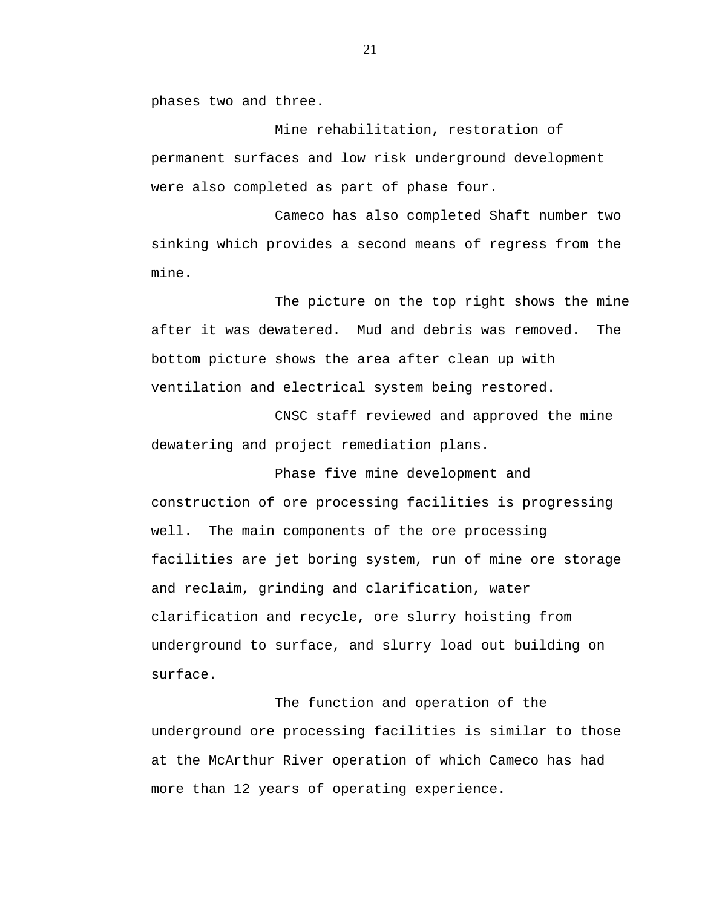phases two and three.

Mine rehabilitation, restoration of permanent surfaces and low risk underground development were also completed as part of phase four.

Cameco has also completed Shaft number two sinking which provides a second means of regress from the mine.

The picture on the top right shows the mine after it was dewatered. Mud and debris was removed. The bottom picture shows the area after clean up with ventilation and electrical system being restored.

CNSC staff reviewed and approved the mine dewatering and project remediation plans.

Phase five mine development and construction of ore processing facilities is progressing well. The main components of the ore processing facilities are jet boring system, run of mine ore storage and reclaim, grinding and clarification, water clarification and recycle, ore slurry hoisting from underground to surface, and slurry load out building on surface.

The function and operation of the underground ore processing facilities is similar to those at the McArthur River operation of which Cameco has had more than 12 years of operating experience.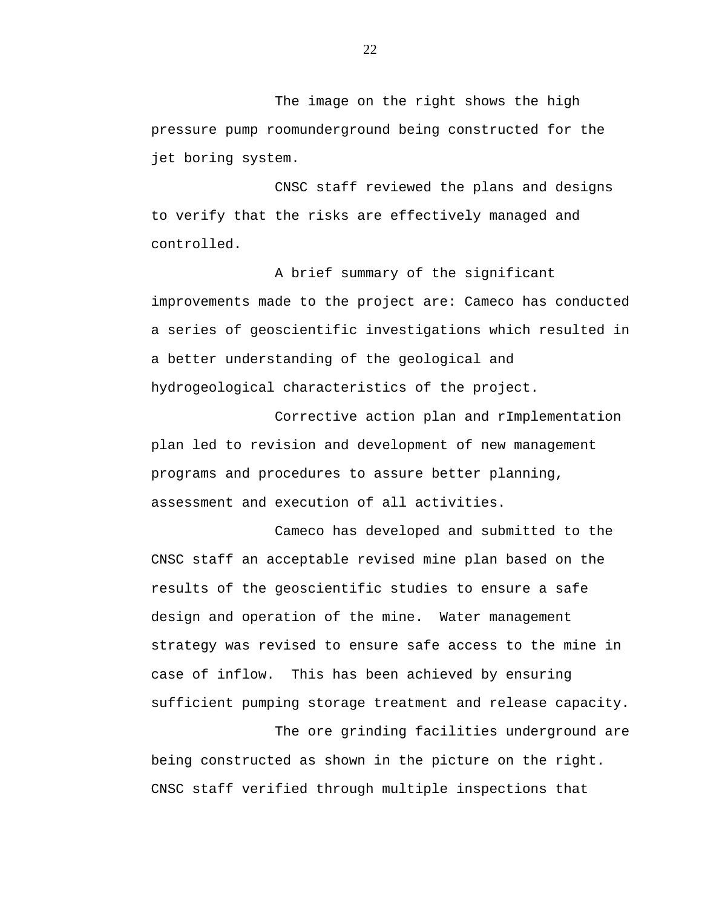The image on the right shows the high pressure pump roomunderground being constructed for the jet boring system.

CNSC staff reviewed the plans and designs to verify that the risks are effectively managed and controlled.

A brief summary of the significant improvements made to the project are: Cameco has conducted a series of geoscientific investigations which resulted in a better understanding of the geological and hydrogeological characteristics of the project.

Corrective action plan and rImplementation plan led to revision and development of new management programs and procedures to assure better planning, assessment and execution of all activities.

Cameco has developed and submitted to the CNSC staff an acceptable revised mine plan based on the results of the geoscientific studies to ensure a safe design and operation of the mine. Water management strategy was revised to ensure safe access to the mine in case of inflow. This has been achieved by ensuring sufficient pumping storage treatment and release capacity.

The ore grinding facilities underground are being constructed as shown in the picture on the right. CNSC staff verified through multiple inspections that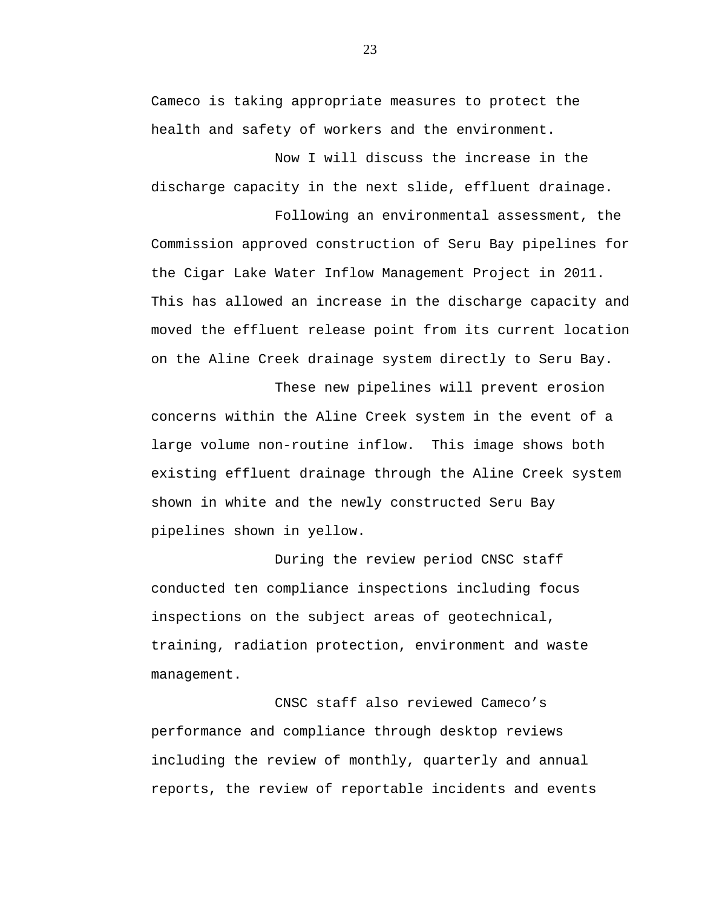Cameco is taking appropriate measures to protect the health and safety of workers and the environment.

Now I will discuss the increase in the discharge capacity in the next slide, effluent drainage.

Following an environmental assessment, the Commission approved construction of Seru Bay pipelines for the Cigar Lake Water Inflow Management Project in 2011. This has allowed an increase in the discharge capacity and moved the effluent release point from its current location on the Aline Creek drainage system directly to Seru Bay.

These new pipelines will prevent erosion concerns within the Aline Creek system in the event of a large volume non-routine inflow. This image shows both existing effluent drainage through the Aline Creek system shown in white and the newly constructed Seru Bay pipelines shown in yellow.

During the review period CNSC staff conducted ten compliance inspections including focus inspections on the subject areas of geotechnical, training, radiation protection, environment and waste management.

CNSC staff also reviewed Cameco's performance and compliance through desktop reviews including the review of monthly, quarterly and annual reports, the review of reportable incidents and events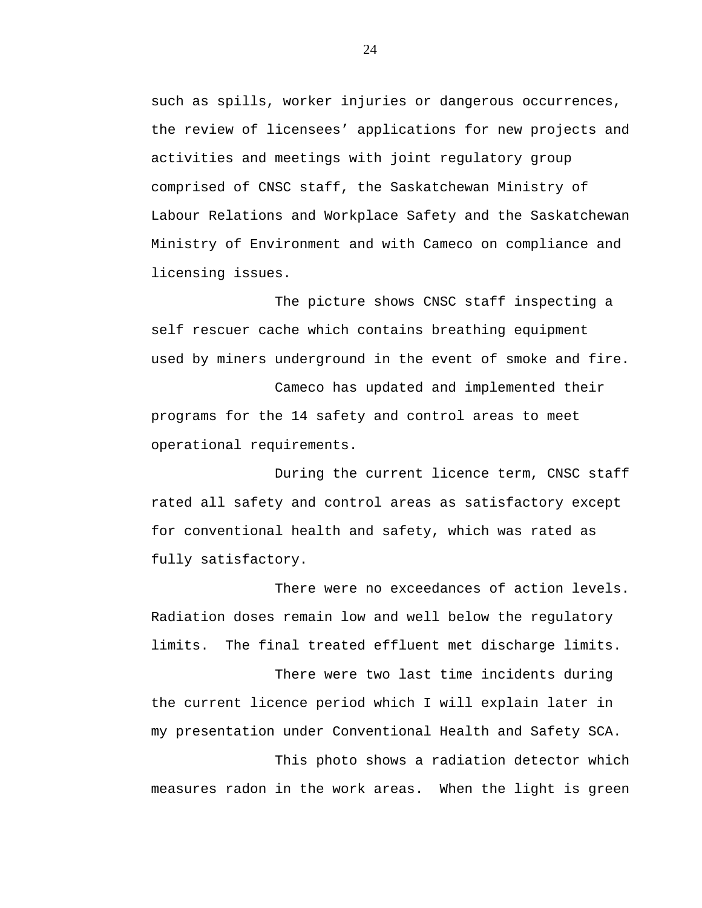such as spills, worker injuries or dangerous occurrences, the review of licensees' applications for new projects and activities and meetings with joint regulatory group comprised of CNSC staff, the Saskatchewan Ministry of Labour Relations and Workplace Safety and the Saskatchewan Ministry of Environment and with Cameco on compliance and licensing issues.

The picture shows CNSC staff inspecting a self rescuer cache which contains breathing equipment used by miners underground in the event of smoke and fire.

Cameco has updated and implemented their programs for the 14 safety and control areas to meet operational requirements.

During the current licence term, CNSC staff rated all safety and control areas as satisfactory except for conventional health and safety, which was rated as fully satisfactory.

There were no exceedances of action levels. Radiation doses remain low and well below the regulatory limits. The final treated effluent met discharge limits.

There were two last time incidents during the current licence period which I will explain later in my presentation under Conventional Health and Safety SCA.

This photo shows a radiation detector which measures radon in the work areas. When the light is green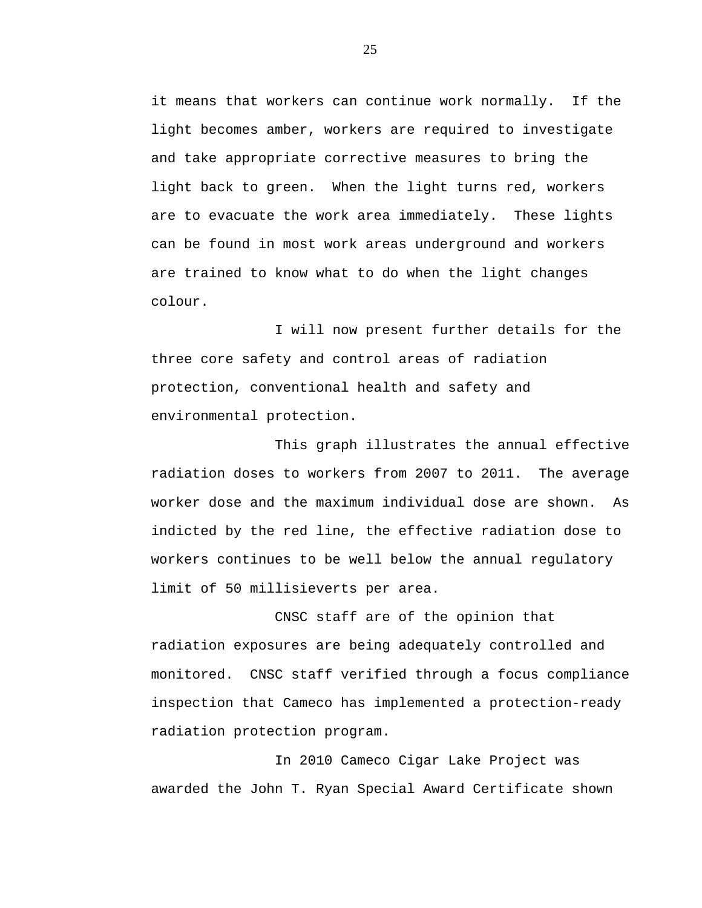it means that workers can continue work normally. If the light becomes amber, workers are required to investigate and take appropriate corrective measures to bring the light back to green. When the light turns red, workers are to evacuate the work area immediately. These lights can be found in most work areas underground and workers are trained to know what to do when the light changes colour.

I will now present further details for the three core safety and control areas of radiation protection, conventional health and safety and environmental protection.

This graph illustrates the annual effective radiation doses to workers from 2007 to 2011. The average worker dose and the maximum individual dose are shown. As indicted by the red line, the effective radiation dose to workers continues to be well below the annual regulatory limit of 50 millisieverts per area.

CNSC staff are of the opinion that radiation exposures are being adequately controlled and monitored. CNSC staff verified through a focus compliance inspection that Cameco has implemented a protection-ready radiation protection program.

In 2010 Cameco Cigar Lake Project was awarded the John T. Ryan Special Award Certificate shown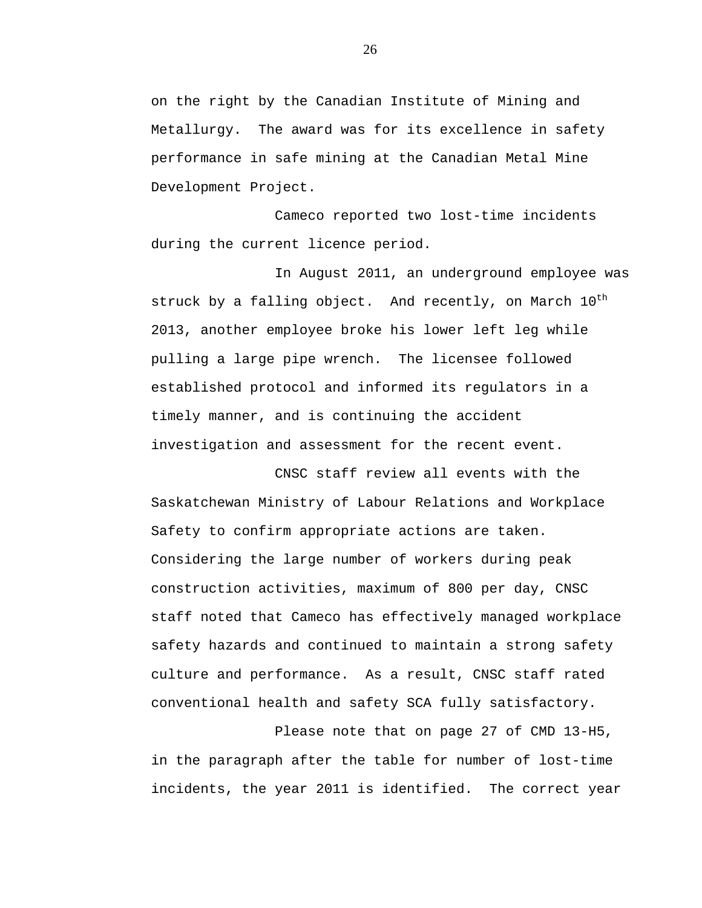on the right by the Canadian Institute of Mining and Metallurgy. The award was for its excellence in safety performance in safe mining at the Canadian Metal Mine Development Project.

Cameco reported two lost-time incidents during the current licence period.

In August 2011, an underground employee was struck by a falling object. And recently, on March  $10^{th}$ 2013, another employee broke his lower left leg while pulling a large pipe wrench. The licensee followed established protocol and informed its regulators in a timely manner, and is continuing the accident investigation and assessment for the recent event.

CNSC staff review all events with the Saskatchewan Ministry of Labour Relations and Workplace Safety to confirm appropriate actions are taken. Considering the large number of workers during peak construction activities, maximum of 800 per day, CNSC staff noted that Cameco has effectively managed workplace safety hazards and continued to maintain a strong safety culture and performance. As a result, CNSC staff rated conventional health and safety SCA fully satisfactory.

Please note that on page 27 of CMD 13-H5, in the paragraph after the table for number of lost-time incidents, the year 2011 is identified. The correct year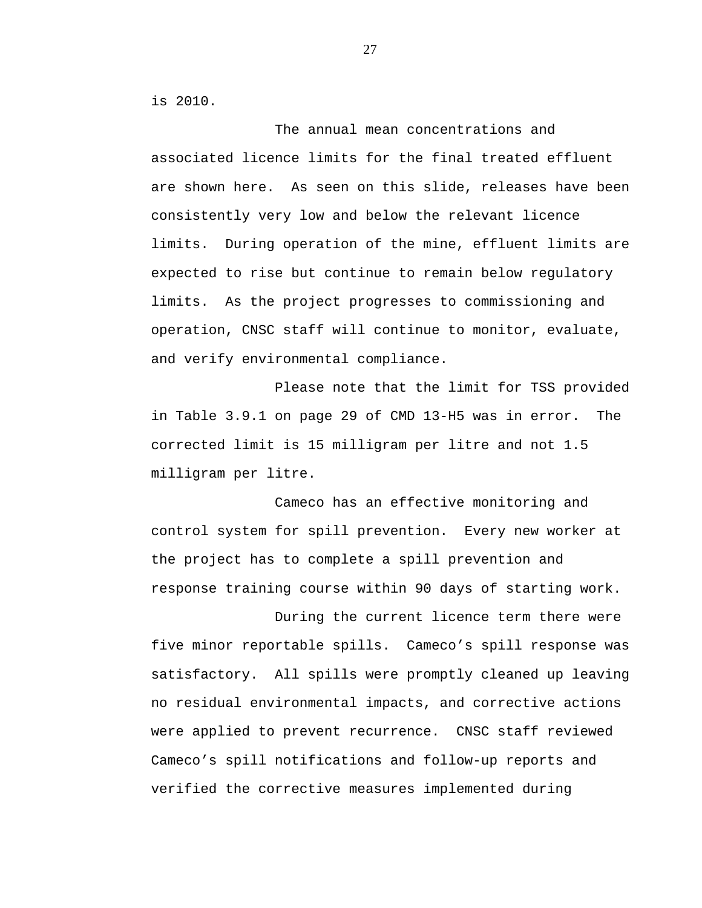is 2010.

The annual mean concentrations and associated licence limits for the final treated effluent are shown here. As seen on this slide, releases have been consistently very low and below the relevant licence limits. During operation of the mine, effluent limits are expected to rise but continue to remain below regulatory limits. As the project progresses to commissioning and operation, CNSC staff will continue to monitor, evaluate, and verify environmental compliance.

Please note that the limit for TSS provided in Table 3.9.1 on page 29 of CMD 13-H5 was in error. The corrected limit is 15 milligram per litre and not 1.5 milligram per litre.

Cameco has an effective monitoring and control system for spill prevention. Every new worker at the project has to complete a spill prevention and response training course within 90 days of starting work.

During the current licence term there were five minor reportable spills. Cameco's spill response was satisfactory. All spills were promptly cleaned up leaving no residual environmental impacts, and corrective actions were applied to prevent recurrence. CNSC staff reviewed Cameco's spill notifications and follow-up reports and verified the corrective measures implemented during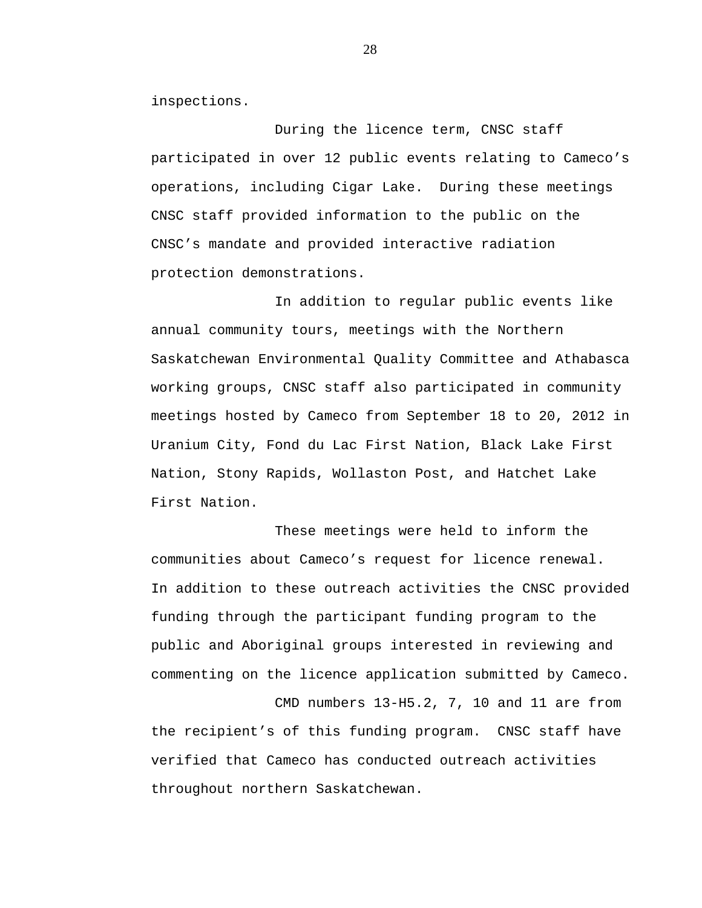inspections.

During the licence term, CNSC staff participated in over 12 public events relating to Cameco's operations, including Cigar Lake. During these meetings CNSC staff provided information to the public on the CNSC's mandate and provided interactive radiation protection demonstrations.

In addition to regular public events like annual community tours, meetings with the Northern Saskatchewan Environmental Quality Committee and Athabasca working groups, CNSC staff also participated in community meetings hosted by Cameco from September 18 to 20, 2012 in Uranium City, Fond du Lac First Nation, Black Lake First Nation, Stony Rapids, Wollaston Post, and Hatchet Lake First Nation.

These meetings were held to inform the communities about Cameco's request for licence renewal. In addition to these outreach activities the CNSC provided funding through the participant funding program to the public and Aboriginal groups interested in reviewing and commenting on the licence application submitted by Cameco.

CMD numbers 13-H5.2, 7, 10 and 11 are from the recipient's of this funding program. CNSC staff have verified that Cameco has conducted outreach activities throughout northern Saskatchewan.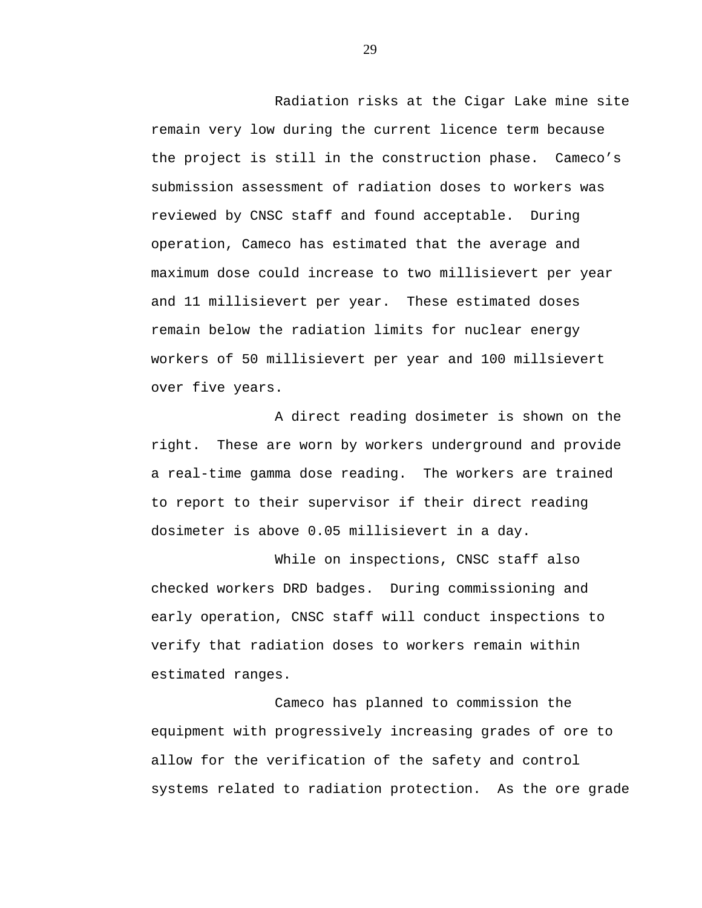Radiation risks at the Cigar Lake mine site remain very low during the current licence term because the project is still in the construction phase. Cameco's submission assessment of radiation doses to workers was reviewed by CNSC staff and found acceptable. During operation, Cameco has estimated that the average and maximum dose could increase to two millisievert per year and 11 millisievert per year. These estimated doses remain below the radiation limits for nuclear energy workers of 50 millisievert per year and 100 millsievert over five years.

A direct reading dosimeter is shown on the right. These are worn by workers underground and provide a real-time gamma dose reading. The workers are trained to report to their supervisor if their direct reading dosimeter is above 0.05 millisievert in a day.

While on inspections, CNSC staff also checked workers DRD badges. During commissioning and early operation, CNSC staff will conduct inspections to verify that radiation doses to workers remain within estimated ranges.

Cameco has planned to commission the equipment with progressively increasing grades of ore to allow for the verification of the safety and control systems related to radiation protection. As the ore grade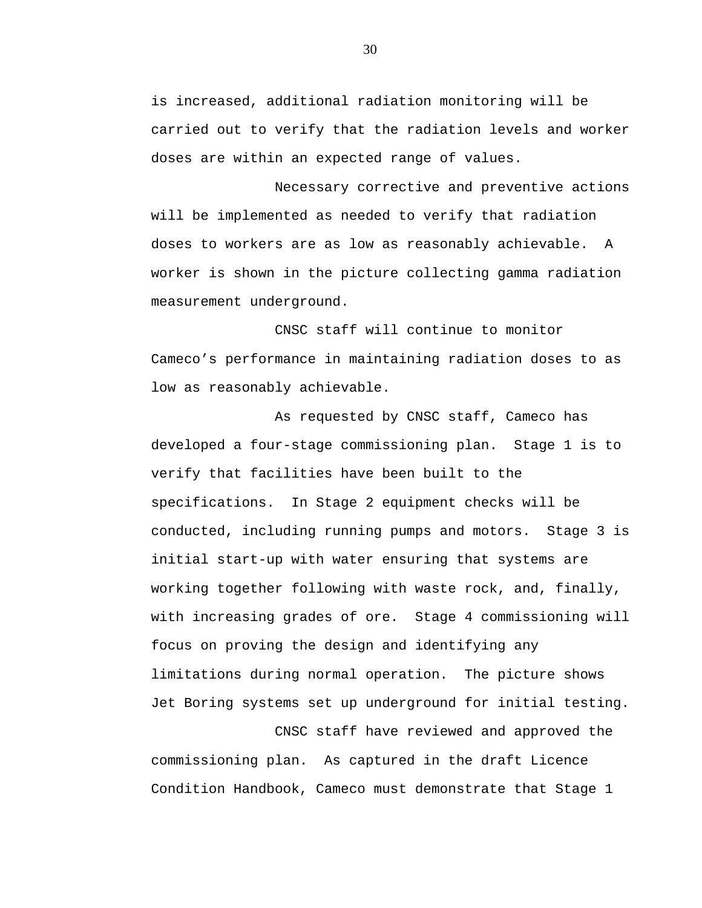is increased, additional radiation monitoring will be carried out to verify that the radiation levels and worker doses are within an expected range of values.

Necessary corrective and preventive actions will be implemented as needed to verify that radiation doses to workers are as low as reasonably achievable. A worker is shown in the picture collecting gamma radiation measurement underground.

CNSC staff will continue to monitor Cameco's performance in maintaining radiation doses to as low as reasonably achievable.

As requested by CNSC staff, Cameco has developed a four-stage commissioning plan. Stage 1 is to verify that facilities have been built to the specifications. In Stage 2 equipment checks will be conducted, including running pumps and motors. Stage 3 is initial start-up with water ensuring that systems are working together following with waste rock, and, finally, with increasing grades of ore. Stage 4 commissioning will focus on proving the design and identifying any limitations during normal operation. The picture shows Jet Boring systems set up underground for initial testing.

CNSC staff have reviewed and approved the commissioning plan. As captured in the draft Licence Condition Handbook, Cameco must demonstrate that Stage 1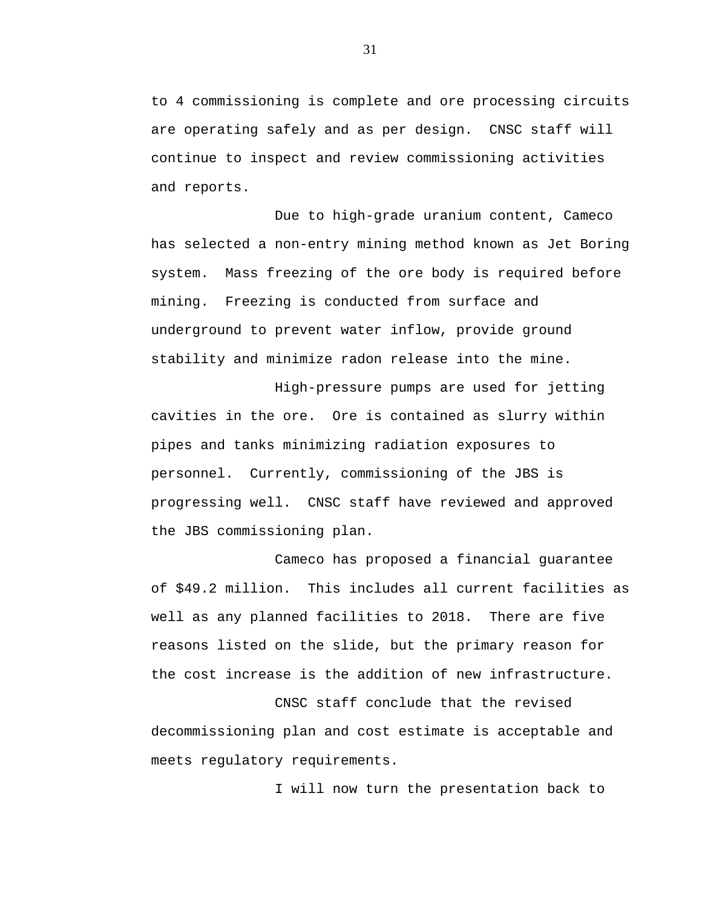to 4 commissioning is complete and ore processing circuits are operating safely and as per design. CNSC staff will continue to inspect and review commissioning activities and reports.

Due to high-grade uranium content, Cameco has selected a non-entry mining method known as Jet Boring system. Mass freezing of the ore body is required before mining. Freezing is conducted from surface and underground to prevent water inflow, provide ground stability and minimize radon release into the mine.

High-pressure pumps are used for jetting cavities in the ore. Ore is contained as slurry within pipes and tanks minimizing radiation exposures to personnel. Currently, commissioning of the JBS is progressing well. CNSC staff have reviewed and approved the JBS commissioning plan.

Cameco has proposed a financial guarantee of \$49.2 million. This includes all current facilities as well as any planned facilities to 2018. There are five reasons listed on the slide, but the primary reason for the cost increase is the addition of new infrastructure.

CNSC staff conclude that the revised decommissioning plan and cost estimate is acceptable and meets regulatory requirements.

I will now turn the presentation back to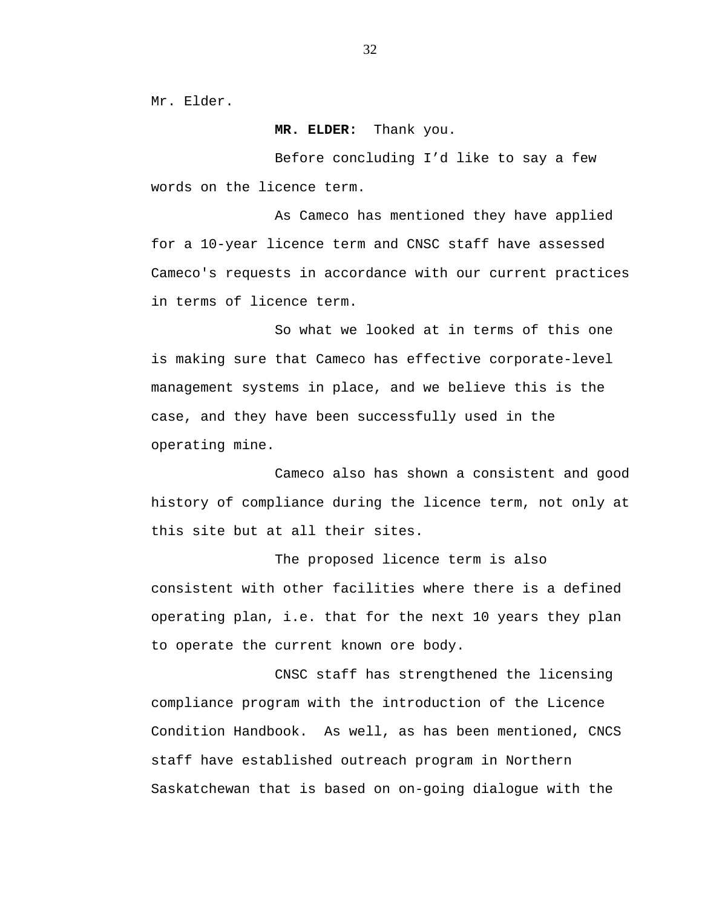Mr. Elder.

**MR. ELDER:** Thank you.

Before concluding I'd like to say a few words on the licence term.

As Cameco has mentioned they have applied for a 10-year licence term and CNSC staff have assessed Cameco's requests in accordance with our current practices in terms of licence term.

So what we looked at in terms of this one is making sure that Cameco has effective corporate-level management systems in place, and we believe this is the case, and they have been successfully used in the operating mine.

Cameco also has shown a consistent and good history of compliance during the licence term, not only at this site but at all their sites.

The proposed licence term is also consistent with other facilities where there is a defined operating plan, i.e. that for the next 10 years they plan to operate the current known ore body.

CNSC staff has strengthened the licensing compliance program with the introduction of the Licence Condition Handbook. As well, as has been mentioned, CNCS staff have established outreach program in Northern Saskatchewan that is based on on-going dialogue with the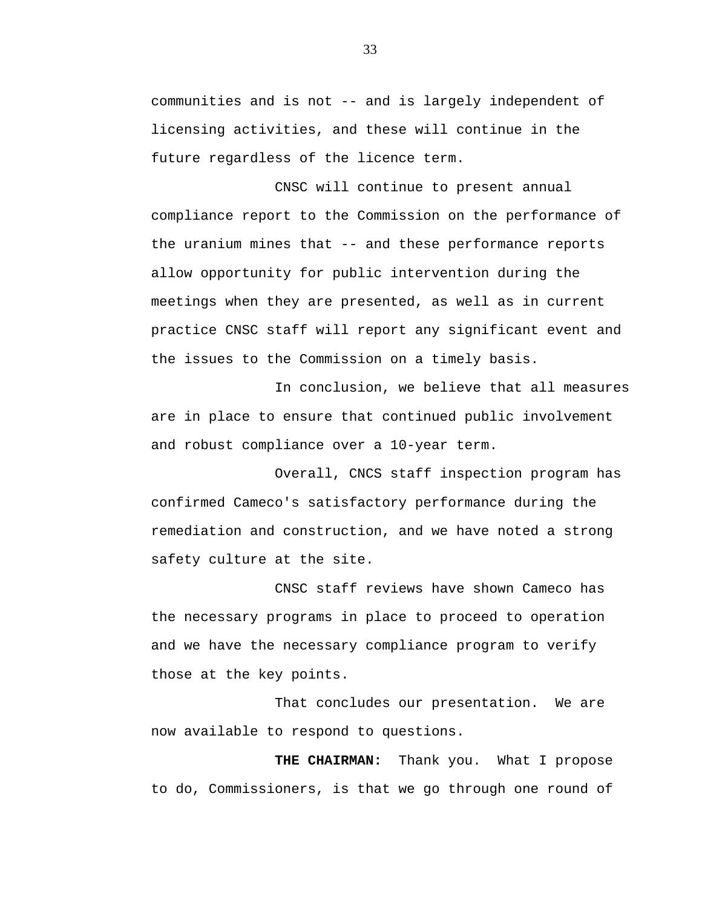communities and is not -- and is largely independent of licensing activities, and these will continue in the future regardless of the licence term.

CNSC will continue to present annual compliance report to the Commission on the performance of the uranium mines that -- and these performance reports allow opportunity for public intervention during the meetings when they are presented, as well as in current practice CNSC staff will report any significant event and the issues to the Commission on a timely basis.

In conclusion, we believe that all measures are in place to ensure that continued public involvement and robust compliance over a 10-year term.

Overall, CNCS staff inspection program has confirmed Cameco's satisfactory performance during the remediation and construction, and we have noted a strong safety culture at the site.

CNSC staff reviews have shown Cameco has the necessary programs in place to proceed to operation and we have the necessary compliance program to verify those at the key points.

That concludes our presentation. We are now available to respond to questions.

**THE CHAIRMAN:** Thank you. What I propose to do, Commissioners, is that we go through one round of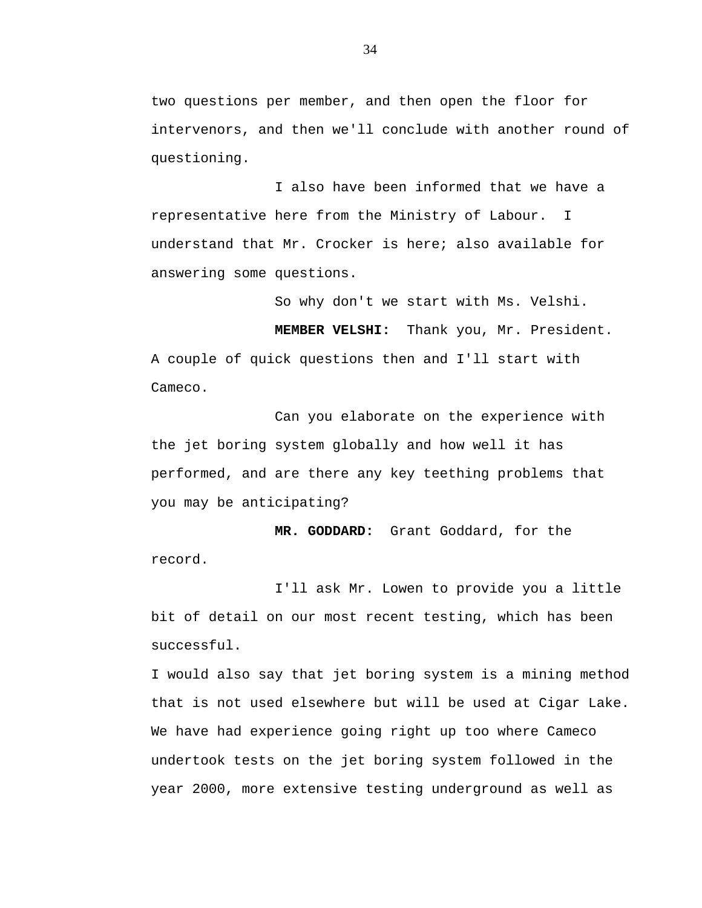two questions per member, and then open the floor for intervenors, and then we'll conclude with another round of questioning.

I also have been informed that we have a representative here from the Ministry of Labour. I understand that Mr. Crocker is here; also available for answering some questions.

So why don't we start with Ms. Velshi.

**MEMBER VELSHI:** Thank you, Mr. President.

A couple of quick questions then and I'll start with Cameco.

Can you elaborate on the experience with the jet boring system globally and how well it has performed, and are there any key teething problems that you may be anticipating?

**MR. GODDARD:** Grant Goddard, for the record.

I'll ask Mr. Lowen to provide you a little bit of detail on our most recent testing, which has been successful.

I would also say that jet boring system is a mining method that is not used elsewhere but will be used at Cigar Lake. We have had experience going right up too where Cameco undertook tests on the jet boring system followed in the year 2000, more extensive testing underground as well as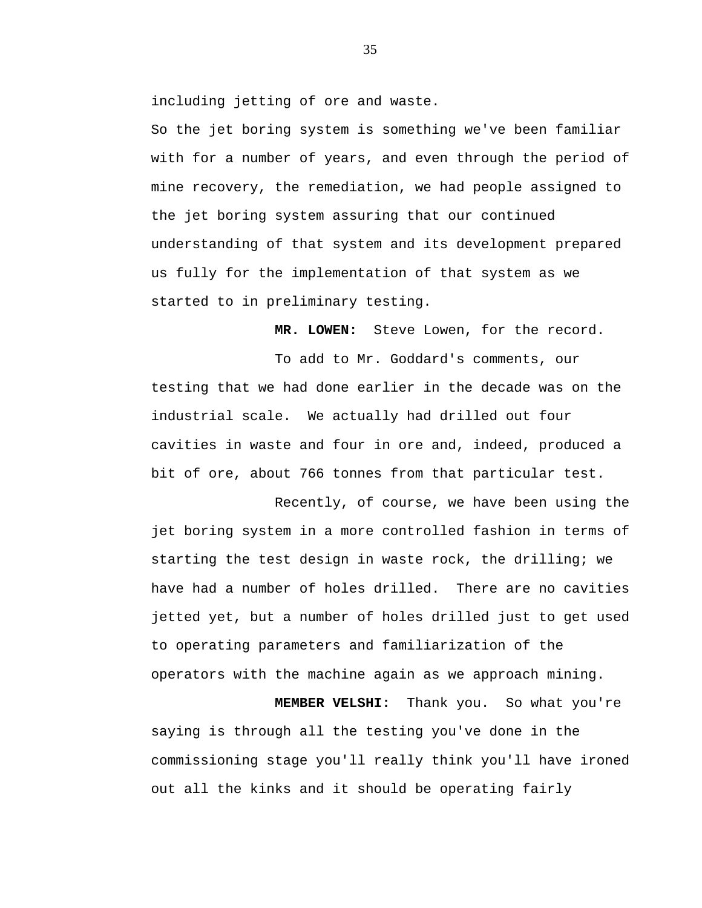including jetting of ore and waste.

So the jet boring system is something we've been familiar with for a number of years, and even through the period of mine recovery, the remediation, we had people assigned to the jet boring system assuring that our continued understanding of that system and its development prepared us fully for the implementation of that system as we started to in preliminary testing.

**MR. LOWEN:** Steve Lowen, for the record.

To add to Mr. Goddard's comments, our testing that we had done earlier in the decade was on the industrial scale. We actually had drilled out four cavities in waste and four in ore and, indeed, produced a bit of ore, about 766 tonnes from that particular test.

Recently, of course, we have been using the jet boring system in a more controlled fashion in terms of starting the test design in waste rock, the drilling; we have had a number of holes drilled. There are no cavities jetted yet, but a number of holes drilled just to get used to operating parameters and familiarization of the operators with the machine again as we approach mining.

**MEMBER VELSHI:** Thank you. So what you're saying is through all the testing you've done in the commissioning stage you'll really think you'll have ironed out all the kinks and it should be operating fairly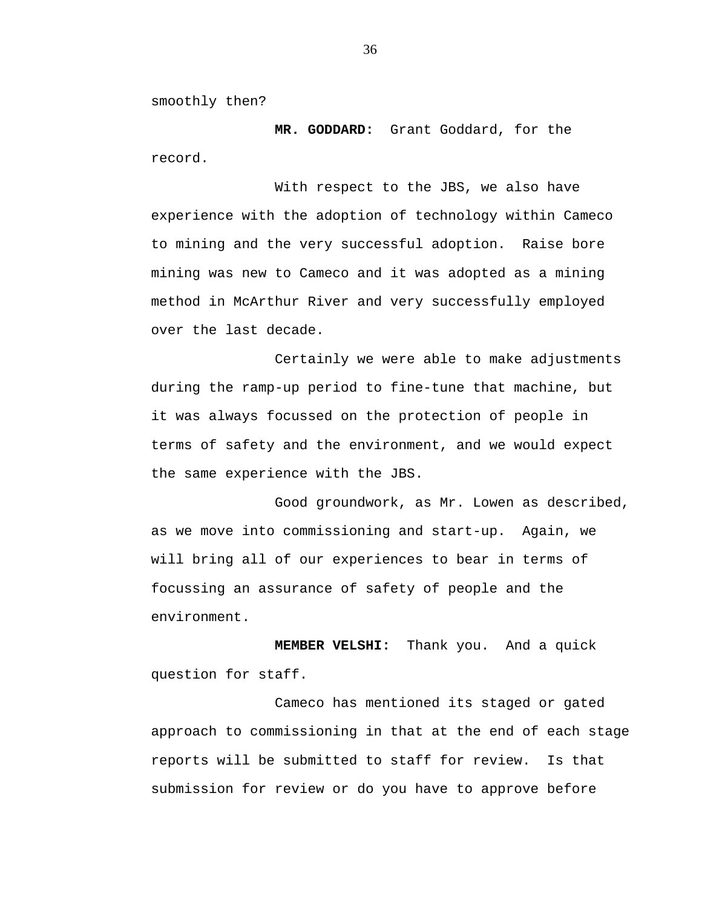smoothly then?

**MR. GODDARD:** Grant Goddard, for the record.

With respect to the JBS, we also have experience with the adoption of technology within Cameco to mining and the very successful adoption. Raise bore mining was new to Cameco and it was adopted as a mining method in McArthur River and very successfully employed over the last decade.

Certainly we were able to make adjustments during the ramp-up period to fine-tune that machine, but it was always focussed on the protection of people in terms of safety and the environment, and we would expect the same experience with the JBS.

Good groundwork, as Mr. Lowen as described, as we move into commissioning and start-up. Again, we will bring all of our experiences to bear in terms of focussing an assurance of safety of people and the environment.

**MEMBER VELSHI:** Thank you. And a quick question for staff.

Cameco has mentioned its staged or gated approach to commissioning in that at the end of each stage reports will be submitted to staff for review. Is that submission for review or do you have to approve before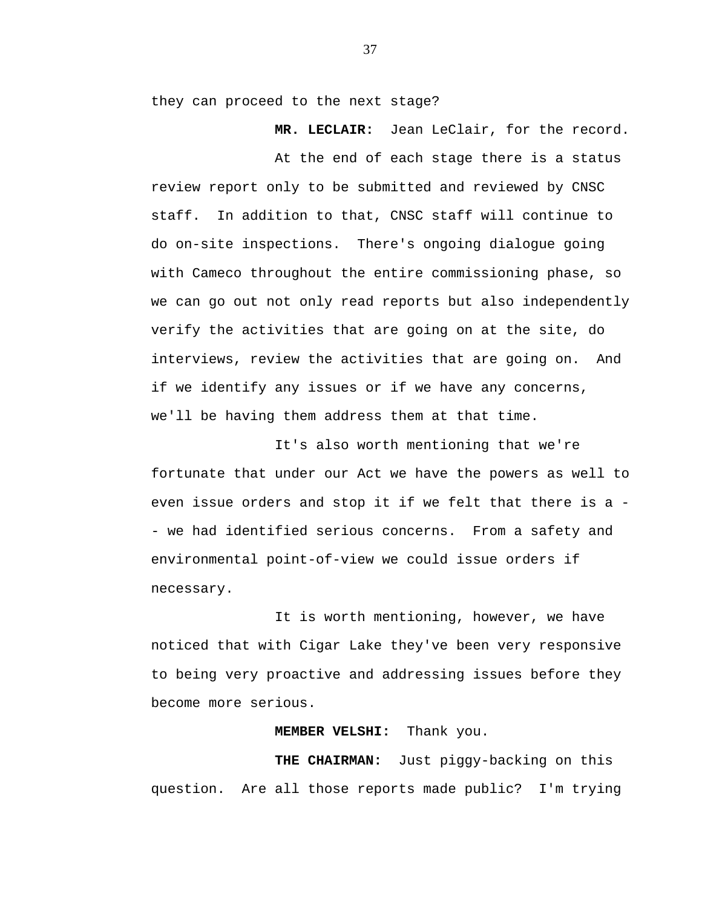they can proceed to the next stage?

**MR. LECLAIR:** Jean LeClair, for the record.

At the end of each stage there is a status review report only to be submitted and reviewed by CNSC staff. In addition to that, CNSC staff will continue to do on-site inspections. There's ongoing dialogue going with Cameco throughout the entire commissioning phase, so we can go out not only read reports but also independently verify the activities that are going on at the site, do interviews, review the activities that are going on. And if we identify any issues or if we have any concerns, we'll be having them address them at that time.

It's also worth mentioning that we're fortunate that under our Act we have the powers as well to even issue orders and stop it if we felt that there is a - we had identified serious concerns. From a safety and environmental point-of-view we could issue orders if necessary.

It is worth mentioning, however, we have noticed that with Cigar Lake they've been very responsive to being very proactive and addressing issues before they become more serious.

## **MEMBER VELSHI:** Thank you.

**THE CHAIRMAN:** Just piggy-backing on this question. Are all those reports made public? I'm trying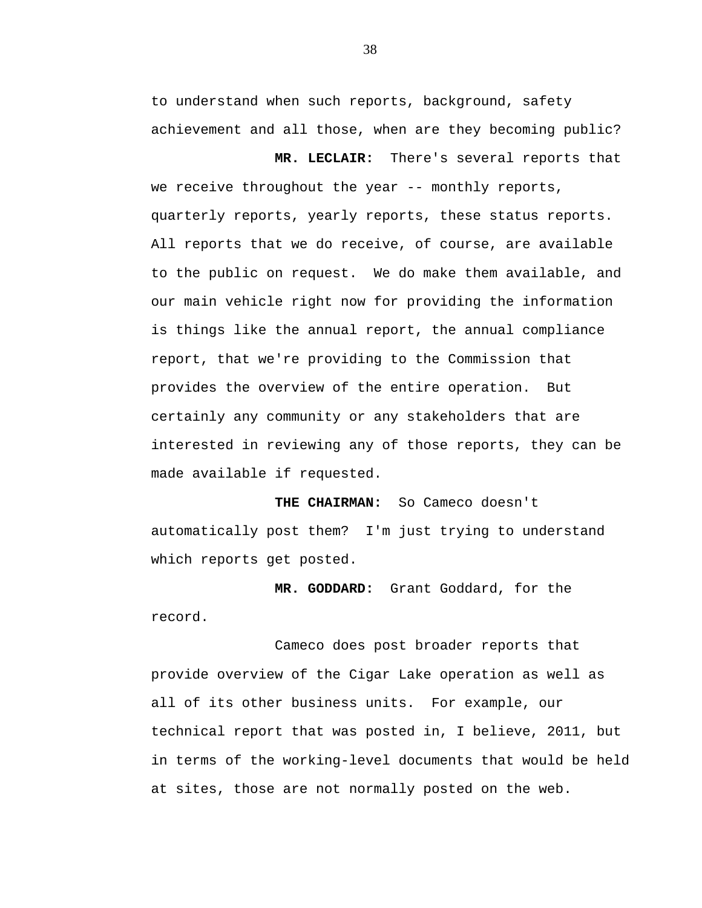to understand when such reports, background, safety achievement and all those, when are they becoming public?

**MR. LECLAIR:** There's several reports that we receive throughout the year -- monthly reports, quarterly reports, yearly reports, these status reports. All reports that we do receive, of course, are available to the public on request. We do make them available, and our main vehicle right now for providing the information is things like the annual report, the annual compliance report, that we're providing to the Commission that provides the overview of the entire operation. But certainly any community or any stakeholders that are interested in reviewing any of those reports, they can be made available if requested.

**THE CHAIRMAN:** So Cameco doesn't automatically post them? I'm just trying to understand which reports get posted.

**MR. GODDARD:** Grant Goddard, for the record.

Cameco does post broader reports that provide overview of the Cigar Lake operation as well as all of its other business units. For example, our technical report that was posted in, I believe, 2011, but in terms of the working-level documents that would be held at sites, those are not normally posted on the web.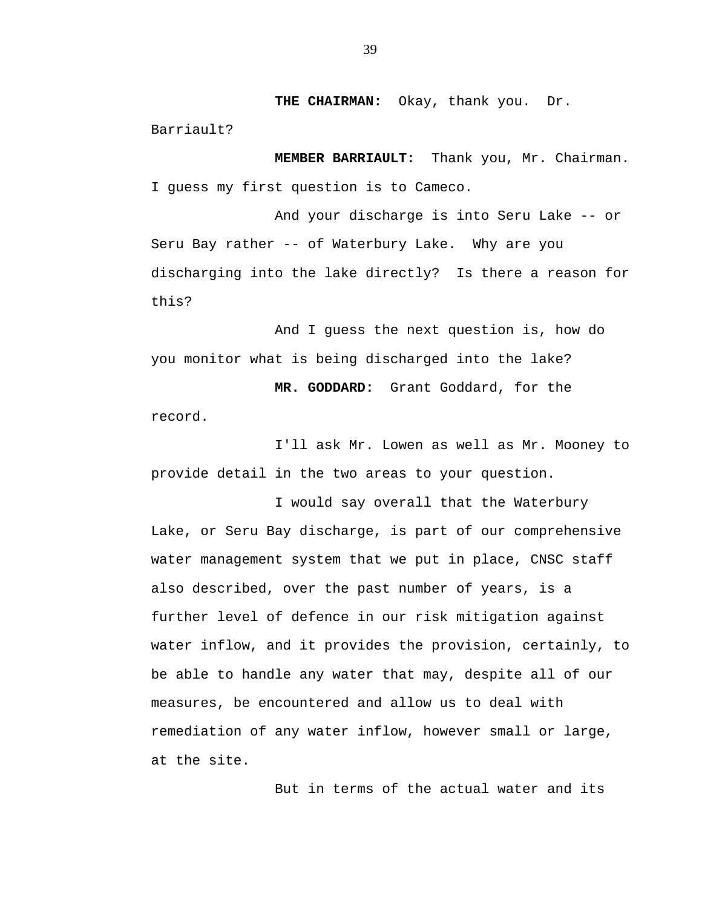**THE CHAIRMAN:** Okay, thank you. Dr.

Barriault?

**MEMBER BARRIAULT:** Thank you, Mr. Chairman. I guess my first question is to Cameco.

And your discharge is into Seru Lake -- or Seru Bay rather -- of Waterbury Lake. Why are you discharging into the lake directly? Is there a reason for this?

And I guess the next question is, how do you monitor what is being discharged into the lake?

**MR. GODDARD:** Grant Goddard, for the

record.

I'll ask Mr. Lowen as well as Mr. Mooney to provide detail in the two areas to your question.

I would say overall that the Waterbury Lake, or Seru Bay discharge, is part of our comprehensive water management system that we put in place, CNSC staff also described, over the past number of years, is a further level of defence in our risk mitigation against water inflow, and it provides the provision, certainly, to be able to handle any water that may, despite all of our measures, be encountered and allow us to deal with remediation of any water inflow, however small or large, at the site.

But in terms of the actual water and its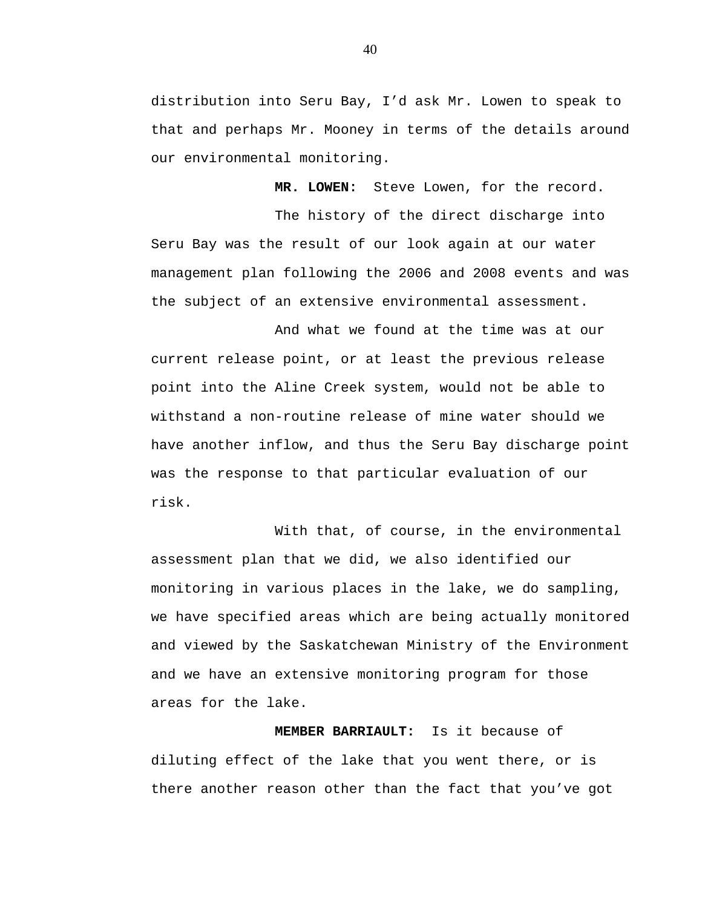distribution into Seru Bay, I'd ask Mr. Lowen to speak to that and perhaps Mr. Mooney in terms of the details around our environmental monitoring.

**MR. LOWEN:** Steve Lowen, for the record.

The history of the direct discharge into Seru Bay was the result of our look again at our water management plan following the 2006 and 2008 events and was the subject of an extensive environmental assessment.

And what we found at the time was at our current release point, or at least the previous release point into the Aline Creek system, would not be able to withstand a non-routine release of mine water should we have another inflow, and thus the Seru Bay discharge point was the response to that particular evaluation of our risk.

With that, of course, in the environmental assessment plan that we did, we also identified our monitoring in various places in the lake, we do sampling, we have specified areas which are being actually monitored and viewed by the Saskatchewan Ministry of the Environment and we have an extensive monitoring program for those areas for the lake.

**MEMBER BARRIAULT:** Is it because of diluting effect of the lake that you went there, or is there another reason other than the fact that you've got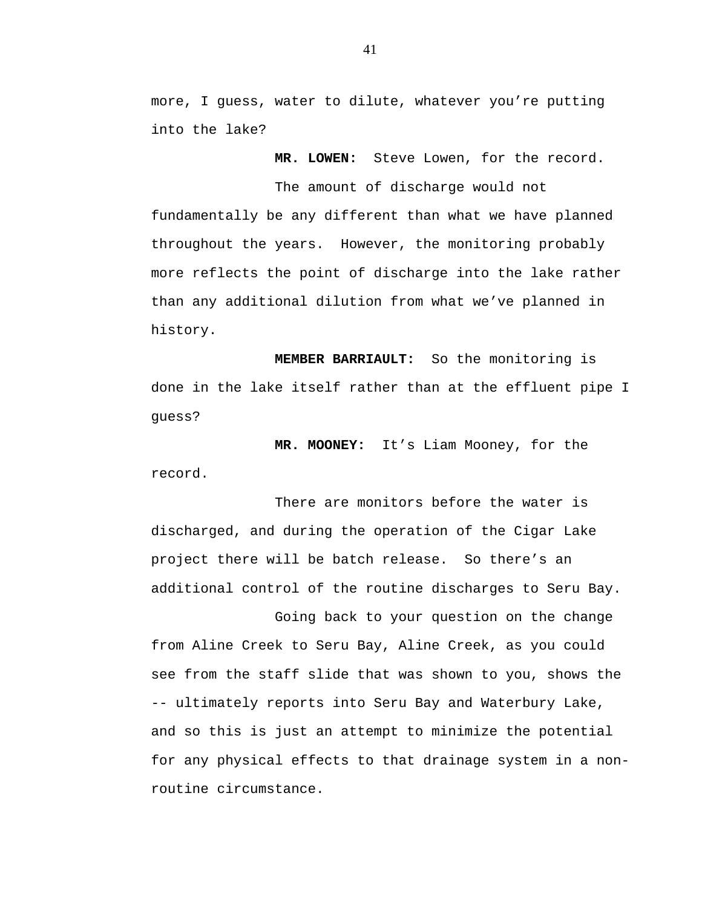more, I guess, water to dilute, whatever you're putting into the lake?

**MR. LOWEN:** Steve Lowen, for the record.

The amount of discharge would not fundamentally be any different than what we have planned throughout the years. However, the monitoring probably more reflects the point of discharge into the lake rather than any additional dilution from what we've planned in history.

**MEMBER BARRIAULT:** So the monitoring is done in the lake itself rather than at the effluent pipe I guess?

**MR. MOONEY:** It's Liam Mooney, for the record.

There are monitors before the water is discharged, and during the operation of the Cigar Lake project there will be batch release. So there's an additional control of the routine discharges to Seru Bay.

Going back to your question on the change from Aline Creek to Seru Bay, Aline Creek, as you could see from the staff slide that was shown to you, shows the -- ultimately reports into Seru Bay and Waterbury Lake, and so this is just an attempt to minimize the potential for any physical effects to that drainage system in a nonroutine circumstance.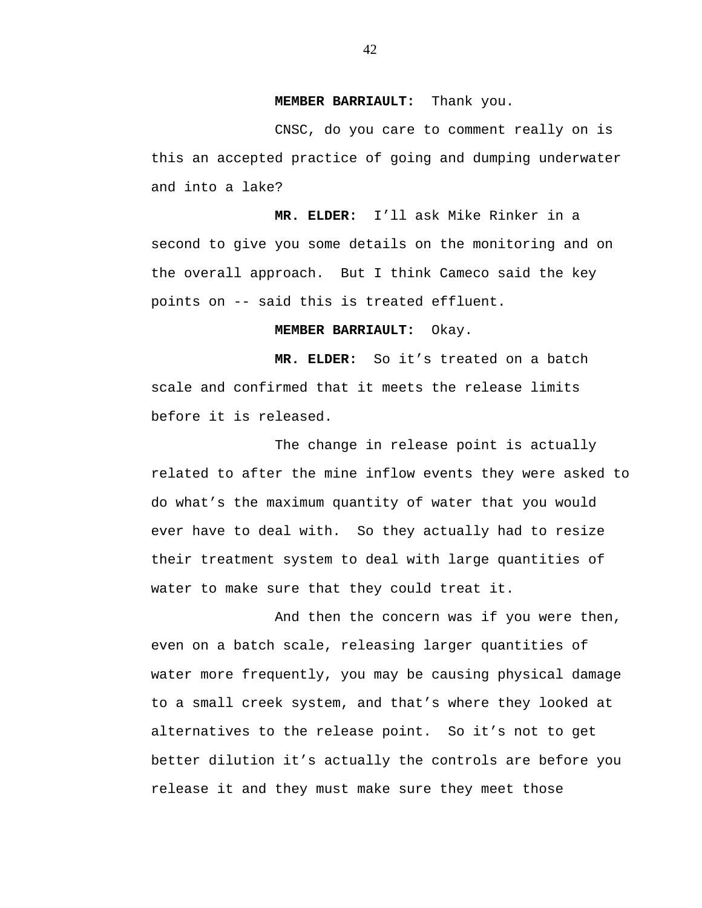#### **MEMBER BARRIAULT:** Thank you.

CNSC, do you care to comment really on is this an accepted practice of going and dumping underwater and into a lake?

**MR. ELDER:** I'll ask Mike Rinker in a second to give you some details on the monitoring and on the overall approach. But I think Cameco said the key points on -- said this is treated effluent.

# **MEMBER BARRIAULT:** Okay.

**MR. ELDER:** So it's treated on a batch scale and confirmed that it meets the release limits before it is released.

The change in release point is actually related to after the mine inflow events they were asked to do what's the maximum quantity of water that you would ever have to deal with. So they actually had to resize their treatment system to deal with large quantities of water to make sure that they could treat it.

And then the concern was if you were then, even on a batch scale, releasing larger quantities of water more frequently, you may be causing physical damage to a small creek system, and that's where they looked at alternatives to the release point. So it's not to get better dilution it's actually the controls are before you release it and they must make sure they meet those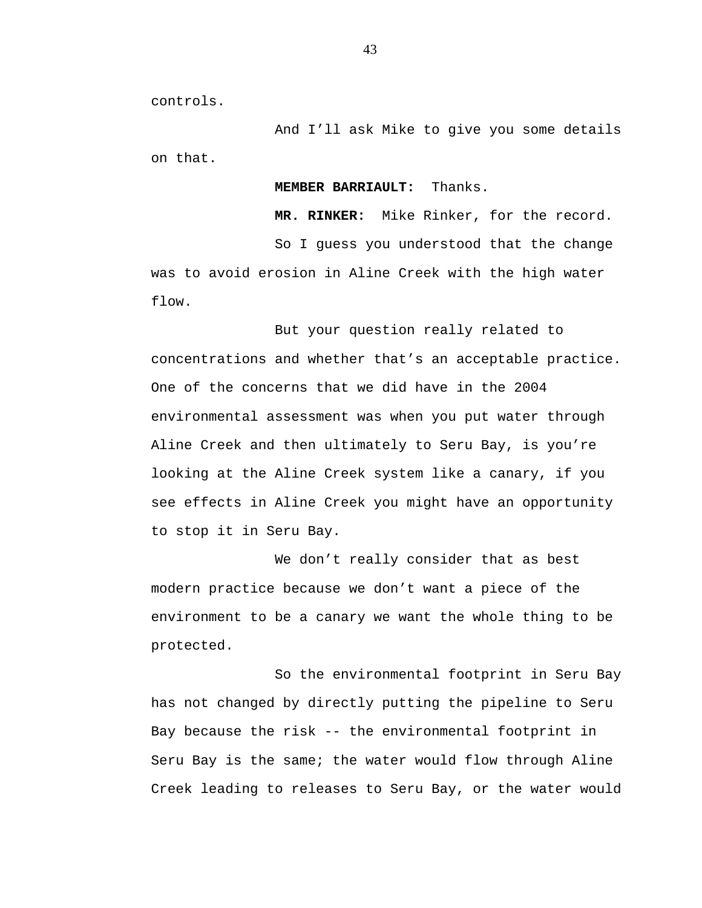controls.

And I'll ask Mike to give you some details on that.

## **MEMBER BARRIAULT:** Thanks.

**MR. RINKER:** Mike Rinker, for the record.

So I guess you understood that the change was to avoid erosion in Aline Creek with the high water flow.

But your question really related to concentrations and whether that's an acceptable practice. One of the concerns that we did have in the 2004 environmental assessment was when you put water through Aline Creek and then ultimately to Seru Bay, is you're looking at the Aline Creek system like a canary, if you see effects in Aline Creek you might have an opportunity to stop it in Seru Bay.

We don't really consider that as best modern practice because we don't want a piece of the environment to be a canary we want the whole thing to be protected.

So the environmental footprint in Seru Bay has not changed by directly putting the pipeline to Seru Bay because the risk -- the environmental footprint in Seru Bay is the same; the water would flow through Aline Creek leading to releases to Seru Bay, or the water would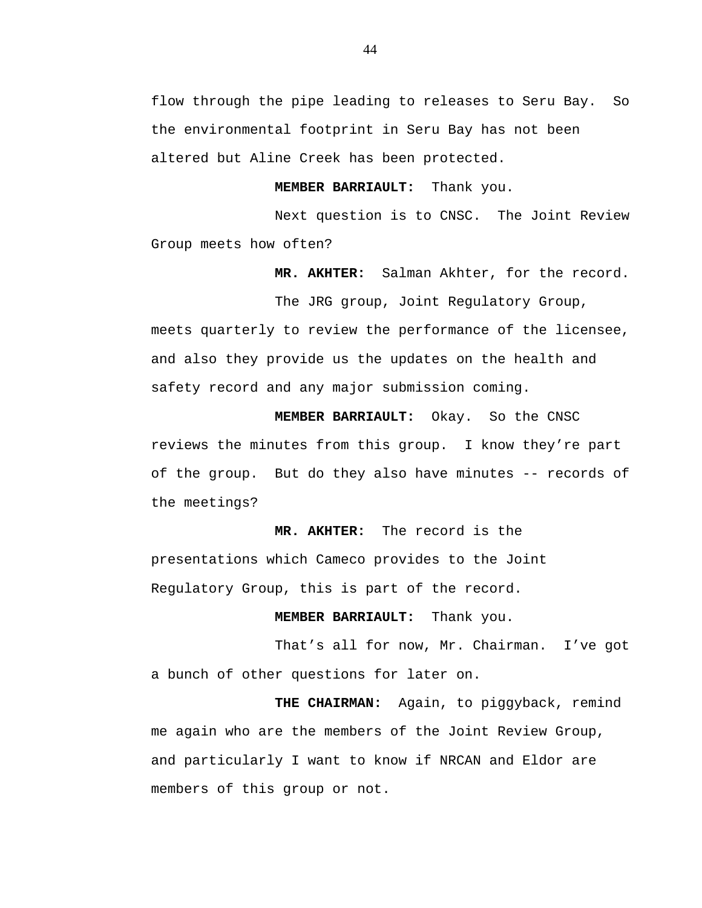flow through the pipe leading to releases to Seru Bay. So the environmental footprint in Seru Bay has not been altered but Aline Creek has been protected.

**MEMBER BARRIAULT:** Thank you.

Next question is to CNSC. The Joint Review Group meets how often?

**MR. AKHTER:** Salman Akhter, for the record.

The JRG group, Joint Regulatory Group, meets quarterly to review the performance of the licensee, and also they provide us the updates on the health and safety record and any major submission coming.

**MEMBER BARRIAULT:** Okay. So the CNSC reviews the minutes from this group. I know they're part of the group. But do they also have minutes -- records of the meetings?

**MR. AKHTER:** The record is the presentations which Cameco provides to the Joint Regulatory Group, this is part of the record.

**MEMBER BARRIAULT:** Thank you.

That's all for now, Mr. Chairman. I've got a bunch of other questions for later on.

**THE CHAIRMAN:** Again, to piggyback, remind me again who are the members of the Joint Review Group, and particularly I want to know if NRCAN and Eldor are members of this group or not.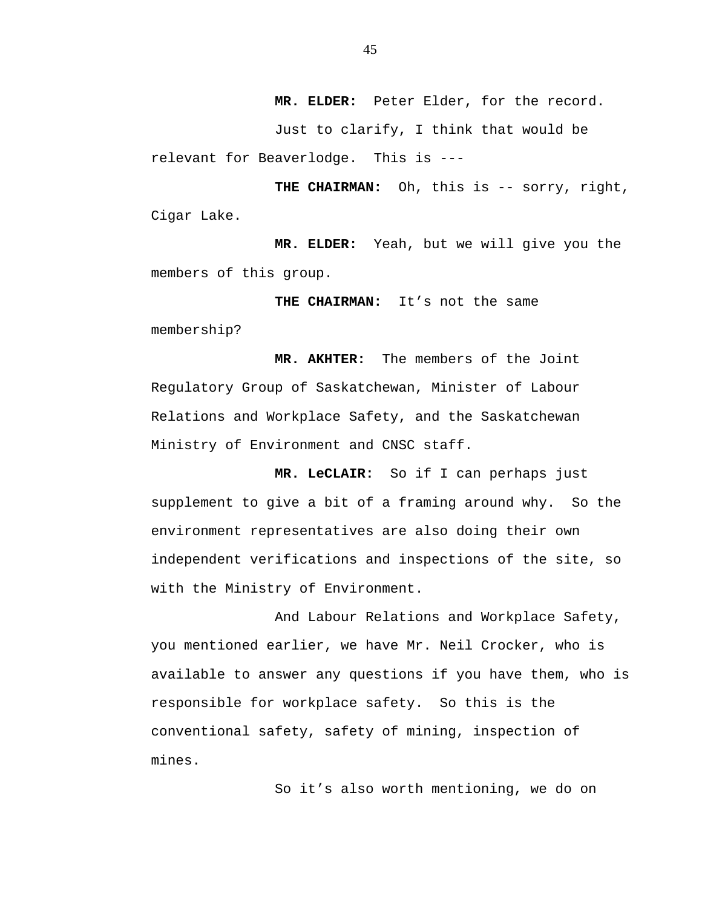**MR. ELDER:** Peter Elder, for the record.

Just to clarify, I think that would be relevant for Beaverlodge. This is ---

**THE CHAIRMAN:** Oh, this is -- sorry, right, Cigar Lake.

**MR. ELDER:** Yeah, but we will give you the members of this group.

**THE CHAIRMAN:** It's not the same membership?

**MR. AKHTER:** The members of the Joint Regulatory Group of Saskatchewan, Minister of Labour Relations and Workplace Safety, and the Saskatchewan Ministry of Environment and CNSC staff.

**MR. LeCLAIR:** So if I can perhaps just supplement to give a bit of a framing around why. So the environment representatives are also doing their own independent verifications and inspections of the site, so with the Ministry of Environment.

And Labour Relations and Workplace Safety, you mentioned earlier, we have Mr. Neil Crocker, who is available to answer any questions if you have them, who is responsible for workplace safety. So this is the conventional safety, safety of mining, inspection of mines.

So it's also worth mentioning, we do on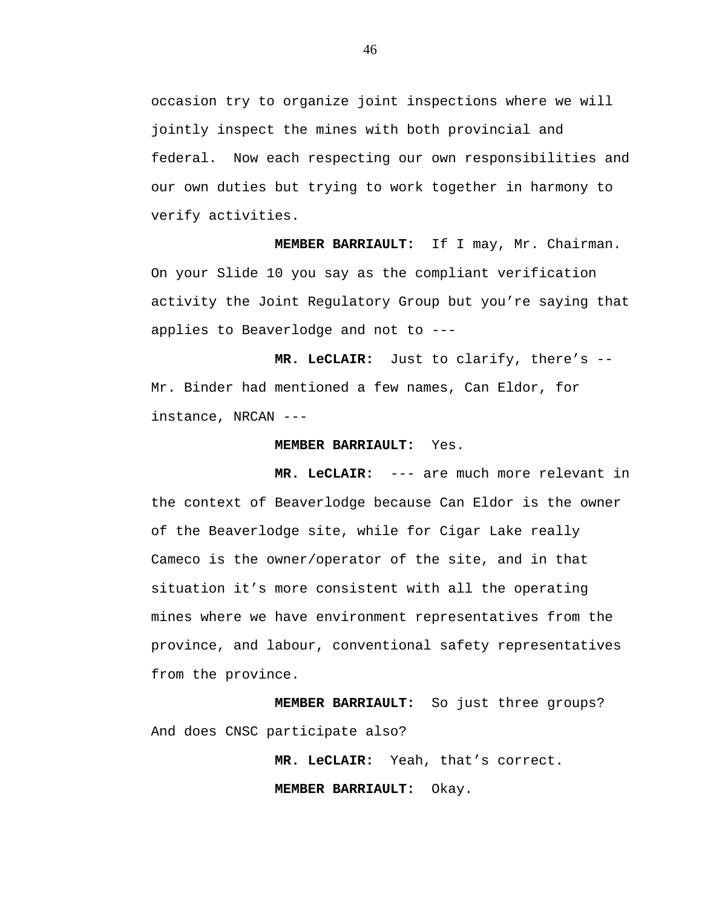occasion try to organize joint inspections where we will jointly inspect the mines with both provincial and federal. Now each respecting our own responsibilities and our own duties but trying to work together in harmony to verify activities.

**MEMBER BARRIAULT:** If I may, Mr. Chairman. On your Slide 10 you say as the compliant verification activity the Joint Regulatory Group but you're saying that applies to Beaverlodge and not to ---

**MR. LeCLAIR:** Just to clarify, there's -- Mr. Binder had mentioned a few names, Can Eldor, for instance, NRCAN ---

#### **MEMBER BARRIAULT:** Yes.

**MR. LeCLAIR:** --- are much more relevant in the context of Beaverlodge because Can Eldor is the owner of the Beaverlodge site, while for Cigar Lake really Cameco is the owner/operator of the site, and in that situation it's more consistent with all the operating mines where we have environment representatives from the province, and labour, conventional safety representatives from the province.

**MEMBER BARRIAULT:** So just three groups? And does CNSC participate also?

**MR. LeCLAIR:** Yeah, that's correct.

**MEMBER BARRIAULT:** Okay.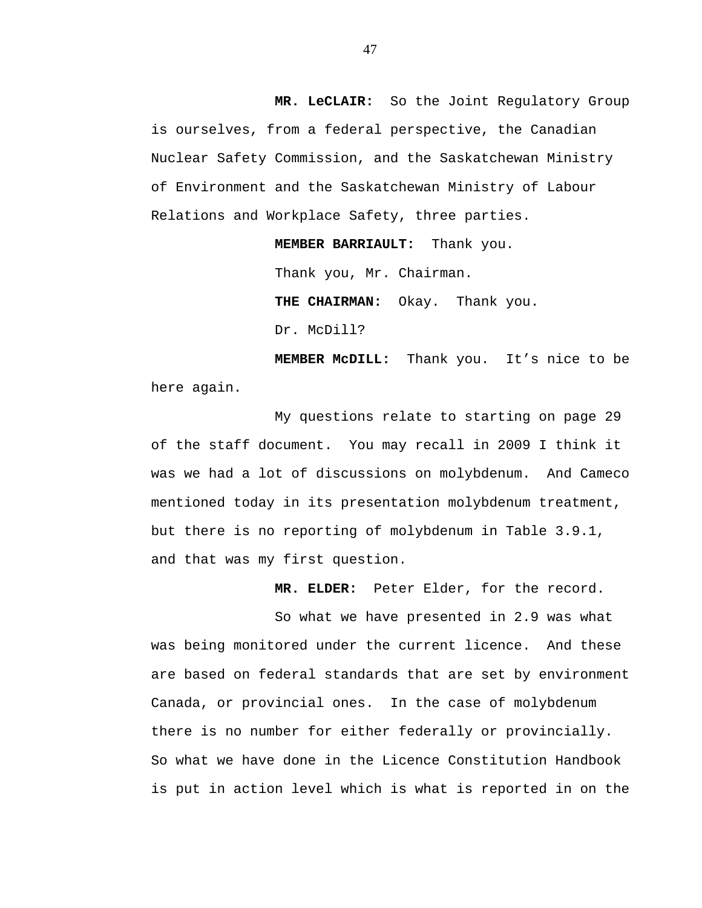**MR. LeCLAIR:** So the Joint Regulatory Group is ourselves, from a federal perspective, the Canadian Nuclear Safety Commission, and the Saskatchewan Ministry of Environment and the Saskatchewan Ministry of Labour Relations and Workplace Safety, three parties.

**MEMBER BARRIAULT:** Thank you.

Thank you, Mr. Chairman.

**THE CHAIRMAN:** Okay. Thank you.

Dr. McDill?

**MEMBER McDILL:** Thank you. It's nice to be here again.

My questions relate to starting on page 29 of the staff document. You may recall in 2009 I think it was we had a lot of discussions on molybdenum. And Cameco mentioned today in its presentation molybdenum treatment, but there is no reporting of molybdenum in Table 3.9.1, and that was my first question.

**MR. ELDER:** Peter Elder, for the record.

So what we have presented in 2.9 was what was being monitored under the current licence. And these are based on federal standards that are set by environment Canada, or provincial ones. In the case of molybdenum there is no number for either federally or provincially. So what we have done in the Licence Constitution Handbook is put in action level which is what is reported in on the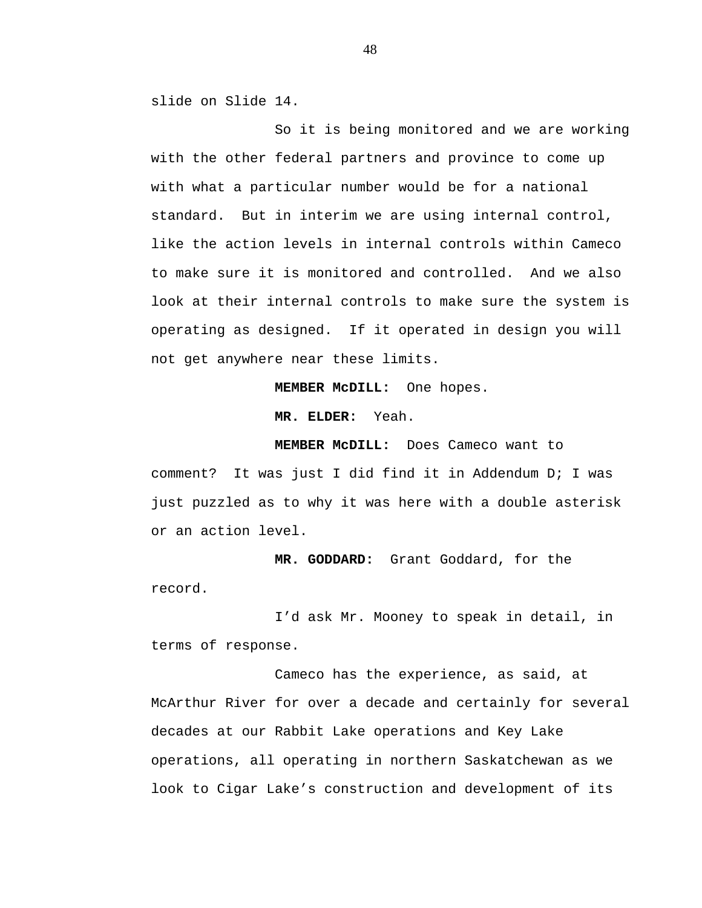slide on Slide 14.

So it is being monitored and we are working with the other federal partners and province to come up with what a particular number would be for a national standard. But in interim we are using internal control, like the action levels in internal controls within Cameco to make sure it is monitored and controlled. And we also look at their internal controls to make sure the system is operating as designed. If it operated in design you will not get anywhere near these limits.

**MEMBER McDILL:** One hopes.

**MR. ELDER:** Yeah.

**MEMBER McDILL:** Does Cameco want to comment? It was just I did find it in Addendum D; I was just puzzled as to why it was here with a double asterisk or an action level.

**MR. GODDARD:** Grant Goddard, for the record.

I'd ask Mr. Mooney to speak in detail, in terms of response.

Cameco has the experience, as said, at McArthur River for over a decade and certainly for several decades at our Rabbit Lake operations and Key Lake operations, all operating in northern Saskatchewan as we look to Cigar Lake's construction and development of its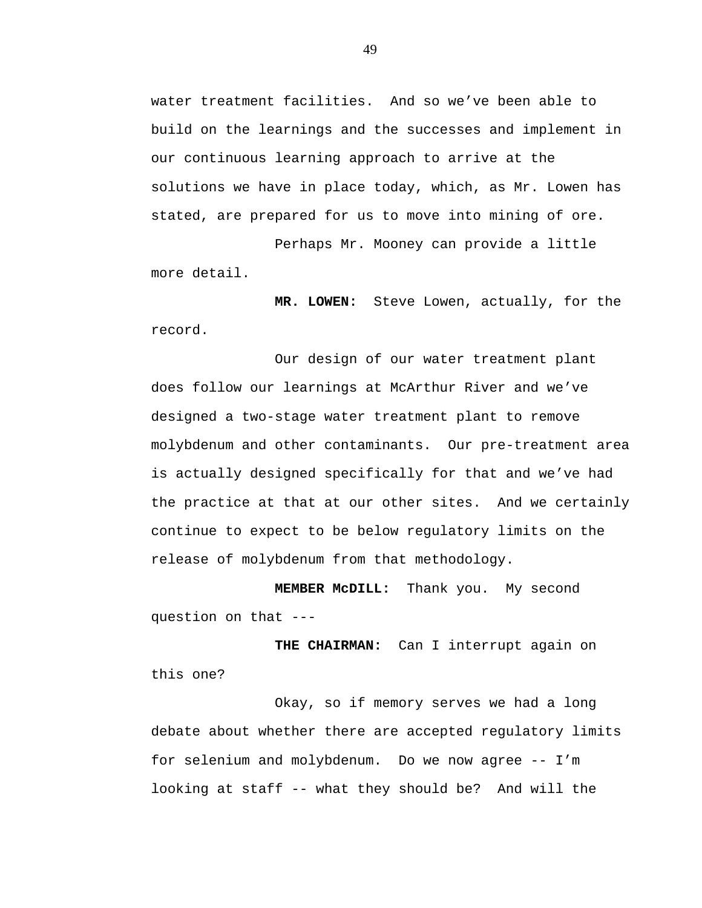water treatment facilities. And so we've been able to build on the learnings and the successes and implement in our continuous learning approach to arrive at the solutions we have in place today, which, as Mr. Lowen has stated, are prepared for us to move into mining of ore.

Perhaps Mr. Mooney can provide a little more detail.

**MR. LOWEN:** Steve Lowen, actually, for the record.

Our design of our water treatment plant does follow our learnings at McArthur River and we've designed a two-stage water treatment plant to remove molybdenum and other contaminants. Our pre-treatment area is actually designed specifically for that and we've had the practice at that at our other sites. And we certainly continue to expect to be below regulatory limits on the release of molybdenum from that methodology.

**MEMBER McDILL:** Thank you. My second question on that --

 **THE CHAIRMAN:** Can I interrupt again on this one?

Okay, so if memory serves we had a long debate about whether there are accepted regulatory limits for selenium and molybdenum. Do we now agree -- I'm looking at staff -- what they should be? And will the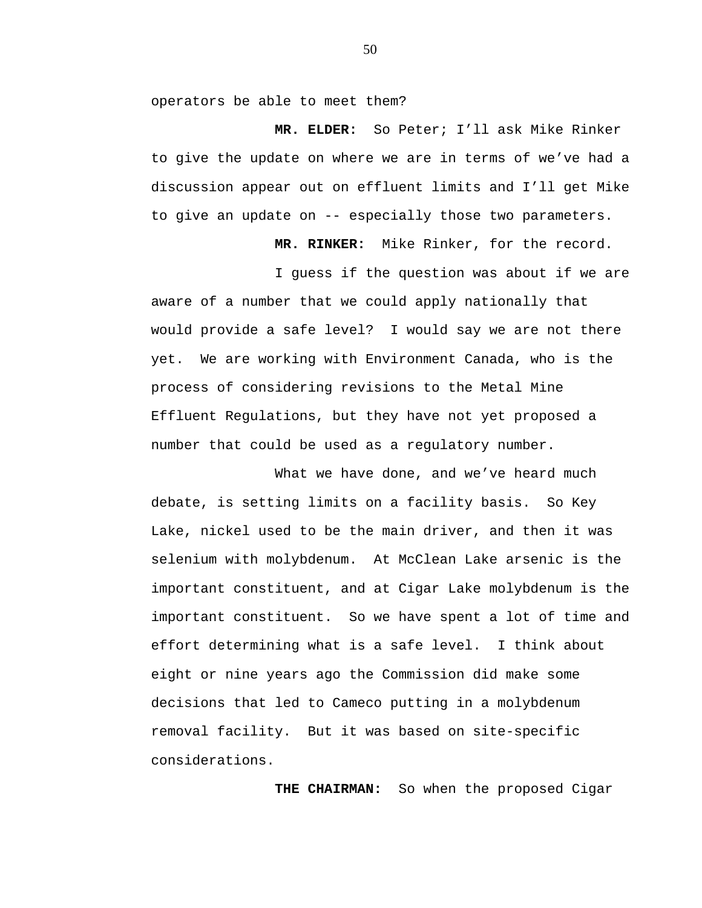operators be able to meet them?

**MR. ELDER:** So Peter; I'll ask Mike Rinker to give the update on where we are in terms of we've had a discussion appear out on effluent limits and I'll get Mike to give an update on -- especially those two parameters.

**MR. RINKER:** Mike Rinker, for the record.

I guess if the question was about if we are aware of a number that we could apply nationally that would provide a safe level? I would say we are not there yet. We are working with Environment Canada, who is the process of considering revisions to the Metal Mine Effluent Regulations, but they have not yet proposed a number that could be used as a regulatory number.

What we have done, and we've heard much debate, is setting limits on a facility basis. So Key Lake, nickel used to be the main driver, and then it was selenium with molybdenum. At McClean Lake arsenic is the important constituent, and at Cigar Lake molybdenum is the important constituent. So we have spent a lot of time and effort determining what is a safe level. I think about eight or nine years ago the Commission did make some decisions that led to Cameco putting in a molybdenum removal facility. But it was based on site-specific considerations.

**THE CHAIRMAN:** So when the proposed Cigar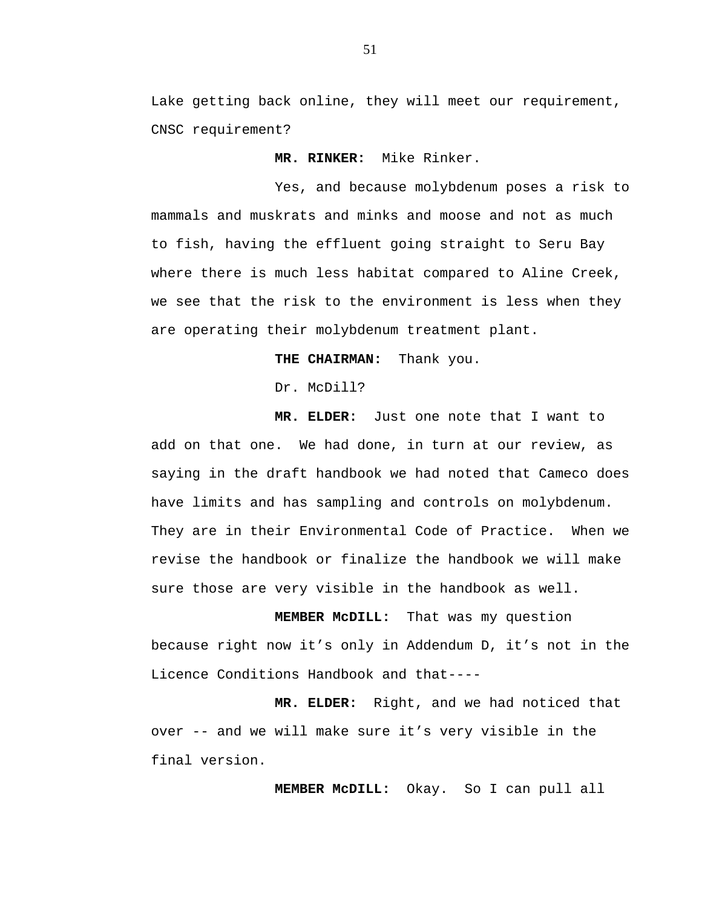Lake getting back online, they will meet our requirement, CNSC requirement?

 **MR. RINKER:** Mike Rinker.

Yes, and because molybdenum poses a risk to mammals and muskrats and minks and moose and not as much to fish, having the effluent going straight to Seru Bay where there is much less habitat compared to Aline Creek, we see that the risk to the environment is less when they are operating their molybdenum treatment plant.

**THE CHAIRMAN:** Thank you.

Dr. McDill?

**MR. ELDER:** Just one note that I want to add on that one. We had done, in turn at our review, as saying in the draft handbook we had noted that Cameco does have limits and has sampling and controls on molybdenum. They are in their Environmental Code of Practice. When we revise the handbook or finalize the handbook we will make sure those are very visible in the handbook as well.

**MEMBER McDILL:** That was my question because right now it's only in Addendum D, it's not in the Licence Conditions Handbook and that----

 **MR. ELDER:** Right, and we had noticed that over -- and we will make sure it's very visible in the final version.

 **MEMBER McDILL:** Okay. So I can pull all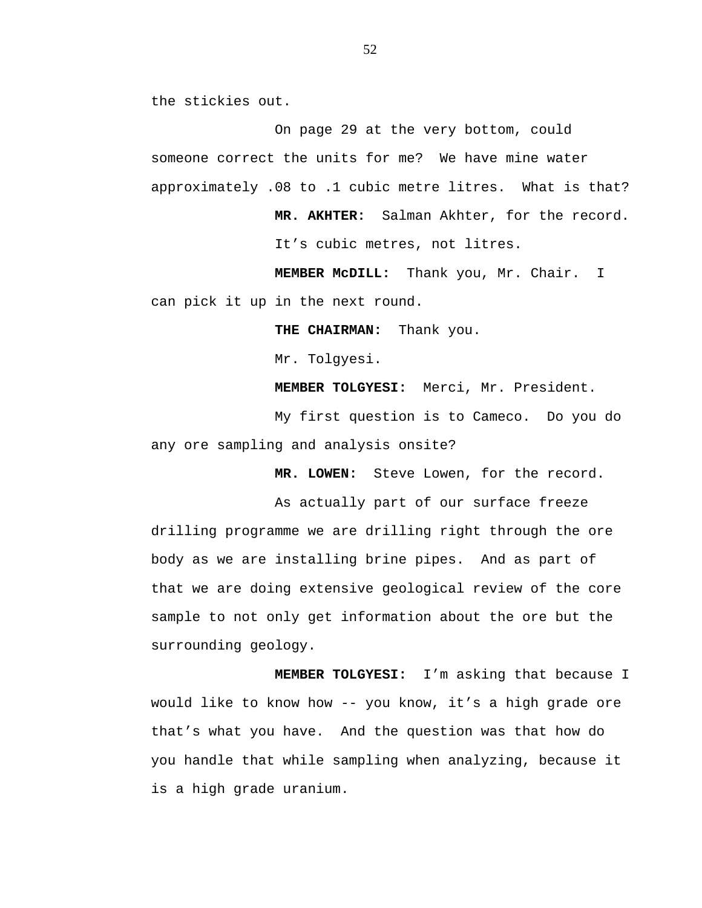the stickies out.

On page 29 at the very bottom, could someone correct the units for me? We have mine water approximately .08 to .1 cubic metre litres. What is that?

> **MR. AKHTER:** Salman Akhter, for the record. It's cubic metres, not litres.

 **MEMBER McDILL:** Thank you, Mr. Chair. I can pick it up in the next round.

 **THE CHAIRMAN:** Thank you.

Mr. Tolgyesi.

**MEMBER TOLGYESI:** Merci, Mr. President.

My first question is to Cameco. Do you do any ore sampling and analysis onsite?

**MR. LOWEN:** Steve Lowen, for the record.

As actually part of our surface freeze drilling programme we are drilling right through the ore body as we are installing brine pipes. And as part of that we are doing extensive geological review of the core sample to not only get information about the ore but the surrounding geology.

 **MEMBER TOLGYESI:** I'm asking that because I would like to know how -- you know, it's a high grade ore that's what you have. And the question was that how do you handle that while sampling when analyzing, because it is a high grade uranium.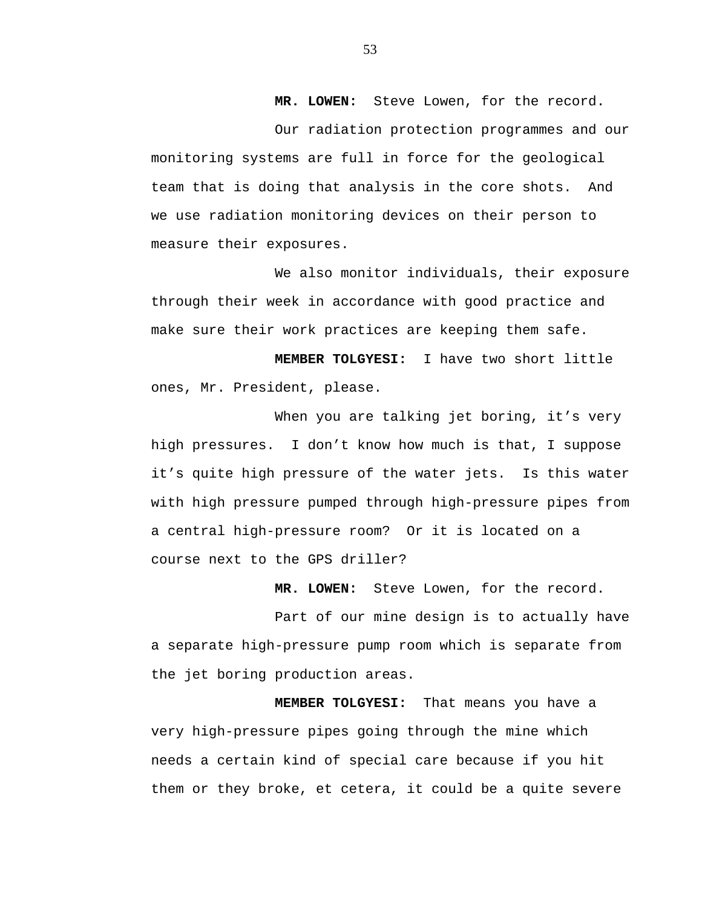**MR. LOWEN:** Steve Lowen, for the record.

Our radiation protection programmes and our monitoring systems are full in force for the geological team that is doing that analysis in the core shots. And we use radiation monitoring devices on their person to measure their exposures.

We also monitor individuals, their exposure through their week in accordance with good practice and make sure their work practices are keeping them safe.

 **MEMBER TOLGYESI:** I have two short little ones, Mr. President, please.

When you are talking jet boring, it's very high pressures. I don't know how much is that, I suppose it's quite high pressure of the water jets. Is this water with high pressure pumped through high-pressure pipes from a central high-pressure room? Or it is located on a course next to the GPS driller?

 **MR. LOWEN:** Steve Lowen, for the record.

Part of our mine design is to actually have a separate high-pressure pump room which is separate from the jet boring production areas.

 **MEMBER TOLGYESI:** That means you have a very high-pressure pipes going through the mine which needs a certain kind of special care because if you hit them or they broke, et cetera, it could be a quite severe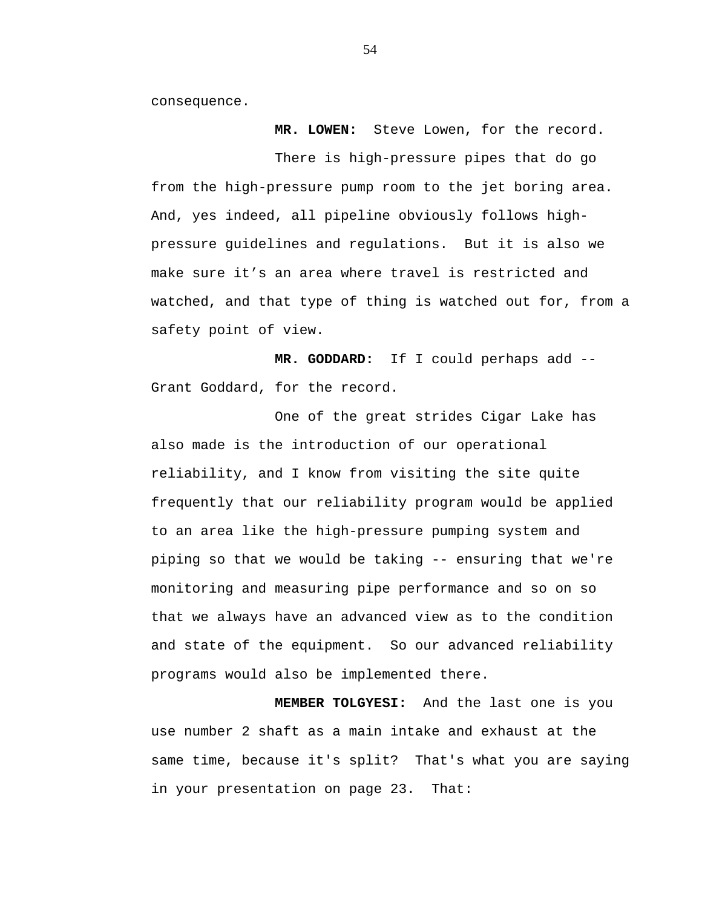consequence.

 **MR. LOWEN:** Steve Lowen, for the record.

There is high-pressure pipes that do go from the high-pressure pump room to the jet boring area. And, yes indeed, all pipeline obviously follows highpressure guidelines and regulations. But it is also we make sure it's an area where travel is restricted and watched, and that type of thing is watched out for, from a safety point of view.

 **MR. GODDARD:** If I could perhaps add -- Grant Goddard, for the record.

One of the great strides Cigar Lake has also made is the introduction of our operational reliability, and I know from visiting the site quite frequently that our reliability program would be applied to an area like the high-pressure pumping system and piping so that we would be taking -- ensuring that we're monitoring and measuring pipe performance and so on so that we always have an advanced view as to the condition and state of the equipment. So our advanced reliability programs would also be implemented there.

**MEMBER TOLGYESI:** And the last one is you use number 2 shaft as a main intake and exhaust at the same time, because it's split? That's what you are saying in your presentation on page 23. That: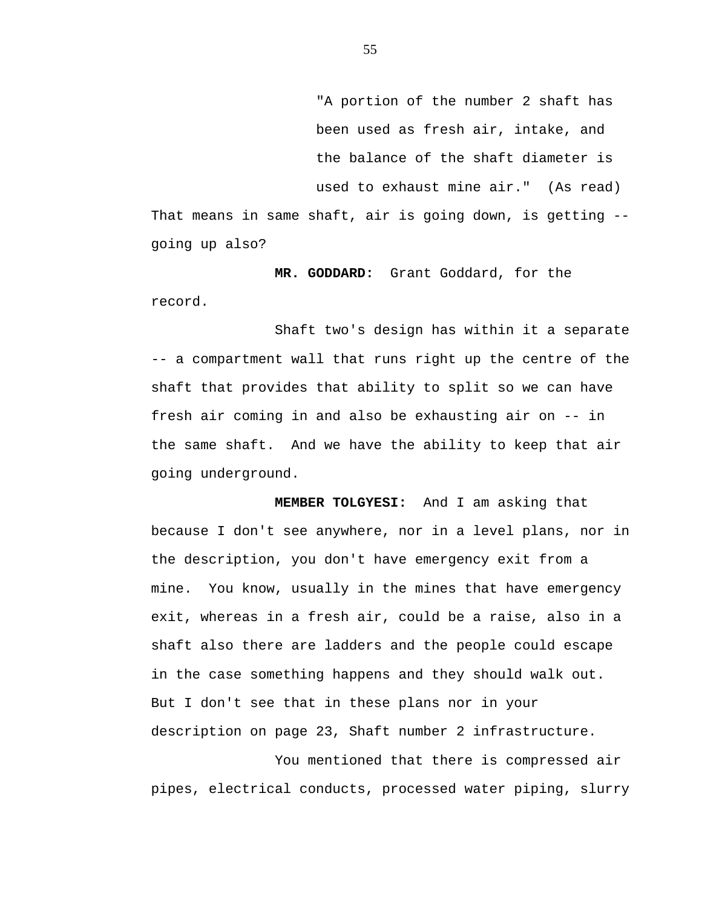"A portion of the number 2 shaft has been used as fresh air, intake, and the balance of the shaft diameter is used to exhaust mine air." (As read) That means in same shaft, air is going down, is getting - going up also?

**MR. GODDARD:** Grant Goddard, for the record.

Shaft two's design has within it a separate -- a compartment wall that runs right up the centre of the shaft that provides that ability to split so we can have fresh air coming in and also be exhausting air on -- in the same shaft. And we have the ability to keep that air going underground.

**MEMBER TOLGYESI:** And I am asking that because I don't see anywhere, nor in a level plans, nor in the description, you don't have emergency exit from a mine. You know, usually in the mines that have emergency exit, whereas in a fresh air, could be a raise, also in a shaft also there are ladders and the people could escape in the case something happens and they should walk out. But I don't see that in these plans nor in your description on page 23, Shaft number 2 infrastructure.

You mentioned that there is compressed air pipes, electrical conducts, processed water piping, slurry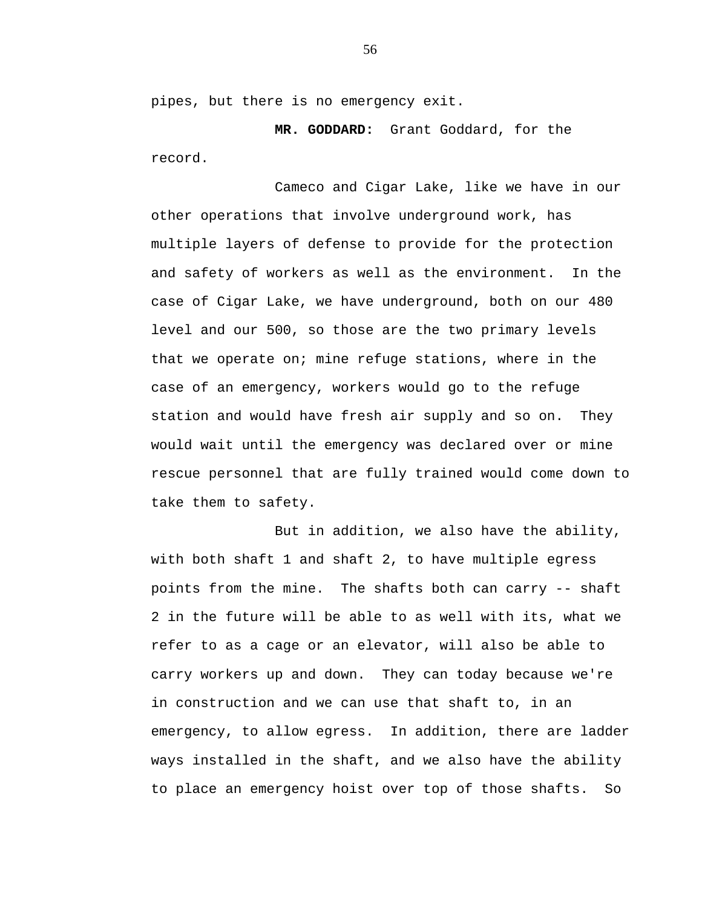pipes, but there is no emergency exit.

**MR. GODDARD:** Grant Goddard, for the record.

Cameco and Cigar Lake, like we have in our other operations that involve underground work, has multiple layers of defense to provide for the protection and safety of workers as well as the environment. In the case of Cigar Lake, we have underground, both on our 480 level and our 500, so those are the two primary levels that we operate on; mine refuge stations, where in the case of an emergency, workers would go to the refuge station and would have fresh air supply and so on. They would wait until the emergency was declared over or mine rescue personnel that are fully trained would come down to take them to safety.

But in addition, we also have the ability, with both shaft 1 and shaft 2, to have multiple egress points from the mine. The shafts both can carry -- shaft 2 in the future will be able to as well with its, what we refer to as a cage or an elevator, will also be able to carry workers up and down. They can today because we're in construction and we can use that shaft to, in an emergency, to allow egress. In addition, there are ladder ways installed in the shaft, and we also have the ability to place an emergency hoist over top of those shafts. So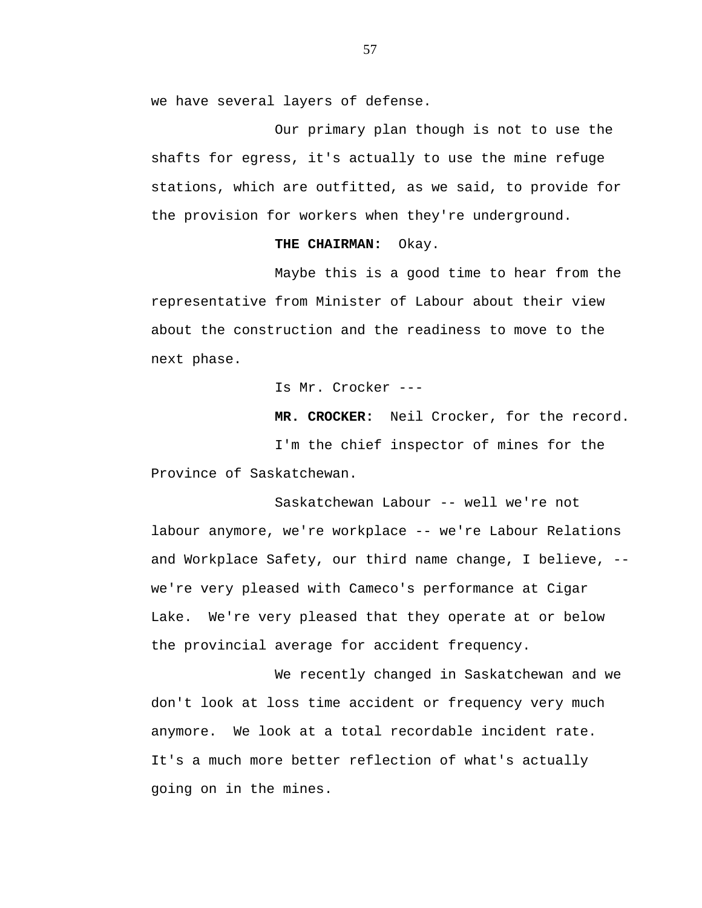we have several layers of defense.

Our primary plan though is not to use the shafts for egress, it's actually to use the mine refuge stations, which are outfitted, as we said, to provide for the provision for workers when they're underground.

#### **THE CHAIRMAN:** Okay.

Maybe this is a good time to hear from the representative from Minister of Labour about their view about the construction and the readiness to move to the next phase.

Is Mr. Crocker ---

**MR. CROCKER:** Neil Crocker, for the record. I'm the chief inspector of mines for the Province of Saskatchewan.

Saskatchewan Labour -- well we're not labour anymore, we're workplace -- we're Labour Relations and Workplace Safety, our third name change, I believe, - we're very pleased with Cameco's performance at Cigar Lake. We're very pleased that they operate at or below the provincial average for accident frequency.

We recently changed in Saskatchewan and we don't look at loss time accident or frequency very much anymore. We look at a total recordable incident rate. It's a much more better reflection of what's actually going on in the mines.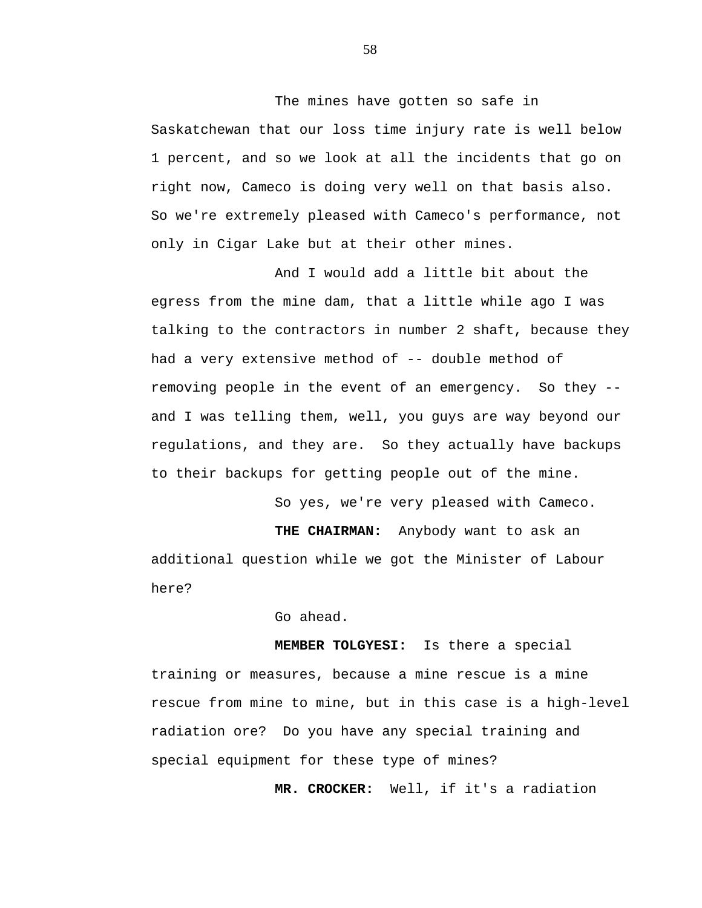The mines have gotten so safe in Saskatchewan that our loss time injury rate is well below 1 percent, and so we look at all the incidents that go on right now, Cameco is doing very well on that basis also. So we're extremely pleased with Cameco's performance, not only in Cigar Lake but at their other mines.

And I would add a little bit about the egress from the mine dam, that a little while ago I was talking to the contractors in number 2 shaft, because they had a very extensive method of -- double method of removing people in the event of an emergency. So they - and I was telling them, well, you guys are way beyond our regulations, and they are. So they actually have backups to their backups for getting people out of the mine.

So yes, we're very pleased with Cameco.

**THE CHAIRMAN:** Anybody want to ask an additional question while we got the Minister of Labour here?

Go ahead.

**MEMBER TOLGYESI:** Is there a special training or measures, because a mine rescue is a mine rescue from mine to mine, but in this case is a high-level radiation ore? Do you have any special training and special equipment for these type of mines?

**MR. CROCKER:** Well, if it's a radiation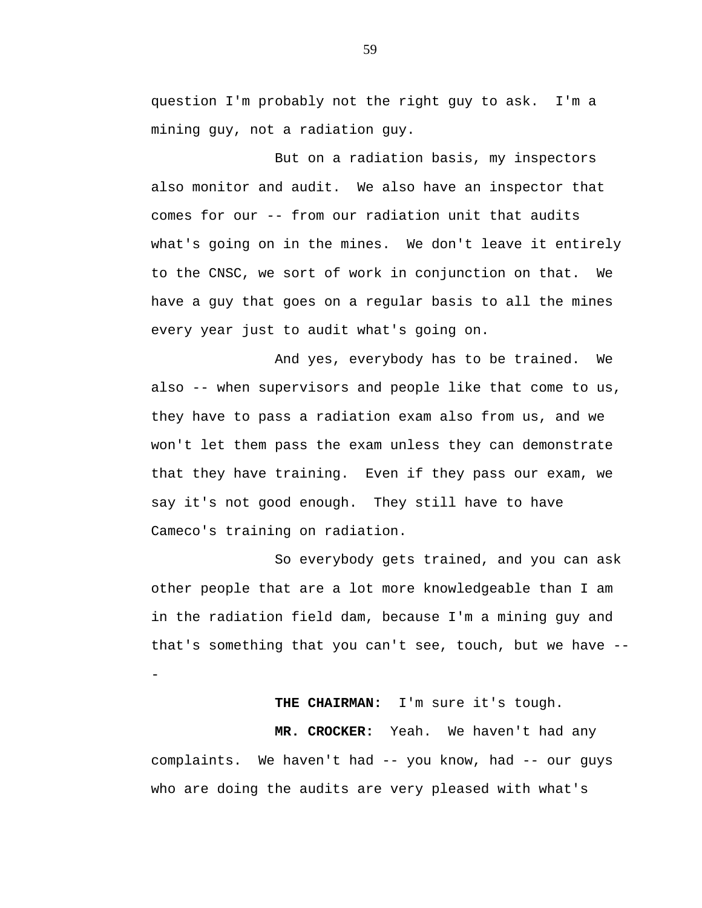question I'm probably not the right guy to ask. I'm a mining guy, not a radiation guy.

But on a radiation basis, my inspectors also monitor and audit. We also have an inspector that comes for our -- from our radiation unit that audits what's going on in the mines. We don't leave it entirely to the CNSC, we sort of work in conjunction on that. We have a guy that goes on a regular basis to all the mines every year just to audit what's going on.

And yes, everybody has to be trained. We also -- when supervisors and people like that come to us, they have to pass a radiation exam also from us, and we won't let them pass the exam unless they can demonstrate that they have training. Even if they pass our exam, we say it's not good enough. They still have to have Cameco's training on radiation.

So everybody gets trained, and you can ask other people that are a lot more knowledgeable than I am in the radiation field dam, because I'm a mining guy and that's something that you can't see, touch, but we have - -

## **THE CHAIRMAN:** I'm sure it's tough.

**MR. CROCKER:** Yeah. We haven't had any complaints. We haven't had -- you know, had -- our guys who are doing the audits are very pleased with what's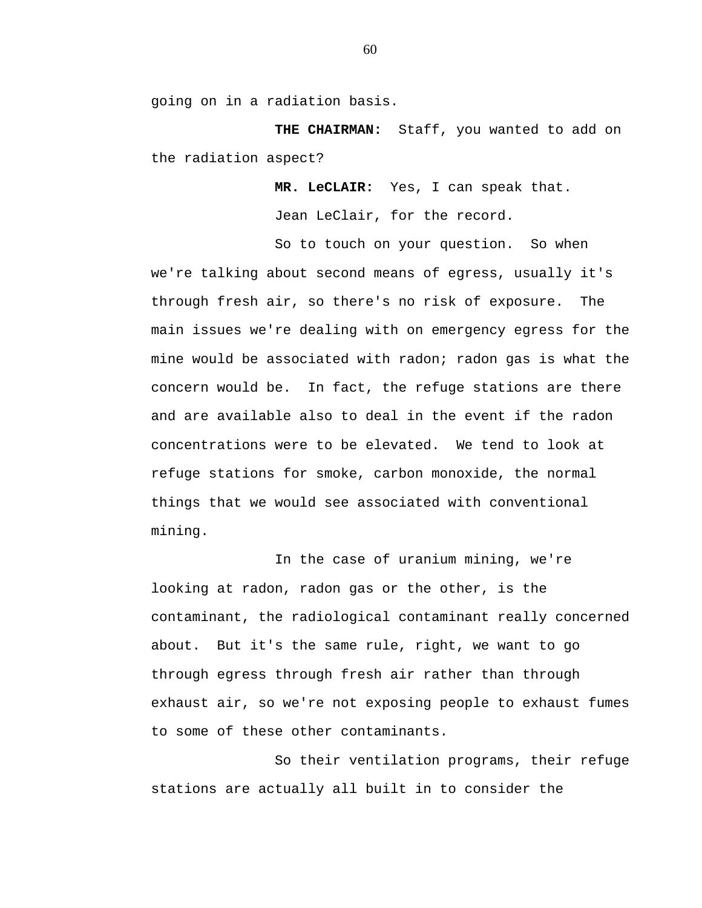going on in a radiation basis.

**THE CHAIRMAN:** Staff, you wanted to add on the radiation aspect?

**MR. LeCLAIR:** Yes, I can speak that.

Jean LeClair, for the record. So to touch on your question. So when

we're talking about second means of egress, usually it's through fresh air, so there's no risk of exposure. The main issues we're dealing with on emergency egress for the mine would be associated with radon; radon gas is what the concern would be. In fact, the refuge stations are there and are available also to deal in the event if the radon concentrations were to be elevated. We tend to look at refuge stations for smoke, carbon monoxide, the normal things that we would see associated with conventional mining.

In the case of uranium mining, we're looking at radon, radon gas or the other, is the contaminant, the radiological contaminant really concerned about. But it's the same rule, right, we want to go through egress through fresh air rather than through exhaust air, so we're not exposing people to exhaust fumes to some of these other contaminants.

So their ventilation programs, their refuge stations are actually all built in to consider the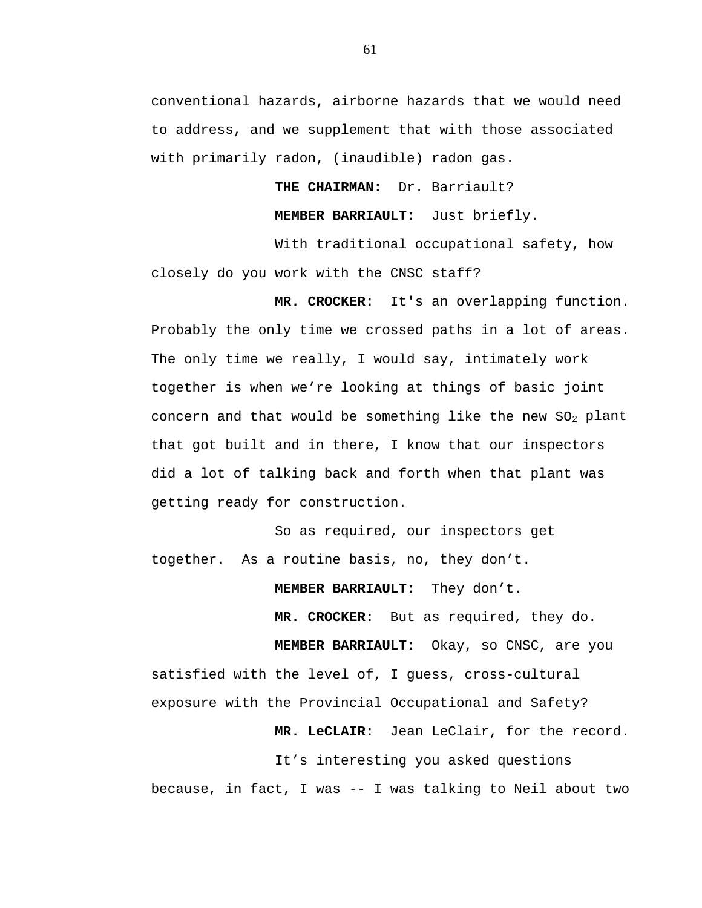conventional hazards, airborne hazards that we would need to address, and we supplement that with those associated with primarily radon, (inaudible) radon gas.

**THE CHAIRMAN:** Dr. Barriault?

**MEMBER BARRIAULT:** Just briefly.

With traditional occupational safety, how closely do you work with the CNSC staff?

**MR. CROCKER:** It's an overlapping function. Probably the only time we crossed paths in a lot of areas. The only time we really, I would say, intimately work together is when we're looking at things of basic joint concern and that would be something like the new  $SO_2$  plant that got built and in there, I know that our inspectors did a lot of talking back and forth when that plant was getting ready for construction.

So as required, our inspectors get together. As a routine basis, no, they don't.

**MEMBER BARRIAULT:** They don't.

 **MR. CROCKER:** But as required, they do.

**MEMBER BARRIAULT:** Okay, so CNSC, are you satisfied with the level of, I guess, cross-cultural exposure with the Provincial Occupational and Safety?

**MR. LeCLAIR:** Jean LeClair, for the record.

It's interesting you asked questions because, in fact, I was -- I was talking to Neil about two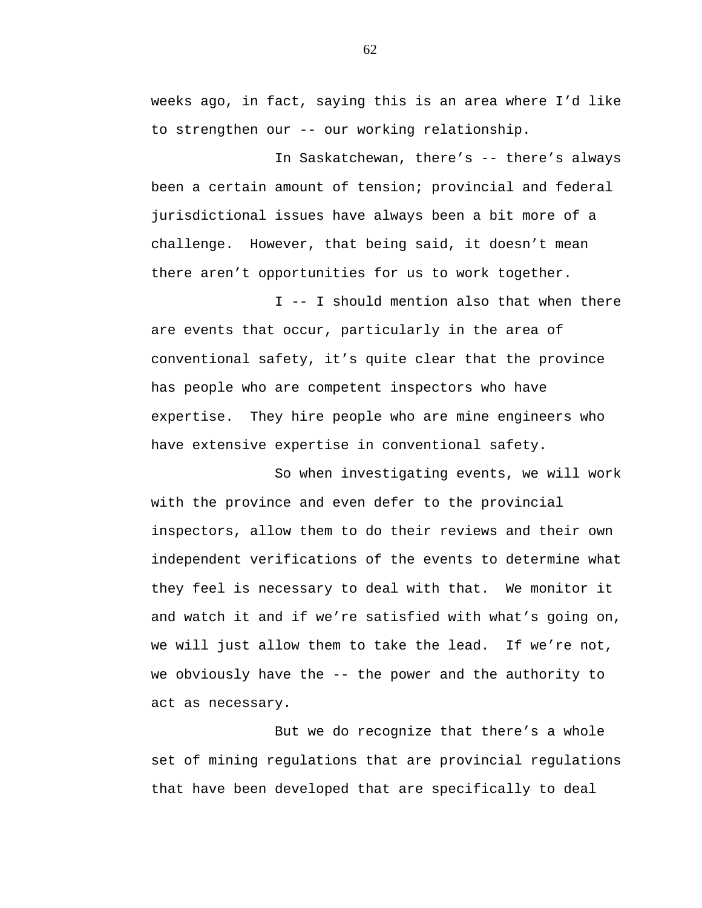weeks ago, in fact, saying this is an area where I'd like to strengthen our -- our working relationship.

In Saskatchewan, there's -- there's always been a certain amount of tension; provincial and federal jurisdictional issues have always been a bit more of a challenge. However, that being said, it doesn't mean there aren't opportunities for us to work together.

I -- I should mention also that when there are events that occur, particularly in the area of conventional safety, it's quite clear that the province has people who are competent inspectors who have expertise. They hire people who are mine engineers who have extensive expertise in conventional safety.

So when investigating events, we will work with the province and even defer to the provincial inspectors, allow them to do their reviews and their own independent verifications of the events to determine what they feel is necessary to deal with that. We monitor it and watch it and if we're satisfied with what's going on, we will just allow them to take the lead. If we're not, we obviously have the  $-$ - the power and the authority to act as necessary.

But we do recognize that there's a whole set of mining regulations that are provincial regulations that have been developed that are specifically to deal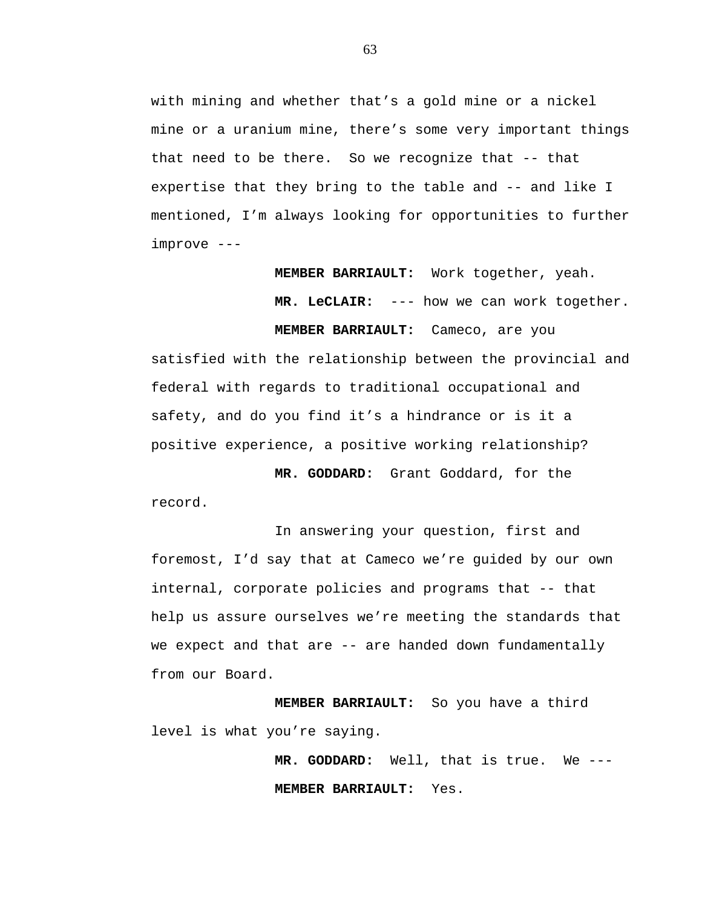with mining and whether that's a gold mine or a nickel mine or a uranium mine, there's some very important things that need to be there. So we recognize that -- that expertise that they bring to the table and -- and like I mentioned, I'm always looking for opportunities to further improve ---

**MEMBER BARRIAULT:** Work together, yeah.

**MR. LeCLAIR:** --- how we can work together. **MEMBER BARRIAULT:** Cameco, are you

satisfied with the relationship between the provincial and federal with regards to traditional occupational and safety, and do you find it's a hindrance or is it a positive experience, a positive working relationship?

 **MR. GODDARD:** Grant Goddard, for the record.

In answering your question, first and foremost, I'd say that at Cameco we're guided by our own internal, corporate policies and programs that -- that help us assure ourselves we're meeting the standards that we expect and that are -- are handed down fundamentally from our Board.

**MEMBER BARRIAULT:** So you have a third level is what you're saying.

> **MR. GODDARD:** Well, that is true. We --- **MEMBER BARRIAULT:** Yes.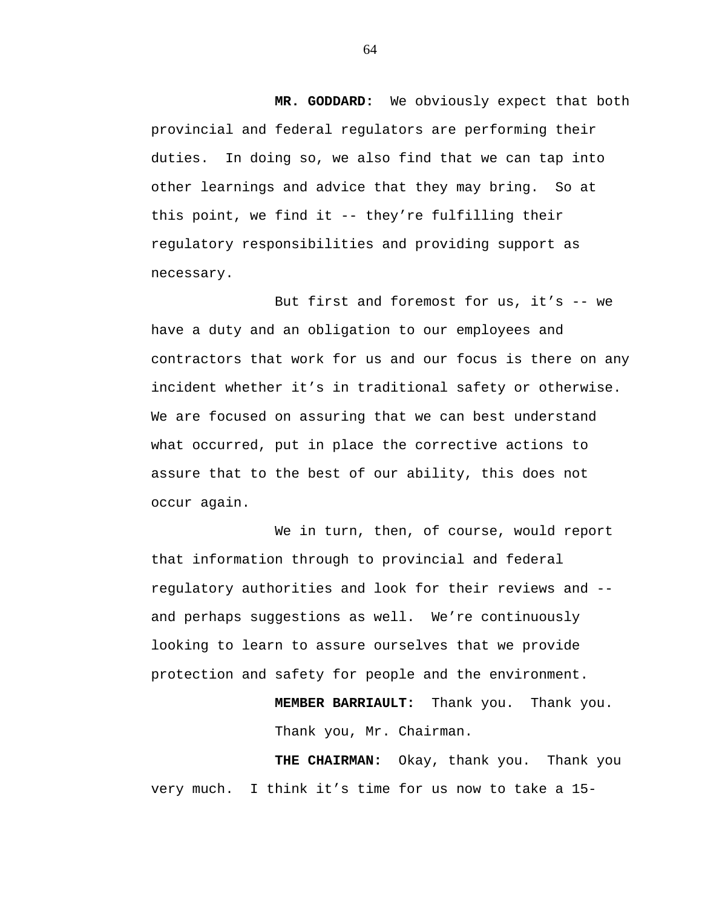**MR. GODDARD:** We obviously expect that both provincial and federal regulators are performing their duties. In doing so, we also find that we can tap into other learnings and advice that they may bring. So at this point, we find it -- they're fulfilling their regulatory responsibilities and providing support as necessary.

But first and foremost for us, it's -- we have a duty and an obligation to our employees and contractors that work for us and our focus is there on any incident whether it's in traditional safety or otherwise. We are focused on assuring that we can best understand what occurred, put in place the corrective actions to assure that to the best of our ability, this does not occur again.

We in turn, then, of course, would report that information through to provincial and federal regulatory authorities and look for their reviews and - and perhaps suggestions as well. We're continuously looking to learn to assure ourselves that we provide protection and safety for people and the environment.

> **MEMBER BARRIAULT:** Thank you. Thank you. Thank you, Mr. Chairman.

**THE CHAIRMAN:** Okay, thank you. Thank you very much. I think it's time for us now to take a 15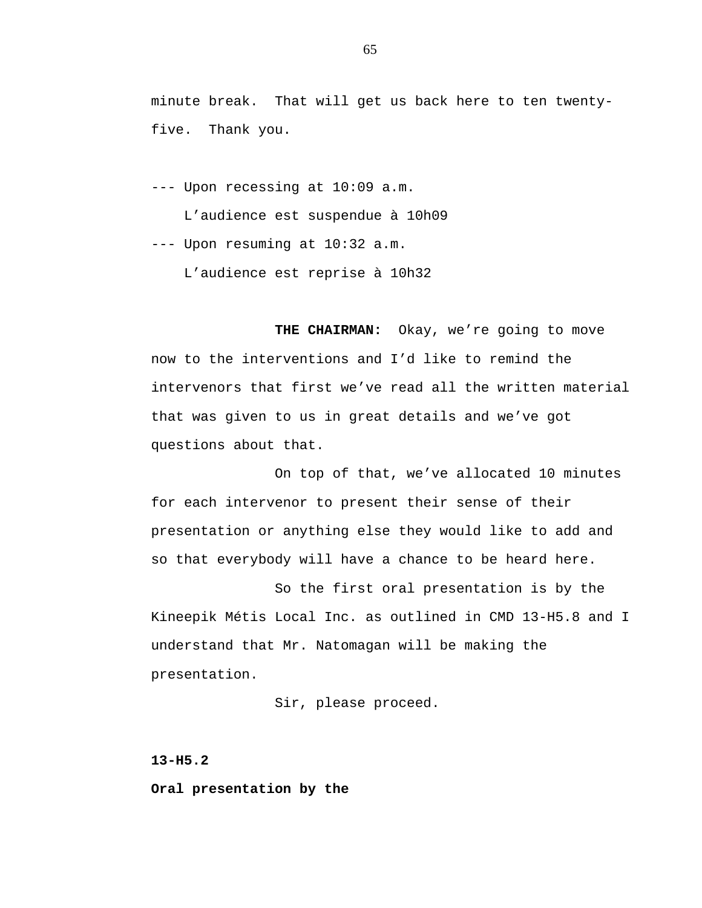minute break. That will get us back here to ten twentyfive. Thank you.

--- Upon recessing at 10:09 a.m.

L'audience est suspendue à 10h09

--- Upon resuming at 10:32 a.m.

L'audience est reprise à 10h32

THE CHAIRMAN: Okay, we're going to move now to the interventions and I'd like to remind the intervenors that first we've read all the written material that was given to us in great details and we've got questions about that.

On top of that, we've allocated 10 minutes for each intervenor to present their sense of their presentation or anything else they would like to add and so that everybody will have a chance to be heard here.

So the first oral presentation is by the Kineepik Métis Local Inc. as outlined in CMD 13-H5.8 and I understand that Mr. Natomagan will be making the presentation.

Sir, please proceed.

**13-H5.2** 

**Oral presentation by the**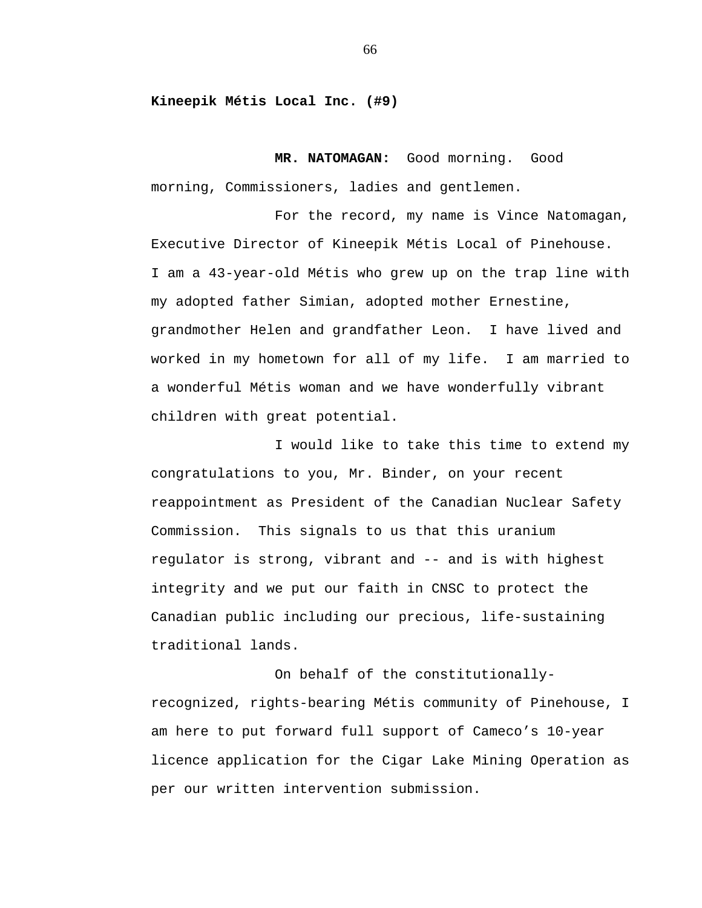**Kineepik Métis Local Inc. (#9)** 

**MR. NATOMAGAN:** Good morning. Good morning, Commissioners, ladies and gentlemen.

For the record, my name is Vince Natomagan, Executive Director of Kineepik Métis Local of Pinehouse. I am a 43-year-old Métis who grew up on the trap line with my adopted father Simian, adopted mother Ernestine, grandmother Helen and grandfather Leon. I have lived and worked in my hometown for all of my life. I am married to a wonderful Métis woman and we have wonderfully vibrant children with great potential.

I would like to take this time to extend my congratulations to you, Mr. Binder, on your recent reappointment as President of the Canadian Nuclear Safety Commission. This signals to us that this uranium regulator is strong, vibrant and -- and is with highest integrity and we put our faith in CNSC to protect the Canadian public including our precious, life-sustaining traditional lands.

On behalf of the constitutionallyrecognized, rights-bearing Métis community of Pinehouse, I am here to put forward full support of Cameco's 10-year licence application for the Cigar Lake Mining Operation as per our written intervention submission.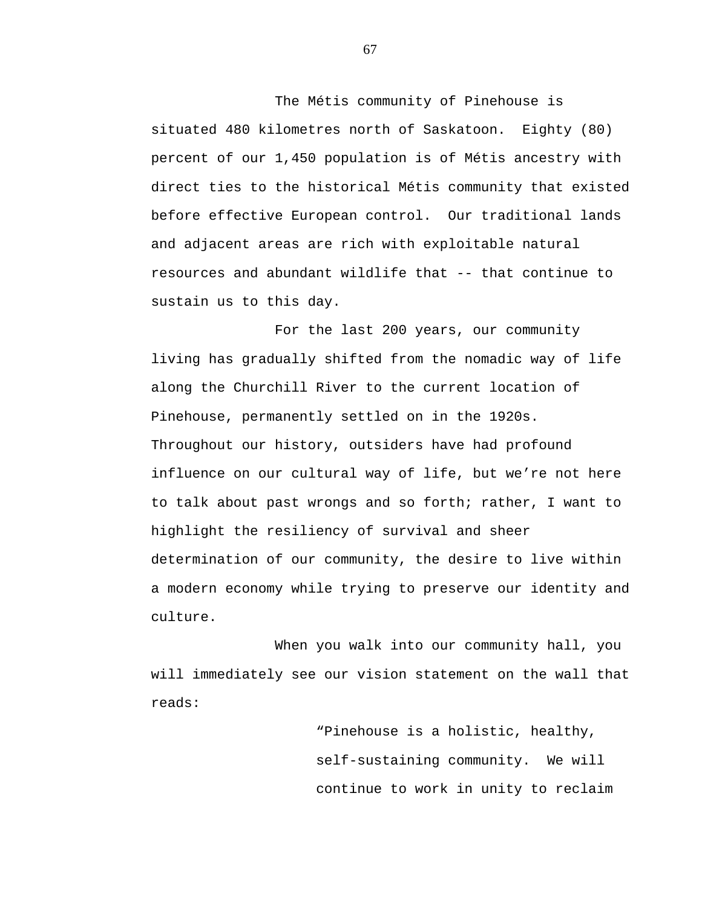The Métis community of Pinehouse is situated 480 kilometres north of Saskatoon. Eighty (80) percent of our 1,450 population is of Métis ancestry with direct ties to the historical Métis community that existed before effective European control. Our traditional lands and adjacent areas are rich with exploitable natural resources and abundant wildlife that -- that continue to sustain us to this day.

For the last 200 years, our community living has gradually shifted from the nomadic way of life along the Churchill River to the current location of Pinehouse, permanently settled on in the 1920s. Throughout our history, outsiders have had profound influence on our cultural way of life, but we're not here to talk about past wrongs and so forth; rather, I want to highlight the resiliency of survival and sheer determination of our community, the desire to live within a modern economy while trying to preserve our identity and culture.

When you walk into our community hall, you will immediately see our vision statement on the wall that reads:

> "Pinehouse is a holistic, healthy, self-sustaining community. We will continue to work in unity to reclaim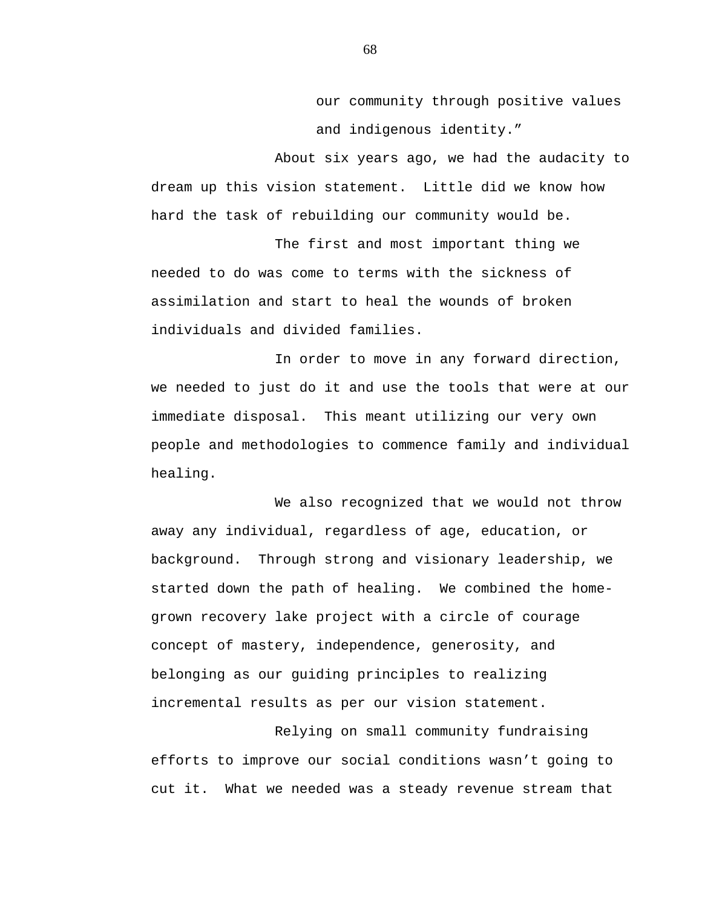our community through positive values and indigenous identity."

About six years ago, we had the audacity to dream up this vision statement. Little did we know how hard the task of rebuilding our community would be.

The first and most important thing we needed to do was come to terms with the sickness of assimilation and start to heal the wounds of broken individuals and divided families.

In order to move in any forward direction, we needed to just do it and use the tools that were at our immediate disposal. This meant utilizing our very own people and methodologies to commence family and individual healing.

We also recognized that we would not throw away any individual, regardless of age, education, or background. Through strong and visionary leadership, we started down the path of healing. We combined the homegrown recovery lake project with a circle of courage concept of mastery, independence, generosity, and belonging as our guiding principles to realizing incremental results as per our vision statement.

Relying on small community fundraising efforts to improve our social conditions wasn't going to cut it. What we needed was a steady revenue stream that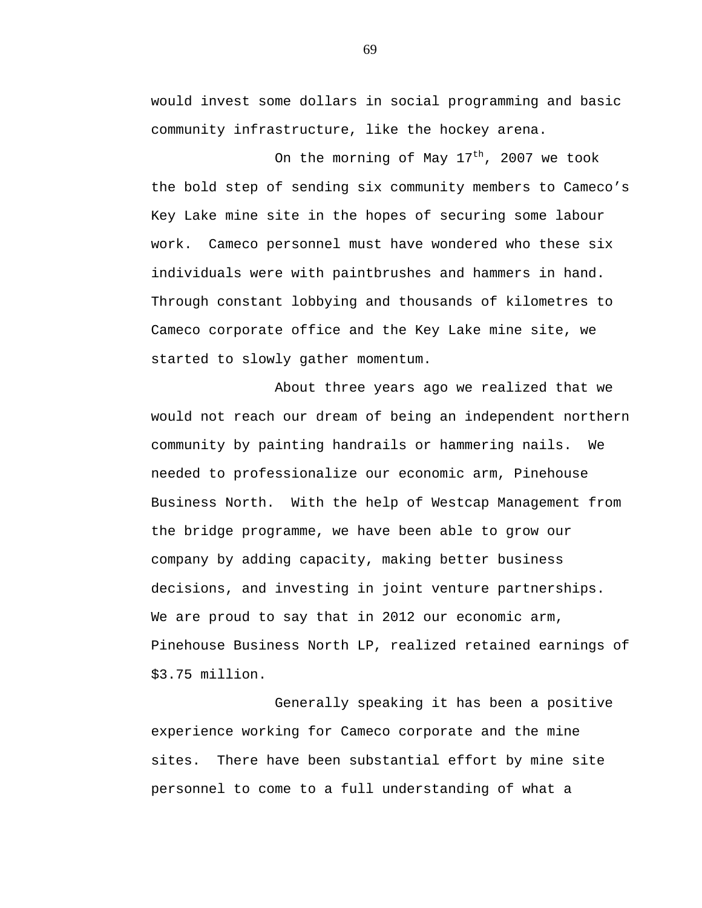would invest some dollars in social programming and basic community infrastructure, like the hockey arena.

On the morning of May  $17<sup>th</sup>$ , 2007 we took the bold step of sending six community members to Cameco's Key Lake mine site in the hopes of securing some labour work. Cameco personnel must have wondered who these six individuals were with paintbrushes and hammers in hand. Through constant lobbying and thousands of kilometres to Cameco corporate office and the Key Lake mine site, we started to slowly gather momentum.

About three years ago we realized that we would not reach our dream of being an independent northern community by painting handrails or hammering nails. We needed to professionalize our economic arm, Pinehouse Business North. With the help of Westcap Management from the bridge programme, we have been able to grow our company by adding capacity, making better business decisions, and investing in joint venture partnerships. We are proud to say that in 2012 our economic arm, Pinehouse Business North LP, realized retained earnings of \$3.75 million.

Generally speaking it has been a positive experience working for Cameco corporate and the mine sites. There have been substantial effort by mine site personnel to come to a full understanding of what a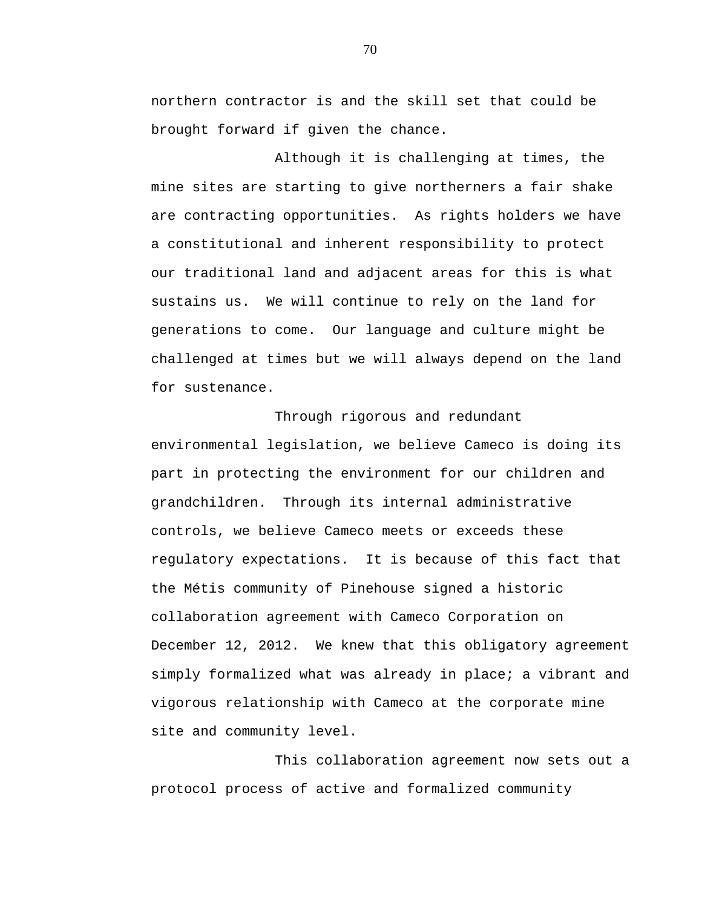northern contractor is and the skill set that could be brought forward if given the chance.

Although it is challenging at times, the mine sites are starting to give northerners a fair shake are contracting opportunities. As rights holders we have a constitutional and inherent responsibility to protect our traditional land and adjacent areas for this is what sustains us. We will continue to rely on the land for generations to come. Our language and culture might be challenged at times but we will always depend on the land for sustenance.

Through rigorous and redundant environmental legislation, we believe Cameco is doing its part in protecting the environment for our children and grandchildren. Through its internal administrative controls, we believe Cameco meets or exceeds these regulatory expectations. It is because of this fact that the Métis community of Pinehouse signed a historic collaboration agreement with Cameco Corporation on December 12, 2012. We knew that this obligatory agreement simply formalized what was already in place; a vibrant and vigorous relationship with Cameco at the corporate mine site and community level.

This collaboration agreement now sets out a protocol process of active and formalized community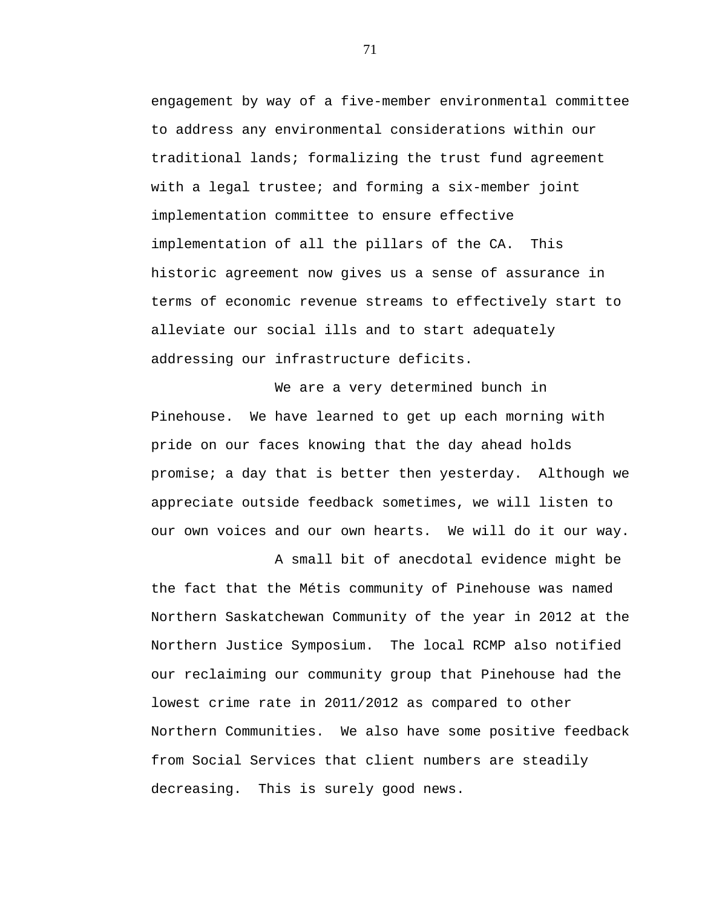engagement by way of a five-member environmental committee to address any environmental considerations within our traditional lands; formalizing the trust fund agreement with a legal trustee; and forming a six-member joint implementation committee to ensure effective implementation of all the pillars of the CA. This historic agreement now gives us a sense of assurance in terms of economic revenue streams to effectively start to alleviate our social ills and to start adequately addressing our infrastructure deficits.

We are a very determined bunch in Pinehouse. We have learned to get up each morning with pride on our faces knowing that the day ahead holds promise; a day that is better then yesterday. Although we appreciate outside feedback sometimes, we will listen to our own voices and our own hearts. We will do it our way.

A small bit of anecdotal evidence might be the fact that the Métis community of Pinehouse was named Northern Saskatchewan Community of the year in 2012 at the Northern Justice Symposium. The local RCMP also notified our reclaiming our community group that Pinehouse had the lowest crime rate in 2011/2012 as compared to other Northern Communities. We also have some positive feedback from Social Services that client numbers are steadily decreasing. This is surely good news.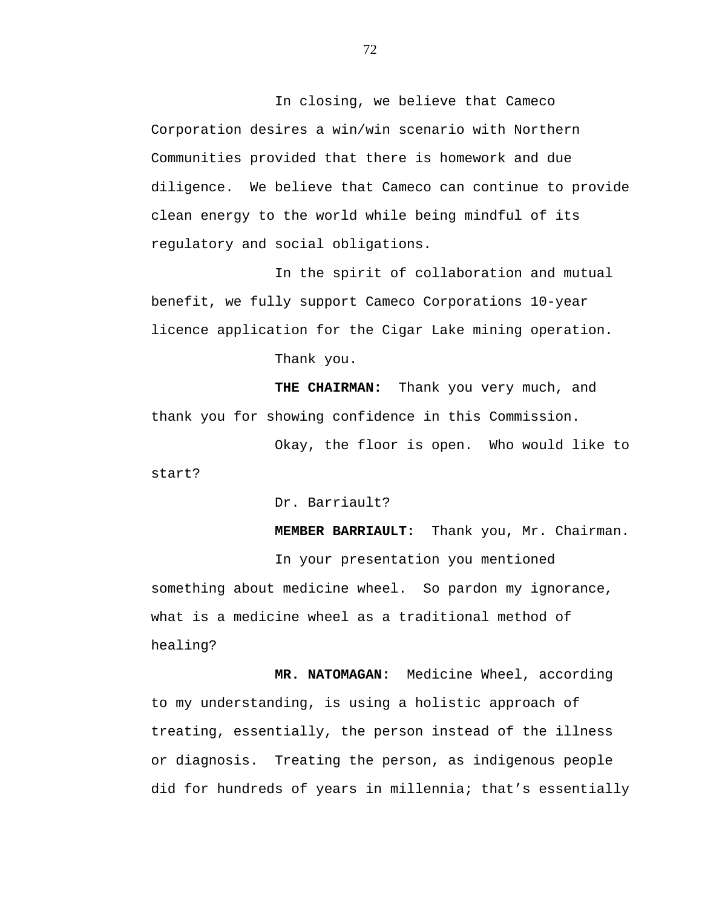In closing, we believe that Cameco Corporation desires a win/win scenario with Northern Communities provided that there is homework and due diligence. We believe that Cameco can continue to provide clean energy to the world while being mindful of its regulatory and social obligations.

In the spirit of collaboration and mutual benefit, we fully support Cameco Corporations 10-year licence application for the Cigar Lake mining operation.

Thank you.

 **THE CHAIRMAN:** Thank you very much, and thank you for showing confidence in this Commission.

Okay, the floor is open. Who would like to start?

Dr. Barriault?

**MEMBER BARRIAULT:** Thank you, Mr. Chairman.

In your presentation you mentioned something about medicine wheel. So pardon my ignorance, what is a medicine wheel as a traditional method of healing?

 **MR. NATOMAGAN:** Medicine Wheel, according to my understanding, is using a holistic approach of treating, essentially, the person instead of the illness or diagnosis. Treating the person, as indigenous people did for hundreds of years in millennia; that's essentially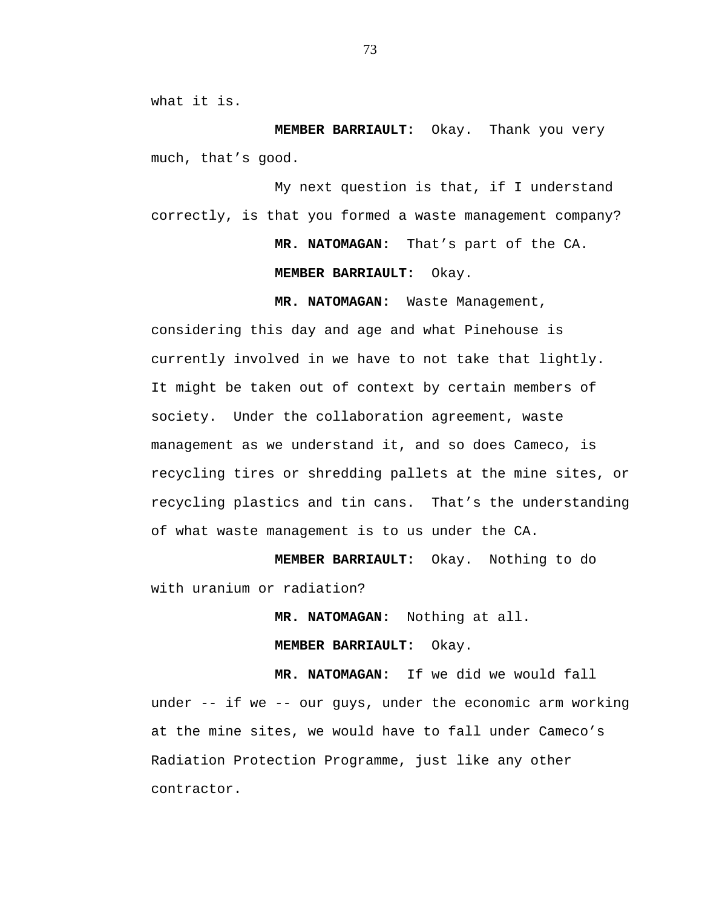what it is.

**MEMBER BARRIAULT:** Okay. Thank you very much, that's good.

My next question is that, if I understand correctly, is that you formed a waste management company?

 **MR. NATOMAGAN:** That's part of the CA.

**MEMBER BARRIAULT:** Okay.

**MR. NATOMAGAN:** Waste Management,

considering this day and age and what Pinehouse is currently involved in we have to not take that lightly. It might be taken out of context by certain members of society. Under the collaboration agreement, waste management as we understand it, and so does Cameco, is recycling tires or shredding pallets at the mine sites, or recycling plastics and tin cans. That's the understanding of what waste management is to us under the CA.

**MEMBER BARRIAULT:** Okay. Nothing to do with uranium or radiation?

 **MR. NATOMAGAN:** Nothing at all.

**MEMBER BARRIAULT:** Okay.

**MR. NATOMAGAN:** If we did we would fall

under -- if we -- our guys, under the economic arm working at the mine sites, we would have to fall under Cameco's Radiation Protection Programme, just like any other contractor.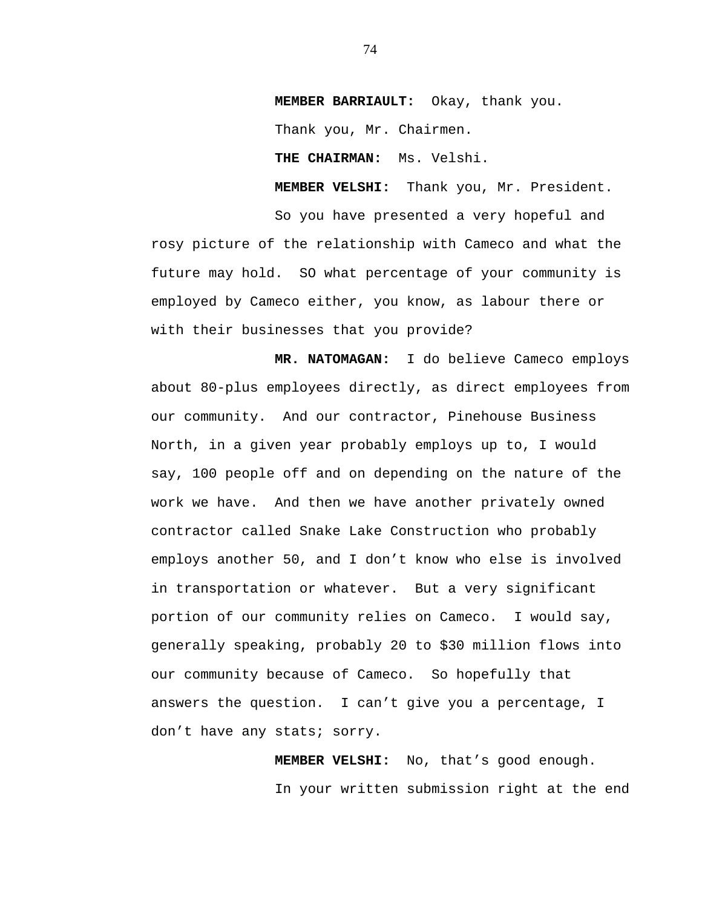**MEMBER BARRIAULT:** Okay, thank you. Thank you, Mr. Chairmen.

 **THE CHAIRMAN:** Ms. Velshi.

 **MEMBER VELSHI:** Thank you, Mr. President.

So you have presented a very hopeful and rosy picture of the relationship with Cameco and what the future may hold. SO what percentage of your community is employed by Cameco either, you know, as labour there or with their businesses that you provide?

 **MR. NATOMAGAN:** I do believe Cameco employs about 80-plus employees directly, as direct employees from our community. And our contractor, Pinehouse Business North, in a given year probably employs up to, I would say, 100 people off and on depending on the nature of the work we have. And then we have another privately owned contractor called Snake Lake Construction who probably employs another 50, and I don't know who else is involved in transportation or whatever. But a very significant portion of our community relies on Cameco. I would say, generally speaking, probably 20 to \$30 million flows into our community because of Cameco. So hopefully that answers the question. I can't give you a percentage, I don't have any stats; sorry.

> **MEMBER VELSHI:** No, that's good enough. In your written submission right at the end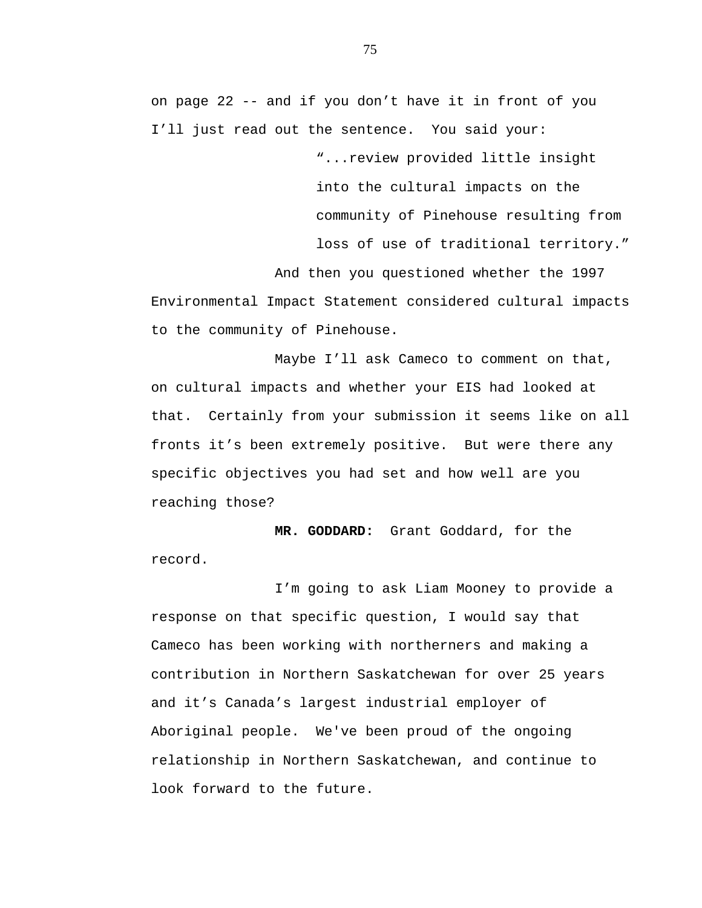on page 22 -- and if you don't have it in front of you I'll just read out the sentence. You said your:

> "...review provided little insight into the cultural impacts on the community of Pinehouse resulting from loss of use of traditional territory."

And then you questioned whether the 1997 Environmental Impact Statement considered cultural impacts to the community of Pinehouse.

Maybe I'll ask Cameco to comment on that, on cultural impacts and whether your EIS had looked at that. Certainly from your submission it seems like on all fronts it's been extremely positive. But were there any specific objectives you had set and how well are you reaching those?

 **MR. GODDARD:** Grant Goddard, for the record.

I'm going to ask Liam Mooney to provide a response on that specific question, I would say that Cameco has been working with northerners and making a contribution in Northern Saskatchewan for over 25 years and it's Canada's largest industrial employer of Aboriginal people. We've been proud of the ongoing relationship in Northern Saskatchewan, and continue to look forward to the future.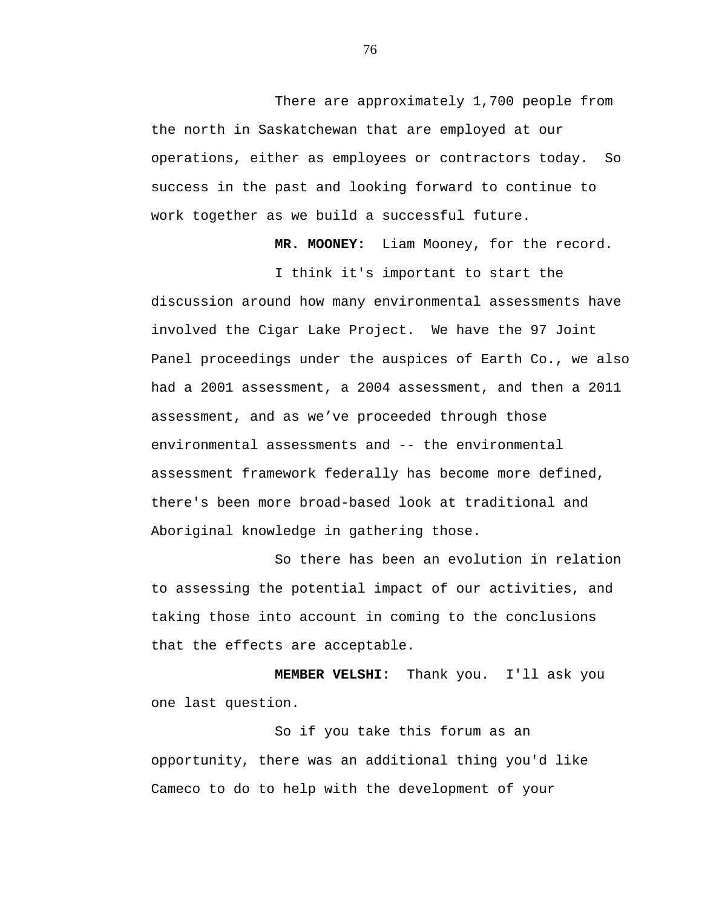There are approximately 1,700 people from the north in Saskatchewan that are employed at our operations, either as employees or contractors today. So success in the past and looking forward to continue to work together as we build a successful future.

 **MR. MOONEY:** Liam Mooney, for the record.

I think it's important to start the discussion around how many environmental assessments have involved the Cigar Lake Project. We have the 97 Joint Panel proceedings under the auspices of Earth Co., we also had a 2001 assessment, a 2004 assessment, and then a 2011 assessment, and as we've proceeded through those environmental assessments and -- the environmental assessment framework federally has become more defined, there's been more broad-based look at traditional and Aboriginal knowledge in gathering those.

So there has been an evolution in relation to assessing the potential impact of our activities, and taking those into account in coming to the conclusions that the effects are acceptable.

**MEMBER VELSHI:** Thank you. I'll ask you one last question.

So if you take this forum as an opportunity, there was an additional thing you'd like Cameco to do to help with the development of your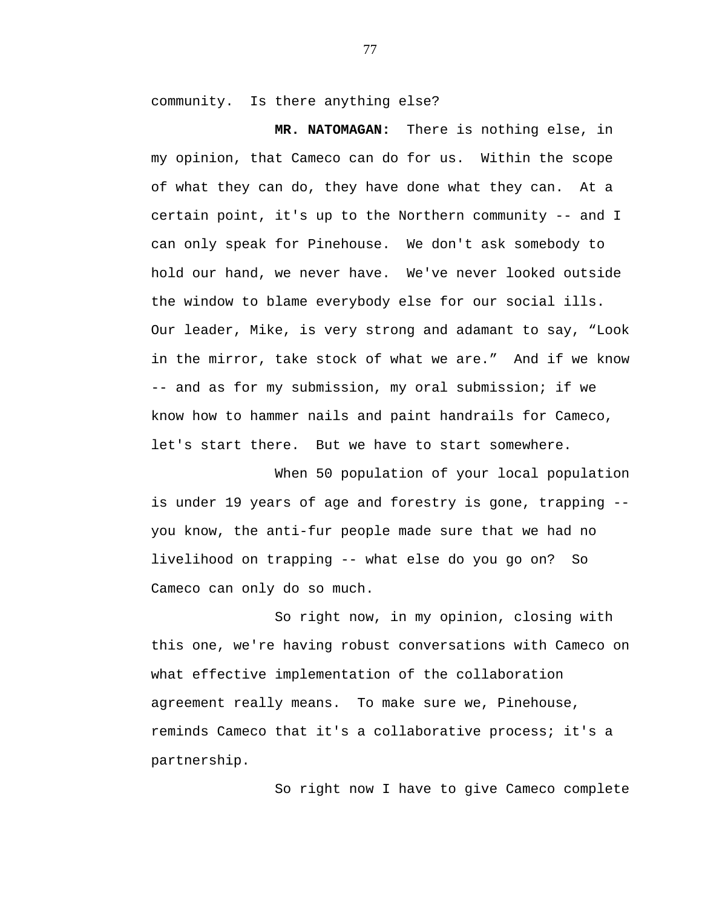community. Is there anything else?

 **MR. NATOMAGAN:** There is nothing else, in my opinion, that Cameco can do for us. Within the scope of what they can do, they have done what they can. At a certain point, it's up to the Northern community -- and I can only speak for Pinehouse. We don't ask somebody to hold our hand, we never have. We've never looked outside the window to blame everybody else for our social ills. Our leader, Mike, is very strong and adamant to say, "Look in the mirror, take stock of what we are." And if we know -- and as for my submission, my oral submission; if we know how to hammer nails and paint handrails for Cameco, let's start there. But we have to start somewhere.

When 50 population of your local population is under 19 years of age and forestry is gone, trapping - you know, the anti-fur people made sure that we had no livelihood on trapping -- what else do you go on? So Cameco can only do so much.

So right now, in my opinion, closing with this one, we're having robust conversations with Cameco on what effective implementation of the collaboration agreement really means. To make sure we, Pinehouse, reminds Cameco that it's a collaborative process; it's a partnership.

So right now I have to give Cameco complete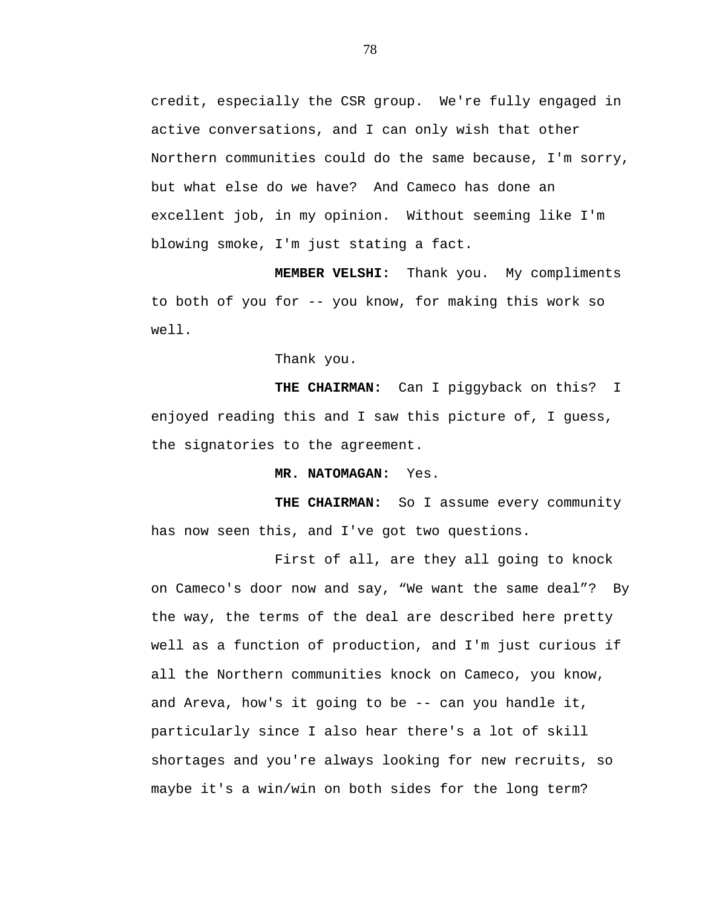credit, especially the CSR group. We're fully engaged in active conversations, and I can only wish that other Northern communities could do the same because, I'm sorry, but what else do we have? And Cameco has done an excellent job, in my opinion. Without seeming like I'm blowing smoke, I'm just stating a fact.

**MEMBER VELSHI:** Thank you. My compliments to both of you for -- you know, for making this work so well.

Thank you.

**THE CHAIRMAN:** Can I piggyback on this? I enjoyed reading this and I saw this picture of, I guess, the signatories to the agreement.

 **MR. NATOMAGAN:** Yes.

**THE CHAIRMAN:** So I assume every community has now seen this, and I've got two questions.

First of all, are they all going to knock on Cameco's door now and say, "We want the same deal"? By the way, the terms of the deal are described here pretty well as a function of production, and I'm just curious if all the Northern communities knock on Cameco, you know, and Areva, how's it going to be -- can you handle it, particularly since I also hear there's a lot of skill shortages and you're always looking for new recruits, so maybe it's a win/win on both sides for the long term?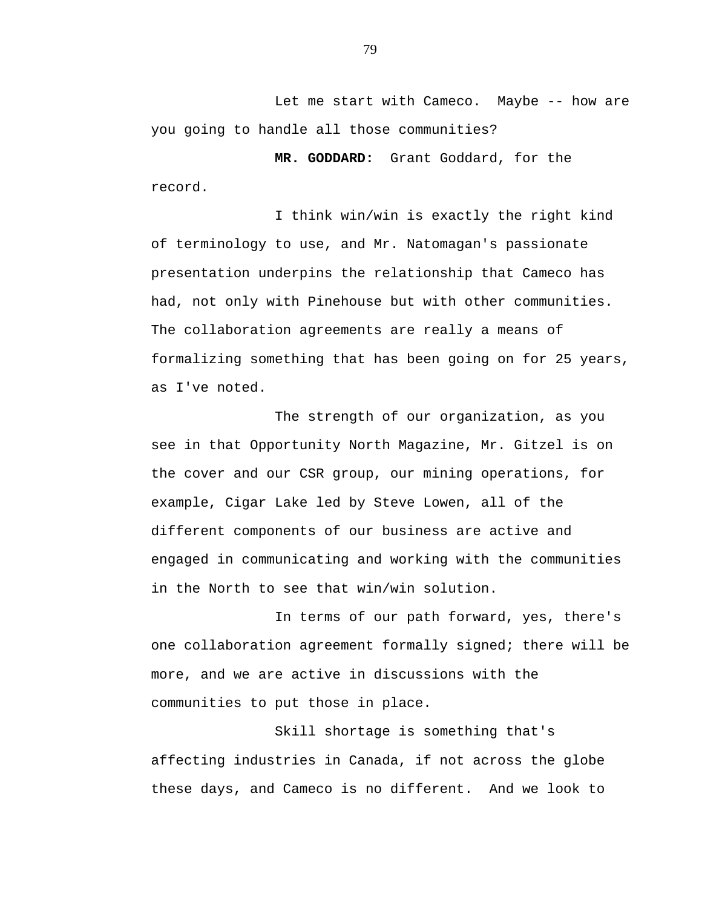Let me start with Cameco. Maybe -- how are you going to handle all those communities?

 **MR. GODDARD:** Grant Goddard, for the record.

I think win/win is exactly the right kind of terminology to use, and Mr. Natomagan's passionate presentation underpins the relationship that Cameco has had, not only with Pinehouse but with other communities. The collaboration agreements are really a means of formalizing something that has been going on for 25 years, as I've noted.

The strength of our organization, as you see in that Opportunity North Magazine, Mr. Gitzel is on the cover and our CSR group, our mining operations, for example, Cigar Lake led by Steve Lowen, all of the different components of our business are active and engaged in communicating and working with the communities in the North to see that win/win solution.

In terms of our path forward, yes, there's one collaboration agreement formally signed; there will be more, and we are active in discussions with the communities to put those in place.

Skill shortage is something that's affecting industries in Canada, if not across the globe these days, and Cameco is no different. And we look to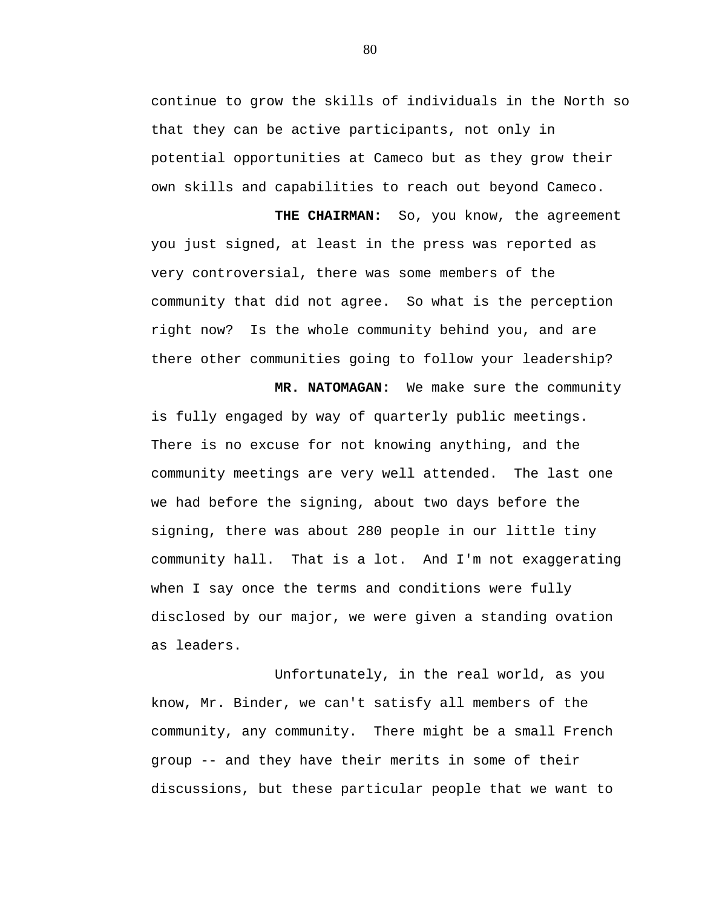continue to grow the skills of individuals in the North so that they can be active participants, not only in potential opportunities at Cameco but as they grow their own skills and capabilities to reach out beyond Cameco.

**THE CHAIRMAN:** So, you know, the agreement you just signed, at least in the press was reported as very controversial, there was some members of the community that did not agree. So what is the perception right now? Is the whole community behind you, and are there other communities going to follow your leadership?

 **MR. NATOMAGAN:** We make sure the community is fully engaged by way of quarterly public meetings. There is no excuse for not knowing anything, and the community meetings are very well attended. The last one we had before the signing, about two days before the signing, there was about 280 people in our little tiny community hall. That is a lot. And I'm not exaggerating when I say once the terms and conditions were fully disclosed by our major, we were given a standing ovation as leaders.

Unfortunately, in the real world, as you know, Mr. Binder, we can't satisfy all members of the community, any community. There might be a small French group -- and they have their merits in some of their discussions, but these particular people that we want to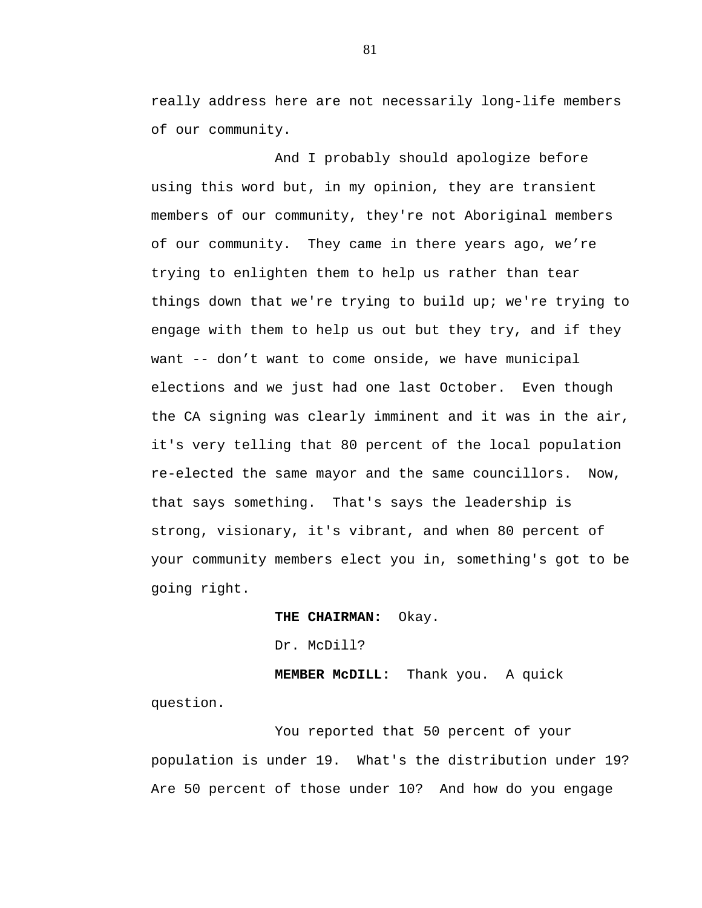really address here are not necessarily long-life members of our community.

And I probably should apologize before using this word but, in my opinion, they are transient members of our community, they're not Aboriginal members of our community. They came in there years ago, we're trying to enlighten them to help us rather than tear things down that we're trying to build up; we're trying to engage with them to help us out but they try, and if they want -- don't want to come onside, we have municipal elections and we just had one last October. Even though the CA signing was clearly imminent and it was in the air, it's very telling that 80 percent of the local population re-elected the same mayor and the same councillors. Now, that says something. That's says the leadership is strong, visionary, it's vibrant, and when 80 percent of your community members elect you in, something's got to be going right.

**THE CHAIRMAN:** Okay.

Dr. McDill?

**MEMBER McDILL:** Thank you. A quick question.

You reported that 50 percent of your population is under 19. What's the distribution under 19? Are 50 percent of those under 10? And how do you engage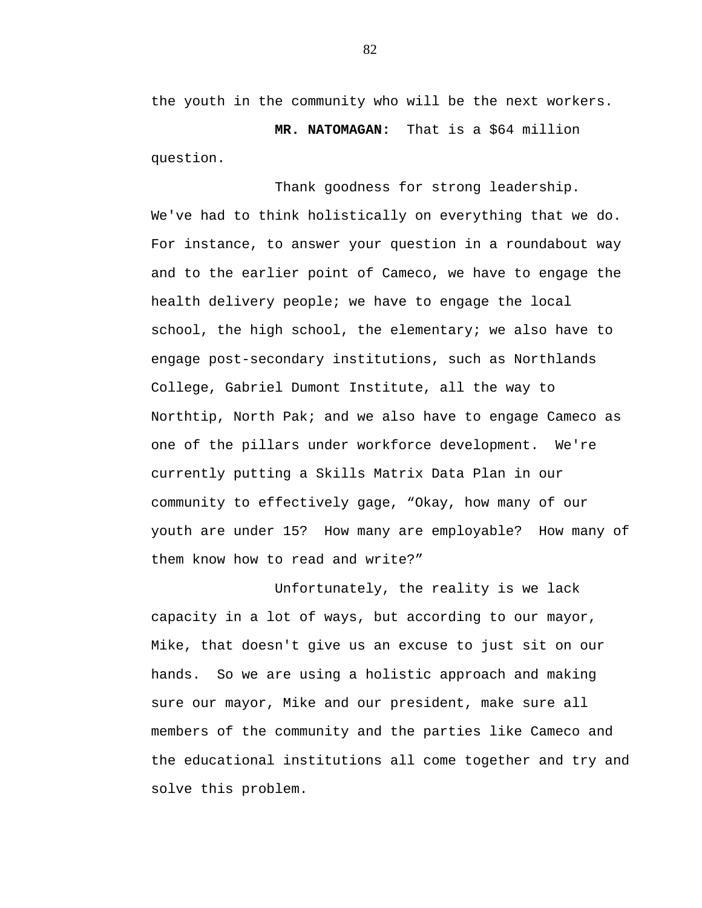the youth in the community who will be the next workers.

 **MR. NATOMAGAN:** That is a \$64 million question.

Thank goodness for strong leadership. We've had to think holistically on everything that we do. For instance, to answer your question in a roundabout way and to the earlier point of Cameco, we have to engage the health delivery people; we have to engage the local school, the high school, the elementary; we also have to engage post-secondary institutions, such as Northlands College, Gabriel Dumont Institute, all the way to Northtip, North Pak; and we also have to engage Cameco as one of the pillars under workforce development. We're currently putting a Skills Matrix Data Plan in our community to effectively gage, "Okay, how many of our youth are under 15? How many are employable? How many of them know how to read and write?"

Unfortunately, the reality is we lack capacity in a lot of ways, but according to our mayor, Mike, that doesn't give us an excuse to just sit on our hands. So we are using a holistic approach and making sure our mayor, Mike and our president, make sure all members of the community and the parties like Cameco and the educational institutions all come together and try and solve this problem.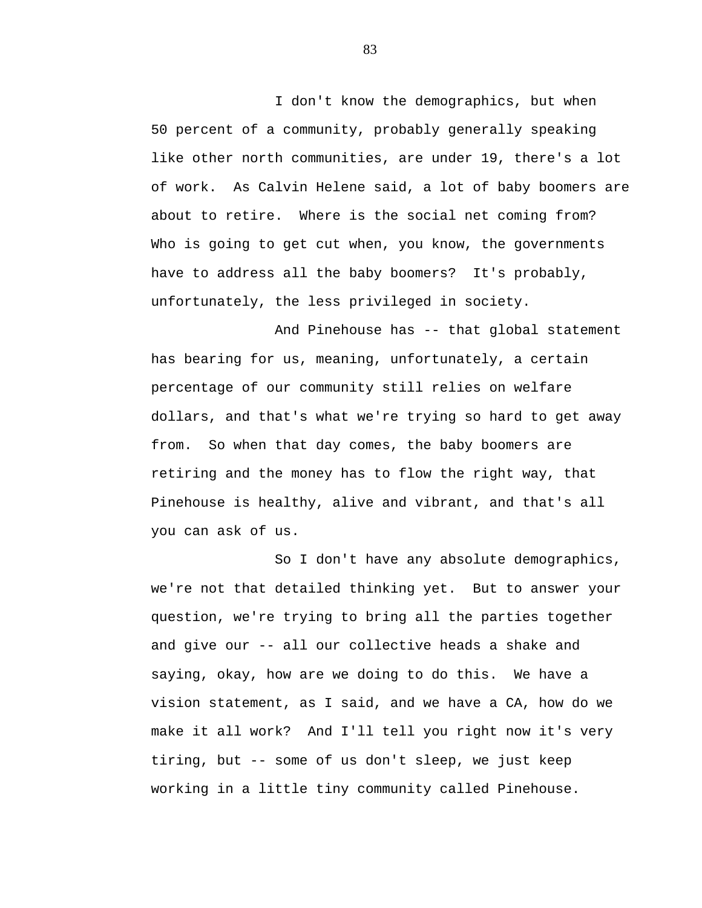I don't know the demographics, but when 50 percent of a community, probably generally speaking like other north communities, are under 19, there's a lot of work. As Calvin Helene said, a lot of baby boomers are about to retire. Where is the social net coming from? Who is going to get cut when, you know, the governments have to address all the baby boomers? It's probably, unfortunately, the less privileged in society.

And Pinehouse has -- that global statement has bearing for us, meaning, unfortunately, a certain percentage of our community still relies on welfare dollars, and that's what we're trying so hard to get away from. So when that day comes, the baby boomers are retiring and the money has to flow the right way, that Pinehouse is healthy, alive and vibrant, and that's all you can ask of us.

So I don't have any absolute demographics, we're not that detailed thinking yet. But to answer your question, we're trying to bring all the parties together and give our -- all our collective heads a shake and saying, okay, how are we doing to do this. We have a vision statement, as I said, and we have a CA, how do we make it all work? And I'll tell you right now it's very tiring, but -- some of us don't sleep, we just keep working in a little tiny community called Pinehouse.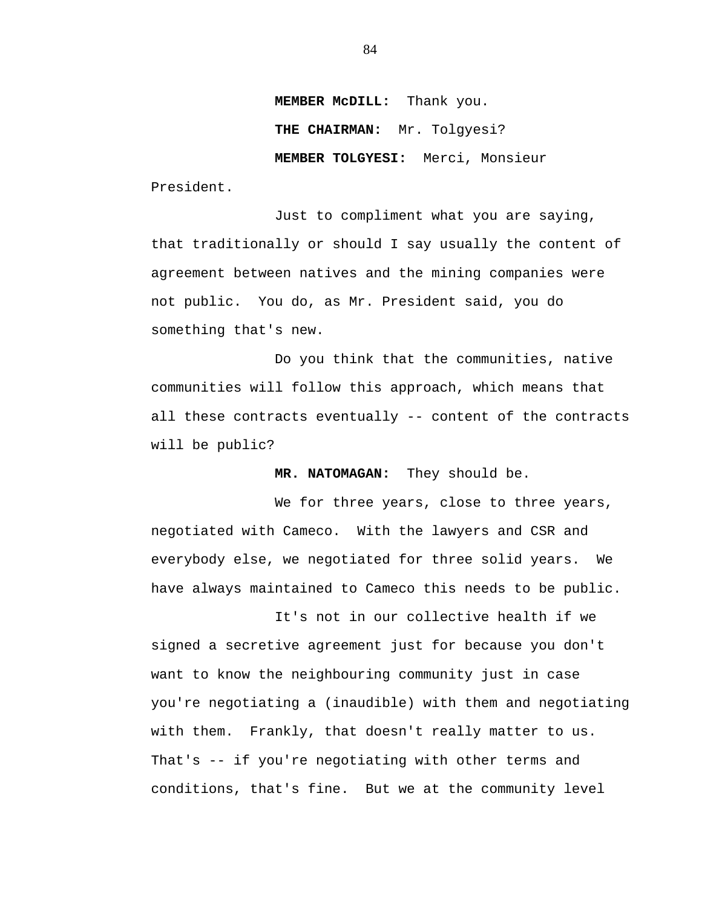**MEMBER McDILL:** Thank you.

**THE CHAIRMAN:** Mr. Tolgyesi?

**MEMBER TOLGYESI:** Merci, Monsieur

President.

Just to compliment what you are saying, that traditionally or should I say usually the content of agreement between natives and the mining companies were not public. You do, as Mr. President said, you do something that's new.

Do you think that the communities, native communities will follow this approach, which means that all these contracts eventually -- content of the contracts will be public?

**MR. NATOMAGAN:** They should be.

We for three years, close to three years, negotiated with Cameco. With the lawyers and CSR and everybody else, we negotiated for three solid years. We have always maintained to Cameco this needs to be public.

It's not in our collective health if we signed a secretive agreement just for because you don't want to know the neighbouring community just in case you're negotiating a (inaudible) with them and negotiating with them. Frankly, that doesn't really matter to us. That's -- if you're negotiating with other terms and conditions, that's fine. But we at the community level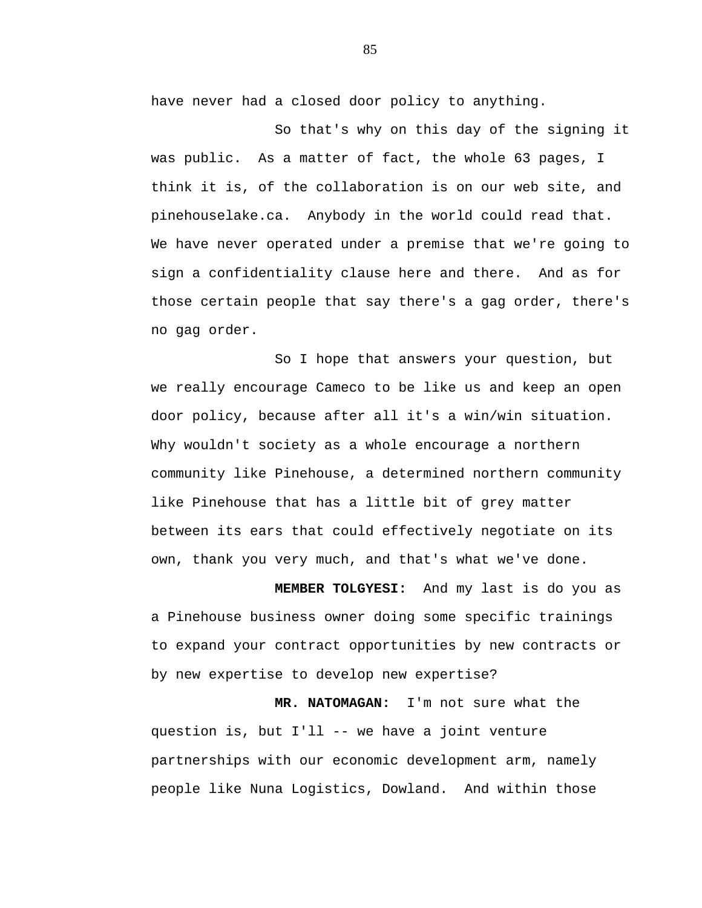have never had a closed door policy to anything.

So that's why on this day of the signing it was public. As a matter of fact, the whole 63 pages, I think it is, of the collaboration is on our web site, and pinehouselake.ca. Anybody in the world could read that. We have never operated under a premise that we're going to sign a confidentiality clause here and there. And as for those certain people that say there's a gag order, there's no gag order.

So I hope that answers your question, but we really encourage Cameco to be like us and keep an open door policy, because after all it's a win/win situation. Why wouldn't society as a whole encourage a northern community like Pinehouse, a determined northern community like Pinehouse that has a little bit of grey matter between its ears that could effectively negotiate on its own, thank you very much, and that's what we've done.

**MEMBER TOLGYESI:** And my last is do you as a Pinehouse business owner doing some specific trainings to expand your contract opportunities by new contracts or by new expertise to develop new expertise?

**MR. NATOMAGAN:** I'm not sure what the question is, but I'll -- we have a joint venture partnerships with our economic development arm, namely people like Nuna Logistics, Dowland. And within those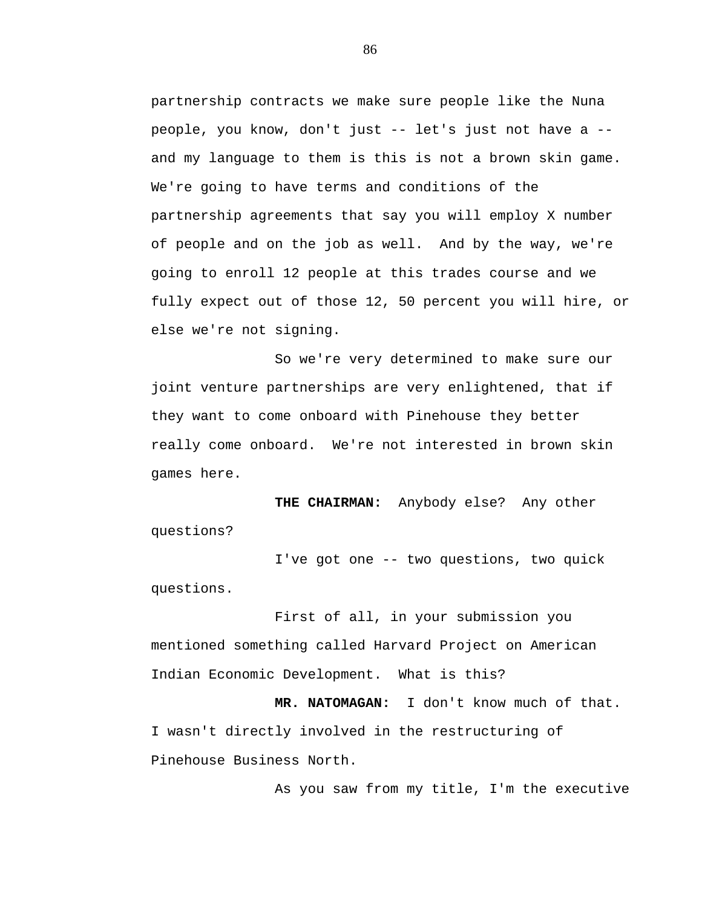partnership contracts we make sure people like the Nuna people, you know, don't just -- let's just not have a - and my language to them is this is not a brown skin game. We're going to have terms and conditions of the partnership agreements that say you will employ X number of people and on the job as well. And by the way, we're going to enroll 12 people at this trades course and we fully expect out of those 12, 50 percent you will hire, or else we're not signing.

So we're very determined to make sure our joint venture partnerships are very enlightened, that if they want to come onboard with Pinehouse they better really come onboard. We're not interested in brown skin games here.

**THE CHAIRMAN:** Anybody else? Any other questions?

I've got one -- two questions, two quick questions.

First of all, in your submission you mentioned something called Harvard Project on American Indian Economic Development. What is this?

**MR. NATOMAGAN:** I don't know much of that. I wasn't directly involved in the restructuring of Pinehouse Business North.

As you saw from my title, I'm the executive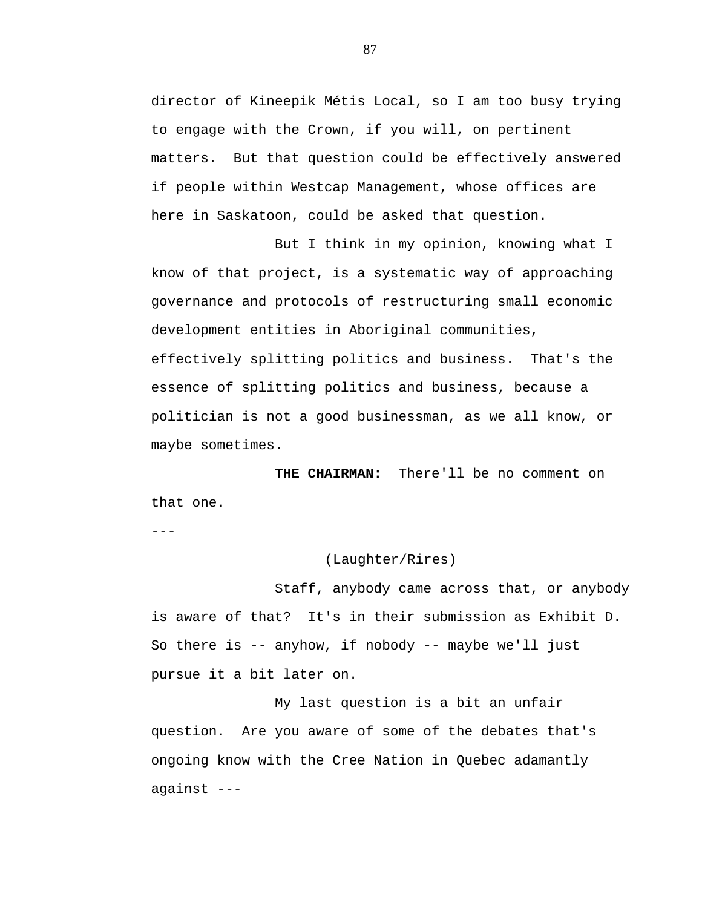director of Kineepik Métis Local, so I am too busy trying to engage with the Crown, if you will, on pertinent matters. But that question could be effectively answered if people within Westcap Management, whose offices are here in Saskatoon, could be asked that question.

But I think in my opinion, knowing what I know of that project, is a systematic way of approaching governance and protocols of restructuring small economic development entities in Aboriginal communities, effectively splitting politics and business. That's the essence of splitting politics and business, because a politician is not a good businessman, as we all know, or maybe sometimes.

**THE CHAIRMAN:** There'll be no comment on that one.

---

## (Laughter/Rires)

Staff, anybody came across that, or anybody is aware of that? It's in their submission as Exhibit D. So there is -- anyhow, if nobody -- maybe we'll just pursue it a bit later on.

My last question is a bit an unfair question. Are you aware of some of the debates that's ongoing know with the Cree Nation in Quebec adamantly against ---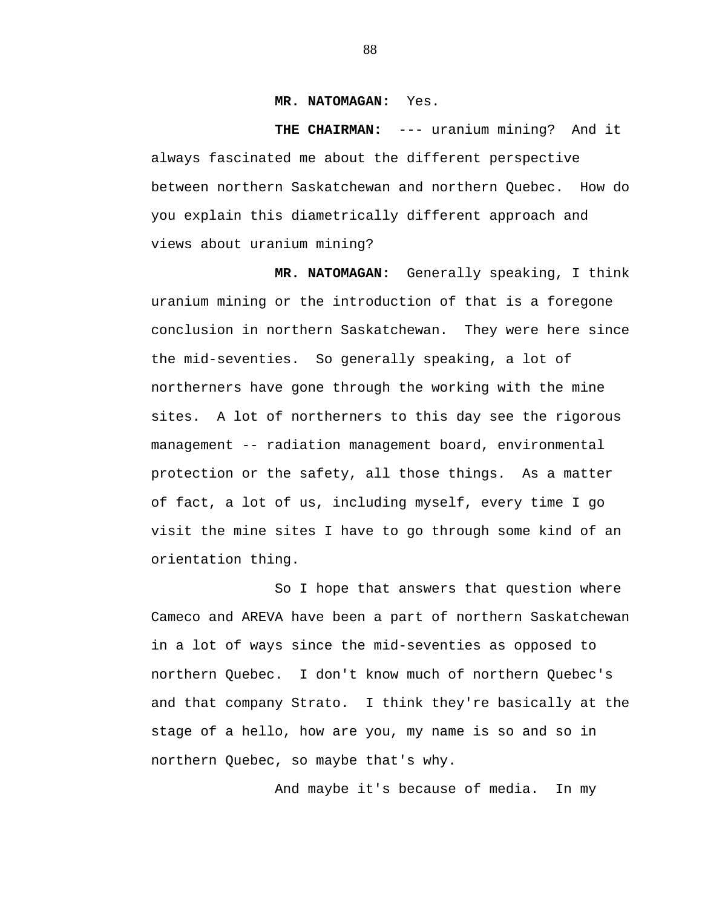## **MR. NATOMAGAN:** Yes.

**THE CHAIRMAN:** --- uranium mining? And it always fascinated me about the different perspective between northern Saskatchewan and northern Quebec. How do you explain this diametrically different approach and views about uranium mining?

**MR. NATOMAGAN:** Generally speaking, I think uranium mining or the introduction of that is a foregone conclusion in northern Saskatchewan. They were here since the mid-seventies. So generally speaking, a lot of northerners have gone through the working with the mine sites. A lot of northerners to this day see the rigorous management -- radiation management board, environmental protection or the safety, all those things. As a matter of fact, a lot of us, including myself, every time I go visit the mine sites I have to go through some kind of an orientation thing.

So I hope that answers that question where Cameco and AREVA have been a part of northern Saskatchewan in a lot of ways since the mid-seventies as opposed to northern Quebec. I don't know much of northern Quebec's and that company Strato. I think they're basically at the stage of a hello, how are you, my name is so and so in northern Quebec, so maybe that's why.

And maybe it's because of media. In my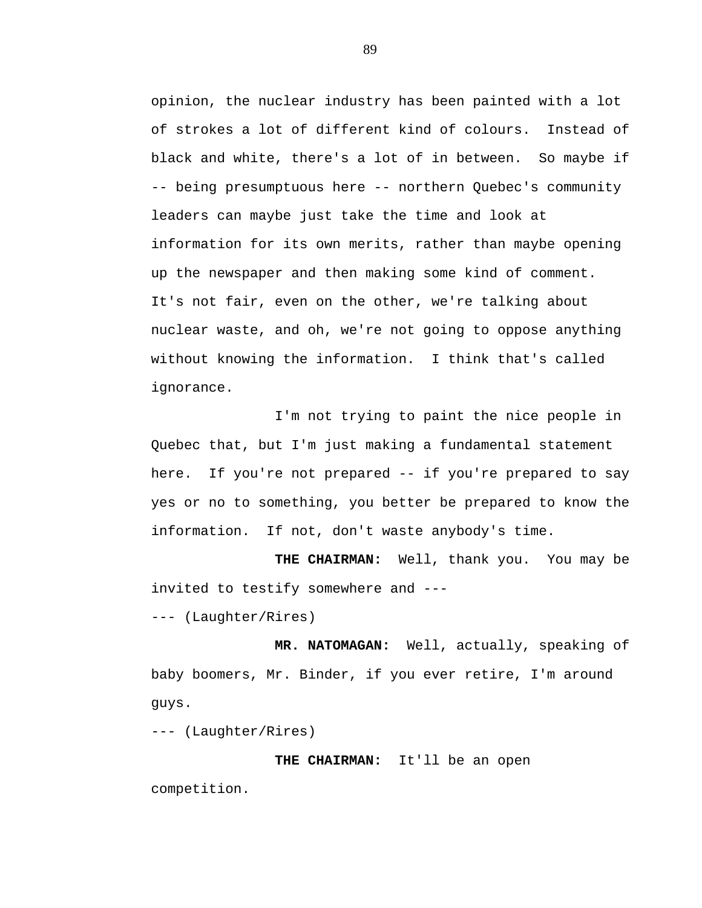opinion, the nuclear industry has been painted with a lot of strokes a lot of different kind of colours. Instead of black and white, there's a lot of in between. So maybe if -- being presumptuous here -- northern Quebec's community leaders can maybe just take the time and look at information for its own merits, rather than maybe opening up the newspaper and then making some kind of comment. It's not fair, even on the other, we're talking about nuclear waste, and oh, we're not going to oppose anything without knowing the information. I think that's called ignorance.

I'm not trying to paint the nice people in Quebec that, but I'm just making a fundamental statement here. If you're not prepared -- if you're prepared to say yes or no to something, you better be prepared to know the information. If not, don't waste anybody's time.

**THE CHAIRMAN:** Well, thank you. You may be invited to testify somewhere and ---

--- (Laughter/Rires)

**MR. NATOMAGAN:** Well, actually, speaking of baby boomers, Mr. Binder, if you ever retire, I'm around guys.

--- (Laughter/Rires)

## **THE CHAIRMAN:** It'll be an open

competition.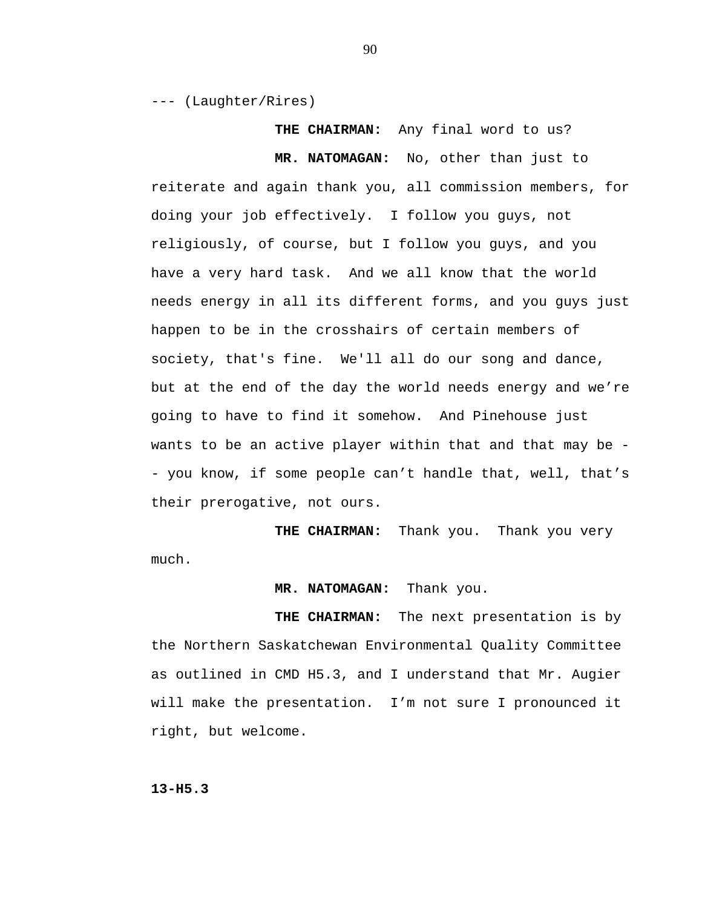--- (Laughter/Rires)

**THE CHAIRMAN:** Any final word to us?

**MR. NATOMAGAN:** No, other than just to

reiterate and again thank you, all commission members, for doing your job effectively. I follow you guys, not religiously, of course, but I follow you guys, and you have a very hard task. And we all know that the world needs energy in all its different forms, and you guys just happen to be in the crosshairs of certain members of society, that's fine. We'll all do our song and dance, but at the end of the day the world needs energy and we're going to have to find it somehow. And Pinehouse just wants to be an active player within that and that may be - you know, if some people can't handle that, well, that's their prerogative, not ours.

**THE CHAIRMAN:** Thank you. Thank you very much.

**MR. NATOMAGAN:** Thank you.

**THE CHAIRMAN:** The next presentation is by the Northern Saskatchewan Environmental Quality Committee as outlined in CMD H5.3, and I understand that Mr. Augier will make the presentation. I'm not sure I pronounced it right, but welcome.

**13-H5.3**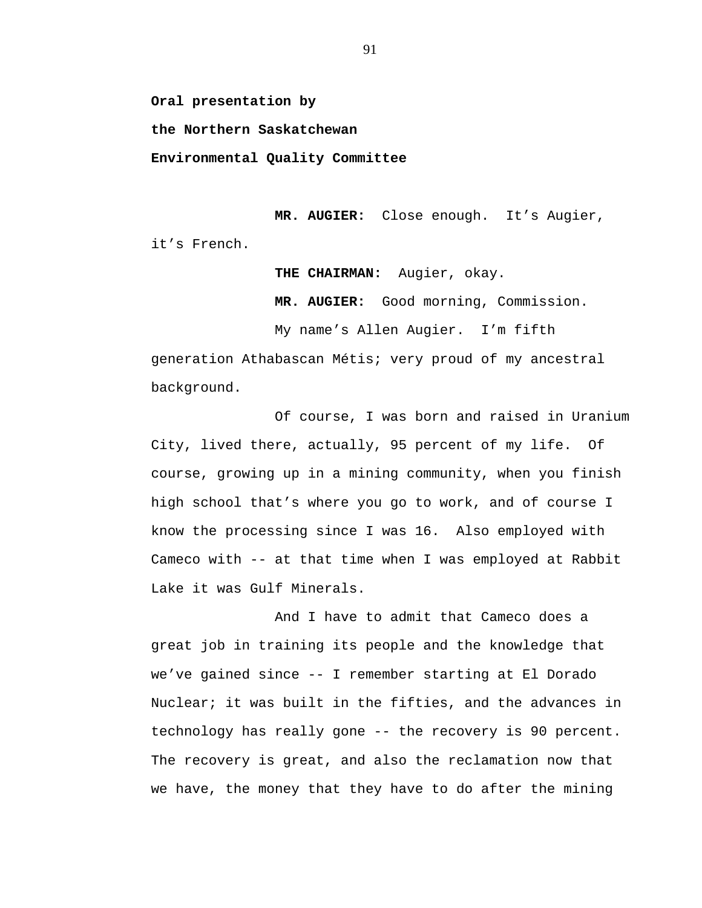**Oral presentation by** 

**the Northern Saskatchewan** 

**Environmental Quality Committee** 

**MR. AUGIER:** Close enough. It's Augier, it's French.

**THE CHAIRMAN:** Augier, okay.

**MR. AUGIER:** Good morning, Commission.

My name's Allen Augier. I'm fifth

generation Athabascan Métis; very proud of my ancestral background.

Of course, I was born and raised in Uranium City, lived there, actually, 95 percent of my life. Of course, growing up in a mining community, when you finish high school that's where you go to work, and of course I know the processing since I was 16. Also employed with Cameco with -- at that time when I was employed at Rabbit Lake it was Gulf Minerals.

And I have to admit that Cameco does a great job in training its people and the knowledge that we've gained since -- I remember starting at El Dorado Nuclear; it was built in the fifties, and the advances in technology has really gone -- the recovery is 90 percent. The recovery is great, and also the reclamation now that we have, the money that they have to do after the mining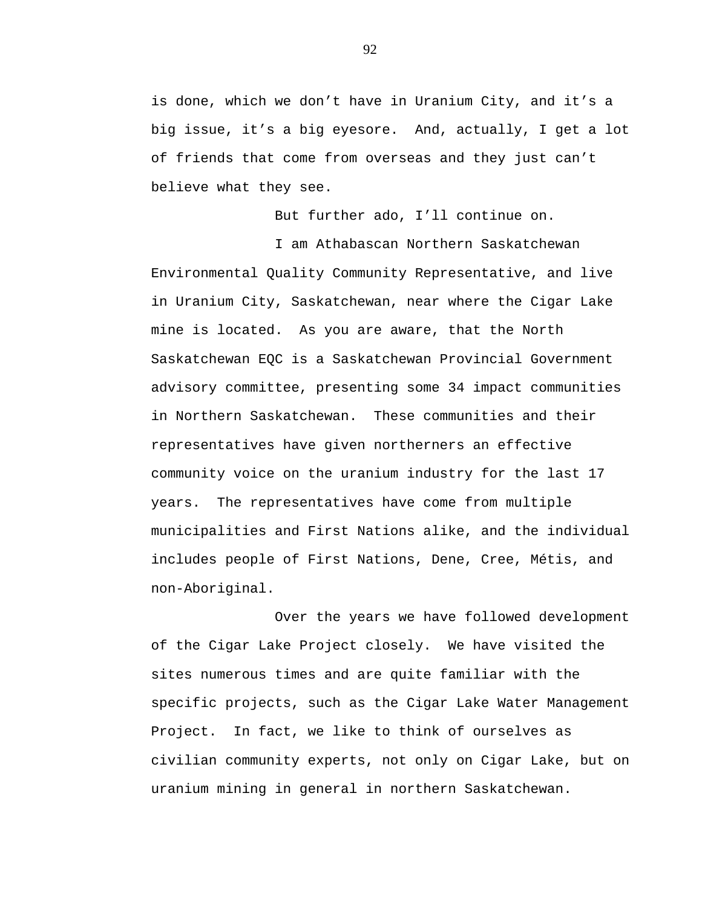is done, which we don't have in Uranium City, and it's a big issue, it's a big eyesore. And, actually, I get a lot of friends that come from overseas and they just can't believe what they see.

But further ado, I'll continue on.

I am Athabascan Northern Saskatchewan Environmental Quality Community Representative, and live in Uranium City, Saskatchewan, near where the Cigar Lake mine is located. As you are aware, that the North Saskatchewan EQC is a Saskatchewan Provincial Government advisory committee, presenting some 34 impact communities in Northern Saskatchewan. These communities and their representatives have given northerners an effective community voice on the uranium industry for the last 17 years. The representatives have come from multiple municipalities and First Nations alike, and the individual includes people of First Nations, Dene, Cree, Métis, and non-Aboriginal.

Over the years we have followed development of the Cigar Lake Project closely. We have visited the sites numerous times and are quite familiar with the specific projects, such as the Cigar Lake Water Management Project. In fact, we like to think of ourselves as civilian community experts, not only on Cigar Lake, but on uranium mining in general in northern Saskatchewan.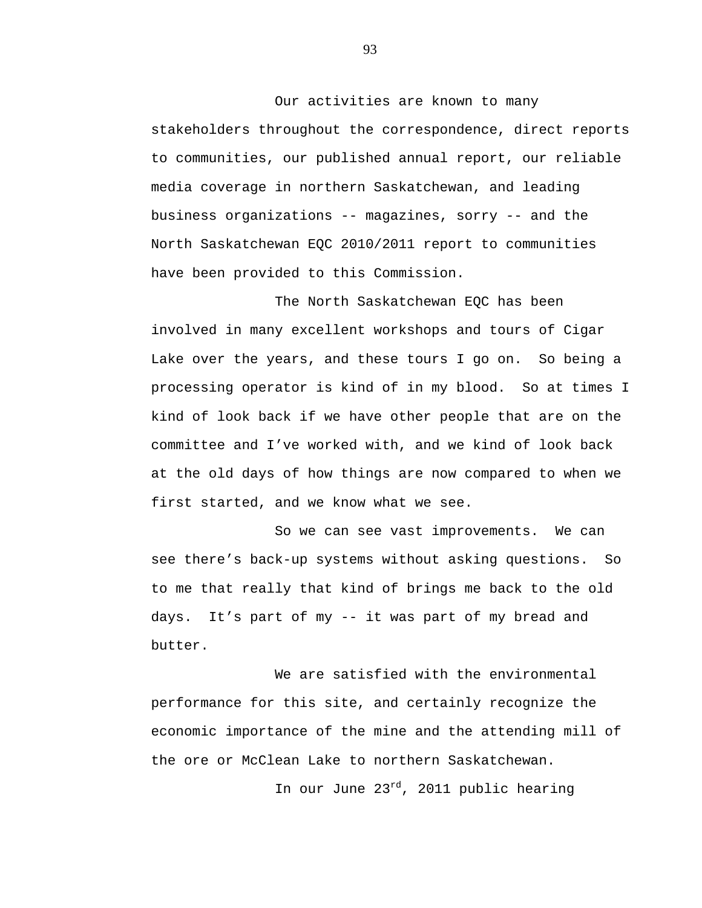Our activities are known to many stakeholders throughout the correspondence, direct reports to communities, our published annual report, our reliable media coverage in northern Saskatchewan, and leading business organizations -- magazines, sorry -- and the North Saskatchewan EQC 2010/2011 report to communities have been provided to this Commission.

The North Saskatchewan EQC has been involved in many excellent workshops and tours of Cigar Lake over the years, and these tours I go on. So being a processing operator is kind of in my blood. So at times I kind of look back if we have other people that are on the committee and I've worked with, and we kind of look back at the old days of how things are now compared to when we first started, and we know what we see.

So we can see vast improvements. We can see there's back-up systems without asking questions. So to me that really that kind of brings me back to the old days. It's part of my -- it was part of my bread and butter.

We are satisfied with the environmental performance for this site, and certainly recognize the economic importance of the mine and the attending mill of the ore or McClean Lake to northern Saskatchewan.

In our June 23<sup>rd</sup>, 2011 public hearing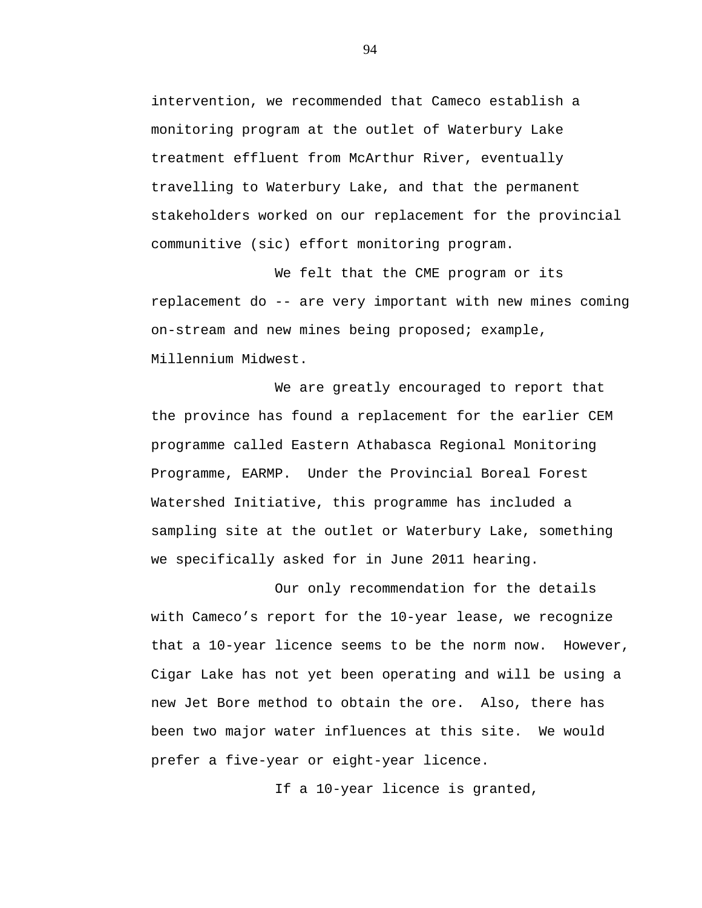intervention, we recommended that Cameco establish a monitoring program at the outlet of Waterbury Lake treatment effluent from McArthur River, eventually travelling to Waterbury Lake, and that the permanent stakeholders worked on our replacement for the provincial communitive (sic) effort monitoring program.

We felt that the CME program or its replacement do -- are very important with new mines coming on-stream and new mines being proposed; example, Millennium Midwest.

We are greatly encouraged to report that the province has found a replacement for the earlier CEM programme called Eastern Athabasca Regional Monitoring Programme, EARMP. Under the Provincial Boreal Forest Watershed Initiative, this programme has included a sampling site at the outlet or Waterbury Lake, something we specifically asked for in June 2011 hearing.

Our only recommendation for the details with Cameco's report for the 10-year lease, we recognize that a 10-year licence seems to be the norm now. However, Cigar Lake has not yet been operating and will be using a new Jet Bore method to obtain the ore. Also, there has been two major water influences at this site. We would prefer a five-year or eight-year licence.

If a 10-year licence is granted,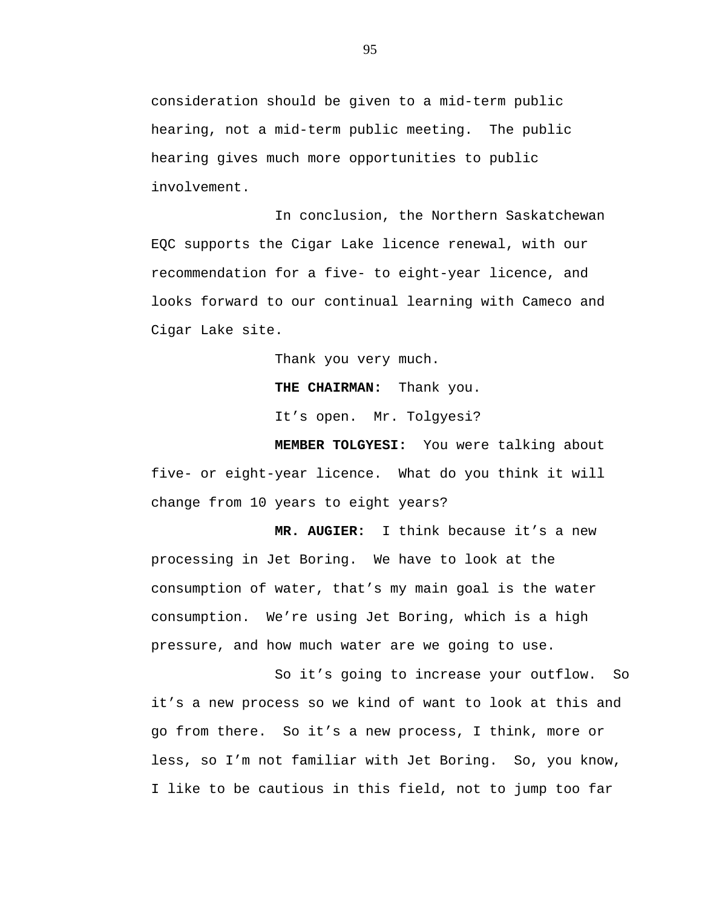consideration should be given to a mid-term public hearing, not a mid-term public meeting. The public hearing gives much more opportunities to public involvement.

In conclusion, the Northern Saskatchewan EQC supports the Cigar Lake licence renewal, with our recommendation for a five- to eight-year licence, and looks forward to our continual learning with Cameco and Cigar Lake site.

Thank you very much.

**THE CHAIRMAN:** Thank you.

It's open. Mr. Tolgyesi?

**MEMBER TOLGYESI:** You were talking about five- or eight-year licence. What do you think it will change from 10 years to eight years?

**MR. AUGIER:** I think because it's a new processing in Jet Boring. We have to look at the consumption of water, that's my main goal is the water consumption. We're using Jet Boring, which is a high pressure, and how much water are we going to use.

So it's going to increase your outflow. So it's a new process so we kind of want to look at this and go from there. So it's a new process, I think, more or less, so I'm not familiar with Jet Boring. So, you know, I like to be cautious in this field, not to jump too far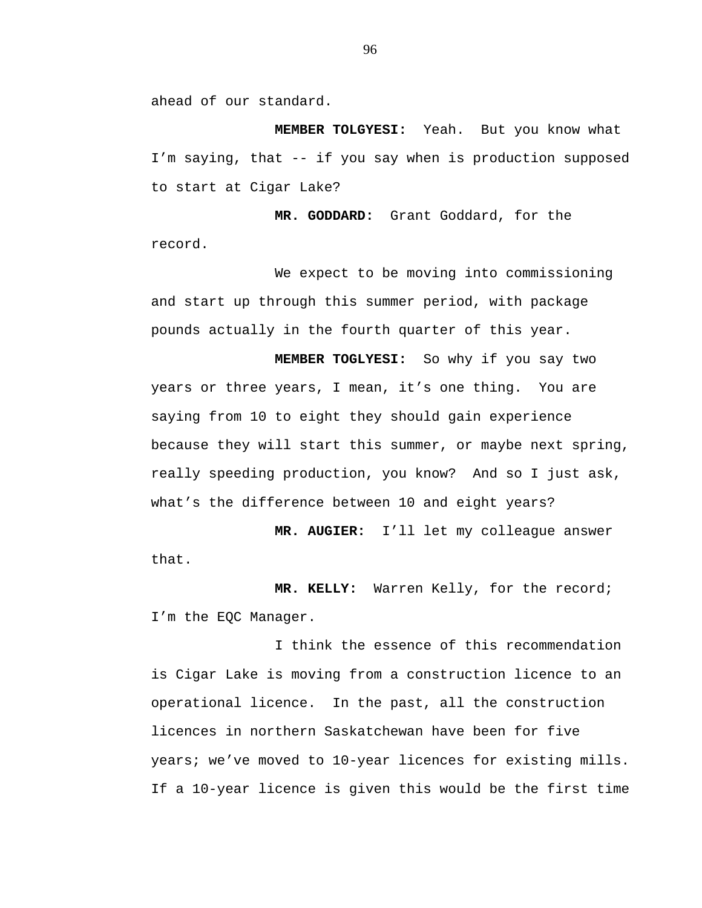ahead of our standard.

**MEMBER TOLGYESI:** Yeah. But you know what I'm saying, that -- if you say when is production supposed to start at Cigar Lake?

**MR. GODDARD:** Grant Goddard, for the record.

We expect to be moving into commissioning and start up through this summer period, with package pounds actually in the fourth quarter of this year.

**MEMBER TOGLYESI:** So why if you say two years or three years, I mean, it's one thing. You are saying from 10 to eight they should gain experience because they will start this summer, or maybe next spring, really speeding production, you know? And so I just ask, what's the difference between 10 and eight years?

**MR. AUGIER:** I'll let my colleague answer that.

**MR. KELLY:** Warren Kelly, for the record; I'm the EQC Manager.

I think the essence of this recommendation is Cigar Lake is moving from a construction licence to an operational licence. In the past, all the construction licences in northern Saskatchewan have been for five years; we've moved to 10-year licences for existing mills. If a 10-year licence is given this would be the first time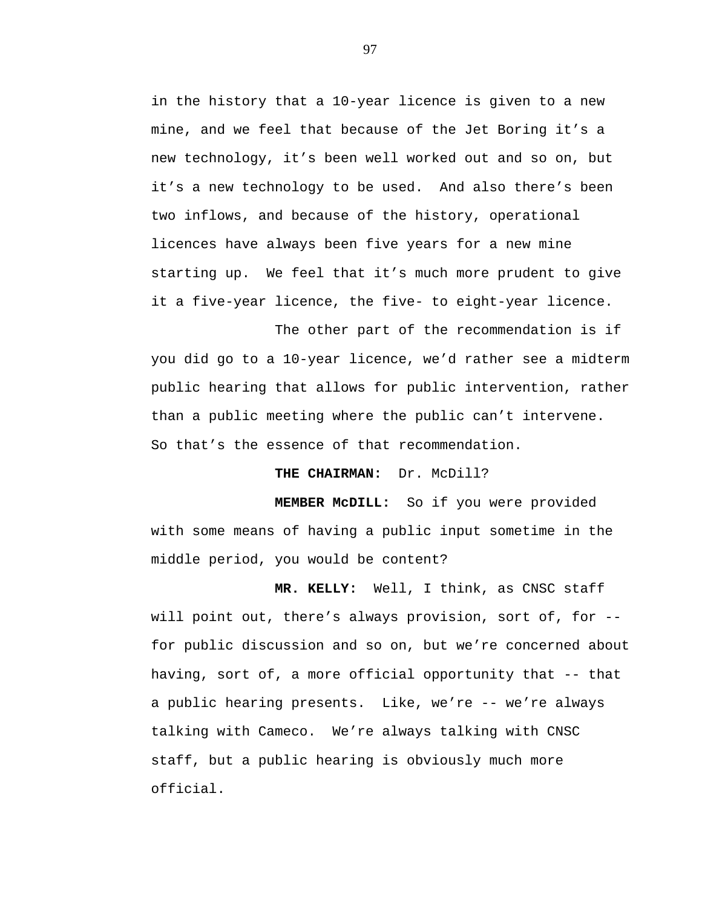in the history that a 10-year licence is given to a new mine, and we feel that because of the Jet Boring it's a new technology, it's been well worked out and so on, but it's a new technology to be used. And also there's been two inflows, and because of the history, operational licences have always been five years for a new mine starting up. We feel that it's much more prudent to give it a five-year licence, the five- to eight-year licence.

The other part of the recommendation is if you did go to a 10-year licence, we'd rather see a midterm public hearing that allows for public intervention, rather than a public meeting where the public can't intervene. So that's the essence of that recommendation.

**THE CHAIRMAN:** Dr. McDill?

**MEMBER McDILL:** So if you were provided with some means of having a public input sometime in the middle period, you would be content?

**MR. KELLY:** Well, I think, as CNSC staff will point out, there's always provision, sort of, for - for public discussion and so on, but we're concerned about having, sort of, a more official opportunity that -- that a public hearing presents. Like, we're -- we're always talking with Cameco. We're always talking with CNSC staff, but a public hearing is obviously much more official.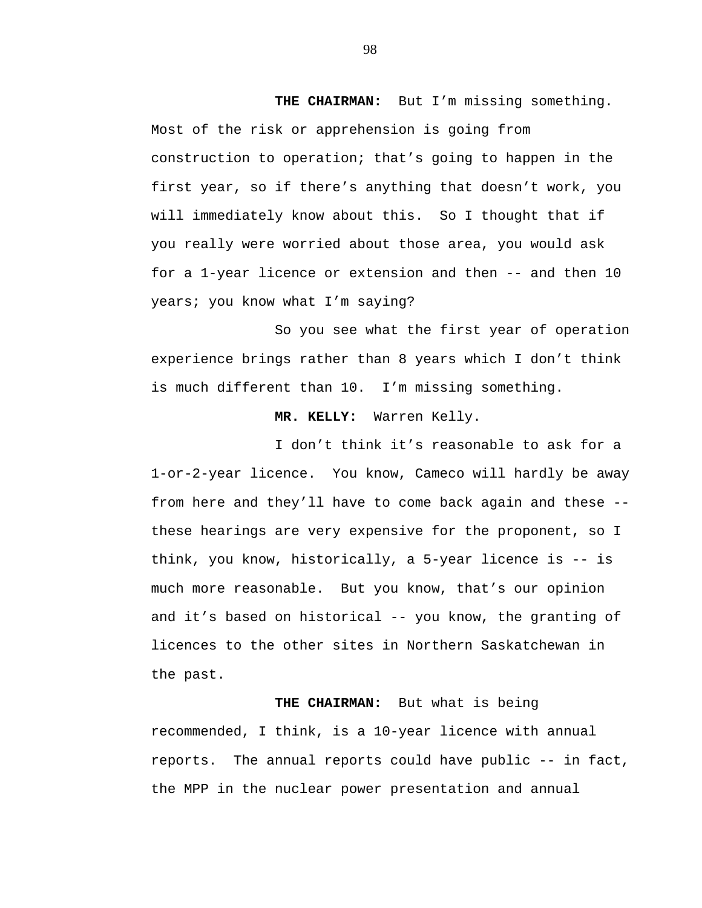**THE CHAIRMAN:** But I'm missing something. Most of the risk or apprehension is going from construction to operation; that's going to happen in the first year, so if there's anything that doesn't work, you will immediately know about this. So I thought that if you really were worried about those area, you would ask for a 1-year licence or extension and then -- and then 10 years; you know what I'm saying?

So you see what the first year of operation experience brings rather than 8 years which I don't think is much different than 10. I'm missing something.

## **MR. KELLY:** Warren Kelly.

I don't think it's reasonable to ask for a 1-or-2-year licence. You know, Cameco will hardly be away from here and they'll have to come back again and these - these hearings are very expensive for the proponent, so I think, you know, historically, a 5-year licence is -- is much more reasonable. But you know, that's our opinion and it's based on historical -- you know, the granting of licences to the other sites in Northern Saskatchewan in the past.

**THE CHAIRMAN:** But what is being recommended, I think, is a 10-year licence with annual reports. The annual reports could have public -- in fact, the MPP in the nuclear power presentation and annual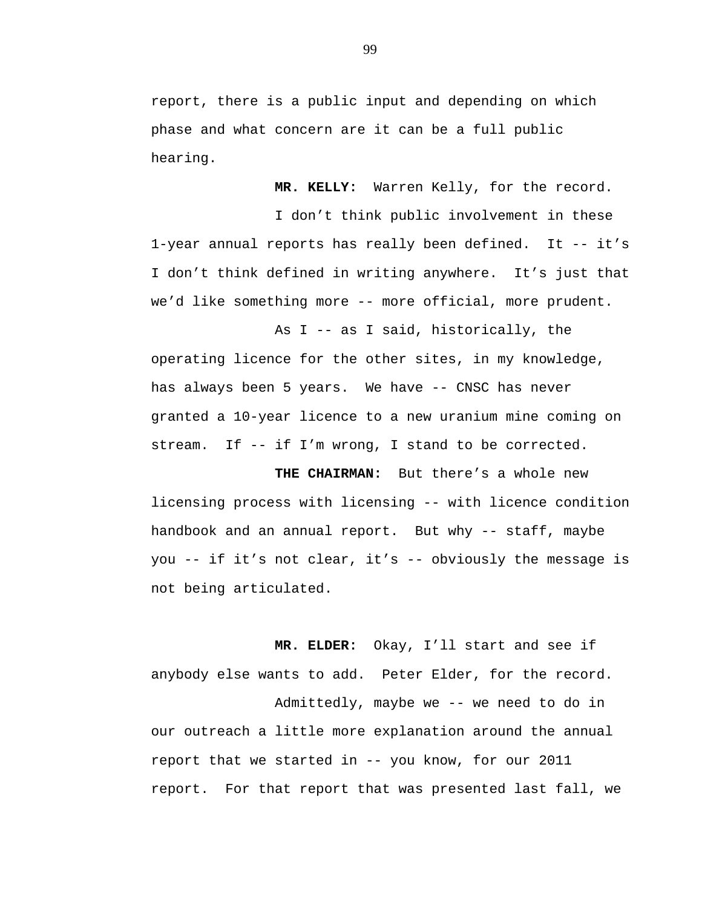report, there is a public input and depending on which phase and what concern are it can be a full public hearing.

**MR. KELLY:** Warren Kelly, for the record.

I don't think public involvement in these 1-year annual reports has really been defined. It -- it's I don't think defined in writing anywhere. It's just that we'd like something more -- more official, more prudent.

As I -- as I said, historically, the operating licence for the other sites, in my knowledge, has always been 5 years. We have -- CNSC has never granted a 10-year licence to a new uranium mine coming on stream. If  $-$ - if I'm wrong, I stand to be corrected.

**THE CHAIRMAN:** But there's a whole new licensing process with licensing -- with licence condition handbook and an annual report. But why -- staff, maybe you -- if it's not clear, it's -- obviously the message is not being articulated.

**MR. ELDER:** Okay, I'll start and see if anybody else wants to add. Peter Elder, for the record. Admittedly, maybe we -- we need to do in our outreach a little more explanation around the annual report that we started in -- you know, for our 2011 report. For that report that was presented last fall, we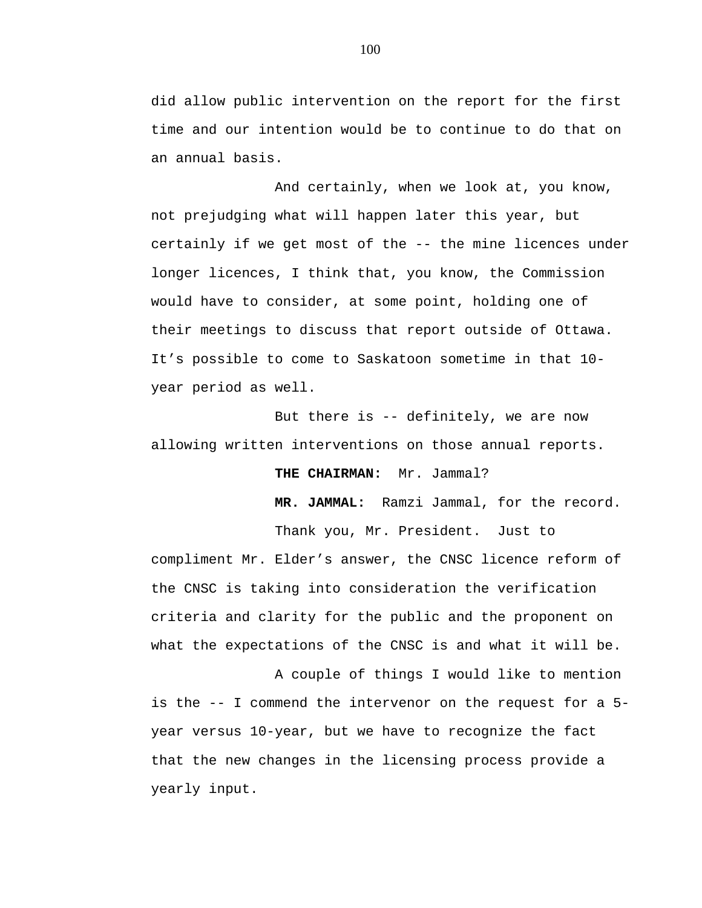did allow public intervention on the report for the first time and our intention would be to continue to do that on an annual basis.

And certainly, when we look at, you know, not prejudging what will happen later this year, but certainly if we get most of the -- the mine licences under longer licences, I think that, you know, the Commission would have to consider, at some point, holding one of their meetings to discuss that report outside of Ottawa. It's possible to come to Saskatoon sometime in that 10 year period as well.

But there is -- definitely, we are now allowing written interventions on those annual reports.

**THE CHAIRMAN:** Mr. Jammal?

**MR. JAMMAL:** Ramzi Jammal, for the record.

Thank you, Mr. President. Just to compliment Mr. Elder's answer, the CNSC licence reform of the CNSC is taking into consideration the verification criteria and clarity for the public and the proponent on what the expectations of the CNSC is and what it will be.

A couple of things I would like to mention is the -- I commend the intervenor on the request for a 5 year versus 10-year, but we have to recognize the fact that the new changes in the licensing process provide a yearly input.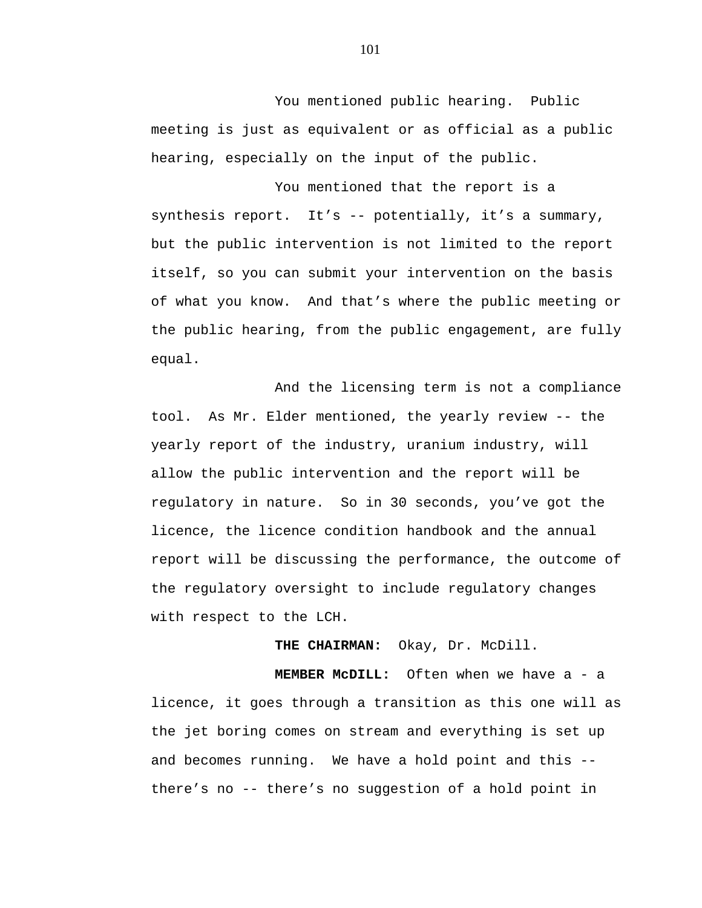You mentioned public hearing. Public meeting is just as equivalent or as official as a public hearing, especially on the input of the public.

You mentioned that the report is a synthesis report. It's -- potentially, it's a summary, but the public intervention is not limited to the report itself, so you can submit your intervention on the basis of what you know. And that's where the public meeting or the public hearing, from the public engagement, are fully equal.

And the licensing term is not a compliance tool. As Mr. Elder mentioned, the yearly review -- the yearly report of the industry, uranium industry, will allow the public intervention and the report will be regulatory in nature. So in 30 seconds, you've got the licence, the licence condition handbook and the annual report will be discussing the performance, the outcome of the regulatory oversight to include regulatory changes with respect to the LCH.

**THE CHAIRMAN:** Okay, Dr. McDill.

**MEMBER McDILL:** Often when we have a - a licence, it goes through a transition as this one will as the jet boring comes on stream and everything is set up and becomes running. We have a hold point and this - there's no -- there's no suggestion of a hold point in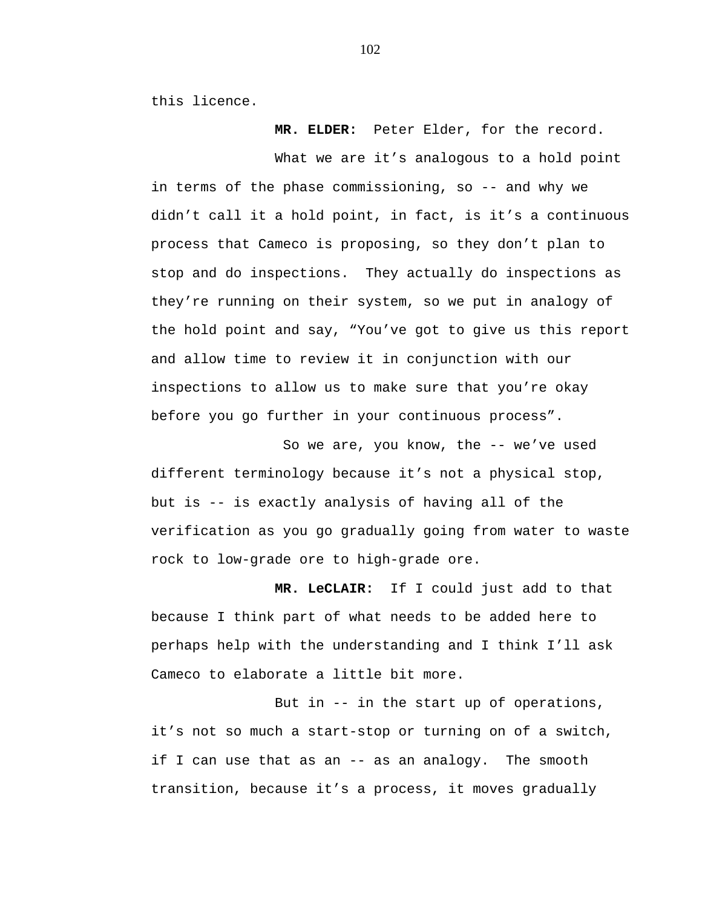this licence.

**MR. ELDER:** Peter Elder, for the record.

What we are it's analogous to a hold point in terms of the phase commissioning, so -- and why we didn't call it a hold point, in fact, is it's a continuous process that Cameco is proposing, so they don't plan to stop and do inspections. They actually do inspections as they're running on their system, so we put in analogy of the hold point and say, "You've got to give us this report and allow time to review it in conjunction with our inspections to allow us to make sure that you're okay before you go further in your continuous process".

So we are, you know, the -- we've used different terminology because it's not a physical stop, but is -- is exactly analysis of having all of the verification as you go gradually going from water to waste rock to low-grade ore to high-grade ore.

**MR. LeCLAIR:** If I could just add to that because I think part of what needs to be added here to perhaps help with the understanding and I think I'll ask Cameco to elaborate a little bit more.

But in -- in the start up of operations, it's not so much a start-stop or turning on of a switch, if I can use that as an -- as an analogy. The smooth transition, because it's a process, it moves gradually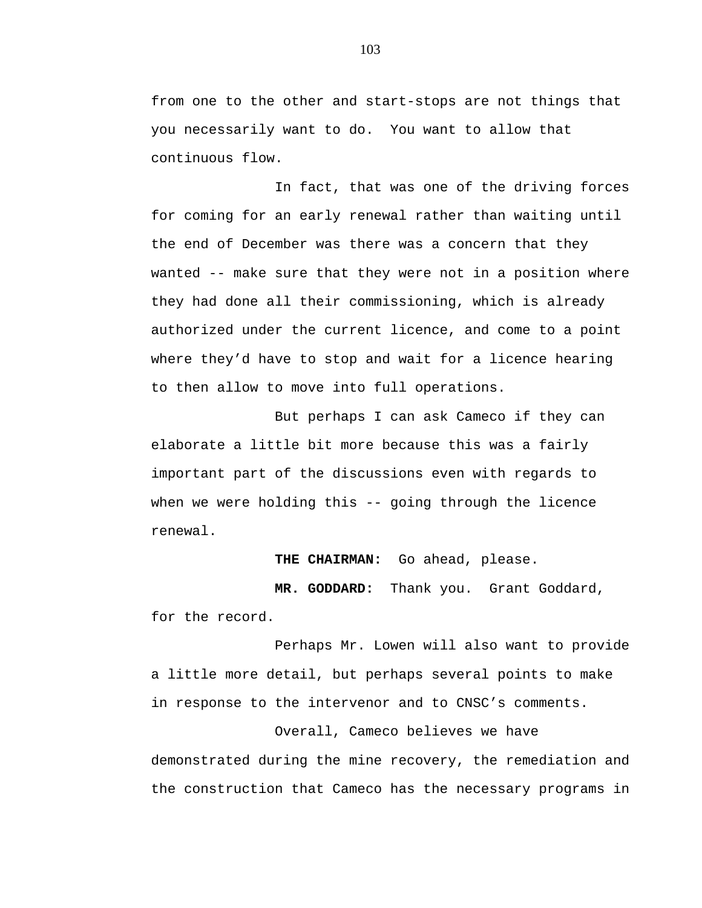from one to the other and start-stops are not things that you necessarily want to do. You want to allow that continuous flow.

In fact, that was one of the driving forces for coming for an early renewal rather than waiting until the end of December was there was a concern that they wanted -- make sure that they were not in a position where they had done all their commissioning, which is already authorized under the current licence, and come to a point where they'd have to stop and wait for a licence hearing to then allow to move into full operations.

But perhaps I can ask Cameco if they can elaborate a little bit more because this was a fairly important part of the discussions even with regards to when we were holding this -- going through the licence renewal.

**THE CHAIRMAN:** Go ahead, please.

 **MR. GODDARD:** Thank you. Grant Goddard, for the record.

Perhaps Mr. Lowen will also want to provide a little more detail, but perhaps several points to make in response to the intervenor and to CNSC's comments.

Overall, Cameco believes we have demonstrated during the mine recovery, the remediation and the construction that Cameco has the necessary programs in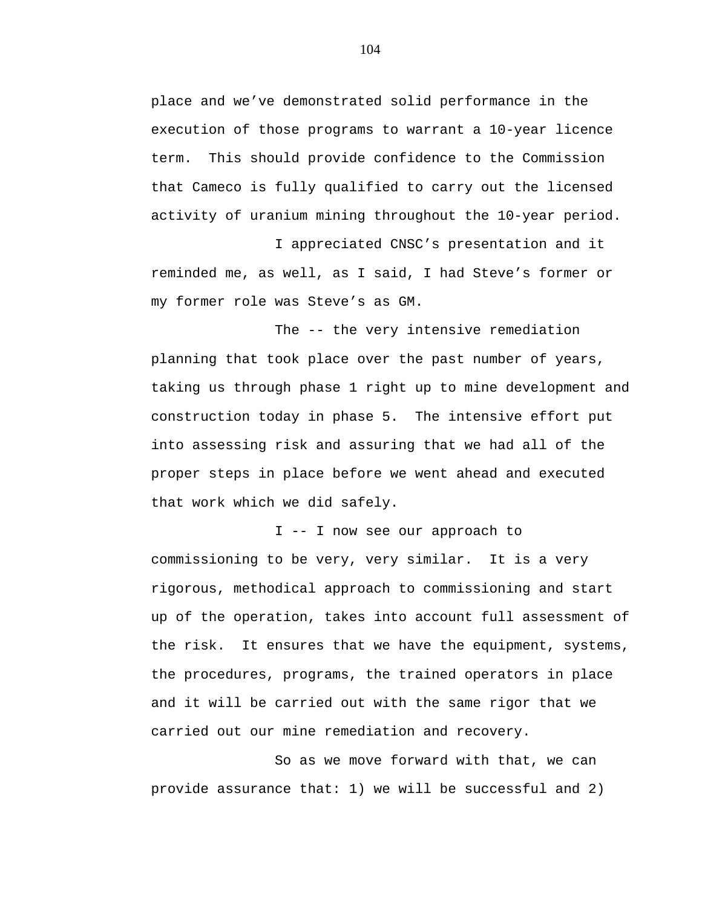place and we've demonstrated solid performance in the execution of those programs to warrant a 10-year licence term. This should provide confidence to the Commission that Cameco is fully qualified to carry out the licensed activity of uranium mining throughout the 10-year period.

I appreciated CNSC's presentation and it reminded me, as well, as I said, I had Steve's former or my former role was Steve's as GM.

The -- the very intensive remediation planning that took place over the past number of years, taking us through phase 1 right up to mine development and construction today in phase 5. The intensive effort put into assessing risk and assuring that we had all of the proper steps in place before we went ahead and executed that work which we did safely.

I -- I now see our approach to commissioning to be very, very similar. It is a very rigorous, methodical approach to commissioning and start up of the operation, takes into account full assessment of the risk. It ensures that we have the equipment, systems, the procedures, programs, the trained operators in place and it will be carried out with the same rigor that we carried out our mine remediation and recovery.

So as we move forward with that, we can provide assurance that: 1) we will be successful and 2)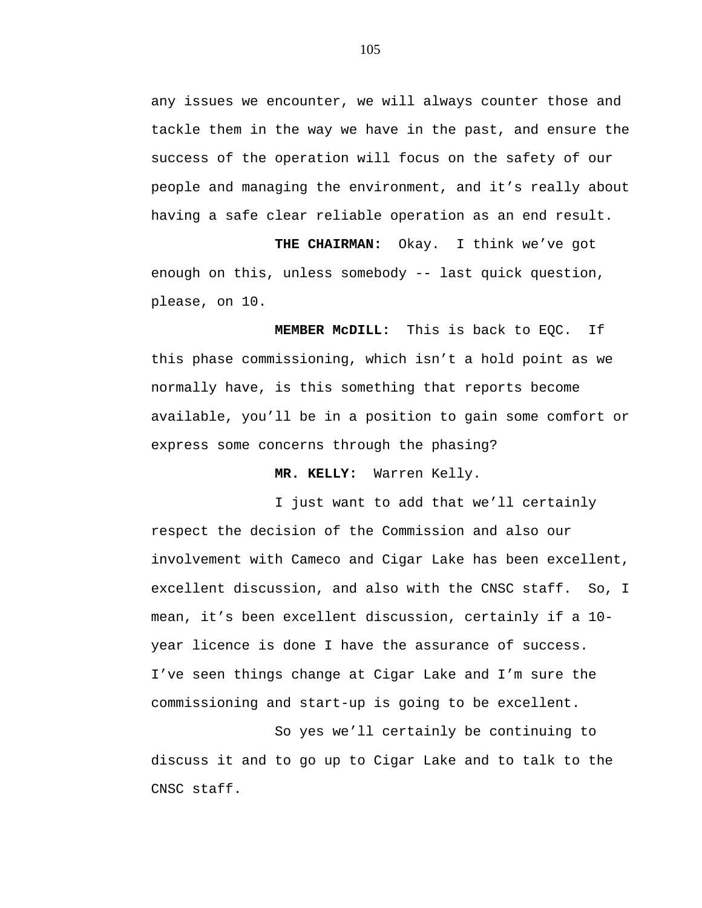any issues we encounter, we will always counter those and tackle them in the way we have in the past, and ensure the success of the operation will focus on the safety of our people and managing the environment, and it's really about having a safe clear reliable operation as an end result.

 **THE CHAIRMAN:** Okay. I think we've got enough on this, unless somebody -- last quick question, please, on 10.

 **MEMBER McDILL:** This is back to EQC. If this phase commissioning, which isn't a hold point as we normally have, is this something that reports become available, you'll be in a position to gain some comfort or express some concerns through the phasing?

**MR. KELLY:** Warren Kelly.

I just want to add that we'll certainly respect the decision of the Commission and also our involvement with Cameco and Cigar Lake has been excellent, excellent discussion, and also with the CNSC staff. So, I mean, it's been excellent discussion, certainly if a 10 year licence is done I have the assurance of success. I've seen things change at Cigar Lake and I'm sure the commissioning and start-up is going to be excellent.

So yes we'll certainly be continuing to discuss it and to go up to Cigar Lake and to talk to the CNSC staff.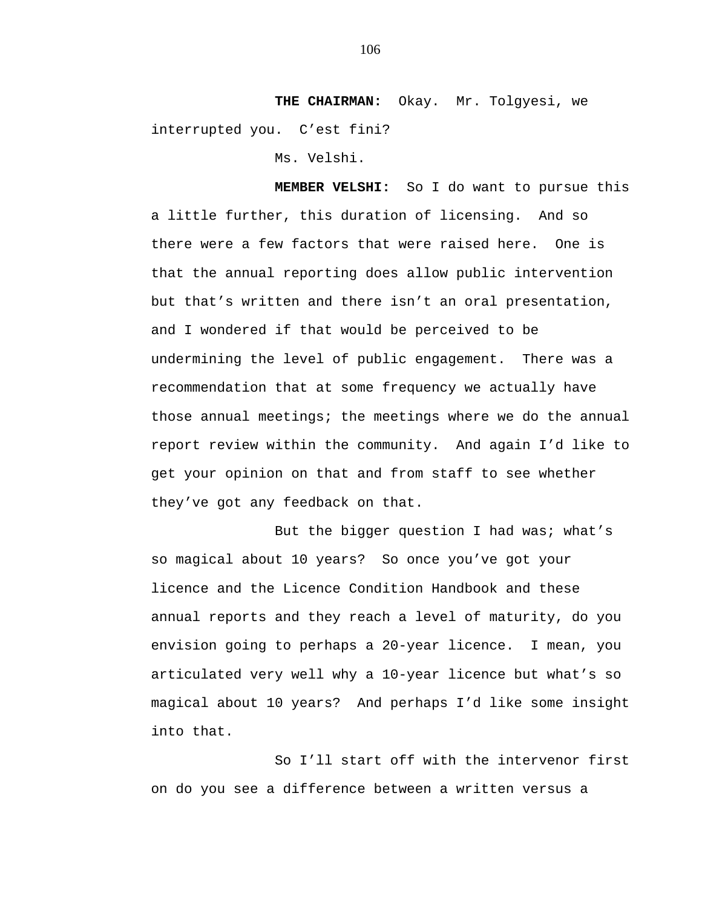**THE CHAIRMAN:** Okay. Mr. Tolgyesi, we interrupted you. C'est fini?

Ms. Velshi.

 **MEMBER VELSHI:** So I do want to pursue this a little further, this duration of licensing. And so there were a few factors that were raised here. One is that the annual reporting does allow public intervention but that's written and there isn't an oral presentation, and I wondered if that would be perceived to be undermining the level of public engagement. There was a recommendation that at some frequency we actually have those annual meetings; the meetings where we do the annual report review within the community. And again I'd like to get your opinion on that and from staff to see whether they've got any feedback on that.

But the bigger question I had was; what's so magical about 10 years? So once you've got your licence and the Licence Condition Handbook and these annual reports and they reach a level of maturity, do you envision going to perhaps a 20-year licence. I mean, you articulated very well why a 10-year licence but what's so magical about 10 years? And perhaps I'd like some insight into that.

So I'll start off with the intervenor first on do you see a difference between a written versus a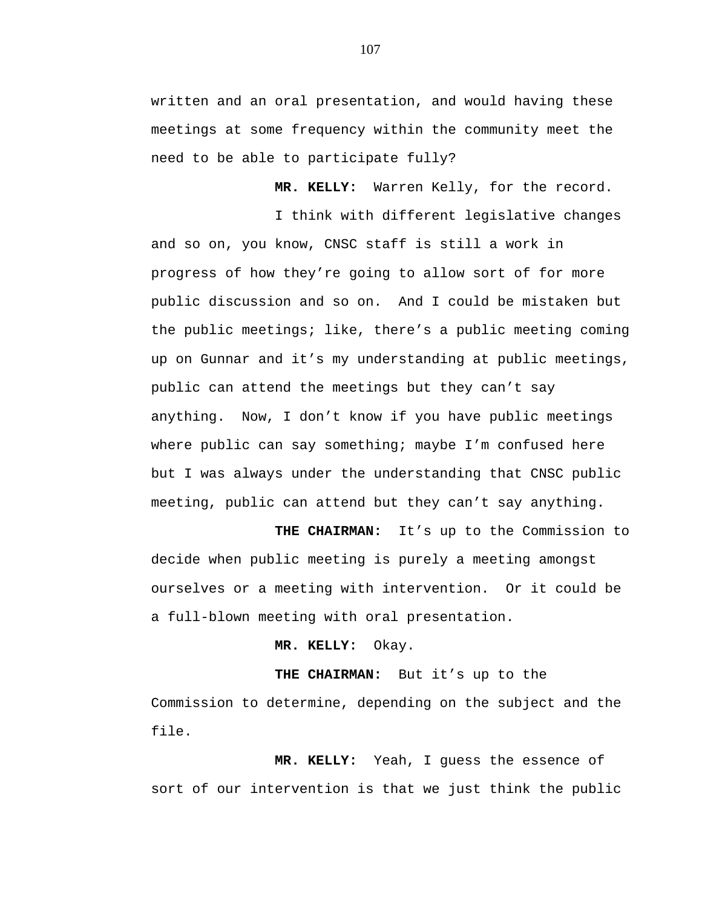written and an oral presentation, and would having these meetings at some frequency within the community meet the need to be able to participate fully?

**MR. KELLY:** Warren Kelly, for the record.

I think with different legislative changes and so on, you know, CNSC staff is still a work in progress of how they're going to allow sort of for more public discussion and so on. And I could be mistaken but the public meetings; like, there's a public meeting coming up on Gunnar and it's my understanding at public meetings, public can attend the meetings but they can't say anything. Now, I don't know if you have public meetings where public can say something; maybe I'm confused here but I was always under the understanding that CNSC public meeting, public can attend but they can't say anything.

 **THE CHAIRMAN:** It's up to the Commission to decide when public meeting is purely a meeting amongst ourselves or a meeting with intervention. Or it could be a full-blown meeting with oral presentation.

**MR. KELLY:** Okay.

**THE CHAIRMAN:** But it's up to the Commission to determine, depending on the subject and the file.

**MR. KELLY:** Yeah, I guess the essence of sort of our intervention is that we just think the public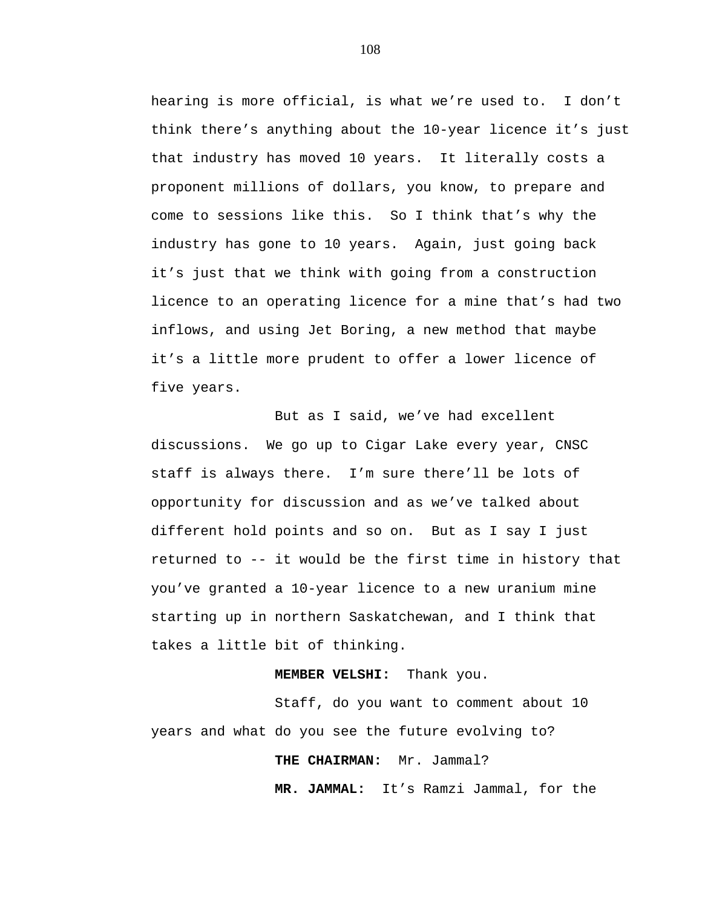hearing is more official, is what we're used to. I don't think there's anything about the 10-year licence it's just that industry has moved 10 years. It literally costs a proponent millions of dollars, you know, to prepare and come to sessions like this. So I think that's why the industry has gone to 10 years. Again, just going back it's just that we think with going from a construction licence to an operating licence for a mine that's had two inflows, and using Jet Boring, a new method that maybe it's a little more prudent to offer a lower licence of five years.

But as I said, we've had excellent discussions. We go up to Cigar Lake every year, CNSC staff is always there. I'm sure there'll be lots of opportunity for discussion and as we've talked about different hold points and so on. But as I say I just returned to -- it would be the first time in history that you've granted a 10-year licence to a new uranium mine starting up in northern Saskatchewan, and I think that takes a little bit of thinking.

### **MEMBER VELSHI:** Thank you.

Staff, do you want to comment about 10 years and what do you see the future evolving to?

# **THE CHAIRMAN:** Mr. Jammal?

 **MR. JAMMAL:** It's Ramzi Jammal, for the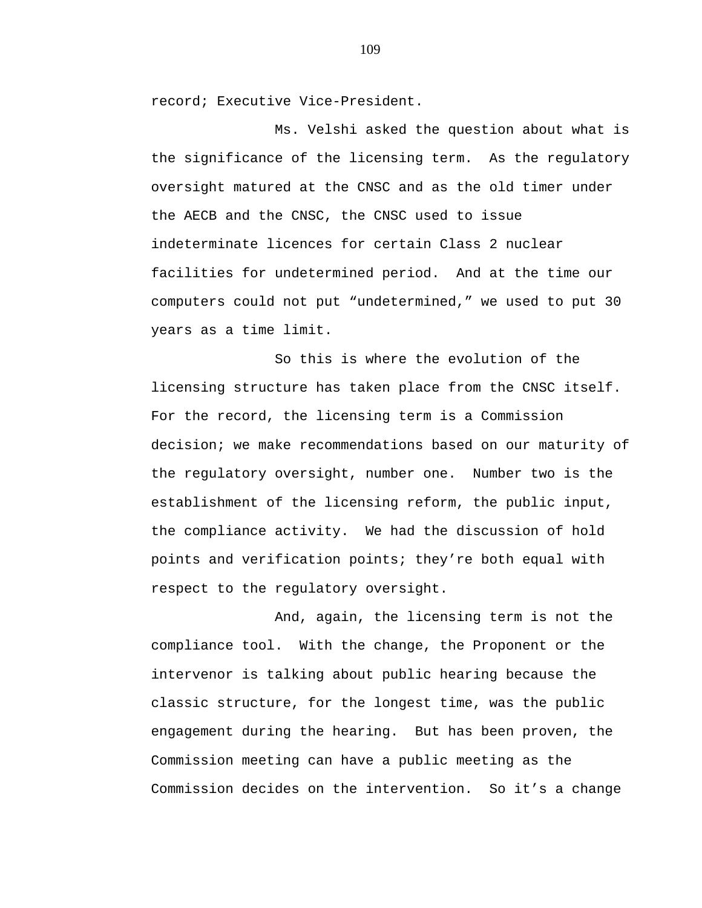record; Executive Vice-President.

Ms. Velshi asked the question about what is the significance of the licensing term. As the regulatory oversight matured at the CNSC and as the old timer under the AECB and the CNSC, the CNSC used to issue indeterminate licences for certain Class 2 nuclear facilities for undetermined period. And at the time our computers could not put "undetermined," we used to put 30 years as a time limit.

So this is where the evolution of the licensing structure has taken place from the CNSC itself. For the record, the licensing term is a Commission decision; we make recommendations based on our maturity of the regulatory oversight, number one. Number two is the establishment of the licensing reform, the public input, the compliance activity. We had the discussion of hold points and verification points; they're both equal with respect to the regulatory oversight.

And, again, the licensing term is not the compliance tool. With the change, the Proponent or the intervenor is talking about public hearing because the classic structure, for the longest time, was the public engagement during the hearing. But has been proven, the Commission meeting can have a public meeting as the Commission decides on the intervention. So it's a change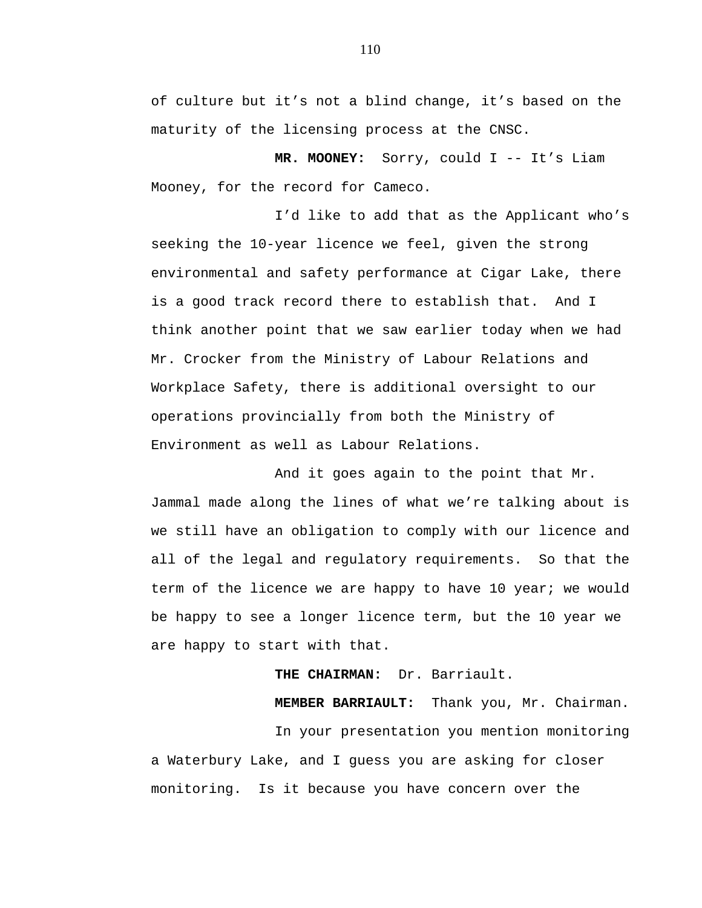of culture but it's not a blind change, it's based on the maturity of the licensing process at the CNSC.

**MR. MOONEY:** Sorry, could I -- It's Liam Mooney, for the record for Cameco.

I'd like to add that as the Applicant who's seeking the 10-year licence we feel, given the strong environmental and safety performance at Cigar Lake, there is a good track record there to establish that. And I think another point that we saw earlier today when we had Mr. Crocker from the Ministry of Labour Relations and Workplace Safety, there is additional oversight to our operations provincially from both the Ministry of Environment as well as Labour Relations.

And it goes again to the point that Mr. Jammal made along the lines of what we're talking about is we still have an obligation to comply with our licence and all of the legal and regulatory requirements. So that the term of the licence we are happy to have 10 year; we would be happy to see a longer licence term, but the 10 year we are happy to start with that.

 **THE CHAIRMAN:** Dr. Barriault.

**MEMBER BARRIAULT:** Thank you, Mr. Chairman.

In your presentation you mention monitoring a Waterbury Lake, and I guess you are asking for closer monitoring. Is it because you have concern over the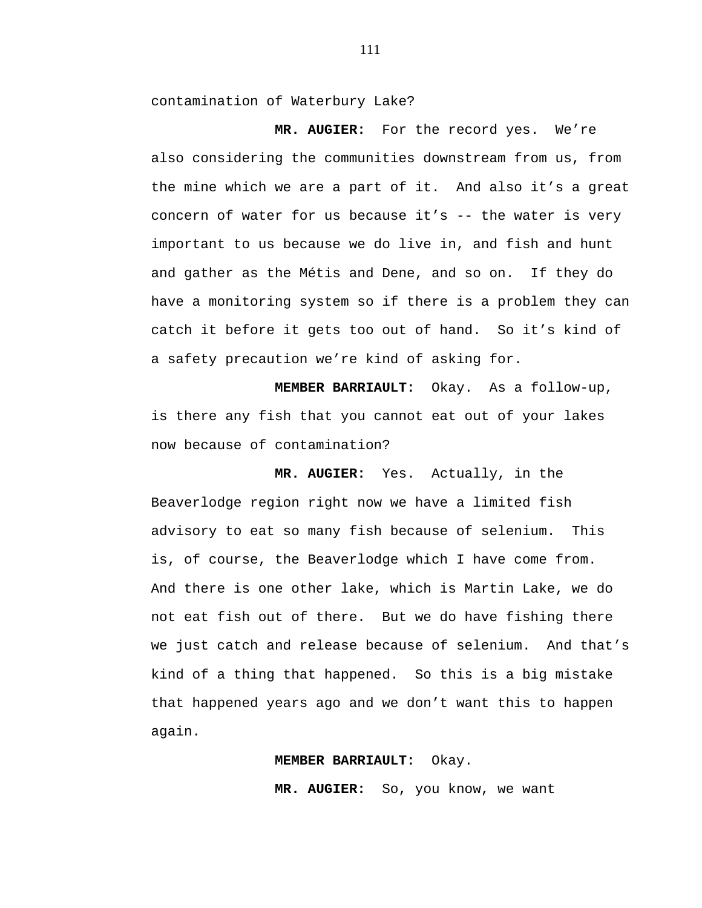contamination of Waterbury Lake?

 **MR. AUGIER:** For the record yes. We're also considering the communities downstream from us, from the mine which we are a part of it. And also it's a great concern of water for us because it's -- the water is very important to us because we do live in, and fish and hunt and gather as the Métis and Dene, and so on. If they do have a monitoring system so if there is a problem they can catch it before it gets too out of hand. So it's kind of a safety precaution we're kind of asking for.

**MEMBER BARRIAULT:** Okay. As a follow-up, is there any fish that you cannot eat out of your lakes now because of contamination?

 **MR. AUGIER:** Yes. Actually, in the Beaverlodge region right now we have a limited fish advisory to eat so many fish because of selenium. This is, of course, the Beaverlodge which I have come from. And there is one other lake, which is Martin Lake, we do not eat fish out of there. But we do have fishing there we just catch and release because of selenium. And that's kind of a thing that happened. So this is a big mistake that happened years ago and we don't want this to happen again.

#### **MEMBER BARRIAULT:** Okay.

**MR. AUGIER:** So, you know, we want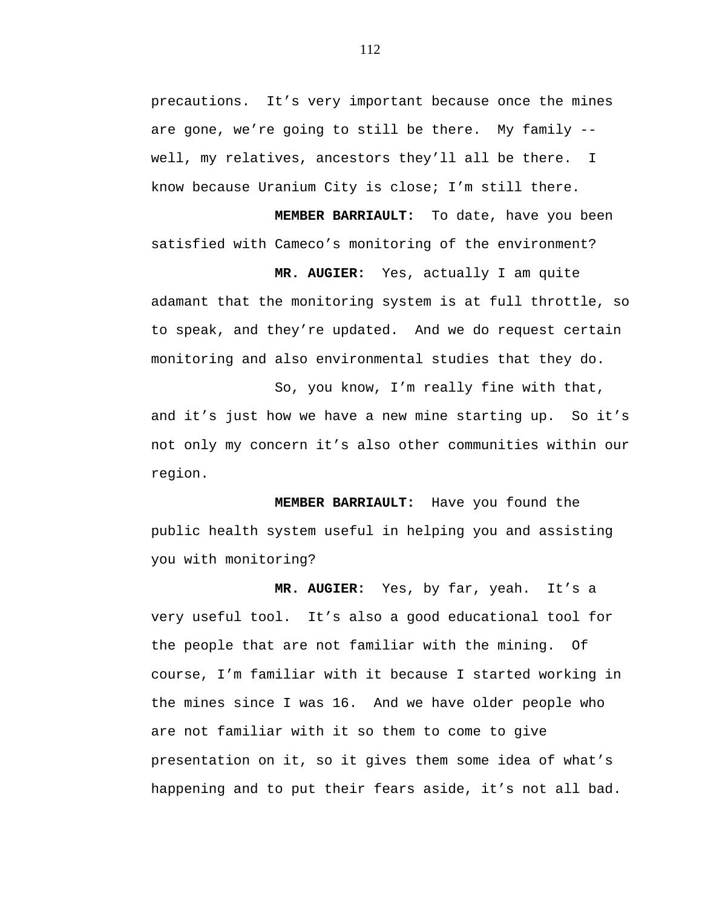precautions. It's very important because once the mines are gone, we're going to still be there. My family - well, my relatives, ancestors they'll all be there. I know because Uranium City is close; I'm still there.

**MEMBER BARRIAULT:** To date, have you been satisfied with Cameco's monitoring of the environment?

 **MR. AUGIER:** Yes, actually I am quite adamant that the monitoring system is at full throttle, so to speak, and they're updated. And we do request certain monitoring and also environmental studies that they do.

So, you know, I'm really fine with that, and it's just how we have a new mine starting up. So it's not only my concern it's also other communities within our region.

**MEMBER BARRIAULT:** Have you found the public health system useful in helping you and assisting you with monitoring?

**MR. AUGIER:** Yes, by far, yeah. It's a very useful tool. It's also a good educational tool for the people that are not familiar with the mining. Of course, I'm familiar with it because I started working in the mines since I was 16. And we have older people who are not familiar with it so them to come to give presentation on it, so it gives them some idea of what's happening and to put their fears aside, it's not all bad.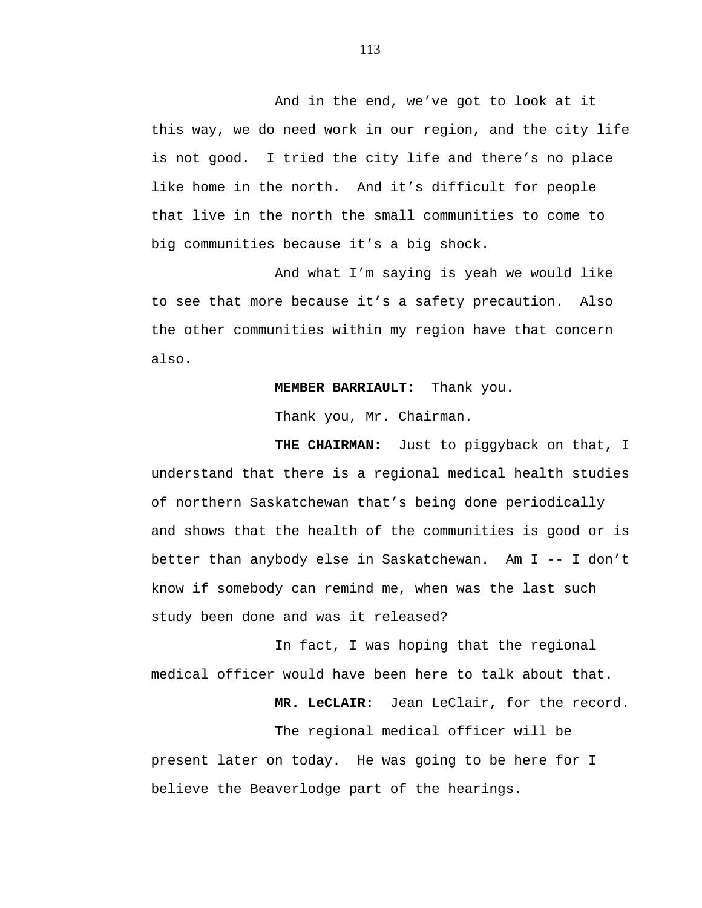And in the end, we've got to look at it this way, we do need work in our region, and the city life is not good. I tried the city life and there's no place like home in the north. And it's difficult for people that live in the north the small communities to come to big communities because it's a big shock.

And what I'm saying is yeah we would like to see that more because it's a safety precaution. Also the other communities within my region have that concern also.

## **MEMBER BARRIAULT:** Thank you.

Thank you, Mr. Chairman.

**THE CHAIRMAN:** Just to piggyback on that, I understand that there is a regional medical health studies of northern Saskatchewan that's being done periodically and shows that the health of the communities is good or is better than anybody else in Saskatchewan. Am I -- I don't know if somebody can remind me, when was the last such study been done and was it released?

In fact, I was hoping that the regional medical officer would have been here to talk about that.

**MR. LeCLAIR:** Jean LeClair, for the record.

The regional medical officer will be present later on today. He was going to be here for I believe the Beaverlodge part of the hearings.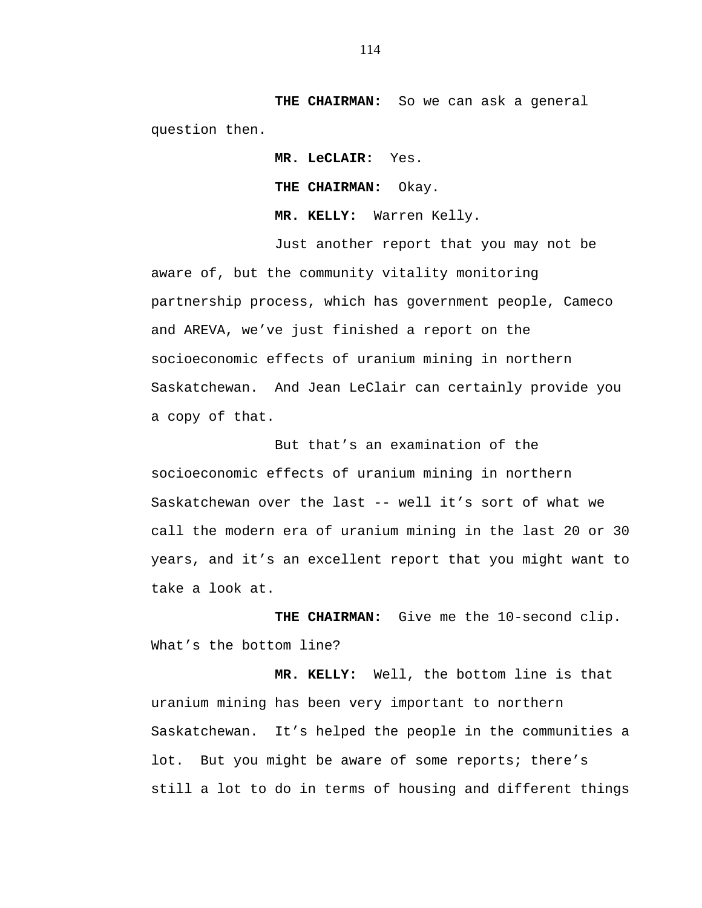**THE CHAIRMAN:** So we can ask a general question then.

> **MR. LeCLAIR:** Yes. **THE CHAIRMAN:** Okay. **MR. KELLY:** Warren Kelly.

Just another report that you may not be aware of, but the community vitality monitoring partnership process, which has government people, Cameco and AREVA, we've just finished a report on the socioeconomic effects of uranium mining in northern Saskatchewan. And Jean LeClair can certainly provide you a copy of that.

But that's an examination of the socioeconomic effects of uranium mining in northern Saskatchewan over the last -- well it's sort of what we call the modern era of uranium mining in the last 20 or 30 years, and it's an excellent report that you might want to take a look at.

**THE CHAIRMAN:** Give me the 10-second clip. What's the bottom line?

**MR. KELLY:** Well, the bottom line is that uranium mining has been very important to northern Saskatchewan. It's helped the people in the communities a lot. But you might be aware of some reports; there's still a lot to do in terms of housing and different things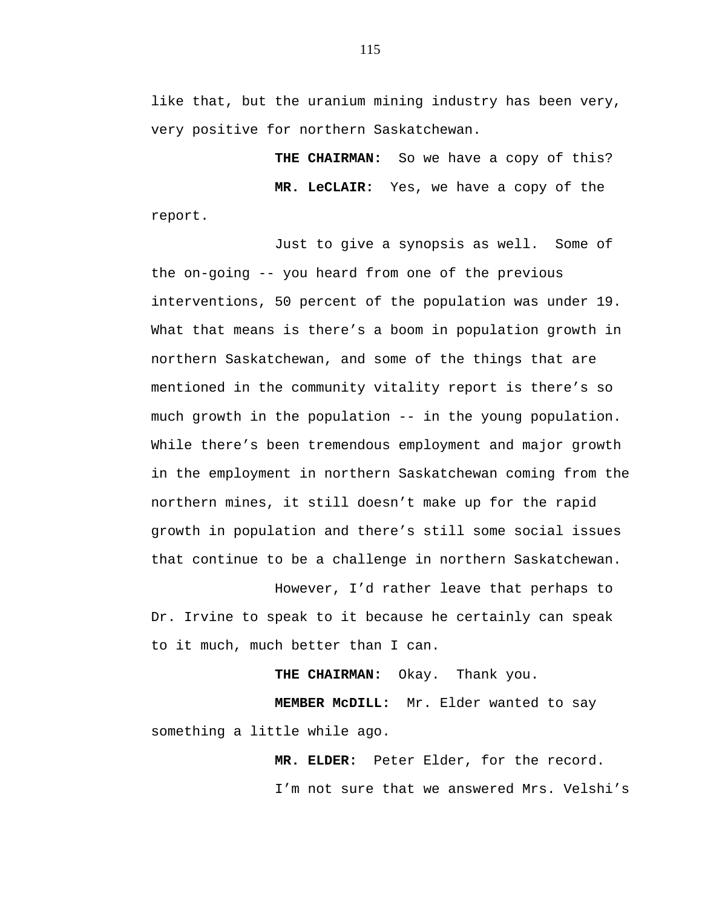like that, but the uranium mining industry has been very, very positive for northern Saskatchewan.

THE CHAIRMAN: So we have a copy of this? **MR. LeCLAIR:** Yes, we have a copy of the report.

Just to give a synopsis as well. Some of the on-going -- you heard from one of the previous interventions, 50 percent of the population was under 19. What that means is there's a boom in population growth in northern Saskatchewan, and some of the things that are mentioned in the community vitality report is there's so much growth in the population -- in the young population. While there's been tremendous employment and major growth in the employment in northern Saskatchewan coming from the northern mines, it still doesn't make up for the rapid growth in population and there's still some social issues that continue to be a challenge in northern Saskatchewan.

However, I'd rather leave that perhaps to Dr. Irvine to speak to it because he certainly can speak to it much, much better than I can.

**THE CHAIRMAN:** Okay. Thank you.

**MEMBER McDILL:** Mr. Elder wanted to say something a little while ago.

**MR. ELDER:** Peter Elder, for the record.

I'm not sure that we answered Mrs. Velshi's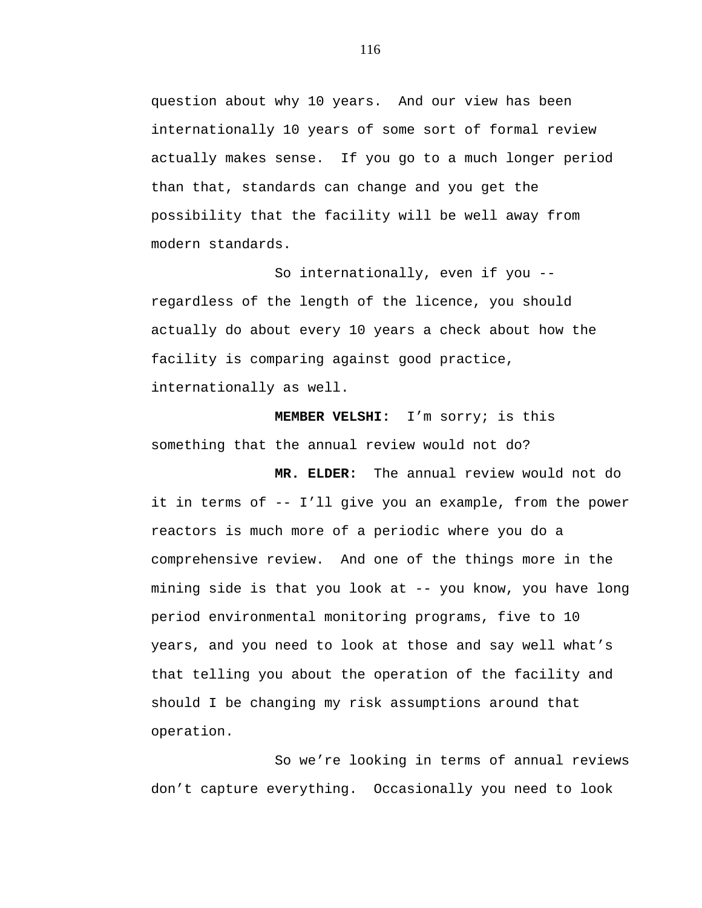question about why 10 years. And our view has been internationally 10 years of some sort of formal review actually makes sense. If you go to a much longer period than that, standards can change and you get the possibility that the facility will be well away from modern standards.

So internationally, even if you - regardless of the length of the licence, you should actually do about every 10 years a check about how the facility is comparing against good practice, internationally as well.

 **MEMBER VELSHI:** I'm sorry; is this something that the annual review would not do?

**MR. ELDER:** The annual review would not do it in terms of -- I'll give you an example, from the power reactors is much more of a periodic where you do a comprehensive review. And one of the things more in the mining side is that you look at -- you know, you have long period environmental monitoring programs, five to 10 years, and you need to look at those and say well what's that telling you about the operation of the facility and should I be changing my risk assumptions around that operation.

So we're looking in terms of annual reviews don't capture everything. Occasionally you need to look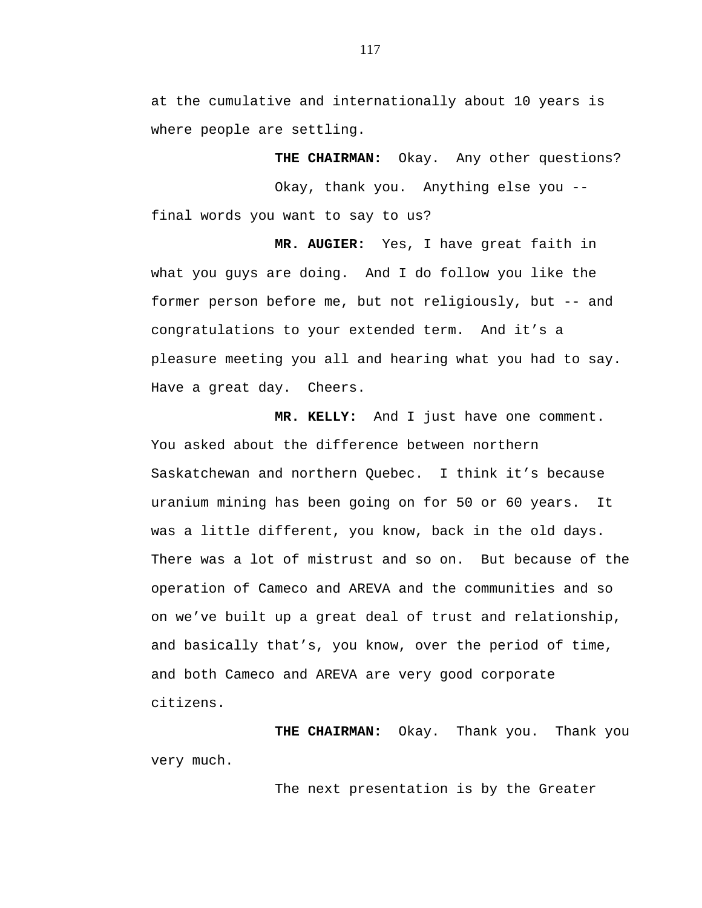at the cumulative and internationally about 10 years is where people are settling.

**THE CHAIRMAN:** Okay. Any other questions?

Okay, thank you. Anything else you - final words you want to say to us?

 **MR. AUGIER:** Yes, I have great faith in what you guys are doing. And I do follow you like the former person before me, but not religiously, but -- and congratulations to your extended term. And it's a pleasure meeting you all and hearing what you had to say. Have a great day. Cheers.

**MR. KELLY:** And I just have one comment. You asked about the difference between northern Saskatchewan and northern Quebec. I think it's because uranium mining has been going on for 50 or 60 years. It was a little different, you know, back in the old days. There was a lot of mistrust and so on. But because of the operation of Cameco and AREVA and the communities and so on we've built up a great deal of trust and relationship, and basically that's, you know, over the period of time, and both Cameco and AREVA are very good corporate citizens.

**THE CHAIRMAN:** Okay. Thank you. Thank you very much.

The next presentation is by the Greater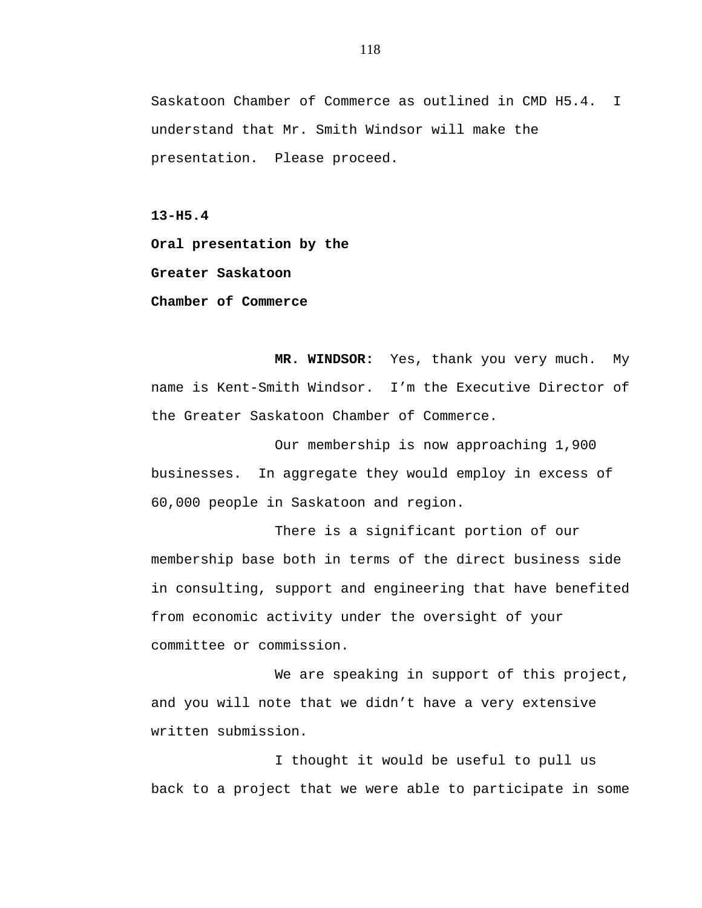Saskatoon Chamber of Commerce as outlined in CMD H5.4. I understand that Mr. Smith Windsor will make the presentation. Please proceed.

**13-H5.4** 

**Oral presentation by the** 

**Greater Saskatoon** 

**Chamber of Commerce** 

**MR. WINDSOR:** Yes, thank you very much. My name is Kent-Smith Windsor. I'm the Executive Director of the Greater Saskatoon Chamber of Commerce.

Our membership is now approaching 1,900 businesses. In aggregate they would employ in excess of 60,000 people in Saskatoon and region.

There is a significant portion of our membership base both in terms of the direct business side in consulting, support and engineering that have benefited from economic activity under the oversight of your committee or commission.

We are speaking in support of this project, and you will note that we didn't have a very extensive written submission.

I thought it would be useful to pull us back to a project that we were able to participate in some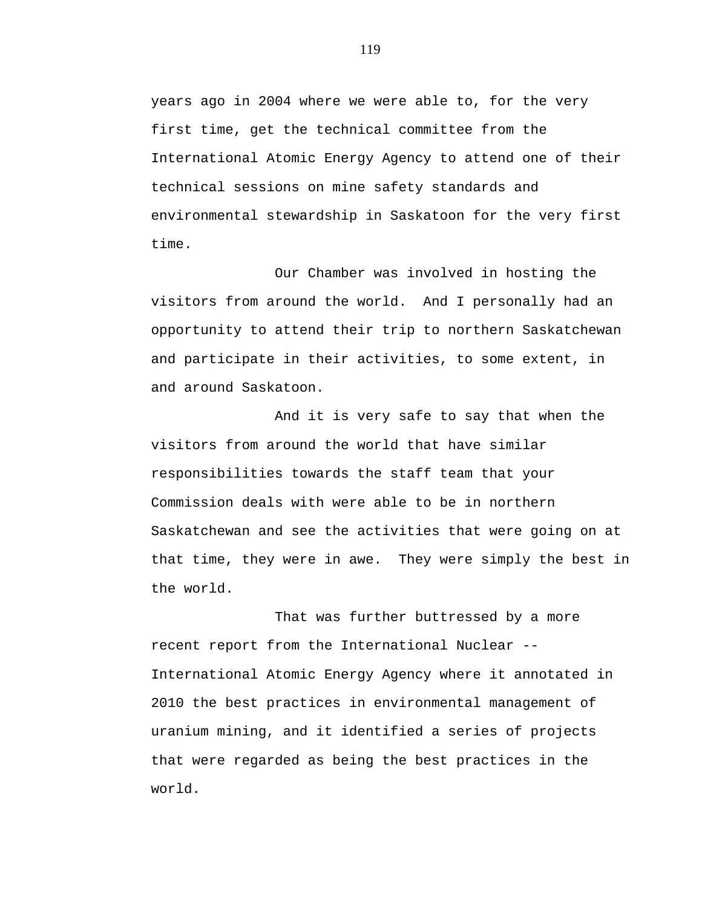years ago in 2004 where we were able to, for the very first time, get the technical committee from the International Atomic Energy Agency to attend one of their technical sessions on mine safety standards and environmental stewardship in Saskatoon for the very first time.

Our Chamber was involved in hosting the visitors from around the world. And I personally had an opportunity to attend their trip to northern Saskatchewan and participate in their activities, to some extent, in and around Saskatoon.

And it is very safe to say that when the visitors from around the world that have similar responsibilities towards the staff team that your Commission deals with were able to be in northern Saskatchewan and see the activities that were going on at that time, they were in awe. They were simply the best in the world.

That was further buttressed by a more recent report from the International Nuclear -- International Atomic Energy Agency where it annotated in 2010 the best practices in environmental management of uranium mining, and it identified a series of projects that were regarded as being the best practices in the world.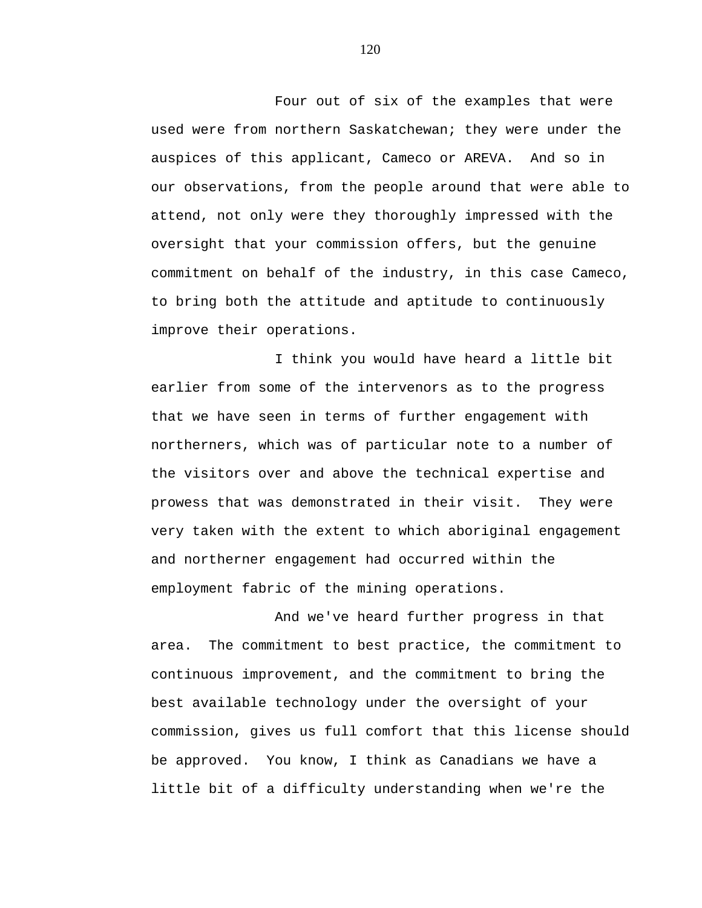Four out of six of the examples that were used were from northern Saskatchewan; they were under the auspices of this applicant, Cameco or AREVA. And so in our observations, from the people around that were able to attend, not only were they thoroughly impressed with the oversight that your commission offers, but the genuine commitment on behalf of the industry, in this case Cameco, to bring both the attitude and aptitude to continuously improve their operations.

I think you would have heard a little bit earlier from some of the intervenors as to the progress that we have seen in terms of further engagement with northerners, which was of particular note to a number of the visitors over and above the technical expertise and prowess that was demonstrated in their visit. They were very taken with the extent to which aboriginal engagement and northerner engagement had occurred within the employment fabric of the mining operations.

And we've heard further progress in that area. The commitment to best practice, the commitment to continuous improvement, and the commitment to bring the best available technology under the oversight of your commission, gives us full comfort that this license should be approved. You know, I think as Canadians we have a little bit of a difficulty understanding when we're the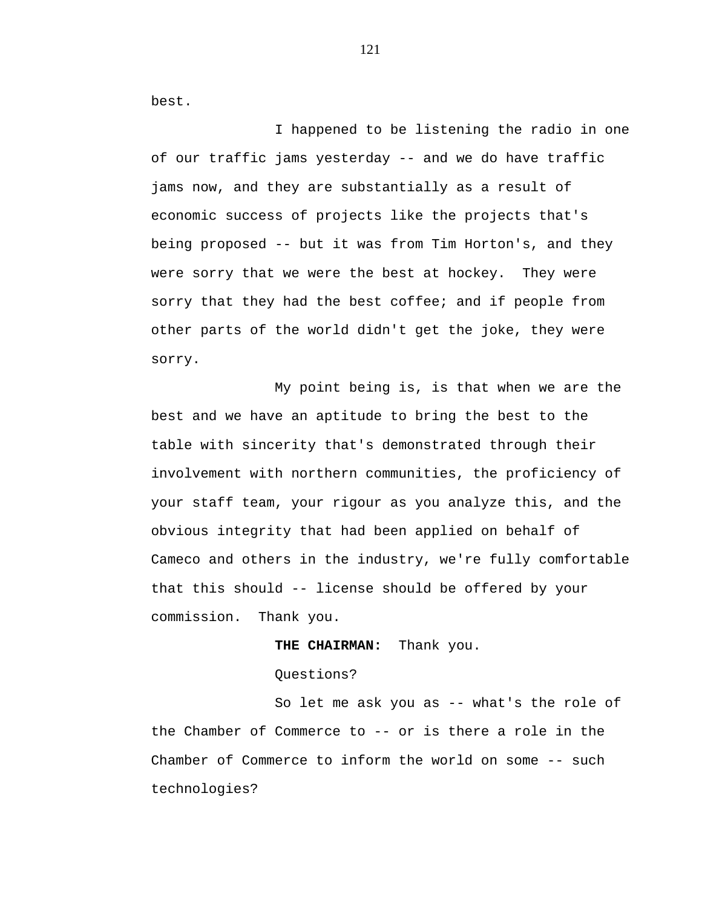best.

I happened to be listening the radio in one of our traffic jams yesterday -- and we do have traffic jams now, and they are substantially as a result of economic success of projects like the projects that's being proposed -- but it was from Tim Horton's, and they were sorry that we were the best at hockey. They were sorry that they had the best coffee; and if people from other parts of the world didn't get the joke, they were sorry.

My point being is, is that when we are the best and we have an aptitude to bring the best to the table with sincerity that's demonstrated through their involvement with northern communities, the proficiency of your staff team, your rigour as you analyze this, and the obvious integrity that had been applied on behalf of Cameco and others in the industry, we're fully comfortable that this should -- license should be offered by your commission. Thank you.

## **THE CHAIRMAN:** Thank you.

Questions?

So let me ask you as -- what's the role of the Chamber of Commerce to -- or is there a role in the Chamber of Commerce to inform the world on some -- such technologies?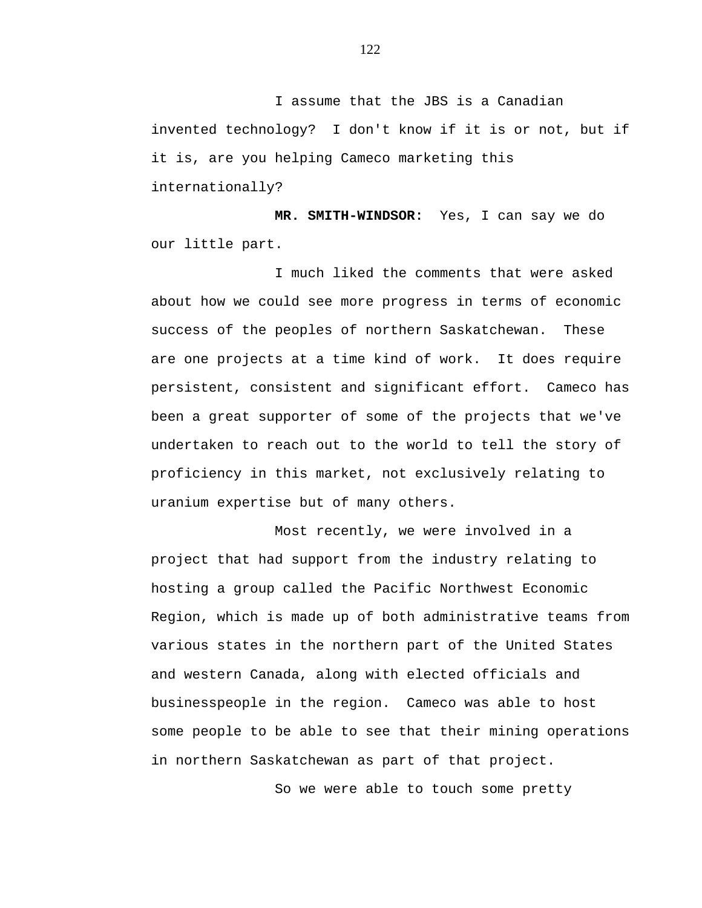I assume that the JBS is a Canadian invented technology? I don't know if it is or not, but if it is, are you helping Cameco marketing this internationally?

**MR. SMITH-WINDSOR:** Yes, I can say we do our little part.

I much liked the comments that were asked about how we could see more progress in terms of economic success of the peoples of northern Saskatchewan. These are one projects at a time kind of work. It does require persistent, consistent and significant effort. Cameco has been a great supporter of some of the projects that we've undertaken to reach out to the world to tell the story of proficiency in this market, not exclusively relating to uranium expertise but of many others.

Most recently, we were involved in a project that had support from the industry relating to hosting a group called the Pacific Northwest Economic Region, which is made up of both administrative teams from various states in the northern part of the United States and western Canada, along with elected officials and businesspeople in the region. Cameco was able to host some people to be able to see that their mining operations in northern Saskatchewan as part of that project.

So we were able to touch some pretty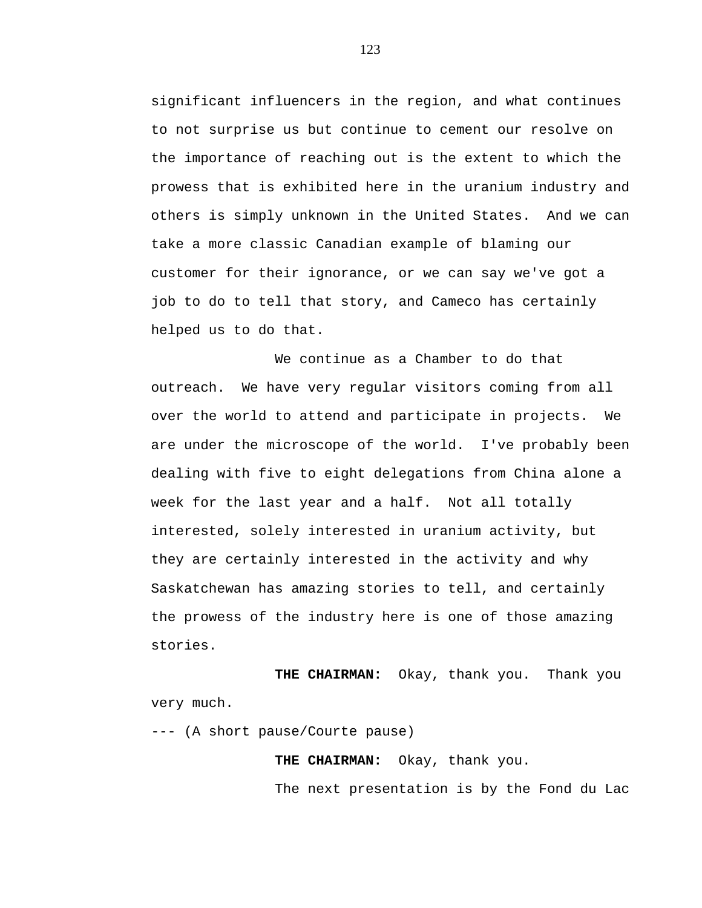significant influencers in the region, and what continues to not surprise us but continue to cement our resolve on the importance of reaching out is the extent to which the prowess that is exhibited here in the uranium industry and others is simply unknown in the United States. And we can take a more classic Canadian example of blaming our customer for their ignorance, or we can say we've got a job to do to tell that story, and Cameco has certainly helped us to do that.

We continue as a Chamber to do that outreach. We have very regular visitors coming from all over the world to attend and participate in projects. We are under the microscope of the world. I've probably been dealing with five to eight delegations from China alone a week for the last year and a half. Not all totally interested, solely interested in uranium activity, but they are certainly interested in the activity and why Saskatchewan has amazing stories to tell, and certainly the prowess of the industry here is one of those amazing stories.

**THE CHAIRMAN:** Okay, thank you. Thank you very much.

--- (A short pause/Courte pause)

**THE CHAIRMAN:** Okay, thank you.

The next presentation is by the Fond du Lac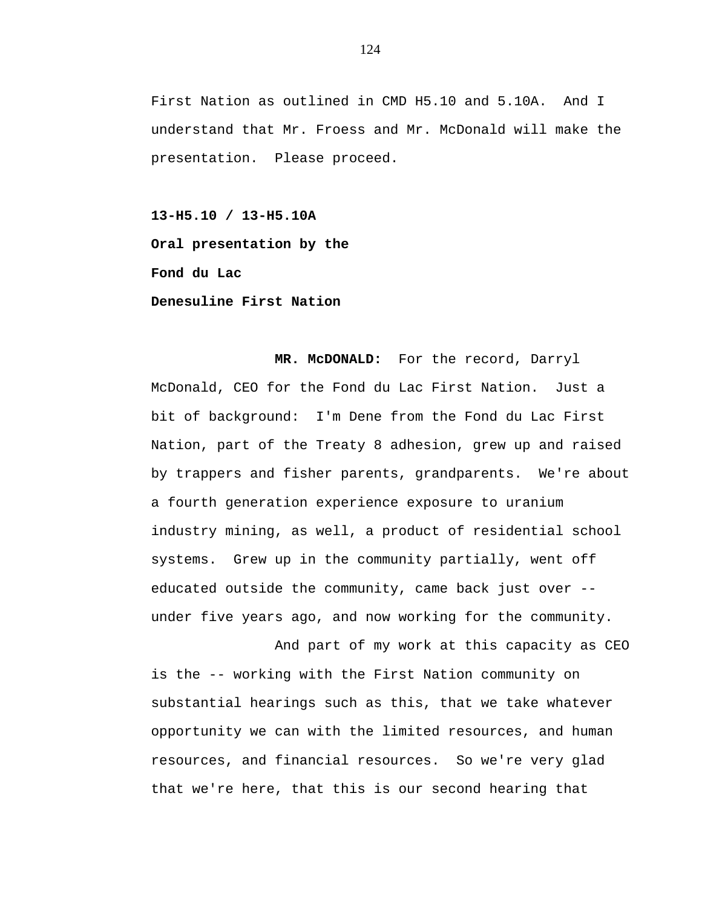First Nation as outlined in CMD H5.10 and 5.10A. And I understand that Mr. Froess and Mr. McDonald will make the presentation. Please proceed.

**13-H5.10 / 13-H5.10A Oral presentation by the Fond du Lac Denesuline First Nation** 

**MR. McDONALD:** For the record, Darryl McDonald, CEO for the Fond du Lac First Nation. Just a bit of background: I'm Dene from the Fond du Lac First Nation, part of the Treaty 8 adhesion, grew up and raised by trappers and fisher parents, grandparents. We're about a fourth generation experience exposure to uranium industry mining, as well, a product of residential school systems. Grew up in the community partially, went off educated outside the community, came back just over - under five years ago, and now working for the community.

And part of my work at this capacity as CEO is the -- working with the First Nation community on substantial hearings such as this, that we take whatever opportunity we can with the limited resources, and human resources, and financial resources. So we're very glad that we're here, that this is our second hearing that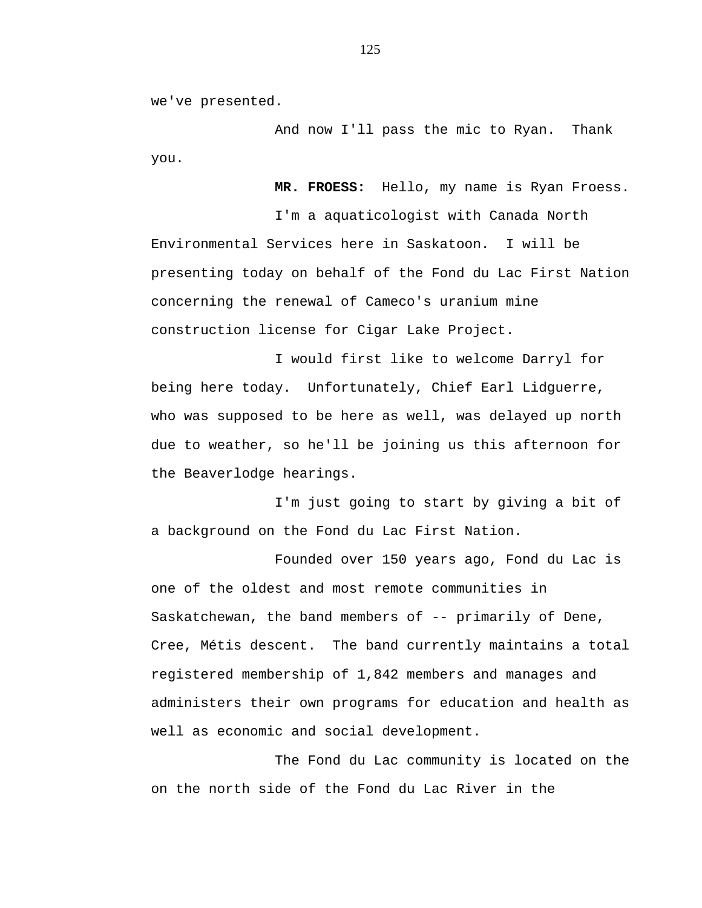we've presented.

And now I'll pass the mic to Ryan. Thank you.

**MR. FROESS:** Hello, my name is Ryan Froess. I'm a aquaticologist with Canada North Environmental Services here in Saskatoon. I will be presenting today on behalf of the Fond du Lac First Nation concerning the renewal of Cameco's uranium mine construction license for Cigar Lake Project.

I would first like to welcome Darryl for being here today. Unfortunately, Chief Earl Lidguerre, who was supposed to be here as well, was delayed up north due to weather, so he'll be joining us this afternoon for the Beaverlodge hearings.

I'm just going to start by giving a bit of a background on the Fond du Lac First Nation.

Founded over 150 years ago, Fond du Lac is one of the oldest and most remote communities in Saskatchewan, the band members of -- primarily of Dene, Cree, Métis descent. The band currently maintains a total registered membership of 1,842 members and manages and administers their own programs for education and health as well as economic and social development.

The Fond du Lac community is located on the on the north side of the Fond du Lac River in the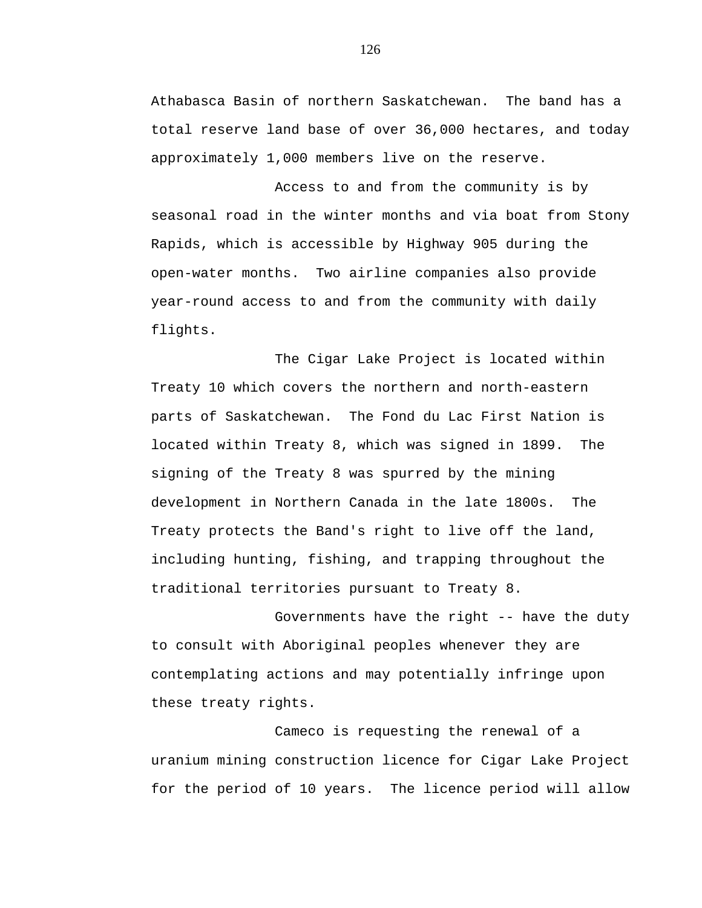Athabasca Basin of northern Saskatchewan. The band has a total reserve land base of over 36,000 hectares, and today approximately 1,000 members live on the reserve.

Access to and from the community is by seasonal road in the winter months and via boat from Stony Rapids, which is accessible by Highway 905 during the open-water months. Two airline companies also provide year-round access to and from the community with daily flights.

The Cigar Lake Project is located within Treaty 10 which covers the northern and north-eastern parts of Saskatchewan. The Fond du Lac First Nation is located within Treaty 8, which was signed in 1899. The signing of the Treaty 8 was spurred by the mining development in Northern Canada in the late 1800s. The Treaty protects the Band's right to live off the land, including hunting, fishing, and trapping throughout the traditional territories pursuant to Treaty 8.

Governments have the right -- have the duty to consult with Aboriginal peoples whenever they are contemplating actions and may potentially infringe upon these treaty rights.

Cameco is requesting the renewal of a uranium mining construction licence for Cigar Lake Project for the period of 10 years. The licence period will allow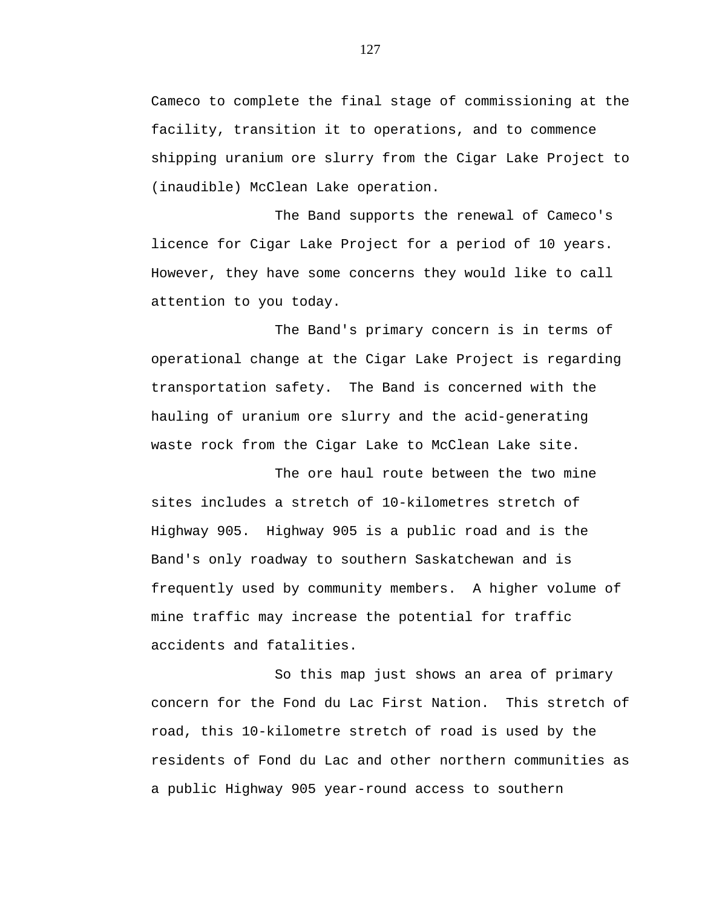Cameco to complete the final stage of commissioning at the facility, transition it to operations, and to commence shipping uranium ore slurry from the Cigar Lake Project to (inaudible) McClean Lake operation.

The Band supports the renewal of Cameco's licence for Cigar Lake Project for a period of 10 years. However, they have some concerns they would like to call attention to you today.

The Band's primary concern is in terms of operational change at the Cigar Lake Project is regarding transportation safety. The Band is concerned with the hauling of uranium ore slurry and the acid-generating waste rock from the Cigar Lake to McClean Lake site.

The ore haul route between the two mine sites includes a stretch of 10-kilometres stretch of Highway 905. Highway 905 is a public road and is the Band's only roadway to southern Saskatchewan and is frequently used by community members. A higher volume of mine traffic may increase the potential for traffic accidents and fatalities.

So this map just shows an area of primary concern for the Fond du Lac First Nation. This stretch of road, this 10-kilometre stretch of road is used by the residents of Fond du Lac and other northern communities as a public Highway 905 year-round access to southern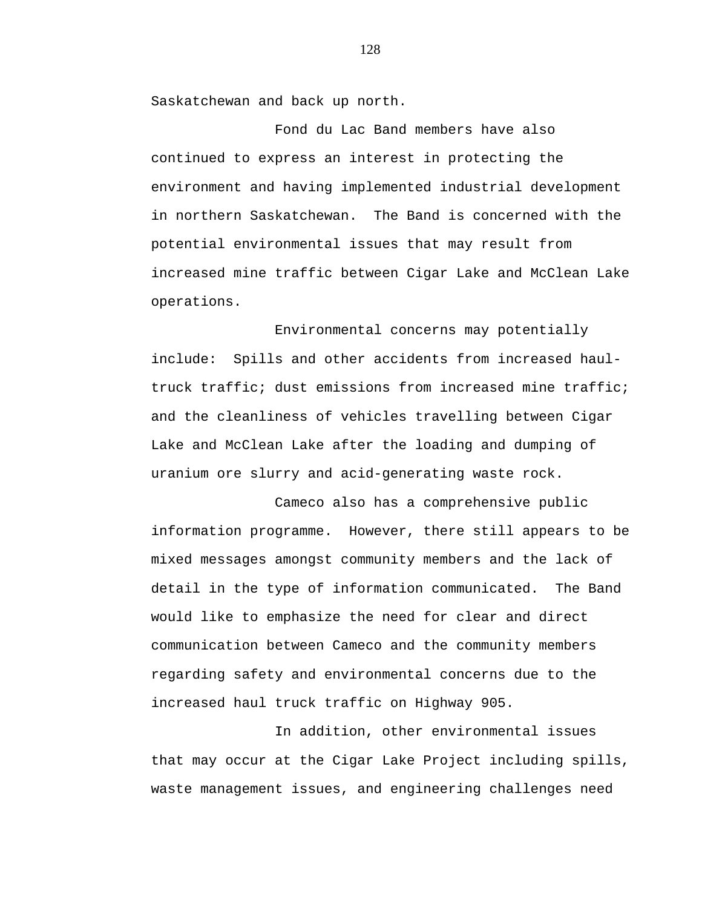Saskatchewan and back up north.

Fond du Lac Band members have also continued to express an interest in protecting the environment and having implemented industrial development in northern Saskatchewan. The Band is concerned with the potential environmental issues that may result from increased mine traffic between Cigar Lake and McClean Lake operations.

Environmental concerns may potentially include: Spills and other accidents from increased haultruck traffic; dust emissions from increased mine traffic; and the cleanliness of vehicles travelling between Cigar Lake and McClean Lake after the loading and dumping of uranium ore slurry and acid-generating waste rock.

Cameco also has a comprehensive public information programme. However, there still appears to be mixed messages amongst community members and the lack of detail in the type of information communicated. The Band would like to emphasize the need for clear and direct communication between Cameco and the community members regarding safety and environmental concerns due to the increased haul truck traffic on Highway 905.

In addition, other environmental issues that may occur at the Cigar Lake Project including spills, waste management issues, and engineering challenges need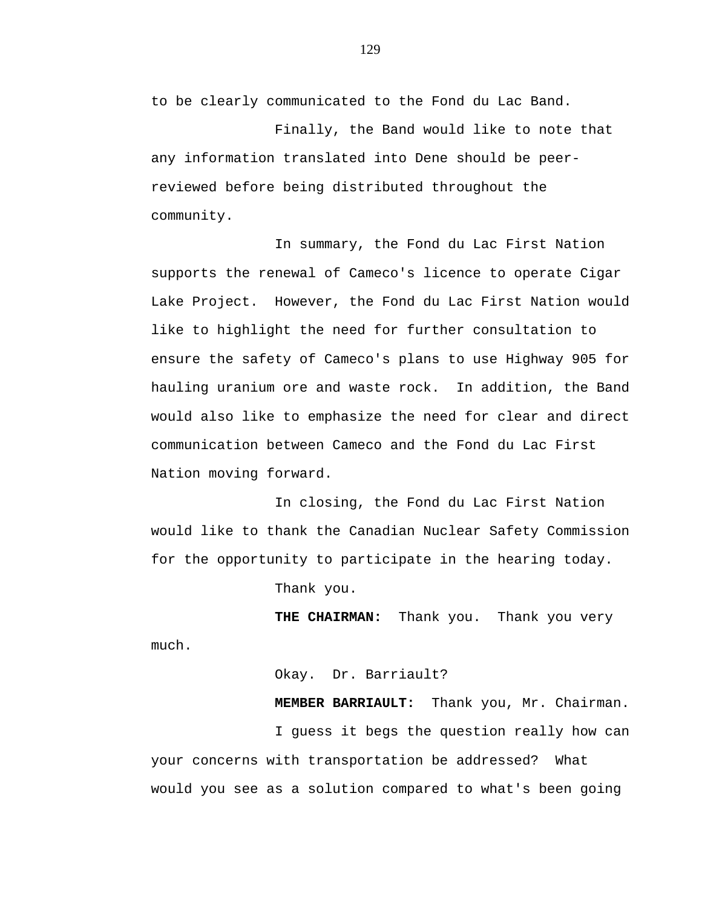to be clearly communicated to the Fond du Lac Band.

Finally, the Band would like to note that any information translated into Dene should be peerreviewed before being distributed throughout the community.

In summary, the Fond du Lac First Nation supports the renewal of Cameco's licence to operate Cigar Lake Project. However, the Fond du Lac First Nation would like to highlight the need for further consultation to ensure the safety of Cameco's plans to use Highway 905 for hauling uranium ore and waste rock. In addition, the Band would also like to emphasize the need for clear and direct communication between Cameco and the Fond du Lac First Nation moving forward.

In closing, the Fond du Lac First Nation would like to thank the Canadian Nuclear Safety Commission for the opportunity to participate in the hearing today.

Thank you.

**THE CHAIRMAN:** Thank you. Thank you very much.

Okay. Dr. Barriault?

**MEMBER BARRIAULT:** Thank you, Mr. Chairman.

I guess it begs the question really how can your concerns with transportation be addressed? What would you see as a solution compared to what's been going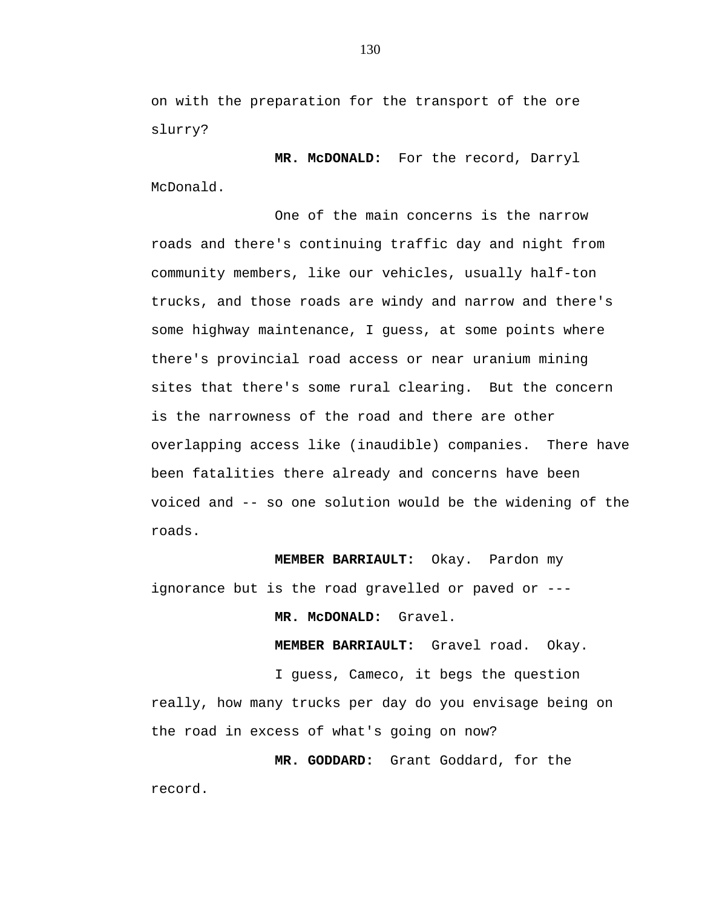on with the preparation for the transport of the ore slurry?

 **MR. McDONALD:** For the record, Darryl McDonald.

One of the main concerns is the narrow roads and there's continuing traffic day and night from community members, like our vehicles, usually half-ton trucks, and those roads are windy and narrow and there's some highway maintenance, I guess, at some points where there's provincial road access or near uranium mining sites that there's some rural clearing. But the concern is the narrowness of the road and there are other overlapping access like (inaudible) companies. There have been fatalities there already and concerns have been voiced and -- so one solution would be the widening of the roads.

**MEMBER BARRIAULT:** Okay. Pardon my ignorance but is the road gravelled or paved or ---

 **MR. McDONALD:** Gravel.

**MEMBER BARRIAULT:** Gravel road. Okay.

I guess, Cameco, it begs the question

really, how many trucks per day do you envisage being on the road in excess of what's going on now?

 **MR. GODDARD:** Grant Goddard, for the record.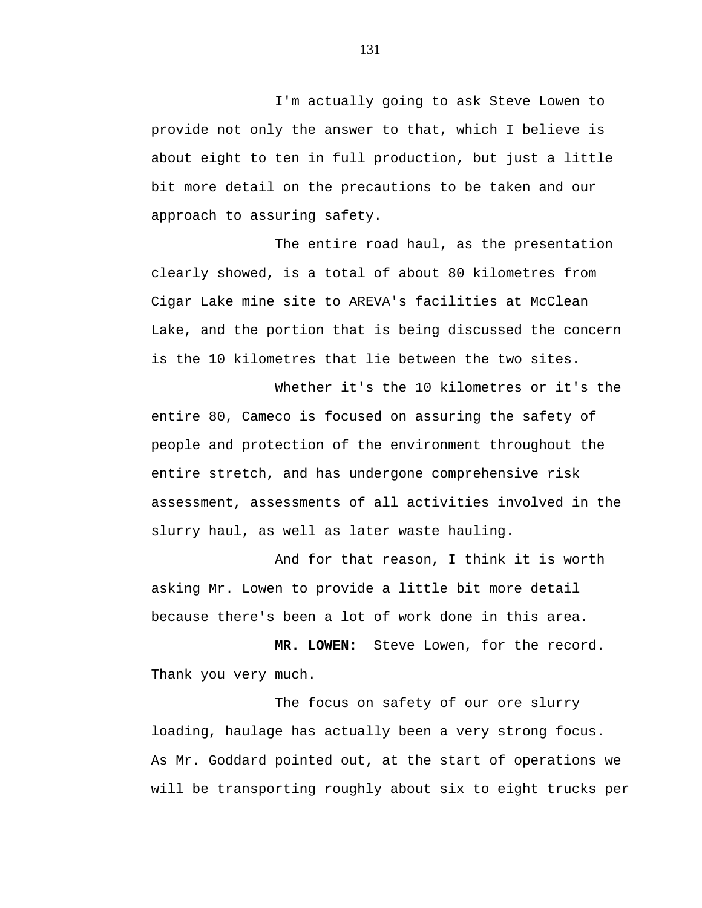I'm actually going to ask Steve Lowen to provide not only the answer to that, which I believe is about eight to ten in full production, but just a little bit more detail on the precautions to be taken and our approach to assuring safety.

The entire road haul, as the presentation clearly showed, is a total of about 80 kilometres from Cigar Lake mine site to AREVA's facilities at McClean Lake, and the portion that is being discussed the concern is the 10 kilometres that lie between the two sites.

Whether it's the 10 kilometres or it's the entire 80, Cameco is focused on assuring the safety of people and protection of the environment throughout the entire stretch, and has undergone comprehensive risk assessment, assessments of all activities involved in the slurry haul, as well as later waste hauling.

And for that reason, I think it is worth asking Mr. Lowen to provide a little bit more detail because there's been a lot of work done in this area.

 **MR. LOWEN:** Steve Lowen, for the record. Thank you very much.

The focus on safety of our ore slurry loading, haulage has actually been a very strong focus. As Mr. Goddard pointed out, at the start of operations we will be transporting roughly about six to eight trucks per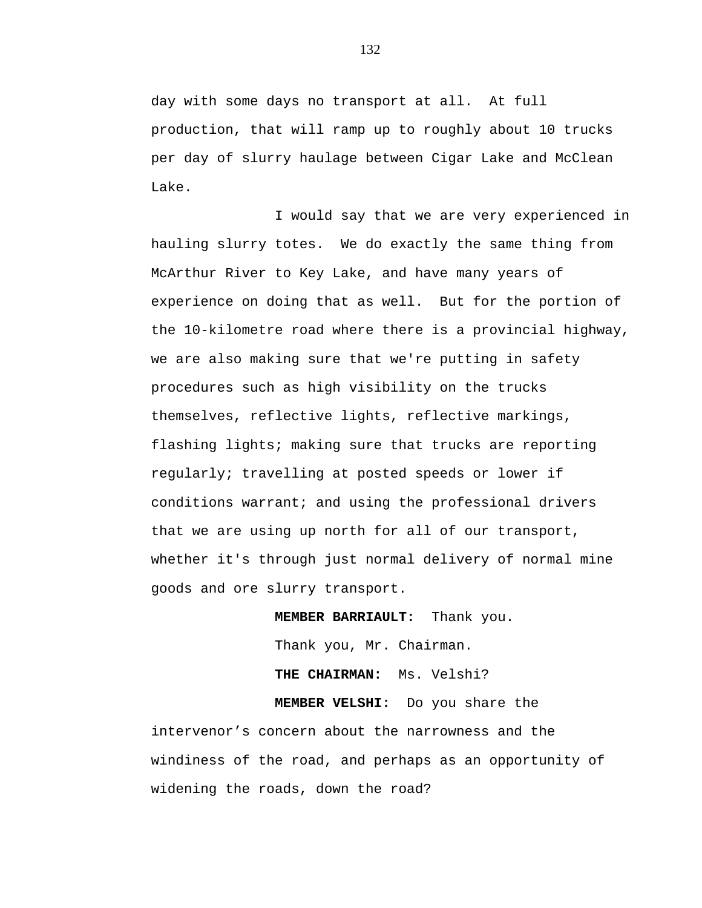day with some days no transport at all. At full production, that will ramp up to roughly about 10 trucks per day of slurry haulage between Cigar Lake and McClean Lake.

I would say that we are very experienced in hauling slurry totes. We do exactly the same thing from McArthur River to Key Lake, and have many years of experience on doing that as well. But for the portion of the 10-kilometre road where there is a provincial highway, we are also making sure that we're putting in safety procedures such as high visibility on the trucks themselves, reflective lights, reflective markings, flashing lights; making sure that trucks are reporting regularly; travelling at posted speeds or lower if conditions warrant; and using the professional drivers that we are using up north for all of our transport, whether it's through just normal delivery of normal mine goods and ore slurry transport.

> **MEMBER BARRIAULT:** Thank you. Thank you, Mr. Chairman. **THE CHAIRMAN:** Ms. Velshi?

**MEMBER VELSHI:** Do you share the intervenor's concern about the narrowness and the windiness of the road, and perhaps as an opportunity of widening the roads, down the road?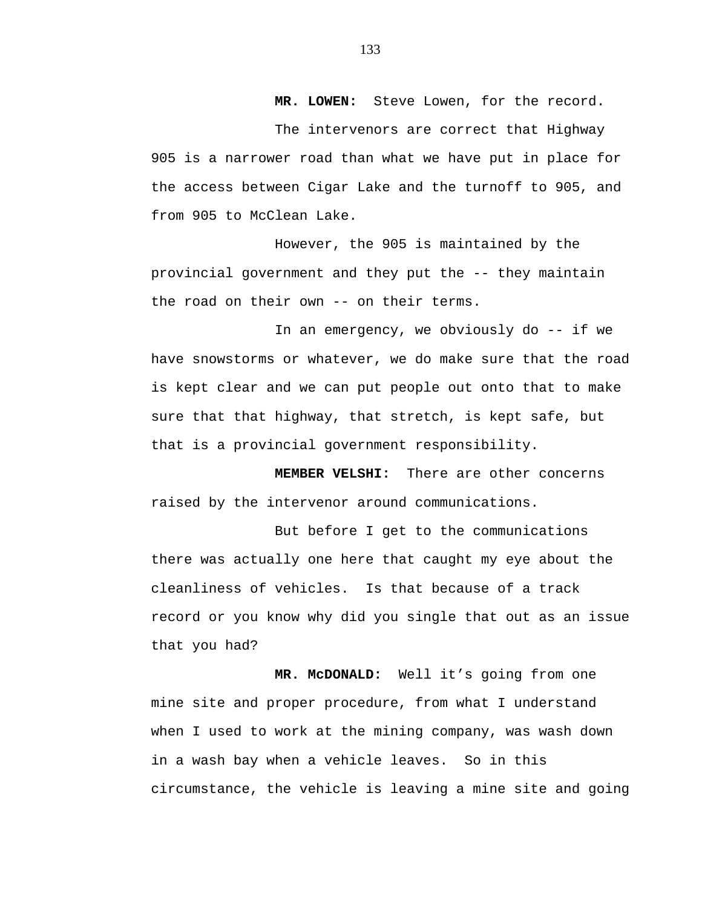**MR. LOWEN:** Steve Lowen, for the record.

The intervenors are correct that Highway 905 is a narrower road than what we have put in place for the access between Cigar Lake and the turnoff to 905, and from 905 to McClean Lake.

However, the 905 is maintained by the provincial government and they put the -- they maintain the road on their own -- on their terms.

In an emergency, we obviously do -- if we have snowstorms or whatever, we do make sure that the road is kept clear and we can put people out onto that to make sure that that highway, that stretch, is kept safe, but that is a provincial government responsibility.

**MEMBER VELSHI:** There are other concerns raised by the intervenor around communications.

But before I get to the communications there was actually one here that caught my eye about the cleanliness of vehicles. Is that because of a track record or you know why did you single that out as an issue that you had?

**MR. McDONALD:** Well it's going from one mine site and proper procedure, from what I understand when I used to work at the mining company, was wash down in a wash bay when a vehicle leaves. So in this circumstance, the vehicle is leaving a mine site and going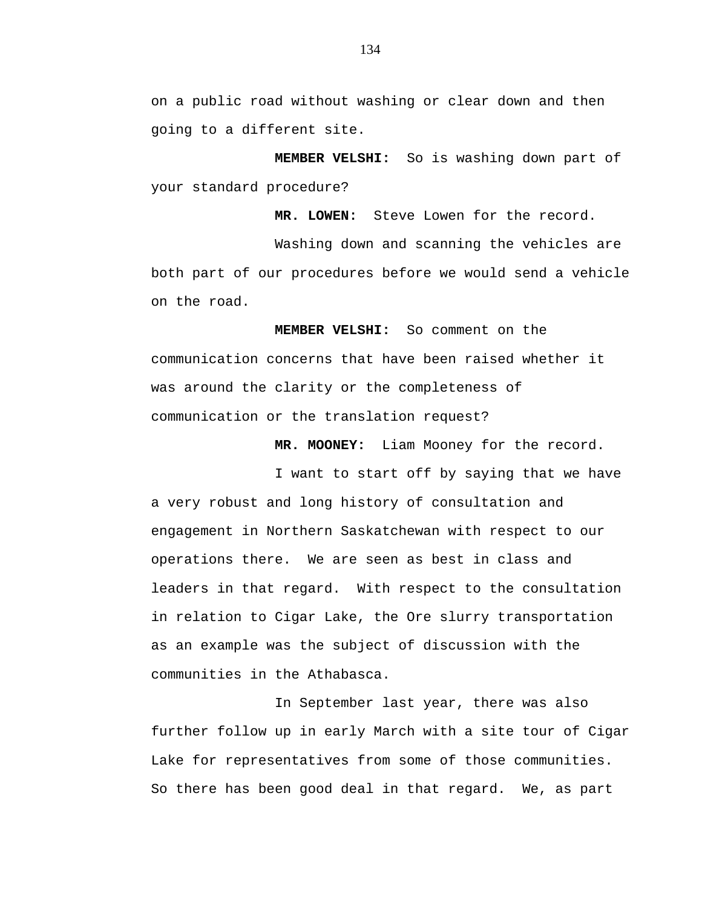on a public road without washing or clear down and then going to a different site.

 **MEMBER VELSHI:** So is washing down part of your standard procedure?

 **MR. LOWEN:** Steve Lowen for the record.

Washing down and scanning the vehicles are both part of our procedures before we would send a vehicle on the road.

 **MEMBER VELSHI:** So comment on the communication concerns that have been raised whether it was around the clarity or the completeness of communication or the translation request?

 **MR. MOONEY:** Liam Mooney for the record.

I want to start off by saying that we have a very robust and long history of consultation and engagement in Northern Saskatchewan with respect to our operations there. We are seen as best in class and leaders in that regard. With respect to the consultation in relation to Cigar Lake, the Ore slurry transportation as an example was the subject of discussion with the communities in the Athabasca.

In September last year, there was also further follow up in early March with a site tour of Cigar Lake for representatives from some of those communities. So there has been good deal in that regard. We, as part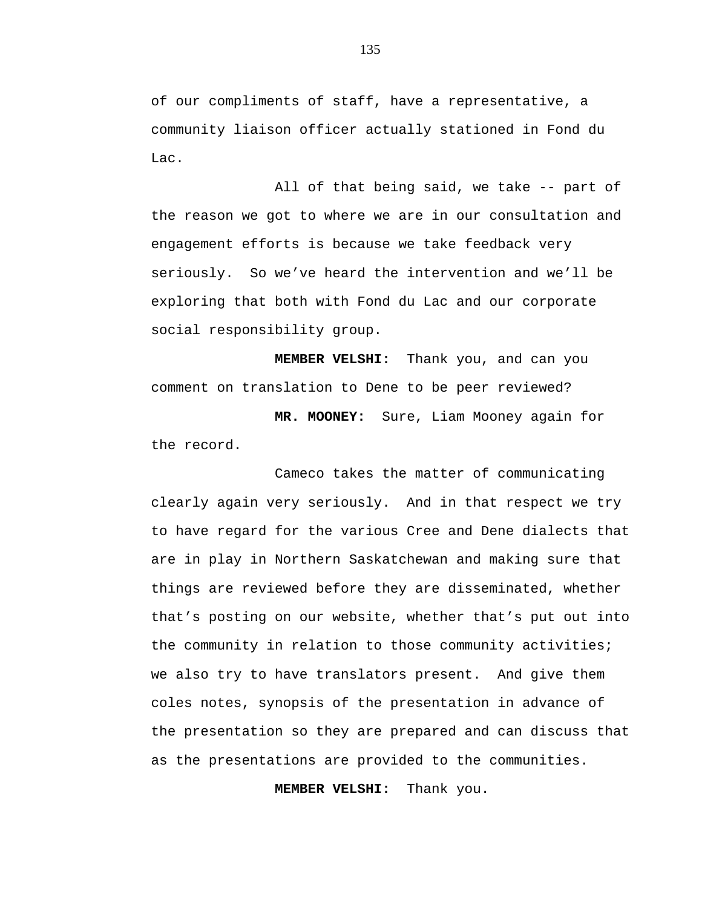of our compliments of staff, have a representative, a community liaison officer actually stationed in Fond du Lac.

All of that being said, we take -- part of the reason we got to where we are in our consultation and engagement efforts is because we take feedback very seriously. So we've heard the intervention and we'll be exploring that both with Fond du Lac and our corporate social responsibility group.

 **MEMBER VELSHI:** Thank you, and can you comment on translation to Dene to be peer reviewed?

 **MR. MOONEY:** Sure, Liam Mooney again for the record.

Cameco takes the matter of communicating clearly again very seriously. And in that respect we try to have regard for the various Cree and Dene dialects that are in play in Northern Saskatchewan and making sure that things are reviewed before they are disseminated, whether that's posting on our website, whether that's put out into the community in relation to those community activities; we also try to have translators present. And give them coles notes, synopsis of the presentation in advance of the presentation so they are prepared and can discuss that as the presentations are provided to the communities.

 **MEMBER VELSHI:** Thank you.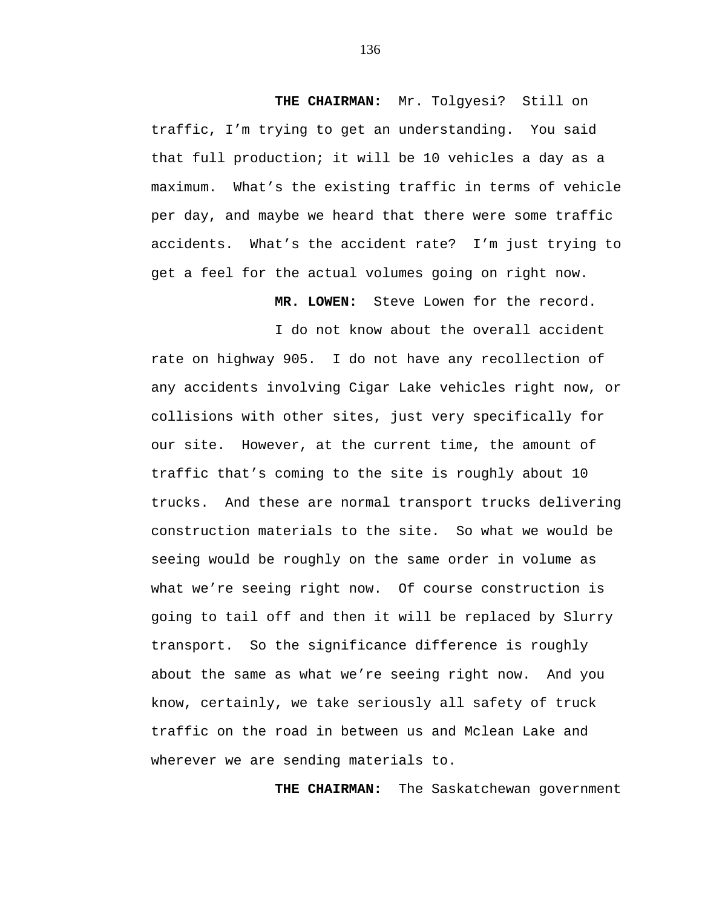**THE CHAIRMAN:** Mr. Tolgyesi? Still on traffic, I'm trying to get an understanding. You said that full production; it will be 10 vehicles a day as a maximum. What's the existing traffic in terms of vehicle per day, and maybe we heard that there were some traffic accidents. What's the accident rate? I'm just trying to get a feel for the actual volumes going on right now.

 **MR. LOWEN:** Steve Lowen for the record.

I do not know about the overall accident

rate on highway 905. I do not have any recollection of any accidents involving Cigar Lake vehicles right now, or collisions with other sites, just very specifically for our site. However, at the current time, the amount of traffic that's coming to the site is roughly about 10 trucks. And these are normal transport trucks delivering construction materials to the site. So what we would be seeing would be roughly on the same order in volume as what we're seeing right now. Of course construction is going to tail off and then it will be replaced by Slurry transport. So the significance difference is roughly about the same as what we're seeing right now. And you know, certainly, we take seriously all safety of truck traffic on the road in between us and Mclean Lake and wherever we are sending materials to.

 **THE CHAIRMAN:** The Saskatchewan government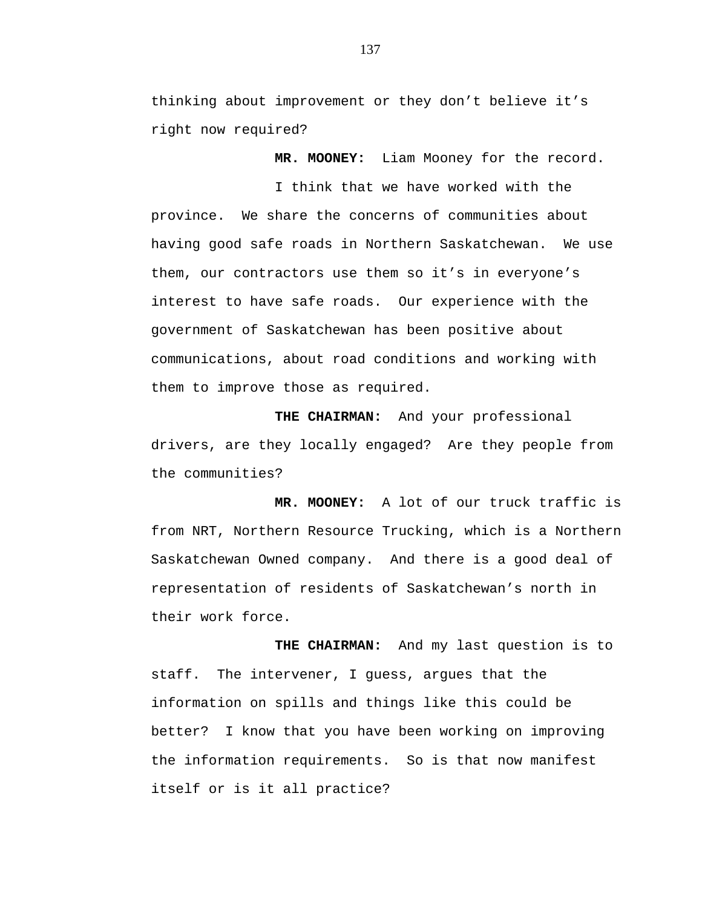thinking about improvement or they don't believe it's right now required?

 **MR. MOONEY:** Liam Mooney for the record.

I think that we have worked with the province. We share the concerns of communities about having good safe roads in Northern Saskatchewan. We use them, our contractors use them so it's in everyone's interest to have safe roads. Our experience with the government of Saskatchewan has been positive about communications, about road conditions and working with them to improve those as required.

 **THE CHAIRMAN:** And your professional drivers, are they locally engaged? Are they people from the communities?

 **MR. MOONEY:** A lot of our truck traffic is from NRT, Northern Resource Trucking, which is a Northern Saskatchewan Owned company. And there is a good deal of representation of residents of Saskatchewan's north in their work force.

 **THE CHAIRMAN:** And my last question is to staff. The intervener, I guess, argues that the information on spills and things like this could be better? I know that you have been working on improving the information requirements. So is that now manifest itself or is it all practice?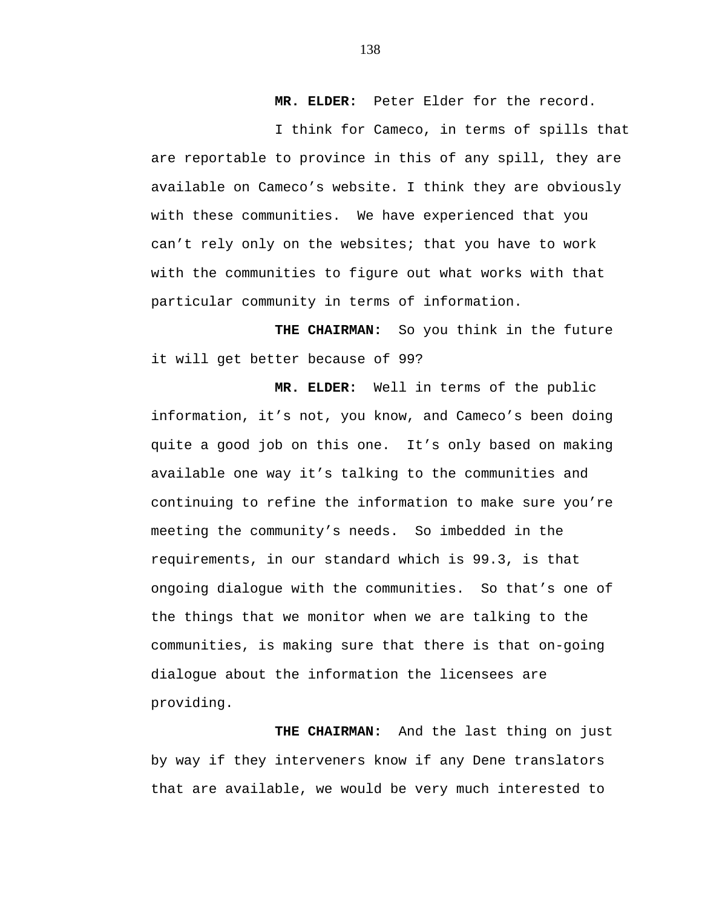**MR. ELDER:** Peter Elder for the record.

I think for Cameco, in terms of spills that are reportable to province in this of any spill, they are available on Cameco's website. I think they are obviously with these communities. We have experienced that you can't rely only on the websites; that you have to work with the communities to figure out what works with that particular community in terms of information.

 **THE CHAIRMAN:** So you think in the future it will get better because of 99?

 **MR. ELDER:** Well in terms of the public information, it's not, you know, and Cameco's been doing quite a good job on this one. It's only based on making available one way it's talking to the communities and continuing to refine the information to make sure you're meeting the community's needs. So imbedded in the requirements, in our standard which is 99.3, is that ongoing dialogue with the communities. So that's one of the things that we monitor when we are talking to the communities, is making sure that there is that on-going dialogue about the information the licensees are providing.

 **THE CHAIRMAN:** And the last thing on just by way if they interveners know if any Dene translators that are available, we would be very much interested to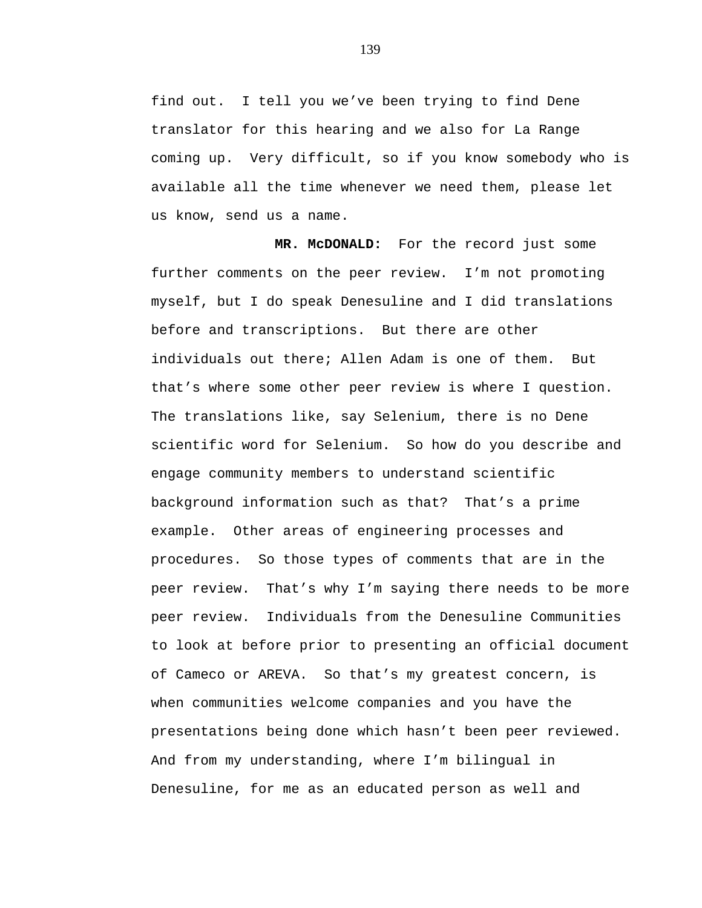find out. I tell you we've been trying to find Dene translator for this hearing and we also for La Range coming up. Very difficult, so if you know somebody who is available all the time whenever we need them, please let us know, send us a name.

**MR. McDONALD:** For the record just some further comments on the peer review. I'm not promoting myself, but I do speak Denesuline and I did translations before and transcriptions. But there are other individuals out there; Allen Adam is one of them. But that's where some other peer review is where I question. The translations like, say Selenium, there is no Dene scientific word for Selenium. So how do you describe and engage community members to understand scientific background information such as that? That's a prime example. Other areas of engineering processes and procedures. So those types of comments that are in the peer review. That's why I'm saying there needs to be more peer review. Individuals from the Denesuline Communities to look at before prior to presenting an official document of Cameco or AREVA. So that's my greatest concern, is when communities welcome companies and you have the presentations being done which hasn't been peer reviewed. And from my understanding, where I'm bilingual in Denesuline, for me as an educated person as well and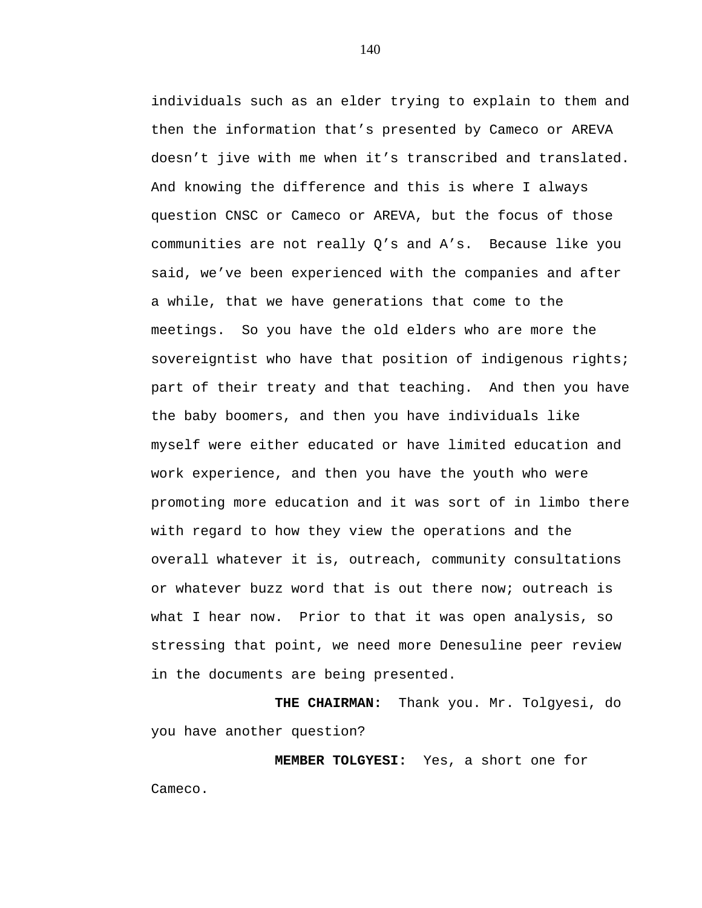individuals such as an elder trying to explain to them and then the information that's presented by Cameco or AREVA doesn't jive with me when it's transcribed and translated. And knowing the difference and this is where I always question CNSC or Cameco or AREVA, but the focus of those communities are not really Q's and A's. Because like you said, we've been experienced with the companies and after a while, that we have generations that come to the meetings. So you have the old elders who are more the sovereigntist who have that position of indigenous rights; part of their treaty and that teaching. And then you have the baby boomers, and then you have individuals like myself were either educated or have limited education and work experience, and then you have the youth who were promoting more education and it was sort of in limbo there with regard to how they view the operations and the overall whatever it is, outreach, community consultations or whatever buzz word that is out there now; outreach is what I hear now. Prior to that it was open analysis, so stressing that point, we need more Denesuline peer review in the documents are being presented.

**THE CHAIRMAN:** Thank you. Mr. Tolgyesi, do you have another question?

**MEMBER TOLGYESI:** Yes, a short one for Cameco.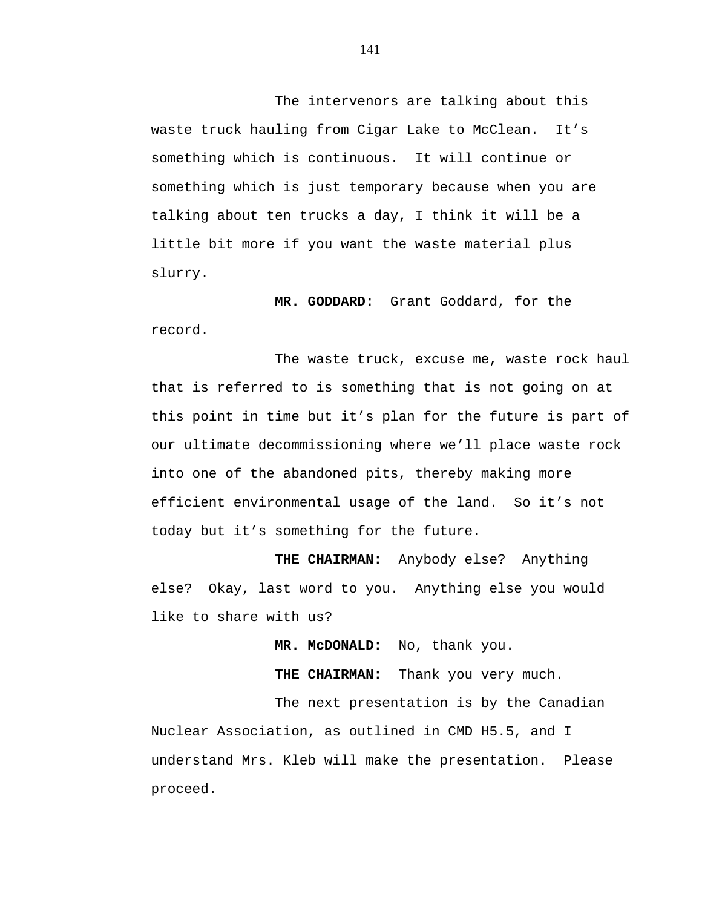The intervenors are talking about this waste truck hauling from Cigar Lake to McClean. It's something which is continuous. It will continue or something which is just temporary because when you are talking about ten trucks a day, I think it will be a little bit more if you want the waste material plus slurry.

**MR. GODDARD:** Grant Goddard, for the record.

The waste truck, excuse me, waste rock haul that is referred to is something that is not going on at this point in time but it's plan for the future is part of our ultimate decommissioning where we'll place waste rock into one of the abandoned pits, thereby making more efficient environmental usage of the land. So it's not today but it's something for the future.

**THE CHAIRMAN:** Anybody else? Anything else? Okay, last word to you. Anything else you would like to share with us?

 **MR. McDONALD:** No, thank you.

**THE CHAIRMAN:** Thank you very much.

The next presentation is by the Canadian Nuclear Association, as outlined in CMD H5.5, and I understand Mrs. Kleb will make the presentation. Please proceed.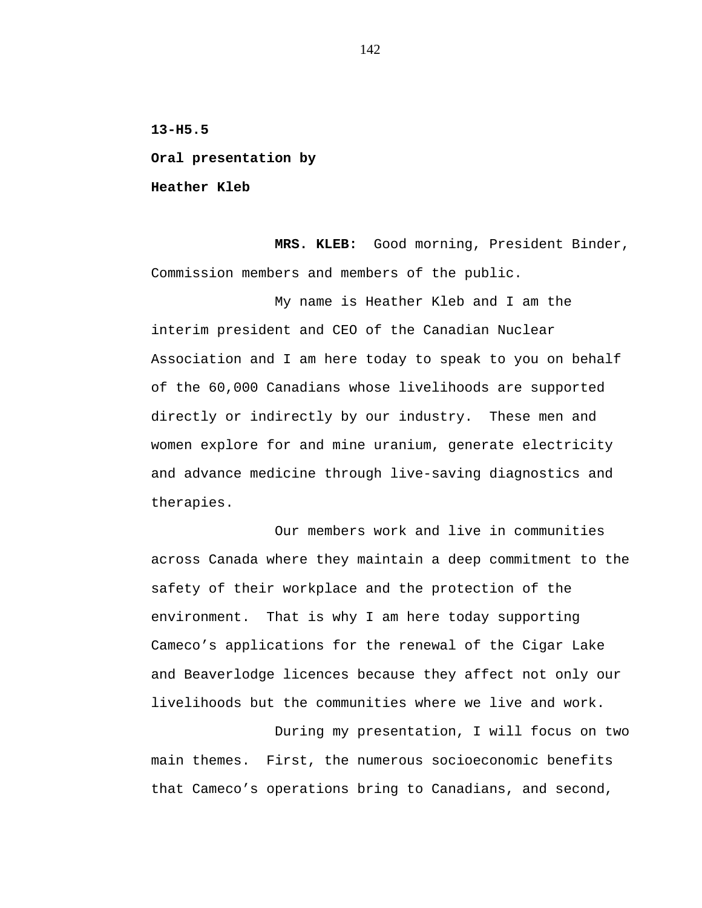**13-H5.5** 

**Oral presentation by** 

**Heather Kleb** 

**MRS. KLEB:** Good morning, President Binder, Commission members and members of the public.

My name is Heather Kleb and I am the interim president and CEO of the Canadian Nuclear Association and I am here today to speak to you on behalf of the 60,000 Canadians whose livelihoods are supported directly or indirectly by our industry. These men and women explore for and mine uranium, generate electricity and advance medicine through live-saving diagnostics and therapies.

Our members work and live in communities across Canada where they maintain a deep commitment to the safety of their workplace and the protection of the environment. That is why I am here today supporting Cameco's applications for the renewal of the Cigar Lake and Beaverlodge licences because they affect not only our livelihoods but the communities where we live and work.

During my presentation, I will focus on two main themes. First, the numerous socioeconomic benefits that Cameco's operations bring to Canadians, and second,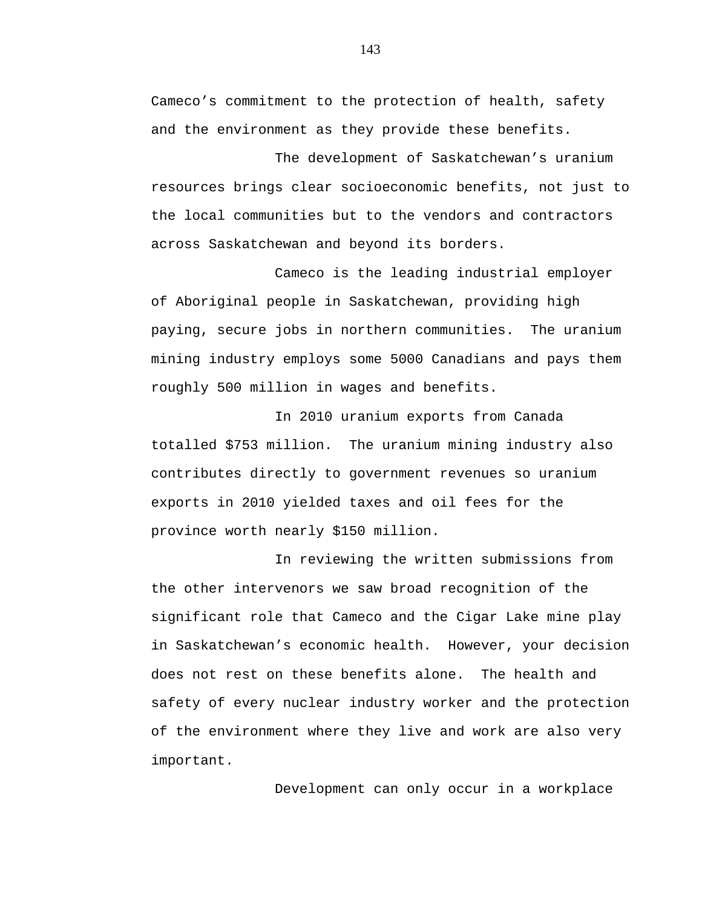Cameco's commitment to the protection of health, safety and the environment as they provide these benefits.

The development of Saskatchewan's uranium resources brings clear socioeconomic benefits, not just to the local communities but to the vendors and contractors across Saskatchewan and beyond its borders.

Cameco is the leading industrial employer of Aboriginal people in Saskatchewan, providing high paying, secure jobs in northern communities. The uranium mining industry employs some 5000 Canadians and pays them roughly 500 million in wages and benefits.

In 2010 uranium exports from Canada totalled \$753 million. The uranium mining industry also contributes directly to government revenues so uranium exports in 2010 yielded taxes and oil fees for the province worth nearly \$150 million.

In reviewing the written submissions from the other intervenors we saw broad recognition of the significant role that Cameco and the Cigar Lake mine play in Saskatchewan's economic health. However, your decision does not rest on these benefits alone. The health and safety of every nuclear industry worker and the protection of the environment where they live and work are also very important.

Development can only occur in a workplace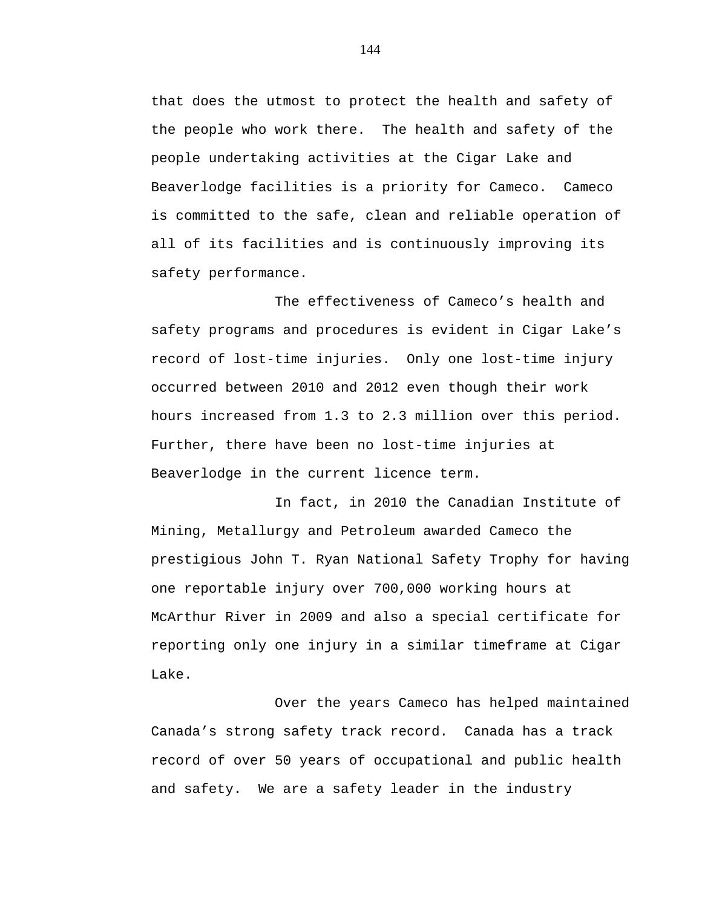that does the utmost to protect the health and safety of the people who work there. The health and safety of the people undertaking activities at the Cigar Lake and Beaverlodge facilities is a priority for Cameco. Cameco is committed to the safe, clean and reliable operation of all of its facilities and is continuously improving its safety performance.

The effectiveness of Cameco's health and safety programs and procedures is evident in Cigar Lake's record of lost-time injuries. Only one lost-time injury occurred between 2010 and 2012 even though their work hours increased from 1.3 to 2.3 million over this period. Further, there have been no lost-time injuries at Beaverlodge in the current licence term.

In fact, in 2010 the Canadian Institute of Mining, Metallurgy and Petroleum awarded Cameco the prestigious John T. Ryan National Safety Trophy for having one reportable injury over 700,000 working hours at McArthur River in 2009 and also a special certificate for reporting only one injury in a similar timeframe at Cigar Lake.

Over the years Cameco has helped maintained Canada's strong safety track record. Canada has a track record of over 50 years of occupational and public health and safety. We are a safety leader in the industry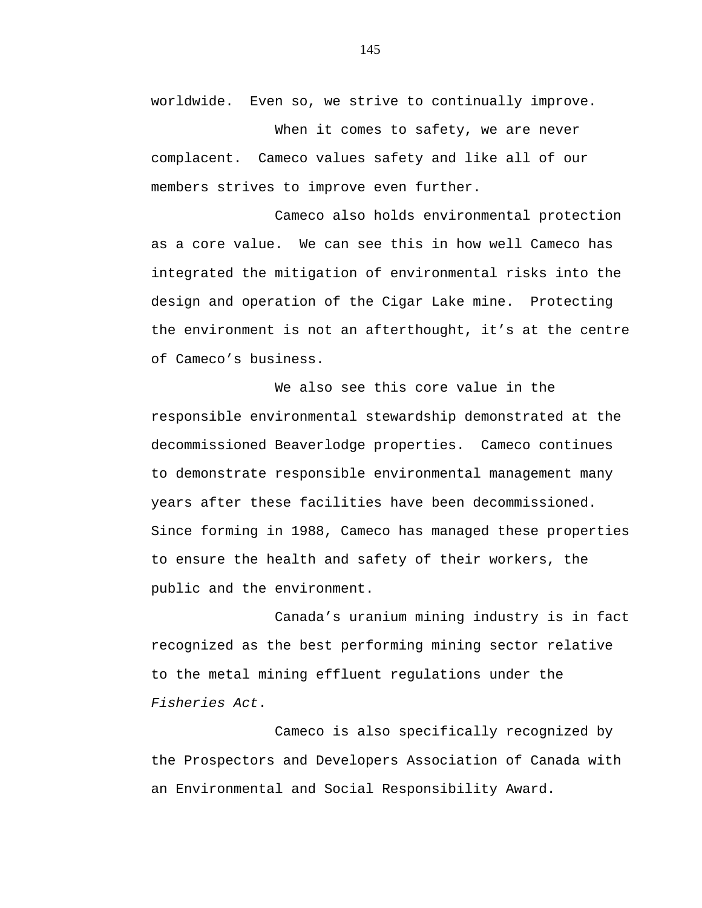worldwide. Even so, we strive to continually improve.

When it comes to safety, we are never complacent. Cameco values safety and like all of our members strives to improve even further.

Cameco also holds environmental protection as a core value. We can see this in how well Cameco has integrated the mitigation of environmental risks into the design and operation of the Cigar Lake mine. Protecting the environment is not an afterthought, it's at the centre of Cameco's business.

We also see this core value in the responsible environmental stewardship demonstrated at the decommissioned Beaverlodge properties. Cameco continues to demonstrate responsible environmental management many years after these facilities have been decommissioned. Since forming in 1988, Cameco has managed these properties to ensure the health and safety of their workers, the public and the environment.

Canada's uranium mining industry is in fact recognized as the best performing mining sector relative to the metal mining effluent regulations under the *Fisheries Act*.

Cameco is also specifically recognized by the Prospectors and Developers Association of Canada with an Environmental and Social Responsibility Award.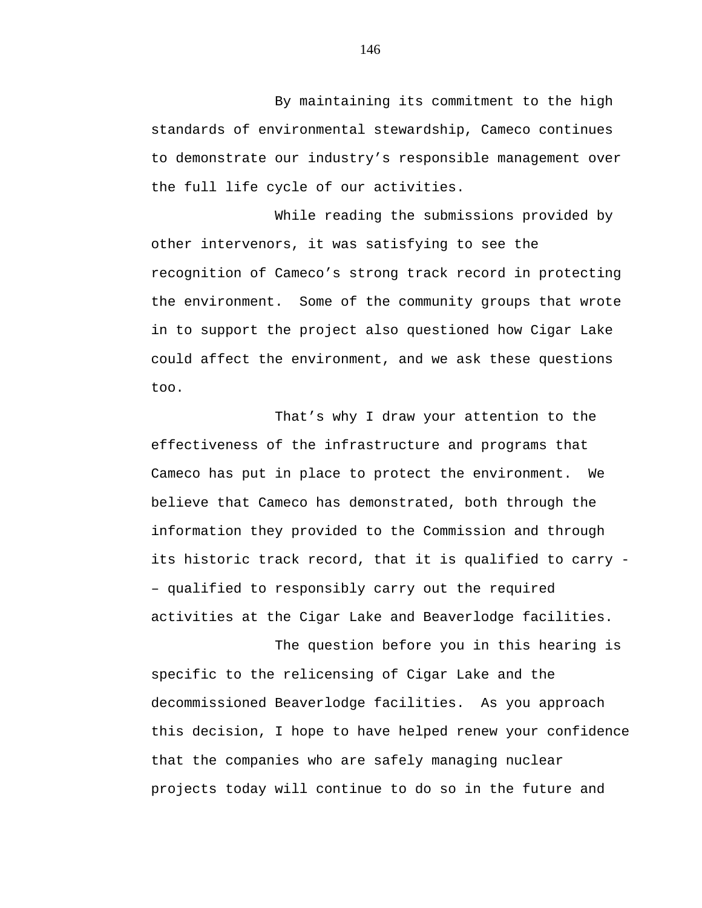By maintaining its commitment to the high standards of environmental stewardship, Cameco continues to demonstrate our industry's responsible management over the full life cycle of our activities.

While reading the submissions provided by other intervenors, it was satisfying to see the recognition of Cameco's strong track record in protecting the environment. Some of the community groups that wrote in to support the project also questioned how Cigar Lake could affect the environment, and we ask these questions too.

That's why I draw your attention to the effectiveness of the infrastructure and programs that Cameco has put in place to protect the environment. We believe that Cameco has demonstrated, both through the information they provided to the Commission and through its historic track record, that it is qualified to carry – qualified to responsibly carry out the required activities at the Cigar Lake and Beaverlodge facilities.

The question before you in this hearing is specific to the relicensing of Cigar Lake and the decommissioned Beaverlodge facilities. As you approach this decision, I hope to have helped renew your confidence that the companies who are safely managing nuclear projects today will continue to do so in the future and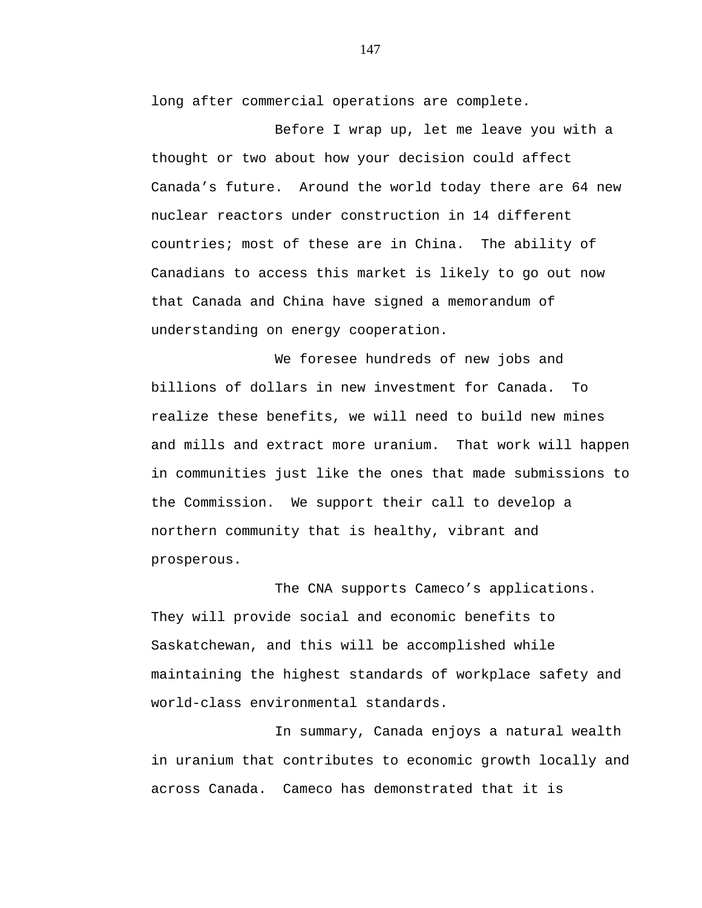long after commercial operations are complete.

Before I wrap up, let me leave you with a thought or two about how your decision could affect Canada's future. Around the world today there are 64 new nuclear reactors under construction in 14 different countries; most of these are in China. The ability of Canadians to access this market is likely to go out now that Canada and China have signed a memorandum of understanding on energy cooperation.

We foresee hundreds of new jobs and billions of dollars in new investment for Canada. To realize these benefits, we will need to build new mines and mills and extract more uranium. That work will happen in communities just like the ones that made submissions to the Commission. We support their call to develop a northern community that is healthy, vibrant and prosperous.

The CNA supports Cameco's applications. They will provide social and economic benefits to Saskatchewan, and this will be accomplished while maintaining the highest standards of workplace safety and world-class environmental standards.

In summary, Canada enjoys a natural wealth in uranium that contributes to economic growth locally and across Canada. Cameco has demonstrated that it is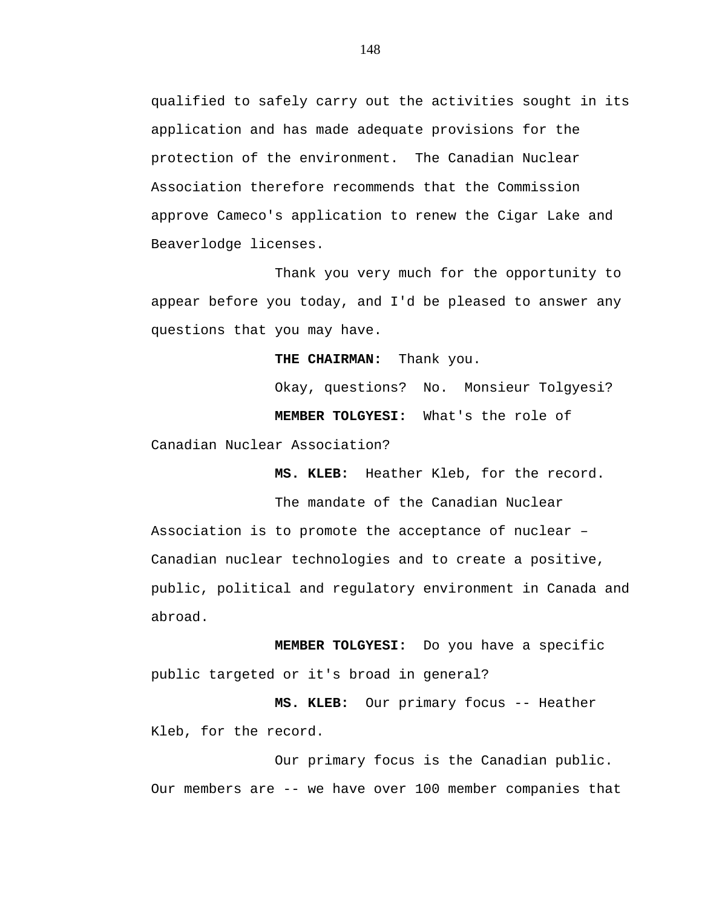qualified to safely carry out the activities sought in its application and has made adequate provisions for the protection of the environment. The Canadian Nuclear Association therefore recommends that the Commission approve Cameco's application to renew the Cigar Lake and Beaverlodge licenses.

Thank you very much for the opportunity to appear before you today, and I'd be pleased to answer any questions that you may have.

**THE CHAIRMAN:** Thank you.

Okay, questions? No. Monsieur Tolgyesi? **MEMBER TOLGYESI:** What's the role of

Canadian Nuclear Association?

**MS. KLEB:** Heather Kleb, for the record.

The mandate of the Canadian Nuclear Association is to promote the acceptance of nuclear – Canadian nuclear technologies and to create a positive, public, political and regulatory environment in Canada and abroad.

**MEMBER TOLGYESI:** Do you have a specific public targeted or it's broad in general?

**MS. KLEB:** Our primary focus -- Heather Kleb, for the record.

Our primary focus is the Canadian public. Our members are -- we have over 100 member companies that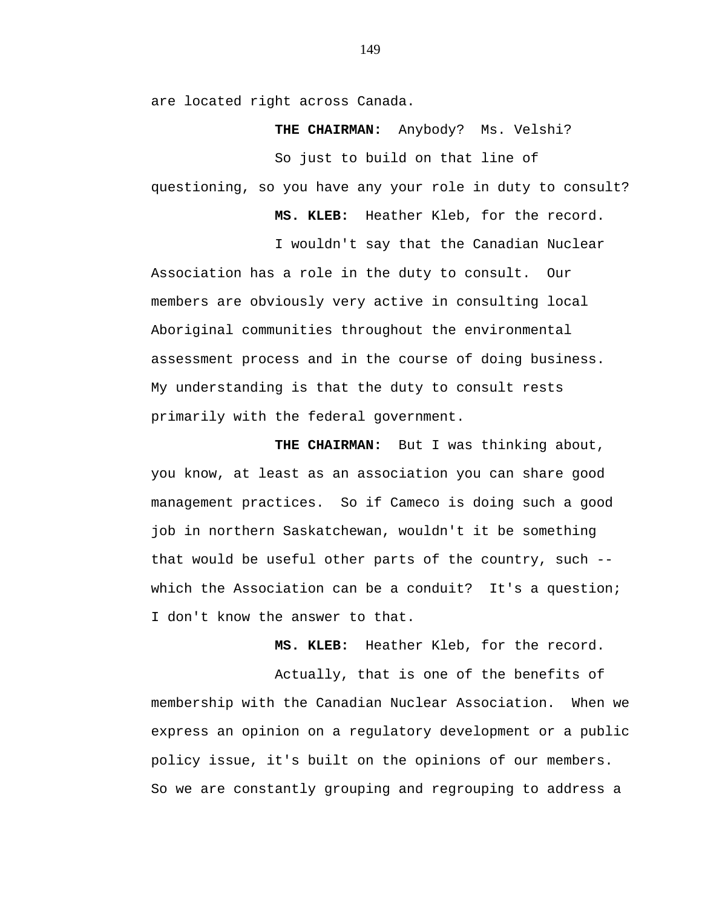are located right across Canada.

**THE CHAIRMAN:** Anybody? Ms. Velshi?

So just to build on that line of

questioning, so you have any your role in duty to consult?

**MS. KLEB:** Heather Kleb, for the record.

I wouldn't say that the Canadian Nuclear

Association has a role in the duty to consult. Our members are obviously very active in consulting local Aboriginal communities throughout the environmental assessment process and in the course of doing business. My understanding is that the duty to consult rests primarily with the federal government.

**THE CHAIRMAN:** But I was thinking about, you know, at least as an association you can share good management practices. So if Cameco is doing such a good job in northern Saskatchewan, wouldn't it be something that would be useful other parts of the country, such - which the Association can be a conduit? It's a question; I don't know the answer to that.

**MS. KLEB:** Heather Kleb, for the record.

Actually, that is one of the benefits of membership with the Canadian Nuclear Association. When we express an opinion on a regulatory development or a public policy issue, it's built on the opinions of our members. So we are constantly grouping and regrouping to address a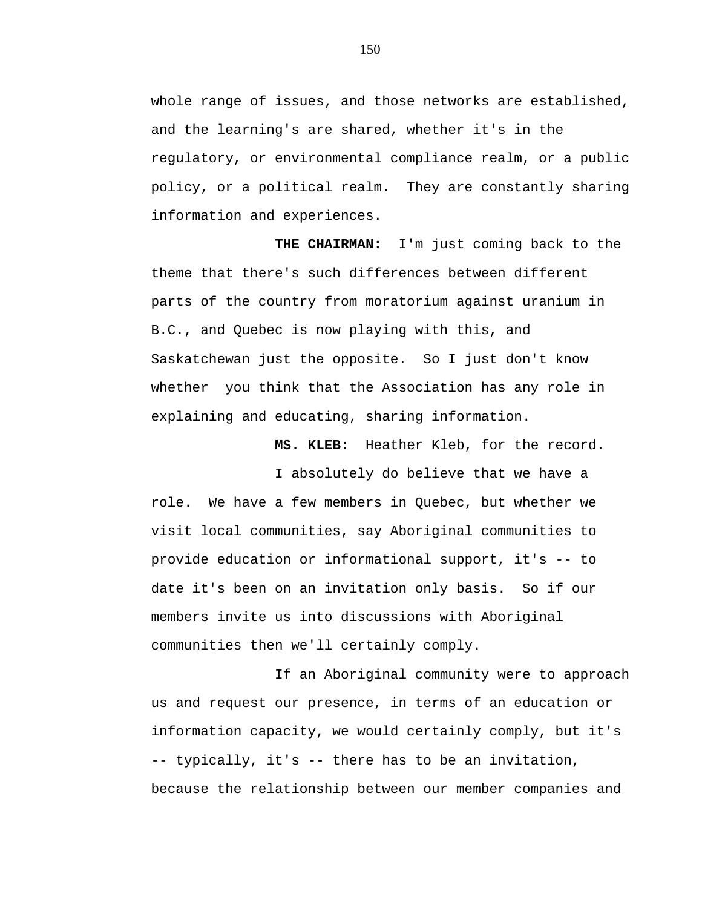whole range of issues, and those networks are established, and the learning's are shared, whether it's in the regulatory, or environmental compliance realm, or a public policy, or a political realm. They are constantly sharing information and experiences.

**THE CHAIRMAN:** I'm just coming back to the theme that there's such differences between different parts of the country from moratorium against uranium in B.C., and Quebec is now playing with this, and Saskatchewan just the opposite. So I just don't know whether you think that the Association has any role in explaining and educating, sharing information.

**MS. KLEB:** Heather Kleb, for the record.

I absolutely do believe that we have a role. We have a few members in Quebec, but whether we visit local communities, say Aboriginal communities to provide education or informational support, it's -- to date it's been on an invitation only basis. So if our members invite us into discussions with Aboriginal communities then we'll certainly comply.

If an Aboriginal community were to approach us and request our presence, in terms of an education or information capacity, we would certainly comply, but it's -- typically, it's -- there has to be an invitation, because the relationship between our member companies and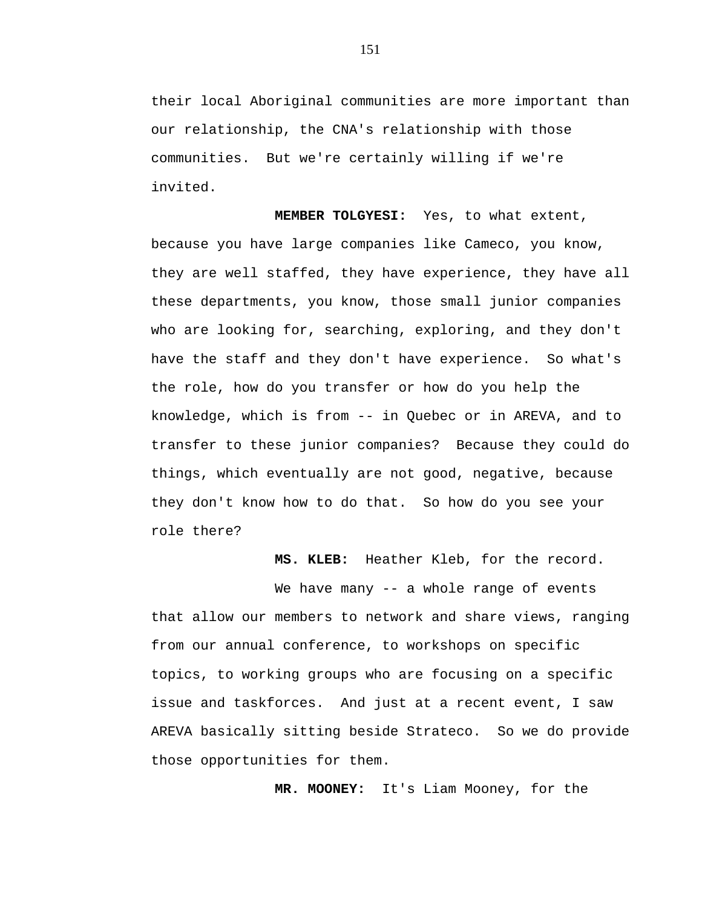their local Aboriginal communities are more important than our relationship, the CNA's relationship with those communities. But we're certainly willing if we're invited.

**MEMBER TOLGYESI:** Yes, to what extent, because you have large companies like Cameco, you know, they are well staffed, they have experience, they have all these departments, you know, those small junior companies who are looking for, searching, exploring, and they don't have the staff and they don't have experience. So what's the role, how do you transfer or how do you help the knowledge, which is from -- in Quebec or in AREVA, and to transfer to these junior companies? Because they could do things, which eventually are not good, negative, because they don't know how to do that. So how do you see your role there?

**MS. KLEB:** Heather Kleb, for the record.

We have many -- a whole range of events that allow our members to network and share views, ranging from our annual conference, to workshops on specific topics, to working groups who are focusing on a specific issue and taskforces. And just at a recent event, I saw AREVA basically sitting beside Strateco. So we do provide those opportunities for them.

**MR. MOONEY:** It's Liam Mooney, for the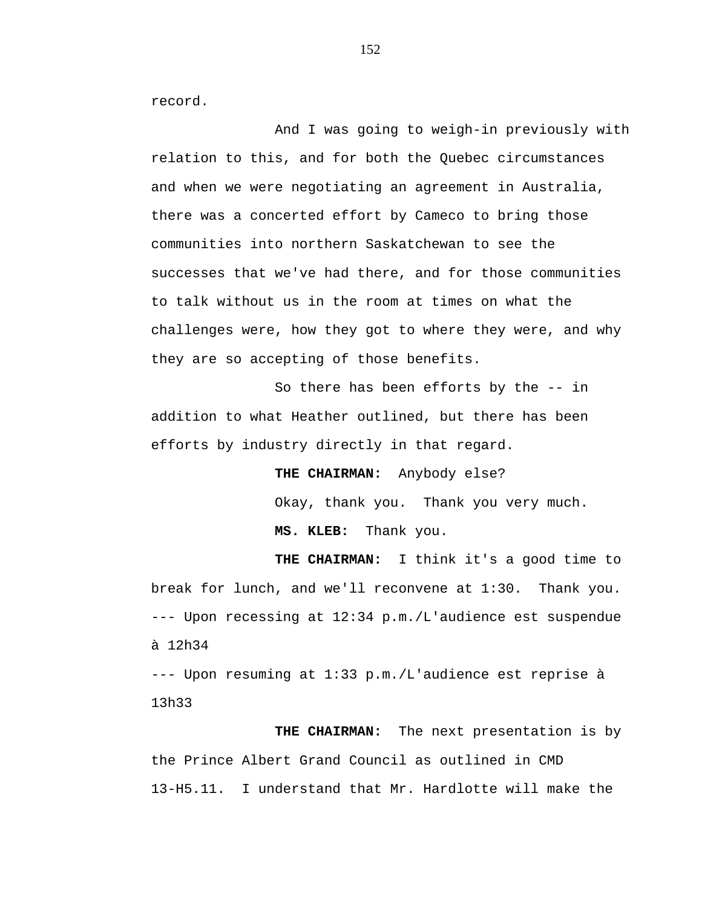record.

And I was going to weigh-in previously with relation to this, and for both the Quebec circumstances and when we were negotiating an agreement in Australia, there was a concerted effort by Cameco to bring those communities into northern Saskatchewan to see the successes that we've had there, and for those communities to talk without us in the room at times on what the challenges were, how they got to where they were, and why they are so accepting of those benefits.

So there has been efforts by the -- in addition to what Heather outlined, but there has been efforts by industry directly in that regard.

> **THE CHAIRMAN:** Anybody else? Okay, thank you. Thank you very much. **MS. KLEB:** Thank you.

**THE CHAIRMAN:** I think it's a good time to break for lunch, and we'll reconvene at 1:30. Thank you. --- Upon recessing at 12:34 p.m./L'audience est suspendue à 12h34

--- Upon resuming at 1:33 p.m./L'audience est reprise à 13h33

**THE CHAIRMAN:** The next presentation is by the Prince Albert Grand Council as outlined in CMD 13-H5.11. I understand that Mr. Hardlotte will make the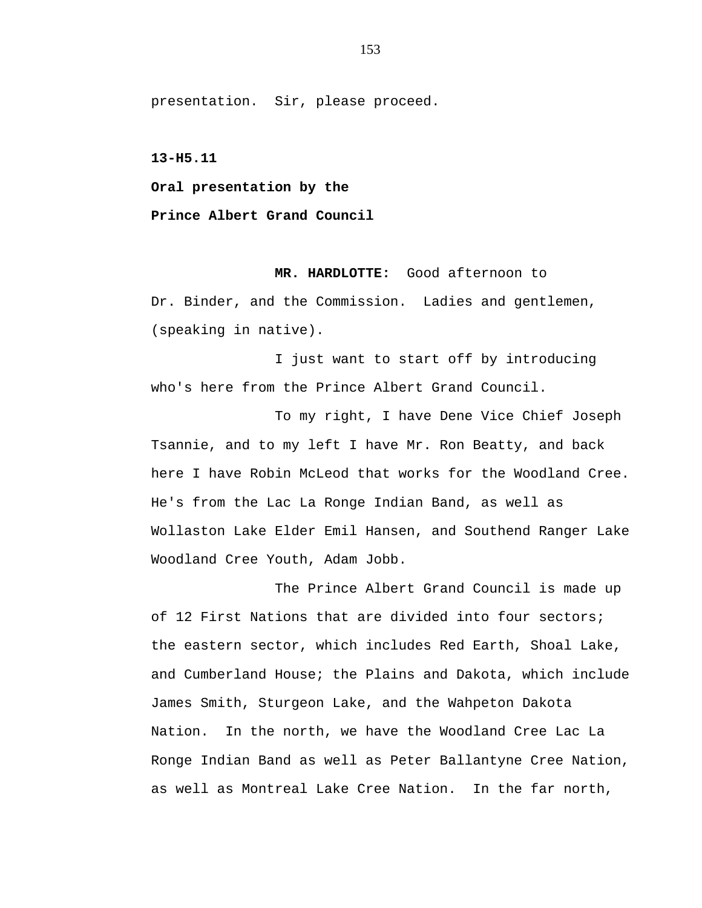presentation. Sir, please proceed.

**13-H5.11** 

**Oral presentation by the** 

**Prince Albert Grand Council** 

**MR. HARDLOTTE:** Good afternoon to Dr. Binder, and the Commission. Ladies and gentlemen, (speaking in native).

I just want to start off by introducing who's here from the Prince Albert Grand Council.

To my right, I have Dene Vice Chief Joseph Tsannie, and to my left I have Mr. Ron Beatty, and back here I have Robin McLeod that works for the Woodland Cree. He's from the Lac La Ronge Indian Band, as well as Wollaston Lake Elder Emil Hansen, and Southend Ranger Lake Woodland Cree Youth, Adam Jobb.

The Prince Albert Grand Council is made up of 12 First Nations that are divided into four sectors; the eastern sector, which includes Red Earth, Shoal Lake, and Cumberland House; the Plains and Dakota, which include James Smith, Sturgeon Lake, and the Wahpeton Dakota Nation. In the north, we have the Woodland Cree Lac La Ronge Indian Band as well as Peter Ballantyne Cree Nation, as well as Montreal Lake Cree Nation. In the far north,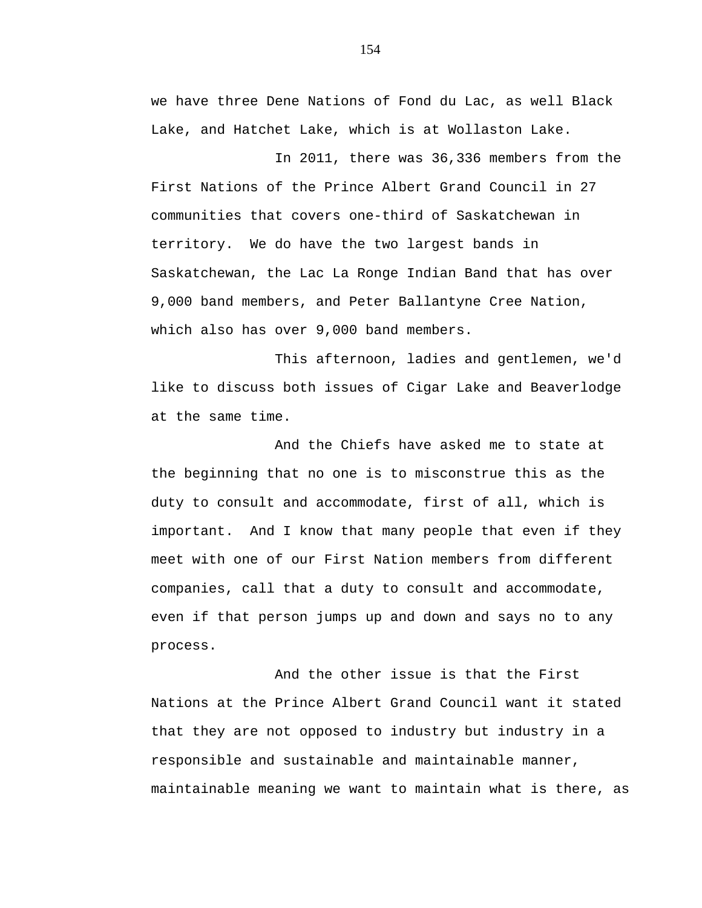we have three Dene Nations of Fond du Lac, as well Black Lake, and Hatchet Lake, which is at Wollaston Lake.

In 2011, there was 36,336 members from the First Nations of the Prince Albert Grand Council in 27 communities that covers one-third of Saskatchewan in territory. We do have the two largest bands in Saskatchewan, the Lac La Ronge Indian Band that has over 9,000 band members, and Peter Ballantyne Cree Nation, which also has over 9,000 band members.

This afternoon, ladies and gentlemen, we'd like to discuss both issues of Cigar Lake and Beaverlodge at the same time.

And the Chiefs have asked me to state at the beginning that no one is to misconstrue this as the duty to consult and accommodate, first of all, which is important. And I know that many people that even if they meet with one of our First Nation members from different companies, call that a duty to consult and accommodate, even if that person jumps up and down and says no to any process.

And the other issue is that the First Nations at the Prince Albert Grand Council want it stated that they are not opposed to industry but industry in a responsible and sustainable and maintainable manner, maintainable meaning we want to maintain what is there, as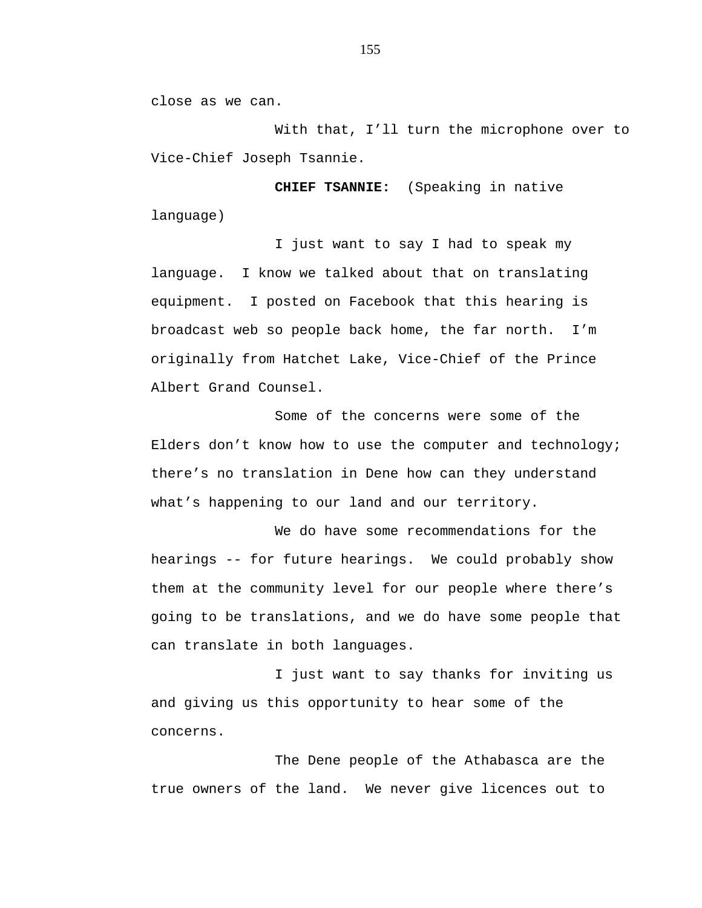close as we can.

With that, I'll turn the microphone over to Vice-Chief Joseph Tsannie.

**CHIEF TSANNIE:** (Speaking in native language)

I just want to say I had to speak my language. I know we talked about that on translating equipment. I posted on Facebook that this hearing is broadcast web so people back home, the far north. I'm originally from Hatchet Lake, Vice-Chief of the Prince Albert Grand Counsel.

Some of the concerns were some of the Elders don't know how to use the computer and technology; there's no translation in Dene how can they understand what's happening to our land and our territory.

We do have some recommendations for the hearings -- for future hearings. We could probably show them at the community level for our people where there's going to be translations, and we do have some people that can translate in both languages.

I just want to say thanks for inviting us and giving us this opportunity to hear some of the concerns.

The Dene people of the Athabasca are the true owners of the land. We never give licences out to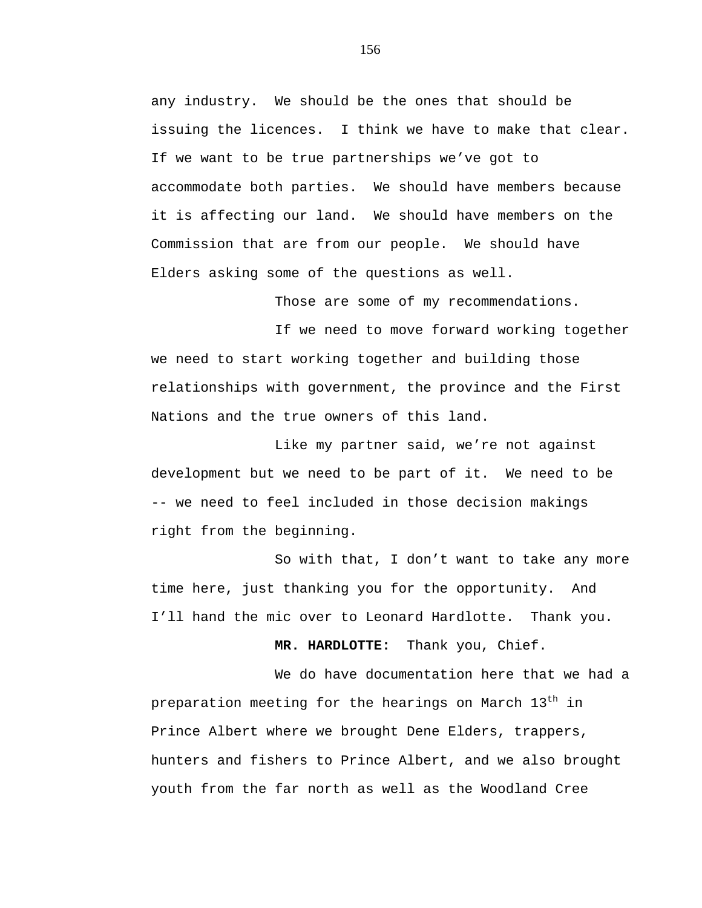any industry. We should be the ones that should be issuing the licences. I think we have to make that clear. If we want to be true partnerships we've got to accommodate both parties. We should have members because it is affecting our land. We should have members on the Commission that are from our people. We should have Elders asking some of the questions as well.

Those are some of my recommendations.

If we need to move forward working together we need to start working together and building those relationships with government, the province and the First Nations and the true owners of this land.

Like my partner said, we're not against development but we need to be part of it. We need to be -- we need to feel included in those decision makings right from the beginning.

So with that, I don't want to take any more time here, just thanking you for the opportunity. And I'll hand the mic over to Leonard Hardlotte. Thank you.

**MR. HARDLOTTE:** Thank you, Chief.

We do have documentation here that we had a preparation meeting for the hearings on March 13<sup>th</sup> in Prince Albert where we brought Dene Elders, trappers, hunters and fishers to Prince Albert, and we also brought youth from the far north as well as the Woodland Cree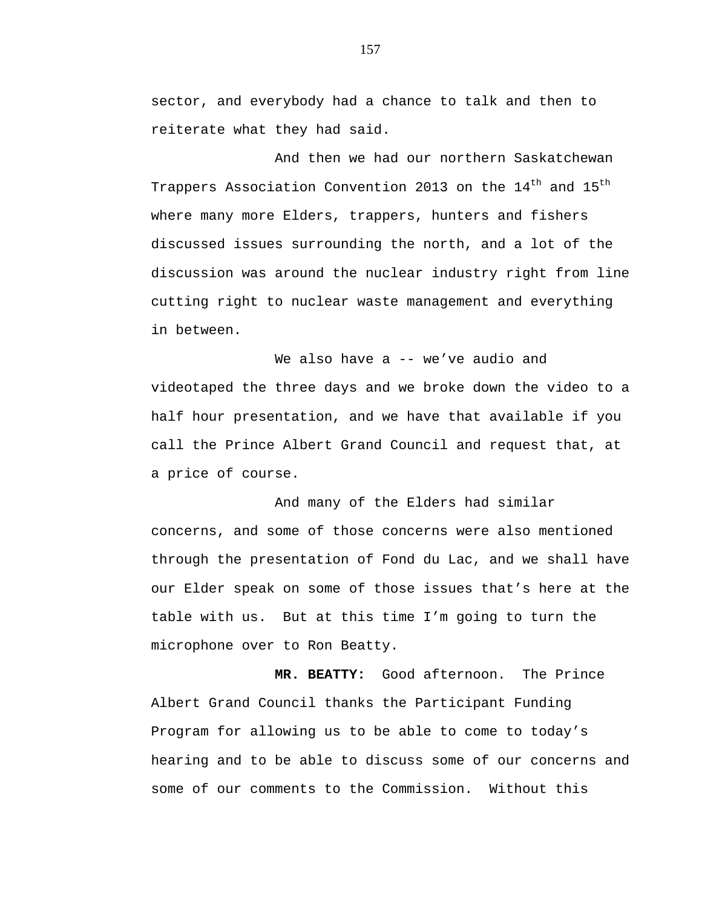sector, and everybody had a chance to talk and then to reiterate what they had said.

And then we had our northern Saskatchewan Trappers Association Convention 2013 on the 14<sup>th</sup> and 15<sup>th</sup> where many more Elders, trappers, hunters and fishers discussed issues surrounding the north, and a lot of the discussion was around the nuclear industry right from line cutting right to nuclear waste management and everything in between.

We also have a -- we've audio and videotaped the three days and we broke down the video to a half hour presentation, and we have that available if you call the Prince Albert Grand Council and request that, at a price of course.

And many of the Elders had similar concerns, and some of those concerns were also mentioned through the presentation of Fond du Lac, and we shall have our Elder speak on some of those issues that's here at the table with us. But at this time I'm going to turn the microphone over to Ron Beatty.

**MR. BEATTY:** Good afternoon. The Prince Albert Grand Council thanks the Participant Funding Program for allowing us to be able to come to today's hearing and to be able to discuss some of our concerns and some of our comments to the Commission. Without this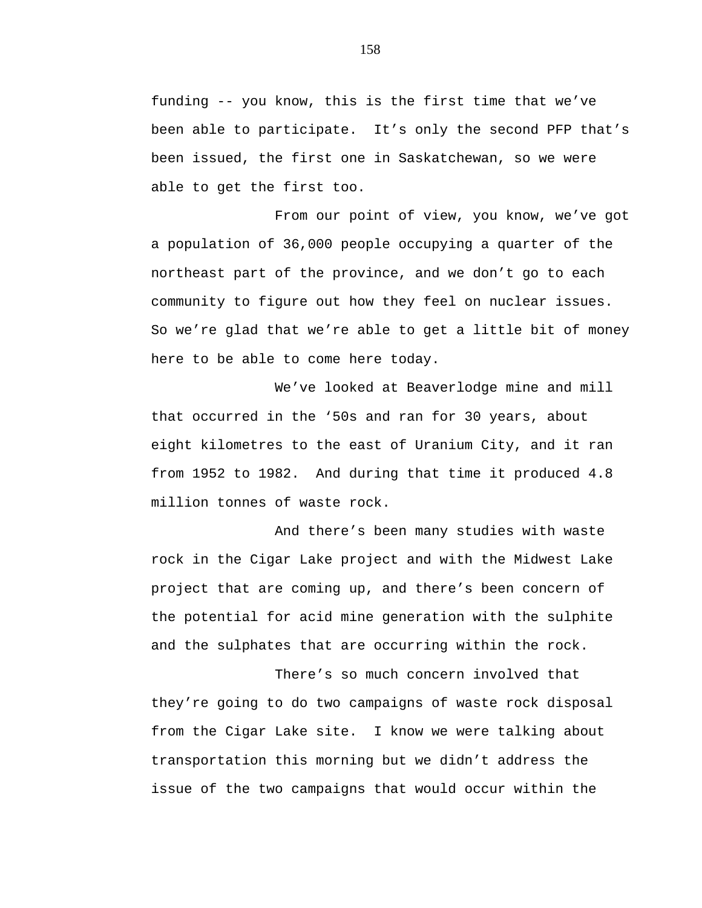funding -- you know, this is the first time that we've been able to participate. It's only the second PFP that's been issued, the first one in Saskatchewan, so we were able to get the first too.

From our point of view, you know, we've got a population of 36,000 people occupying a quarter of the northeast part of the province, and we don't go to each community to figure out how they feel on nuclear issues. So we're glad that we're able to get a little bit of money here to be able to come here today.

We've looked at Beaverlodge mine and mill that occurred in the '50s and ran for 30 years, about eight kilometres to the east of Uranium City, and it ran from 1952 to 1982. And during that time it produced 4.8 million tonnes of waste rock.

And there's been many studies with waste rock in the Cigar Lake project and with the Midwest Lake project that are coming up, and there's been concern of the potential for acid mine generation with the sulphite and the sulphates that are occurring within the rock.

There's so much concern involved that they're going to do two campaigns of waste rock disposal from the Cigar Lake site. I know we were talking about transportation this morning but we didn't address the issue of the two campaigns that would occur within the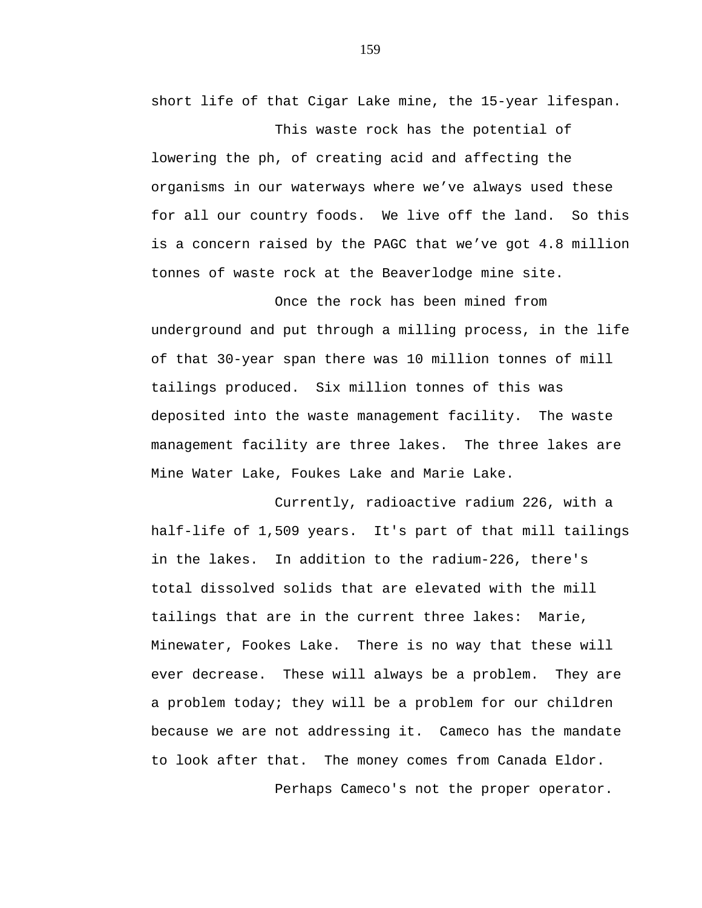short life of that Cigar Lake mine, the 15-year lifespan.

This waste rock has the potential of lowering the ph, of creating acid and affecting the organisms in our waterways where we've always used these for all our country foods. We live off the land. So this is a concern raised by the PAGC that we've got 4.8 million tonnes of waste rock at the Beaverlodge mine site.

Once the rock has been mined from underground and put through a milling process, in the life of that 30-year span there was 10 million tonnes of mill tailings produced. Six million tonnes of this was deposited into the waste management facility. The waste management facility are three lakes. The three lakes are Mine Water Lake, Foukes Lake and Marie Lake.

Currently, radioactive radium 226, with a half-life of 1,509 years. It's part of that mill tailings in the lakes. In addition to the radium-226, there's total dissolved solids that are elevated with the mill tailings that are in the current three lakes: Marie, Minewater, Fookes Lake. There is no way that these will ever decrease. These will always be a problem. They are a problem today; they will be a problem for our children because we are not addressing it. Cameco has the mandate to look after that. The money comes from Canada Eldor.

Perhaps Cameco's not the proper operator.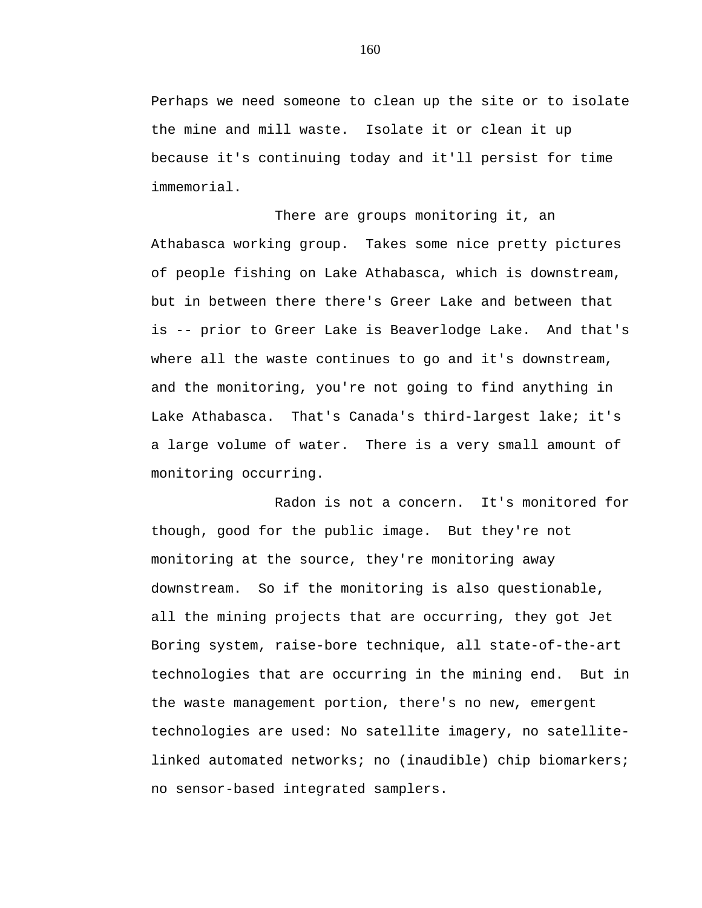Perhaps we need someone to clean up the site or to isolate the mine and mill waste. Isolate it or clean it up because it's continuing today and it'll persist for time immemorial.

There are groups monitoring it, an Athabasca working group. Takes some nice pretty pictures of people fishing on Lake Athabasca, which is downstream, but in between there there's Greer Lake and between that is -- prior to Greer Lake is Beaverlodge Lake. And that's where all the waste continues to go and it's downstream, and the monitoring, you're not going to find anything in Lake Athabasca. That's Canada's third-largest lake; it's a large volume of water. There is a very small amount of monitoring occurring.

Radon is not a concern. It's monitored for though, good for the public image. But they're not monitoring at the source, they're monitoring away downstream. So if the monitoring is also questionable, all the mining projects that are occurring, they got Jet Boring system, raise-bore technique, all state-of-the-art technologies that are occurring in the mining end. But in the waste management portion, there's no new, emergent technologies are used: No satellite imagery, no satellitelinked automated networks; no (inaudible) chip biomarkers; no sensor-based integrated samplers.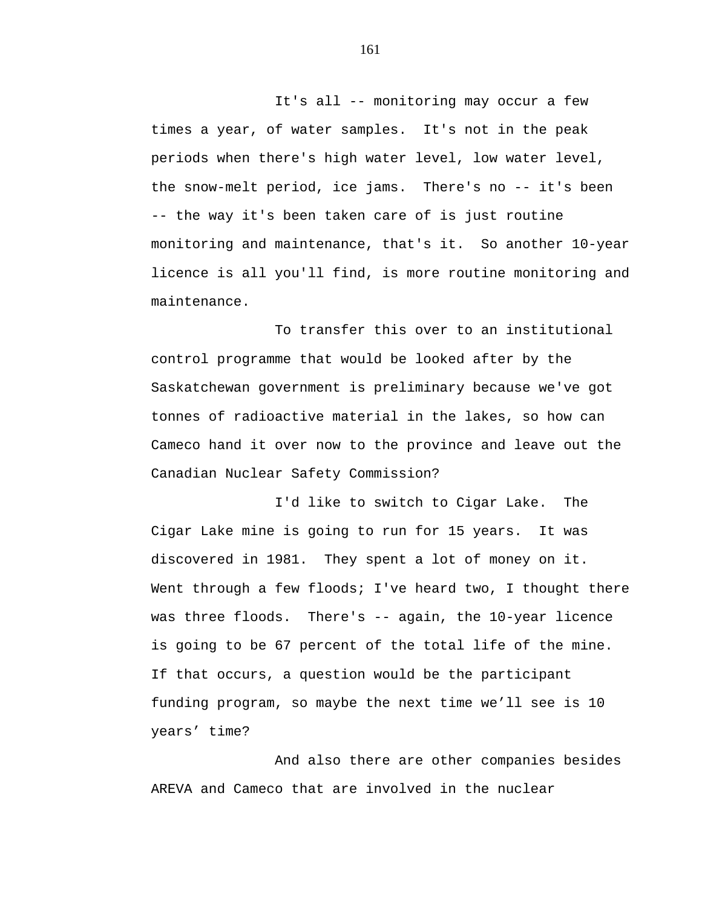It's all -- monitoring may occur a few times a year, of water samples. It's not in the peak periods when there's high water level, low water level, the snow-melt period, ice jams. There's no -- it's been -- the way it's been taken care of is just routine monitoring and maintenance, that's it. So another 10-year licence is all you'll find, is more routine monitoring and maintenance.

To transfer this over to an institutional control programme that would be looked after by the Saskatchewan government is preliminary because we've got tonnes of radioactive material in the lakes, so how can Cameco hand it over now to the province and leave out the Canadian Nuclear Safety Commission?

I'd like to switch to Cigar Lake. The Cigar Lake mine is going to run for 15 years. It was discovered in 1981. They spent a lot of money on it. Went through a few floods; I've heard two, I thought there was three floods. There's -- again, the 10-year licence is going to be 67 percent of the total life of the mine. If that occurs, a question would be the participant funding program, so maybe the next time we'll see is 10 years' time?

And also there are other companies besides AREVA and Cameco that are involved in the nuclear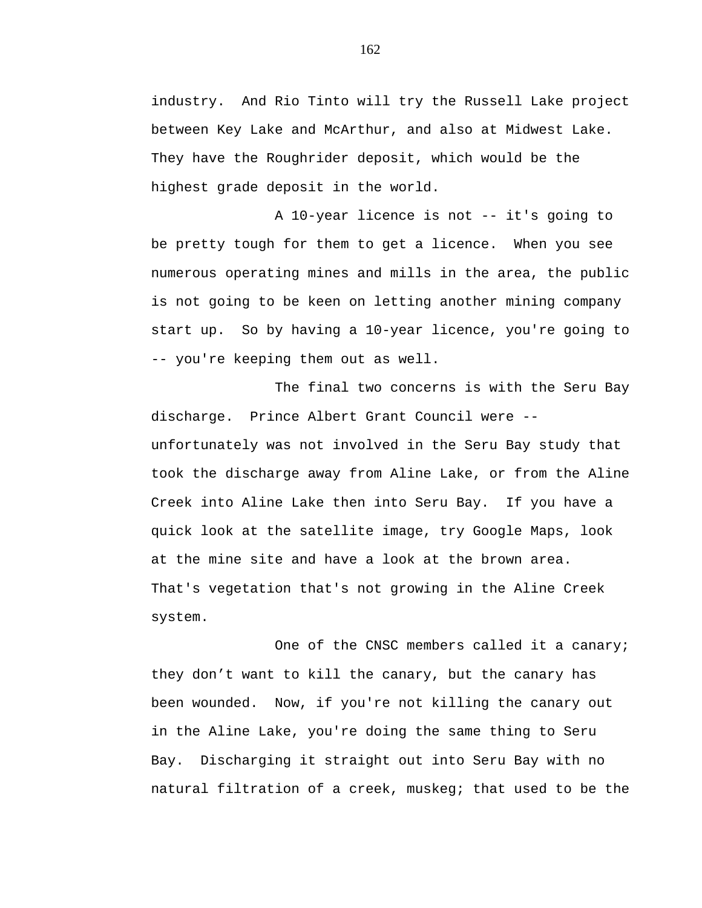industry. And Rio Tinto will try the Russell Lake project between Key Lake and McArthur, and also at Midwest Lake. They have the Roughrider deposit, which would be the highest grade deposit in the world.

A 10-year licence is not -- it's going to be pretty tough for them to get a licence. When you see numerous operating mines and mills in the area, the public is not going to be keen on letting another mining company start up. So by having a 10-year licence, you're going to -- you're keeping them out as well.

The final two concerns is with the Seru Bay discharge. Prince Albert Grant Council were - unfortunately was not involved in the Seru Bay study that took the discharge away from Aline Lake, or from the Aline Creek into Aline Lake then into Seru Bay. If you have a quick look at the satellite image, try Google Maps, look at the mine site and have a look at the brown area. That's vegetation that's not growing in the Aline Creek system.

One of the CNSC members called it a canary; they don't want to kill the canary, but the canary has been wounded. Now, if you're not killing the canary out in the Aline Lake, you're doing the same thing to Seru Bay. Discharging it straight out into Seru Bay with no natural filtration of a creek, muskeg; that used to be the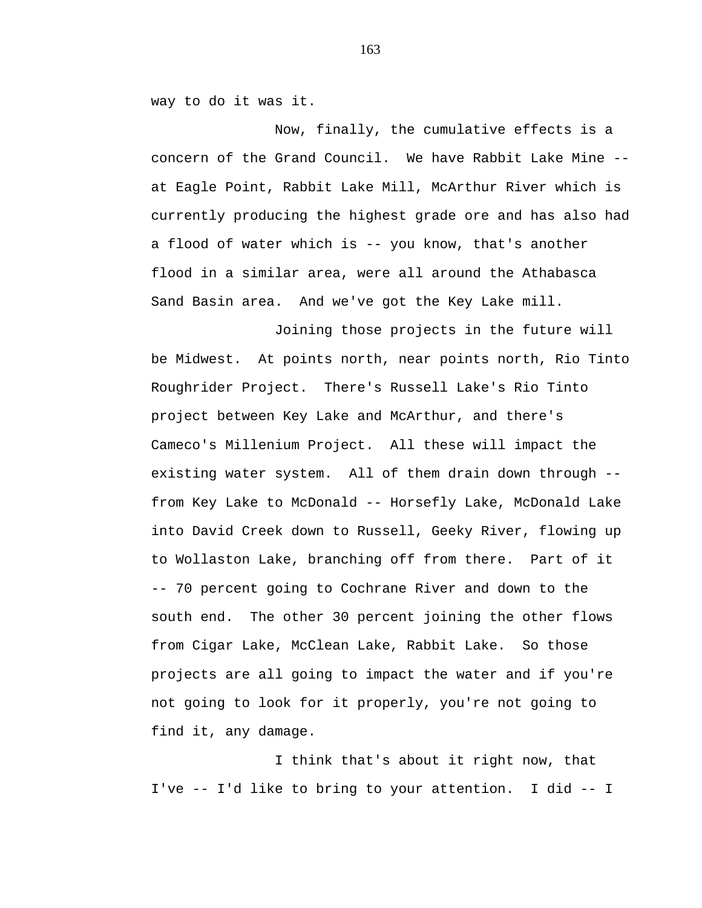way to do it was it.

Now, finally, the cumulative effects is a concern of the Grand Council. We have Rabbit Lake Mine - at Eagle Point, Rabbit Lake Mill, McArthur River which is currently producing the highest grade ore and has also had a flood of water which is -- you know, that's another flood in a similar area, were all around the Athabasca Sand Basin area. And we've got the Key Lake mill.

Joining those projects in the future will be Midwest. At points north, near points north, Rio Tinto Roughrider Project. There's Russell Lake's Rio Tinto project between Key Lake and McArthur, and there's Cameco's Millenium Project. All these will impact the existing water system. All of them drain down through - from Key Lake to McDonald -- Horsefly Lake, McDonald Lake into David Creek down to Russell, Geeky River, flowing up to Wollaston Lake, branching off from there. Part of it -- 70 percent going to Cochrane River and down to the south end. The other 30 percent joining the other flows from Cigar Lake, McClean Lake, Rabbit Lake. So those projects are all going to impact the water and if you're not going to look for it properly, you're not going to find it, any damage.

I think that's about it right now, that I've -- I'd like to bring to your attention. I did -- I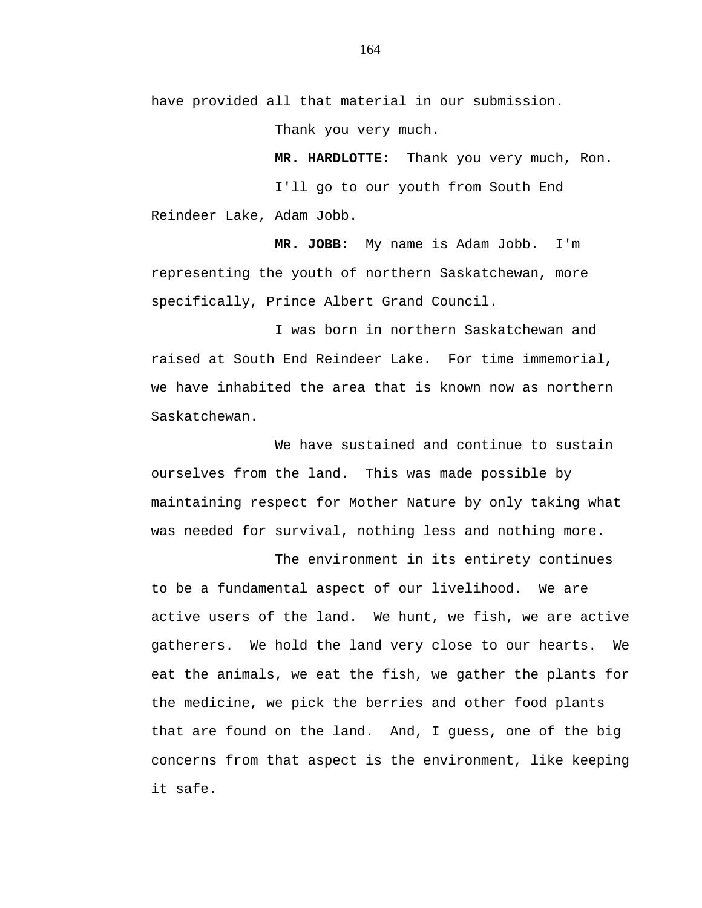have provided all that material in our submission.

Thank you very much.

**MR. HARDLOTTE:** Thank you very much, Ron. I'll go to our youth from South End

Reindeer Lake, Adam Jobb.

**MR. JOBB:** My name is Adam Jobb. I'm representing the youth of northern Saskatchewan, more specifically, Prince Albert Grand Council.

I was born in northern Saskatchewan and raised at South End Reindeer Lake. For time immemorial, we have inhabited the area that is known now as northern Saskatchewan.

We have sustained and continue to sustain ourselves from the land. This was made possible by maintaining respect for Mother Nature by only taking what was needed for survival, nothing less and nothing more.

The environment in its entirety continues to be a fundamental aspect of our livelihood. We are active users of the land. We hunt, we fish, we are active gatherers. We hold the land very close to our hearts. We eat the animals, we eat the fish, we gather the plants for the medicine, we pick the berries and other food plants that are found on the land. And, I guess, one of the big concerns from that aspect is the environment, like keeping it safe.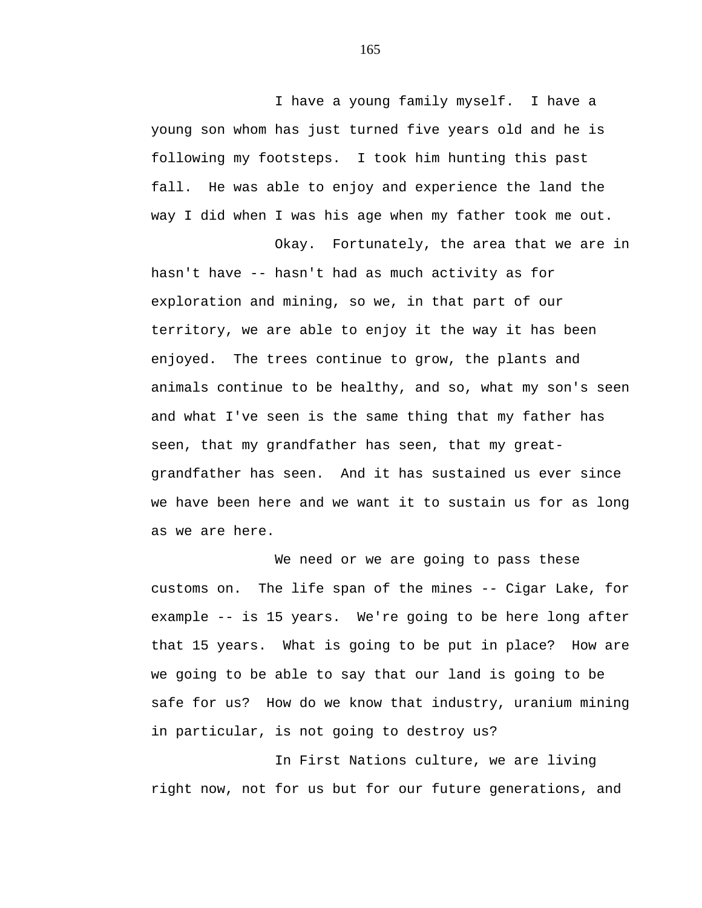I have a young family myself. I have a young son whom has just turned five years old and he is following my footsteps. I took him hunting this past fall. He was able to enjoy and experience the land the way I did when I was his age when my father took me out.

Okay. Fortunately, the area that we are in hasn't have -- hasn't had as much activity as for exploration and mining, so we, in that part of our territory, we are able to enjoy it the way it has been enjoyed. The trees continue to grow, the plants and animals continue to be healthy, and so, what my son's seen and what I've seen is the same thing that my father has seen, that my grandfather has seen, that my greatgrandfather has seen. And it has sustained us ever since we have been here and we want it to sustain us for as long as we are here.

We need or we are going to pass these customs on. The life span of the mines -- Cigar Lake, for example -- is 15 years. We're going to be here long after that 15 years. What is going to be put in place? How are we going to be able to say that our land is going to be safe for us? How do we know that industry, uranium mining in particular, is not going to destroy us?

In First Nations culture, we are living right now, not for us but for our future generations, and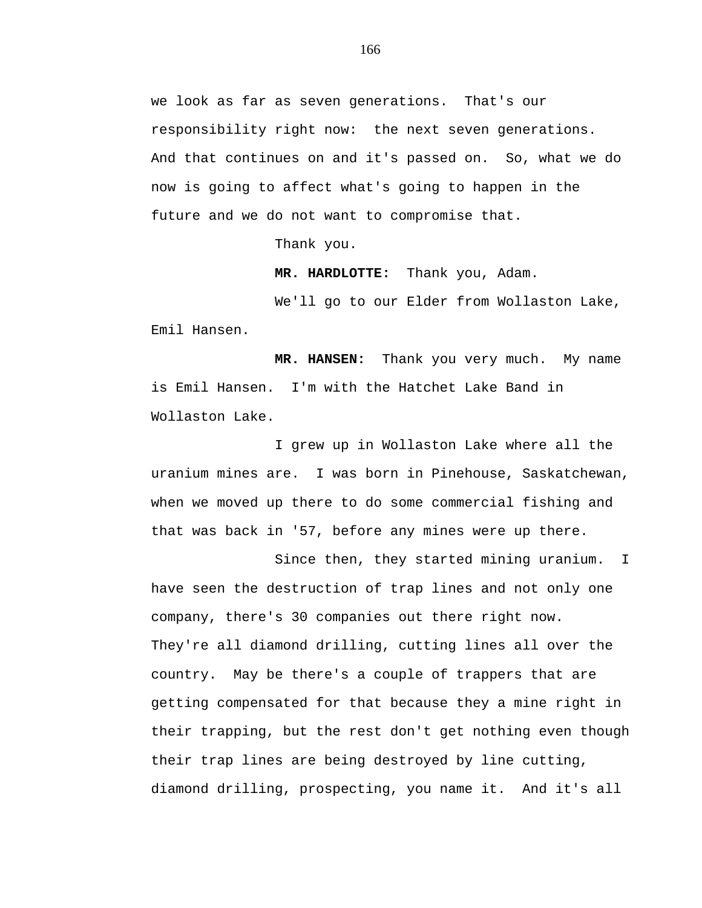we look as far as seven generations. That's our responsibility right now: the next seven generations. And that continues on and it's passed on. So, what we do now is going to affect what's going to happen in the future and we do not want to compromise that.

Thank you.

 **MR. HARDLOTTE:** Thank you, Adam.

We'll go to our Elder from Wollaston Lake, Emil Hansen.

 **MR. HANSEN:** Thank you very much. My name is Emil Hansen. I'm with the Hatchet Lake Band in Wollaston Lake.

I grew up in Wollaston Lake where all the uranium mines are. I was born in Pinehouse, Saskatchewan, when we moved up there to do some commercial fishing and that was back in '57, before any mines were up there.

Since then, they started mining uranium. I have seen the destruction of trap lines and not only one company, there's 30 companies out there right now. They're all diamond drilling, cutting lines all over the country. May be there's a couple of trappers that are getting compensated for that because they a mine right in their trapping, but the rest don't get nothing even though their trap lines are being destroyed by line cutting, diamond drilling, prospecting, you name it. And it's all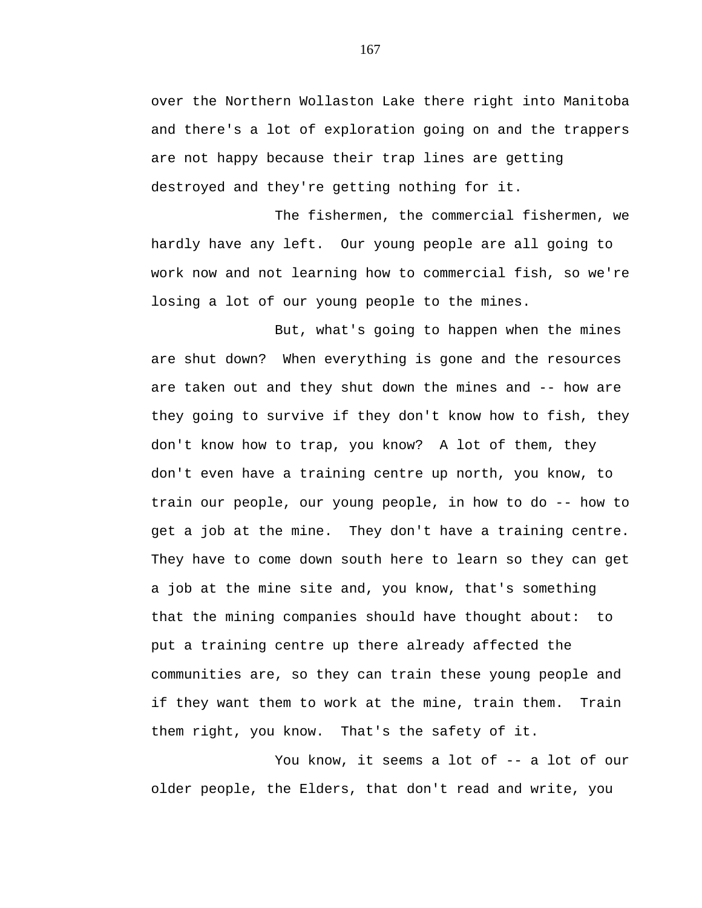over the Northern Wollaston Lake there right into Manitoba and there's a lot of exploration going on and the trappers are not happy because their trap lines are getting destroyed and they're getting nothing for it.

The fishermen, the commercial fishermen, we hardly have any left. Our young people are all going to work now and not learning how to commercial fish, so we're losing a lot of our young people to the mines.

But, what's going to happen when the mines are shut down? When everything is gone and the resources are taken out and they shut down the mines and -- how are they going to survive if they don't know how to fish, they don't know how to trap, you know? A lot of them, they don't even have a training centre up north, you know, to train our people, our young people, in how to do -- how to get a job at the mine. They don't have a training centre. They have to come down south here to learn so they can get a job at the mine site and, you know, that's something that the mining companies should have thought about: to put a training centre up there already affected the communities are, so they can train these young people and if they want them to work at the mine, train them. Train them right, you know. That's the safety of it.

You know, it seems a lot of -- a lot of our older people, the Elders, that don't read and write, you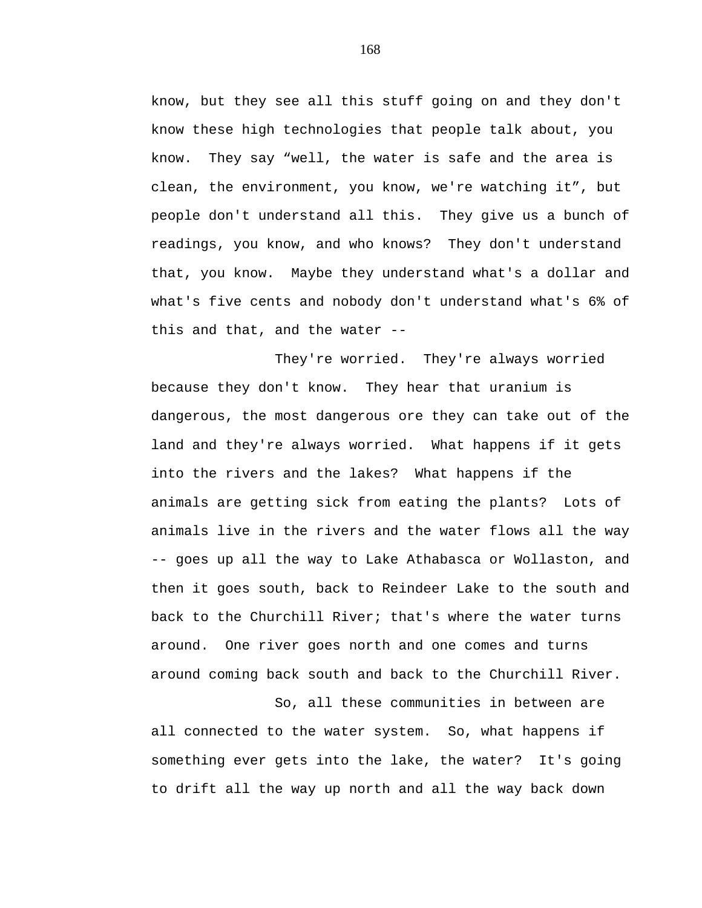know, but they see all this stuff going on and they don't know these high technologies that people talk about, you know. They say "well, the water is safe and the area is clean, the environment, you know, we're watching it", but people don't understand all this. They give us a bunch of readings, you know, and who knows? They don't understand that, you know. Maybe they understand what's a dollar and what's five cents and nobody don't understand what's 6% of this and that, and the water --

They're worried. They're always worried because they don't know. They hear that uranium is dangerous, the most dangerous ore they can take out of the land and they're always worried. What happens if it gets into the rivers and the lakes? What happens if the animals are getting sick from eating the plants? Lots of animals live in the rivers and the water flows all the way -- goes up all the way to Lake Athabasca or Wollaston, and then it goes south, back to Reindeer Lake to the south and back to the Churchill River; that's where the water turns around. One river goes north and one comes and turns around coming back south and back to the Churchill River.

So, all these communities in between are all connected to the water system. So, what happens if something ever gets into the lake, the water? It's going to drift all the way up north and all the way back down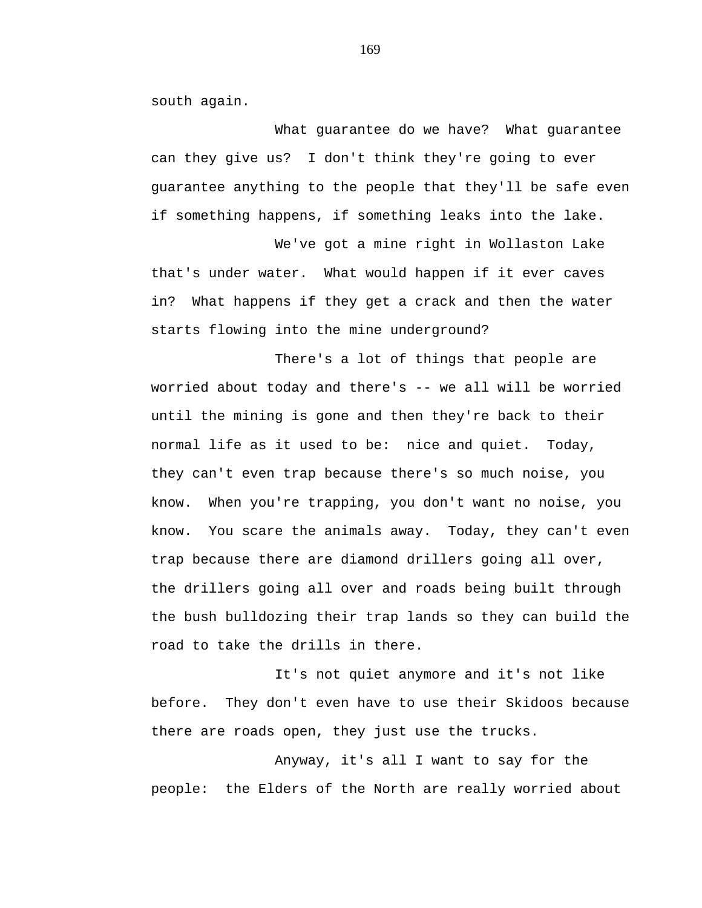south again.

What guarantee do we have? What guarantee can they give us? I don't think they're going to ever guarantee anything to the people that they'll be safe even if something happens, if something leaks into the lake.

We've got a mine right in Wollaston Lake that's under water. What would happen if it ever caves in? What happens if they get a crack and then the water starts flowing into the mine underground?

There's a lot of things that people are worried about today and there's -- we all will be worried until the mining is gone and then they're back to their normal life as it used to be: nice and quiet. Today, they can't even trap because there's so much noise, you know. When you're trapping, you don't want no noise, you know. You scare the animals away. Today, they can't even trap because there are diamond drillers going all over, the drillers going all over and roads being built through the bush bulldozing their trap lands so they can build the road to take the drills in there.

It's not quiet anymore and it's not like before. They don't even have to use their Skidoos because there are roads open, they just use the trucks.

Anyway, it's all I want to say for the people: the Elders of the North are really worried about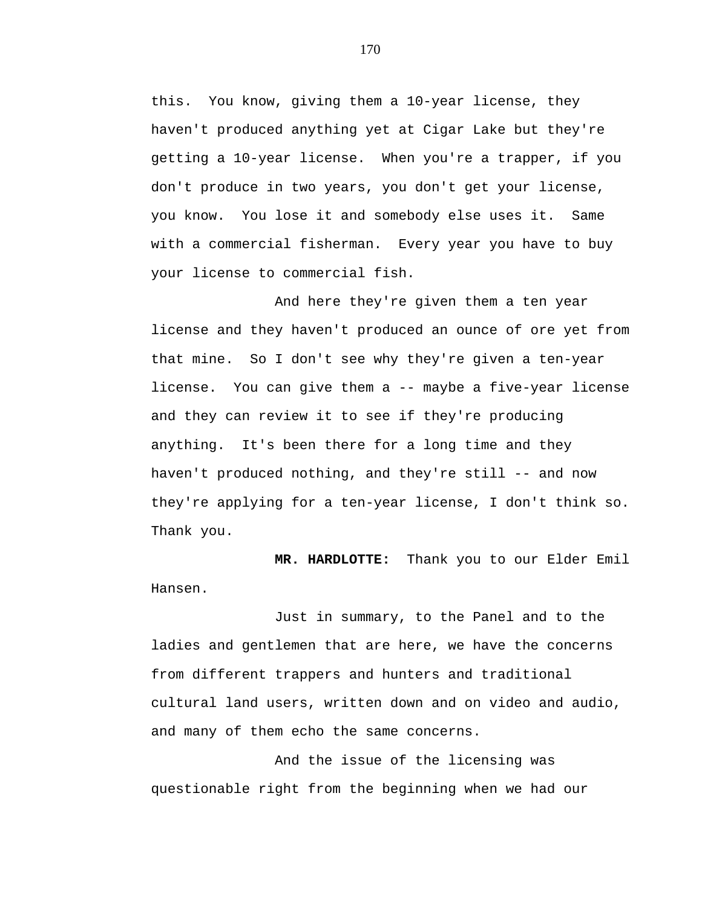this. You know, giving them a 10-year license, they haven't produced anything yet at Cigar Lake but they're getting a 10-year license. When you're a trapper, if you don't produce in two years, you don't get your license, you know. You lose it and somebody else uses it. Same with a commercial fisherman. Every year you have to buy your license to commercial fish.

And here they're given them a ten year license and they haven't produced an ounce of ore yet from that mine. So I don't see why they're given a ten-year license. You can give them a -- maybe a five-year license and they can review it to see if they're producing anything. It's been there for a long time and they haven't produced nothing, and they're still -- and now they're applying for a ten-year license, I don't think so. Thank you.

**MR. HARDLOTTE:** Thank you to our Elder Emil Hansen.

Just in summary, to the Panel and to the ladies and gentlemen that are here, we have the concerns from different trappers and hunters and traditional cultural land users, written down and on video and audio, and many of them echo the same concerns.

And the issue of the licensing was questionable right from the beginning when we had our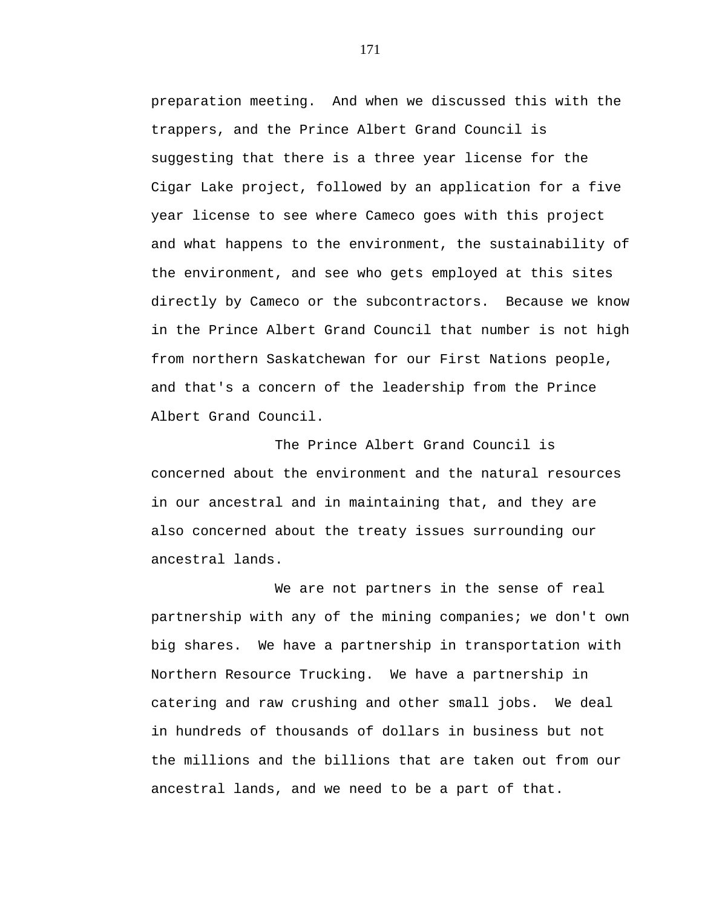preparation meeting. And when we discussed this with the trappers, and the Prince Albert Grand Council is suggesting that there is a three year license for the Cigar Lake project, followed by an application for a five year license to see where Cameco goes with this project and what happens to the environment, the sustainability of the environment, and see who gets employed at this sites directly by Cameco or the subcontractors. Because we know in the Prince Albert Grand Council that number is not high from northern Saskatchewan for our First Nations people, and that's a concern of the leadership from the Prince Albert Grand Council.

The Prince Albert Grand Council is concerned about the environment and the natural resources in our ancestral and in maintaining that, and they are also concerned about the treaty issues surrounding our ancestral lands.

We are not partners in the sense of real partnership with any of the mining companies; we don't own big shares. We have a partnership in transportation with Northern Resource Trucking. We have a partnership in catering and raw crushing and other small jobs. We deal in hundreds of thousands of dollars in business but not the millions and the billions that are taken out from our ancestral lands, and we need to be a part of that.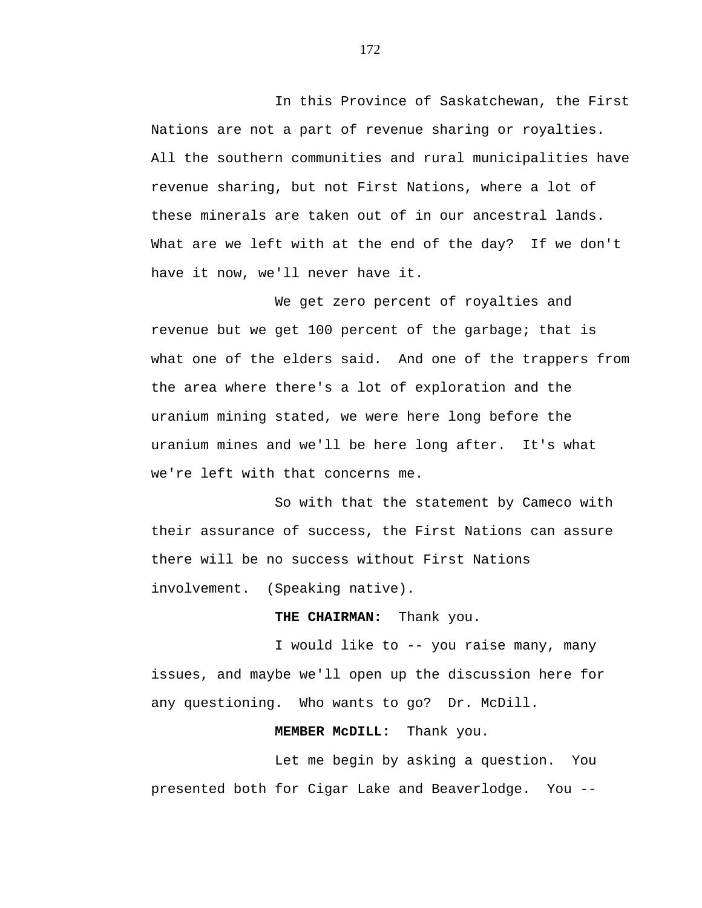In this Province of Saskatchewan, the First Nations are not a part of revenue sharing or royalties. All the southern communities and rural municipalities have revenue sharing, but not First Nations, where a lot of these minerals are taken out of in our ancestral lands. What are we left with at the end of the day? If we don't have it now, we'll never have it.

We get zero percent of royalties and revenue but we get 100 percent of the garbage; that is what one of the elders said. And one of the trappers from the area where there's a lot of exploration and the uranium mining stated, we were here long before the uranium mines and we'll be here long after. It's what we're left with that concerns me.

So with that the statement by Cameco with their assurance of success, the First Nations can assure there will be no success without First Nations involvement. (Speaking native).

## **THE CHAIRMAN:** Thank you.

I would like to -- you raise many, many issues, and maybe we'll open up the discussion here for any questioning. Who wants to go? Dr. McDill.

### **MEMBER McDILL:** Thank you.

Let me begin by asking a question. You presented both for Cigar Lake and Beaverlodge. You --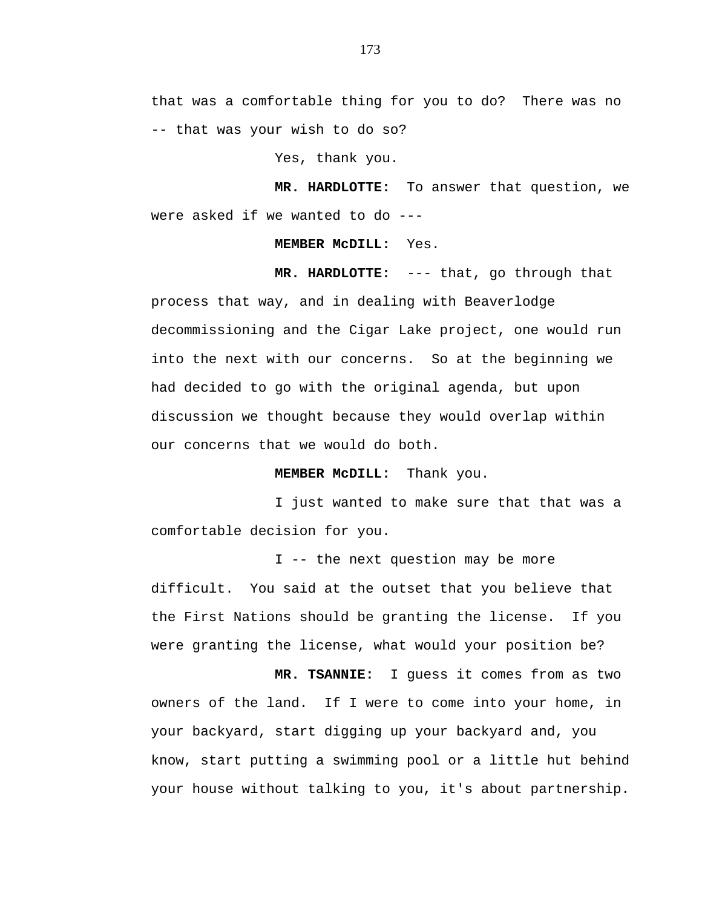that was a comfortable thing for you to do? There was no -- that was your wish to do so?

Yes, thank you.

**MR. HARDLOTTE:** To answer that question, we were asked if we wanted to do ---

#### **MEMBER McDILL:** Yes.

**MR. HARDLOTTE:** --- that, go through that process that way, and in dealing with Beaverlodge decommissioning and the Cigar Lake project, one would run into the next with our concerns. So at the beginning we had decided to go with the original agenda, but upon discussion we thought because they would overlap within our concerns that we would do both.

## **MEMBER McDILL:** Thank you.

I just wanted to make sure that that was a comfortable decision for you.

I -- the next question may be more difficult. You said at the outset that you believe that the First Nations should be granting the license. If you were granting the license, what would your position be?

**MR. TSANNIE:** I guess it comes from as two owners of the land. If I were to come into your home, in your backyard, start digging up your backyard and, you know, start putting a swimming pool or a little hut behind your house without talking to you, it's about partnership.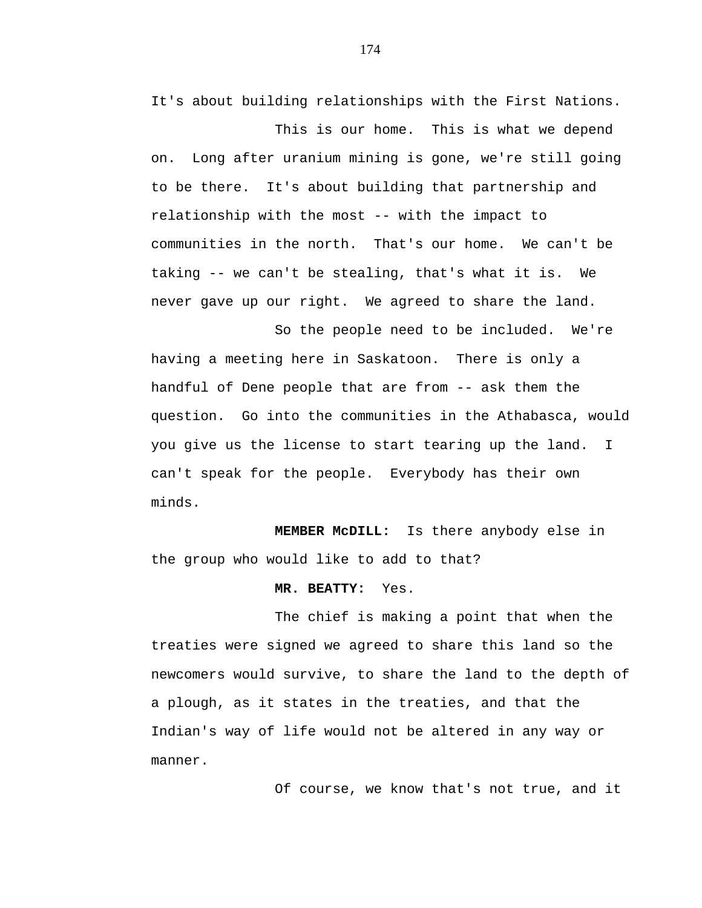It's about building relationships with the First Nations.

This is our home. This is what we depend on. Long after uranium mining is gone, we're still going to be there. It's about building that partnership and relationship with the most -- with the impact to communities in the north. That's our home. We can't be taking -- we can't be stealing, that's what it is. We never gave up our right. We agreed to share the land.

So the people need to be included. We're having a meeting here in Saskatoon. There is only a handful of Dene people that are from -- ask them the question. Go into the communities in the Athabasca, would you give us the license to start tearing up the land. I can't speak for the people. Everybody has their own minds.

**MEMBER McDILL:** Is there anybody else in the group who would like to add to that?

# **MR. BEATTY:** Yes.

The chief is making a point that when the treaties were signed we agreed to share this land so the newcomers would survive, to share the land to the depth of a plough, as it states in the treaties, and that the Indian's way of life would not be altered in any way or manner.

Of course, we know that's not true, and it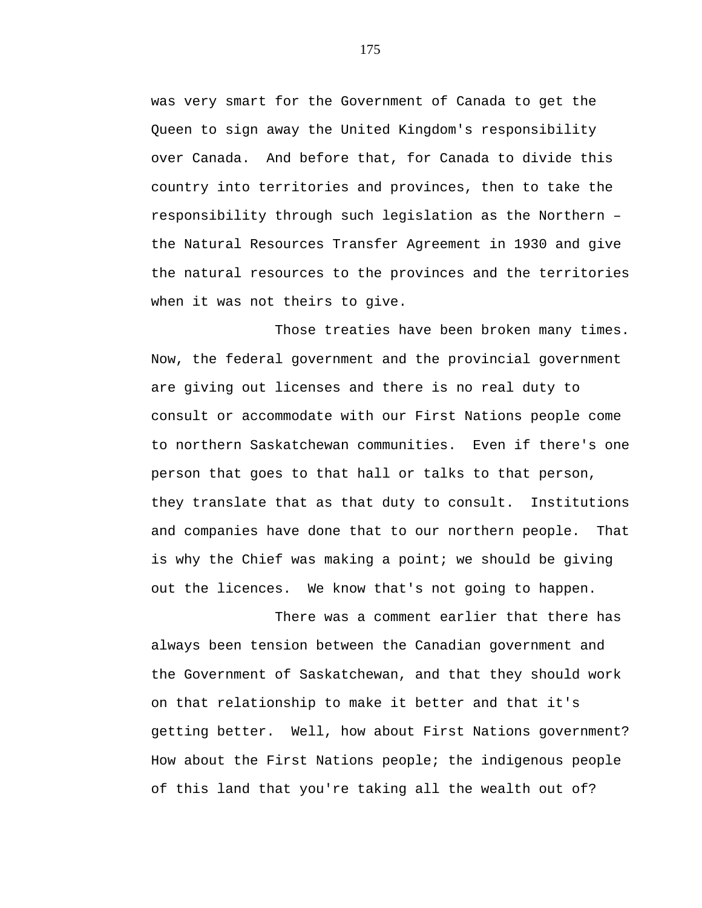was very smart for the Government of Canada to get the Queen to sign away the United Kingdom's responsibility over Canada. And before that, for Canada to divide this country into territories and provinces, then to take the responsibility through such legislation as the Northern – the Natural Resources Transfer Agreement in 1930 and give the natural resources to the provinces and the territories when it was not theirs to give.

Those treaties have been broken many times. Now, the federal government and the provincial government are giving out licenses and there is no real duty to consult or accommodate with our First Nations people come to northern Saskatchewan communities. Even if there's one person that goes to that hall or talks to that person, they translate that as that duty to consult. Institutions and companies have done that to our northern people. That is why the Chief was making a point; we should be giving out the licences. We know that's not going to happen.

There was a comment earlier that there has always been tension between the Canadian government and the Government of Saskatchewan, and that they should work on that relationship to make it better and that it's getting better. Well, how about First Nations government? How about the First Nations people; the indigenous people of this land that you're taking all the wealth out of?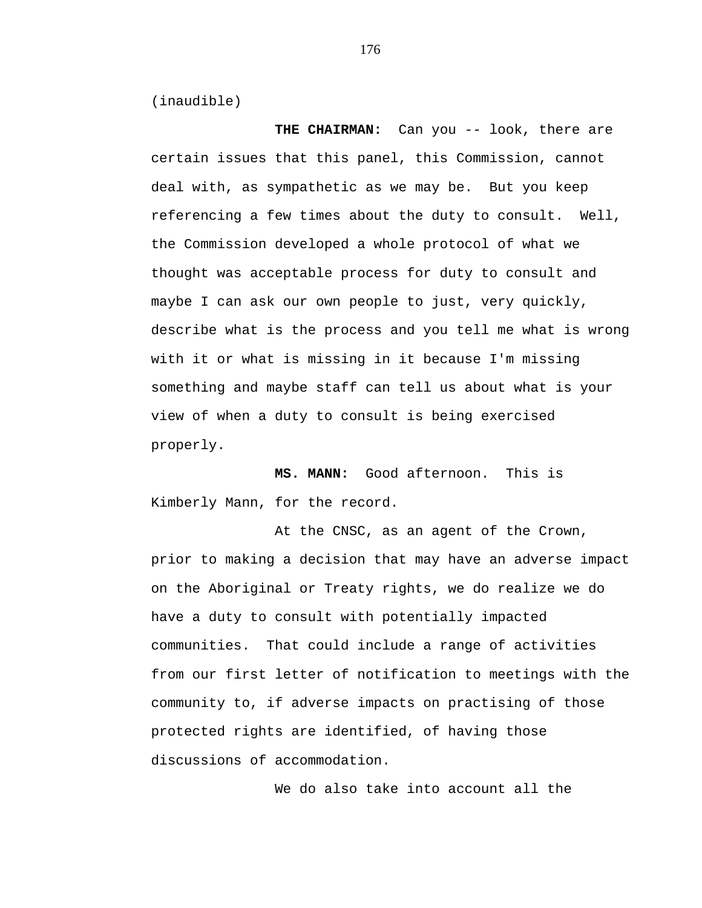(inaudible)

THE CHAIRMAN: Can you -- look, there are certain issues that this panel, this Commission, cannot deal with, as sympathetic as we may be. But you keep referencing a few times about the duty to consult. Well, the Commission developed a whole protocol of what we thought was acceptable process for duty to consult and maybe I can ask our own people to just, very quickly, describe what is the process and you tell me what is wrong with it or what is missing in it because I'm missing something and maybe staff can tell us about what is your view of when a duty to consult is being exercised properly.

**MS. MANN:** Good afternoon. This is Kimberly Mann, for the record.

At the CNSC, as an agent of the Crown, prior to making a decision that may have an adverse impact on the Aboriginal or Treaty rights, we do realize we do have a duty to consult with potentially impacted communities. That could include a range of activities from our first letter of notification to meetings with the community to, if adverse impacts on practising of those protected rights are identified, of having those discussions of accommodation.

We do also take into account all the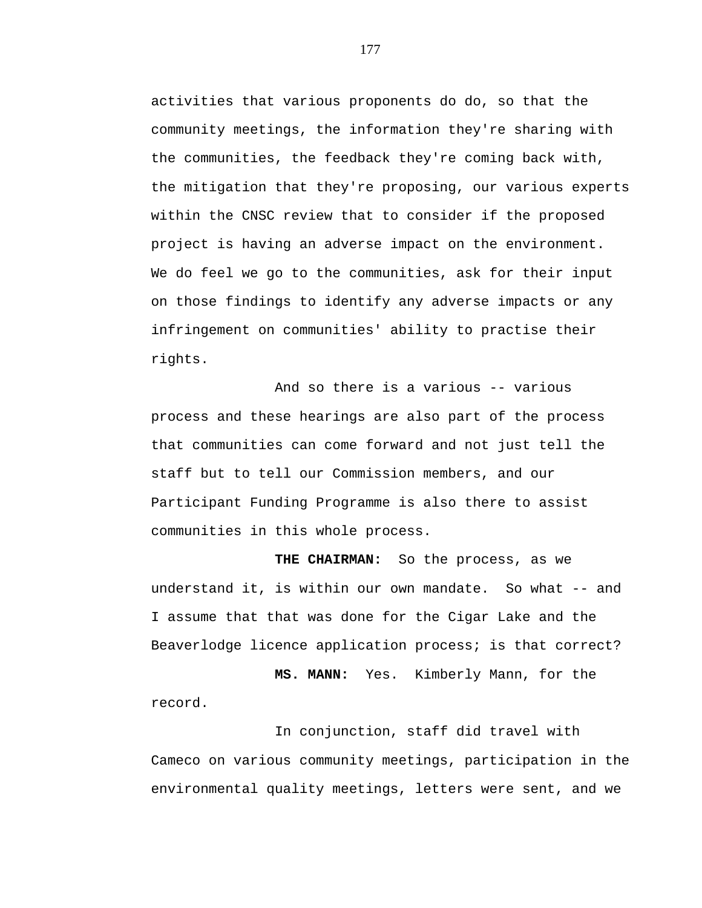activities that various proponents do do, so that the community meetings, the information they're sharing with the communities, the feedback they're coming back with, the mitigation that they're proposing, our various experts within the CNSC review that to consider if the proposed project is having an adverse impact on the environment. We do feel we go to the communities, ask for their input on those findings to identify any adverse impacts or any infringement on communities' ability to practise their rights.

And so there is a various -- various process and these hearings are also part of the process that communities can come forward and not just tell the staff but to tell our Commission members, and our Participant Funding Programme is also there to assist communities in this whole process.

**THE CHAIRMAN:** So the process, as we understand it, is within our own mandate. So what -- and I assume that that was done for the Cigar Lake and the Beaverlodge licence application process; is that correct?

**MS. MANN:** Yes. Kimberly Mann, for the record.

In conjunction, staff did travel with Cameco on various community meetings, participation in the environmental quality meetings, letters were sent, and we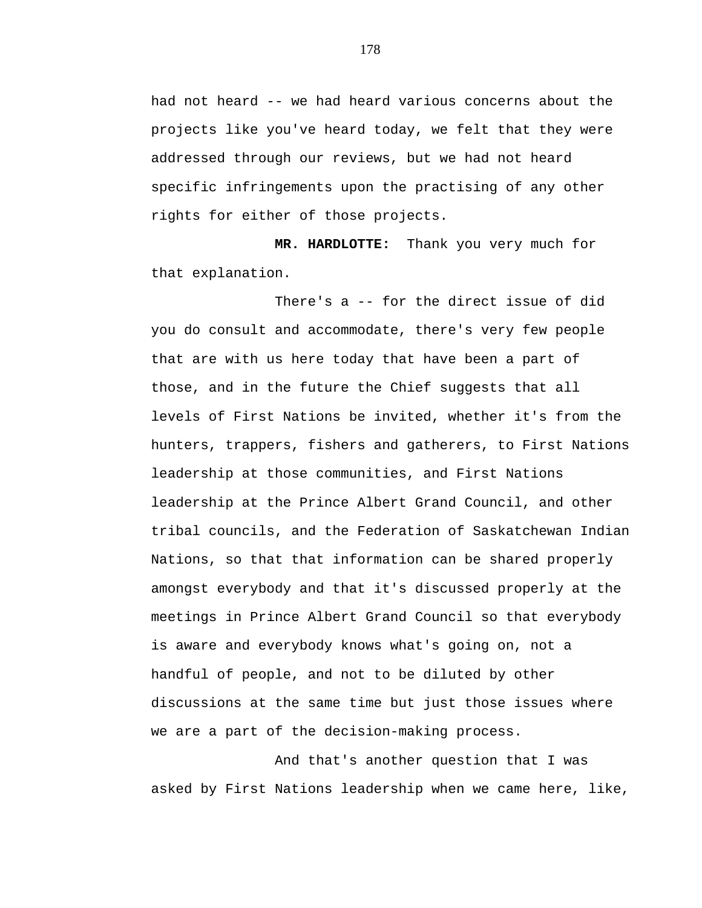had not heard -- we had heard various concerns about the projects like you've heard today, we felt that they were addressed through our reviews, but we had not heard specific infringements upon the practising of any other rights for either of those projects.

**MR. HARDLOTTE:** Thank you very much for that explanation.

There's a -- for the direct issue of did you do consult and accommodate, there's very few people that are with us here today that have been a part of those, and in the future the Chief suggests that all levels of First Nations be invited, whether it's from the hunters, trappers, fishers and gatherers, to First Nations leadership at those communities, and First Nations leadership at the Prince Albert Grand Council, and other tribal councils, and the Federation of Saskatchewan Indian Nations, so that that information can be shared properly amongst everybody and that it's discussed properly at the meetings in Prince Albert Grand Council so that everybody is aware and everybody knows what's going on, not a handful of people, and not to be diluted by other discussions at the same time but just those issues where we are a part of the decision-making process.

And that's another question that I was asked by First Nations leadership when we came here, like,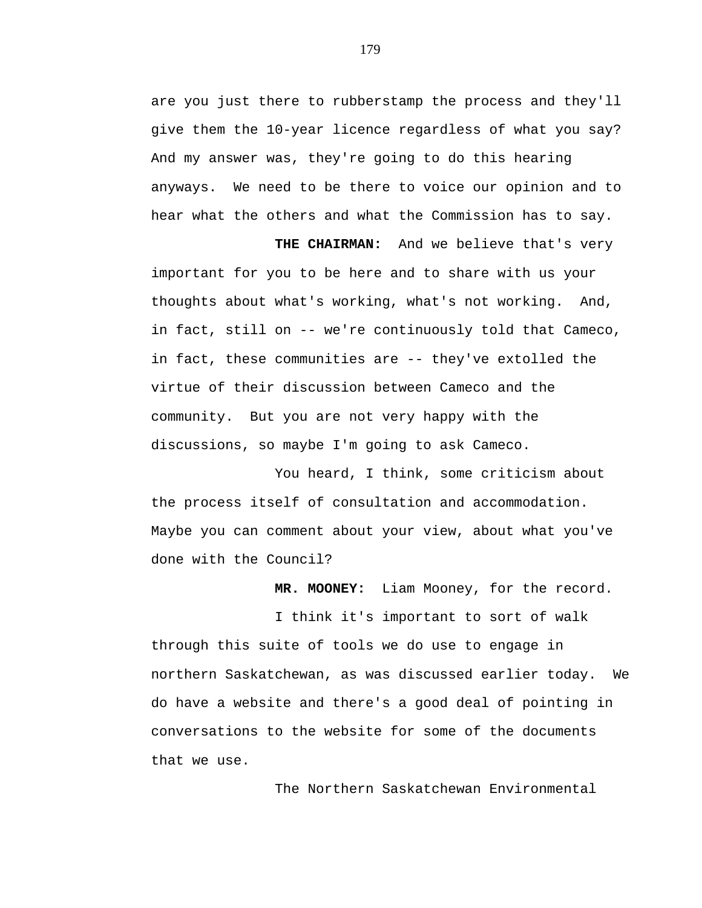are you just there to rubberstamp the process and they'll give them the 10-year licence regardless of what you say? And my answer was, they're going to do this hearing anyways. We need to be there to voice our opinion and to hear what the others and what the Commission has to say.

**THE CHAIRMAN:** And we believe that's very important for you to be here and to share with us your thoughts about what's working, what's not working. And, in fact, still on -- we're continuously told that Cameco, in fact, these communities are -- they've extolled the virtue of their discussion between Cameco and the community. But you are not very happy with the discussions, so maybe I'm going to ask Cameco.

You heard, I think, some criticism about the process itself of consultation and accommodation. Maybe you can comment about your view, about what you've done with the Council?

 **MR. MOONEY:** Liam Mooney, for the record.

I think it's important to sort of walk through this suite of tools we do use to engage in northern Saskatchewan, as was discussed earlier today. We do have a website and there's a good deal of pointing in conversations to the website for some of the documents that we use.

The Northern Saskatchewan Environmental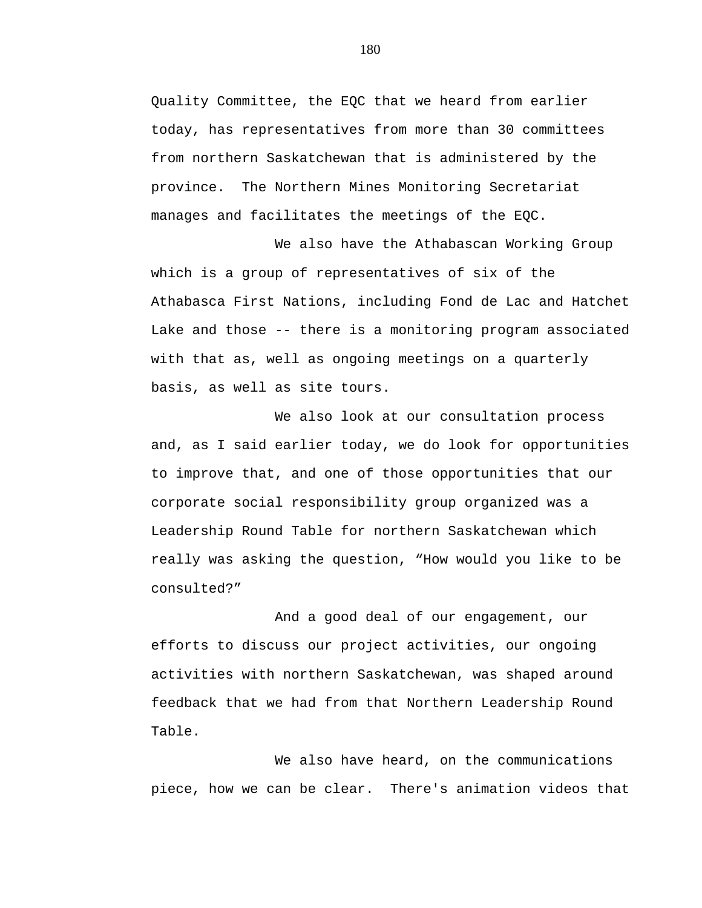Quality Committee, the EQC that we heard from earlier today, has representatives from more than 30 committees from northern Saskatchewan that is administered by the province. The Northern Mines Monitoring Secretariat manages and facilitates the meetings of the EQC.

We also have the Athabascan Working Group which is a group of representatives of six of the Athabasca First Nations, including Fond de Lac and Hatchet Lake and those -- there is a monitoring program associated with that as, well as ongoing meetings on a quarterly basis, as well as site tours.

We also look at our consultation process and, as I said earlier today, we do look for opportunities to improve that, and one of those opportunities that our corporate social responsibility group organized was a Leadership Round Table for northern Saskatchewan which really was asking the question, "How would you like to be consulted?"

And a good deal of our engagement, our efforts to discuss our project activities, our ongoing activities with northern Saskatchewan, was shaped around feedback that we had from that Northern Leadership Round Table.

We also have heard, on the communications piece, how we can be clear. There's animation videos that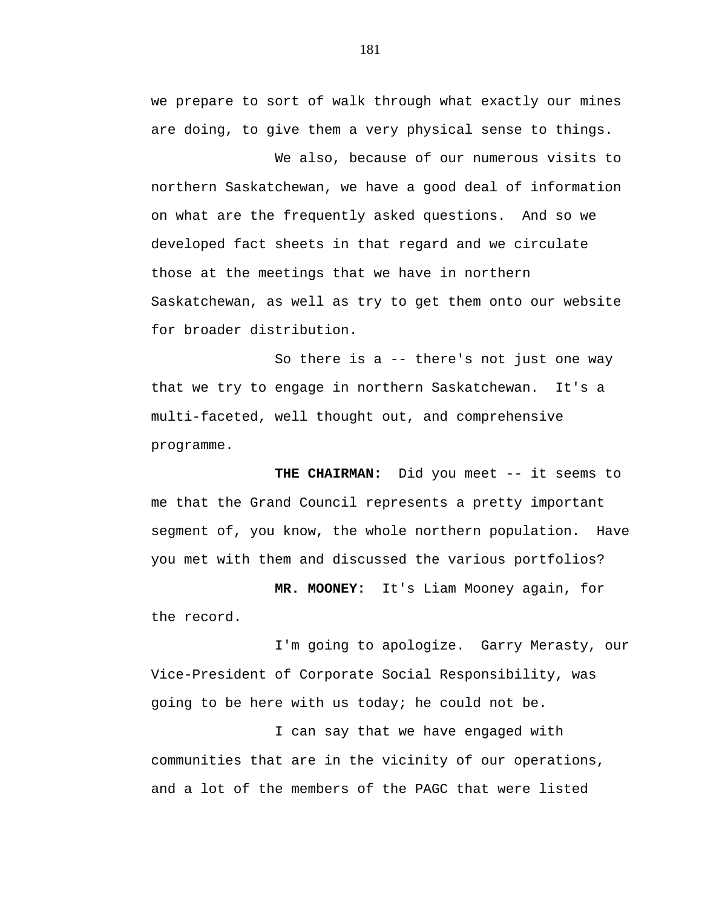we prepare to sort of walk through what exactly our mines are doing, to give them a very physical sense to things.

We also, because of our numerous visits to northern Saskatchewan, we have a good deal of information on what are the frequently asked questions. And so we developed fact sheets in that regard and we circulate those at the meetings that we have in northern Saskatchewan, as well as try to get them onto our website for broader distribution.

So there is a -- there's not just one way that we try to engage in northern Saskatchewan. It's a multi-faceted, well thought out, and comprehensive programme.

**THE CHAIRMAN:** Did you meet -- it seems to me that the Grand Council represents a pretty important segment of, you know, the whole northern population. Have you met with them and discussed the various portfolios?

 **MR. MOONEY:** It's Liam Mooney again, for the record.

I'm going to apologize. Garry Merasty, our Vice-President of Corporate Social Responsibility, was going to be here with us today; he could not be.

I can say that we have engaged with communities that are in the vicinity of our operations, and a lot of the members of the PAGC that were listed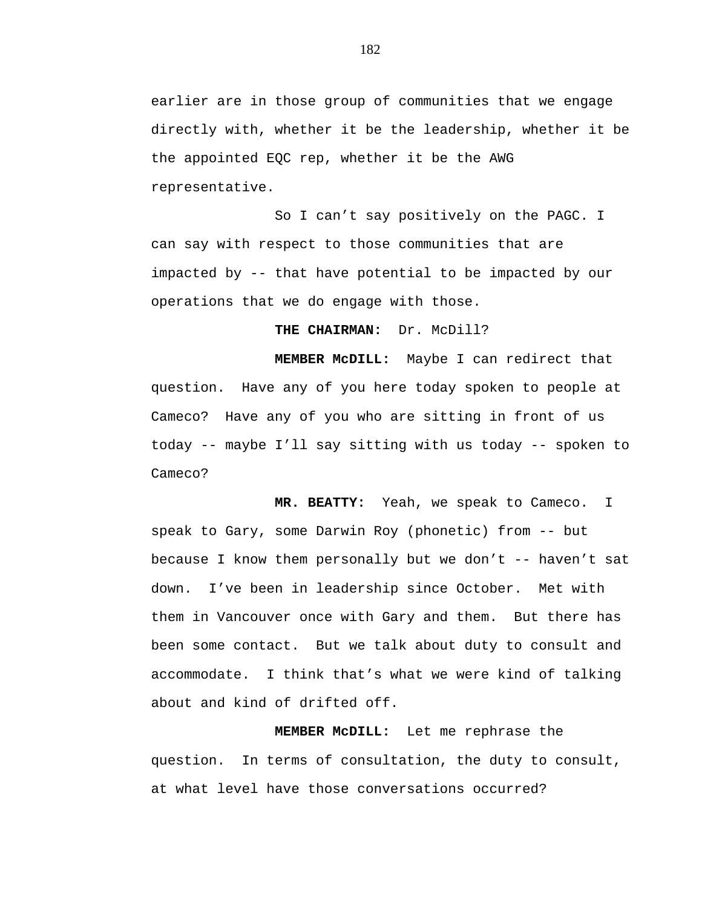earlier are in those group of communities that we engage directly with, whether it be the leadership, whether it be the appointed EQC rep, whether it be the AWG representative.

So I can't say positively on the PAGC. I can say with respect to those communities that are impacted by -- that have potential to be impacted by our operations that we do engage with those.

**THE CHAIRMAN:** Dr. McDill?

**MEMBER McDILL:** Maybe I can redirect that question. Have any of you here today spoken to people at Cameco? Have any of you who are sitting in front of us today -- maybe I'll say sitting with us today -- spoken to Cameco?

**MR. BEATTY:** Yeah, we speak to Cameco. I speak to Gary, some Darwin Roy (phonetic) from -- but because I know them personally but we don't -- haven't sat down. I've been in leadership since October. Met with them in Vancouver once with Gary and them. But there has been some contact. But we talk about duty to consult and accommodate. I think that's what we were kind of talking about and kind of drifted off.

**MEMBER McDILL:** Let me rephrase the question. In terms of consultation, the duty to consult, at what level have those conversations occurred?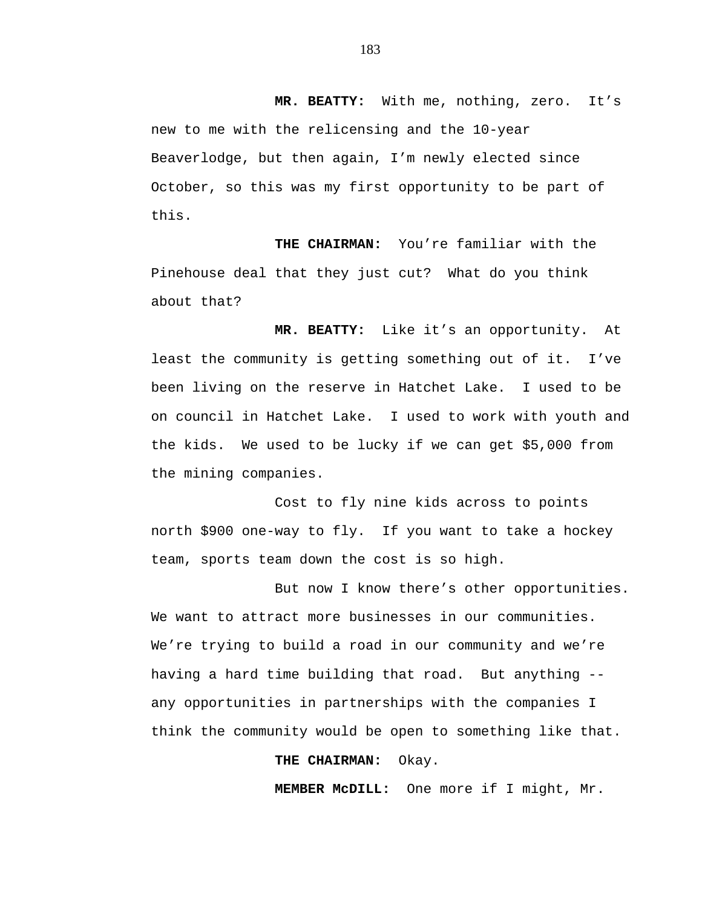**MR. BEATTY:** With me, nothing, zero. It's new to me with the relicensing and the 10-year Beaverlodge, but then again, I'm newly elected since October, so this was my first opportunity to be part of this.

**THE CHAIRMAN:** You're familiar with the Pinehouse deal that they just cut? What do you think about that?

**MR. BEATTY:** Like it's an opportunity. At least the community is getting something out of it. I've been living on the reserve in Hatchet Lake. I used to be on council in Hatchet Lake. I used to work with youth and the kids. We used to be lucky if we can get \$5,000 from the mining companies.

Cost to fly nine kids across to points north \$900 one-way to fly. If you want to take a hockey team, sports team down the cost is so high.

But now I know there's other opportunities. We want to attract more businesses in our communities. We're trying to build a road in our community and we're having a hard time building that road. But anything - any opportunities in partnerships with the companies I think the community would be open to something like that.

## **THE CHAIRMAN:** Okay.

**MEMBER McDILL:** One more if I might, Mr.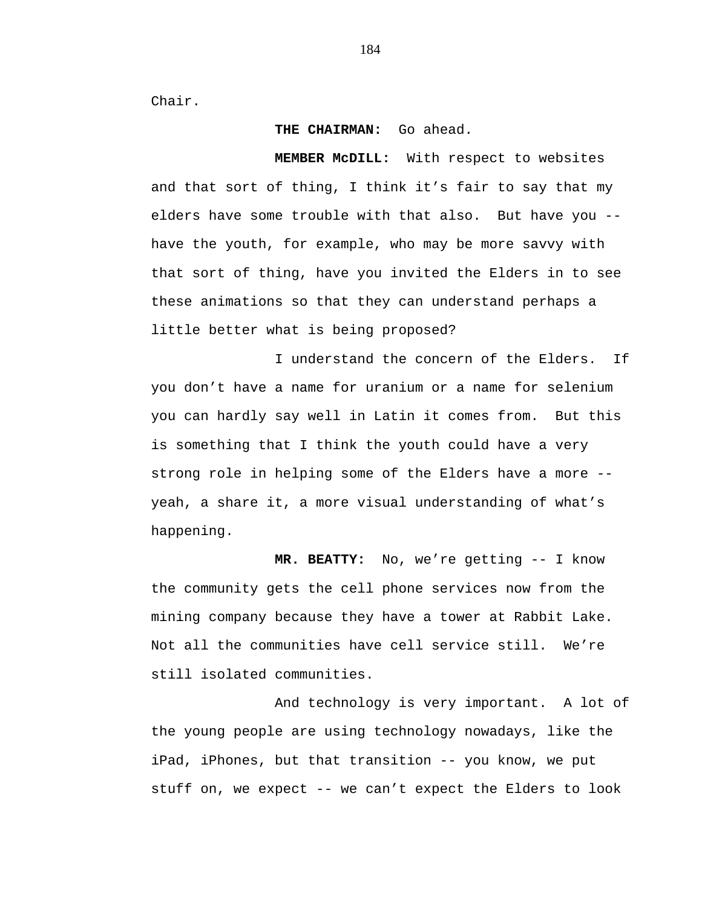Chair.

## **THE CHAIRMAN:** Go ahead.

**MEMBER McDILL:** With respect to websites and that sort of thing, I think it's fair to say that my elders have some trouble with that also. But have you - have the youth, for example, who may be more savvy with that sort of thing, have you invited the Elders in to see these animations so that they can understand perhaps a little better what is being proposed?

I understand the concern of the Elders. If you don't have a name for uranium or a name for selenium you can hardly say well in Latin it comes from. But this is something that I think the youth could have a very strong role in helping some of the Elders have a more - yeah, a share it, a more visual understanding of what's happening.

**MR. BEATTY:** No, we're getting -- I know the community gets the cell phone services now from the mining company because they have a tower at Rabbit Lake. Not all the communities have cell service still. We're still isolated communities.

And technology is very important. A lot of the young people are using technology nowadays, like the iPad, iPhones, but that transition -- you know, we put stuff on, we expect -- we can't expect the Elders to look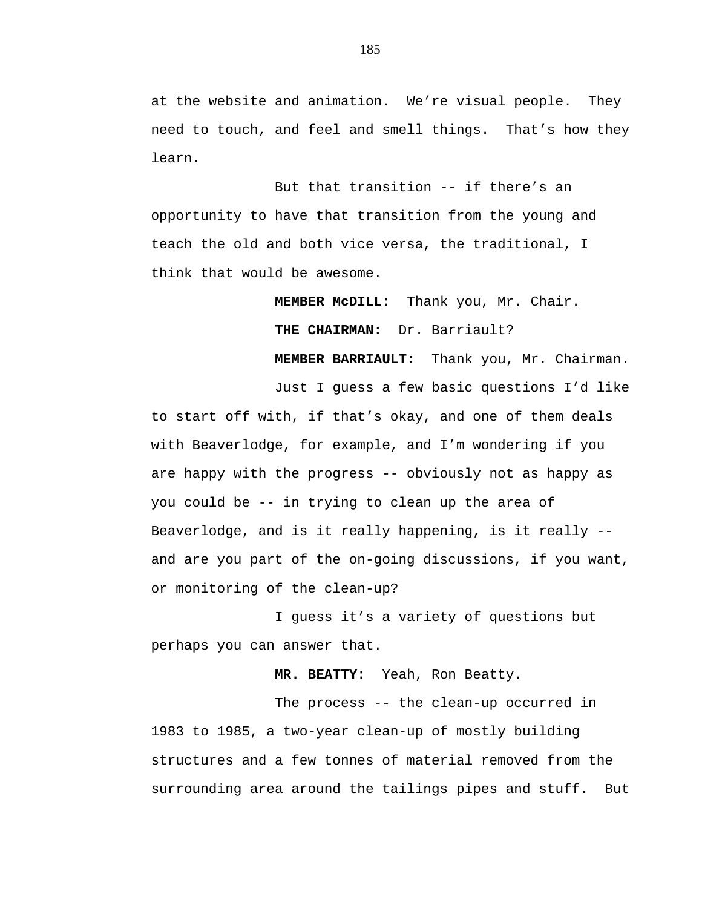at the website and animation. We're visual people. They need to touch, and feel and smell things. That's how they learn.

But that transition -- if there's an opportunity to have that transition from the young and teach the old and both vice versa, the traditional, I think that would be awesome.

> **MEMBER McDILL:** Thank you, Mr. Chair. **THE CHAIRMAN:** Dr. Barriault?

**MEMBER BARRIAULT:** Thank you, Mr. Chairman.

Just I guess a few basic questions I'd like to start off with, if that's okay, and one of them deals with Beaverlodge, for example, and I'm wondering if you are happy with the progress -- obviously not as happy as you could be -- in trying to clean up the area of Beaverlodge, and is it really happening, is it really - and are you part of the on-going discussions, if you want, or monitoring of the clean-up?

I guess it's a variety of questions but perhaps you can answer that.

**MR. BEATTY:** Yeah, Ron Beatty.

The process -- the clean-up occurred in 1983 to 1985, a two-year clean-up of mostly building structures and a few tonnes of material removed from the surrounding area around the tailings pipes and stuff. But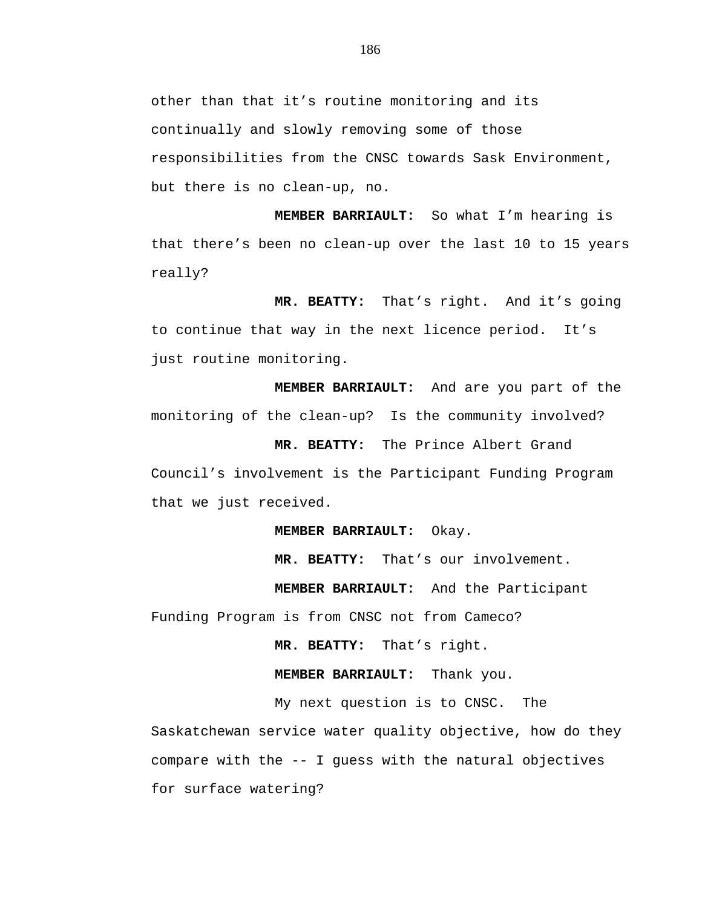other than that it's routine monitoring and its continually and slowly removing some of those responsibilities from the CNSC towards Sask Environment, but there is no clean-up, no.

**MEMBER BARRIAULT:** So what I'm hearing is that there's been no clean-up over the last 10 to 15 years really?

**MR. BEATTY:** That's right. And it's going to continue that way in the next licence period. It's just routine monitoring.

**MEMBER BARRIAULT:** And are you part of the monitoring of the clean-up? Is the community involved?

**MR. BEATTY:** The Prince Albert Grand Council's involvement is the Participant Funding Program that we just received.

**MEMBER BARRIAULT:** Okay.

**MR. BEATTY:** That's our involvement.

**MEMBER BARRIAULT:** And the Participant

Funding Program is from CNSC not from Cameco?

**MR. BEATTY:** That's right.

**MEMBER BARRIAULT:** Thank you.

My next question is to CNSC. The Saskatchewan service water quality objective, how do they compare with the -- I guess with the natural objectives for surface watering?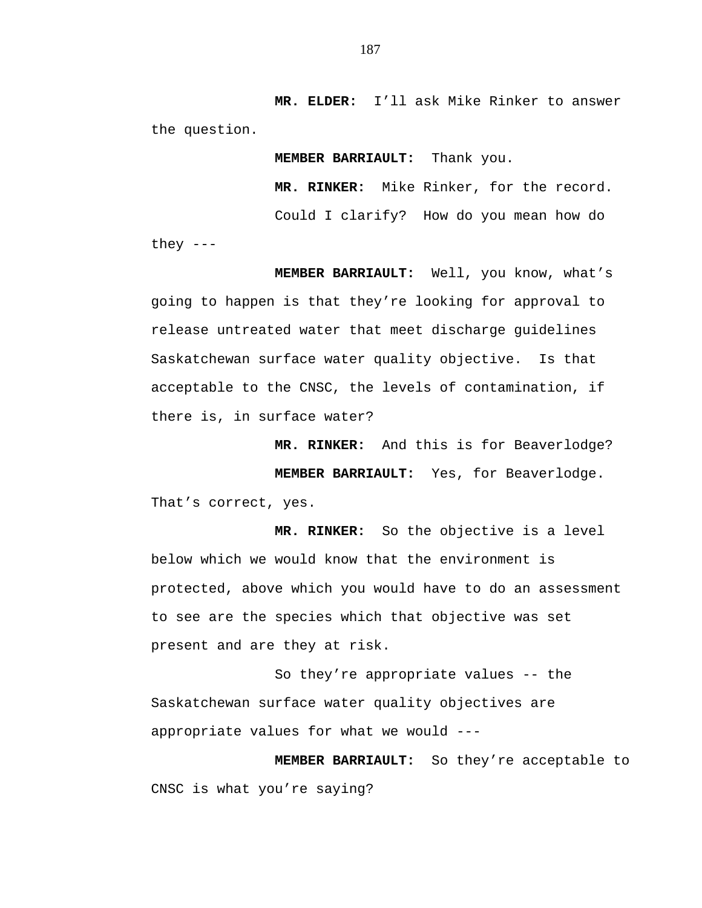**MR. ELDER:** I'll ask Mike Rinker to answer the question.

**MEMBER BARRIAULT:** Thank you.

**MR. RINKER:** Mike Rinker, for the record.

Could I clarify? How do you mean how do

they  $---$ 

**MEMBER BARRIAULT:** Well, you know, what's going to happen is that they're looking for approval to release untreated water that meet discharge guidelines Saskatchewan surface water quality objective. Is that acceptable to the CNSC, the levels of contamination, if there is, in surface water?

**MR. RINKER:** And this is for Beaverlodge? **MEMBER BARRIAULT:** Yes, for Beaverlodge. That's correct, yes.

**MR. RINKER:** So the objective is a level below which we would know that the environment is protected, above which you would have to do an assessment to see are the species which that objective was set present and are they at risk.

So they're appropriate values -- the Saskatchewan surface water quality objectives are appropriate values for what we would ---

**MEMBER BARRIAULT:** So they're acceptable to CNSC is what you're saying?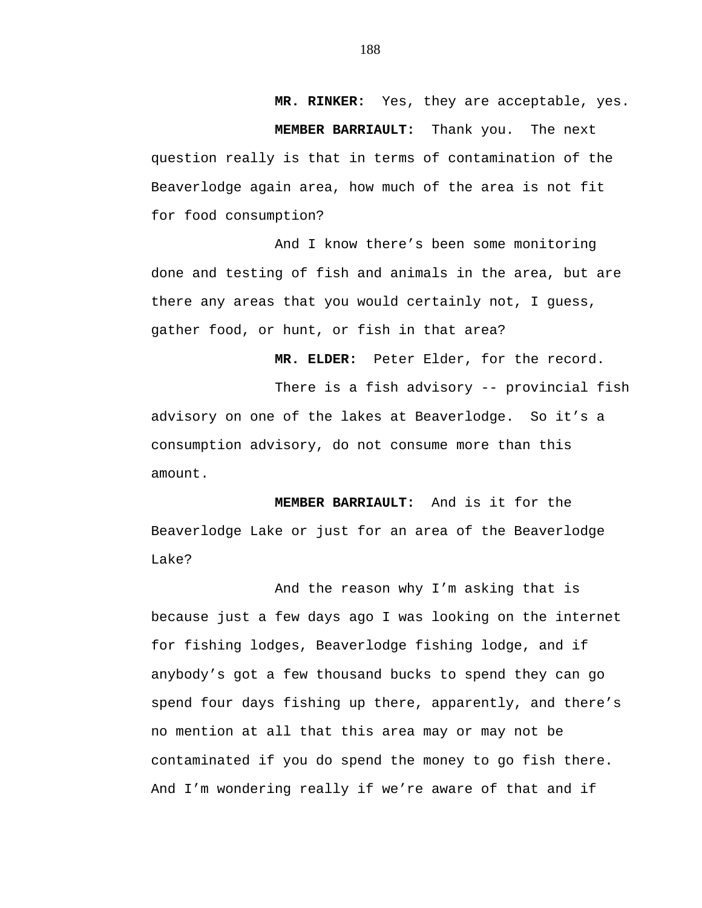**MR. RINKER:** Yes, they are acceptable, yes.

**MEMBER BARRIAULT:** Thank you. The next

question really is that in terms of contamination of the Beaverlodge again area, how much of the area is not fit for food consumption?

And I know there's been some monitoring done and testing of fish and animals in the area, but are there any areas that you would certainly not, I guess, gather food, or hunt, or fish in that area?

**MR. ELDER:** Peter Elder, for the record.

There is a fish advisory -- provincial fish advisory on one of the lakes at Beaverlodge. So it's a consumption advisory, do not consume more than this amount.

**MEMBER BARRIAULT:** And is it for the Beaverlodge Lake or just for an area of the Beaverlodge Lake?

And the reason why I'm asking that is because just a few days ago I was looking on the internet for fishing lodges, Beaverlodge fishing lodge, and if anybody's got a few thousand bucks to spend they can go spend four days fishing up there, apparently, and there's no mention at all that this area may or may not be contaminated if you do spend the money to go fish there. And I'm wondering really if we're aware of that and if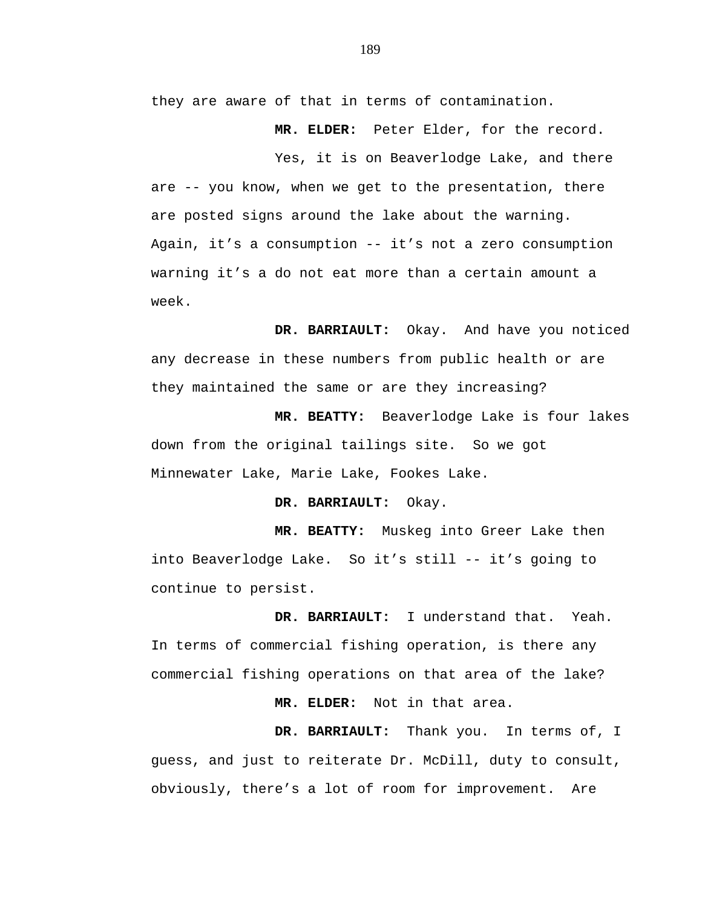they are aware of that in terms of contamination.

**MR. ELDER:** Peter Elder, for the record.

Yes, it is on Beaverlodge Lake, and there are -- you know, when we get to the presentation, there are posted signs around the lake about the warning. Again, it's a consumption -- it's not a zero consumption warning it's a do not eat more than a certain amount a week.

**DR. BARRIAULT:** Okay. And have you noticed any decrease in these numbers from public health or are they maintained the same or are they increasing?

**MR. BEATTY:** Beaverlodge Lake is four lakes down from the original tailings site. So we got Minnewater Lake, Marie Lake, Fookes Lake.

**DR. BARRIAULT:** Okay.

**MR. BEATTY:** Muskeg into Greer Lake then into Beaverlodge Lake. So it's still -- it's going to continue to persist.

**DR. BARRIAULT:** I understand that. Yeah. In terms of commercial fishing operation, is there any commercial fishing operations on that area of the lake?

**MR. ELDER:** Not in that area.

**DR. BARRIAULT:** Thank you. In terms of, I guess, and just to reiterate Dr. McDill, duty to consult, obviously, there's a lot of room for improvement. Are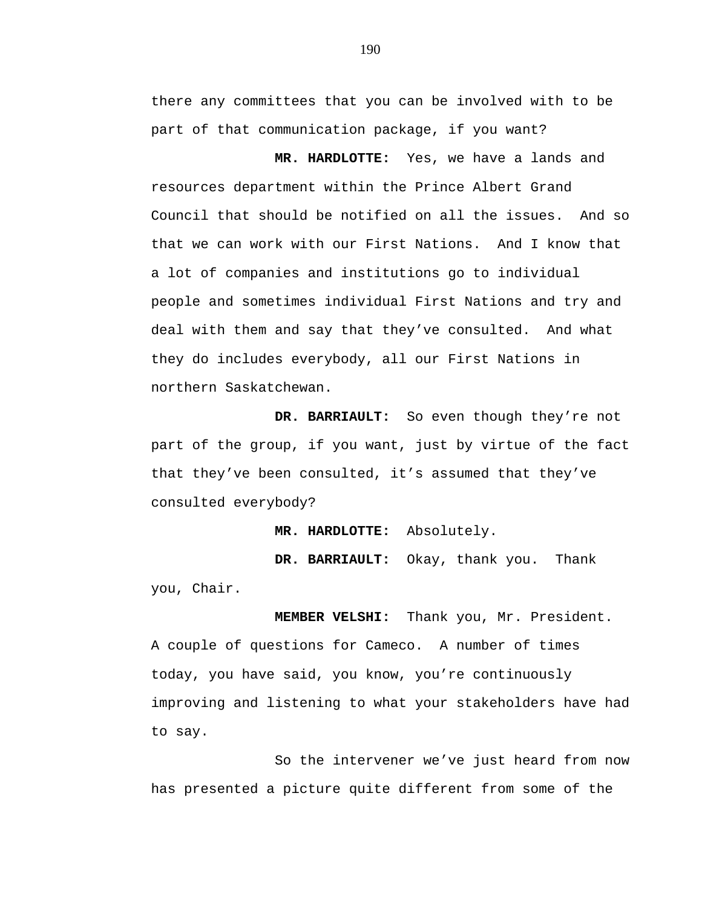there any committees that you can be involved with to be part of that communication package, if you want?

**MR. HARDLOTTE:** Yes, we have a lands and resources department within the Prince Albert Grand Council that should be notified on all the issues. And so that we can work with our First Nations. And I know that a lot of companies and institutions go to individual people and sometimes individual First Nations and try and deal with them and say that they've consulted. And what they do includes everybody, all our First Nations in northern Saskatchewan.

**DR. BARRIAULT:** So even though they're not part of the group, if you want, just by virtue of the fact that they've been consulted, it's assumed that they've consulted everybody?

**MR. HARDLOTTE:** Absolutely.

**DR. BARRIAULT:** Okay, thank you. Thank you, Chair.

**MEMBER VELSHI:** Thank you, Mr. President. A couple of questions for Cameco. A number of times today, you have said, you know, you're continuously improving and listening to what your stakeholders have had to say.

So the intervener we've just heard from now has presented a picture quite different from some of the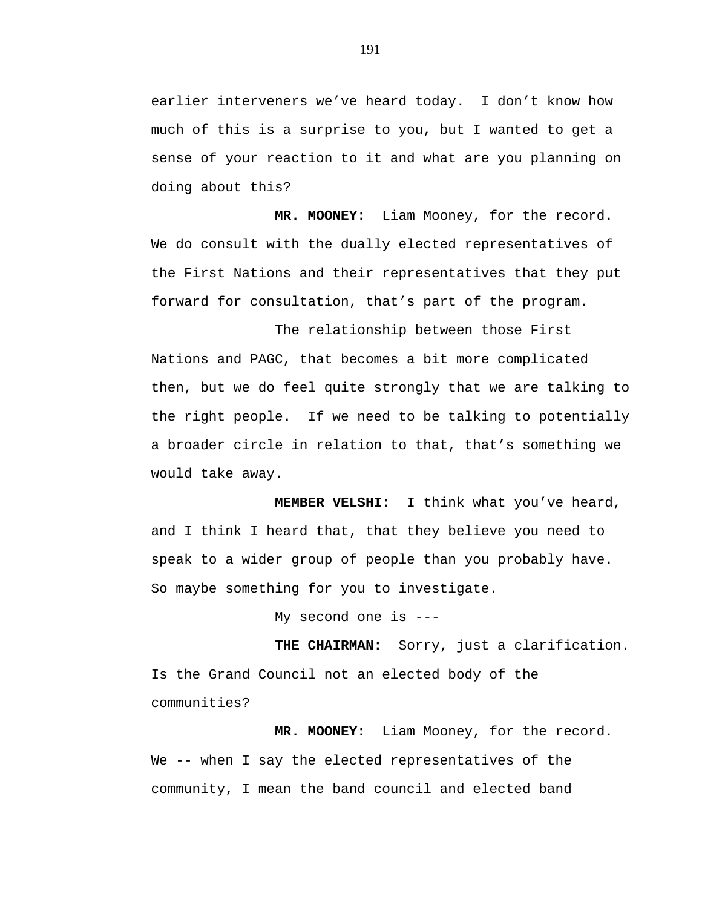earlier interveners we've heard today. I don't know how much of this is a surprise to you, but I wanted to get a sense of your reaction to it and what are you planning on doing about this?

**MR. MOONEY:** Liam Mooney, for the record. We do consult with the dually elected representatives of the First Nations and their representatives that they put forward for consultation, that's part of the program.

The relationship between those First Nations and PAGC, that becomes a bit more complicated then, but we do feel quite strongly that we are talking to the right people. If we need to be talking to potentially a broader circle in relation to that, that's something we would take away.

**MEMBER VELSHI:** I think what you've heard, and I think I heard that, that they believe you need to speak to a wider group of people than you probably have. So maybe something for you to investigate.

My second one is ---

**THE CHAIRMAN:** Sorry, just a clarification. Is the Grand Council not an elected body of the communities?

**MR. MOONEY:** Liam Mooney, for the record. We -- when I say the elected representatives of the community, I mean the band council and elected band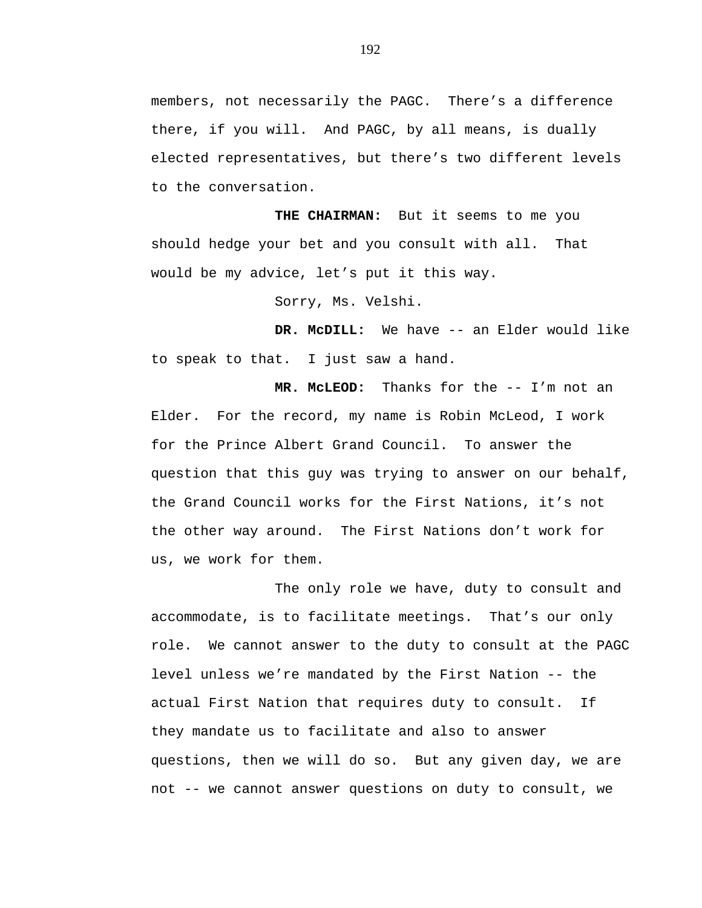members, not necessarily the PAGC. There's a difference there, if you will. And PAGC, by all means, is dually elected representatives, but there's two different levels to the conversation.

**THE CHAIRMAN:** But it seems to me you should hedge your bet and you consult with all. That would be my advice, let's put it this way.

Sorry, Ms. Velshi.

**DR. McDILL:** We have -- an Elder would like to speak to that. I just saw a hand.

**MR. McLEOD:** Thanks for the -- I'm not an Elder. For the record, my name is Robin McLeod, I work for the Prince Albert Grand Council. To answer the question that this guy was trying to answer on our behalf, the Grand Council works for the First Nations, it's not the other way around. The First Nations don't work for us, we work for them.

The only role we have, duty to consult and accommodate, is to facilitate meetings. That's our only role. We cannot answer to the duty to consult at the PAGC level unless we're mandated by the First Nation -- the actual First Nation that requires duty to consult. If they mandate us to facilitate and also to answer questions, then we will do so. But any given day, we are not -- we cannot answer questions on duty to consult, we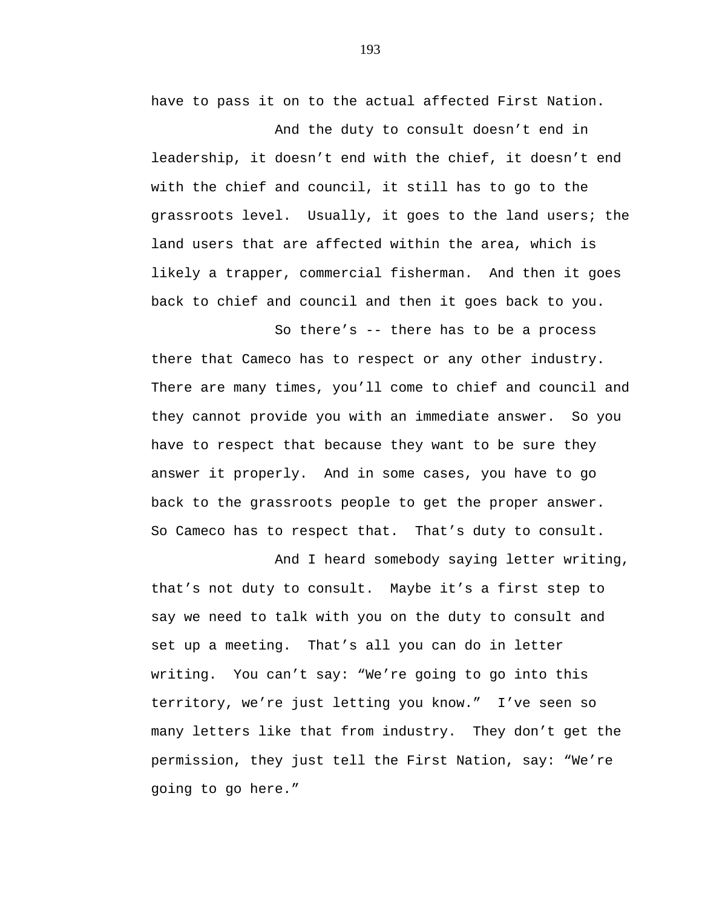have to pass it on to the actual affected First Nation.

And the duty to consult doesn't end in leadership, it doesn't end with the chief, it doesn't end with the chief and council, it still has to go to the grassroots level. Usually, it goes to the land users; the land users that are affected within the area, which is likely a trapper, commercial fisherman. And then it goes back to chief and council and then it goes back to you.

So there's -- there has to be a process there that Cameco has to respect or any other industry. There are many times, you'll come to chief and council and they cannot provide you with an immediate answer. So you have to respect that because they want to be sure they answer it properly. And in some cases, you have to go back to the grassroots people to get the proper answer. So Cameco has to respect that. That's duty to consult.

And I heard somebody saying letter writing, that's not duty to consult. Maybe it's a first step to say we need to talk with you on the duty to consult and set up a meeting. That's all you can do in letter writing. You can't say: "We're going to go into this territory, we're just letting you know." I've seen so many letters like that from industry. They don't get the permission, they just tell the First Nation, say: "We're going to go here."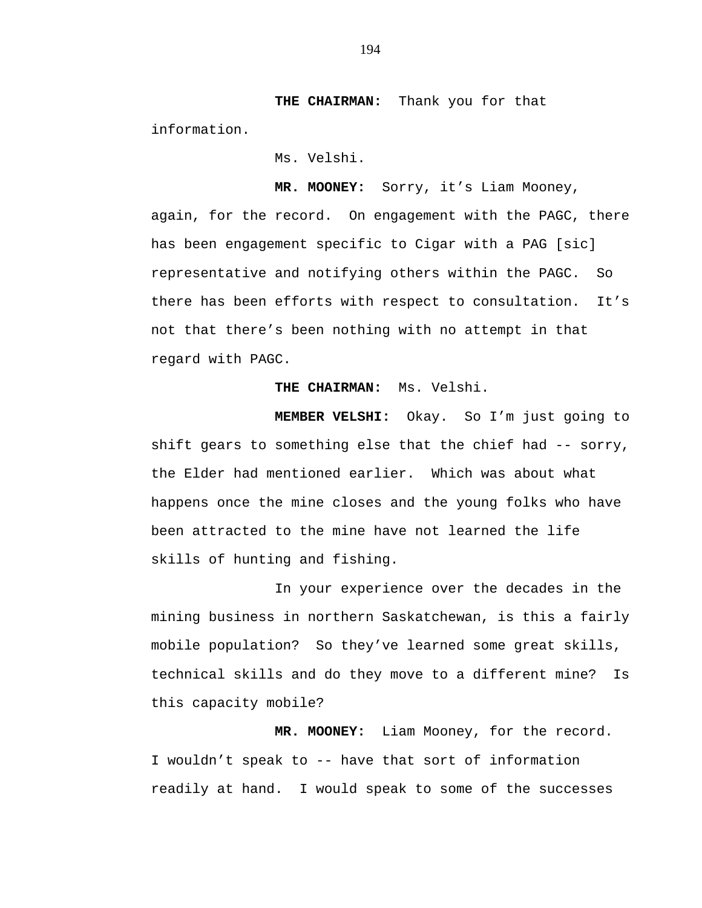**THE CHAIRMAN:** Thank you for that information.

Ms. Velshi.

**MR. MOONEY:** Sorry, it's Liam Mooney, again, for the record. On engagement with the PAGC, there has been engagement specific to Cigar with a PAG [sic] representative and notifying others within the PAGC. So there has been efforts with respect to consultation. It's not that there's been nothing with no attempt in that regard with PAGC.

**THE CHAIRMAN:** Ms. Velshi.

**MEMBER VELSHI:** Okay. So I'm just going to shift gears to something else that the chief had -- sorry, the Elder had mentioned earlier. Which was about what happens once the mine closes and the young folks who have been attracted to the mine have not learned the life skills of hunting and fishing.

In your experience over the decades in the mining business in northern Saskatchewan, is this a fairly mobile population? So they've learned some great skills, technical skills and do they move to a different mine? Is this capacity mobile?

**MR. MOONEY:** Liam Mooney, for the record. I wouldn't speak to -- have that sort of information readily at hand. I would speak to some of the successes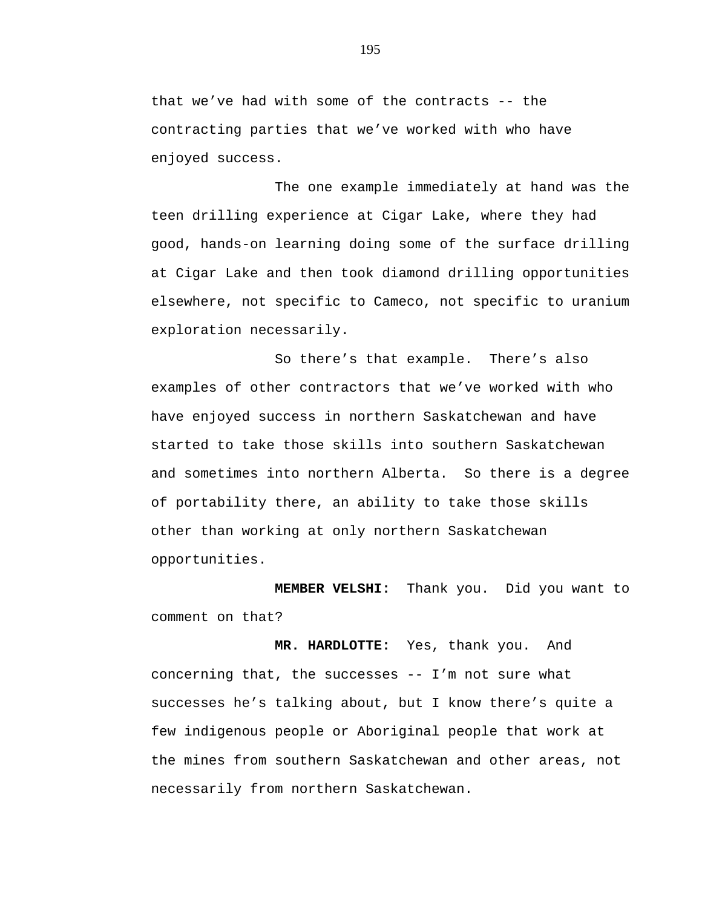that we've had with some of the contracts -- the contracting parties that we've worked with who have enjoyed success.

The one example immediately at hand was the teen drilling experience at Cigar Lake, where they had good, hands-on learning doing some of the surface drilling at Cigar Lake and then took diamond drilling opportunities elsewhere, not specific to Cameco, not specific to uranium exploration necessarily.

So there's that example. There's also examples of other contractors that we've worked with who have enjoyed success in northern Saskatchewan and have started to take those skills into southern Saskatchewan and sometimes into northern Alberta. So there is a degree of portability there, an ability to take those skills other than working at only northern Saskatchewan opportunities.

**MEMBER VELSHI:** Thank you. Did you want to comment on that?

**MR. HARDLOTTE:** Yes, thank you. And concerning that, the successes -- I'm not sure what successes he's talking about, but I know there's quite a few indigenous people or Aboriginal people that work at the mines from southern Saskatchewan and other areas, not necessarily from northern Saskatchewan.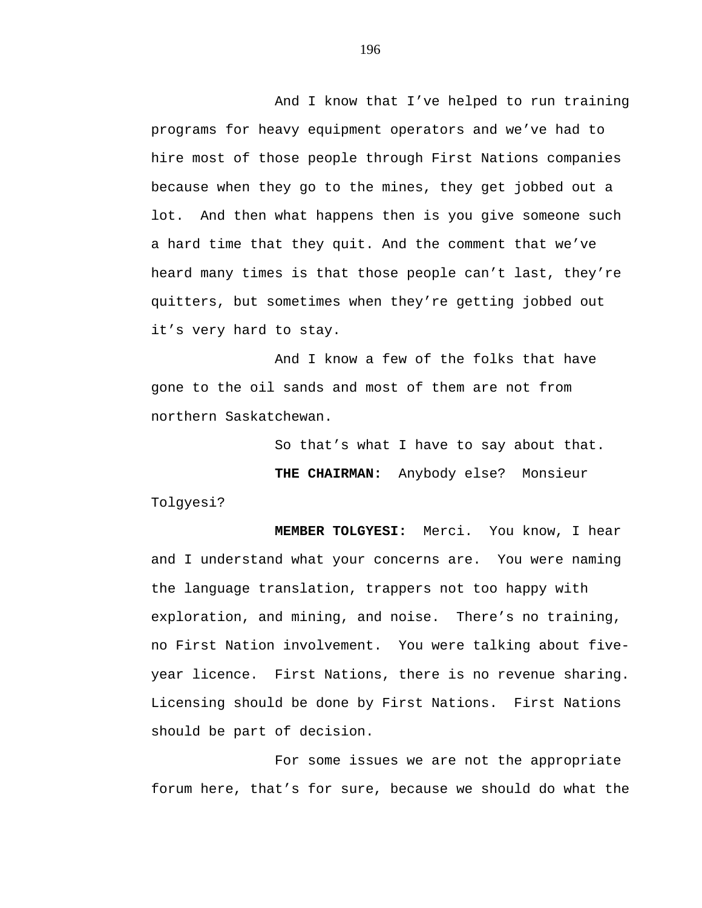And I know that I've helped to run training programs for heavy equipment operators and we've had to hire most of those people through First Nations companies because when they go to the mines, they get jobbed out a lot. And then what happens then is you give someone such a hard time that they quit. And the comment that we've heard many times is that those people can't last, they're quitters, but sometimes when they're getting jobbed out it's very hard to stay.

And I know a few of the folks that have gone to the oil sands and most of them are not from northern Saskatchewan.

So that's what I have to say about that.

**THE CHAIRMAN:** Anybody else? Monsieur

Tolgyesi?

**MEMBER TOLGYESI:** Merci. You know, I hear and I understand what your concerns are. You were naming the language translation, trappers not too happy with exploration, and mining, and noise. There's no training, no First Nation involvement. You were talking about fiveyear licence. First Nations, there is no revenue sharing. Licensing should be done by First Nations. First Nations should be part of decision.

For some issues we are not the appropriate forum here, that's for sure, because we should do what the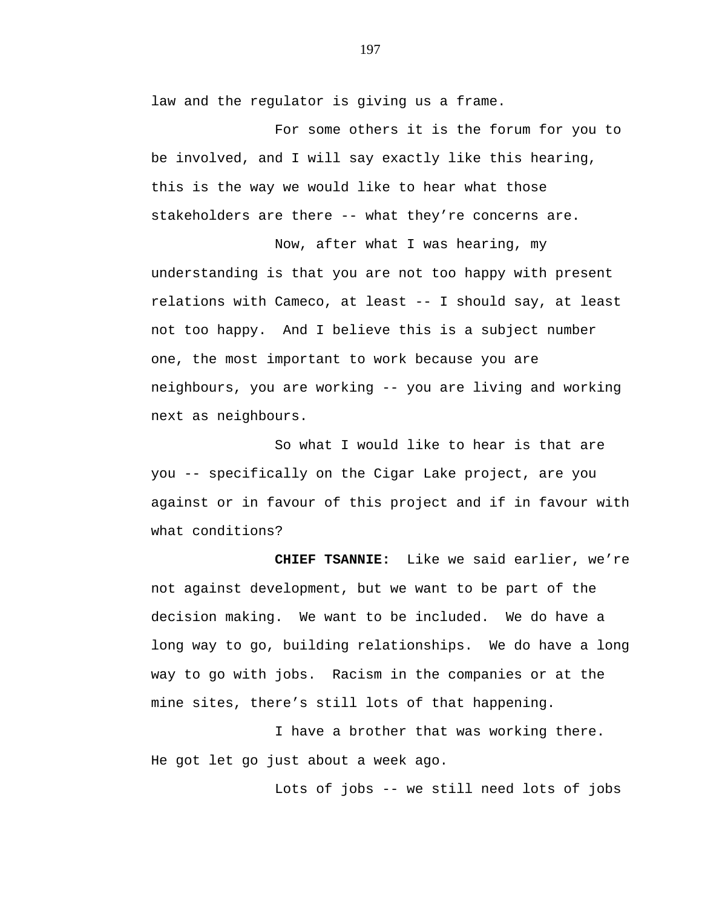law and the regulator is giving us a frame.

For some others it is the forum for you to be involved, and I will say exactly like this hearing, this is the way we would like to hear what those stakeholders are there -- what they're concerns are.

Now, after what I was hearing, my understanding is that you are not too happy with present relations with Cameco, at least -- I should say, at least not too happy. And I believe this is a subject number one, the most important to work because you are neighbours, you are working -- you are living and working next as neighbours.

So what I would like to hear is that are you -- specifically on the Cigar Lake project, are you against or in favour of this project and if in favour with what conditions?

**CHIEF TSANNIE:** Like we said earlier, we're not against development, but we want to be part of the decision making. We want to be included. We do have a long way to go, building relationships. We do have a long way to go with jobs. Racism in the companies or at the mine sites, there's still lots of that happening.

I have a brother that was working there. He got let go just about a week ago.

Lots of jobs -- we still need lots of jobs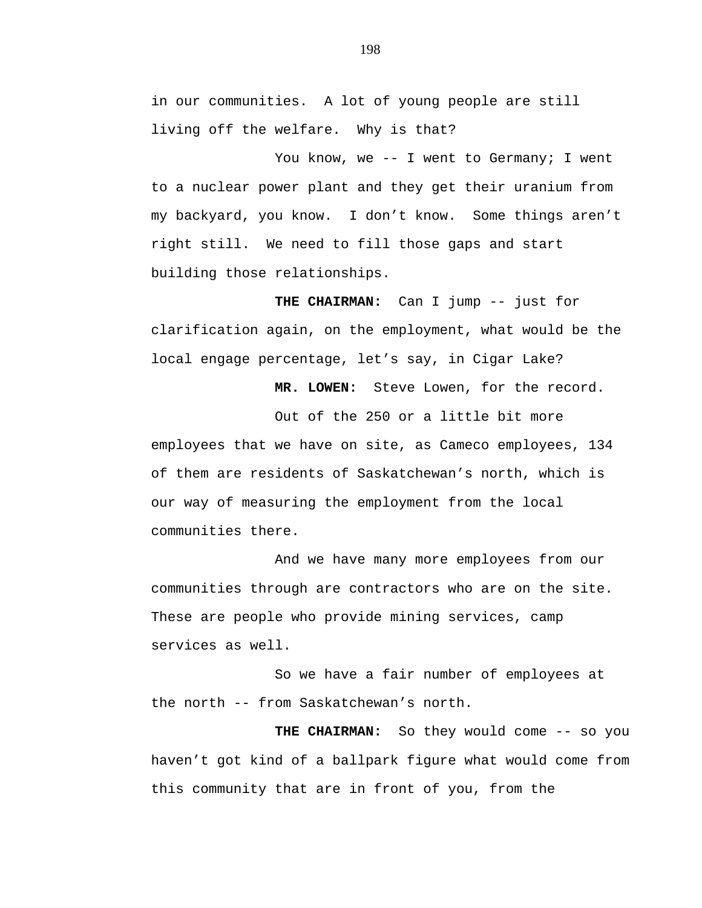in our communities. A lot of young people are still living off the welfare. Why is that?

You know, we -- I went to Germany; I went to a nuclear power plant and they get their uranium from my backyard, you know. I don't know. Some things aren't right still. We need to fill those gaps and start building those relationships.

**THE CHAIRMAN:** Can I jump -- just for clarification again, on the employment, what would be the local engage percentage, let's say, in Cigar Lake?

**MR. LOWEN:** Steve Lowen, for the record.

Out of the 250 or a little bit more employees that we have on site, as Cameco employees, 134 of them are residents of Saskatchewan's north, which is our way of measuring the employment from the local communities there.

And we have many more employees from our communities through are contractors who are on the site. These are people who provide mining services, camp services as well.

So we have a fair number of employees at the north -- from Saskatchewan's north.

**THE CHAIRMAN:** So they would come -- so you haven't got kind of a ballpark figure what would come from this community that are in front of you, from the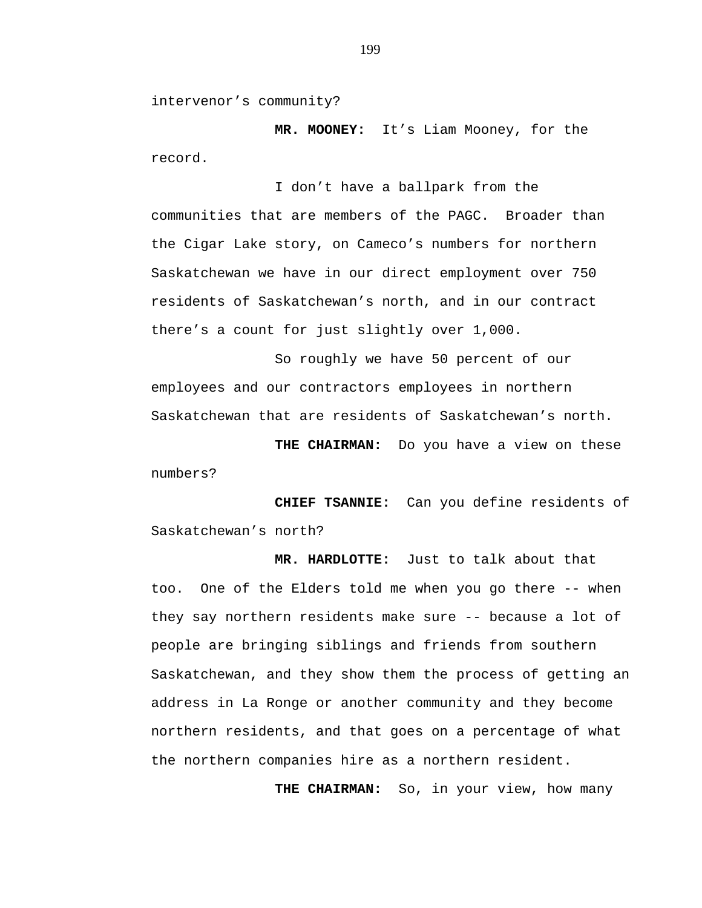intervenor's community?

**MR. MOONEY:** It's Liam Mooney, for the record.

I don't have a ballpark from the communities that are members of the PAGC. Broader than the Cigar Lake story, on Cameco's numbers for northern Saskatchewan we have in our direct employment over 750 residents of Saskatchewan's north, and in our contract there's a count for just slightly over 1,000.

So roughly we have 50 percent of our employees and our contractors employees in northern Saskatchewan that are residents of Saskatchewan's north.

**THE CHAIRMAN:** Do you have a view on these numbers?

**CHIEF TSANNIE:** Can you define residents of Saskatchewan's north?

**MR. HARDLOTTE:** Just to talk about that too. One of the Elders told me when you go there -- when they say northern residents make sure -- because a lot of people are bringing siblings and friends from southern Saskatchewan, and they show them the process of getting an address in La Ronge or another community and they become northern residents, and that goes on a percentage of what the northern companies hire as a northern resident.

**THE CHAIRMAN:** So, in your view, how many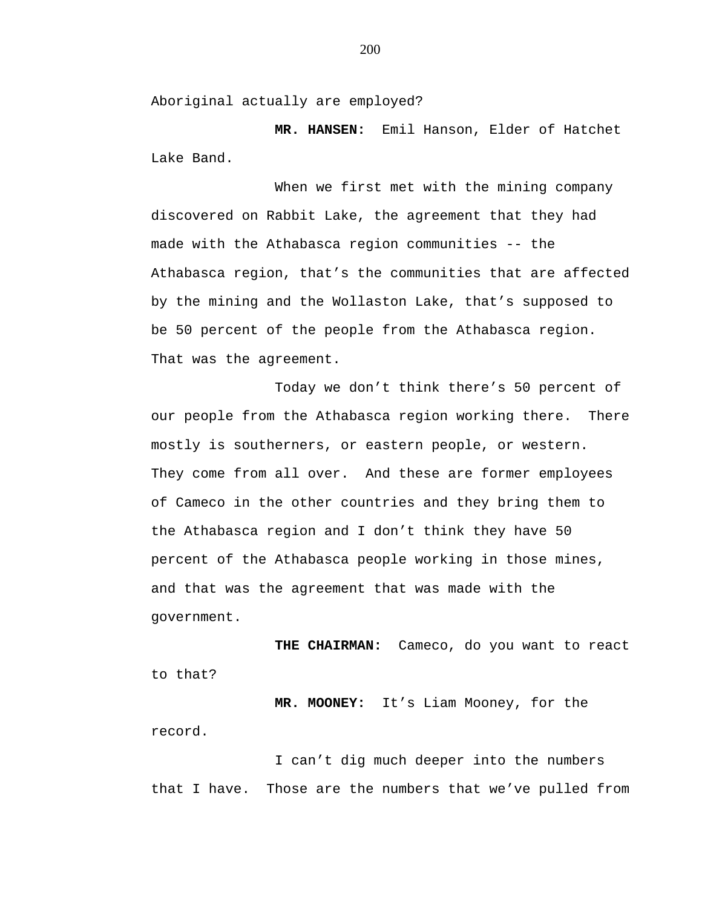Aboriginal actually are employed?

**MR. HANSEN:** Emil Hanson, Elder of Hatchet Lake Band.

When we first met with the mining company discovered on Rabbit Lake, the agreement that they had made with the Athabasca region communities -- the Athabasca region, that's the communities that are affected by the mining and the Wollaston Lake, that's supposed to be 50 percent of the people from the Athabasca region. That was the agreement.

Today we don't think there's 50 percent of our people from the Athabasca region working there. There mostly is southerners, or eastern people, or western. They come from all over. And these are former employees of Cameco in the other countries and they bring them to the Athabasca region and I don't think they have 50 percent of the Athabasca people working in those mines, and that was the agreement that was made with the government.

**THE CHAIRMAN:** Cameco, do you want to react to that?

**MR. MOONEY:** It's Liam Mooney, for the record.

I can't dig much deeper into the numbers that I have. Those are the numbers that we've pulled from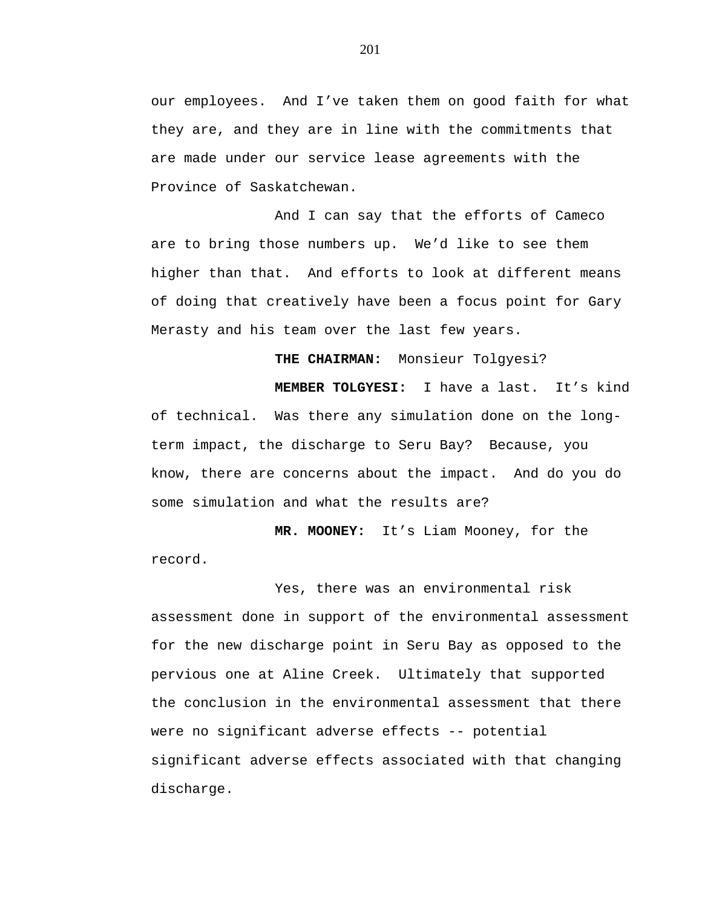our employees. And I've taken them on good faith for what they are, and they are in line with the commitments that are made under our service lease agreements with the Province of Saskatchewan.

And I can say that the efforts of Cameco are to bring those numbers up. We'd like to see them higher than that. And efforts to look at different means of doing that creatively have been a focus point for Gary Merasty and his team over the last few years.

**THE CHAIRMAN:** Monsieur Tolgyesi?

**MEMBER TOLGYESI:** I have a last. It's kind of technical. Was there any simulation done on the longterm impact, the discharge to Seru Bay? Because, you know, there are concerns about the impact. And do you do some simulation and what the results are?

**MR. MOONEY:** It's Liam Mooney, for the record.

Yes, there was an environmental risk assessment done in support of the environmental assessment for the new discharge point in Seru Bay as opposed to the pervious one at Aline Creek. Ultimately that supported the conclusion in the environmental assessment that there were no significant adverse effects -- potential significant adverse effects associated with that changing discharge.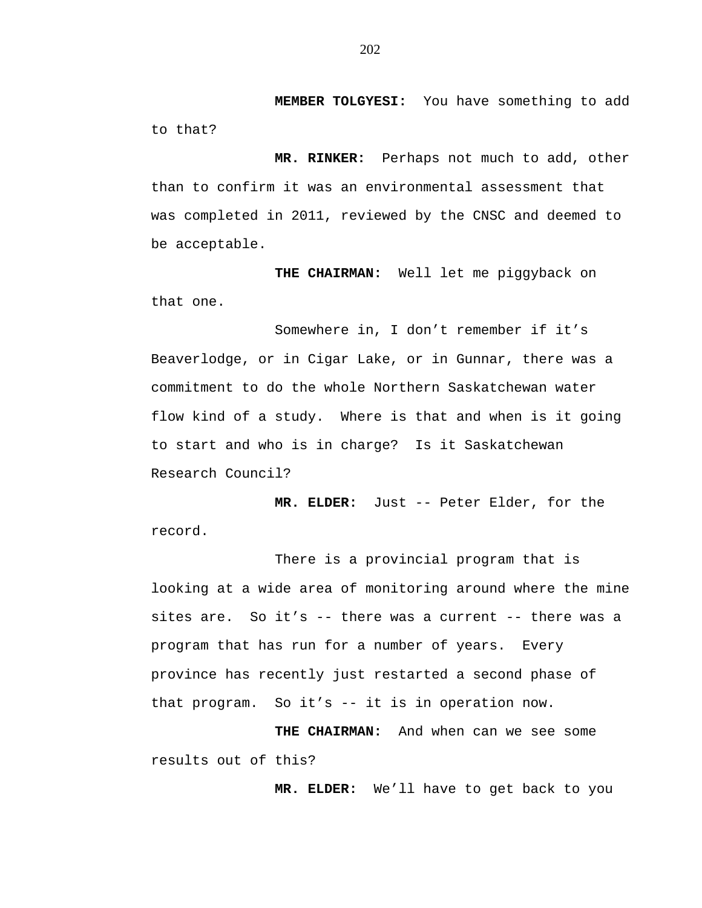**MEMBER TOLGYESI:** You have something to add to that?

**MR. RINKER:** Perhaps not much to add, other than to confirm it was an environmental assessment that was completed in 2011, reviewed by the CNSC and deemed to be acceptable.

**THE CHAIRMAN:** Well let me piggyback on that one.

Somewhere in, I don't remember if it's Beaverlodge, or in Cigar Lake, or in Gunnar, there was a commitment to do the whole Northern Saskatchewan water flow kind of a study. Where is that and when is it going to start and who is in charge? Is it Saskatchewan Research Council?

**MR. ELDER:** Just -- Peter Elder, for the record.

There is a provincial program that is looking at a wide area of monitoring around where the mine sites are. So it's -- there was a current -- there was a program that has run for a number of years. Every province has recently just restarted a second phase of that program. So it's -- it is in operation now.

 **THE CHAIRMAN:** And when can we see some results out of this?

 **MR. ELDER:** We'll have to get back to you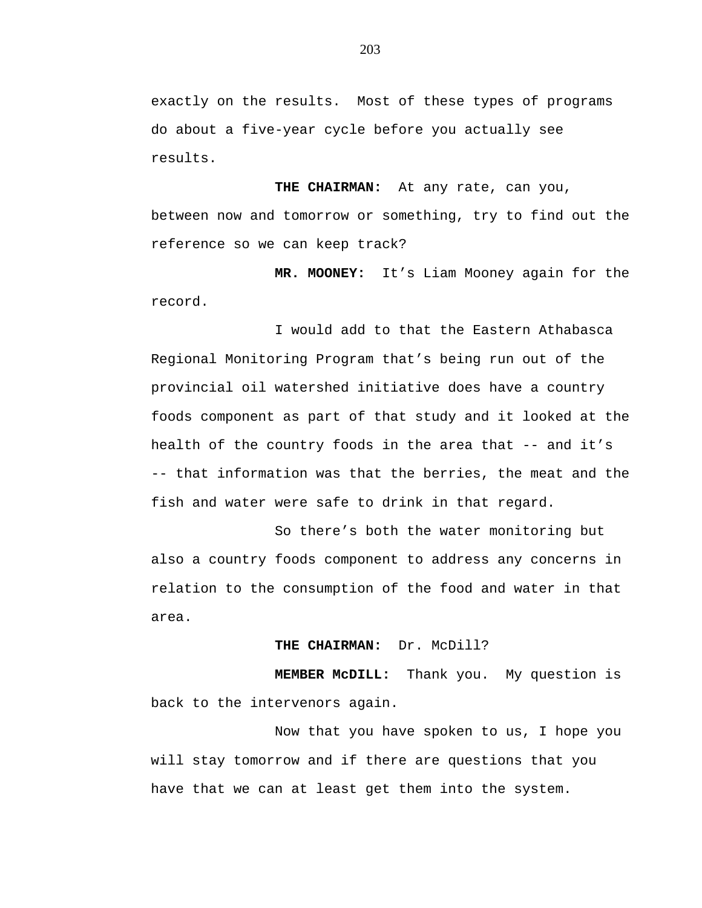exactly on the results. Most of these types of programs do about a five-year cycle before you actually see results.

 **THE CHAIRMAN:** At any rate, can you, between now and tomorrow or something, try to find out the reference so we can keep track?

 **MR. MOONEY:** It's Liam Mooney again for the record.

I would add to that the Eastern Athabasca Regional Monitoring Program that's being run out of the provincial oil watershed initiative does have a country foods component as part of that study and it looked at the health of the country foods in the area that -- and it's -- that information was that the berries, the meat and the fish and water were safe to drink in that regard.

So there's both the water monitoring but also a country foods component to address any concerns in relation to the consumption of the food and water in that area.

## **THE CHAIRMAN:** Dr. McDill?

 **MEMBER McDILL:** Thank you. My question is back to the intervenors again.

Now that you have spoken to us, I hope you will stay tomorrow and if there are questions that you have that we can at least get them into the system.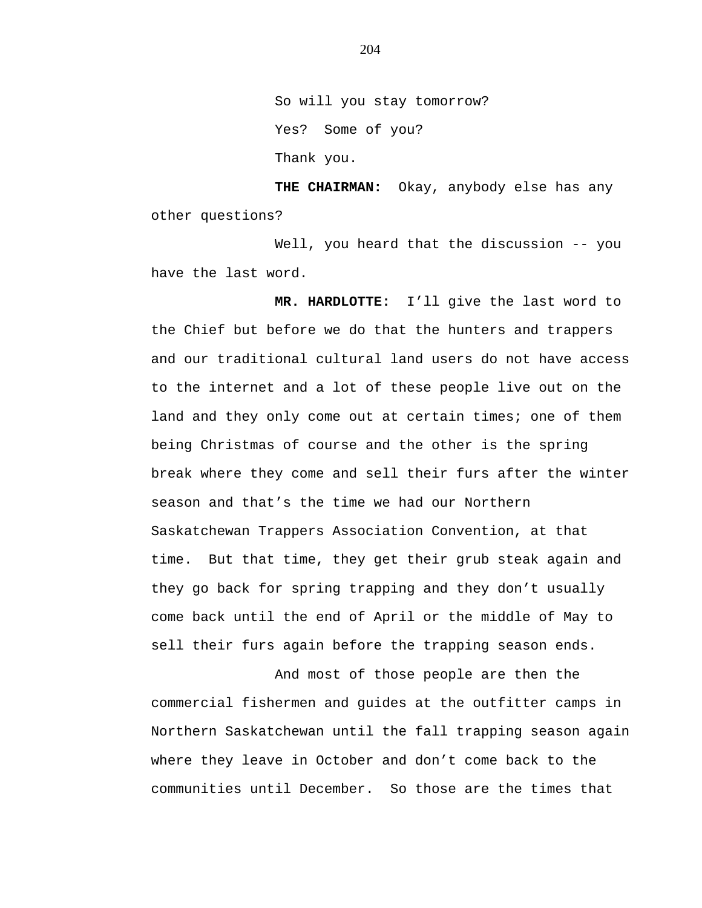So will you stay tomorrow? Yes? Some of you? Thank you.

**THE CHAIRMAN:** Okay, anybody else has any other questions?

Well, you heard that the discussion -- you have the last word.

 **MR. HARDLOTTE:** I'll give the last word to the Chief but before we do that the hunters and trappers and our traditional cultural land users do not have access to the internet and a lot of these people live out on the land and they only come out at certain times; one of them being Christmas of course and the other is the spring break where they come and sell their furs after the winter season and that's the time we had our Northern Saskatchewan Trappers Association Convention, at that time. But that time, they get their grub steak again and they go back for spring trapping and they don't usually come back until the end of April or the middle of May to sell their furs again before the trapping season ends.

And most of those people are then the commercial fishermen and guides at the outfitter camps in Northern Saskatchewan until the fall trapping season again where they leave in October and don't come back to the communities until December. So those are the times that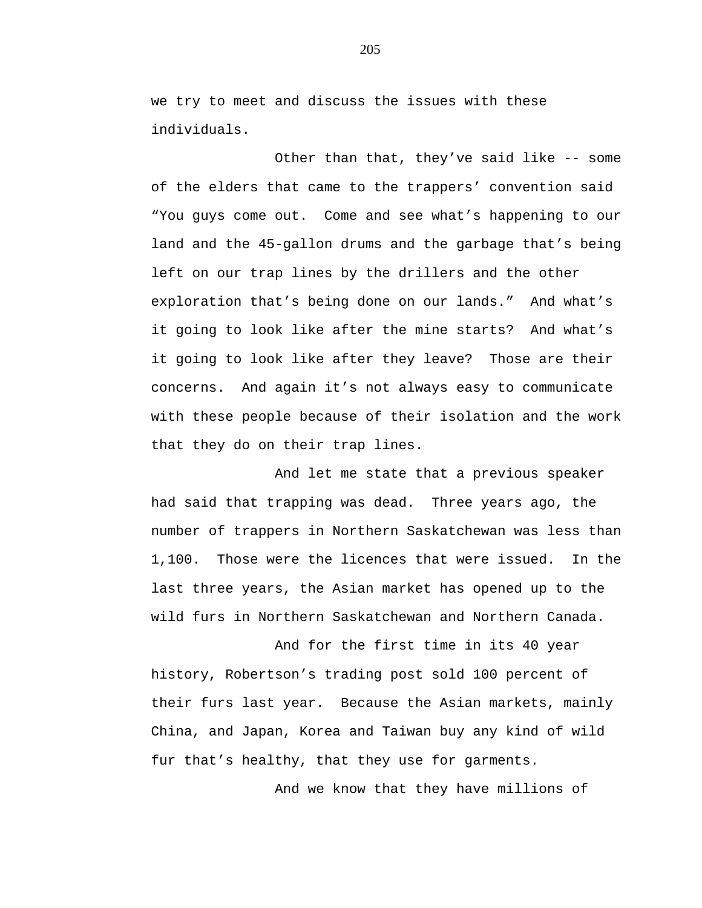we try to meet and discuss the issues with these individuals.

Other than that, they've said like -- some of the elders that came to the trappers' convention said "You guys come out. Come and see what's happening to our land and the 45-gallon drums and the garbage that's being left on our trap lines by the drillers and the other exploration that's being done on our lands." And what's it going to look like after the mine starts? And what's it going to look like after they leave? Those are their concerns. And again it's not always easy to communicate with these people because of their isolation and the work that they do on their trap lines.

And let me state that a previous speaker had said that trapping was dead. Three years ago, the number of trappers in Northern Saskatchewan was less than 1,100. Those were the licences that were issued. In the last three years, the Asian market has opened up to the wild furs in Northern Saskatchewan and Northern Canada.

And for the first time in its 40 year history, Robertson's trading post sold 100 percent of their furs last year. Because the Asian markets, mainly China, and Japan, Korea and Taiwan buy any kind of wild fur that's healthy, that they use for garments.

And we know that they have millions of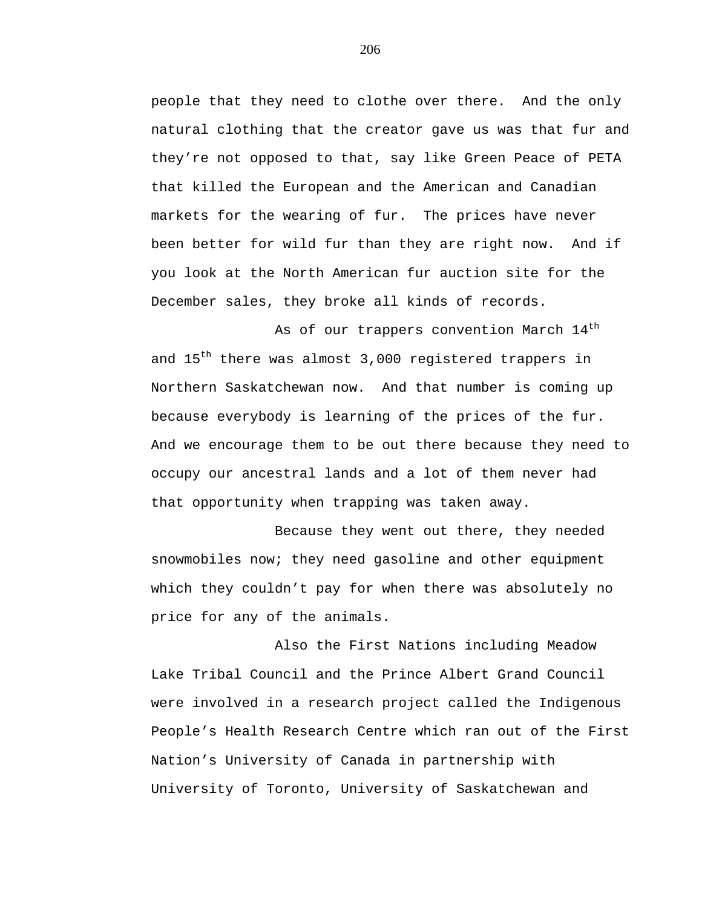people that they need to clothe over there. And the only natural clothing that the creator gave us was that fur and they're not opposed to that, say like Green Peace of PETA that killed the European and the American and Canadian markets for the wearing of fur. The prices have never been better for wild fur than they are right now. And if you look at the North American fur auction site for the December sales, they broke all kinds of records.

As of our trappers convention March  $14<sup>th</sup>$ and 15<sup>th</sup> there was almost 3,000 registered trappers in Northern Saskatchewan now. And that number is coming up because everybody is learning of the prices of the fur. And we encourage them to be out there because they need to occupy our ancestral lands and a lot of them never had that opportunity when trapping was taken away.

Because they went out there, they needed snowmobiles now; they need gasoline and other equipment which they couldn't pay for when there was absolutely no price for any of the animals.

Also the First Nations including Meadow Lake Tribal Council and the Prince Albert Grand Council were involved in a research project called the Indigenous People's Health Research Centre which ran out of the First Nation's University of Canada in partnership with University of Toronto, University of Saskatchewan and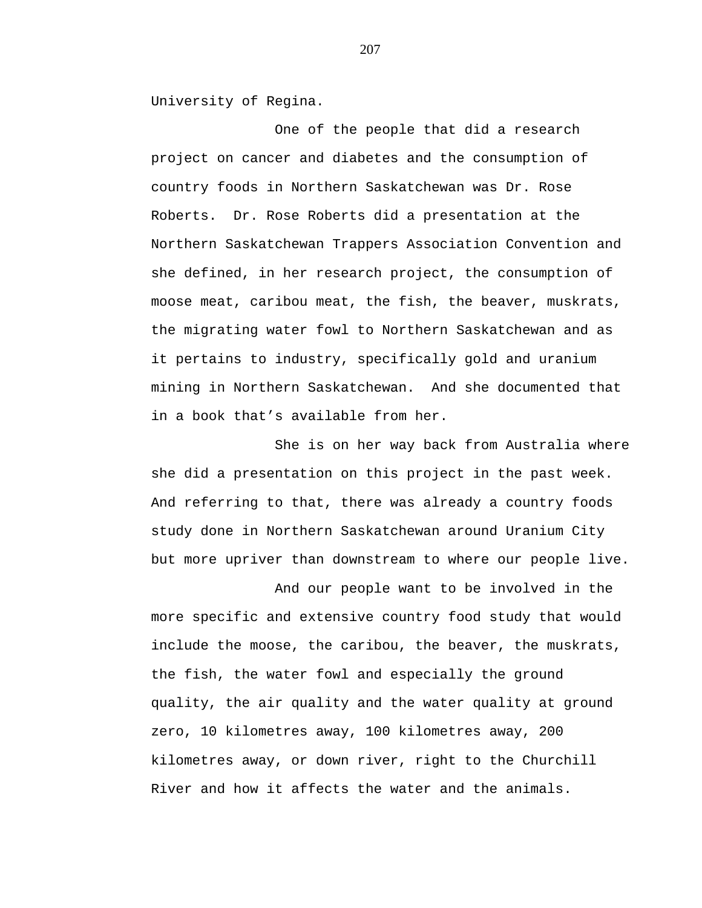University of Regina.

One of the people that did a research project on cancer and diabetes and the consumption of country foods in Northern Saskatchewan was Dr. Rose Roberts. Dr. Rose Roberts did a presentation at the Northern Saskatchewan Trappers Association Convention and she defined, in her research project, the consumption of moose meat, caribou meat, the fish, the beaver, muskrats, the migrating water fowl to Northern Saskatchewan and as it pertains to industry, specifically gold and uranium mining in Northern Saskatchewan. And she documented that in a book that's available from her.

She is on her way back from Australia where she did a presentation on this project in the past week. And referring to that, there was already a country foods study done in Northern Saskatchewan around Uranium City but more upriver than downstream to where our people live.

And our people want to be involved in the more specific and extensive country food study that would include the moose, the caribou, the beaver, the muskrats, the fish, the water fowl and especially the ground quality, the air quality and the water quality at ground zero, 10 kilometres away, 100 kilometres away, 200 kilometres away, or down river, right to the Churchill River and how it affects the water and the animals.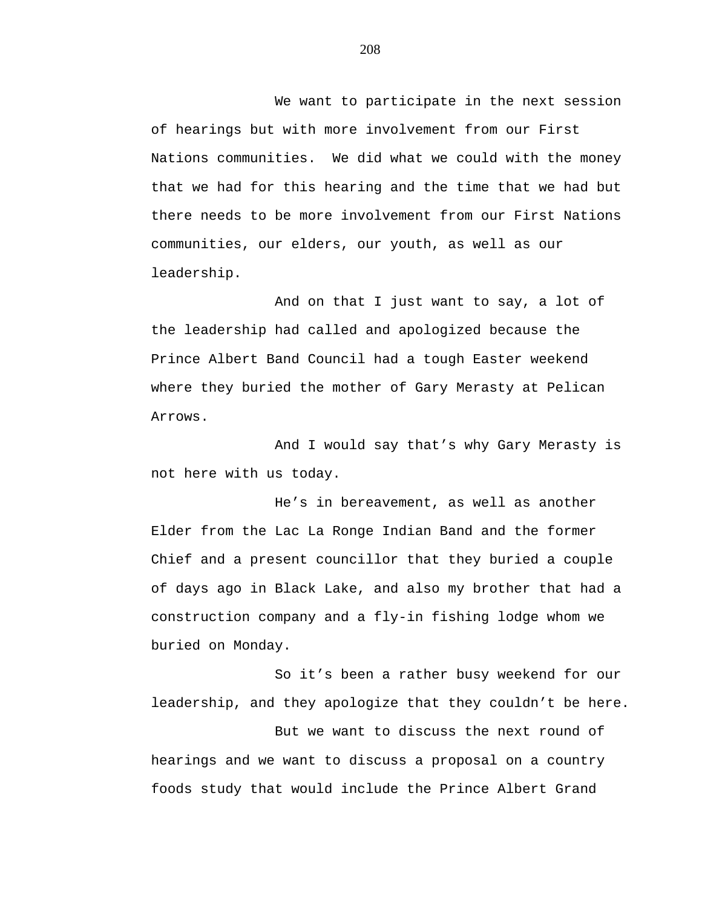We want to participate in the next session of hearings but with more involvement from our First Nations communities. We did what we could with the money that we had for this hearing and the time that we had but there needs to be more involvement from our First Nations communities, our elders, our youth, as well as our leadership.

And on that I just want to say, a lot of the leadership had called and apologized because the Prince Albert Band Council had a tough Easter weekend where they buried the mother of Gary Merasty at Pelican Arrows.

And I would say that's why Gary Merasty is not here with us today.

He's in bereavement, as well as another Elder from the Lac La Ronge Indian Band and the former Chief and a present councillor that they buried a couple of days ago in Black Lake, and also my brother that had a construction company and a fly-in fishing lodge whom we buried on Monday.

So it's been a rather busy weekend for our leadership, and they apologize that they couldn't be here.

But we want to discuss the next round of hearings and we want to discuss a proposal on a country foods study that would include the Prince Albert Grand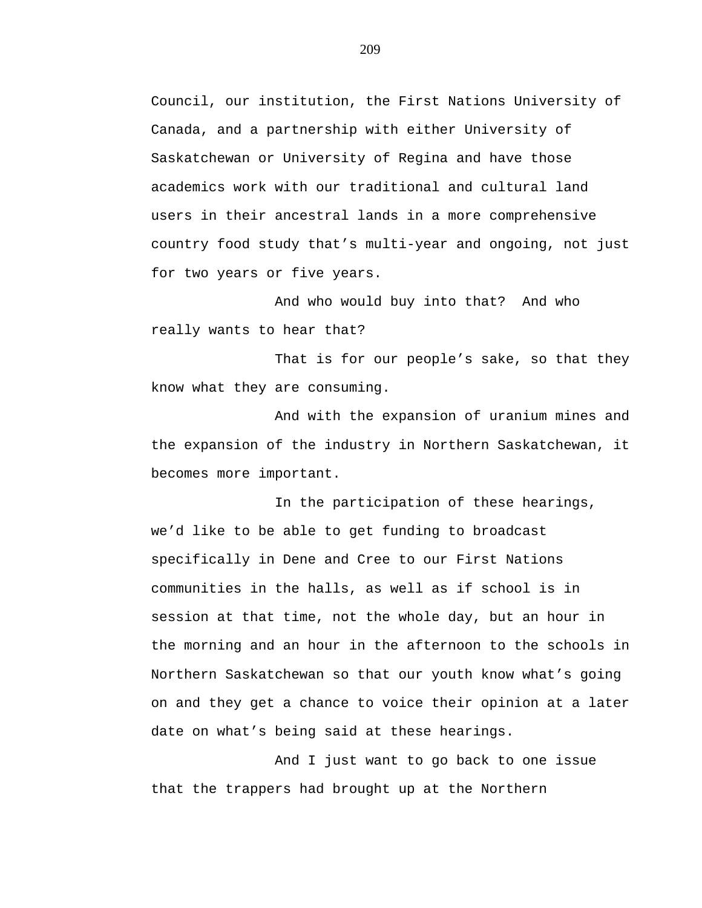Council, our institution, the First Nations University of Canada, and a partnership with either University of Saskatchewan or University of Regina and have those academics work with our traditional and cultural land users in their ancestral lands in a more comprehensive country food study that's multi-year and ongoing, not just for two years or five years.

And who would buy into that? And who really wants to hear that?

That is for our people's sake, so that they know what they are consuming.

And with the expansion of uranium mines and the expansion of the industry in Northern Saskatchewan, it becomes more important.

In the participation of these hearings, we'd like to be able to get funding to broadcast specifically in Dene and Cree to our First Nations communities in the halls, as well as if school is in session at that time, not the whole day, but an hour in the morning and an hour in the afternoon to the schools in Northern Saskatchewan so that our youth know what's going on and they get a chance to voice their opinion at a later date on what's being said at these hearings.

And I just want to go back to one issue that the trappers had brought up at the Northern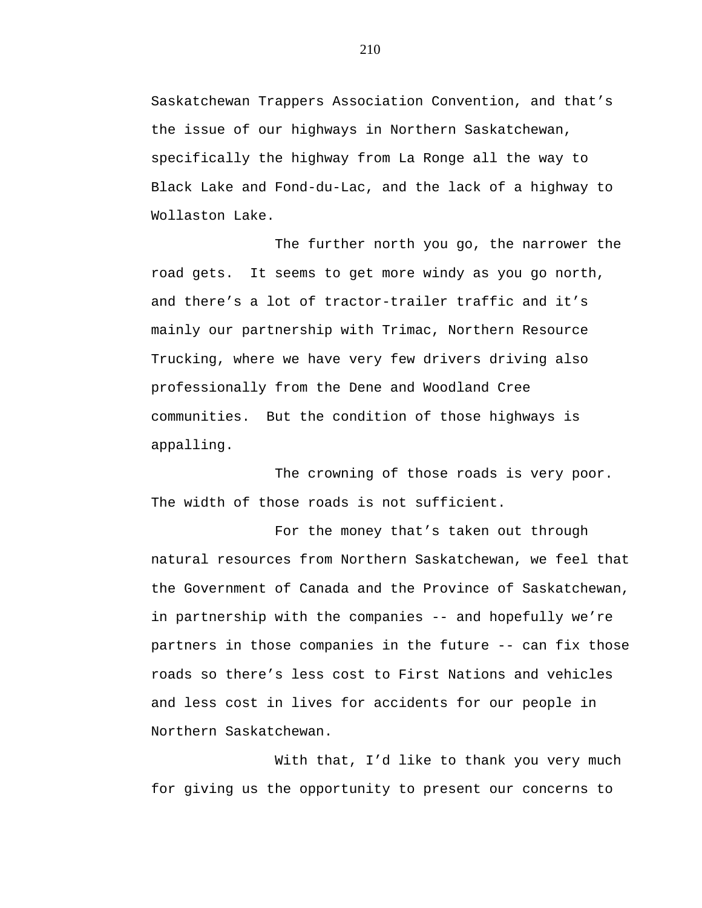Saskatchewan Trappers Association Convention, and that's the issue of our highways in Northern Saskatchewan, specifically the highway from La Ronge all the way to Black Lake and Fond-du-Lac, and the lack of a highway to Wollaston Lake.

The further north you go, the narrower the road gets. It seems to get more windy as you go north, and there's a lot of tractor-trailer traffic and it's mainly our partnership with Trimac, Northern Resource Trucking, where we have very few drivers driving also professionally from the Dene and Woodland Cree communities. But the condition of those highways is appalling.

The crowning of those roads is very poor. The width of those roads is not sufficient.

For the money that's taken out through natural resources from Northern Saskatchewan, we feel that the Government of Canada and the Province of Saskatchewan, in partnership with the companies -- and hopefully we're partners in those companies in the future -- can fix those roads so there's less cost to First Nations and vehicles and less cost in lives for accidents for our people in Northern Saskatchewan.

With that, I'd like to thank you very much for giving us the opportunity to present our concerns to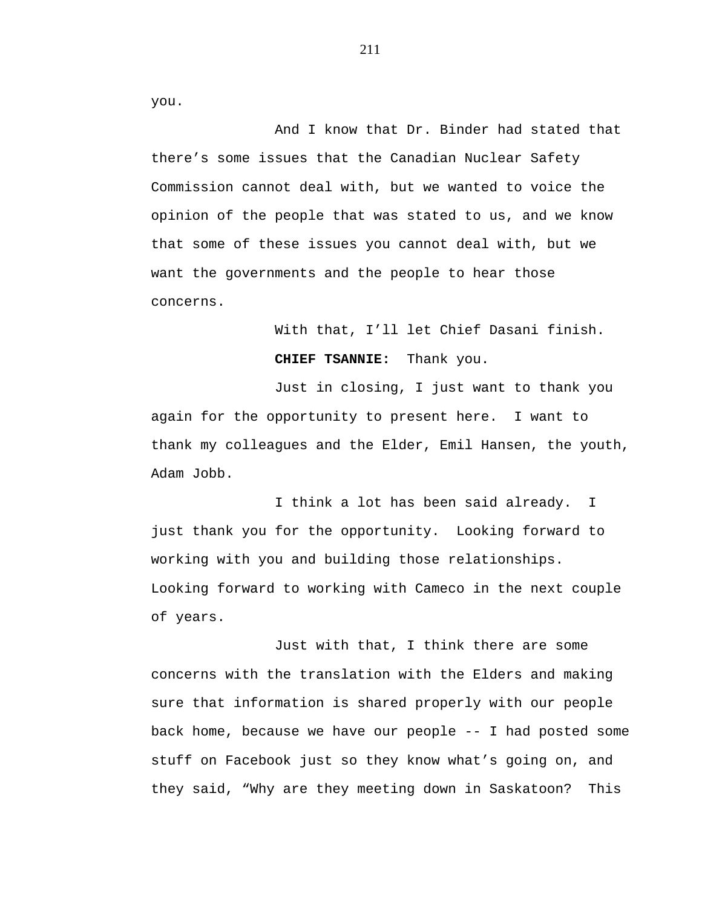you.

And I know that Dr. Binder had stated that there's some issues that the Canadian Nuclear Safety Commission cannot deal with, but we wanted to voice the opinion of the people that was stated to us, and we know that some of these issues you cannot deal with, but we want the governments and the people to hear those concerns.

> With that, I'll let Chief Dasani finish. **CHIEF TSANNIE:** Thank you.

Just in closing, I just want to thank you again for the opportunity to present here. I want to thank my colleagues and the Elder, Emil Hansen, the youth, Adam Jobb.

I think a lot has been said already. I just thank you for the opportunity. Looking forward to working with you and building those relationships. Looking forward to working with Cameco in the next couple of years.

Just with that, I think there are some concerns with the translation with the Elders and making sure that information is shared properly with our people back home, because we have our people -- I had posted some stuff on Facebook just so they know what's going on, and they said, "Why are they meeting down in Saskatoon? This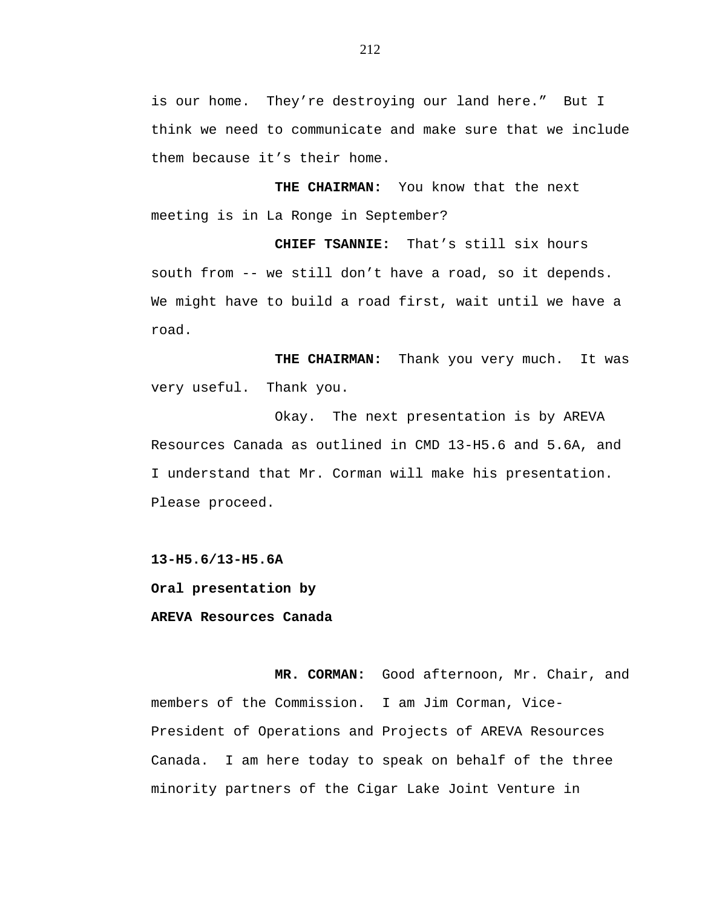is our home. They're destroying our land here." But I think we need to communicate and make sure that we include them because it's their home.

**THE CHAIRMAN:** You know that the next meeting is in La Ronge in September?

 **CHIEF TSANNIE:** That's still six hours south from -- we still don't have a road, so it depends. We might have to build a road first, wait until we have a road.

 **THE CHAIRMAN:** Thank you very much. It was very useful. Thank you.

Okay. The next presentation is by AREVA Resources Canada as outlined in CMD 13-H5.6 and 5.6A, and I understand that Mr. Corman will make his presentation. Please proceed.

**13-H5.6/13-H5.6A** 

**Oral presentation by** 

## **AREVA Resources Canada**

 **MR. CORMAN:** Good afternoon, Mr. Chair, and members of the Commission. I am Jim Corman, Vice-President of Operations and Projects of AREVA Resources Canada. I am here today to speak on behalf of the three minority partners of the Cigar Lake Joint Venture in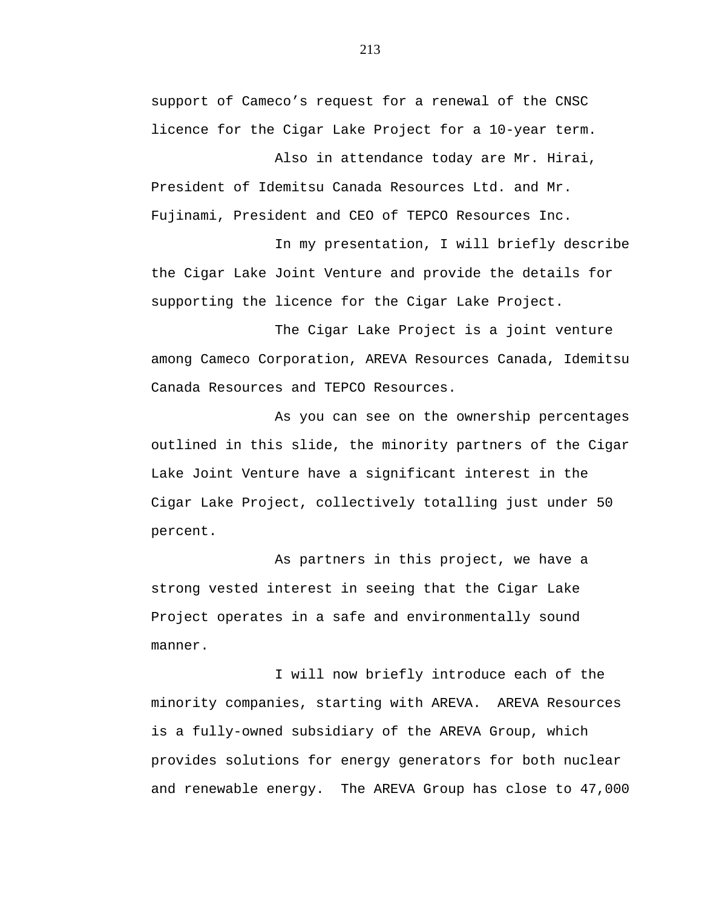support of Cameco's request for a renewal of the CNSC licence for the Cigar Lake Project for a 10-year term.

Also in attendance today are Mr. Hirai, President of Idemitsu Canada Resources Ltd. and Mr. Fujinami, President and CEO of TEPCO Resources Inc.

In my presentation, I will briefly describe the Cigar Lake Joint Venture and provide the details for supporting the licence for the Cigar Lake Project.

The Cigar Lake Project is a joint venture among Cameco Corporation, AREVA Resources Canada, Idemitsu Canada Resources and TEPCO Resources.

As you can see on the ownership percentages outlined in this slide, the minority partners of the Cigar Lake Joint Venture have a significant interest in the Cigar Lake Project, collectively totalling just under 50 percent.

As partners in this project, we have a strong vested interest in seeing that the Cigar Lake Project operates in a safe and environmentally sound manner.

I will now briefly introduce each of the minority companies, starting with AREVA. AREVA Resources is a fully-owned subsidiary of the AREVA Group, which provides solutions for energy generators for both nuclear and renewable energy. The AREVA Group has close to 47,000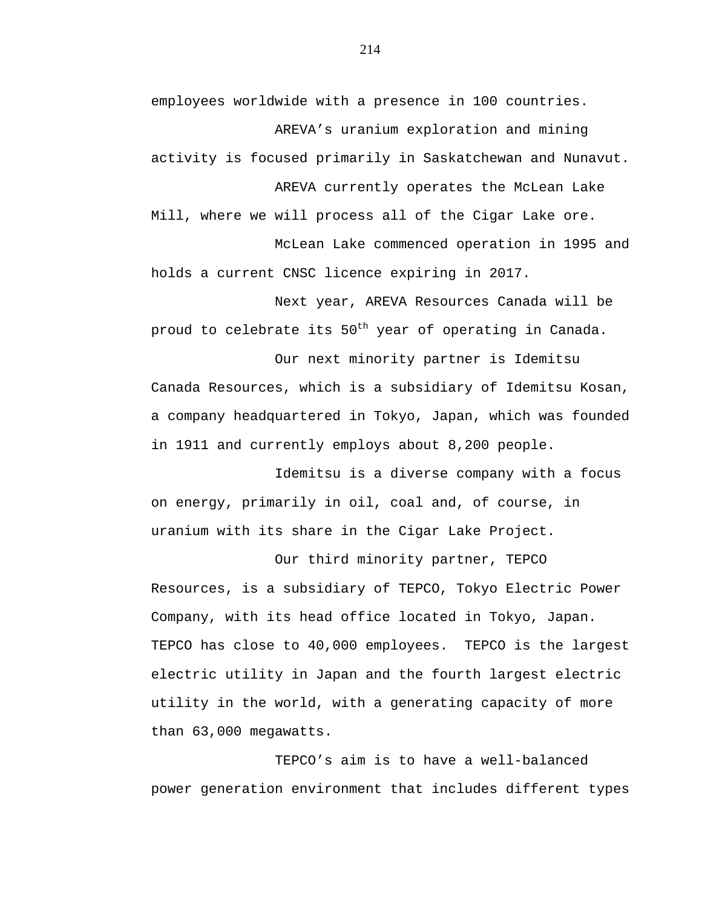employees worldwide with a presence in 100 countries. AREVA's uranium exploration and mining

activity is focused primarily in Saskatchewan and Nunavut. AREVA currently operates the McLean Lake

Mill, where we will process all of the Cigar Lake ore. McLean Lake commenced operation in 1995 and

holds a current CNSC licence expiring in 2017.

Next year, AREVA Resources Canada will be proud to celebrate its  $50<sup>th</sup>$  year of operating in Canada.

Our next minority partner is Idemitsu Canada Resources, which is a subsidiary of Idemitsu Kosan, a company headquartered in Tokyo, Japan, which was founded in 1911 and currently employs about 8,200 people.

Idemitsu is a diverse company with a focus on energy, primarily in oil, coal and, of course, in uranium with its share in the Cigar Lake Project.

Our third minority partner, TEPCO Resources, is a subsidiary of TEPCO, Tokyo Electric Power Company, with its head office located in Tokyo, Japan. TEPCO has close to 40,000 employees. TEPCO is the largest electric utility in Japan and the fourth largest electric utility in the world, with a generating capacity of more than 63,000 megawatts.

TEPCO's aim is to have a well-balanced power generation environment that includes different types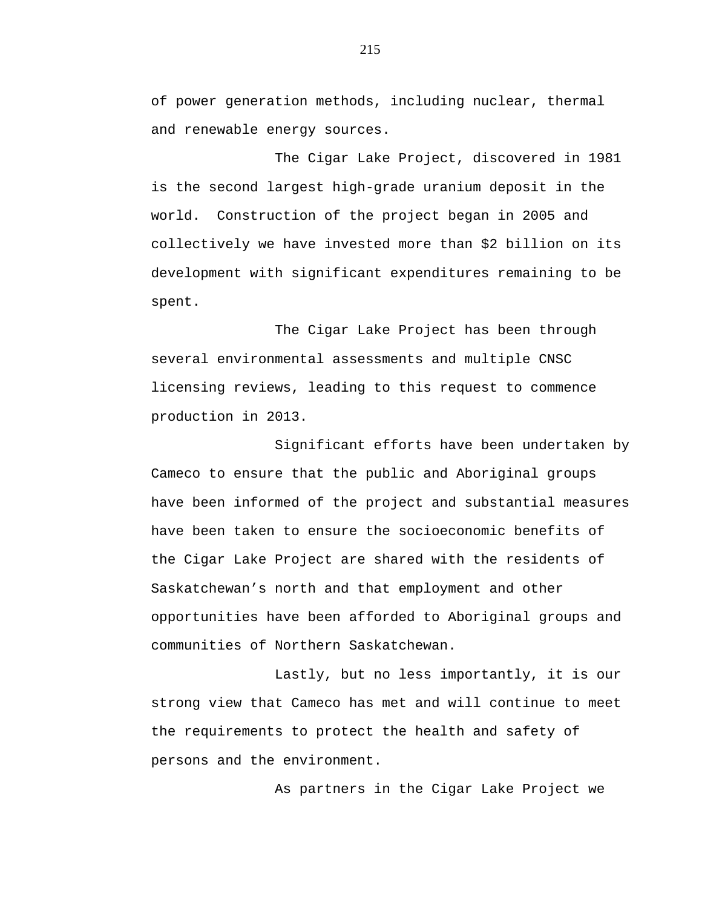of power generation methods, including nuclear, thermal and renewable energy sources.

The Cigar Lake Project, discovered in 1981 is the second largest high-grade uranium deposit in the world. Construction of the project began in 2005 and collectively we have invested more than \$2 billion on its development with significant expenditures remaining to be spent.

The Cigar Lake Project has been through several environmental assessments and multiple CNSC licensing reviews, leading to this request to commence production in 2013.

Significant efforts have been undertaken by Cameco to ensure that the public and Aboriginal groups have been informed of the project and substantial measures have been taken to ensure the socioeconomic benefits of the Cigar Lake Project are shared with the residents of Saskatchewan's north and that employment and other opportunities have been afforded to Aboriginal groups and communities of Northern Saskatchewan.

Lastly, but no less importantly, it is our strong view that Cameco has met and will continue to meet the requirements to protect the health and safety of persons and the environment.

As partners in the Cigar Lake Project we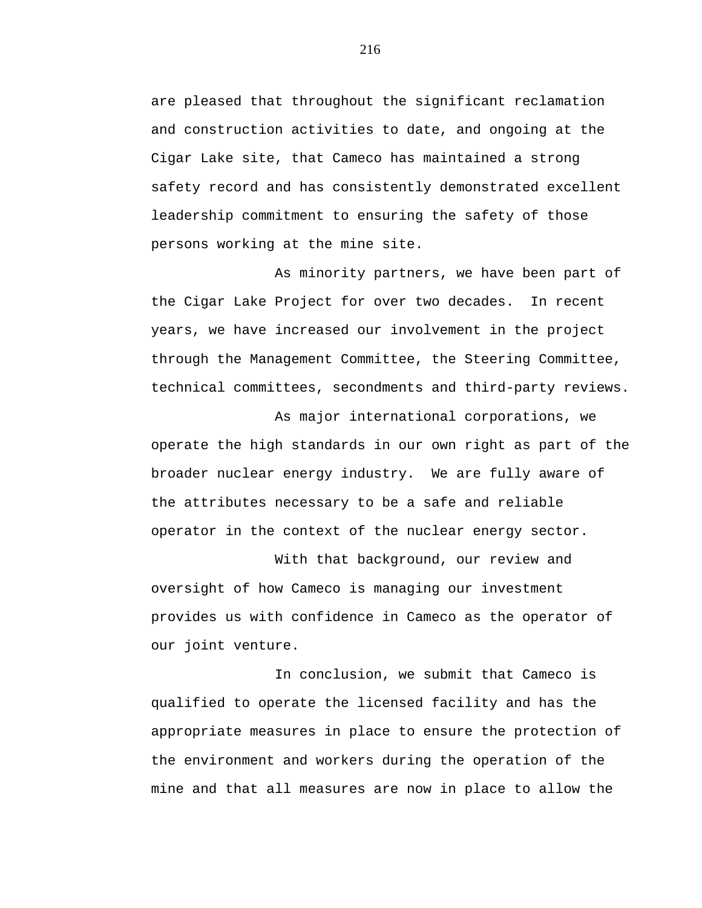are pleased that throughout the significant reclamation and construction activities to date, and ongoing at the Cigar Lake site, that Cameco has maintained a strong safety record and has consistently demonstrated excellent leadership commitment to ensuring the safety of those persons working at the mine site.

As minority partners, we have been part of the Cigar Lake Project for over two decades. In recent years, we have increased our involvement in the project through the Management Committee, the Steering Committee, technical committees, secondments and third-party reviews.

As major international corporations, we operate the high standards in our own right as part of the broader nuclear energy industry. We are fully aware of the attributes necessary to be a safe and reliable operator in the context of the nuclear energy sector.

With that background, our review and oversight of how Cameco is managing our investment provides us with confidence in Cameco as the operator of our joint venture.

In conclusion, we submit that Cameco is qualified to operate the licensed facility and has the appropriate measures in place to ensure the protection of the environment and workers during the operation of the mine and that all measures are now in place to allow the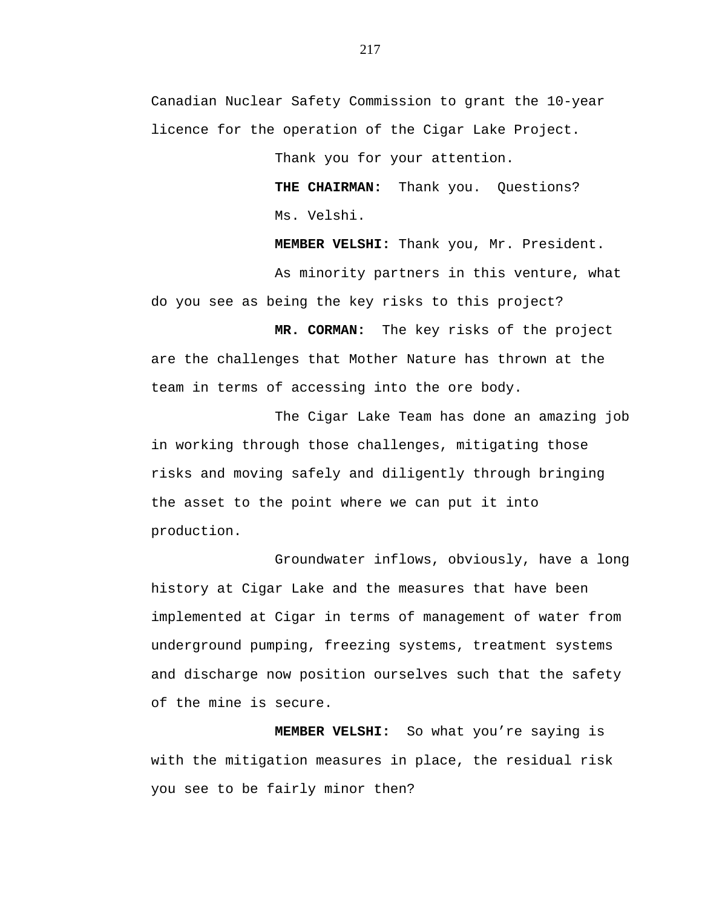Canadian Nuclear Safety Commission to grant the 10-year licence for the operation of the Cigar Lake Project.

Thank you for your attention.

**THE CHAIRMAN:** Thank you. Questions? Ms. Velshi.

 **MEMBER VELSHI:** Thank you, Mr. President.

As minority partners in this venture, what do you see as being the key risks to this project?

**MR. CORMAN:** The key risks of the project are the challenges that Mother Nature has thrown at the team in terms of accessing into the ore body.

The Cigar Lake Team has done an amazing job in working through those challenges, mitigating those risks and moving safely and diligently through bringing the asset to the point where we can put it into production.

Groundwater inflows, obviously, have a long history at Cigar Lake and the measures that have been implemented at Cigar in terms of management of water from underground pumping, freezing systems, treatment systems and discharge now position ourselves such that the safety of the mine is secure.

 **MEMBER VELSHI:** So what you're saying is with the mitigation measures in place, the residual risk you see to be fairly minor then?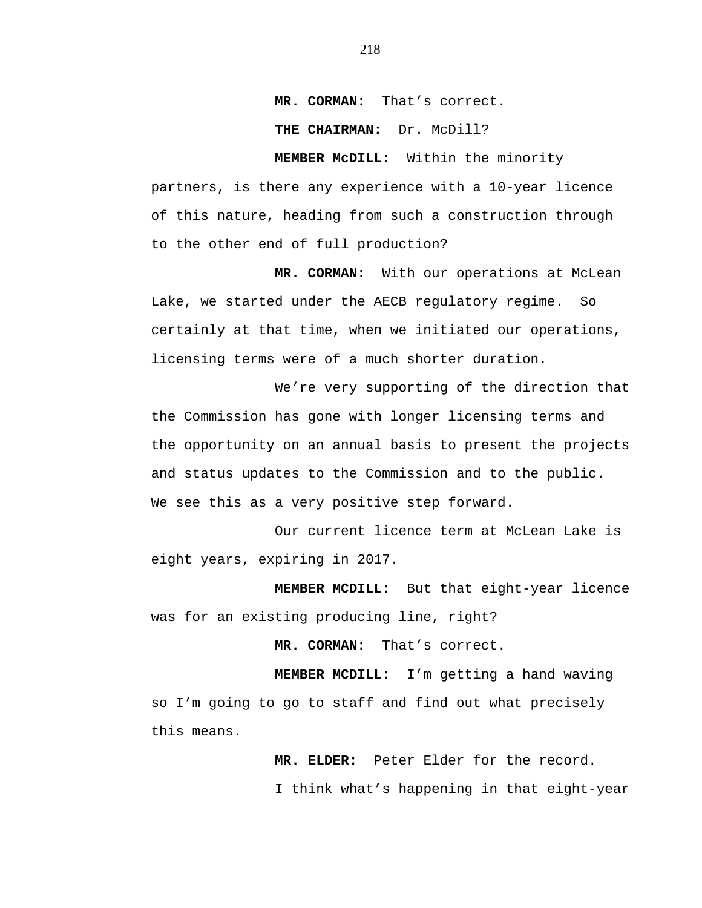**MR. CORMAN:** That's correct.

 **THE CHAIRMAN:** Dr. McDill?

 **MEMBER McDILL:** Within the minority partners, is there any experience with a 10-year licence of this nature, heading from such a construction through to the other end of full production?

 **MR. CORMAN:** With our operations at McLean Lake, we started under the AECB regulatory regime. So certainly at that time, when we initiated our operations, licensing terms were of a much shorter duration.

We're very supporting of the direction that the Commission has gone with longer licensing terms and the opportunity on an annual basis to present the projects and status updates to the Commission and to the public. We see this as a very positive step forward.

Our current licence term at McLean Lake is eight years, expiring in 2017.

 **MEMBER MCDILL:** But that eight-year licence was for an existing producing line, right?

 **MR. CORMAN:** That's correct.

 **MEMBER MCDILL:** I'm getting a hand waving so I'm going to go to staff and find out what precisely this means.

 **MR. ELDER:** Peter Elder for the record.

I think what's happening in that eight-year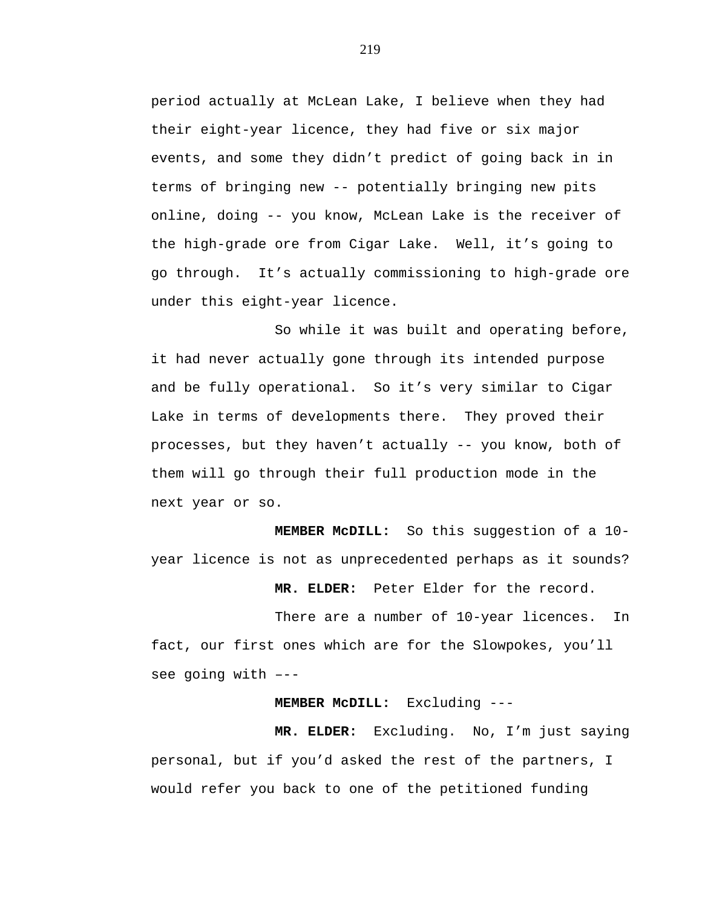period actually at McLean Lake, I believe when they had their eight-year licence, they had five or six major events, and some they didn't predict of going back in in terms of bringing new -- potentially bringing new pits online, doing -- you know, McLean Lake is the receiver of the high-grade ore from Cigar Lake. Well, it's going to go through. It's actually commissioning to high-grade ore under this eight-year licence.

So while it was built and operating before, it had never actually gone through its intended purpose and be fully operational. So it's very similar to Cigar Lake in terms of developments there. They proved their processes, but they haven't actually -- you know, both of them will go through their full production mode in the next year or so.

 **MEMBER McDILL:** So this suggestion of a 10 year licence is not as unprecedented perhaps as it sounds?

 **MR. ELDER:** Peter Elder for the record.

There are a number of 10-year licences. In fact, our first ones which are for the Slowpokes, you'll see going with –--

**MEMBER McDILL:** Excluding ---

 **MR. ELDER:** Excluding. No, I'm just saying personal, but if you'd asked the rest of the partners, I would refer you back to one of the petitioned funding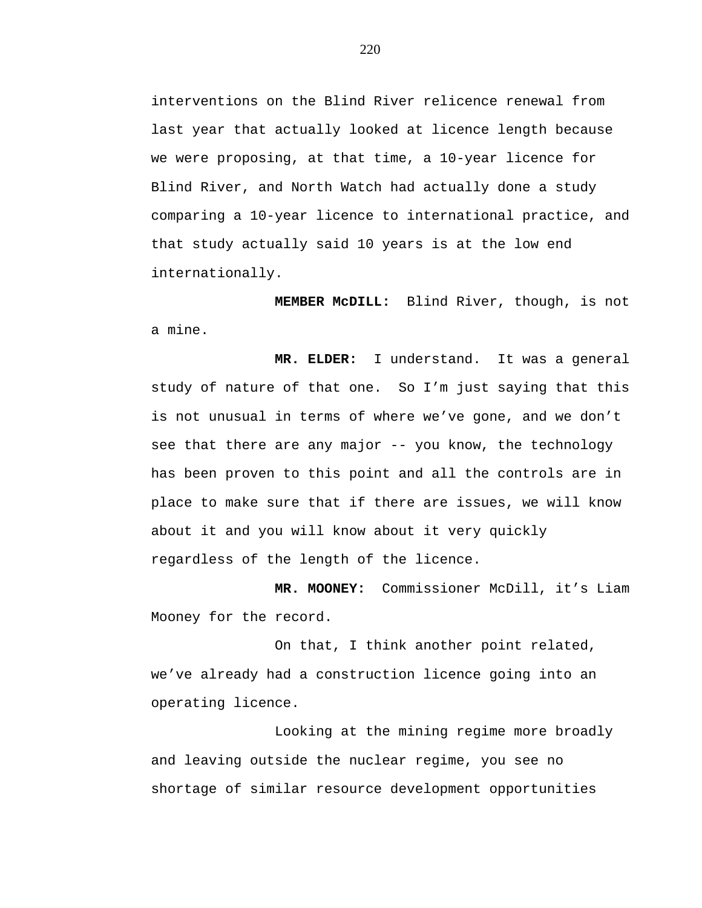interventions on the Blind River relicence renewal from last year that actually looked at licence length because we were proposing, at that time, a 10-year licence for Blind River, and North Watch had actually done a study comparing a 10-year licence to international practice, and that study actually said 10 years is at the low end internationally.

 **MEMBER McDILL:** Blind River, though, is not a mine.

 **MR. ELDER:** I understand. It was a general study of nature of that one. So I'm just saying that this is not unusual in terms of where we've gone, and we don't see that there are any major -- you know, the technology has been proven to this point and all the controls are in place to make sure that if there are issues, we will know about it and you will know about it very quickly regardless of the length of the licence.

**MR. MOONEY:** Commissioner McDill, it's Liam Mooney for the record.

On that, I think another point related, we've already had a construction licence going into an operating licence.

Looking at the mining regime more broadly and leaving outside the nuclear regime, you see no shortage of similar resource development opportunities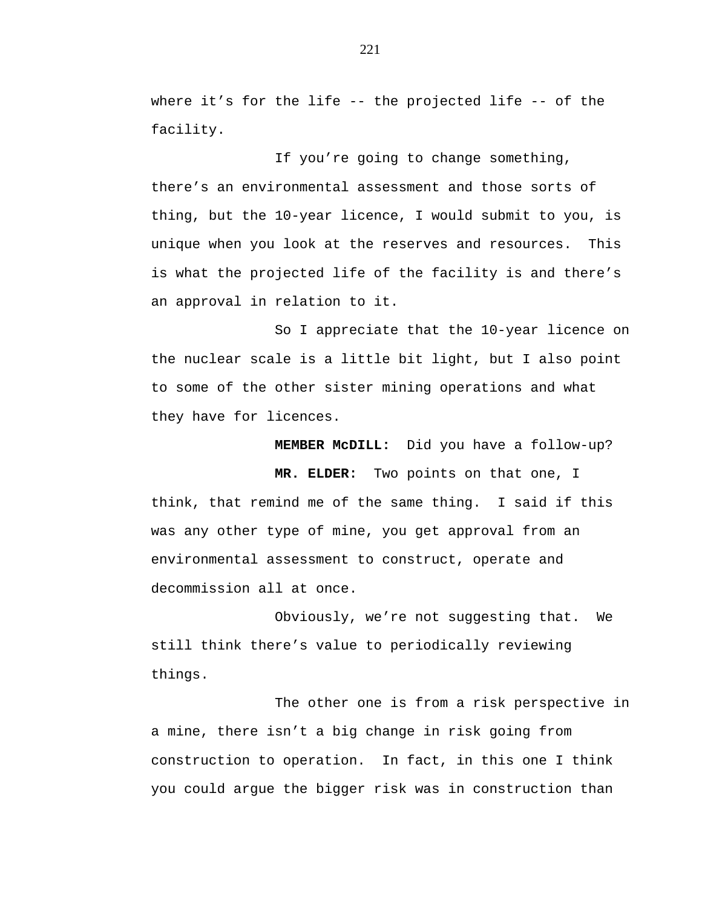where it's for the life  $--$  the projected life  $--$  of the facility.

If you're going to change something, there's an environmental assessment and those sorts of thing, but the 10-year licence, I would submit to you, is unique when you look at the reserves and resources. This is what the projected life of the facility is and there's an approval in relation to it.

So I appreciate that the 10-year licence on the nuclear scale is a little bit light, but I also point to some of the other sister mining operations and what they have for licences.

 **MEMBER McDILL:** Did you have a follow-up?

 **MR. ELDER:** Two points on that one, I think, that remind me of the same thing. I said if this was any other type of mine, you get approval from an environmental assessment to construct, operate and decommission all at once.

Obviously, we're not suggesting that. We still think there's value to periodically reviewing things.

The other one is from a risk perspective in a mine, there isn't a big change in risk going from construction to operation. In fact, in this one I think you could argue the bigger risk was in construction than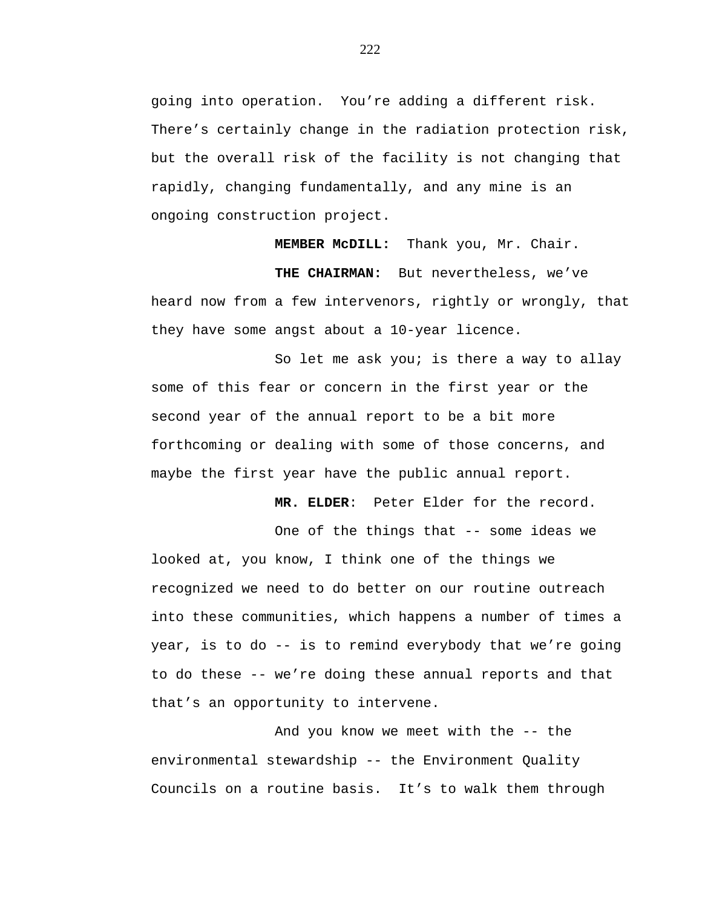going into operation. You're adding a different risk. There's certainly change in the radiation protection risk, but the overall risk of the facility is not changing that rapidly, changing fundamentally, and any mine is an ongoing construction project.

 **MEMBER McDILL:** Thank you, Mr. Chair.

 **THE CHAIRMAN:** But nevertheless, we've heard now from a few intervenors, rightly or wrongly, that they have some angst about a 10-year licence.

So let me ask you; is there a way to allay some of this fear or concern in the first year or the second year of the annual report to be a bit more forthcoming or dealing with some of those concerns, and maybe the first year have the public annual report.

 **MR. ELDER**: Peter Elder for the record.

One of the things that -- some ideas we looked at, you know, I think one of the things we recognized we need to do better on our routine outreach into these communities, which happens a number of times a year, is to do -- is to remind everybody that we're going to do these -- we're doing these annual reports and that that's an opportunity to intervene.

And you know we meet with the -- the environmental stewardship -- the Environment Quality Councils on a routine basis. It's to walk them through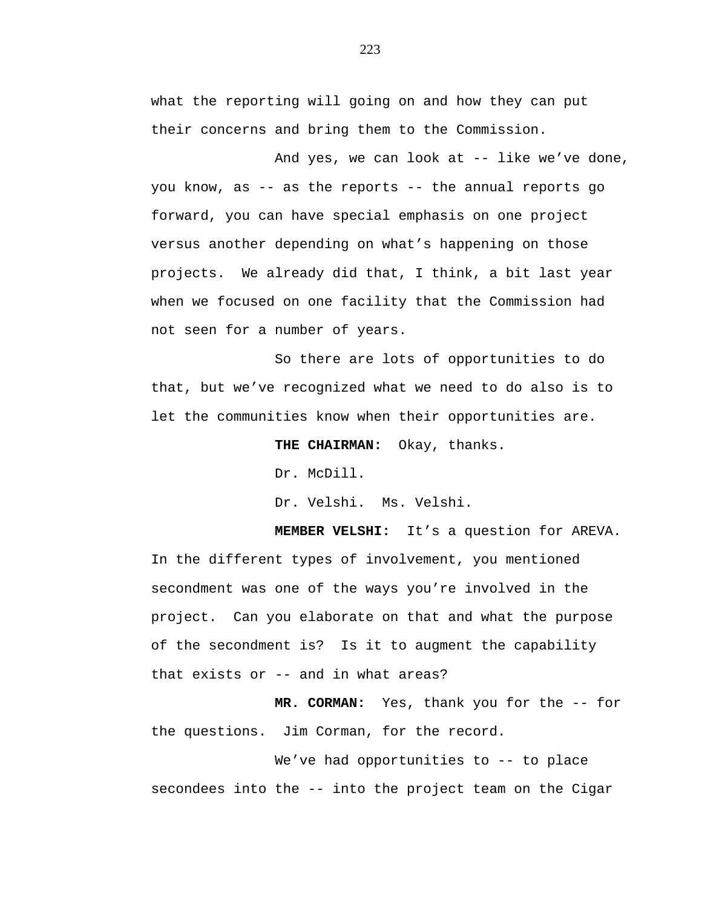what the reporting will going on and how they can put their concerns and bring them to the Commission.

And yes, we can look at -- like we've done, you know, as -- as the reports -- the annual reports go forward, you can have special emphasis on one project versus another depending on what's happening on those projects. We already did that, I think, a bit last year when we focused on one facility that the Commission had not seen for a number of years.

So there are lots of opportunities to do that, but we've recognized what we need to do also is to let the communities know when their opportunities are.

**THE CHAIRMAN:** Okay, thanks.

Dr. McDill.

Dr. Velshi. Ms. Velshi.

**MEMBER VELSHI:** It's a question for AREVA. In the different types of involvement, you mentioned secondment was one of the ways you're involved in the project. Can you elaborate on that and what the purpose of the secondment is? Is it to augment the capability that exists or -- and in what areas?

 **MR. CORMAN:** Yes, thank you for the -- for the questions. Jim Corman, for the record.

We've had opportunities to -- to place secondees into the -- into the project team on the Cigar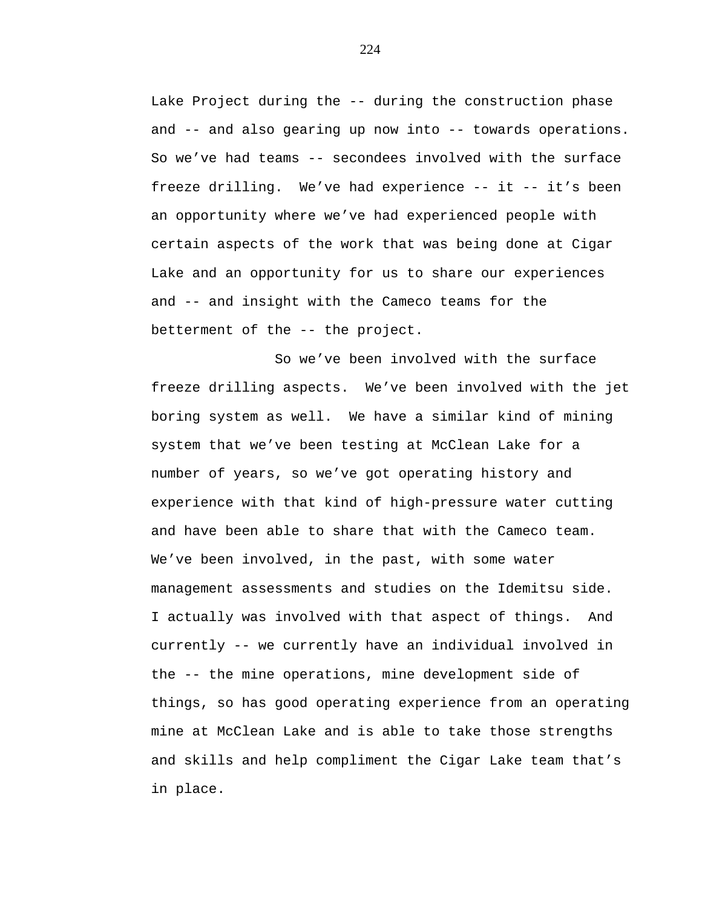Lake Project during the -- during the construction phase and -- and also gearing up now into -- towards operations. So we've had teams -- secondees involved with the surface freeze drilling. We've had experience -- it -- it's been an opportunity where we've had experienced people with certain aspects of the work that was being done at Cigar Lake and an opportunity for us to share our experiences and -- and insight with the Cameco teams for the betterment of the -- the project.

So we've been involved with the surface freeze drilling aspects. We've been involved with the jet boring system as well. We have a similar kind of mining system that we've been testing at McClean Lake for a number of years, so we've got operating history and experience with that kind of high-pressure water cutting and have been able to share that with the Cameco team. We've been involved, in the past, with some water management assessments and studies on the Idemitsu side. I actually was involved with that aspect of things. And currently -- we currently have an individual involved in the -- the mine operations, mine development side of things, so has good operating experience from an operating mine at McClean Lake and is able to take those strengths and skills and help compliment the Cigar Lake team that's in place.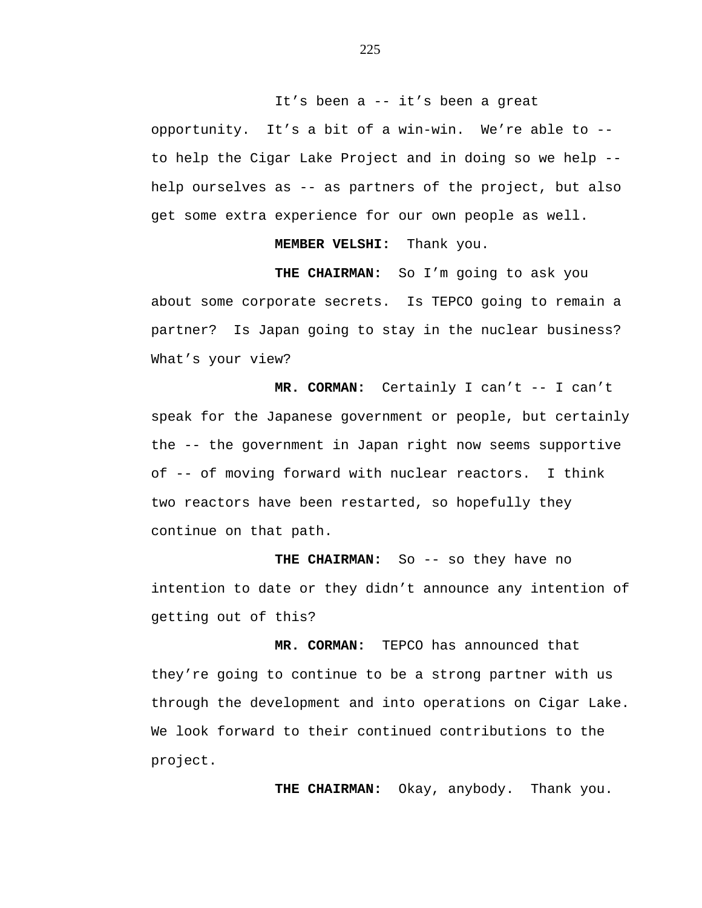It's been a -- it's been a great

opportunity. It's a bit of a win-win. We're able to - to help the Cigar Lake Project and in doing so we help - help ourselves as -- as partners of the project, but also get some extra experience for our own people as well.

**MEMBER VELSHI:** Thank you.

**THE CHAIRMAN:** So I'm going to ask you about some corporate secrets. Is TEPCO going to remain a partner? Is Japan going to stay in the nuclear business? What's your view?

 **MR. CORMAN:** Certainly I can't -- I can't speak for the Japanese government or people, but certainly the -- the government in Japan right now seems supportive of -- of moving forward with nuclear reactors. I think two reactors have been restarted, so hopefully they continue on that path.

**THE CHAIRMAN:** So -- so they have no intention to date or they didn't announce any intention of getting out of this?

 **MR. CORMAN:** TEPCO has announced that they're going to continue to be a strong partner with us through the development and into operations on Cigar Lake. We look forward to their continued contributions to the project.

**THE CHAIRMAN:** Okay, anybody. Thank you.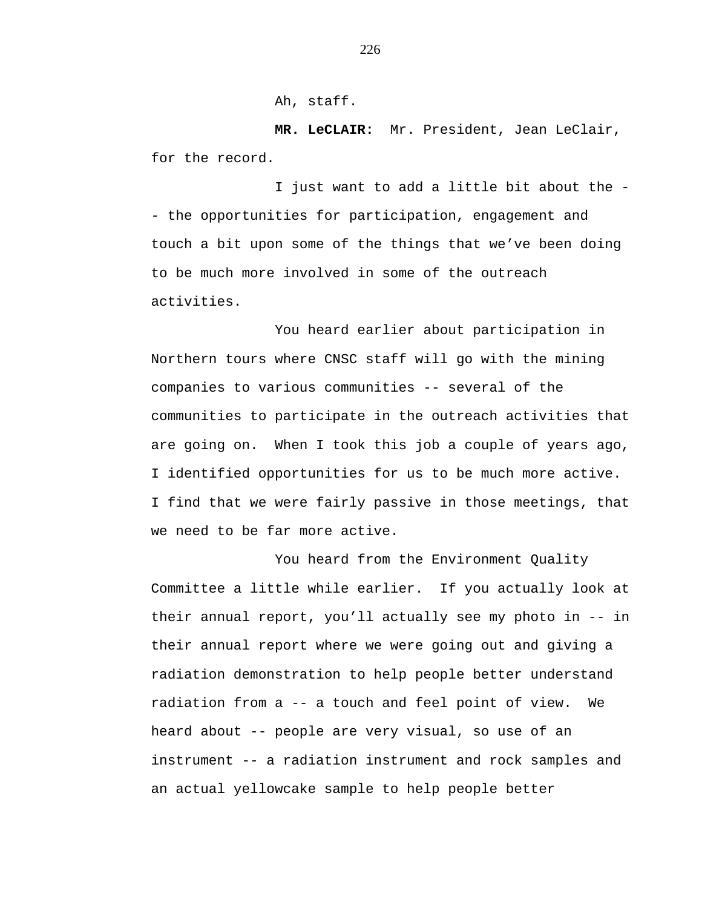Ah, staff.

**MR. LeCLAIR:** Mr. President, Jean LeClair, for the record.

I just want to add a little bit about the - the opportunities for participation, engagement and touch a bit upon some of the things that we've been doing to be much more involved in some of the outreach activities.

You heard earlier about participation in Northern tours where CNSC staff will go with the mining companies to various communities -- several of the communities to participate in the outreach activities that are going on. When I took this job a couple of years ago, I identified opportunities for us to be much more active. I find that we were fairly passive in those meetings, that we need to be far more active.

You heard from the Environment Quality Committee a little while earlier. If you actually look at their annual report, you'll actually see my photo in -- in their annual report where we were going out and giving a radiation demonstration to help people better understand radiation from a -- a touch and feel point of view. We heard about -- people are very visual, so use of an instrument -- a radiation instrument and rock samples and an actual yellowcake sample to help people better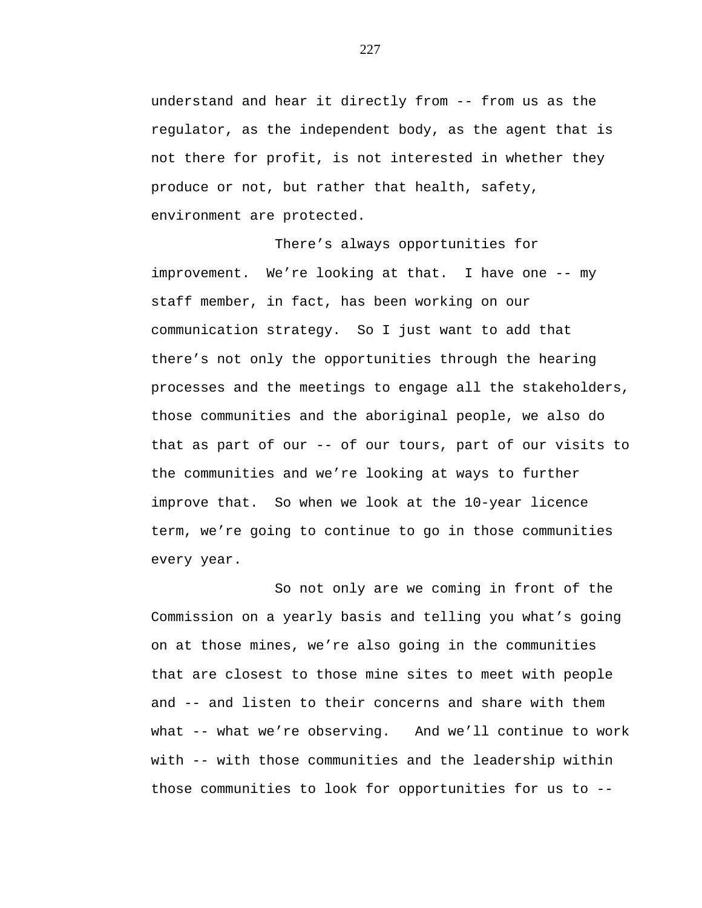understand and hear it directly from -- from us as the regulator, as the independent body, as the agent that is not there for profit, is not interested in whether they produce or not, but rather that health, safety, environment are protected.

There's always opportunities for improvement. We're looking at that. I have one -- my staff member, in fact, has been working on our communication strategy. So I just want to add that there's not only the opportunities through the hearing processes and the meetings to engage all the stakeholders, those communities and the aboriginal people, we also do that as part of our -- of our tours, part of our visits to the communities and we're looking at ways to further improve that. So when we look at the 10-year licence term, we're going to continue to go in those communities every year.

So not only are we coming in front of the Commission on a yearly basis and telling you what's going on at those mines, we're also going in the communities that are closest to those mine sites to meet with people and -- and listen to their concerns and share with them what -- what we're observing. And we'll continue to work with -- with those communities and the leadership within those communities to look for opportunities for us to --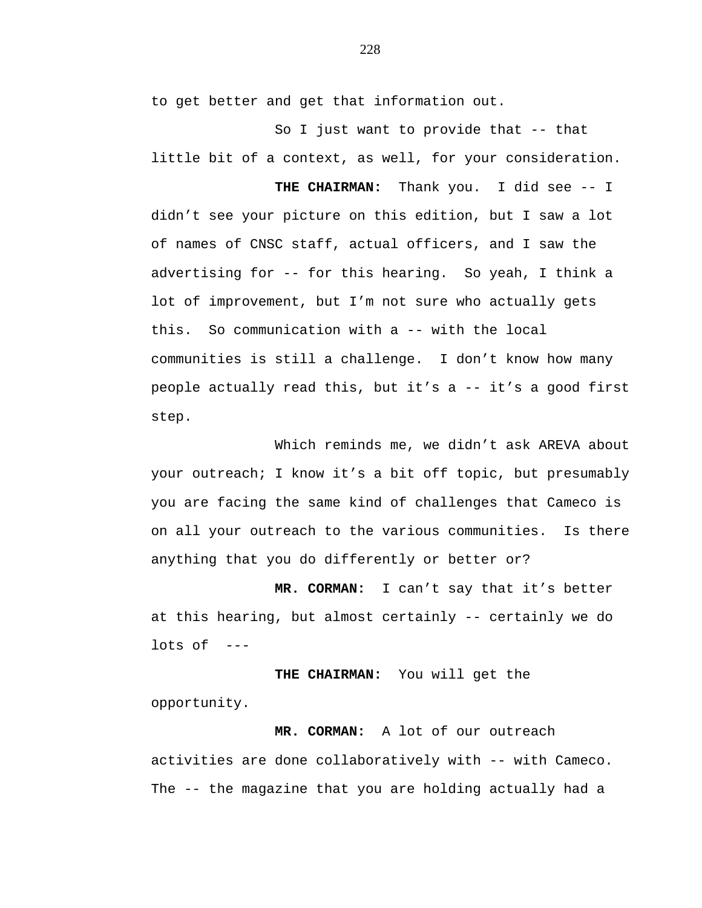to get better and get that information out.

So I just want to provide that -- that little bit of a context, as well, for your consideration.

**THE CHAIRMAN:** Thank you. I did see -- I didn't see your picture on this edition, but I saw a lot of names of CNSC staff, actual officers, and I saw the advertising for -- for this hearing. So yeah, I think a lot of improvement, but I'm not sure who actually gets this. So communication with a -- with the local communities is still a challenge. I don't know how many people actually read this, but it's a -- it's a good first step.

Which reminds me, we didn't ask AREVA about your outreach; I know it's a bit off topic, but presumably you are facing the same kind of challenges that Cameco is on all your outreach to the various communities. Is there anything that you do differently or better or?

**MR. CORMAN:** I can't say that it's better at this hearing, but almost certainly -- certainly we do lots of  $---$ 

**THE CHAIRMAN:** You will get the opportunity.

 **MR. CORMAN:** A lot of our outreach activities are done collaboratively with -- with Cameco. The -- the magazine that you are holding actually had a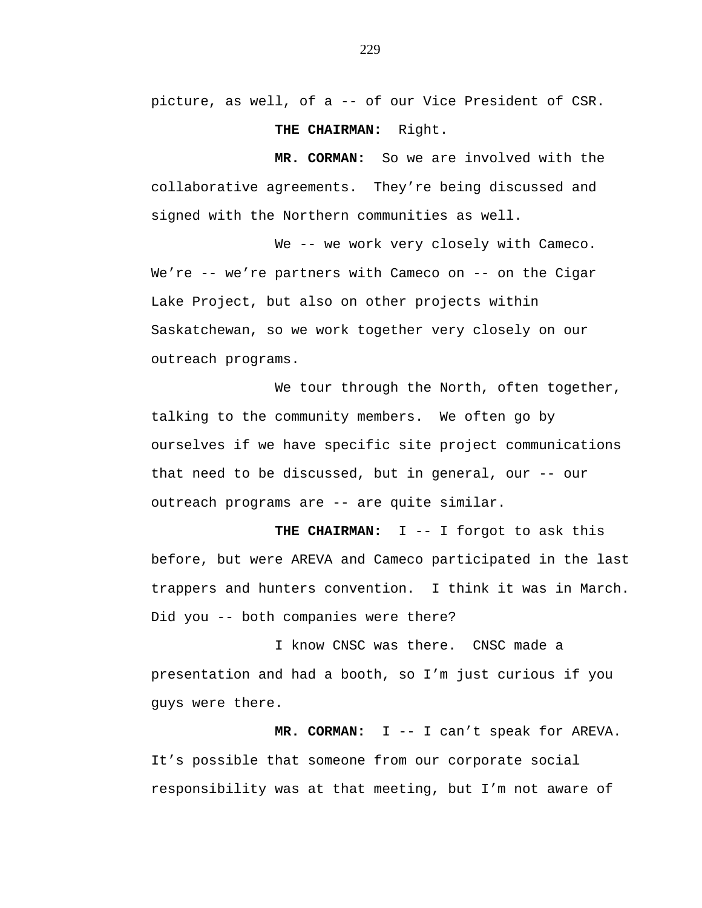picture, as well, of a -- of our Vice President of CSR. **THE CHAIRMAN:** Right.

 **MR. CORMAN:** So we are involved with the collaborative agreements. They're being discussed and signed with the Northern communities as well.

We -- we work very closely with Cameco. We're -- we're partners with Cameco on -- on the Cigar Lake Project, but also on other projects within Saskatchewan, so we work together very closely on our outreach programs.

We tour through the North, often together, talking to the community members. We often go by ourselves if we have specific site project communications that need to be discussed, but in general, our -- our outreach programs are -- are quite similar.

**THE CHAIRMAN:** I -- I forgot to ask this before, but were AREVA and Cameco participated in the last trappers and hunters convention. I think it was in March. Did you -- both companies were there?

I know CNSC was there. CNSC made a presentation and had a booth, so I'm just curious if you guys were there.

 **MR. CORMAN:** I -- I can't speak for AREVA. It's possible that someone from our corporate social responsibility was at that meeting, but I'm not aware of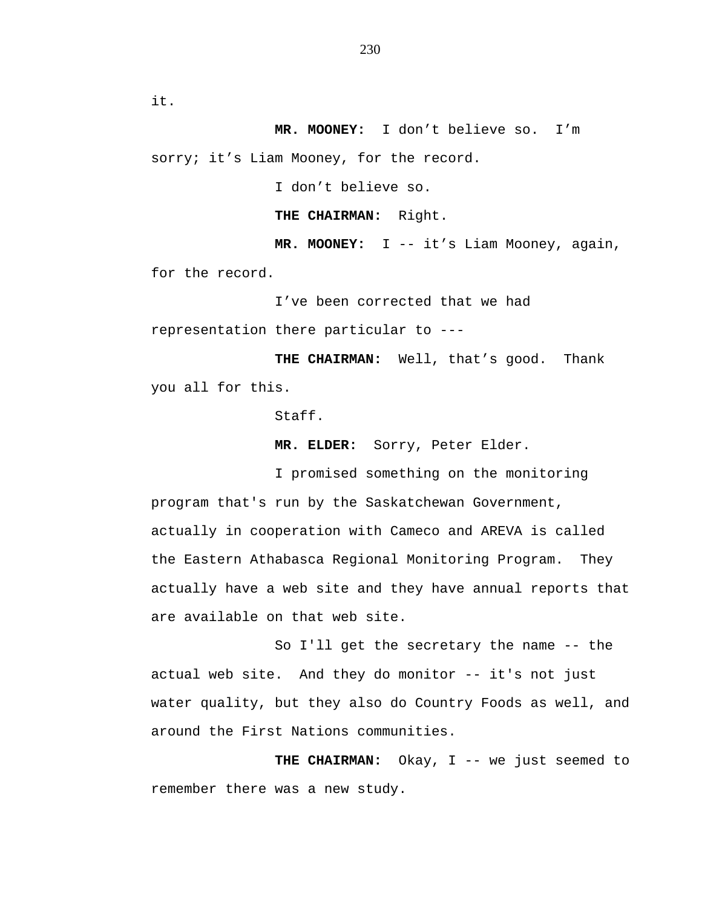it.

 **MR. MOONEY:** I don't believe so. I'm sorry; it's Liam Mooney, for the record.

I don't believe so.

**THE CHAIRMAN:** Right.

 **MR. MOONEY:** I -- it's Liam Mooney, again, for the record.

I've been corrected that we had representation there particular to --

**THE CHAIRMAN:** Well, that's good. Thank you all for this.

Staff.

**MR. ELDER:** Sorry, Peter Elder.

I promised something on the monitoring program that's run by the Saskatchewan Government, actually in cooperation with Cameco and AREVA is called the Eastern Athabasca Regional Monitoring Program. They actually have a web site and they have annual reports that are available on that web site.

So I'll get the secretary the name -- the actual web site. And they do monitor -- it's not just water quality, but they also do Country Foods as well, and around the First Nations communities.

THE CHAIRMAN: Okay, I -- we just seemed to remember there was a new study.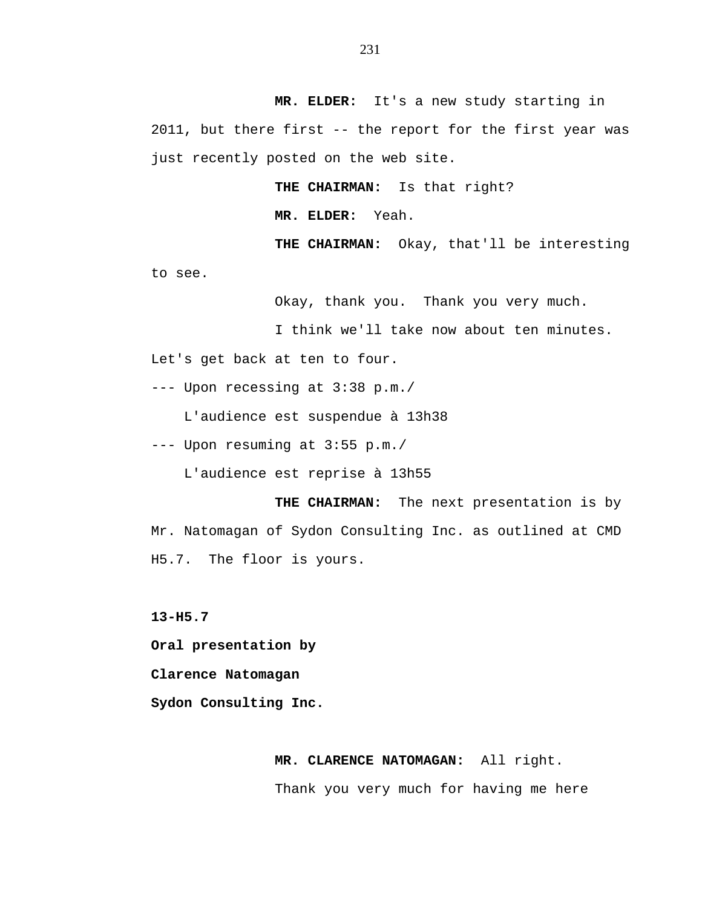**MR. ELDER:** It's a new study starting in 2011, but there first -- the report for the first year was just recently posted on the web site.

**THE CHAIRMAN:** Is that right?

**MR. ELDER:** Yeah.

**THE CHAIRMAN:** Okay, that'll be interesting

to see.

Okay, thank you. Thank you very much.

I think we'll take now about ten minutes.

Let's get back at ten to four.

--- Upon recessing at 3:38 p.m./

L'audience est suspendue à 13h38

--- Upon resuming at 3:55 p.m./

L'audience est reprise à 13h55

**THE CHAIRMAN:** The next presentation is by Mr. Natomagan of Sydon Consulting Inc. as outlined at CMD H5.7. The floor is yours.

**13-H5.7** 

**Oral presentation by** 

**Clarence Natomagan** 

**Sydon Consulting Inc.** 

## **MR. CLARENCE NATOMAGAN:** All right.

Thank you very much for having me here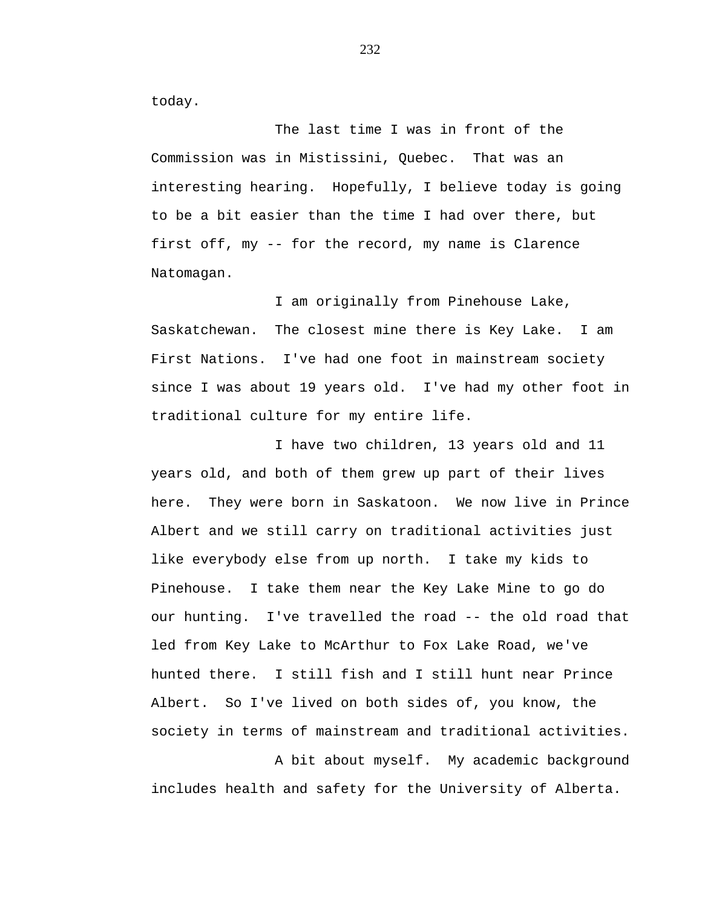today.

The last time I was in front of the Commission was in Mistissini, Quebec. That was an interesting hearing. Hopefully, I believe today is going to be a bit easier than the time I had over there, but first off, my -- for the record, my name is Clarence Natomagan.

I am originally from Pinehouse Lake, Saskatchewan. The closest mine there is Key Lake. I am First Nations. I've had one foot in mainstream society since I was about 19 years old. I've had my other foot in traditional culture for my entire life.

I have two children, 13 years old and 11 years old, and both of them grew up part of their lives here. They were born in Saskatoon. We now live in Prince Albert and we still carry on traditional activities just like everybody else from up north. I take my kids to Pinehouse. I take them near the Key Lake Mine to go do our hunting. I've travelled the road -- the old road that led from Key Lake to McArthur to Fox Lake Road, we've hunted there. I still fish and I still hunt near Prince Albert. So I've lived on both sides of, you know, the society in terms of mainstream and traditional activities.

A bit about myself. My academic background includes health and safety for the University of Alberta.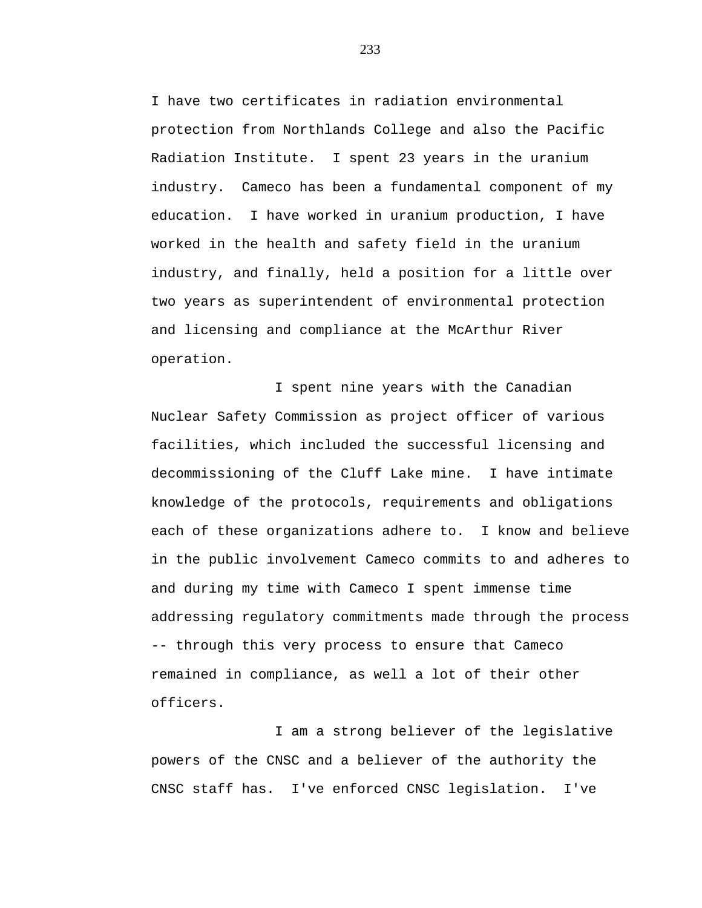I have two certificates in radiation environmental protection from Northlands College and also the Pacific Radiation Institute. I spent 23 years in the uranium industry. Cameco has been a fundamental component of my education. I have worked in uranium production, I have worked in the health and safety field in the uranium industry, and finally, held a position for a little over two years as superintendent of environmental protection and licensing and compliance at the McArthur River operation.

I spent nine years with the Canadian Nuclear Safety Commission as project officer of various facilities, which included the successful licensing and decommissioning of the Cluff Lake mine. I have intimate knowledge of the protocols, requirements and obligations each of these organizations adhere to. I know and believe in the public involvement Cameco commits to and adheres to and during my time with Cameco I spent immense time addressing regulatory commitments made through the process -- through this very process to ensure that Cameco remained in compliance, as well a lot of their other officers.

I am a strong believer of the legislative powers of the CNSC and a believer of the authority the CNSC staff has. I've enforced CNSC legislation. I've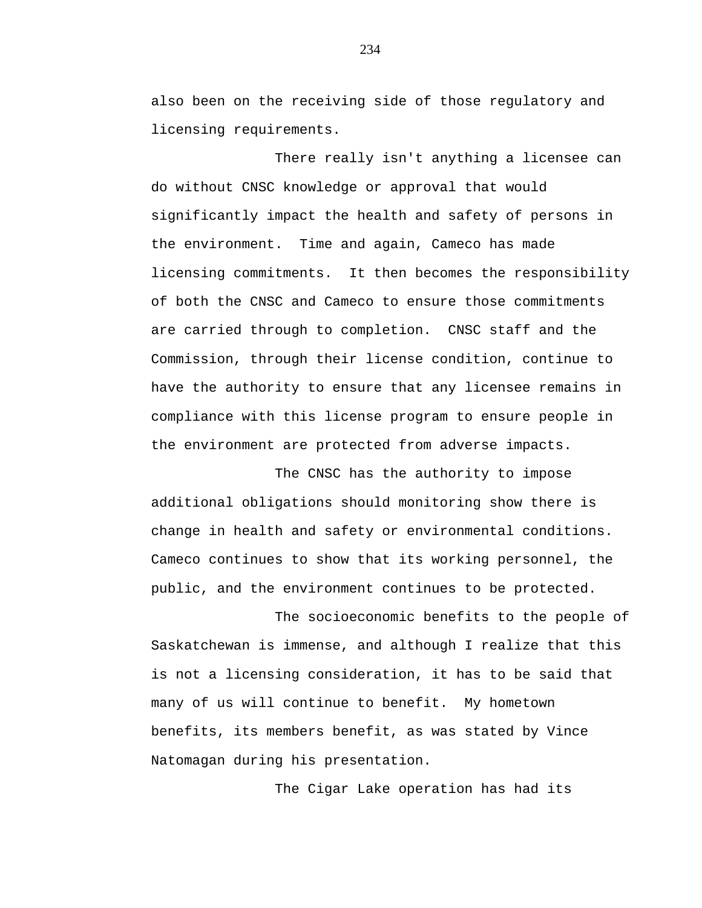also been on the receiving side of those regulatory and licensing requirements.

There really isn't anything a licensee can do without CNSC knowledge or approval that would significantly impact the health and safety of persons in the environment. Time and again, Cameco has made licensing commitments. It then becomes the responsibility of both the CNSC and Cameco to ensure those commitments are carried through to completion. CNSC staff and the Commission, through their license condition, continue to have the authority to ensure that any licensee remains in compliance with this license program to ensure people in the environment are protected from adverse impacts.

The CNSC has the authority to impose additional obligations should monitoring show there is change in health and safety or environmental conditions. Cameco continues to show that its working personnel, the public, and the environment continues to be protected.

The socioeconomic benefits to the people of Saskatchewan is immense, and although I realize that this is not a licensing consideration, it has to be said that many of us will continue to benefit. My hometown benefits, its members benefit, as was stated by Vince Natomagan during his presentation.

The Cigar Lake operation has had its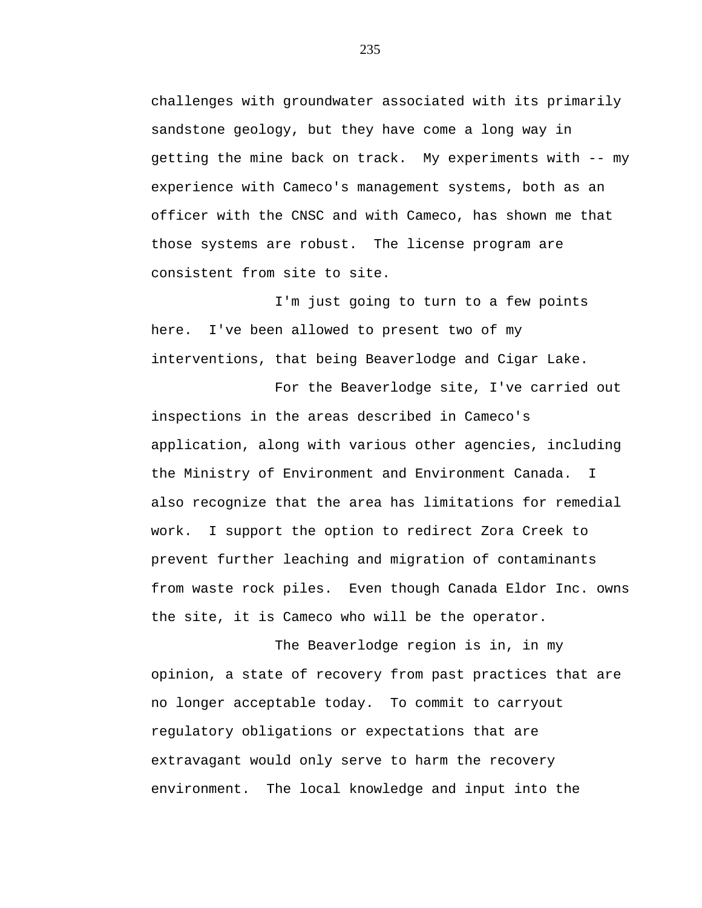challenges with groundwater associated with its primarily sandstone geology, but they have come a long way in getting the mine back on track. My experiments with -- my experience with Cameco's management systems, both as an officer with the CNSC and with Cameco, has shown me that those systems are robust. The license program are consistent from site to site.

I'm just going to turn to a few points here. I've been allowed to present two of my interventions, that being Beaverlodge and Cigar Lake.

For the Beaverlodge site, I've carried out inspections in the areas described in Cameco's application, along with various other agencies, including the Ministry of Environment and Environment Canada. I also recognize that the area has limitations for remedial work. I support the option to redirect Zora Creek to prevent further leaching and migration of contaminants from waste rock piles. Even though Canada Eldor Inc. owns the site, it is Cameco who will be the operator.

The Beaverlodge region is in, in my opinion, a state of recovery from past practices that are no longer acceptable today. To commit to carryout regulatory obligations or expectations that are extravagant would only serve to harm the recovery environment. The local knowledge and input into the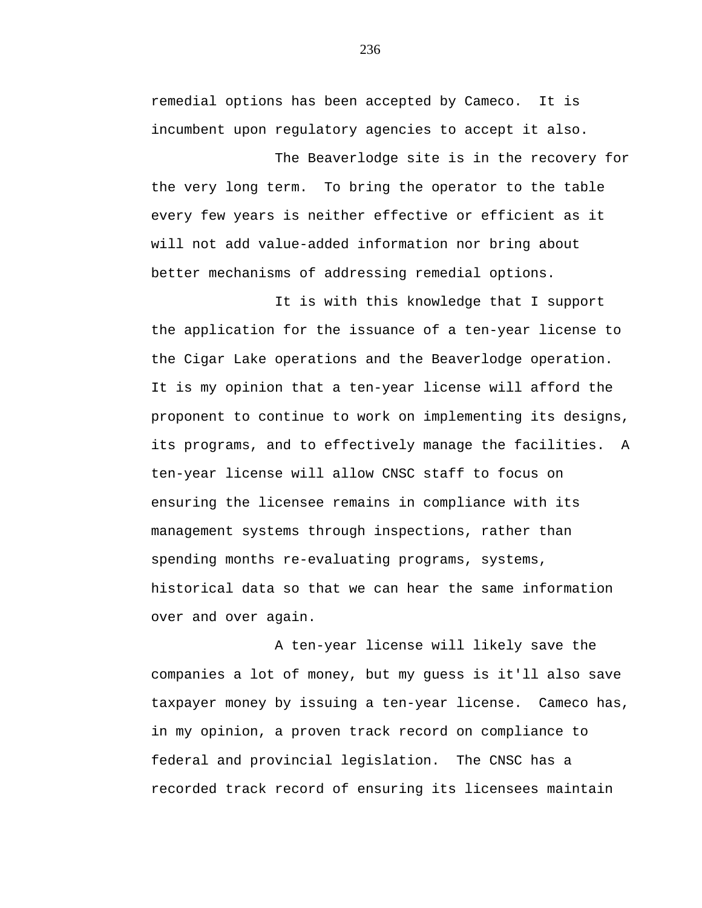remedial options has been accepted by Cameco. It is incumbent upon regulatory agencies to accept it also.

The Beaverlodge site is in the recovery for the very long term. To bring the operator to the table every few years is neither effective or efficient as it will not add value-added information nor bring about better mechanisms of addressing remedial options.

It is with this knowledge that I support the application for the issuance of a ten-year license to the Cigar Lake operations and the Beaverlodge operation. It is my opinion that a ten-year license will afford the proponent to continue to work on implementing its designs, its programs, and to effectively manage the facilities. A ten-year license will allow CNSC staff to focus on ensuring the licensee remains in compliance with its management systems through inspections, rather than spending months re-evaluating programs, systems, historical data so that we can hear the same information over and over again.

A ten-year license will likely save the companies a lot of money, but my guess is it'll also save taxpayer money by issuing a ten-year license. Cameco has, in my opinion, a proven track record on compliance to federal and provincial legislation. The CNSC has a recorded track record of ensuring its licensees maintain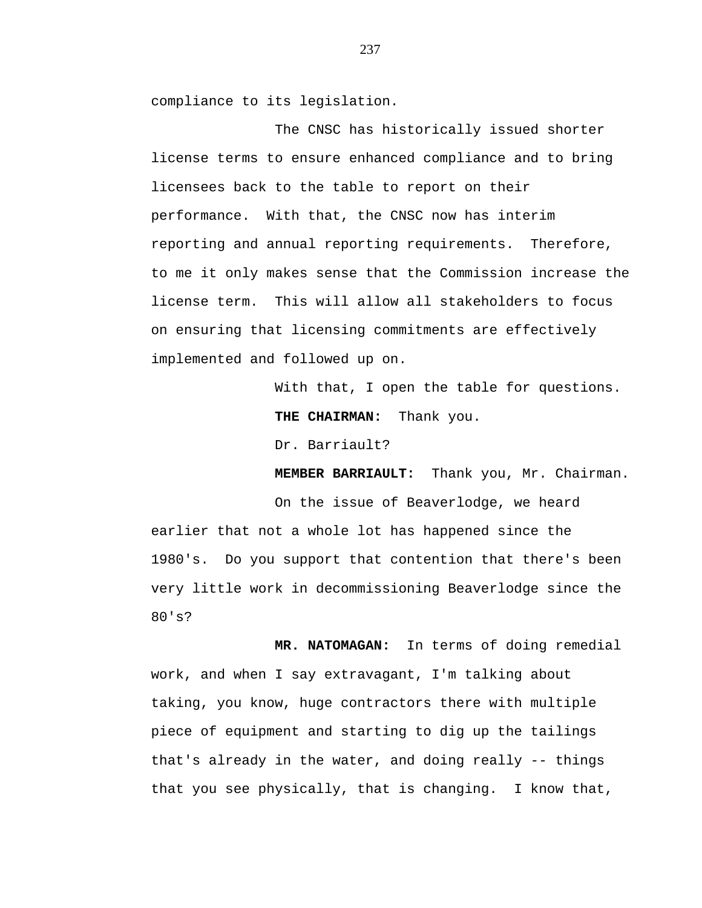compliance to its legislation.

The CNSC has historically issued shorter license terms to ensure enhanced compliance and to bring licensees back to the table to report on their performance. With that, the CNSC now has interim reporting and annual reporting requirements. Therefore, to me it only makes sense that the Commission increase the license term. This will allow all stakeholders to focus on ensuring that licensing commitments are effectively implemented and followed up on.

> With that, I open the table for questions. **THE CHAIRMAN:** Thank you.

Dr. Barriault?

**MEMBER BARRIAULT:** Thank you, Mr. Chairman.

On the issue of Beaverlodge, we heard earlier that not a whole lot has happened since the 1980's. Do you support that contention that there's been very little work in decommissioning Beaverlodge since the 80's?

 **MR. NATOMAGAN:** In terms of doing remedial work, and when I say extravagant, I'm talking about taking, you know, huge contractors there with multiple piece of equipment and starting to dig up the tailings that's already in the water, and doing really -- things that you see physically, that is changing. I know that,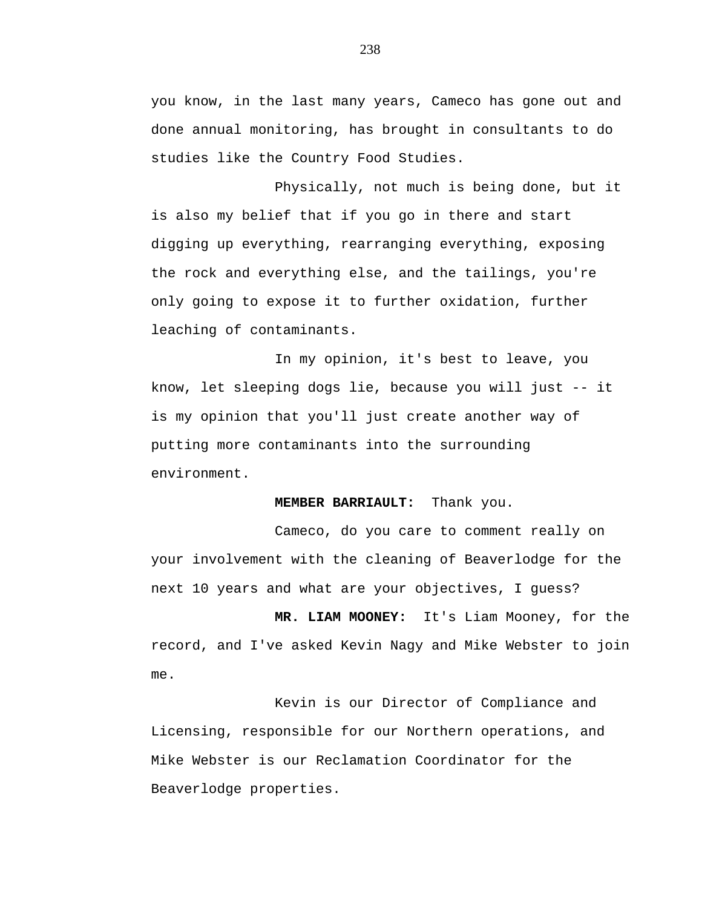you know, in the last many years, Cameco has gone out and done annual monitoring, has brought in consultants to do studies like the Country Food Studies.

Physically, not much is being done, but it is also my belief that if you go in there and start digging up everything, rearranging everything, exposing the rock and everything else, and the tailings, you're only going to expose it to further oxidation, further leaching of contaminants.

In my opinion, it's best to leave, you know, let sleeping dogs lie, because you will just -- it is my opinion that you'll just create another way of putting more contaminants into the surrounding environment.

## **MEMBER BARRIAULT:** Thank you.

Cameco, do you care to comment really on your involvement with the cleaning of Beaverlodge for the next 10 years and what are your objectives, I guess?

**MR. LIAM MOONEY:** It's Liam Mooney, for the record, and I've asked Kevin Nagy and Mike Webster to join me.

Kevin is our Director of Compliance and Licensing, responsible for our Northern operations, and Mike Webster is our Reclamation Coordinator for the Beaverlodge properties.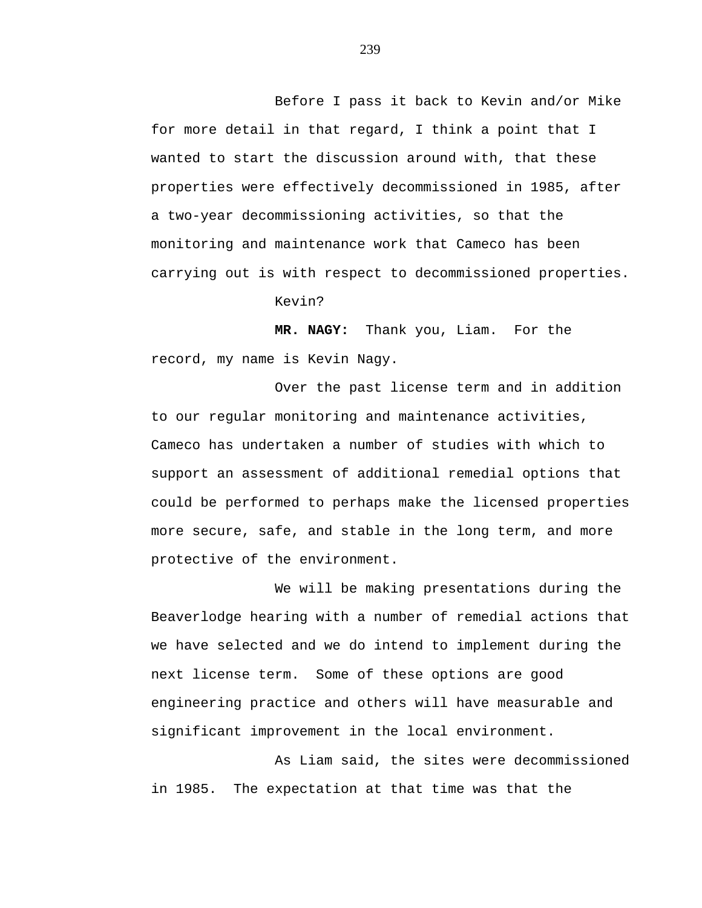Before I pass it back to Kevin and/or Mike for more detail in that regard, I think a point that I wanted to start the discussion around with, that these properties were effectively decommissioned in 1985, after a two-year decommissioning activities, so that the monitoring and maintenance work that Cameco has been carrying out is with respect to decommissioned properties.

Kevin?

**MR. NAGY:** Thank you, Liam. For the record, my name is Kevin Nagy.

Over the past license term and in addition to our regular monitoring and maintenance activities, Cameco has undertaken a number of studies with which to support an assessment of additional remedial options that could be performed to perhaps make the licensed properties more secure, safe, and stable in the long term, and more protective of the environment.

We will be making presentations during the Beaverlodge hearing with a number of remedial actions that we have selected and we do intend to implement during the next license term. Some of these options are good engineering practice and others will have measurable and significant improvement in the local environment.

As Liam said, the sites were decommissioned in 1985. The expectation at that time was that the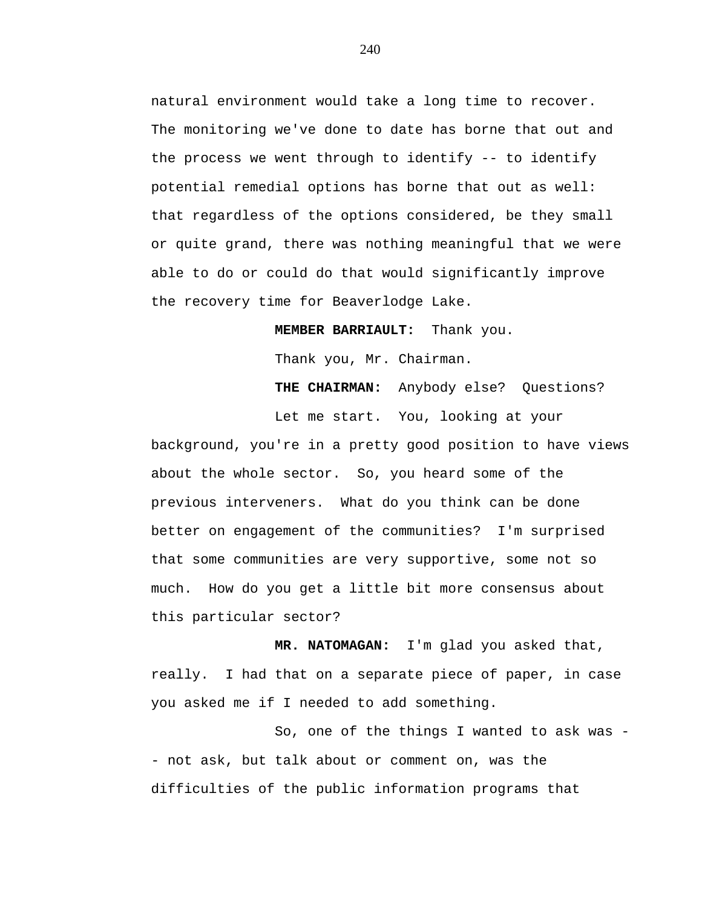natural environment would take a long time to recover. The monitoring we've done to date has borne that out and the process we went through to identify -- to identify potential remedial options has borne that out as well: that regardless of the options considered, be they small or quite grand, there was nothing meaningful that we were able to do or could do that would significantly improve the recovery time for Beaverlodge Lake.

**MEMBER BARRIAULT:** Thank you.

Thank you, Mr. Chairman.

**THE CHAIRMAN:** Anybody else? Questions?

Let me start. You, looking at your background, you're in a pretty good position to have views about the whole sector. So, you heard some of the previous interveners. What do you think can be done better on engagement of the communities? I'm surprised that some communities are very supportive, some not so much. How do you get a little bit more consensus about this particular sector?

**MR. NATOMAGAN:** I'm glad you asked that, really. I had that on a separate piece of paper, in case you asked me if I needed to add something.

So, one of the things I wanted to ask was - not ask, but talk about or comment on, was the difficulties of the public information programs that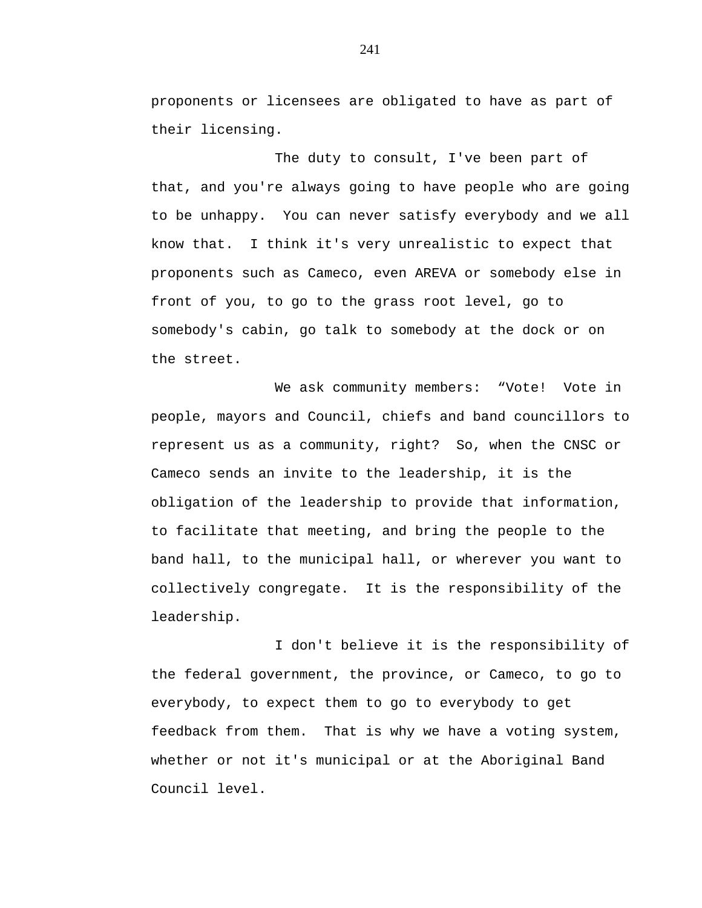proponents or licensees are obligated to have as part of their licensing.

The duty to consult, I've been part of that, and you're always going to have people who are going to be unhappy. You can never satisfy everybody and we all know that. I think it's very unrealistic to expect that proponents such as Cameco, even AREVA or somebody else in front of you, to go to the grass root level, go to somebody's cabin, go talk to somebody at the dock or on the street.

We ask community members: "Vote! Vote in people, mayors and Council, chiefs and band councillors to represent us as a community, right? So, when the CNSC or Cameco sends an invite to the leadership, it is the obligation of the leadership to provide that information, to facilitate that meeting, and bring the people to the band hall, to the municipal hall, or wherever you want to collectively congregate. It is the responsibility of the leadership.

I don't believe it is the responsibility of the federal government, the province, or Cameco, to go to everybody, to expect them to go to everybody to get feedback from them. That is why we have a voting system, whether or not it's municipal or at the Aboriginal Band Council level.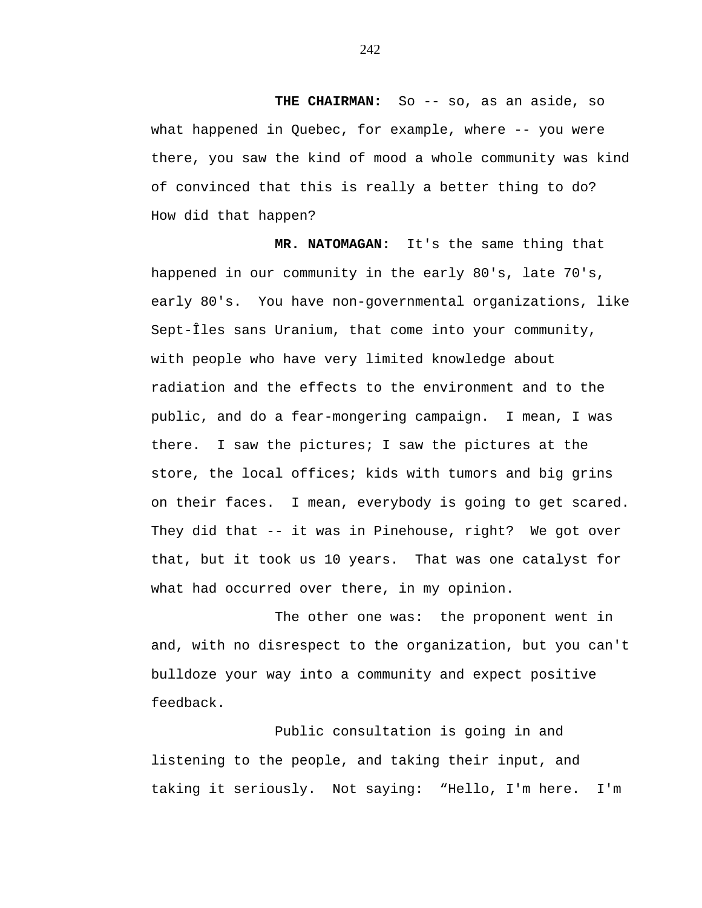THE CHAIRMAN: So -- so, as an aside, so what happened in Quebec, for example, where -- you were there, you saw the kind of mood a whole community was kind of convinced that this is really a better thing to do? How did that happen?

 **MR. NATOMAGAN:** It's the same thing that happened in our community in the early 80's, late 70's, early 80's. You have non-governmental organizations, like Sept-Îles sans Uranium, that come into your community, with people who have very limited knowledge about radiation and the effects to the environment and to the public, and do a fear-mongering campaign. I mean, I was there. I saw the pictures; I saw the pictures at the store, the local offices; kids with tumors and big grins on their faces. I mean, everybody is going to get scared. They did that -- it was in Pinehouse, right? We got over that, but it took us 10 years. That was one catalyst for what had occurred over there, in my opinion.

The other one was: the proponent went in and, with no disrespect to the organization, but you can't bulldoze your way into a community and expect positive feedback.

Public consultation is going in and listening to the people, and taking their input, and taking it seriously. Not saying: "Hello, I'm here. I'm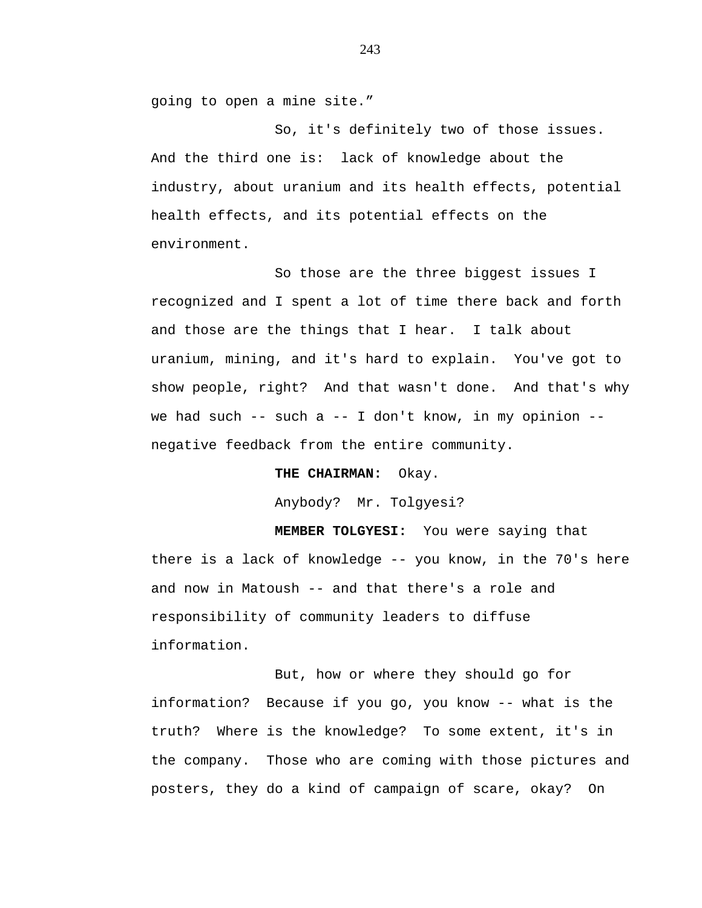going to open a mine site."

So, it's definitely two of those issues. And the third one is: lack of knowledge about the industry, about uranium and its health effects, potential health effects, and its potential effects on the environment.

So those are the three biggest issues I recognized and I spent a lot of time there back and forth and those are the things that I hear. I talk about uranium, mining, and it's hard to explain. You've got to show people, right? And that wasn't done. And that's why we had such  $--$  such a  $--$  I don't know, in my opinion  $-$ negative feedback from the entire community.

**THE CHAIRMAN:** Okay.

Anybody? Mr. Tolgyesi?

 **MEMBER TOLGYESI:** You were saying that there is a lack of knowledge -- you know, in the 70's here and now in Matoush -- and that there's a role and responsibility of community leaders to diffuse information.

But, how or where they should go for information? Because if you go, you know -- what is the truth? Where is the knowledge? To some extent, it's in the company. Those who are coming with those pictures and posters, they do a kind of campaign of scare, okay? On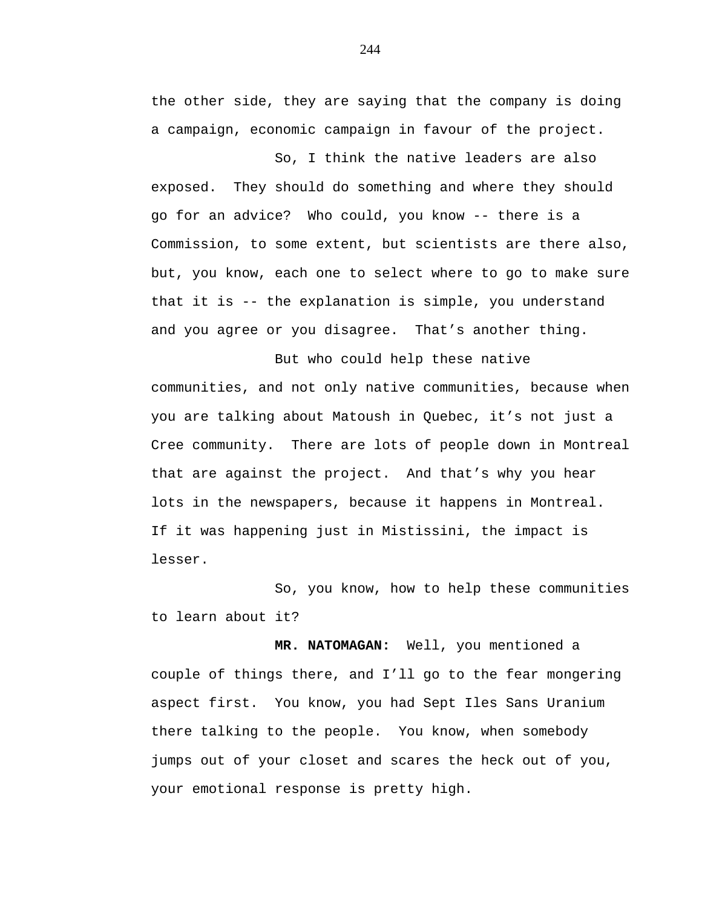the other side, they are saying that the company is doing a campaign, economic campaign in favour of the project.

So, I think the native leaders are also exposed. They should do something and where they should go for an advice? Who could, you know -- there is a Commission, to some extent, but scientists are there also, but, you know, each one to select where to go to make sure that it is -- the explanation is simple, you understand and you agree or you disagree. That's another thing.

But who could help these native communities, and not only native communities, because when you are talking about Matoush in Quebec, it's not just a Cree community. There are lots of people down in Montreal that are against the project. And that's why you hear lots in the newspapers, because it happens in Montreal. If it was happening just in Mistissini, the impact is lesser.

So, you know, how to help these communities to learn about it?

**MR. NATOMAGAN:** Well, you mentioned a couple of things there, and I'll go to the fear mongering aspect first. You know, you had Sept Iles Sans Uranium there talking to the people. You know, when somebody jumps out of your closet and scares the heck out of you, your emotional response is pretty high.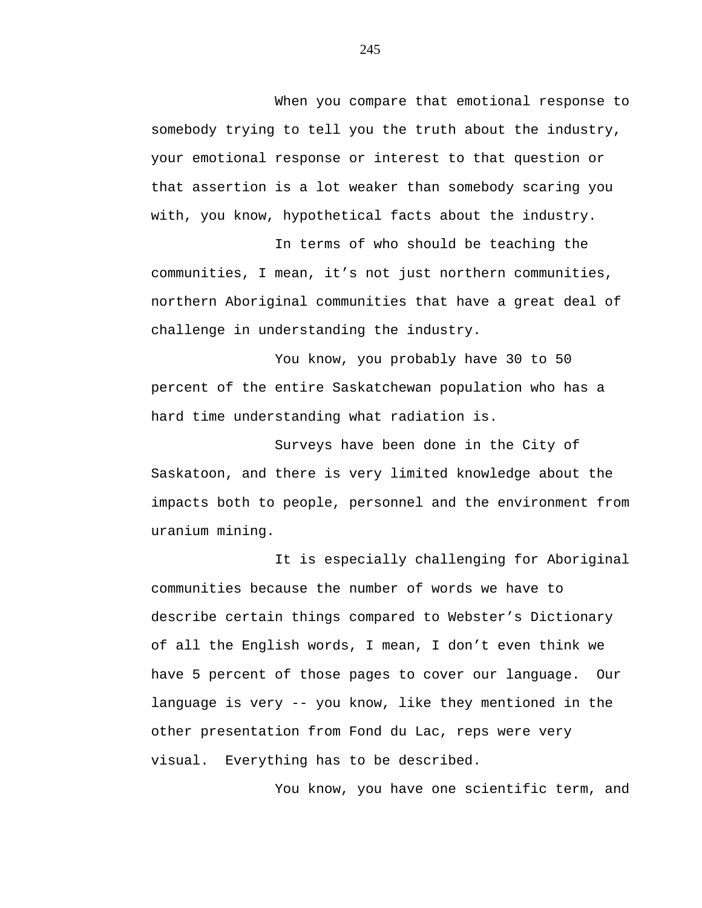When you compare that emotional response to somebody trying to tell you the truth about the industry, your emotional response or interest to that question or that assertion is a lot weaker than somebody scaring you with, you know, hypothetical facts about the industry.

In terms of who should be teaching the communities, I mean, it's not just northern communities, northern Aboriginal communities that have a great deal of challenge in understanding the industry.

You know, you probably have 30 to 50 percent of the entire Saskatchewan population who has a hard time understanding what radiation is.

Surveys have been done in the City of Saskatoon, and there is very limited knowledge about the impacts both to people, personnel and the environment from uranium mining.

It is especially challenging for Aboriginal communities because the number of words we have to describe certain things compared to Webster's Dictionary of all the English words, I mean, I don't even think we have 5 percent of those pages to cover our language. Our language is very -- you know, like they mentioned in the other presentation from Fond du Lac, reps were very visual. Everything has to be described.

You know, you have one scientific term, and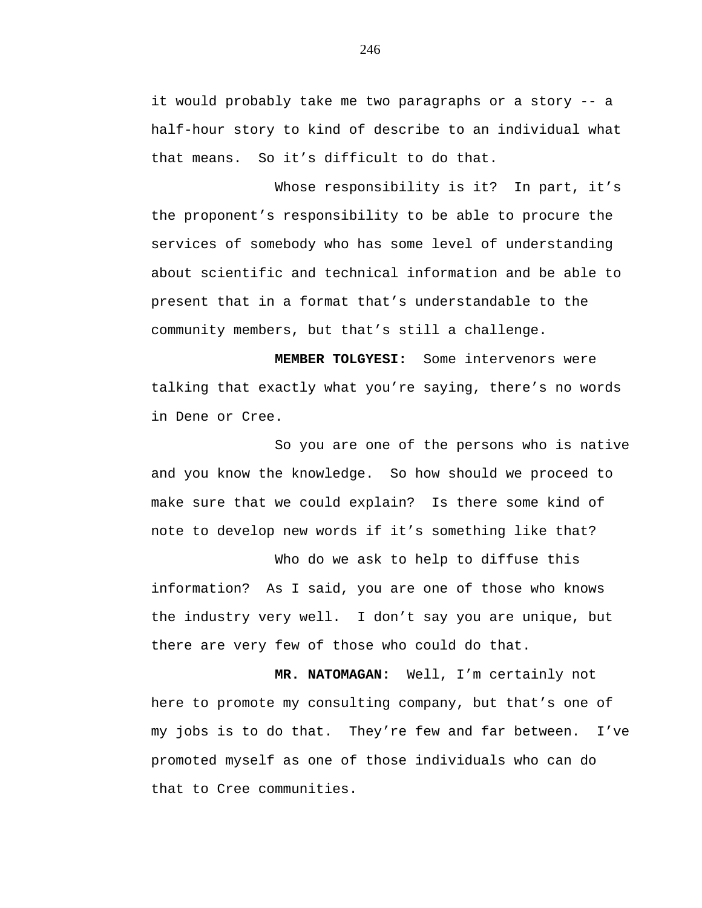it would probably take me two paragraphs or a story -- a half-hour story to kind of describe to an individual what that means. So it's difficult to do that.

Whose responsibility is it? In part, it's the proponent's responsibility to be able to procure the services of somebody who has some level of understanding about scientific and technical information and be able to present that in a format that's understandable to the community members, but that's still a challenge.

**MEMBER TOLGYESI:** Some intervenors were talking that exactly what you're saying, there's no words in Dene or Cree.

So you are one of the persons who is native and you know the knowledge. So how should we proceed to make sure that we could explain? Is there some kind of note to develop new words if it's something like that?

Who do we ask to help to diffuse this information? As I said, you are one of those who knows the industry very well. I don't say you are unique, but there are very few of those who could do that.

**MR. NATOMAGAN:** Well, I'm certainly not here to promote my consulting company, but that's one of my jobs is to do that. They're few and far between. I've promoted myself as one of those individuals who can do that to Cree communities.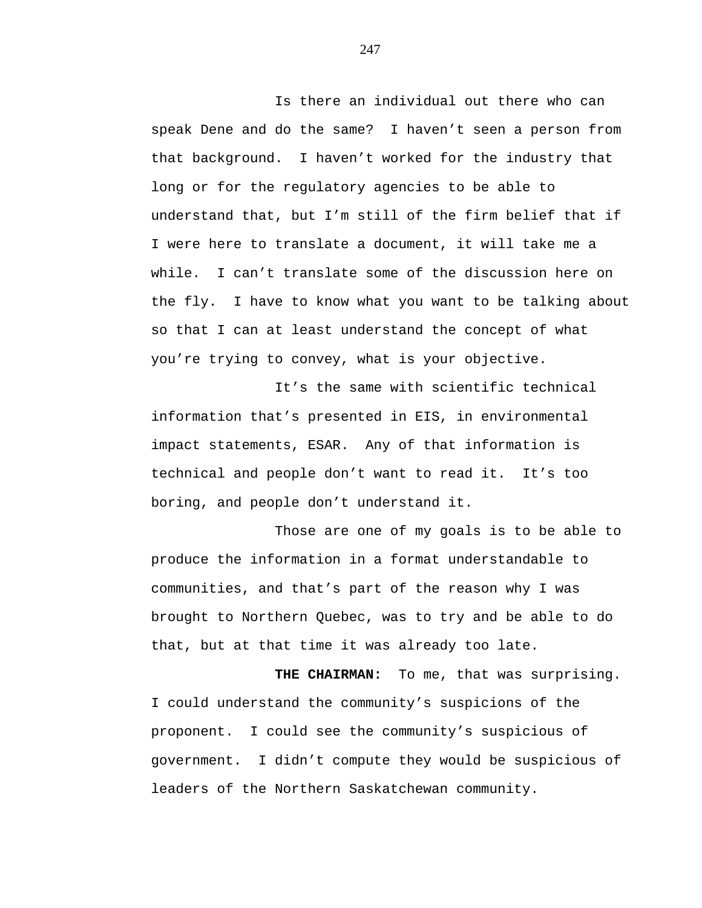Is there an individual out there who can speak Dene and do the same? I haven't seen a person from that background. I haven't worked for the industry that long or for the regulatory agencies to be able to understand that, but I'm still of the firm belief that if I were here to translate a document, it will take me a while. I can't translate some of the discussion here on the fly. I have to know what you want to be talking about so that I can at least understand the concept of what you're trying to convey, what is your objective.

It's the same with scientific technical information that's presented in EIS, in environmental impact statements, ESAR. Any of that information is technical and people don't want to read it. It's too boring, and people don't understand it.

Those are one of my goals is to be able to produce the information in a format understandable to communities, and that's part of the reason why I was brought to Northern Quebec, was to try and be able to do that, but at that time it was already too late.

**THE CHAIRMAN:** To me, that was surprising. I could understand the community's suspicions of the proponent. I could see the community's suspicious of government. I didn't compute they would be suspicious of leaders of the Northern Saskatchewan community.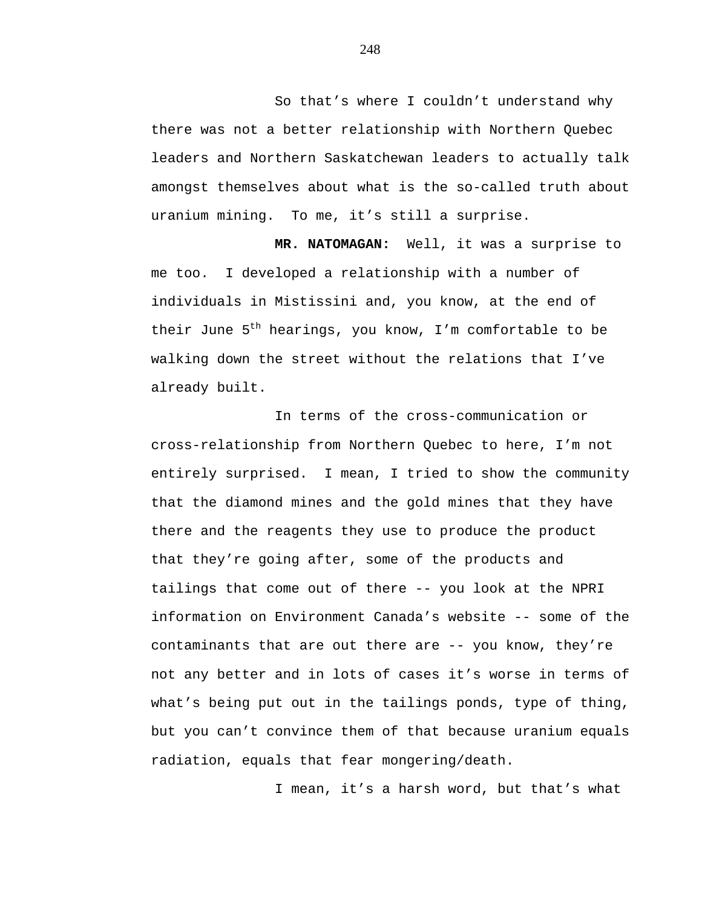So that's where I couldn't understand why there was not a better relationship with Northern Quebec leaders and Northern Saskatchewan leaders to actually talk amongst themselves about what is the so-called truth about uranium mining. To me, it's still a surprise.

**MR. NATOMAGAN:** Well, it was a surprise to me too. I developed a relationship with a number of individuals in Mistissini and, you know, at the end of their June  $5^{th}$  hearings, you know, I'm comfortable to be walking down the street without the relations that I've already built.

In terms of the cross-communication or cross-relationship from Northern Quebec to here, I'm not entirely surprised. I mean, I tried to show the community that the diamond mines and the gold mines that they have there and the reagents they use to produce the product that they're going after, some of the products and tailings that come out of there -- you look at the NPRI information on Environment Canada's website -- some of the contaminants that are out there are -- you know, they're not any better and in lots of cases it's worse in terms of what's being put out in the tailings ponds, type of thing, but you can't convince them of that because uranium equals radiation, equals that fear mongering/death.

I mean, it's a harsh word, but that's what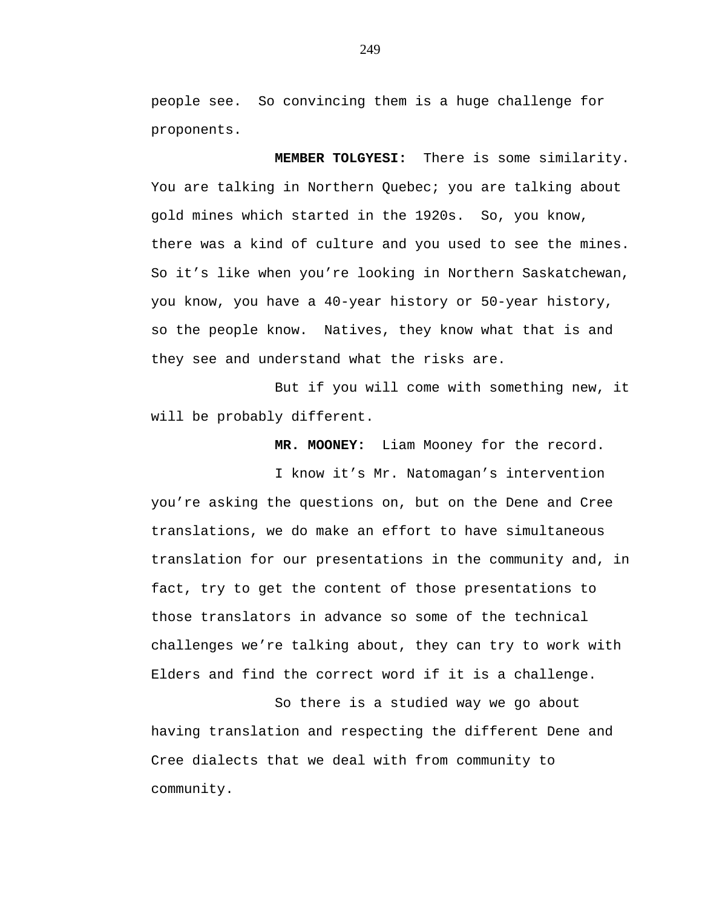people see. So convincing them is a huge challenge for proponents.

**MEMBER TOLGYESI:** There is some similarity. You are talking in Northern Quebec; you are talking about gold mines which started in the 1920s. So, you know, there was a kind of culture and you used to see the mines. So it's like when you're looking in Northern Saskatchewan, you know, you have a 40-year history or 50-year history, so the people know. Natives, they know what that is and they see and understand what the risks are.

But if you will come with something new, it will be probably different.

**MR. MOONEY:** Liam Mooney for the record.

I know it's Mr. Natomagan's intervention you're asking the questions on, but on the Dene and Cree translations, we do make an effort to have simultaneous translation for our presentations in the community and, in fact, try to get the content of those presentations to those translators in advance so some of the technical challenges we're talking about, they can try to work with Elders and find the correct word if it is a challenge.

So there is a studied way we go about having translation and respecting the different Dene and Cree dialects that we deal with from community to community.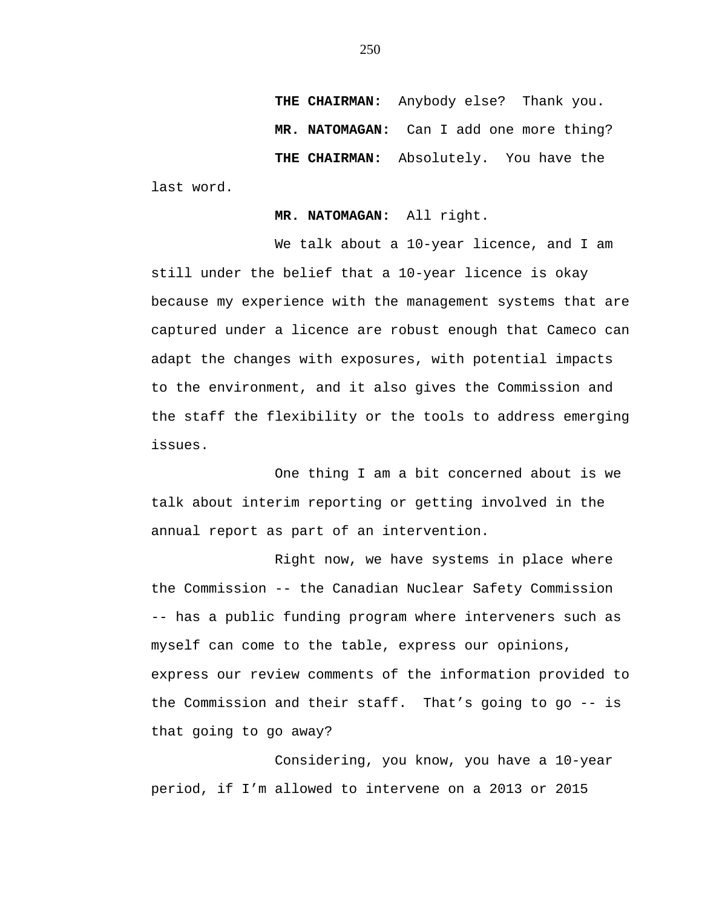**THE CHAIRMAN:** Anybody else? Thank you. **MR. NATOMAGAN:** Can I add one more thing?  **THE CHAIRMAN:** Absolutely. You have the

last word.

**MR. NATOMAGAN:** All right.

We talk about a 10-year licence, and I am still under the belief that a 10-year licence is okay because my experience with the management systems that are captured under a licence are robust enough that Cameco can adapt the changes with exposures, with potential impacts to the environment, and it also gives the Commission and the staff the flexibility or the tools to address emerging issues.

One thing I am a bit concerned about is we talk about interim reporting or getting involved in the annual report as part of an intervention.

Right now, we have systems in place where the Commission -- the Canadian Nuclear Safety Commission -- has a public funding program where interveners such as myself can come to the table, express our opinions, express our review comments of the information provided to the Commission and their staff. That's going to go -- is that going to go away?

Considering, you know, you have a 10-year period, if I'm allowed to intervene on a 2013 or 2015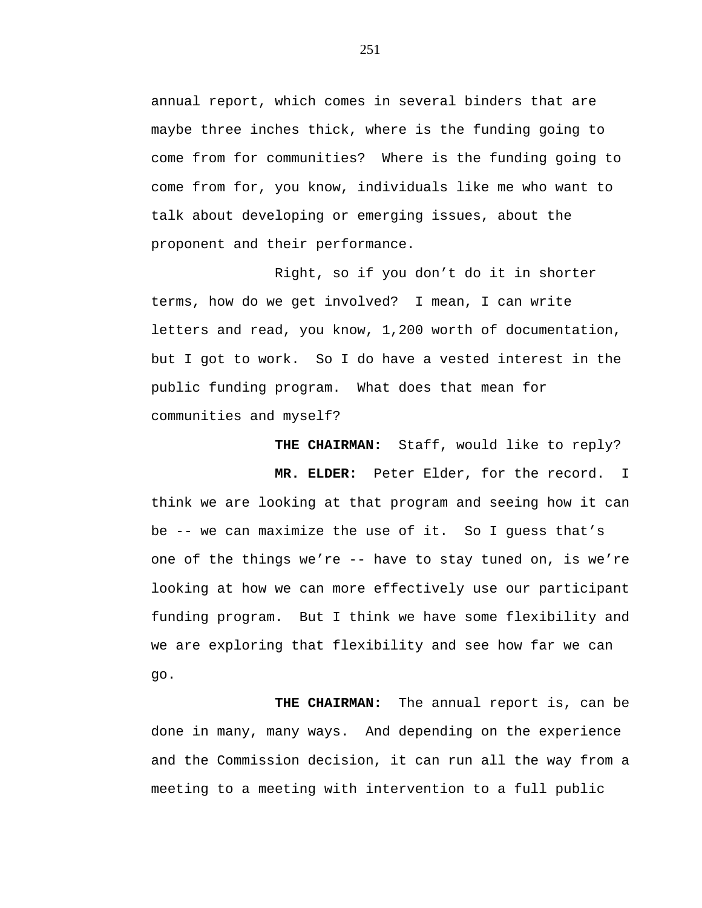annual report, which comes in several binders that are maybe three inches thick, where is the funding going to come from for communities? Where is the funding going to come from for, you know, individuals like me who want to talk about developing or emerging issues, about the proponent and their performance.

Right, so if you don't do it in shorter terms, how do we get involved? I mean, I can write letters and read, you know, 1,200 worth of documentation, but I got to work. So I do have a vested interest in the public funding program. What does that mean for communities and myself?

 **THE CHAIRMAN:** Staff, would like to reply?

**MR. ELDER:** Peter Elder, for the record. I think we are looking at that program and seeing how it can be -- we can maximize the use of it. So I guess that's one of the things we're -- have to stay tuned on, is we're looking at how we can more effectively use our participant funding program. But I think we have some flexibility and we are exploring that flexibility and see how far we can go.

**THE CHAIRMAN:** The annual report is, can be done in many, many ways. And depending on the experience and the Commission decision, it can run all the way from a meeting to a meeting with intervention to a full public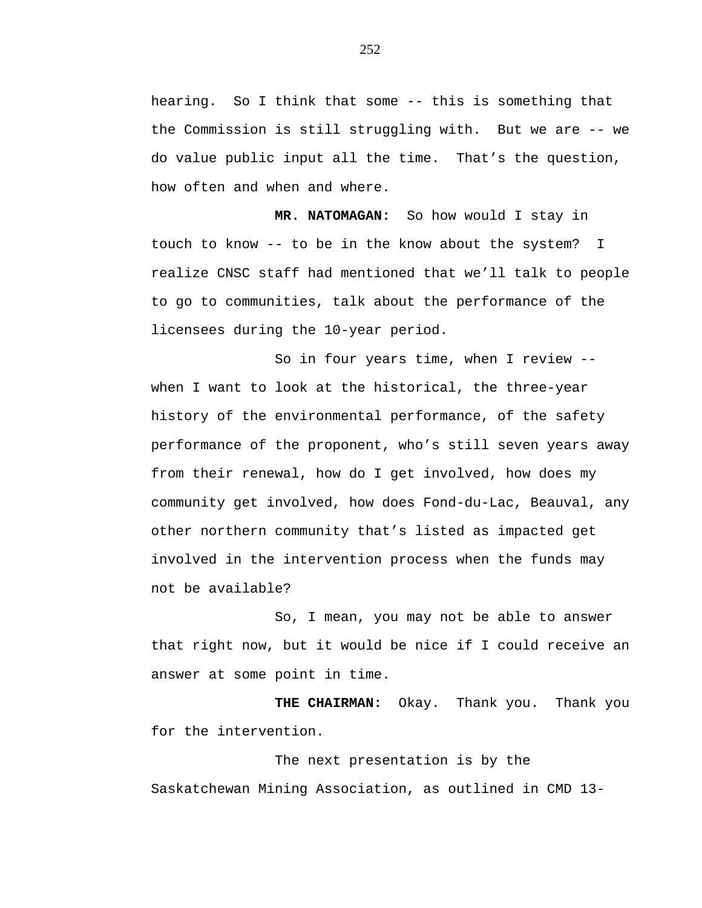hearing. So I think that some -- this is something that the Commission is still struggling with. But we are -- we do value public input all the time. That's the question, how often and when and where.

**MR. NATOMAGAN:** So how would I stay in touch to know -- to be in the know about the system? I realize CNSC staff had mentioned that we'll talk to people to go to communities, talk about the performance of the licensees during the 10-year period.

So in four years time, when I review - when I want to look at the historical, the three-year history of the environmental performance, of the safety performance of the proponent, who's still seven years away from their renewal, how do I get involved, how does my community get involved, how does Fond-du-Lac, Beauval, any other northern community that's listed as impacted get involved in the intervention process when the funds may not be available?

So, I mean, you may not be able to answer that right now, but it would be nice if I could receive an answer at some point in time.

**THE CHAIRMAN:** Okay. Thank you. Thank you for the intervention.

The next presentation is by the Saskatchewan Mining Association, as outlined in CMD 13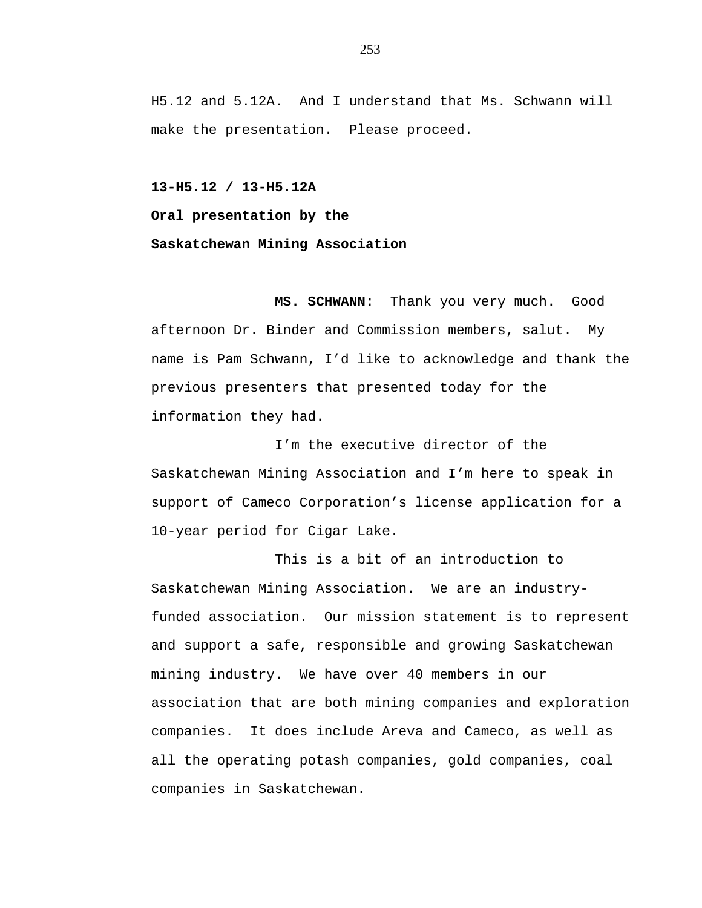H5.12 and 5.12A. And I understand that Ms. Schwann will make the presentation. Please proceed.

**13-H5.12 / 13-H5.12A Oral presentation by the Saskatchewan Mining Association** 

**MS. SCHWANN:** Thank you very much. Good afternoon Dr. Binder and Commission members, salut. My name is Pam Schwann, I'd like to acknowledge and thank the previous presenters that presented today for the information they had.

I'm the executive director of the Saskatchewan Mining Association and I'm here to speak in support of Cameco Corporation's license application for a 10-year period for Cigar Lake.

This is a bit of an introduction to Saskatchewan Mining Association. We are an industryfunded association. Our mission statement is to represent and support a safe, responsible and growing Saskatchewan mining industry. We have over 40 members in our association that are both mining companies and exploration companies. It does include Areva and Cameco, as well as all the operating potash companies, gold companies, coal companies in Saskatchewan.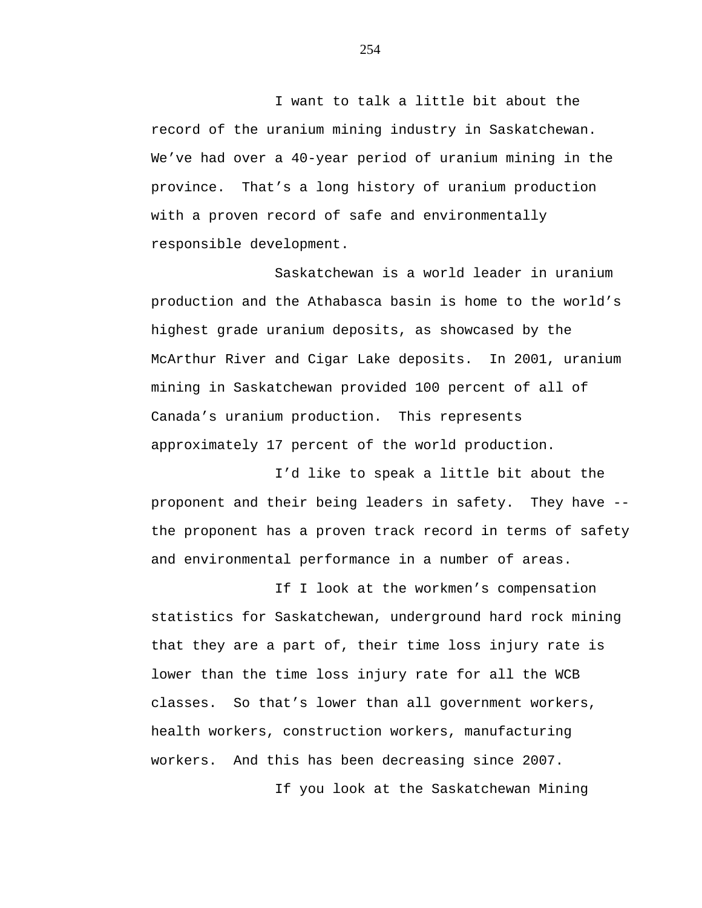I want to talk a little bit about the record of the uranium mining industry in Saskatchewan. We've had over a 40-year period of uranium mining in the province. That's a long history of uranium production with a proven record of safe and environmentally responsible development.

Saskatchewan is a world leader in uranium production and the Athabasca basin is home to the world's highest grade uranium deposits, as showcased by the McArthur River and Cigar Lake deposits. In 2001, uranium mining in Saskatchewan provided 100 percent of all of Canada's uranium production. This represents approximately 17 percent of the world production.

I'd like to speak a little bit about the proponent and their being leaders in safety. They have - the proponent has a proven track record in terms of safety and environmental performance in a number of areas.

If I look at the workmen's compensation statistics for Saskatchewan, underground hard rock mining that they are a part of, their time loss injury rate is lower than the time loss injury rate for all the WCB classes. So that's lower than all government workers, health workers, construction workers, manufacturing workers. And this has been decreasing since 2007.

If you look at the Saskatchewan Mining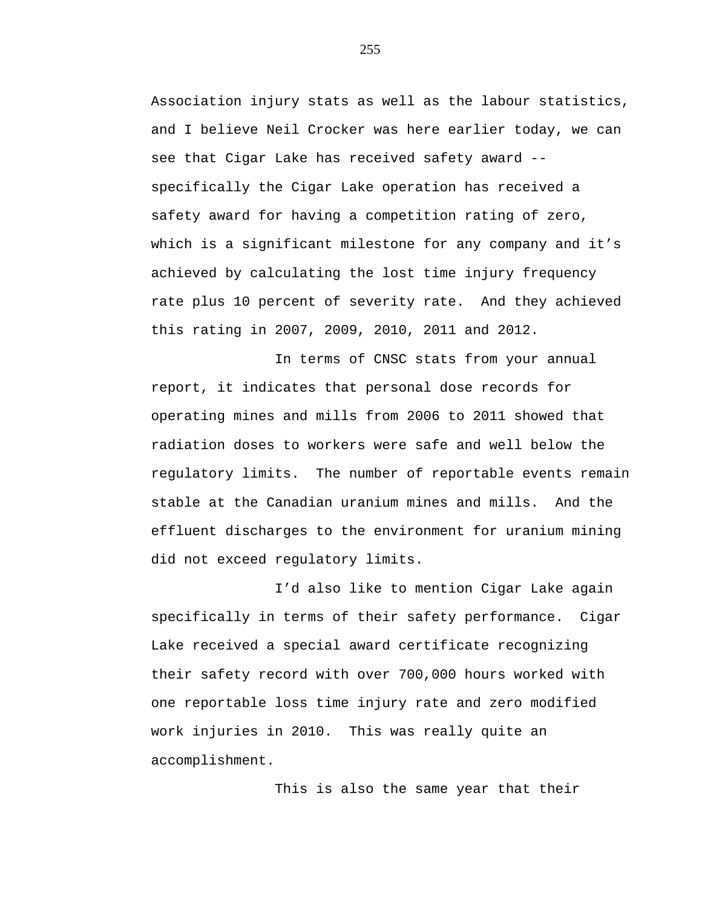Association injury stats as well as the labour statistics, and I believe Neil Crocker was here earlier today, we can see that Cigar Lake has received safety award - specifically the Cigar Lake operation has received a safety award for having a competition rating of zero, which is a significant milestone for any company and it's achieved by calculating the lost time injury frequency rate plus 10 percent of severity rate. And they achieved this rating in 2007, 2009, 2010, 2011 and 2012.

In terms of CNSC stats from your annual report, it indicates that personal dose records for operating mines and mills from 2006 to 2011 showed that radiation doses to workers were safe and well below the regulatory limits. The number of reportable events remain stable at the Canadian uranium mines and mills. And the effluent discharges to the environment for uranium mining did not exceed regulatory limits.

I'd also like to mention Cigar Lake again specifically in terms of their safety performance. Cigar Lake received a special award certificate recognizing their safety record with over 700,000 hours worked with one reportable loss time injury rate and zero modified work injuries in 2010. This was really quite an accomplishment.

This is also the same year that their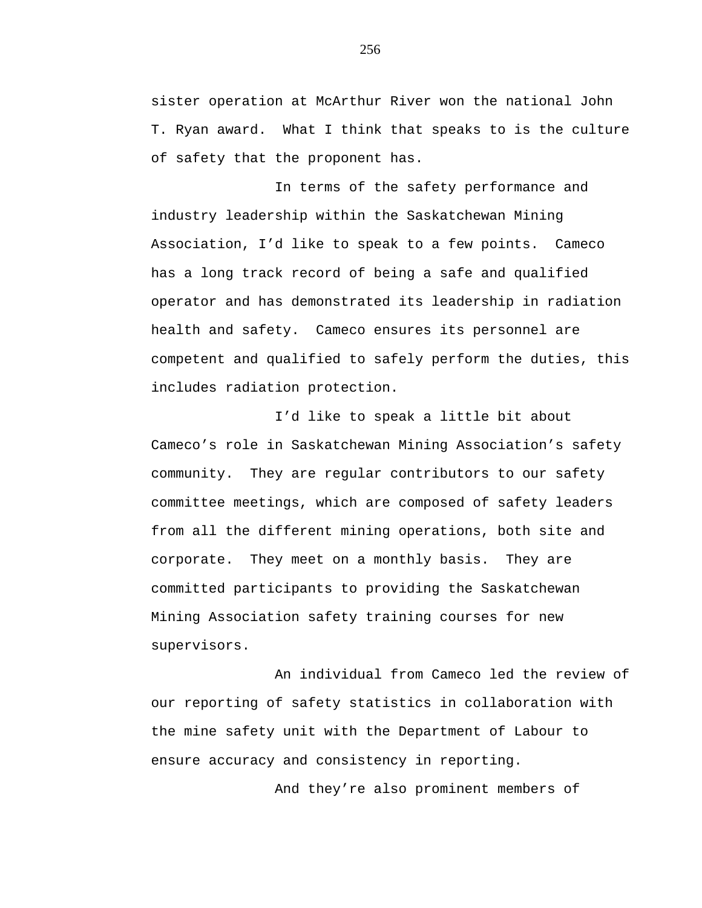sister operation at McArthur River won the national John T. Ryan award. What I think that speaks to is the culture of safety that the proponent has.

In terms of the safety performance and industry leadership within the Saskatchewan Mining Association, I'd like to speak to a few points. Cameco has a long track record of being a safe and qualified operator and has demonstrated its leadership in radiation health and safety. Cameco ensures its personnel are competent and qualified to safely perform the duties, this includes radiation protection.

I'd like to speak a little bit about Cameco's role in Saskatchewan Mining Association's safety community. They are regular contributors to our safety committee meetings, which are composed of safety leaders from all the different mining operations, both site and corporate. They meet on a monthly basis. They are committed participants to providing the Saskatchewan Mining Association safety training courses for new supervisors.

An individual from Cameco led the review of our reporting of safety statistics in collaboration with the mine safety unit with the Department of Labour to ensure accuracy and consistency in reporting.

And they're also prominent members of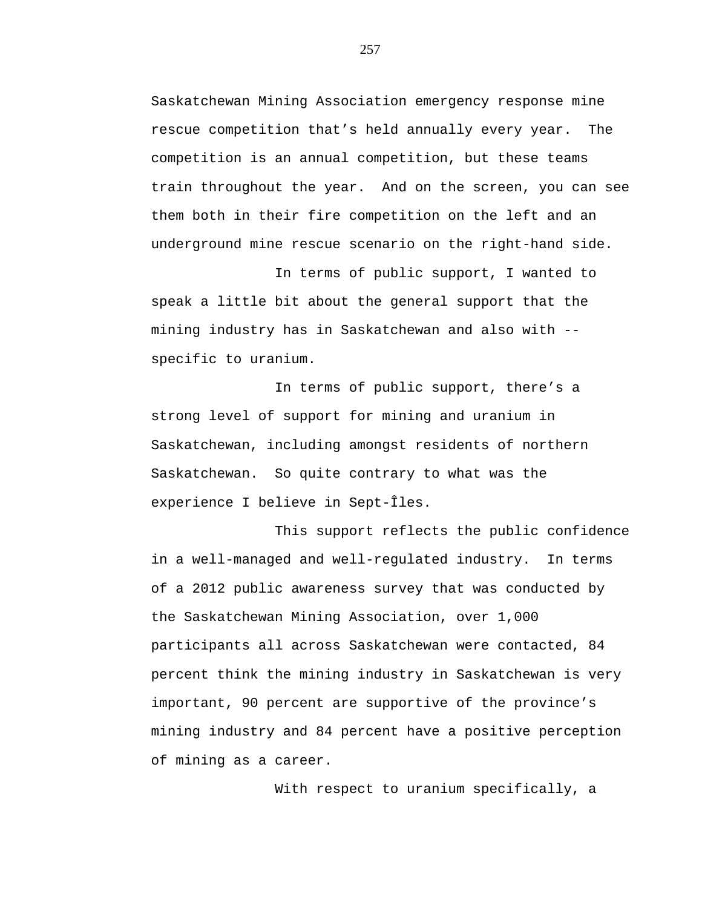Saskatchewan Mining Association emergency response mine rescue competition that's held annually every year. The competition is an annual competition, but these teams train throughout the year. And on the screen, you can see them both in their fire competition on the left and an underground mine rescue scenario on the right-hand side.

In terms of public support, I wanted to speak a little bit about the general support that the mining industry has in Saskatchewan and also with - specific to uranium.

In terms of public support, there's a strong level of support for mining and uranium in Saskatchewan, including amongst residents of northern Saskatchewan. So quite contrary to what was the experience I believe in Sept-Îles.

This support reflects the public confidence in a well-managed and well-regulated industry. In terms of a 2012 public awareness survey that was conducted by the Saskatchewan Mining Association, over 1,000 participants all across Saskatchewan were contacted, 84 percent think the mining industry in Saskatchewan is very important, 90 percent are supportive of the province's mining industry and 84 percent have a positive perception of mining as a career.

With respect to uranium specifically, a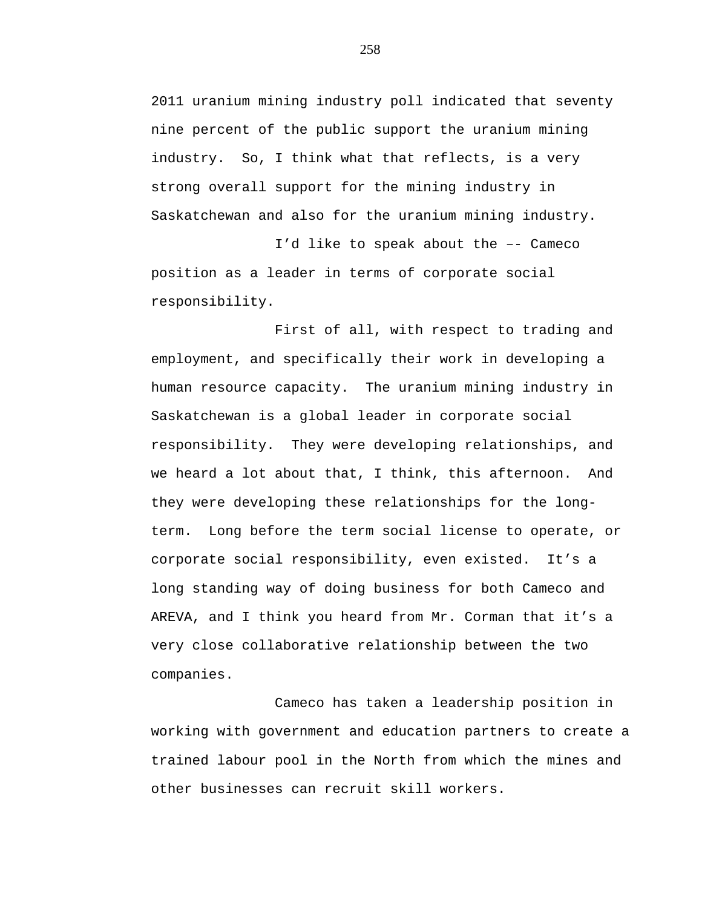2011 uranium mining industry poll indicated that seventy nine percent of the public support the uranium mining industry. So, I think what that reflects, is a very strong overall support for the mining industry in Saskatchewan and also for the uranium mining industry.

I'd like to speak about the –- Cameco position as a leader in terms of corporate social responsibility.

First of all, with respect to trading and employment, and specifically their work in developing a human resource capacity. The uranium mining industry in Saskatchewan is a global leader in corporate social responsibility. They were developing relationships, and we heard a lot about that, I think, this afternoon. And they were developing these relationships for the longterm. Long before the term social license to operate, or corporate social responsibility, even existed. It's a long standing way of doing business for both Cameco and AREVA, and I think you heard from Mr. Corman that it's a very close collaborative relationship between the two companies.

Cameco has taken a leadership position in working with government and education partners to create a trained labour pool in the North from which the mines and other businesses can recruit skill workers.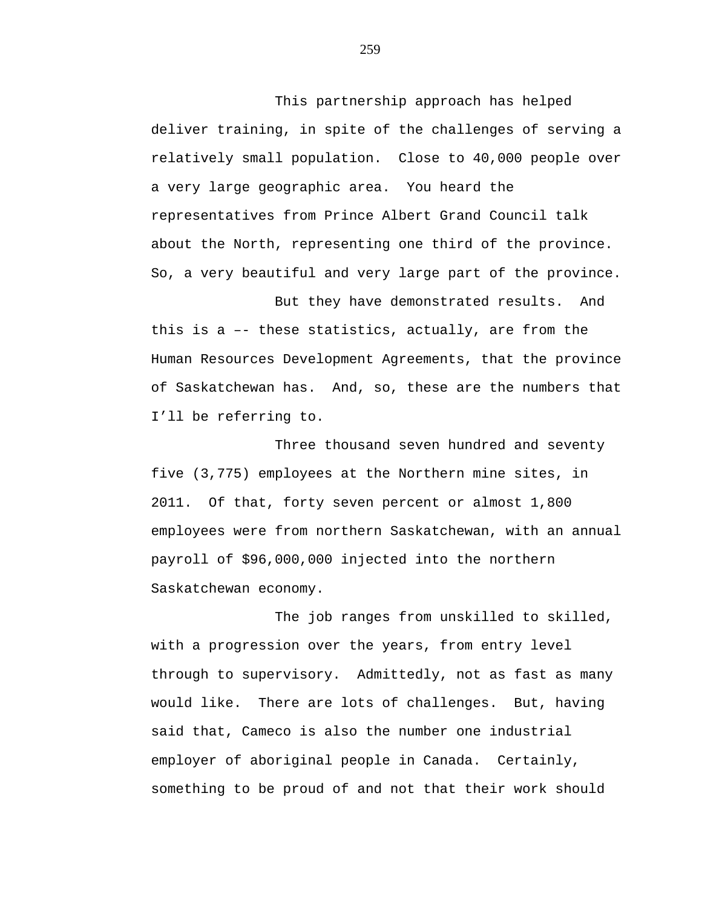This partnership approach has helped deliver training, in spite of the challenges of serving a relatively small population. Close to 40,000 people over a very large geographic area. You heard the representatives from Prince Albert Grand Council talk about the North, representing one third of the province. So, a very beautiful and very large part of the province.

But they have demonstrated results. And this is a –- these statistics, actually, are from the Human Resources Development Agreements, that the province of Saskatchewan has. And, so, these are the numbers that I'll be referring to.

Three thousand seven hundred and seventy five (3,775) employees at the Northern mine sites, in 2011. Of that, forty seven percent or almost 1,800 employees were from northern Saskatchewan, with an annual payroll of \$96,000,000 injected into the northern Saskatchewan economy.

The job ranges from unskilled to skilled, with a progression over the years, from entry level through to supervisory. Admittedly, not as fast as many would like. There are lots of challenges. But, having said that, Cameco is also the number one industrial employer of aboriginal people in Canada. Certainly, something to be proud of and not that their work should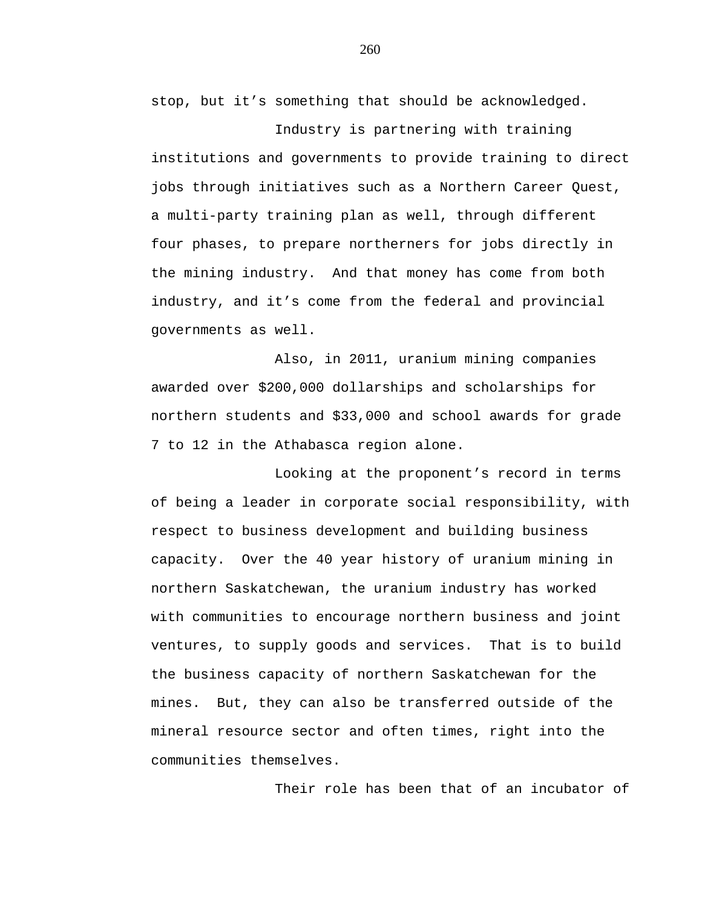stop, but it's something that should be acknowledged.

Industry is partnering with training institutions and governments to provide training to direct jobs through initiatives such as a Northern Career Quest, a multi-party training plan as well, through different four phases, to prepare northerners for jobs directly in the mining industry. And that money has come from both industry, and it's come from the federal and provincial governments as well.

Also, in 2011, uranium mining companies awarded over \$200,000 dollarships and scholarships for northern students and \$33,000 and school awards for grade 7 to 12 in the Athabasca region alone.

Looking at the proponent's record in terms of being a leader in corporate social responsibility, with respect to business development and building business capacity. Over the 40 year history of uranium mining in northern Saskatchewan, the uranium industry has worked with communities to encourage northern business and joint ventures, to supply goods and services. That is to build the business capacity of northern Saskatchewan for the mines. But, they can also be transferred outside of the mineral resource sector and often times, right into the communities themselves.

Their role has been that of an incubator of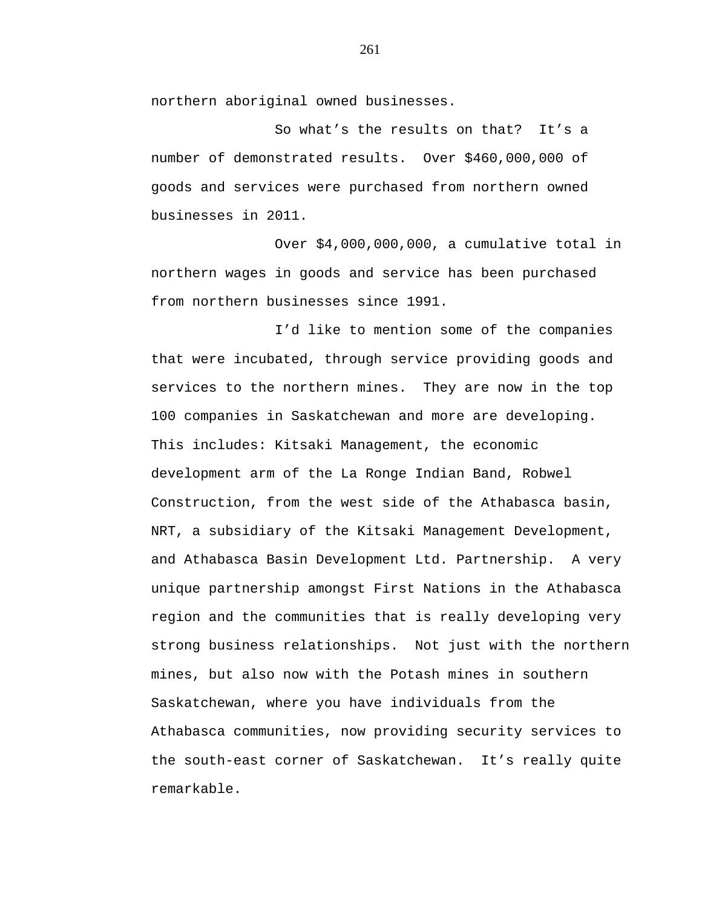northern aboriginal owned businesses.

So what's the results on that? It's a number of demonstrated results. Over \$460,000,000 of goods and services were purchased from northern owned businesses in 2011.

Over \$4,000,000,000, a cumulative total in northern wages in goods and service has been purchased from northern businesses since 1991.

I'd like to mention some of the companies that were incubated, through service providing goods and services to the northern mines. They are now in the top 100 companies in Saskatchewan and more are developing. This includes: Kitsaki Management, the economic development arm of the La Ronge Indian Band, Robwel Construction, from the west side of the Athabasca basin, NRT, a subsidiary of the Kitsaki Management Development, and Athabasca Basin Development Ltd. Partnership. A very unique partnership amongst First Nations in the Athabasca region and the communities that is really developing very strong business relationships. Not just with the northern mines, but also now with the Potash mines in southern Saskatchewan, where you have individuals from the Athabasca communities, now providing security services to the south-east corner of Saskatchewan. It's really quite remarkable.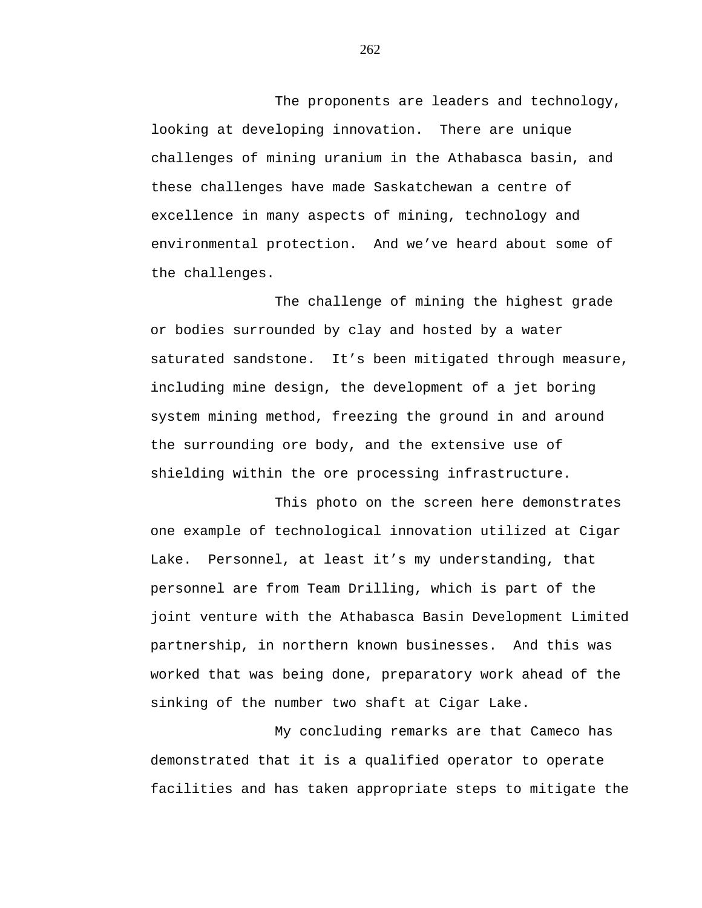The proponents are leaders and technology, looking at developing innovation. There are unique challenges of mining uranium in the Athabasca basin, and these challenges have made Saskatchewan a centre of excellence in many aspects of mining, technology and environmental protection. And we've heard about some of the challenges.

The challenge of mining the highest grade or bodies surrounded by clay and hosted by a water saturated sandstone. It's been mitigated through measure, including mine design, the development of a jet boring system mining method, freezing the ground in and around the surrounding ore body, and the extensive use of shielding within the ore processing infrastructure.

This photo on the screen here demonstrates one example of technological innovation utilized at Cigar Lake. Personnel, at least it's my understanding, that personnel are from Team Drilling, which is part of the joint venture with the Athabasca Basin Development Limited partnership, in northern known businesses. And this was worked that was being done, preparatory work ahead of the sinking of the number two shaft at Cigar Lake.

My concluding remarks are that Cameco has demonstrated that it is a qualified operator to operate facilities and has taken appropriate steps to mitigate the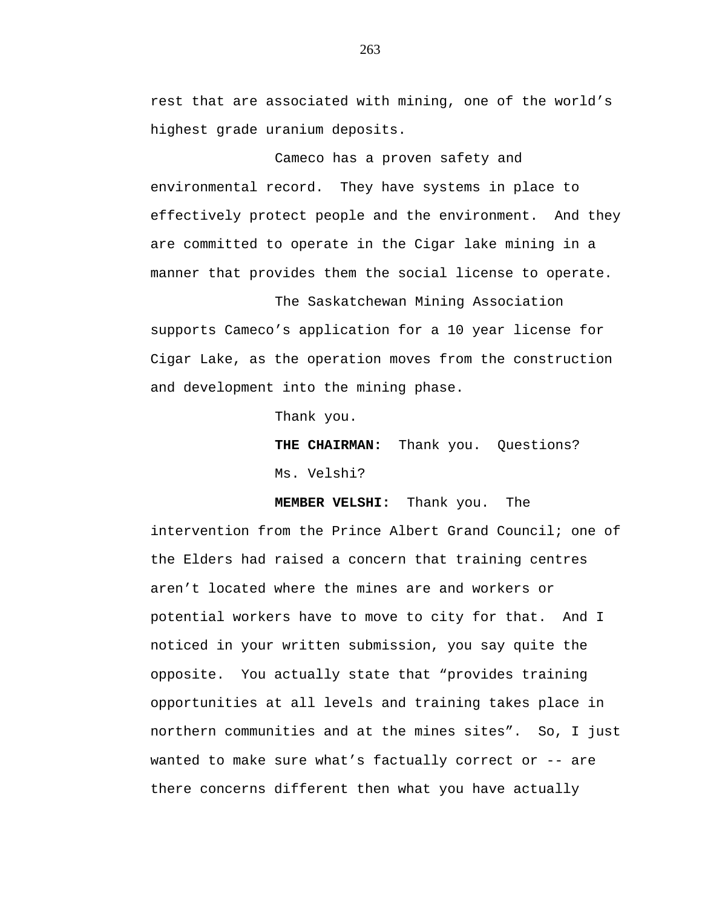rest that are associated with mining, one of the world's highest grade uranium deposits.

Cameco has a proven safety and environmental record. They have systems in place to effectively protect people and the environment. And they are committed to operate in the Cigar lake mining in a manner that provides them the social license to operate.

The Saskatchewan Mining Association supports Cameco's application for a 10 year license for Cigar Lake, as the operation moves from the construction and development into the mining phase.

Thank you.

**THE CHAIRMAN:** Thank you. Questions? Ms. Velshi?

**MEMBER VELSHI:** Thank you. The

intervention from the Prince Albert Grand Council; one of the Elders had raised a concern that training centres aren't located where the mines are and workers or potential workers have to move to city for that. And I noticed in your written submission, you say quite the opposite. You actually state that "provides training opportunities at all levels and training takes place in northern communities and at the mines sites". So, I just wanted to make sure what's factually correct or -- are there concerns different then what you have actually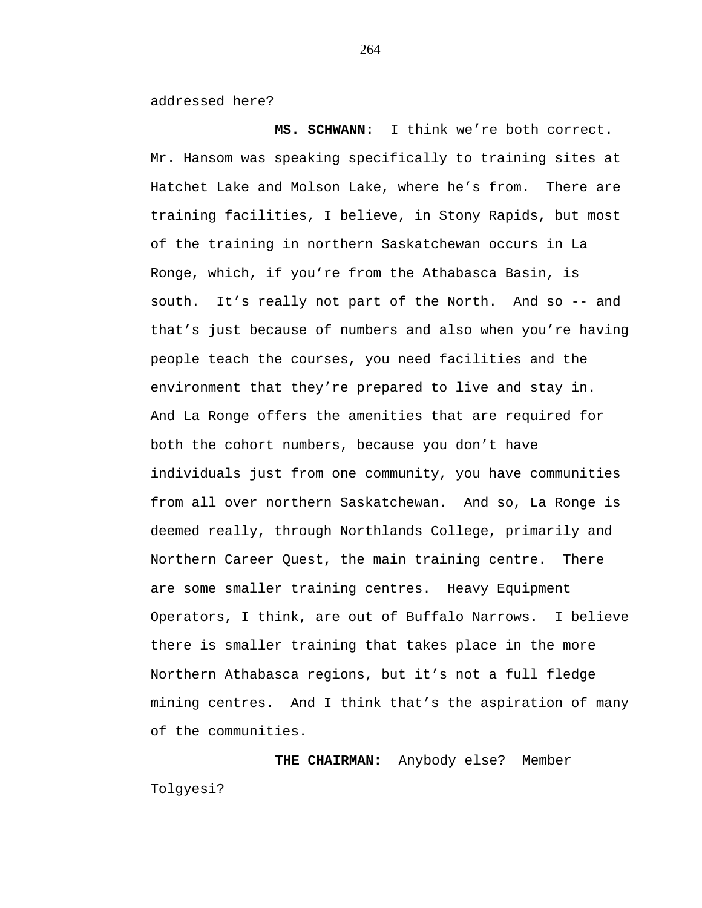addressed here?

**MS. SCHWANN:** I think we're both correct. Mr. Hansom was speaking specifically to training sites at Hatchet Lake and Molson Lake, where he's from. There are training facilities, I believe, in Stony Rapids, but most of the training in northern Saskatchewan occurs in La Ronge, which, if you're from the Athabasca Basin, is south. It's really not part of the North. And so -- and that's just because of numbers and also when you're having people teach the courses, you need facilities and the environment that they're prepared to live and stay in. And La Ronge offers the amenities that are required for both the cohort numbers, because you don't have individuals just from one community, you have communities from all over northern Saskatchewan. And so, La Ronge is deemed really, through Northlands College, primarily and Northern Career Quest, the main training centre. There are some smaller training centres. Heavy Equipment Operators, I think, are out of Buffalo Narrows. I believe there is smaller training that takes place in the more Northern Athabasca regions, but it's not a full fledge mining centres. And I think that's the aspiration of many of the communities.

**THE CHAIRMAN:** Anybody else? Member Tolgyesi?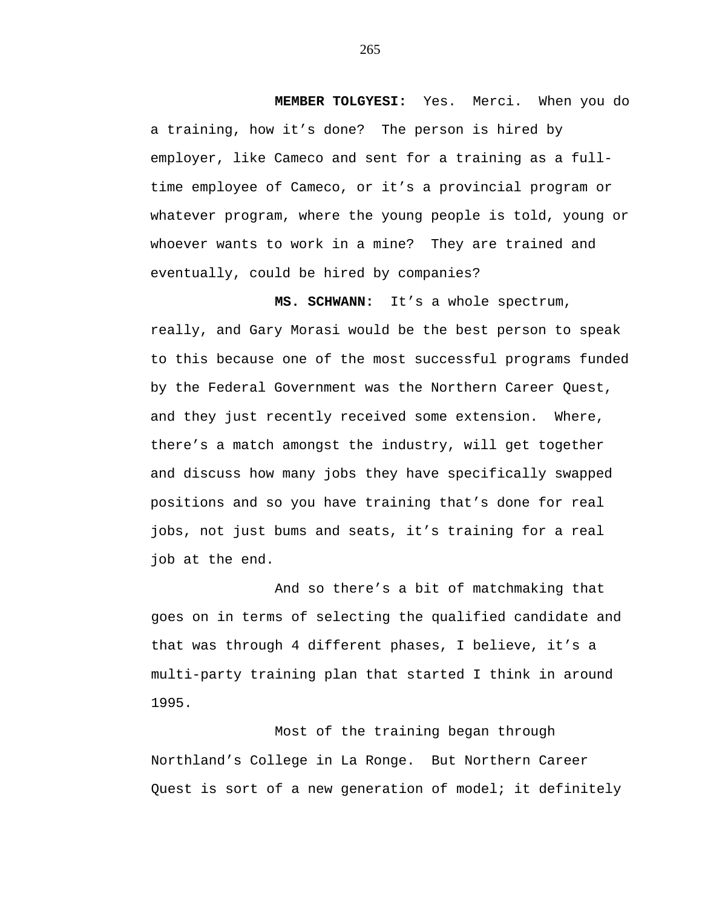**MEMBER TOLGYESI:** Yes. Merci. When you do a training, how it's done? The person is hired by employer, like Cameco and sent for a training as a fulltime employee of Cameco, or it's a provincial program or whatever program, where the young people is told, young or whoever wants to work in a mine? They are trained and eventually, could be hired by companies?

**MS. SCHWANN:** It's a whole spectrum, really, and Gary Morasi would be the best person to speak to this because one of the most successful programs funded by the Federal Government was the Northern Career Quest, and they just recently received some extension. Where, there's a match amongst the industry, will get together and discuss how many jobs they have specifically swapped positions and so you have training that's done for real jobs, not just bums and seats, it's training for a real job at the end.

And so there's a bit of matchmaking that goes on in terms of selecting the qualified candidate and that was through 4 different phases, I believe, it's a multi-party training plan that started I think in around 1995.

Most of the training began through Northland's College in La Ronge. But Northern Career Quest is sort of a new generation of model; it definitely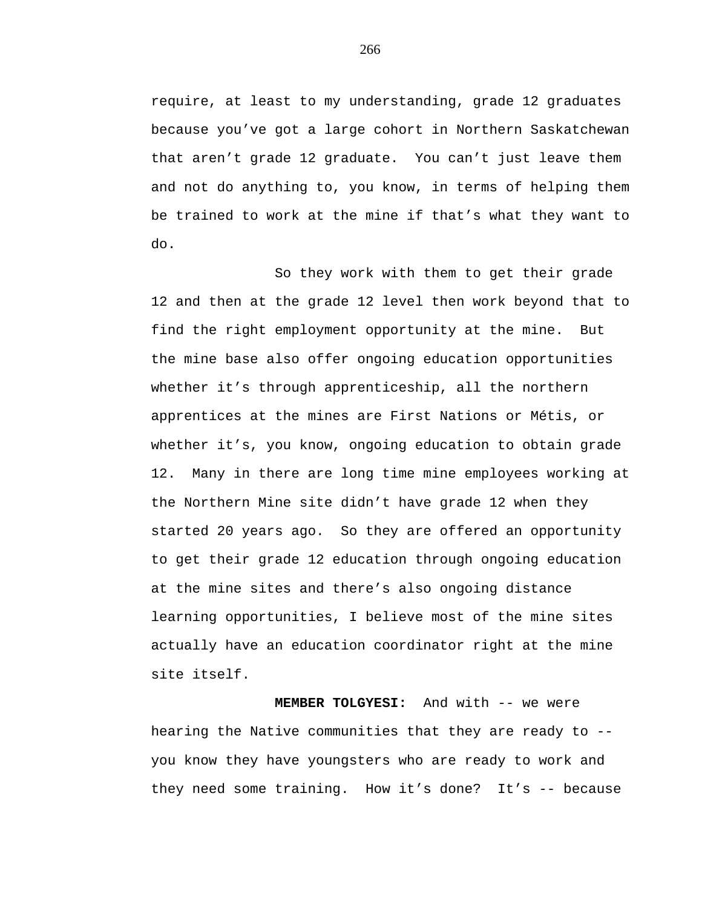require, at least to my understanding, grade 12 graduates because you've got a large cohort in Northern Saskatchewan that aren't grade 12 graduate. You can't just leave them and not do anything to, you know, in terms of helping them be trained to work at the mine if that's what they want to do.

So they work with them to get their grade 12 and then at the grade 12 level then work beyond that to find the right employment opportunity at the mine. But the mine base also offer ongoing education opportunities whether it's through apprenticeship, all the northern apprentices at the mines are First Nations or Métis, or whether it's, you know, ongoing education to obtain grade 12. Many in there are long time mine employees working at the Northern Mine site didn't have grade 12 when they started 20 years ago. So they are offered an opportunity to get their grade 12 education through ongoing education at the mine sites and there's also ongoing distance learning opportunities, I believe most of the mine sites actually have an education coordinator right at the mine site itself.

**MEMBER TOLGYESI:** And with -- we were hearing the Native communities that they are ready to - you know they have youngsters who are ready to work and they need some training. How it's done? It's -- because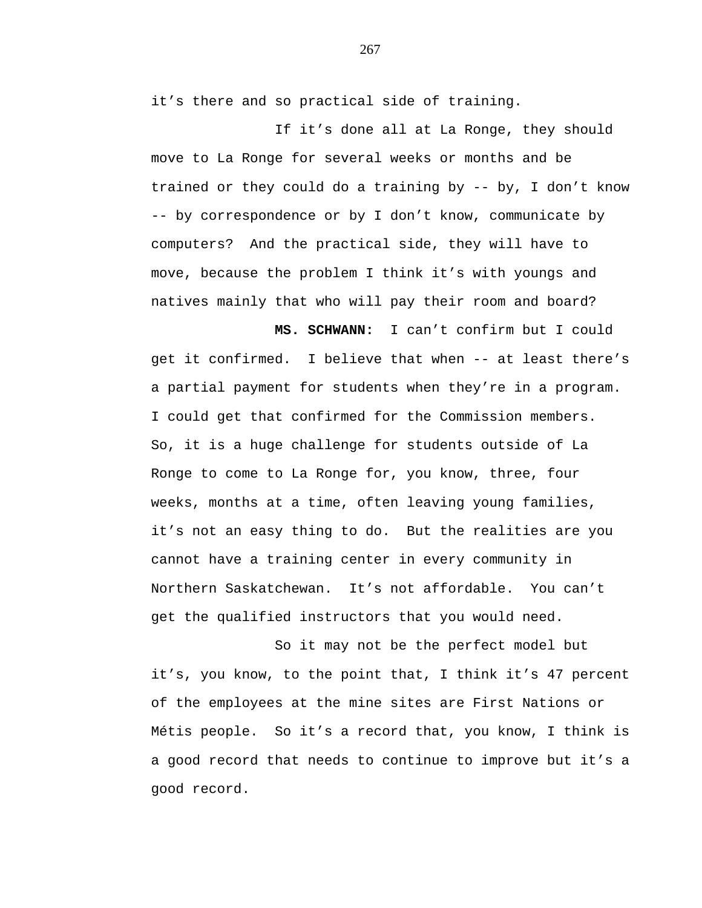it's there and so practical side of training.

If it's done all at La Ronge, they should move to La Ronge for several weeks or months and be trained or they could do a training by -- by, I don't know -- by correspondence or by I don't know, communicate by computers? And the practical side, they will have to move, because the problem I think it's with youngs and natives mainly that who will pay their room and board?

 **MS. SCHWANN:** I can't confirm but I could get it confirmed. I believe that when -- at least there's a partial payment for students when they're in a program. I could get that confirmed for the Commission members. So, it is a huge challenge for students outside of La Ronge to come to La Ronge for, you know, three, four weeks, months at a time, often leaving young families, it's not an easy thing to do. But the realities are you cannot have a training center in every community in Northern Saskatchewan. It's not affordable. You can't get the qualified instructors that you would need.

So it may not be the perfect model but it's, you know, to the point that, I think it's 47 percent of the employees at the mine sites are First Nations or Métis people. So it's a record that, you know, I think is a good record that needs to continue to improve but it's a good record.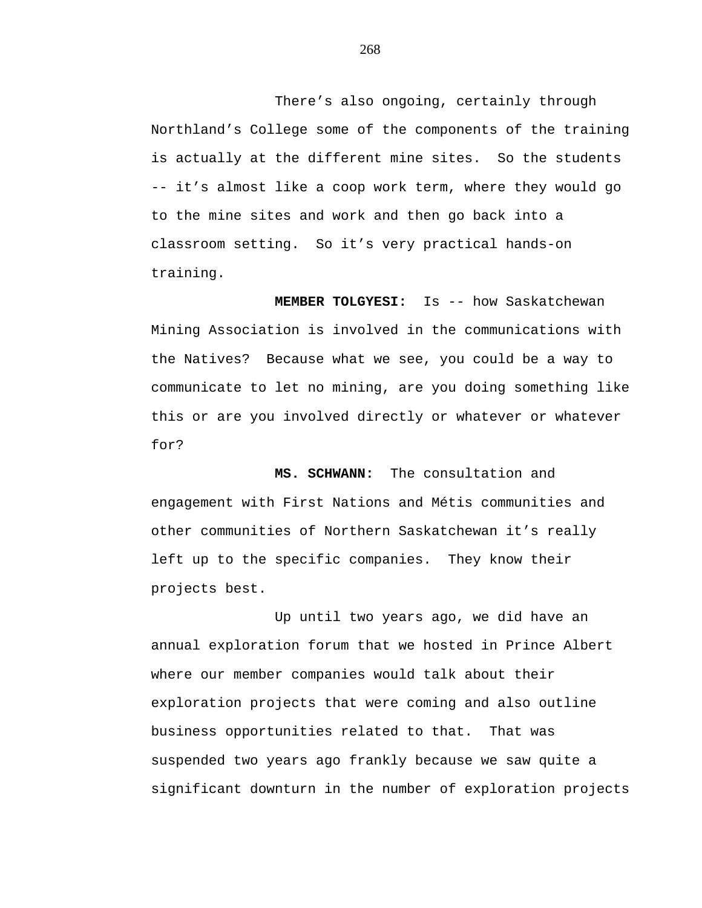There's also ongoing, certainly through Northland's College some of the components of the training is actually at the different mine sites. So the students -- it's almost like a coop work term, where they would go to the mine sites and work and then go back into a classroom setting. So it's very practical hands-on training.

**MEMBER TOLGYESI:** Is -- how Saskatchewan Mining Association is involved in the communications with the Natives? Because what we see, you could be a way to communicate to let no mining, are you doing something like this or are you involved directly or whatever or whatever for?

**MS. SCHWANN:** The consultation and engagement with First Nations and Métis communities and other communities of Northern Saskatchewan it's really left up to the specific companies. They know their projects best.

Up until two years ago, we did have an annual exploration forum that we hosted in Prince Albert where our member companies would talk about their exploration projects that were coming and also outline business opportunities related to that. That was suspended two years ago frankly because we saw quite a significant downturn in the number of exploration projects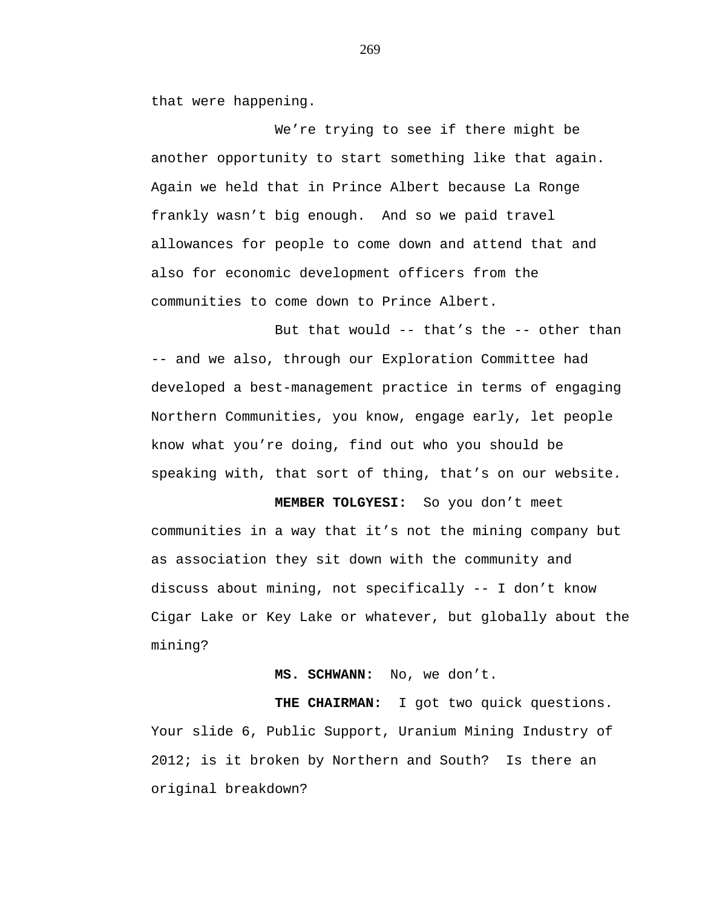that were happening.

We're trying to see if there might be another opportunity to start something like that again. Again we held that in Prince Albert because La Ronge frankly wasn't big enough. And so we paid travel allowances for people to come down and attend that and also for economic development officers from the communities to come down to Prince Albert.

But that would -- that's the -- other than -- and we also, through our Exploration Committee had developed a best-management practice in terms of engaging Northern Communities, you know, engage early, let people know what you're doing, find out who you should be speaking with, that sort of thing, that's on our website.

 **MEMBER TOLGYESI:** So you don't meet communities in a way that it's not the mining company but as association they sit down with the community and discuss about mining, not specifically -- I don't know Cigar Lake or Key Lake or whatever, but globally about the mining?

 **MS. SCHWANN:** No, we don't.

 **THE CHAIRMAN:** I got two quick questions. Your slide 6, Public Support, Uranium Mining Industry of 2012; is it broken by Northern and South? Is there an original breakdown?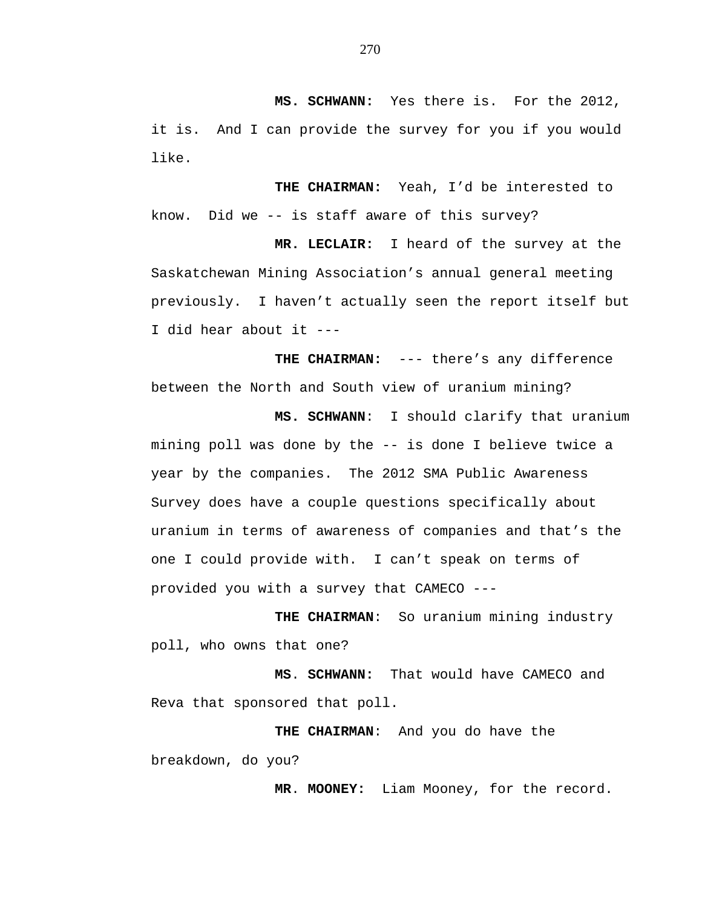**MS. SCHWANN:** Yes there is. For the 2012, it is. And I can provide the survey for you if you would like.

 **THE CHAIRMAN:** Yeah, I'd be interested to know. Did we -- is staff aware of this survey?

 **MR. LECLAIR:** I heard of the survey at the Saskatchewan Mining Association's annual general meeting previously. I haven't actually seen the report itself but I did hear about it ---

 **THE CHAIRMAN:** --- there's any difference between the North and South view of uranium mining?

 **MS. SCHWANN**: I should clarify that uranium mining poll was done by the -- is done I believe twice a year by the companies. The 2012 SMA Public Awareness Survey does have a couple questions specifically about uranium in terms of awareness of companies and that's the one I could provide with. I can't speak on terms of provided you with a survey that CAMECO ---

 **THE CHAIRMAN**: So uranium mining industry poll, who owns that one?

**MS**. **SCHWANN:** That would have CAMECO and Reva that sponsored that poll.

 **THE CHAIRMAN**: And you do have the breakdown, do you?

**MR**. **MOONEY:** Liam Mooney, for the record.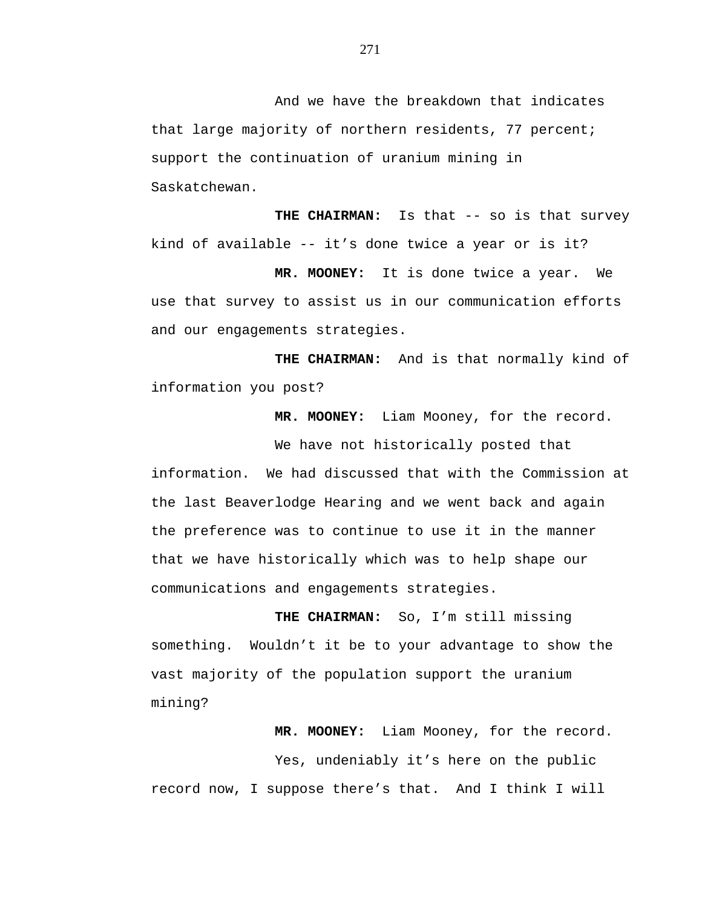And we have the breakdown that indicates that large majority of northern residents, 77 percent; support the continuation of uranium mining in Saskatchewan.

**THE CHAIRMAN:** Is that -- so is that survey kind of available -- it's done twice a year or is it?

 **MR. MOONEY:** It is done twice a year. We use that survey to assist us in our communication efforts and our engagements strategies.

 **THE CHAIRMAN:** And is that normally kind of information you post?

 **MR. MOONEY:** Liam Mooney, for the record.

We have not historically posted that information. We had discussed that with the Commission at the last Beaverlodge Hearing and we went back and again the preference was to continue to use it in the manner that we have historically which was to help shape our communications and engagements strategies.

**THE CHAIRMAN:** So, I'm still missing something. Wouldn't it be to your advantage to show the vast majority of the population support the uranium mining?

 **MR. MOONEY:** Liam Mooney, for the record. Yes, undeniably it's here on the public record now, I suppose there's that. And I think I will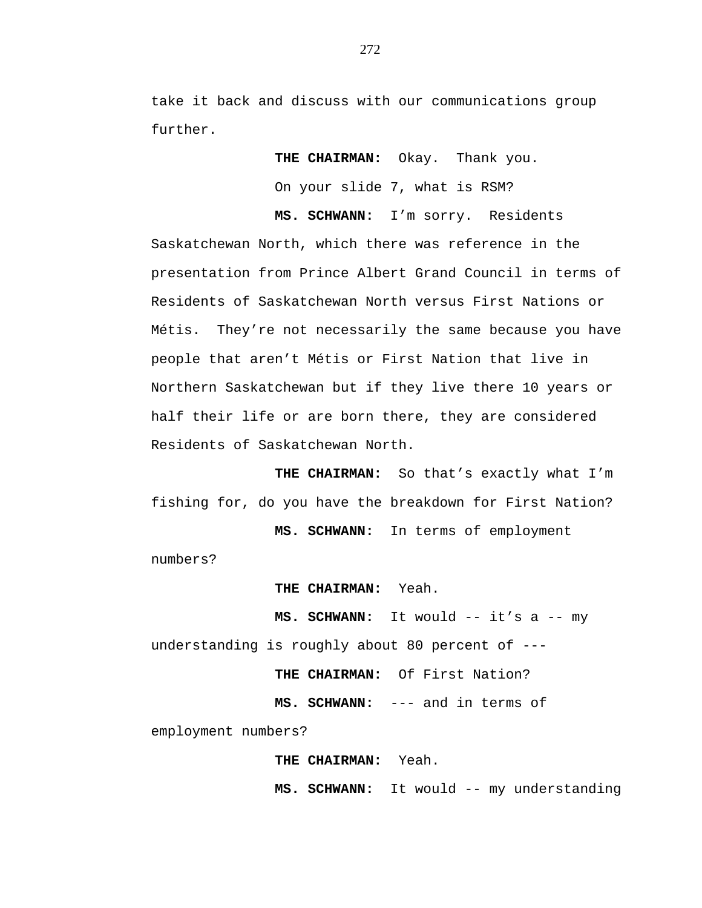take it back and discuss with our communications group further.

**THE CHAIRMAN:** Okay. Thank you.

On your slide 7, what is RSM?

**MS. SCHWANN:** I'm sorry. Residents Saskatchewan North, which there was reference in the presentation from Prince Albert Grand Council in terms of Residents of Saskatchewan North versus First Nations or Métis. They're not necessarily the same because you have people that aren't Métis or First Nation that live in Northern Saskatchewan but if they live there 10 years or half their life or are born there, they are considered Residents of Saskatchewan North.

 **THE CHAIRMAN:** So that's exactly what I'm fishing for, do you have the breakdown for First Nation?

 **MS. SCHWANN:** In terms of employment

numbers?

 **THE CHAIRMAN:** Yeah.

 **MS. SCHWANN:** It would -- it's a -- my understanding is roughly about 80 percent of ---

**THE CHAIRMAN:** Of First Nation?

**MS. SCHWANN:** --- and in terms of

employment numbers?

**THE CHAIRMAN:** Yeah.

**MS. SCHWANN:** It would -- my understanding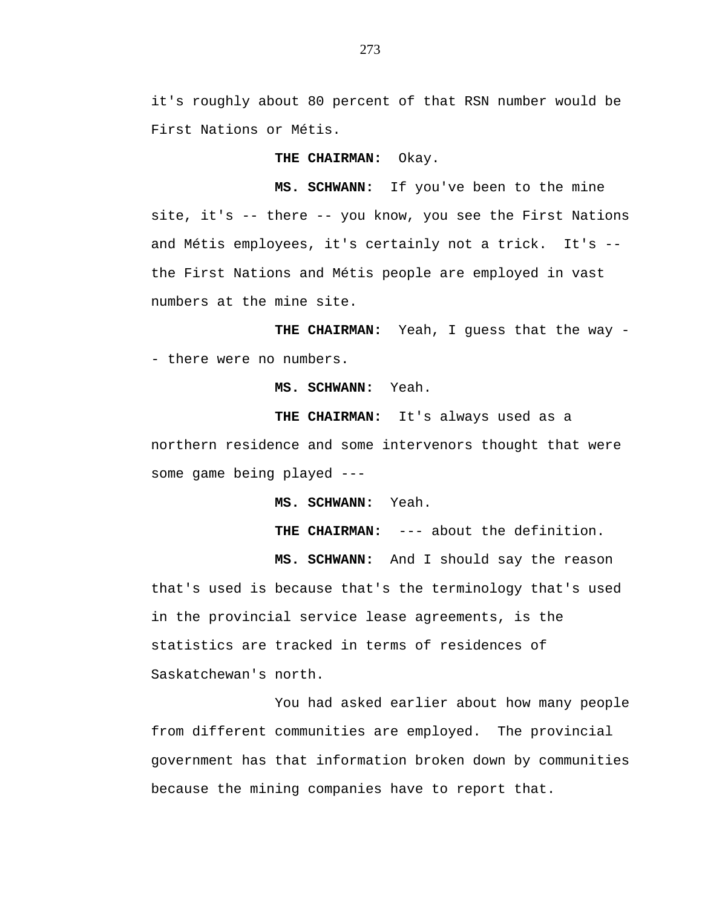it's roughly about 80 percent of that RSN number would be First Nations or Métis.

**THE CHAIRMAN:** Okay.

**MS. SCHWANN:** If you've been to the mine site, it's -- there -- you know, you see the First Nations and Métis employees, it's certainly not a trick. It's - the First Nations and Métis people are employed in vast numbers at the mine site.

THE CHAIRMAN: Yeah, I guess that the way -- there were no numbers.

**MS. SCHWANN:** Yeah.

**THE CHAIRMAN:** It's always used as a northern residence and some intervenors thought that were some game being played ---

**MS. SCHWANN:** Yeah.

**THE CHAIRMAN:** --- about the definition.

**MS. SCHWANN:** And I should say the reason

that's used is because that's the terminology that's used in the provincial service lease agreements, is the statistics are tracked in terms of residences of Saskatchewan's north.

You had asked earlier about how many people from different communities are employed. The provincial government has that information broken down by communities because the mining companies have to report that.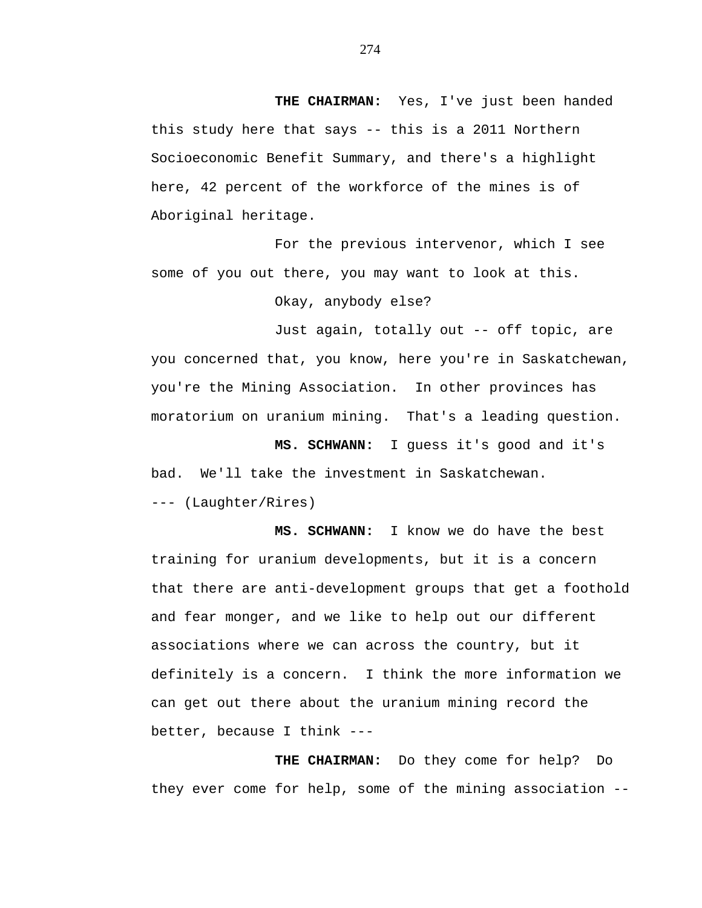**THE CHAIRMAN:** Yes, I've just been handed this study here that says -- this is a 2011 Northern Socioeconomic Benefit Summary, and there's a highlight here, 42 percent of the workforce of the mines is of Aboriginal heritage.

For the previous intervenor, which I see some of you out there, you may want to look at this.

Okay, anybody else?

Just again, totally out -- off topic, are you concerned that, you know, here you're in Saskatchewan, you're the Mining Association. In other provinces has moratorium on uranium mining. That's a leading question.

**MS. SCHWANN:** I guess it's good and it's bad. We'll take the investment in Saskatchewan. --- (Laughter/Rires)

**MS. SCHWANN:** I know we do have the best training for uranium developments, but it is a concern that there are anti-development groups that get a foothold and fear monger, and we like to help out our different associations where we can across the country, but it definitely is a concern. I think the more information we can get out there about the uranium mining record the better, because I think ---

**THE CHAIRMAN:** Do they come for help? Do they ever come for help, some of the mining association --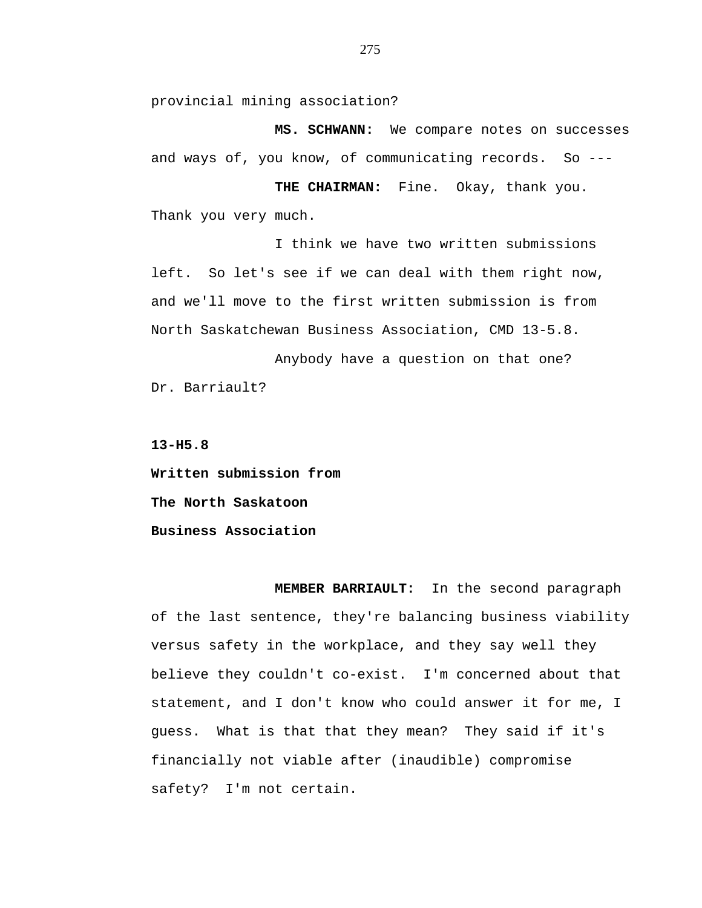provincial mining association?

**MS. SCHWANN:** We compare notes on successes and ways of, you know, of communicating records. So ---

**THE CHAIRMAN:** Fine. Okay, thank you. Thank you very much.

I think we have two written submissions left. So let's see if we can deal with them right now, and we'll move to the first written submission is from North Saskatchewan Business Association, CMD 13-5.8.

Anybody have a question on that one? Dr. Barriault?

**13-H5.8** 

**Written submission from The North Saskatoon Business Association** 

**MEMBER BARRIAULT:** In the second paragraph of the last sentence, they're balancing business viability versus safety in the workplace, and they say well they believe they couldn't co-exist. I'm concerned about that statement, and I don't know who could answer it for me, I guess. What is that that they mean? They said if it's financially not viable after (inaudible) compromise safety? I'm not certain.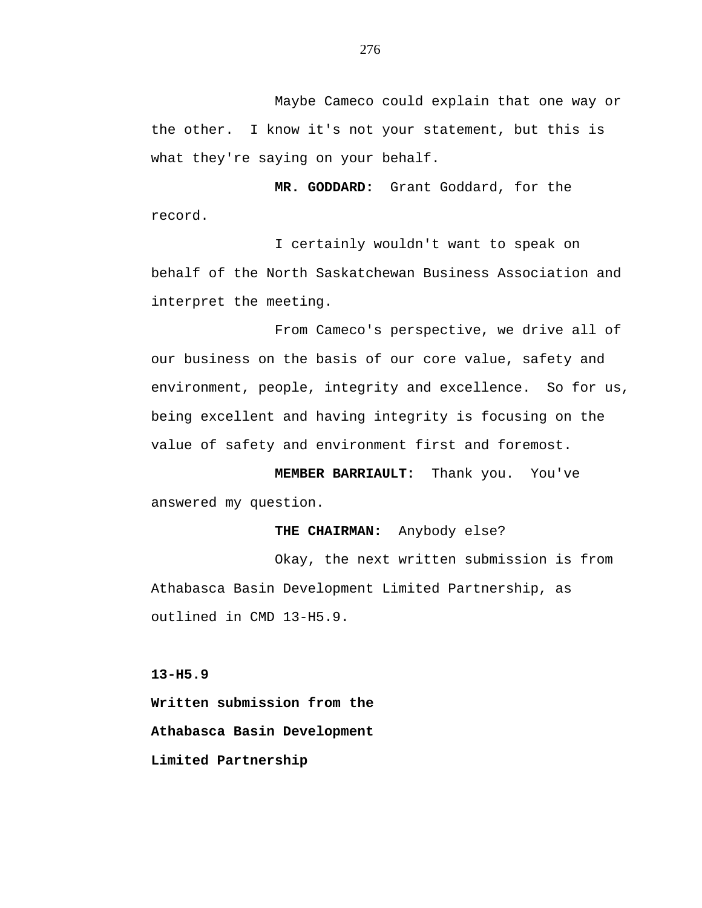Maybe Cameco could explain that one way or the other. I know it's not your statement, but this is what they're saying on your behalf.

**MR. GODDARD:** Grant Goddard, for the record.

I certainly wouldn't want to speak on behalf of the North Saskatchewan Business Association and interpret the meeting.

From Cameco's perspective, we drive all of our business on the basis of our core value, safety and environment, people, integrity and excellence. So for us, being excellent and having integrity is focusing on the value of safety and environment first and foremost.

**MEMBER BARRIAULT:** Thank you. You've answered my question.

# **THE CHAIRMAN:** Anybody else?

Okay, the next written submission is from Athabasca Basin Development Limited Partnership, as outlined in CMD 13-H5.9.

**13-H5.9** 

**Written submission from the Athabasca Basin Development Limited Partnership**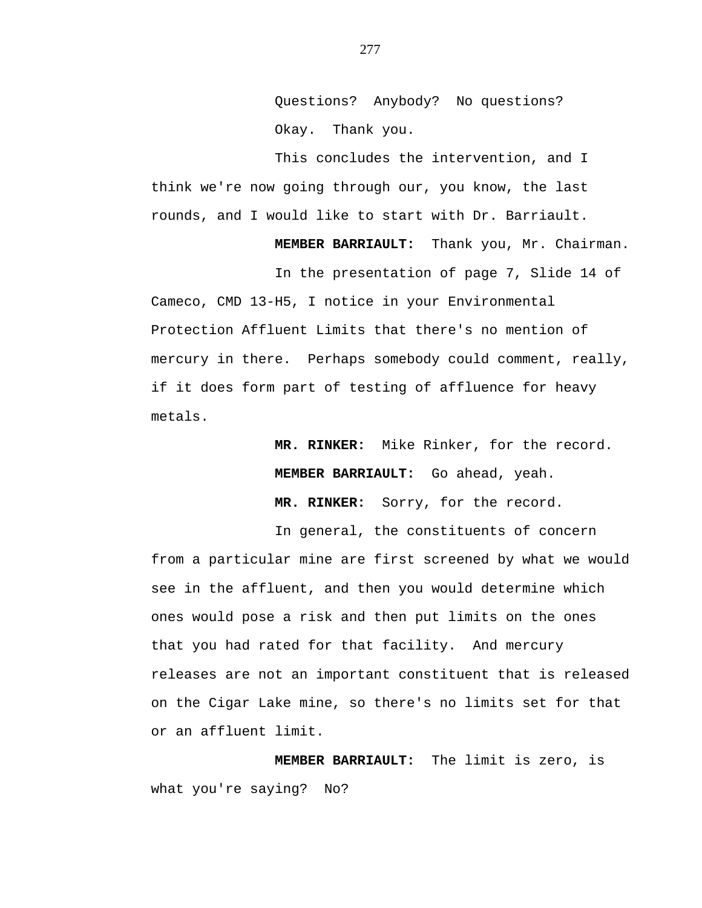Questions? Anybody? No questions? Okay. Thank you.

This concludes the intervention, and I think we're now going through our, you know, the last rounds, and I would like to start with Dr. Barriault.

**MEMBER BARRIAULT:** Thank you, Mr. Chairman.

In the presentation of page 7, Slide 14 of Cameco, CMD 13-H5, I notice in your Environmental Protection Affluent Limits that there's no mention of mercury in there. Perhaps somebody could comment, really, if it does form part of testing of affluence for heavy metals.

> **MR. RINKER:** Mike Rinker, for the record. **MEMBER BARRIAULT:** Go ahead, yeah. **MR. RINKER:** Sorry, for the record.

In general, the constituents of concern from a particular mine are first screened by what we would see in the affluent, and then you would determine which ones would pose a risk and then put limits on the ones that you had rated for that facility. And mercury releases are not an important constituent that is released on the Cigar Lake mine, so there's no limits set for that or an affluent limit.

**MEMBER BARRIAULT:** The limit is zero, is what you're saying? No?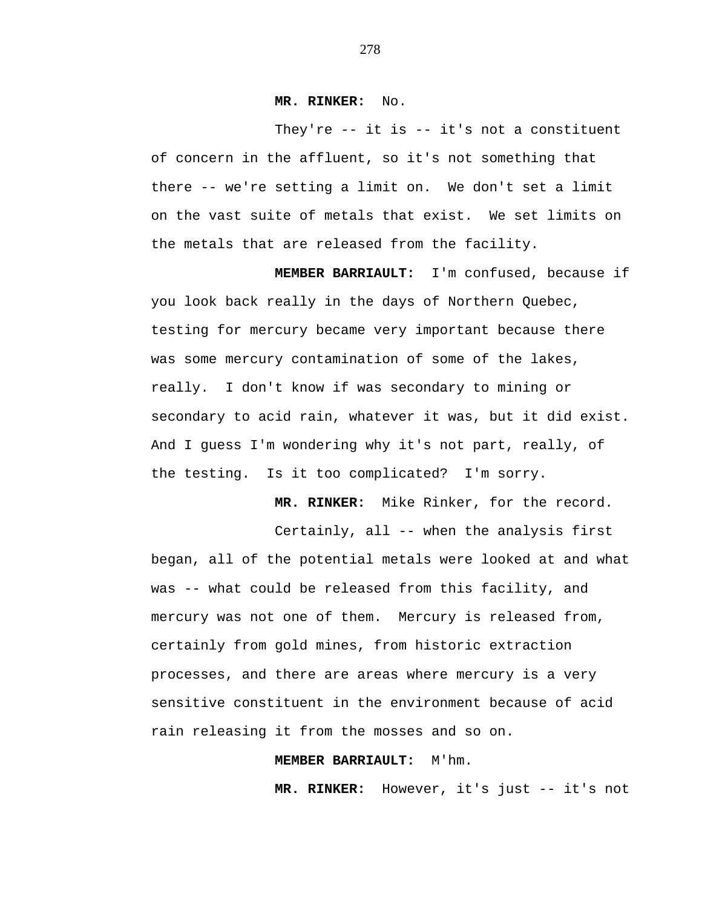# **MR. RINKER:** No.

They're  $-$  it is  $-$  it's not a constituent of concern in the affluent, so it's not something that there -- we're setting a limit on. We don't set a limit on the vast suite of metals that exist. We set limits on the metals that are released from the facility.

**MEMBER BARRIAULT:** I'm confused, because if you look back really in the days of Northern Quebec, testing for mercury became very important because there was some mercury contamination of some of the lakes, really. I don't know if was secondary to mining or secondary to acid rain, whatever it was, but it did exist. And I guess I'm wondering why it's not part, really, of the testing. Is it too complicated? I'm sorry.

**MR. RINKER:** Mike Rinker, for the record.

Certainly, all -- when the analysis first began, all of the potential metals were looked at and what was -- what could be released from this facility, and mercury was not one of them. Mercury is released from, certainly from gold mines, from historic extraction processes, and there are areas where mercury is a very sensitive constituent in the environment because of acid rain releasing it from the mosses and so on.

## **MEMBER BARRIAULT:** M'hm.

**MR. RINKER:** However, it's just -- it's not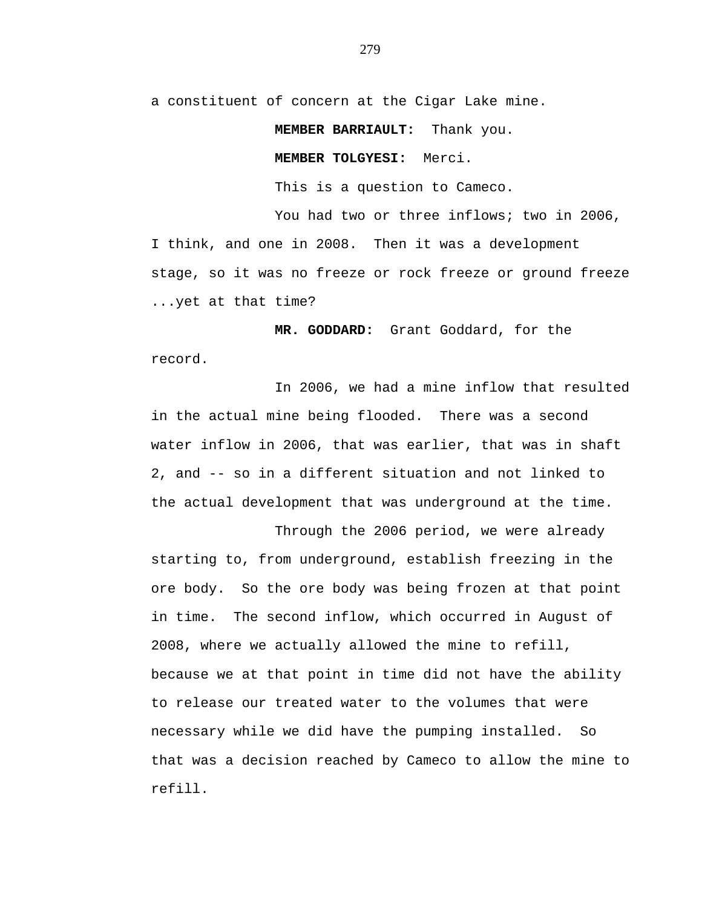a constituent of concern at the Cigar Lake mine.

#### **MEMBER BARRIAULT:** Thank you.

## **MEMBER TOLGYESI:** Merci.

This is a question to Cameco.

You had two or three inflows; two in 2006, I think, and one in 2008. Then it was a development stage, so it was no freeze or rock freeze or ground freeze ...yet at that time?

**MR. GODDARD:** Grant Goddard, for the record.

In 2006, we had a mine inflow that resulted in the actual mine being flooded. There was a second water inflow in 2006, that was earlier, that was in shaft 2, and -- so in a different situation and not linked to the actual development that was underground at the time.

Through the 2006 period, we were already starting to, from underground, establish freezing in the ore body. So the ore body was being frozen at that point in time. The second inflow, which occurred in August of 2008, where we actually allowed the mine to refill, because we at that point in time did not have the ability to release our treated water to the volumes that were necessary while we did have the pumping installed. So that was a decision reached by Cameco to allow the mine to refill.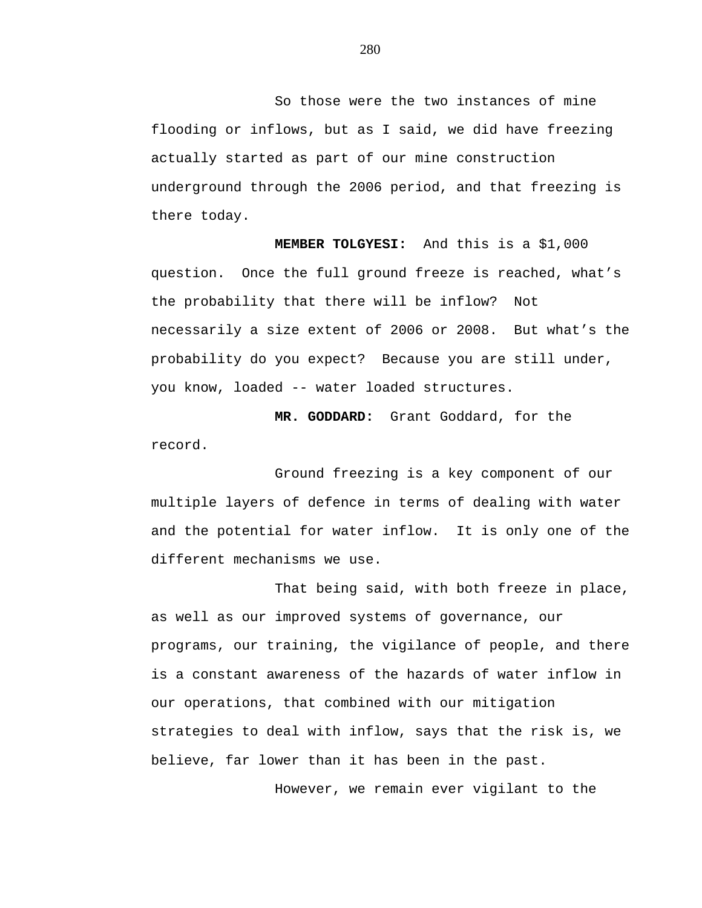So those were the two instances of mine flooding or inflows, but as I said, we did have freezing actually started as part of our mine construction underground through the 2006 period, and that freezing is there today.

**MEMBER TOLGYESI:** And this is a \$1,000 question. Once the full ground freeze is reached, what's the probability that there will be inflow? Not necessarily a size extent of 2006 or 2008. But what's the probability do you expect? Because you are still under, you know, loaded -- water loaded structures.

**MR. GODDARD:** Grant Goddard, for the record.

Ground freezing is a key component of our multiple layers of defence in terms of dealing with water and the potential for water inflow. It is only one of the different mechanisms we use.

That being said, with both freeze in place, as well as our improved systems of governance, our programs, our training, the vigilance of people, and there is a constant awareness of the hazards of water inflow in our operations, that combined with our mitigation strategies to deal with inflow, says that the risk is, we believe, far lower than it has been in the past.

However, we remain ever vigilant to the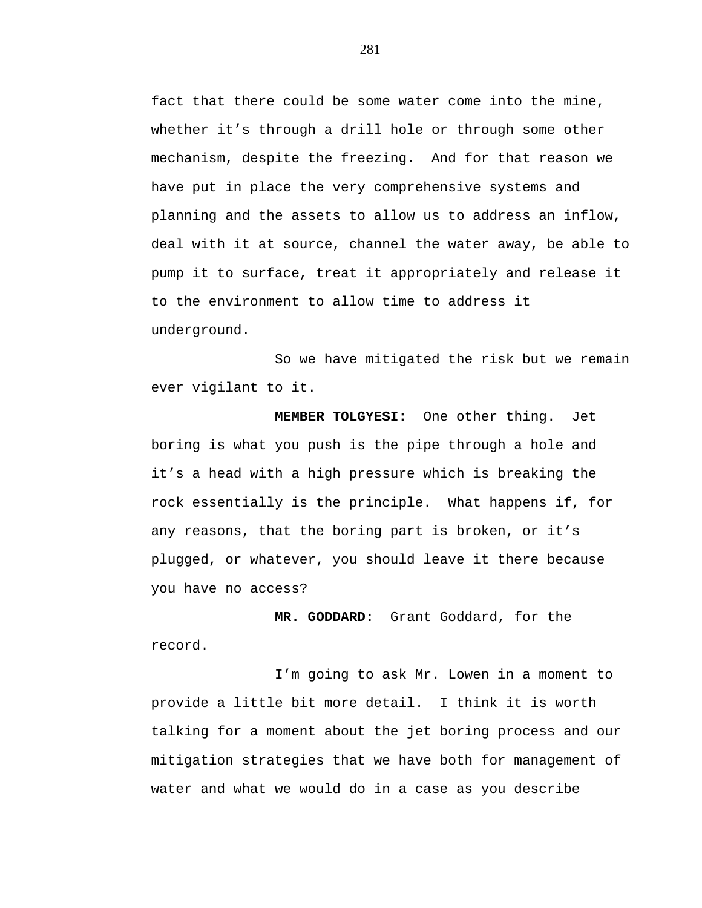fact that there could be some water come into the mine, whether it's through a drill hole or through some other mechanism, despite the freezing. And for that reason we have put in place the very comprehensive systems and planning and the assets to allow us to address an inflow, deal with it at source, channel the water away, be able to pump it to surface, treat it appropriately and release it to the environment to allow time to address it underground.

So we have mitigated the risk but we remain ever vigilant to it.

**MEMBER TOLGYESI:** One other thing. Jet boring is what you push is the pipe through a hole and it's a head with a high pressure which is breaking the rock essentially is the principle. What happens if, for any reasons, that the boring part is broken, or it's plugged, or whatever, you should leave it there because you have no access?

**MR. GODDARD:** Grant Goddard, for the record.

I'm going to ask Mr. Lowen in a moment to provide a little bit more detail. I think it is worth talking for a moment about the jet boring process and our mitigation strategies that we have both for management of water and what we would do in a case as you describe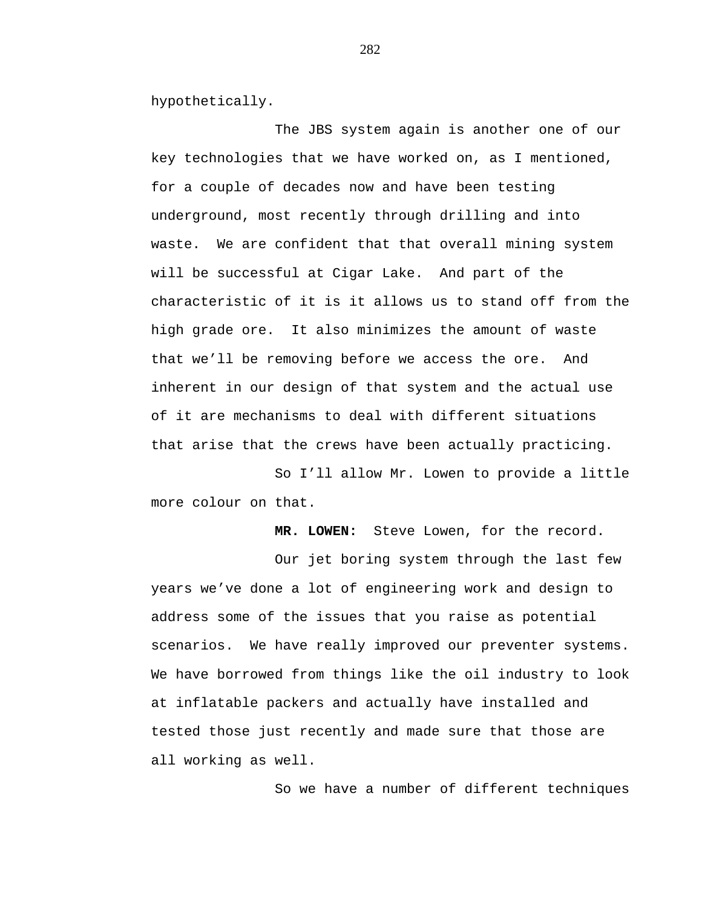hypothetically.

The JBS system again is another one of our key technologies that we have worked on, as I mentioned, for a couple of decades now and have been testing underground, most recently through drilling and into waste. We are confident that that overall mining system will be successful at Cigar Lake. And part of the characteristic of it is it allows us to stand off from the high grade ore. It also minimizes the amount of waste that we'll be removing before we access the ore. And inherent in our design of that system and the actual use of it are mechanisms to deal with different situations that arise that the crews have been actually practicing.

So I'll allow Mr. Lowen to provide a little more colour on that.

**MR. LOWEN:** Steve Lowen, for the record.

Our jet boring system through the last few years we've done a lot of engineering work and design to address some of the issues that you raise as potential scenarios. We have really improved our preventer systems. We have borrowed from things like the oil industry to look at inflatable packers and actually have installed and tested those just recently and made sure that those are all working as well.

So we have a number of different techniques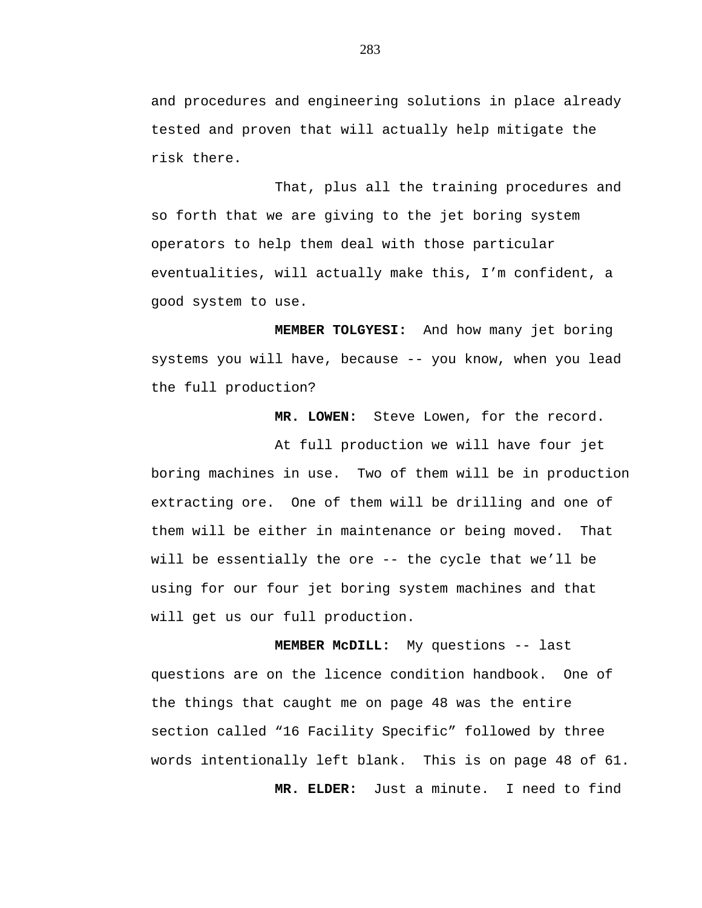and procedures and engineering solutions in place already tested and proven that will actually help mitigate the risk there.

That, plus all the training procedures and so forth that we are giving to the jet boring system operators to help them deal with those particular eventualities, will actually make this, I'm confident, a good system to use.

**MEMBER TOLGYESI:** And how many jet boring systems you will have, because -- you know, when you lead the full production?

**MR. LOWEN:** Steve Lowen, for the record.

At full production we will have four jet boring machines in use. Two of them will be in production extracting ore. One of them will be drilling and one of them will be either in maintenance or being moved. That will be essentially the ore -- the cycle that we'll be using for our four jet boring system machines and that will get us our full production.

**MEMBER McDILL:** My questions -- last questions are on the licence condition handbook. One of the things that caught me on page 48 was the entire section called "16 Facility Specific" followed by three words intentionally left blank. This is on page 48 of 61. **MR. ELDER:** Just a minute. I need to find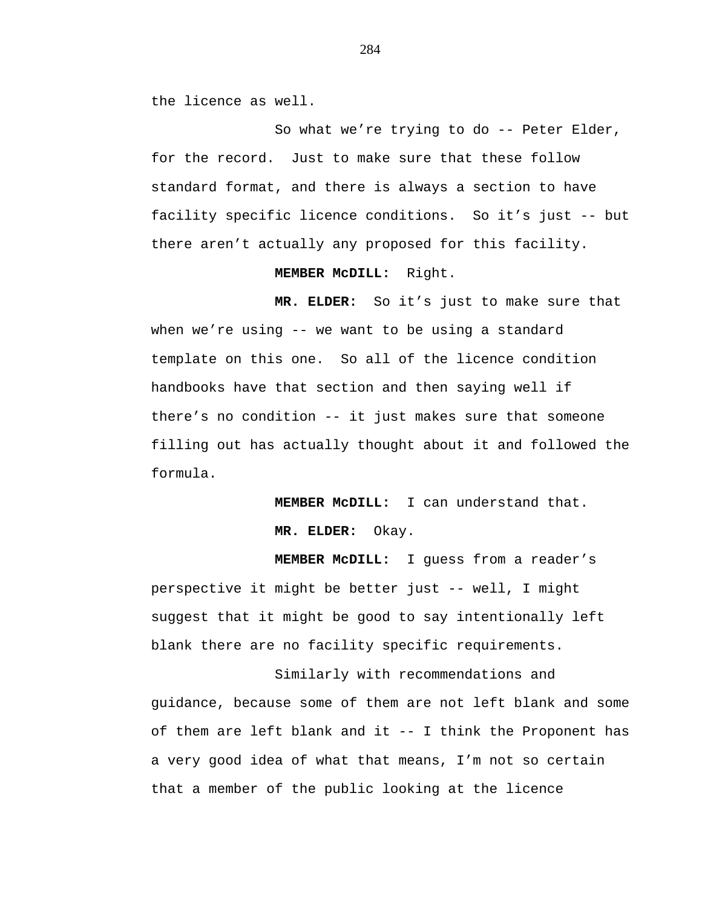the licence as well.

So what we're trying to do -- Peter Elder, for the record. Just to make sure that these follow standard format, and there is always a section to have facility specific licence conditions. So it's just -- but there aren't actually any proposed for this facility.

### **MEMBER McDILL:** Right.

**MR. ELDER:** So it's just to make sure that when we're using -- we want to be using a standard template on this one. So all of the licence condition handbooks have that section and then saying well if there's no condition -- it just makes sure that someone filling out has actually thought about it and followed the formula.

> **MEMBER McDILL:** I can understand that. **MR. ELDER:** Okay.

**MEMBER McDILL:** I guess from a reader's perspective it might be better just -- well, I might suggest that it might be good to say intentionally left blank there are no facility specific requirements.

Similarly with recommendations and guidance, because some of them are not left blank and some of them are left blank and it -- I think the Proponent has a very good idea of what that means, I'm not so certain that a member of the public looking at the licence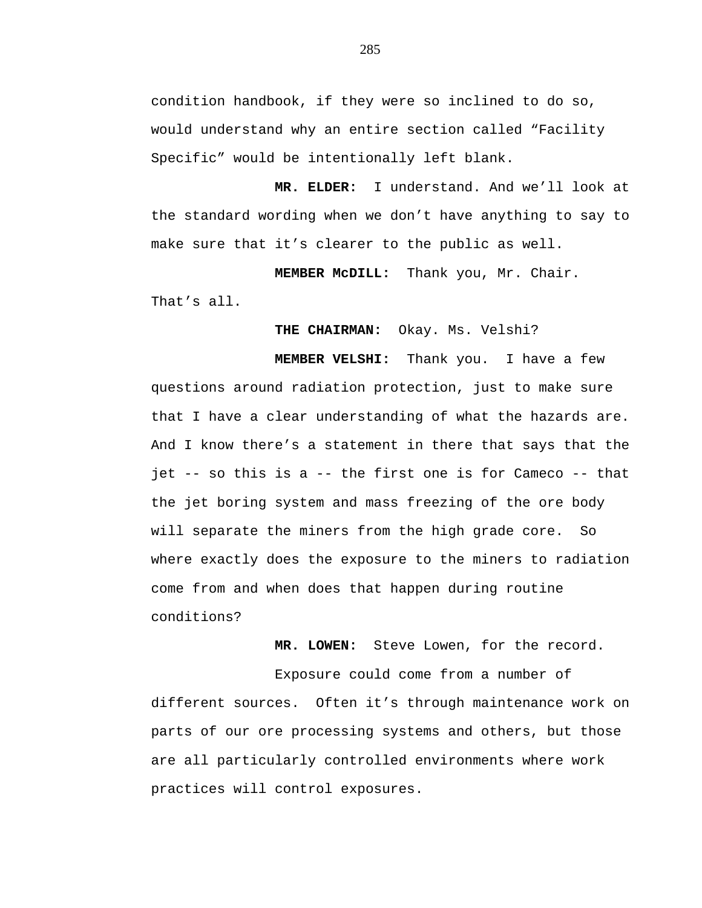condition handbook, if they were so inclined to do so, would understand why an entire section called "Facility Specific" would be intentionally left blank.

**MR. ELDER:** I understand. And we'll look at the standard wording when we don't have anything to say to make sure that it's clearer to the public as well.

**MEMBER McDILL:** Thank you, Mr. Chair.

That's all.

**THE CHAIRMAN:** Okay. Ms. Velshi?

**MEMBER VELSHI:** Thank you. I have a few questions around radiation protection, just to make sure that I have a clear understanding of what the hazards are. And I know there's a statement in there that says that the jet -- so this is a -- the first one is for Cameco -- that the jet boring system and mass freezing of the ore body will separate the miners from the high grade core. So where exactly does the exposure to the miners to radiation come from and when does that happen during routine conditions?

**MR. LOWEN:** Steve Lowen, for the record.

Exposure could come from a number of different sources. Often it's through maintenance work on parts of our ore processing systems and others, but those are all particularly controlled environments where work practices will control exposures.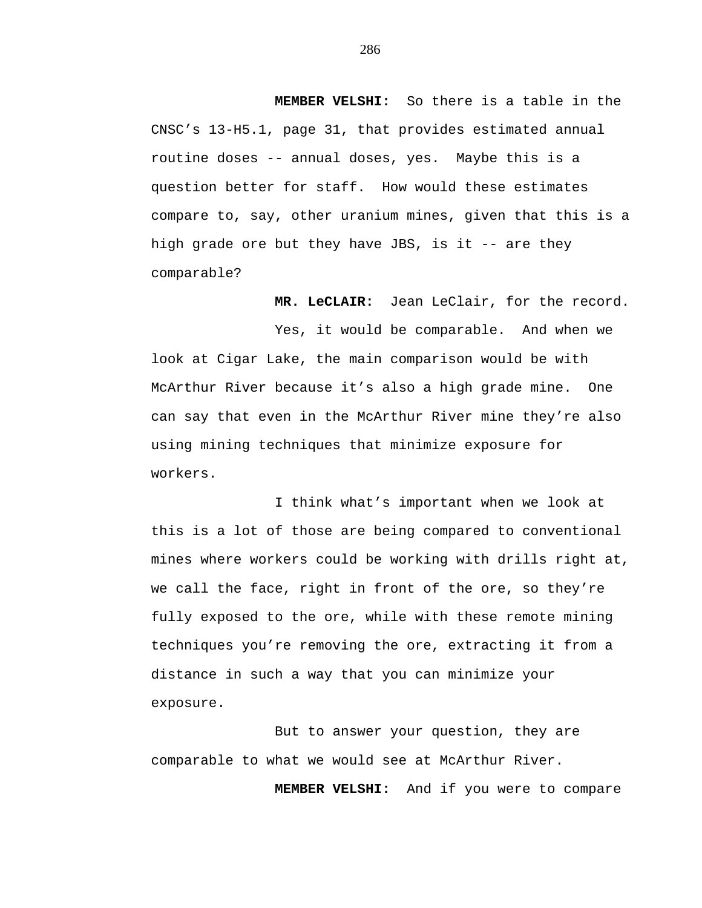**MEMBER VELSHI:** So there is a table in the CNSC's 13-H5.1, page 31, that provides estimated annual routine doses -- annual doses, yes. Maybe this is a question better for staff. How would these estimates compare to, say, other uranium mines, given that this is a high grade ore but they have JBS, is it -- are they comparable?

**MR. LeCLAIR:** Jean LeClair, for the record.

Yes, it would be comparable. And when we look at Cigar Lake, the main comparison would be with McArthur River because it's also a high grade mine. One can say that even in the McArthur River mine they're also using mining techniques that minimize exposure for workers.

I think what's important when we look at this is a lot of those are being compared to conventional mines where workers could be working with drills right at, we call the face, right in front of the ore, so they're fully exposed to the ore, while with these remote mining techniques you're removing the ore, extracting it from a distance in such a way that you can minimize your exposure.

But to answer your question, they are comparable to what we would see at McArthur River.

**MEMBER VELSHI:** And if you were to compare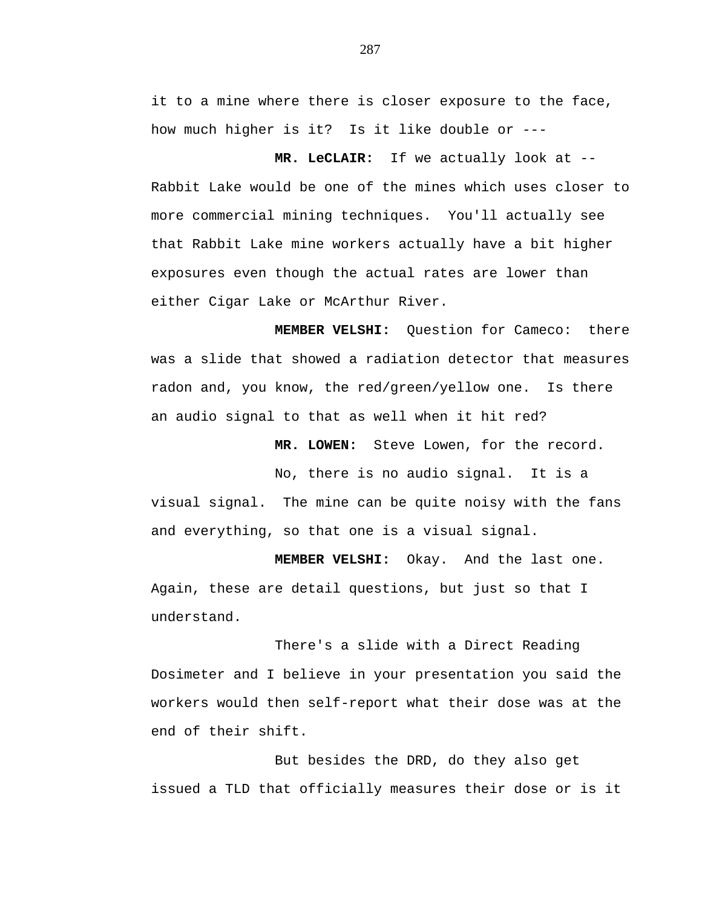it to a mine where there is closer exposure to the face, how much higher is it? Is it like double or ---

**MR. LeCLAIR:** If we actually look at -- Rabbit Lake would be one of the mines which uses closer to more commercial mining techniques. You'll actually see that Rabbit Lake mine workers actually have a bit higher exposures even though the actual rates are lower than either Cigar Lake or McArthur River.

**MEMBER VELSHI:** Question for Cameco: there was a slide that showed a radiation detector that measures radon and, you know, the red/green/yellow one. Is there an audio signal to that as well when it hit red?

 **MR. LOWEN:** Steve Lowen, for the record.

No, there is no audio signal. It is a visual signal. The mine can be quite noisy with the fans and everything, so that one is a visual signal.

**MEMBER VELSHI:** Okay. And the last one. Again, these are detail questions, but just so that I understand.

There's a slide with a Direct Reading Dosimeter and I believe in your presentation you said the workers would then self-report what their dose was at the end of their shift.

But besides the DRD, do they also get issued a TLD that officially measures their dose or is it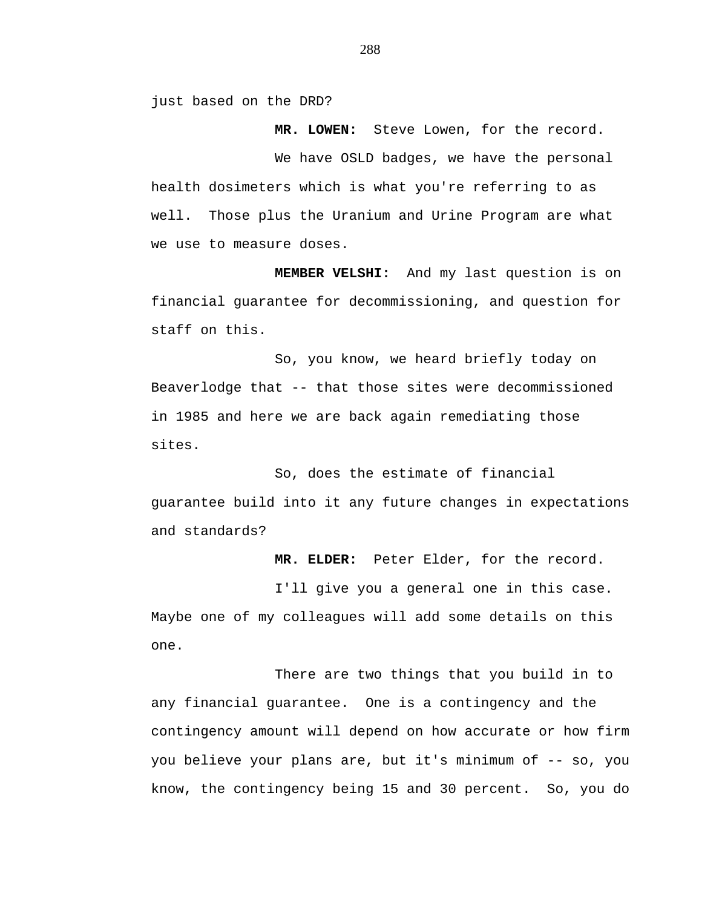just based on the DRD?

 **MR. LOWEN:** Steve Lowen, for the record.

We have OSLD badges, we have the personal health dosimeters which is what you're referring to as well. Those plus the Uranium and Urine Program are what we use to measure doses.

**MEMBER VELSHI:** And my last question is on financial guarantee for decommissioning, and question for staff on this.

So, you know, we heard briefly today on Beaverlodge that -- that those sites were decommissioned in 1985 and here we are back again remediating those sites.

So, does the estimate of financial guarantee build into it any future changes in expectations and standards?

**MR. ELDER:** Peter Elder, for the record.

I'll give you a general one in this case. Maybe one of my colleagues will add some details on this one.

There are two things that you build in to any financial guarantee. One is a contingency and the contingency amount will depend on how accurate or how firm you believe your plans are, but it's minimum of -- so, you know, the contingency being 15 and 30 percent. So, you do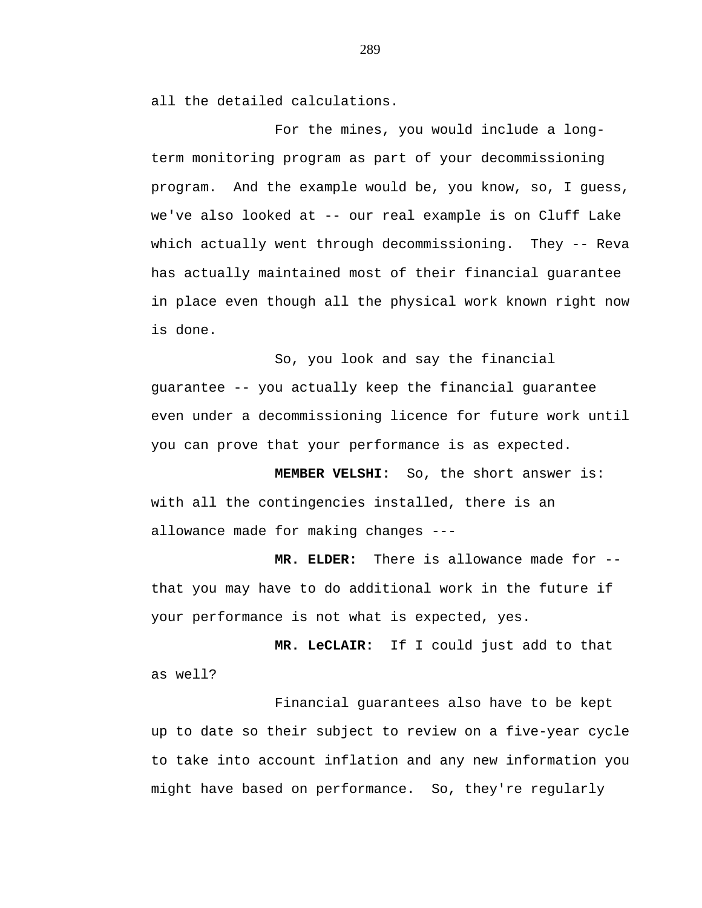all the detailed calculations.

For the mines, you would include a longterm monitoring program as part of your decommissioning program. And the example would be, you know, so, I guess, we've also looked at -- our real example is on Cluff Lake which actually went through decommissioning. They -- Reva has actually maintained most of their financial guarantee in place even though all the physical work known right now is done.

So, you look and say the financial guarantee -- you actually keep the financial guarantee even under a decommissioning licence for future work until you can prove that your performance is as expected.

**MEMBER VELSHI:** So, the short answer is: with all the contingencies installed, there is an allowance made for making changes ---

**MR. ELDER:** There is allowance made for - that you may have to do additional work in the future if your performance is not what is expected, yes.

**MR. LeCLAIR:** If I could just add to that as well?

Financial guarantees also have to be kept up to date so their subject to review on a five-year cycle to take into account inflation and any new information you might have based on performance. So, they're regularly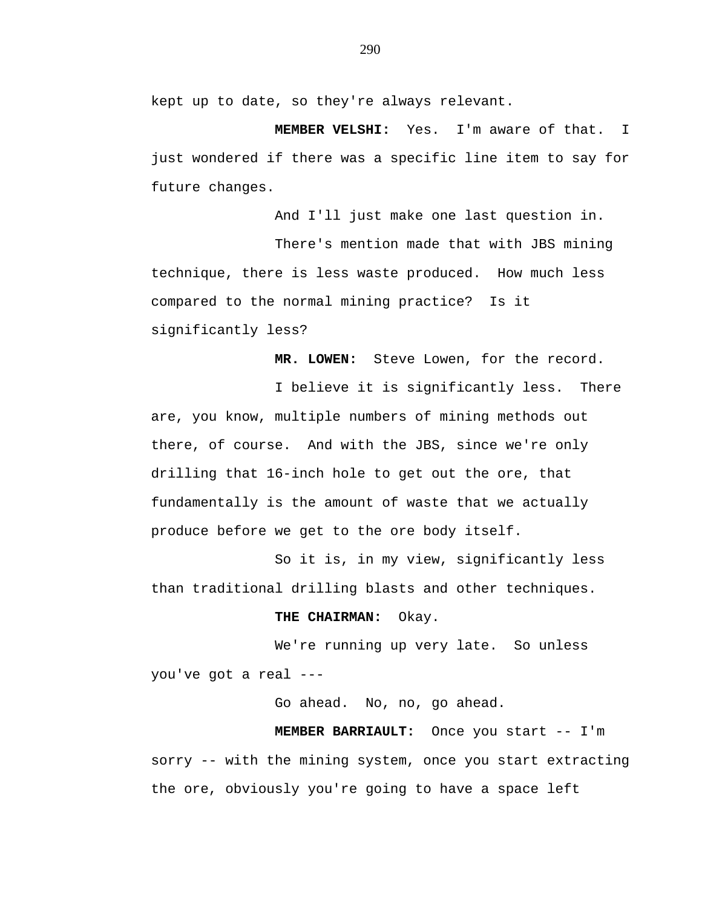kept up to date, so they're always relevant.

**MEMBER VELSHI:** Yes. I'm aware of that. I just wondered if there was a specific line item to say for future changes.

And I'll just make one last question in. There's mention made that with JBS mining technique, there is less waste produced. How much less compared to the normal mining practice? Is it significantly less?

**MR. LOWEN:** Steve Lowen, for the record.

I believe it is significantly less. There are, you know, multiple numbers of mining methods out there, of course. And with the JBS, since we're only drilling that 16-inch hole to get out the ore, that fundamentally is the amount of waste that we actually produce before we get to the ore body itself.

So it is, in my view, significantly less than traditional drilling blasts and other techniques.

## **THE CHAIRMAN:** Okay.

We're running up very late. So unless you've got a real ---

Go ahead. No, no, go ahead.

**MEMBER BARRIAULT:** Once you start -- I'm sorry -- with the mining system, once you start extracting the ore, obviously you're going to have a space left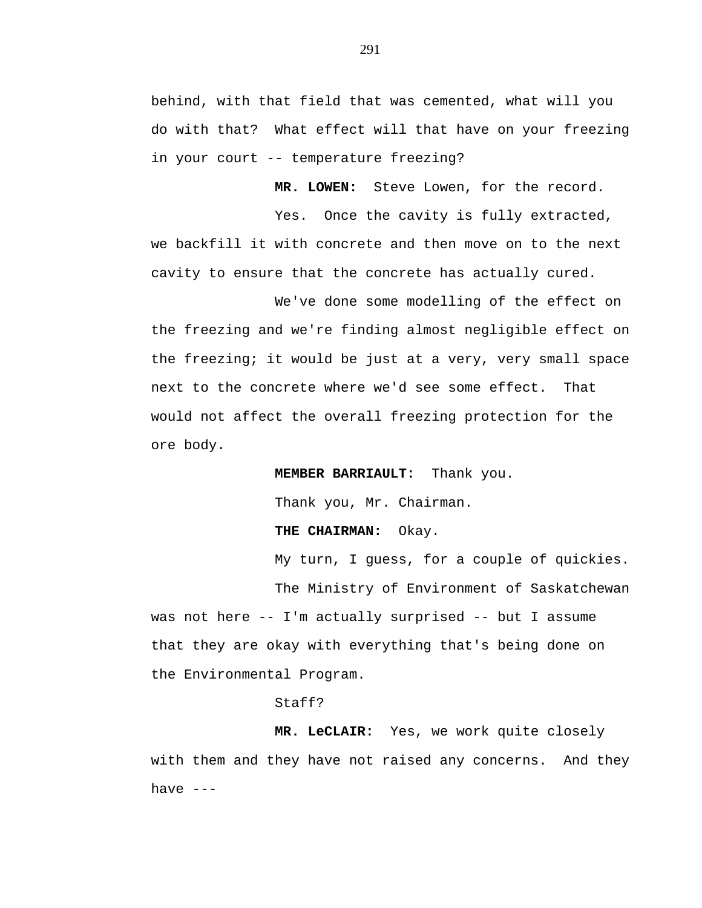behind, with that field that was cemented, what will you do with that? What effect will that have on your freezing in your court -- temperature freezing?

**MR. LOWEN:** Steve Lowen, for the record.

Yes. Once the cavity is fully extracted, we backfill it with concrete and then move on to the next cavity to ensure that the concrete has actually cured.

We've done some modelling of the effect on the freezing and we're finding almost negligible effect on the freezing; it would be just at a very, very small space next to the concrete where we'd see some effect. That would not affect the overall freezing protection for the ore body.

**MEMBER BARRIAULT:** Thank you.

Thank you, Mr. Chairman.

**THE CHAIRMAN:** Okay.

My turn, I guess, for a couple of quickies. The Ministry of Environment of Saskatchewan

was not here -- I'm actually surprised -- but I assume that they are okay with everything that's being done on the Environmental Program.

## Staff?

**MR. LeCLAIR:** Yes, we work quite closely with them and they have not raised any concerns. And they have ---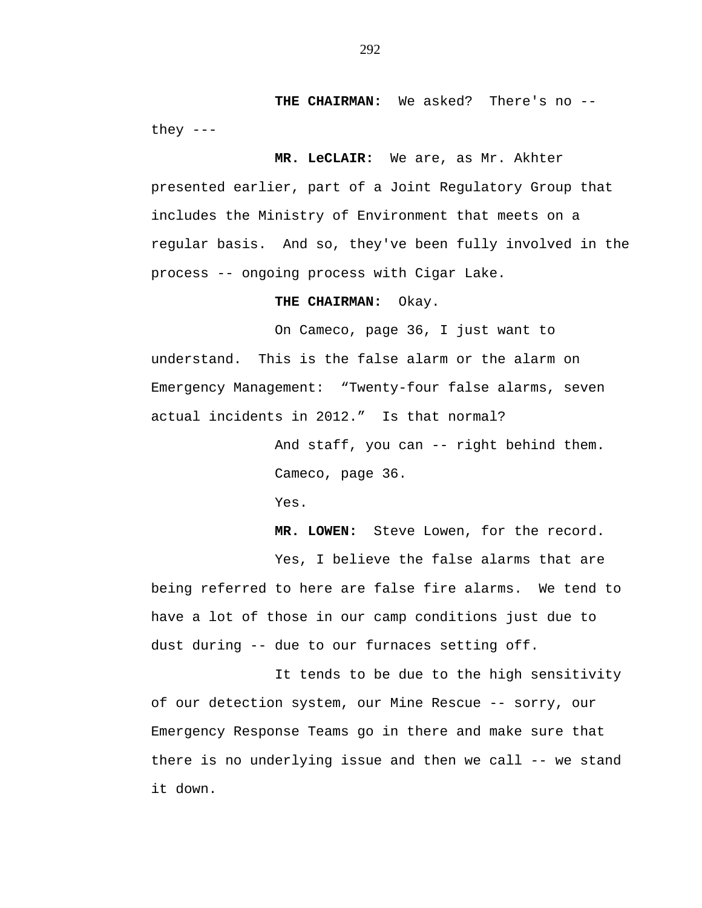THE CHAIRMAN: We asked? There's no -they  $---$ 

**MR. LeCLAIR:** We are, as Mr. Akhter presented earlier, part of a Joint Regulatory Group that includes the Ministry of Environment that meets on a regular basis. And so, they've been fully involved in the process -- ongoing process with Cigar Lake.

## **THE CHAIRMAN:** Okay.

On Cameco, page 36, I just want to understand. This is the false alarm or the alarm on Emergency Management: "Twenty-four false alarms, seven actual incidents in 2012." Is that normal?

> And staff, you can -- right behind them. Cameco, page 36.

Yes.

**MR. LOWEN:** Steve Lowen, for the record. Yes, I believe the false alarms that are

being referred to here are false fire alarms. We tend to have a lot of those in our camp conditions just due to dust during -- due to our furnaces setting off.

It tends to be due to the high sensitivity of our detection system, our Mine Rescue -- sorry, our Emergency Response Teams go in there and make sure that there is no underlying issue and then we call -- we stand it down.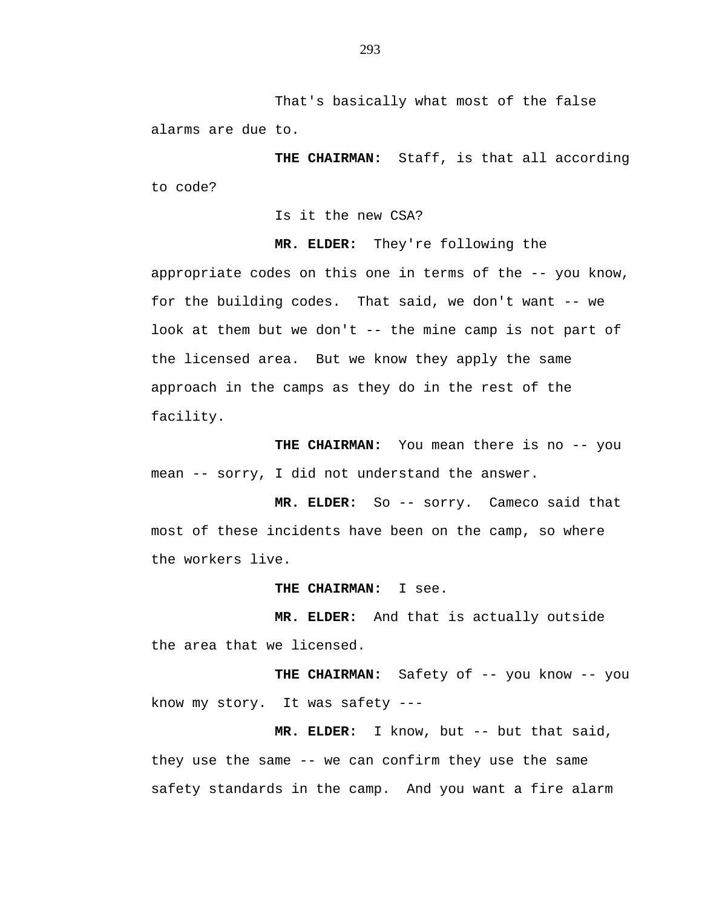That's basically what most of the false alarms are due to.

**THE CHAIRMAN:** Staff, is that all according to code?

Is it the new CSA?

**MR. ELDER:** They're following the appropriate codes on this one in terms of the -- you know,

for the building codes. That said, we don't want -- we look at them but we don't -- the mine camp is not part of the licensed area. But we know they apply the same approach in the camps as they do in the rest of the facility.

**THE CHAIRMAN:** You mean there is no -- you mean -- sorry, I did not understand the answer.

 **MR. ELDER:** So -- sorry. Cameco said that most of these incidents have been on the camp, so where the workers live.

**THE CHAIRMAN:** I see.

**MR. ELDER:** And that is actually outside the area that we licensed.

THE CHAIRMAN: Safety of -- you know -- you know my story. It was safety ---

**MR. ELDER:** I know, but -- but that said, they use the same -- we can confirm they use the same safety standards in the camp. And you want a fire alarm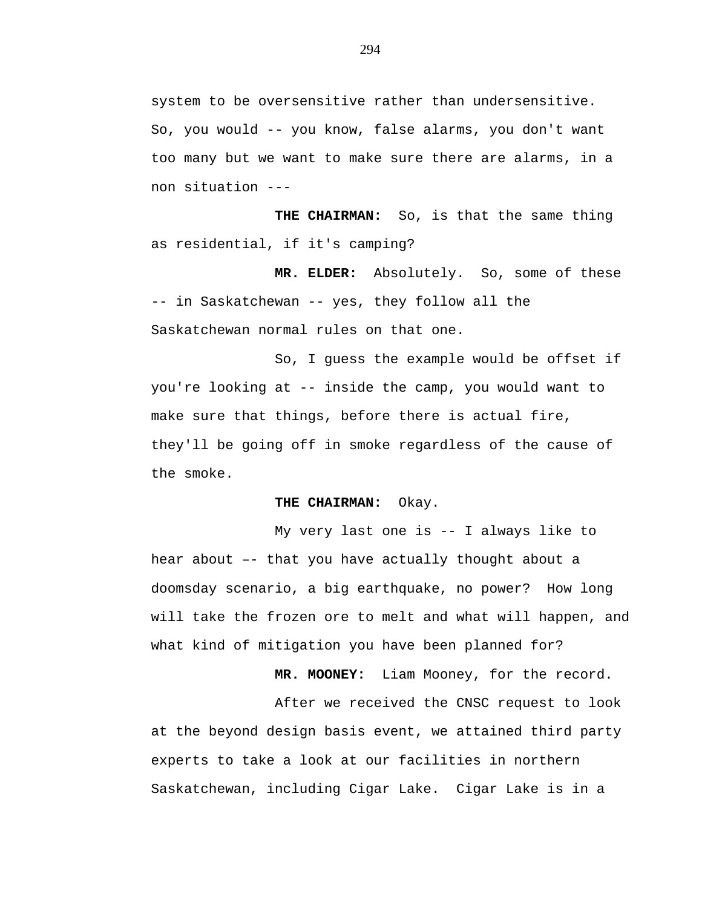system to be oversensitive rather than undersensitive. So, you would -- you know, false alarms, you don't want too many but we want to make sure there are alarms, in a non situation ---

**THE CHAIRMAN:** So, is that the same thing as residential, if it's camping?

**MR. ELDER:** Absolutely. So, some of these -- in Saskatchewan -- yes, they follow all the Saskatchewan normal rules on that one.

So, I guess the example would be offset if you're looking at -- inside the camp, you would want to make sure that things, before there is actual fire, they'll be going off in smoke regardless of the cause of the smoke.

## **THE CHAIRMAN:** Okay.

My very last one is -- I always like to hear about –- that you have actually thought about a doomsday scenario, a big earthquake, no power? How long will take the frozen ore to melt and what will happen, and what kind of mitigation you have been planned for?

**MR. MOONEY:** Liam Mooney, for the record.

After we received the CNSC request to look at the beyond design basis event, we attained third party experts to take a look at our facilities in northern Saskatchewan, including Cigar Lake. Cigar Lake is in a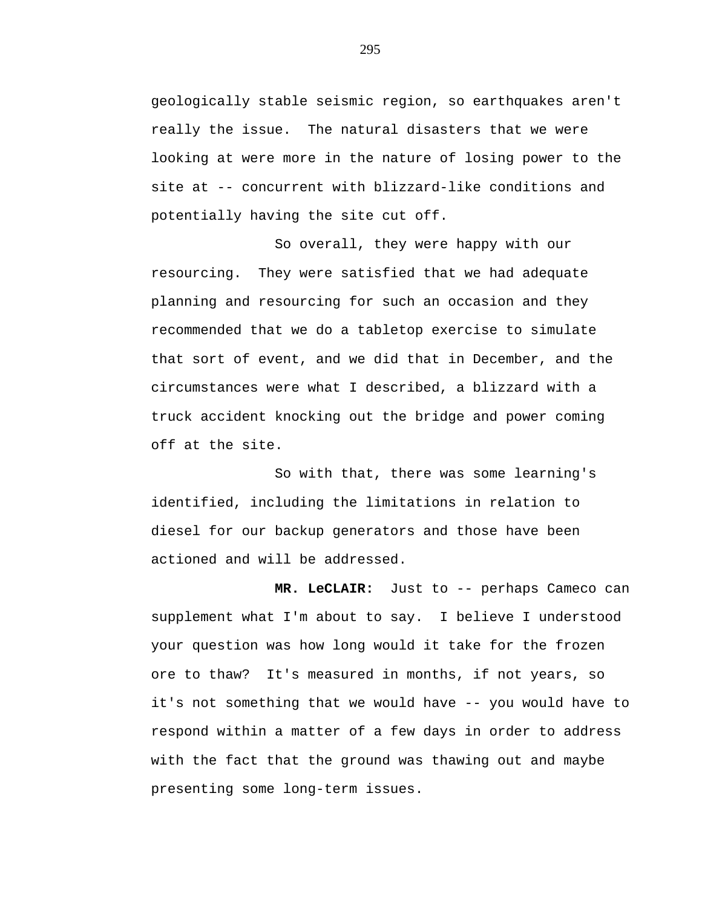geologically stable seismic region, so earthquakes aren't really the issue. The natural disasters that we were looking at were more in the nature of losing power to the site at -- concurrent with blizzard-like conditions and potentially having the site cut off.

So overall, they were happy with our resourcing. They were satisfied that we had adequate planning and resourcing for such an occasion and they recommended that we do a tabletop exercise to simulate that sort of event, and we did that in December, and the circumstances were what I described, a blizzard with a truck accident knocking out the bridge and power coming off at the site.

So with that, there was some learning's identified, including the limitations in relation to diesel for our backup generators and those have been actioned and will be addressed.

**MR. LeCLAIR:** Just to -- perhaps Cameco can supplement what I'm about to say. I believe I understood your question was how long would it take for the frozen ore to thaw? It's measured in months, if not years, so it's not something that we would have -- you would have to respond within a matter of a few days in order to address with the fact that the ground was thawing out and maybe presenting some long-term issues.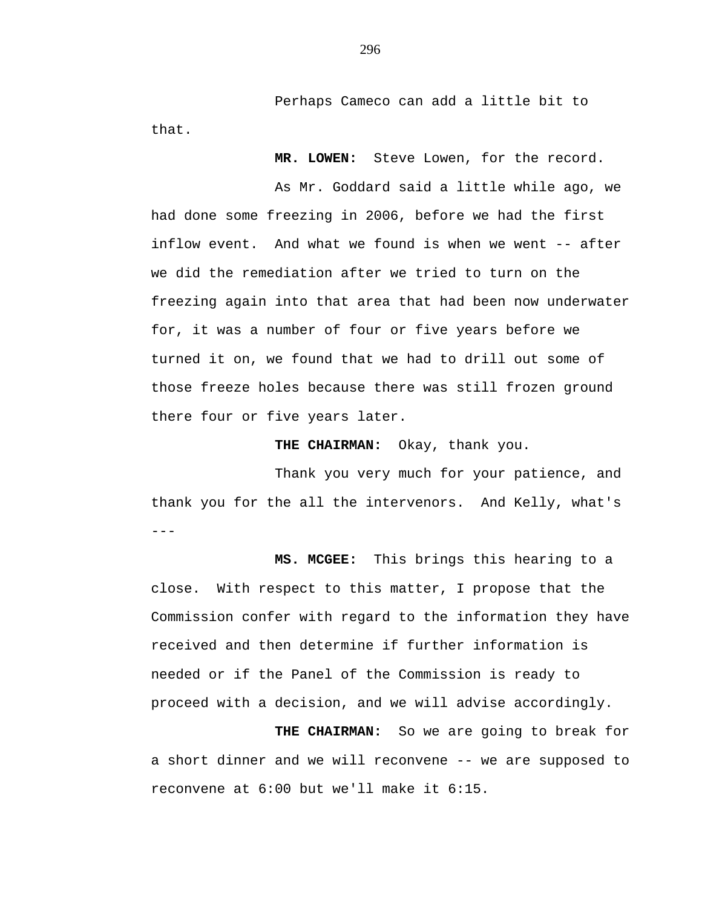Perhaps Cameco can add a little bit to that.

**MR. LOWEN:** Steve Lowen, for the record.

As Mr. Goddard said a little while ago, we had done some freezing in 2006, before we had the first inflow event. And what we found is when we went -- after we did the remediation after we tried to turn on the freezing again into that area that had been now underwater for, it was a number of four or five years before we turned it on, we found that we had to drill out some of those freeze holes because there was still frozen ground there four or five years later.

**THE CHAIRMAN:** Okay, thank you.

--- Thank you very much for your patience, and thank you for the all the intervenors. And Kelly, what's

**MS. MCGEE:** This brings this hearing to a close. With respect to this matter, I propose that the Commission confer with regard to the information they have received and then determine if further information is needed or if the Panel of the Commission is ready to proceed with a decision, and we will advise accordingly.

**THE CHAIRMAN:** So we are going to break for a short dinner and we will reconvene -- we are supposed to reconvene at 6:00 but we'll make it 6:15.